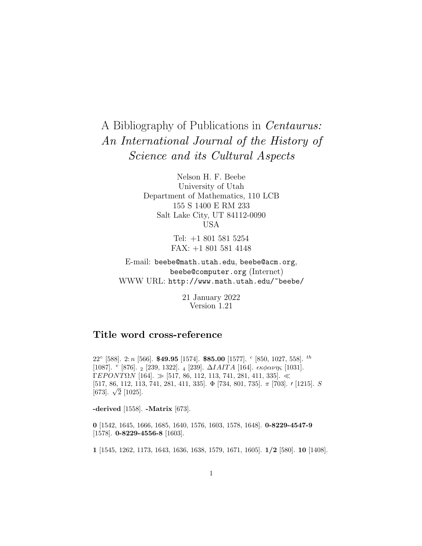## A Bibliography of Publications in Centaurus: An International Journal of the History of Science and its Cultural Aspects

Nelson H. F. Beebe University of Utah Department of Mathematics, 110 LCB 155 S 1400 E RM 233 Salt Lake City, UT 84112-0090 USA

> Tel: +1 801 581 5254 FAX: +1 801 581 4148

E-mail: beebe@math.utah.edu, beebe@acm.org, beebe@computer.org (Internet) WWW URL: http://www.math.utah.edu/~beebe/

> 21 January 2022 Version 1.21

## **Title word cross-reference**

22◦ [588]. 2: n [566]. **\$49.95** [1574]. **\$85.00** [1577]. <sup>c</sup> [850, 1027, 558]. th [1087]. <sup>v</sup> [876]. <sup>2</sup> [239, 1322]. <sup>4</sup> [239]. ∆IAIT A [164]. κφανης [1031]. ΓEΡΟΝΤΩΝ [164].  $\gg$  [517, 86, 112, 113, 741, 281, 411, 335].  $\ll$ [517, 86, 112, 113, 741, 281, 411, 335]. Φ [734, 801, 735]. π [703]. 0 [1215]. S [673].  $\sqrt{2}$  [1025].

**-derived** [1558]. **-Matrix** [673].

**0** [1542, 1645, 1666, 1685, 1640, 1576, 1603, 1578, 1648]. **0-8229-4547-9** [1578]. **0-8229-4556-8** [1603].

**1** [1545, 1262, 1173, 1643, 1636, 1638, 1579, 1671, 1605]. **1/2** [580]. **10** [1408].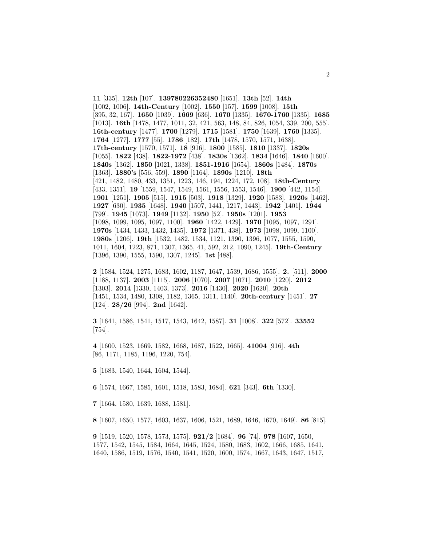**11** [335]. **12th** [107]. **139780226352480** [1651]. **13th** [52]. **14th** [1002, 1006]. **14th-Century** [1002]. **1550** [157]. **1599** [1008]. **15th** [395, 32, 167]. **1650** [1039]. **1669** [636]. **1670** [1335]. **1670-1760** [1335]. **1685** [1013]. **16th** [1478, 1477, 1011, 32, 421, 563, 148, 84, 826, 1054, 339, 200, 555]. **16th-century** [1477]. **1700** [1279]. **1715** [1581]. **1750** [1639]. **1760** [1335]. **1764** [1277]. **1777** [55]. **1786** [182]. **17th** [1478, 1570, 1571, 1638]. **17th-century** [1570, 1571]. **18** [916]. **1800** [1585]. **1810** [1337]. **1820s** [1055]. **1822** [438]. **1822-1972** [438]. **1830s** [1362]. **1834** [1646]. **1840** [1600]. **1840s** [1362]. **1850** [1021, 1338]. **1851-1916** [1654]. **1860s** [1484]. **1870s** [1363]. **1880's** [556, 559]. **1890** [1164]. **1890s** [1210]. **18th** [421, 1482, 1480, 433, 1351, 1223, 146, 194, 1224, 172, 108]. **18th-Century** [433, 1351]. **19** [1559, 1547, 1549, 1561, 1556, 1553, 1546]. **1900** [442, 1154]. **1901** [1251]. **1905** [515]. **1915** [503]. **1918** [1329]. **1920** [1583]. **1920s** [1462]. **1927** [630]. **1935** [1648]. **1940** [1507, 1441, 1217, 1443]. **1942** [1401]. **1944** [799]. **1945** [1073]. **1949** [1132]. **1950** [52]. **1950s** [1201]. **1953** [1098, 1099, 1095, 1097, 1100]. **1960** [1422, 1429]. **1970** [1095, 1097, 1291]. **1970s** [1434, 1433, 1432, 1435]. **1972** [1371, 438]. **1973** [1098, 1099, 1100]. **1980s** [1206]. **19th** [1532, 1482, 1534, 1121, 1390, 1396, 1077, 1555, 1590, 1011, 1604, 1223, 871, 1307, 1365, 41, 592, 212, 1090, 1245]. **19th-Century** [1396, 1390, 1555, 1590, 1307, 1245]. **1st** [488].

**2** [1584, 1524, 1275, 1683, 1602, 1187, 1647, 1539, 1686, 1555]. **2.** [511]. **2000** [1188, 1137]. **2003** [1115]. **2006** [1070]. **2007** [1071]. **2010** [1220]. **2012** [1303]. **2014** [1330, 1403, 1373]. **2016** [1430]. **2020** [1620]. **20th** [1451, 1534, 1480, 1308, 1182, 1365, 1311, 1140]. **20th-century** [1451]. **27** [124]. **28/26** [994]. **2nd** [1642].

**3** [1641, 1586, 1541, 1517, 1543, 1642, 1587]. **31** [1008]. **322** [572]. **33552** [754].

**4** [1600, 1523, 1669, 1582, 1668, 1687, 1522, 1665]. **41004** [916]. **4th** [86, 1171, 1185, 1196, 1220, 754].

**5** [1683, 1540, 1644, 1604, 1544].

**6** [1574, 1667, 1585, 1601, 1518, 1583, 1684]. **621** [343]. **6th** [1330].

**7** [1664, 1580, 1639, 1688, 1581].

**8** [1607, 1650, 1577, 1603, 1637, 1606, 1521, 1689, 1646, 1670, 1649]. **86** [815].

**9** [1519, 1520, 1578, 1573, 1575]. **921/2** [1684]. **96** [74]. **978** [1607, 1650, 1577, 1542, 1545, 1584, 1664, 1645, 1524, 1580, 1683, 1602, 1666, 1685, 1641, 1640, 1586, 1519, 1576, 1540, 1541, 1520, 1600, 1574, 1667, 1643, 1647, 1517,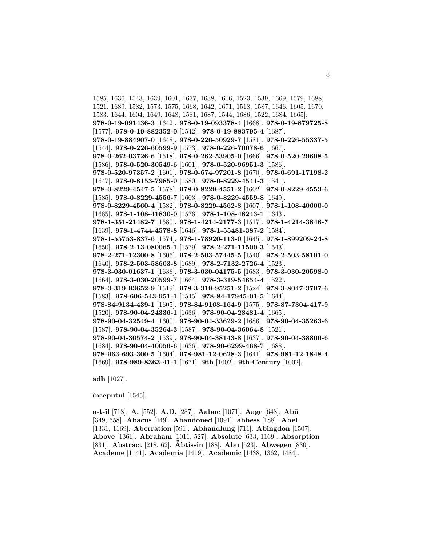1585, 1636, 1543, 1639, 1601, 1637, 1638, 1606, 1523, 1539, 1669, 1579, 1688, 1521, 1689, 1582, 1573, 1575, 1668, 1642, 1671, 1518, 1587, 1646, 1605, 1670, 1583, 1644, 1604, 1649, 1648, 1581, 1687, 1544, 1686, 1522, 1684, 1665]. **978-0-19-091436-3** [1642]. **978-0-19-093378-4** [1668]. **978-0-19-879725-8** [1577]. **978-0-19-882352-0** [1542]. **978-0-19-883795-4** [1687]. **978-0-19-884907-0** [1648]. **978-0-226-50929-7** [1581]. **978-0-226-55337-5** [1544]. **978-0-226-60599-9** [1573]. **978-0-226-70078-6** [1667]. **978-0-262-03726-6** [1518]. **978-0-262-53905-0** [1666]. **978-0-520-29698-5** [1586]. **978-0-520-30549-6** [1601]. **978-0-520-96951-3** [1586]. **978-0-520-97357-2** [1601]. **978-0-674-97201-8** [1670]. **978-0-691-17198-2** [1647]. **978-0-8153-7985-0** [1580]. **978-0-8229-4541-3** [1541]. **978-0-8229-4547-5** [1578]. **978-0-8229-4551-2** [1602]. **978-0-8229-4553-6** [1585]. **978-0-8229-4556-7** [1603]. **978-0-8229-4559-8** [1649]. **978-0-8229-4560-4** [1582]. **978-0-8229-4562-8** [1607]. **978-1-108-40600-0** [1685]. **978-1-108-41830-0** [1576]. **978-1-108-48243-1** [1643]. **978-1-351-21482-7** [1580]. **978-1-4214-2177-3** [1517]. **978-1-4214-3846-7** [1639]. **978-1-4744-4578-8** [1646]. **978-1-55481-387-2** [1584]. **978-1-55753-837-6** [1574]. **978-1-78920-113-0** [1645]. **978-1-899209-24-8** [1650]. **978-2-13-080065-1** [1579]. **978-2-271-11500-3** [1543]. **978-2-271-12300-8** [1606]. **978-2-503-57445-5** [1540]. **978-2-503-58191-0** [1640]. **978-2-503-58603-8** [1689]. **978-2-7132-2726-4** [1523]. **978-3-030-01637-1** [1638]. **978-3-030-04175-5** [1683]. **978-3-030-20598-0** [1664]. **978-3-030-20599-7** [1664]. **978-3-319-54654-4** [1522]. **978-3-319-93652-9** [1519]. **978-3-319-95251-2** [1524]. **978-3-8047-3797-6** [1583]. **978-606-543-951-1** [1545]. **978-84-17945-01-5** [1644]. **978-84-9134-439-1** [1605]. **978-84-9168-164-9** [1575]. **978-87-7304-417-9** [1520]. **978-90-04-24336-1** [1636]. **978-90-04-28481-4** [1665]. **978-90-04-32549-4** [1600]. **978-90-04-33629-2** [1686]. **978-90-04-35263-6** [1587]. **978-90-04-35264-3** [1587]. **978-90-04-36064-8** [1521]. **978-90-04-36574-2** [1539]. **978-90-04-38143-8** [1637]. **978-90-04-38866-6** [1684]. **978-90-04-40056-6** [1636]. **978-90-6299-468-7** [1688]. **978-963-693-300-5** [1604]. **978-981-12-0628-3** [1641]. **978-981-12-1848-4** [1669]. **978-989-8363-41-1** [1671]. **9th** [1002]. **9th-Century** [1002].

 $\bar{a}$ dh [1027].

**ˆınceputul** [1545].

**a-t-il** [718]. **A.** [552]. **A.D.** [287]. **Aaboe** [1071]. **Aage** [648]. **Ab¯u** [349, 558]. **Abacus** [449]. **Abandoned** [1091]. **abbess** [188]. **Abel** [1331, 1169]. **Aberration** [591]. **Abhandlung** [711]. **Abingdon** [1507]. **Above** [1366]. **Abraham** [1011, 527]. **Absolute** [633, 1169]. **Absorption** [831]. **Abstract** [218, 62]. **Abtissin ¨** [188]. **Abu** [523]. **Abwegen** [830]. **Academe** [1141]. **Academia** [1419]. **Academic** [1438, 1362, 1484].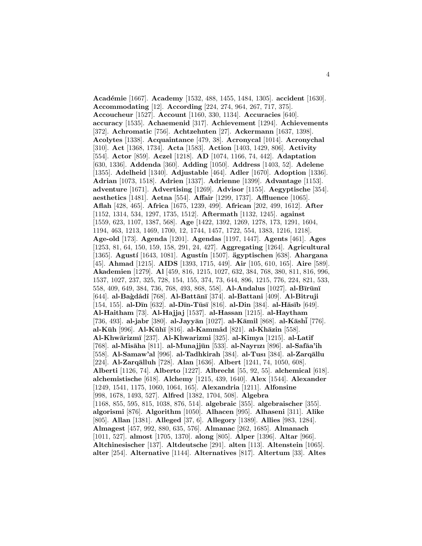**Acad´emie** [1667]. **Academy** [1532, 488, 1455, 1484, 1305]. **accident** [1630]. **Accommodating** [12]. **According** [224, 274, 964, 267, 717, 375]. **Accoucheur** [1527]. **Account** [1160, 330, 1134]. **Accuracies** [640]. **accuracy** [1535]. **Achaemenid** [317]. **Achievement** [1294]. **Achievements** [372]. **Achromatic** [756]. **Achtzehnten** [27]. **Ackermann** [1637, 1398]. **Acolytes** [1338]. **Acquaintance** [479, 38]. **Acronycal** [1014]. **Acronychal** [310]. **Act** [1368, 1734]. **Acta** [1583]. **Action** [1403, 1429, 806]. **Activity** [554]. **Actor** [859]. **Aczel** [1218]. **AD** [1074, 1166, 74, 442]. **Adaptation** [630, 1336]. **Addenda** [360]. **Adding** [1050]. **Address** [1403, 52]. **Adelene** [1355]. **Adelheid** [1340]. **Adjustable** [464]. **Adler** [1670]. **Adoption** [1336]. **Adrian** [1073, 1518]. **Adrien** [1337]. **Adrienne** [1399]. **Advantage** [1153]. **adventure** [1671]. **Advertising** [1269]. **Advisor** [1155]. **Aegyptische** [354]. **aesthetics** [1481]. **Aetna** [554]. **Affair** [1299, 1737]. **Affluence** [1065]. **Aflah** [428, 465]. **Africa** [1675, 1239, 499]. **African** [202, 499, 1612]. **After** [1152, 1314, 534, 1297, 1735, 1512]. **Aftermath** [1132, 1245]. **against** [1559, 623, 1107, 1387, 568]. **Age** [1422, 1392, 1269, 1278, 173, 1291, 1604, 1194, 463, 1213, 1469, 1700, 12, 1744, 1457, 1722, 554, 1383, 1216, 1218]. **Age-old** [173]. **Agenda** [1201]. **Agendas** [1197, 1447]. **Agents** [461]. **Ages** [1253, 81, 64, 150, 159, 158, 291, 24, 427]. **Aggregating** [1264]. **Agricultural** [1365]. **Agust´ı** [1643, 1081]. **Agust´ın** [1507]. **agyptischen ¨** [638]. **Ahargana** [45]. **Ahmad** [1215]. **AIDS** [1393, 1715, 449]. **Air** [105, 610, 165]. **Aire** [589]. **Akademien** [1279]. **Al** [459, 816, 1215, 1027, 632, 384, 768, 380, 811, 816, 996, 1537, 1027, 237, 325, 728, 154, 155, 374, 73, 644, 896, 1215, 776, 224, 821, 533, 558, 409, 649, 384, 736, 768, 493, 868, 558]. **Al-Andalus** [1027]. **al-B**īrūnī [644]. **al-Ba`gdˆadˆı** [768]. **Al-Batt¯an¯ı** [374]. **al-Battani** [409]. **Al-Bitruji** [154, 155]. **al-D¯ın** [632]. **al-D¯ın-T¯us¯ı** [816]. **al-Din** [384]. **al-H¯as¯ıb** [649]. **Al-Haitham** [73]. **Al-Hajjaj** [1537]. **al-Hassan** [1215]. **al-Haytham** [736, 493]. **al-jabr** [380]. **al-Jayyān** [1027]. **al-Kāmil** [868]. **al-Kāshi** [776]. **al-K¯uh** [996]. **Al-K¯uh¯ı** [816]. **al-Kammˆad** [821]. **al-Kh¯azin** [558]. **Al-Khw¯arizm¯ı** [237]. **Al-Khwarizmi** [325]. **al-Kimya** [1215]. **al-Latˆıf** [768]. **al-Mis¯aha** [811]. **al-Munajj¯un** [533]. **al-Nayrızı** [896]. **al-Saf¯aa'ih** [558]. **Al-Samaw'al** [996]. **al-Tadhkirah** [384]. **al-Tusı** [384]. **al-Zarq¯allu** [224]. **Al-Zarqālluh** [728]. **Alan** [1636]. **Albert** [1241, 74, 1050, 608]. **Alberti** [1126, 74]. **Alberto** [1227]. **Albrecht** [55, 92, 55]. **alchemical** [618]. **alchemistische** [618]. **Alchemy** [1215, 439, 1640]. **Alex** [1544]. **Alexander** [1249, 1541, 1175, 1060, 1064, 165]. **Alexandria** [1211]. **Alfonsine** [998, 1678, 1493, 527]. **Alfred** [1382, 1704, 508]. **Algebra** [1168, 855, 595, 815, 1038, 876, 514]. **algebraic** [355]. **algebraischer** [355]. **algorismi** [876]. **Algorithm** [1050]. **Alhacen** [995]. **Alhaseni** [311]. **Alike** [805]. **Allan** [1381]. **Alleged** [37, 6]. **Allegory** [1389]. **Allies** [983, 1284]. **Almagest** [457, 992, 880, 635, 576]. **Almanac** [262, 1685]. **Almanach** [1011, 527]. **almost** [1705, 1370]. **along** [805]. **Alper** [1396]. **Altar** [966]. **Altchinesischer** [137]. **Altdeutsche** [291]. **alten** [113]. **Altenstein** [1065]. **alter** [254]. **Alternative** [1144]. **Alternatives** [817]. **Altertum** [33]. **Altes**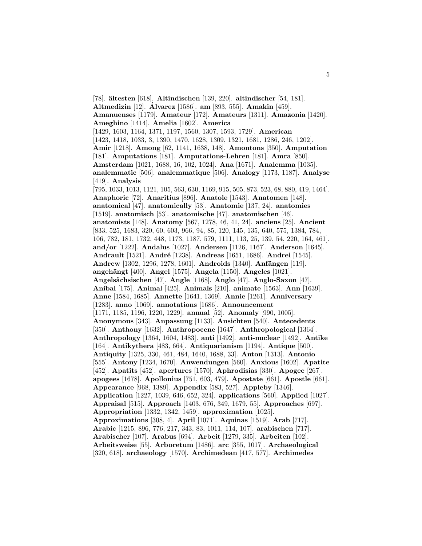[78]. **¨altesten** [618]. **Altindischen** [139, 220]. **altindischer** [54, 181]. **Altmedizin** [12]. **Alvarez ´** [1586]. **am** [893, 555]. **Amakin** [459]. **Amanuenses** [1179]. **Amateur** [172]. **Amateurs** [1311]. **Amazonia** [1420]. **Ameghino** [1414]. **Amelia** [1602]. **America** [1429, 1603, 1164, 1371, 1197, 1560, 1307, 1593, 1729]. **American** [1423, 1418, 1033, 3, 1390, 1470, 1628, 1309, 1321, 1681, 1286, 246, 1202]. **Amir** [1218]. **Among** [62, 1141, 1638, 148]. **Amontons** [350]. **Amputation** [181]. **Amputations** [181]. **Amputations-Lehren** [181]. **Amra** [850]. **Amsterdam** [1021, 1688, 16, 102, 1024]. **Ana** [1671]. **Analemma** [1035]. **analemmatic** [506]. **analemmatique** [506]. **Analogy** [1173, 1187]. **Analyse** [419]. **Analysis** [795, 1033, 1013, 1121, 105, 563, 630, 1169, 915, 505, 873, 523, 68, 880, 419, 1464]. **Anaphoric** [72]. **Anaritius** [896]. **Anatole** [1543]. **Anatomen** [148]. **anatomical** [47]. **anatomically** [53]. **Anatomie** [137, 24]. **anatomies** [1519]. **anatomisch** [53]. **anatomische** [47]. **anatomischen** [46]. **anatomists** [148]. **Anatomy** [567, 1278, 46, 41, 24]. **anciens** [25]. **Ancient** [833, 525, 1683, 320, 60, 603, 966, 94, 85, 120, 145, 135, 640, 575, 1384, 784, 106, 782, 181, 1732, 448, 1173, 1187, 579, 1111, 113, 25, 139, 54, 220, 164, 461]. **and/or** [1222]. **Andalus** [1027]. **Andersen** [1126, 1167]. **Anderson** [1645]. **Andrault** [1521]. **Andr´e** [1238]. **Andreas** [1651, 1686]. **Andrei** [1545]. **Andrew** [1302, 1296, 1278, 1601]. **Androids** [1340]. **Anfängen** [119]. **angeh¨angt** [400]. **Angel** [1575]. **Angela** [1150]. **Angeles** [1021]. **Angels¨achsischen** [47]. **Angle** [1168]. **Anglo** [47]. **Anglo-Saxon** [47]. **An´ıbal** [175]. **Animal** [425]. **Animals** [210]. **animate** [1563]. **Ann** [1639]. **Anne** [1584, 1685]. **Annette** [1641, 1369]. **Annie** [1261]. **Anniversary** [1283]. **anno** [1069]. **annotations** [1686]. **Announcement** [1171, 1185, 1196, 1220, 1229]. **annual** [52]. **Anomaly** [990, 1005]. **Anonymous** [343]. **Anpassung** [1133]. **Ansichten** [540]. **Antecedents** [350]. **Anthony** [1632]. **Anthropocene** [1647]. **Anthropological** [1364]. **Anthropology** [1364, 1604, 1483]. **anti** [1492]. **anti-nuclear** [1492]. **Antike** [164]. **Antikythera** [483, 664]. **Antiquarianism** [1194]. **Antique** [500]. **Antiquity** [1325, 330, 461, 484, 1640, 1688, 33]. **Anton** [1313]. **Antonio** [555]. **Antony** [1234, 1670]. **Anwendungen** [560]. **Anxious** [1602]. **Apatite** [452]. **Apatits** [452]. **apertures** [1570]. **Aphrodisias** [330]. **Apogee** [267]. **apogees** [1678]. **Apollonius** [751, 603, 479]. **Apostate** [661]. **Apostle** [661]. **Appearance** [968, 1389]. **Appendix** [583, 527]. **Appleby** [1346]. **Application** [1227, 1039, 646, 652, 324]. **applications** [560]. **Applied** [1027]. **Appraisal** [515]. **Approach** [1403, 676, 349, 1679, 55]. **Approaches** [697]. **Appropriation** [1332, 1342, 1459]. **approximation** [1025]. **Approximations** [308, 4]. **April** [1071]. **Aquinas** [1519]. **Arab** [717]. **Arabic** [1215, 896, 776, 217, 343, 83, 1011, 114, 107]. **arabischen** [717]. **Arabischer** [107]. **Arabus** [694]. **Arbeit** [1279, 335]. **Arbeiten** [102]. **Arbeitsweise** [55]. **Arboretum** [1486]. **arc** [355, 1017]. **Archaeological** [320, 618]. **archaeology** [1570]. **Archimedean** [417, 577]. **Archimedes**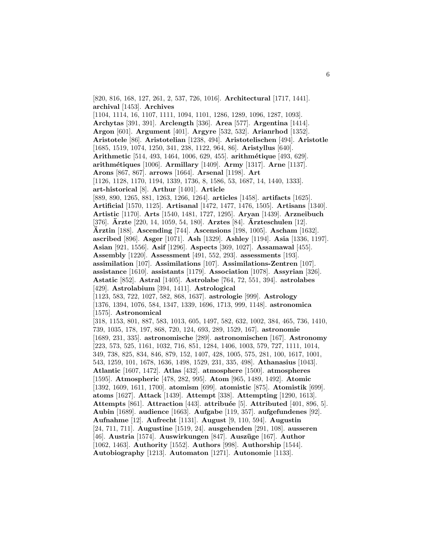[820, 816, 168, 127, 261, 2, 537, 726, 1016]. **Architectural** [1717, 1441]. **archival** [1453]. **Archives** [1104, 1114, 16, 1107, 1111, 1094, 1101, 1286, 1289, 1096, 1287, 1093]. **Archytas** [391, 391]. **Arclength** [336]. **Area** [577]. **Argentina** [1414]. **Argon** [601]. **Argument** [401]. **Argyre** [532, 532]. **Arianrhod** [1352]. **Aristotele** [86]. **Aristotelian** [1238, 494]. **Aristotelischen** [494]. **Aristotle** [1685, 1519, 1074, 1250, 341, 238, 1122, 964, 86]. **Aristyllus** [640]. **Arithmetic** [514, 493, 1464, 1006, 629, 455]. **arithm´etique** [493, 629]. **arithm´etiques** [1006]. **Armillary** [1409]. **Army** [1317]. **Arne** [1137]. **Arons** [867, 867]. **arrows** [1664]. **Arsenal** [1198]. **Art** [1126, 1128, 1170, 1194, 1339, 1736, 8, 1586, 53, 1687, 14, 1440, 1333]. **art-historical** [8]. **Arthur** [1401]. **Article** [889, 890, 1265, 881, 1263, 1266, 1264]. **articles** [1458]. **artifacts** [1625]. **Artificial** [1570, 1125]. **Artisanal** [1472, 1477, 1476, 1505]. **Artisans** [1340]. **Artistic** [1170]. **Arts** [1540, 1481, 1727, 1295]. **Aryan** [1439]. **Arzneibuch** [376]. **Arzte ¨** [220, 14, 1059, 54, 180]. **Arztes** [84]. **Arzteschulen ¨** [12]. **Arztin ¨** [188]. **Ascending** [744]. **Ascensions** [198, 1005]. **Ascham** [1632]. **ascribed** [896]. **Asger** [1071]. **Ash** [1329]. **Ashley** [1194]. **Asia** [1336, 1197]. **Asian** [921, 1556]. **Asif** [1296]. **Aspects** [369, 1027]. **Assamawal** [455]. **Assembly** [1220]. **Assessment** [491, 552, 293]. **assessments** [193]. **assimilation** [107]. **Assimilations** [107]. **Assimilations-Zentren** [107]. **assistance** [1610]. **assistants** [1179]. **Association** [1078]. **Assyrian** [326]. **Astatic** [852]. **Astral** [1405]. **Astrolabe** [764, 72, 551, 394]. **astrolabes** [429]. **Astrolabium** [394, 1411]. **Astrological** [1123, 583, 722, 1027, 582, 868, 1637]. **astrologie** [999]. **Astrology** [1376, 1394, 1076, 584, 1347, 1339, 1696, 1713, 999, 1148]. **astronomica** [1575]. **Astronomical** [318, 1153, 801, 887, 583, 1013, 605, 1497, 582, 632, 1002, 384, 465, 736, 1410, 739, 1035, 178, 197, 868, 720, 124, 693, 289, 1529, 167]. **astronomie** [1689, 231, 335]. **astronomische** [289]. **astronomischen** [167]. **Astronomy** [223, 573, 525, 1161, 1032, 716, 851, 1284, 1406, 1003, 579, 727, 1111, 1014, 349, 738, 825, 834, 846, 879, 152, 1407, 428, 1005, 575, 281, 100, 1617, 1001, 543, 1259, 101, 1678, 1636, 1498, 1529, 231, 335, 498]. **Athanasius** [1043]. **Atlantic** [1607, 1472]. **Atlas** [432]. **atmosphere** [1500]. **atmospheres** [1595]. **Atmospheric** [478, 282, 995]. **Atom** [965, 1489, 1492]. **Atomic** [1392, 1609, 1611, 1700]. **atomism** [699]. **atomistic** [875]. **Atomistik** [699]. **atoms** [1627]. **Attack** [1439]. **Attempt** [338]. **Attempting** [1290, 1613]. **Attempts** [861]. **Attraction** [443]. **attribu´ee** [5]. **Attributed** [401, 896, 5]. **Aubin** [1689]. **audience** [1663]. **Aufgabe** [119, 357]. **aufgefundenes** [92]. **Aufnahme** [12]. **Aufrecht** [1131]. **August** [9, 110, 594]. **Augustin** [24, 711, 711]. **Augustine** [1519, 24]. **ausgehenden** [291, 108]. **ausseren** [46]. **Austria** [1574]. **Auswirkungen** [847]. **Ausz¨uge** [167]. **Author** [1062, 1463]. **Authority** [1552]. **Authors** [998]. **Authorship** [1544]. **Autobiography** [1213]. **Automaton** [1271]. **Autonomie** [1133].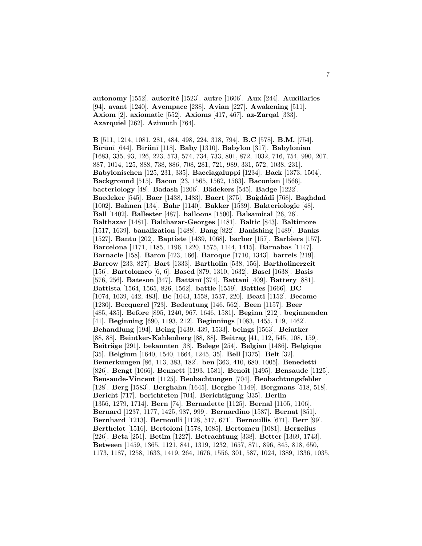**autonomy** [1552]. **autorit´e** [1523]. **autre** [1606]. **Aux** [244]. **Auxiliaries** [94]. **avant** [1240]. **Avempace** [238]. **Avian** [227]. **Awakening** [511]. **Axiom** [2]. **axiomatic** [552]. **Axioms** [417, 467]. **az-Zarqal** [333]. **Azarquiel** [262]. **Azimuth** [764].

**B** [511, 1214, 1081, 281, 484, 498, 224, 318, 794]. **B.C** [578]. **B.M.** [754]. **B¯ır¯un¯ı** [644]. **B¯ır¨un¯ı** [118]. **Baby** [1310]. **Babylon** [317]. **Babylonian** [1683, 335, 93, 126, 223, 573, 574, 734, 733, 801, 872, 1032, 716, 754, 990, 207, 887, 1014, 125, 888, 738, 886, 708, 281, 721, 989, 331, 572, 1038, 231]. **Babylonischen** [125, 231, 335]. **Bacciagaluppi** [1234]. **Back** [1373, 1504]. **Background** [515]. **Bacon** [23, 1565, 1562, 1563]. **Baconian** [1566]. **bacteriology** [48]. **Badash** [1206]. **B¨adekers** [545]. **Badge** [1222]. **Baedeker** [545]. **Baer** [1438, 1483]. **Baert** [375]. **Ba`gdˆadˆı** [768]. **Baghdad** [1002]. **Bahnen** [134]. **Bahr** [1140]. **Bakker** [1539]. **Bakteriologie** [48]. **Ball** [1402]. **Ballester** [487]. **balloons** [1500]. **Balsamital** [26, 26]. **Balthazar** [1481]. **Balthazar-Georges** [1481]. **Baltic** [843]. **Baltimore** [1517, 1639]. **banalization** [1488]. **Bang** [822]. **Banishing** [1489]. **Banks** [1527]. **Bantu** [202]. **Baptiste** [1439, 1068]. **barber** [157]. **Barbiers** [157]. **Barcelona** [1171, 1185, 1196, 1220, 1575, 1144, 1415]. **Barnabas** [1147]. **Barnacle** [158]. **Baron** [423, 166]. **Baroque** [1710, 1343]. **barrels** [219]. **Barrow** [233, 827]. **Bart** [1333]. **Bartholin** [538, 156]. **Bartholinerzeit** [156]. **Bartolomeo** [6, 6]. **Based** [879, 1310, 1632]. **Basel** [1638]. **Basis** [576, 256]. **Bateson** [347]. **Battānī** [374]. **Battani** [409]. **Battery** [881]. **Battista** [1564, 1565, 826, 1562]. **battle** [1559]. **Battles** [1666]. **BC** [1074, 1039, 442, 483]. **Be** [1043, 1558, 1537, 220]. **Beati** [1152]. **Became** [1230]. **Becquerel** [723]. **Bedeutung** [146, 562]. **Been** [1157]. **Beer** [485, 485]. **Before** [895, 1240, 967, 1646, 1581]. **Beginn** [212]. **beginnenden** [41]. **Beginning** [690, 1193, 212]. **Beginnings** [1083, 1455, 119, 1462]. **Behandlung** [194]. **Being** [1439, 439, 1533]. **beings** [1563]. **Beintker** [88, 88]. **Beintker-Kahlenberg** [88, 88]. **Beitrag** [41, 112, 545, 108, 159]. **Beitr¨age** [291]. **bekannten** [38]. **Belege** [254]. **Belgian** [1486]. **Belgique** [35]. **Belgium** [1640, 1540, 1664, 1245, 35]. **Bell** [1375]. **Belt** [32]. **Bemerkungen** [86, 113, 383, 182]. **ben** [363, 410, 680, 1005]. **Benedetti** [826]. **Bengt** [1066]. **Bennett** [1193, 1581]. **Benoˆıt** [1495]. **Bensaude** [1125]. **Bensaude-Vincent** [1125]. **Beobachtungen** [704]. **Beobachtungsfehler** [128]. **Berg** [1583]. **Berghahn** [1645]. **Berghe** [1149]. **Bergmans** [518, 518]. **Bericht** [717]. **berichteten** [704]. **Berichtigung** [335]. **Berlin** [1356, 1279, 1714]. **Bern** [74]. **Bernadette** [1125]. **Bernal** [1105, 1106]. **Bernard** [1237, 1177, 1425, 987, 999]. **Bernardino** [1587]. **Bernat** [851]. **Bernhard** [1213]. **Bernoulli** [1128, 517, 671]. **Bernoullis** [671]. **Berr** [99]. **Berthelot** [1516]. **Bertoloni** [1578, 1085]. **Bertomeu** [1081]. **Berzelius** [226]. **Beta** [251]. **Betim** [1227]. **Betrachtung** [338]. **Better** [1369, 1743]. **Between** [1459, 1365, 1121, 841, 1319, 1232, 1657, 871, 896, 845, 818, 650, 1173, 1187, 1258, 1633, 1419, 264, 1676, 1556, 301, 587, 1024, 1389, 1336, 1035,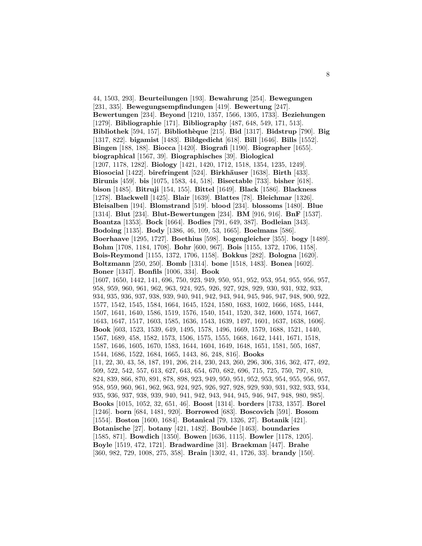44, 1503, 293]. **Beurteilungen** [193]. **Bewahrung** [254]. **Bewegungen** [231, 335]. **Bewegungsempfindungen** [419]. **Bewertung** [247]. **Bewertungen** [234]. **Beyond** [1210, 1357, 1566, 1305, 1733]. **Beziehungen** [1279]. **Bibliographie** [171]. **Bibliography** [487, 648, 549, 171, 513]. **Bibliothek** [594, 157]. **Biblioth`eque** [215]. **Bid** [1317]. **Bidstrup** [790]. **Big** [1317, 822]. **bigamist** [1483]. **Bildgedicht** [618]. **Bill** [1646]. **Bills** [1552]. **Bingen** [188, 188]. **Biocca** [1420]. **Biografi** [1190]. **Biographer** [1655]. **biographical** [1567, 39]. **Biographisches** [39]. **Biological** [1207, 1178, 1282]. **Biology** [1421, 1420, 1712, 1518, 1354, 1235, 1249]. **Biosocial** [1422]. **birefringent** [524]. **Birkhäuser** [1638]. **Birth** [433]. **Birunis** [459]. **bis** [1075, 1583, 44, 518]. **Bisectable** [733]. **bisher** [618]. **bison** [1485]. **Bitruji** [154, 155]. **Bittel** [1649]. **Black** [1586]. **Blackness** [1278]. **Blackwell** [1425]. **Blair** [1639]. **Blattes** [78]. **Bleichmar** [1326]. **Bleisalben** [194]. **Blomstrand** [519]. **blood** [234]. **blossoms** [1480]. **Blue** [1314]. **Blut** [234]. **Blut-Bewertungen** [234]. **BM** [916, 916]. **BnF** [1537]. **Boantza** [1353]. **Bock** [1664]. **Bodies** [791, 649, 387]. **Bodleian** [343]. **Bodoing** [1135]. **Body** [1386, 46, 109, 53, 1665]. **Boelmans** [586]. **Boerhaave** [1295, 1727]. **Boethius** [598]. **bogengleicher** [355]. **bogy** [1489]. **Bohm** [1708, 1184, 1708]. **Bohr** [600, 967]. **Bois** [1155, 1372, 1706, 1158]. **Bois-Reymond** [1155, 1372, 1706, 1158]. **Bokkus** [282]. **Bologna** [1620]. **Boltzmann** [250, 250]. **Bomb** [1314]. **bone** [1518, 1483]. **Bonea** [1602]. **Boner** [1347]. **Bonfils** [1006, 334]. **Book** [1607, 1650, 1442, 141, 696, 750, 923, 949, 950, 951, 952, 953, 954, 955, 956, 957, 958, 959, 960, 961, 962, 963, 924, 925, 926, 927, 928, 929, 930, 931, 932, 933, 934, 935, 936, 937, 938, 939, 940, 941, 942, 943, 944, 945, 946, 947, 948, 900, 922, 1577, 1542, 1545, 1584, 1664, 1645, 1524, 1580, 1683, 1602, 1666, 1685, 1444, 1507, 1641, 1640, 1586, 1519, 1576, 1540, 1541, 1520, 342, 1600, 1574, 1667, 1643, 1647, 1517, 1603, 1585, 1636, 1543, 1639, 1497, 1601, 1637, 1638, 1606]. **Book** [603, 1523, 1539, 649, 1495, 1578, 1496, 1669, 1579, 1688, 1521, 1440, 1567, 1689, 458, 1582, 1573, 1506, 1575, 1555, 1668, 1642, 1441, 1671, 1518, 1587, 1646, 1605, 1670, 1583, 1644, 1604, 1649, 1648, 1651, 1581, 505, 1687, 1544, 1686, 1522, 1684, 1665, 1443, 86, 248, 816]. **Books** [11, 22, 30, 43, 58, 187, 191, 206, 214, 230, 243, 260, 296, 306, 316, 362, 477, 492, 509, 522, 542, 557, 613, 627, 643, 654, 670, 682, 696, 715, 725, 750, 797, 810, 824, 839, 866, 870, 891, 878, 898, 923, 949, 950, 951, 952, 953, 954, 955, 956, 957, 958, 959, 960, 961, 962, 963, 924, 925, 926, 927, 928, 929, 930, 931, 932, 933, 934, 935, 936, 937, 938, 939, 940, 941, 942, 943, 944, 945, 946, 947, 948, 980, 985]. **Books** [1015, 1052, 32, 651, 46]. **Boost** [1314]. **borders** [1733, 1357]. **Borel** [1246]. **born** [684, 1481, 920]. **Borrowed** [683]. **Boscovich** [591]. **Bosom** [1554]. **Boston** [1600, 1684]. **Botanical** [79, 1326, 27]. **Botanik** [421]. **Botanische** [27]. **botany** [421, 1482]. **Boub´ee** [1463]. **boundaries** [1585, 871]. **Bowdich** [1350]. **Bowen** [1636, 1115]. **Bowler** [1178, 1205]. **Boyle** [1519, 472, 1721]. **Bradwardine** [31]. **Braekman** [447]. **Brahe** [360, 982, 729, 1008, 275, 358]. **Brain** [1302, 41, 1726, 33]. **brandy** [150].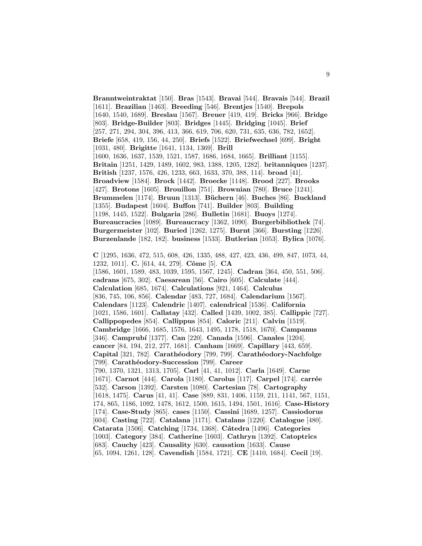**Branntweintraktat** [150]. **Bras** [1543]. **Bravai** [544]. **Bravais** [544]. **Brazil** [1611]. **Brazilian** [1463]. **Breeding** [546]. **Brentjes** [1540]. **Brepols** [1640, 1540, 1689]. **Breslau** [1567]. **Breuer** [419, 419]. **Bricks** [966]. **Bridge** [803]. **Bridge-Builder** [803]. **Bridges** [1445]. **Bridging** [1045]. **Brief** [257, 271, 294, 304, 396, 413, 366, 619, 706, 620, 731, 635, 636, 782, 1652]. **Briefe** [658, 419, 156, 44, 250]. **Briefs** [1522]. **Briefwechsel** [699]. **Bright** [1031, 480]. **Brigitte** [1641, 1134, 1369]. **Brill** [1600, 1636, 1637, 1539, 1521, 1587, 1686, 1684, 1665]. **Brilliant** [1155]. **Britain** [1251, 1429, 1489, 1602, 983, 1388, 1205, 1282]. **britanniques** [1237]. **British** [1237, 1576, 426, 1233, 663, 1633, 370, 388, 114]. **broad** [41]. **Broadview** [1584]. **Brock** [1442]. **Broecke** [1148]. **Brood** [227]. **Brooks** [427]. **Brotons** [1605]. **Brouillon** [751]. **Brownian** [780]. **Bruce** [1241]. **Brummelen** [1174]. **Bruun** [1313]. **B¨uchern** [46]. **Buches** [86]. **Buckland** [1355]. **Budapest** [1604]. **Buffon** [741]. **Builder** [803]. **Building** [1198, 1445, 1522]. **Bulgaria** [286]. **Bulletin** [1681]. **Buoys** [1274]. **Bureaucracies** [1089]. **Bureaucracy** [1362, 1090]. **Burgerbibliothek** [74]. **Burgermeister** [102]. **Buried** [1262, 1275]. **Burnt** [366]. **Bursting** [1226]. **Burzenlande** [182, 182]. **business** [1533]. **Butlerian** [1053]. **Bylica** [1076]. **C** [1295, 1636, 472, 515, 608, 426, 1335, 488, 427, 423, 436, 499, 847, 1073, 44, 1232, 1011]. **C.** [614, 44, 279]. **Cˆome** [5]. **CA** [1586, 1601, 1589, 483, 1039, 1595, 1567, 1245]. **Cadran** [364, 450, 551, 506]. **cadrans** [675, 302]. **Caesarean** [56]. **Cairo** [605]. **Calculate** [444]. **Calculation** [685, 1674]. **Calculations** [921, 1464]. **Calculus** [836, 745, 106, 856]. **Calendar** [483, 727, 1684]. **Calendarium** [1567]. **Calendars** [1123]. **Calendric** [1407]. **calendrical** [1536]. **California** [1021, 1586, 1601]. **Callatay** [432]. **Called** [1439, 1002, 385]. **Callippic** [727]. **Callippopedes** [854]. **Callippus** [854]. **Caloric** [211]. **Calvin** [1519]. **Cambridge** [1666, 1685, 1576, 1643, 1495, 1178, 1518, 1670]. **Campanus** [346]. **Camprub´ı** [1377]. **Can** [220]. **Canada** [1596]. **Canales** [1204]. **cancer** [84, 194, 212, 277, 1681]. **Canham** [1669]. **Capillary** [443, 659]. **Capital** [321, 782]. **Carath´eodory** [799, 799]. **Carath´eodory-Nachfolge** [799]. **Carath´eodory-Succession** [799]. **Career** [790, 1370, 1321, 1313, 1705]. **Carl** [41, 41, 1012]. **Carla** [1649]. **Carne** [1671]. **Carnot** [444]. **Carola** [1180]. **Carolus** [117]. **Carpel** [174]. **carrée** [532]. **Carson** [1392]. **Carsten** [1080]. **Cartesian** [78]. **Cartography** [1618, 1475]. **Carus** [41, 41]. **Case** [889, 831, 1406, 1159, 211, 1141, 567, 1151, 174, 865, 1186, 1092, 1478, 1612, 1500, 1615, 1494, 1501, 1616]. **Case-History** [174]. **Case-Study** [865]. **cases** [1150]. **Cassini** [1689, 1257]. **Cassiodorus** [604]. **Casting** [722]. **Catalana** [1171]. **Catalans** [1220]. **Catalogue** [480]. **Catarata** [1506]. **Catching** [1734, 1368]. **C´atedra** [1496]. **Categories** [1003]. **Category** [384]. **Catherine** [1603]. **Cathryn** [1392]. **Catoptrics** [683]. **Cauchy** [423]. **Causality** [630]. **causation** [1633]. **Cause** [65, 1094, 1261, 128]. **Cavendish** [1584, 1721]. **CE** [1410, 1684]. **Cecil** [19].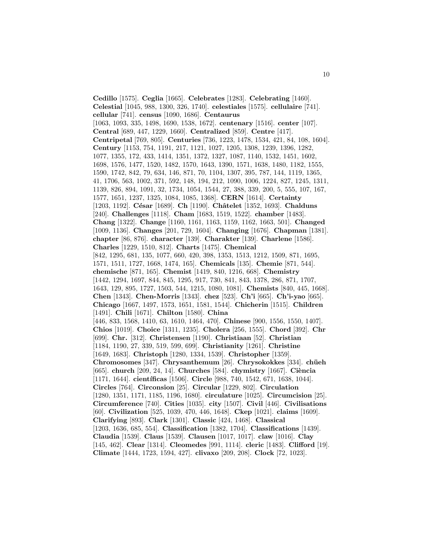**Cedillo** [1575]. **Ceglia** [1665]. **Celebrates** [1283]. **Celebrating** [1460]. **Celestial** [1045, 988, 1300, 326, 1740]. **celestiales** [1575]. **cellulaire** [741]. **cellular** [741]. **census** [1090, 1686]. **Centaurus** [1063, 1093, 335, 1498, 1690, 1538, 1672]. **centenary** [1516]. **center** [107]. **Central** [689, 447, 1229, 1660]. **Centralized** [859]. **Centre** [417]. **Centripetal** [769, 805]. **Centuries** [736, 1223, 1478, 1534, 421, 84, 108, 1604]. **Century** [1153, 754, 1191, 217, 1121, 1027, 1205, 1308, 1239, 1396, 1282, 1077, 1355, 172, 433, 1414, 1351, 1372, 1327, 1087, 1140, 1532, 1451, 1602, 1698, 1576, 1477, 1520, 1482, 1570, 1643, 1390, 1571, 1638, 1480, 1182, 1555, 1590, 1742, 842, 79, 634, 146, 871, 70, 1104, 1307, 395, 787, 144, 1119, 1365, 41, 1706, 563, 1002, 371, 592, 148, 194, 212, 1090, 1006, 1224, 827, 1245, 1311, 1139, 826, 894, 1091, 32, 1734, 1054, 1544, 27, 388, 339, 200, 5, 555, 107, 167, 1577, 1651, 1237, 1325, 1084, 1085, 1368]. **CERN** [1614]. **Certainty** [1203, 1192]. **C´esar** [1689]. **Ch** [1190]. **Chˆatelet** [1352, 1693]. **Chalduns** [240]. **Challenges** [1118]. **Cham** [1683, 1519, 1522]. **chamber** [1483]. **Chang** [1322]. **Change** [1160, 1161, 1163, 1159, 1162, 1663, 501]. **Changed** [1009, 1136]. **Changes** [201, 729, 1604]. **Changing** [1676]. **Chapman** [1381]. **chapter** [86, 876]. **character** [139]. **Charakter** [139]. **Charlene** [1586]. **Charles** [1229, 1510, 812]. **Charts** [1475]. **Chemical** [842, 1295, 681, 135, 1077, 660, 420, 398, 1353, 1513, 1212, 1509, 871, 1695, 1571, 1511, 1727, 1668, 1474, 165]. **Chemicals** [135]. **Chemie** [871, 544]. **chemische** [871, 165]. **Chemist** [1419, 840, 1216, 668]. **Chemistry** [1442, 1294, 1697, 844, 845, 1295, 917, 730, 841, 843, 1378, 286, 871, 1707, 1643, 129, 895, 1727, 1503, 544, 1215, 1080, 1081]. **Chemists** [840, 445, 1668]. **Chen** [1343]. **Chen-Morris** [1343]. **chez** [523]. **Ch'i** [665]. **Ch'i-yao** [665]. **Chicago** [1667, 1497, 1573, 1651, 1581, 1544]. **Chicherin** [1515]. **Children** [1491]. **Chili** [1671]. **Chilton** [1580]. **China** [446, 833, 1568, 1410, 63, 1610, 1464, 470]. **Chinese** [900, 1556, 1550, 1407]. **Chios** [1019]. **Choice** [1311, 1235]. **Cholera** [256, 1555]. **Chord** [392]. **Chr** [699]. **Chr.** [312]. **Christensen** [1190]. **Christiaan** [52]. **Christian** [1184, 1190, 27, 339, 519, 599, 699]. **Christianity** [1261]. **Christine** [1649, 1683]. **Christoph** [1280, 1334, 1539]. **Christopher** [1359]. **Chromosomes** [347]. **Chrysanthemum** [26]. **Chrysokokkes** [334]. **chüeh** [665]. **church** [209, 24, 14]. **Churches** [584]. **chymistry** [1667]. **Ciència** [1171, 1644]. **científicas** [1506]. **Circle** [988, 740, 1542, 671, 1638, 1044]. **Circles** [764]. **Circonsion** [25]. **Circular** [1229, 802]. **Circulation** [1280, 1351, 1171, 1185, 1196, 1680]. **circulature** [1025]. **Circumcision** [25]. **Circumference** [740]. **Cities** [1035]. **city** [1507]. **Civil** [446]. **Civilisations** [60]. **Civilization** [525, 1039, 470, 446, 1648]. **Ckep** [1021]. **claims** [1609]. **Clarifying** [893]. **Clark** [1301]. **Classic** [424, 1468]. **Classical** [1203, 1636, 685, 554]. **Classification** [1382, 1704]. **Classifications** [1439]. **Claudia** [1539]. **Claus** [1539]. **Clausen** [1017, 1017]. **claw** [1016]. **Clay** [145, 462]. **Clear** [1314]. **Cleomedes** [991, 1114]. **cleric** [1483]. **Clifford** [19]. **Climate** [1444, 1723, 1594, 427]. **clivaxo** [209, 208]. **Clock** [72, 1023].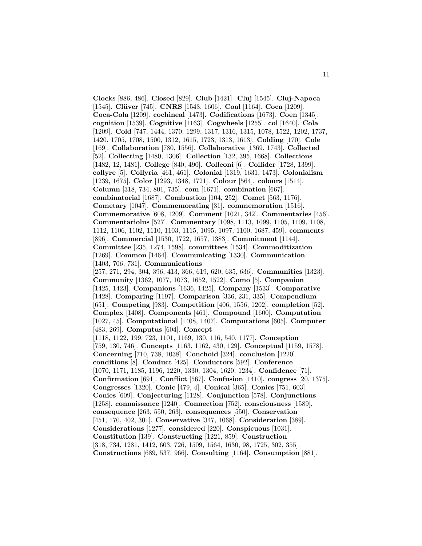**Clocks** [886, 486]. **Closed** [829]. **Club** [1421]. **Cluj** [1545]. **Cluj-Napoca** [1545]. **Cl¨uver** [745]. **CNRS** [1543, 1606]. **Coal** [1164]. **Coca** [1209]. **Coca-Cola** [1209]. **cochineal** [1473]. **Codifications** [1673]. **Coen** [1345]. **cognition** [1539]. **Cognitive** [1163]. **Cogwheels** [1255]. **col** [1640]. **Cola** [1209]. **Cold** [747, 1444, 1370, 1299, 1317, 1316, 1315, 1078, 1522, 1202, 1737, 1420, 1705, 1708, 1500, 1312, 1615, 1723, 1313, 1613]. **Colding** [170]. **Cole** [169]. **Collaboration** [780, 1556]. **Collaborative** [1369, 1743]. **Collected** [52]. **Collecting** [1480, 1306]. **Collection** [132, 395, 1668]. **Collections** [1482, 12, 1481]. **College** [840, 490]. **Colleoni** [6]. **Collider** [1728, 1399]. **collyre** [5]. **Collyria** [461, 461]. **Colonial** [1319, 1631, 1473]. **Colonialism** [1239, 1675]. **Color** [1293, 1348, 1721]. **Colour** [564]. **colours** [1514]. **Column** [318, 734, 801, 735]. **com** [1671]. **combination** [667]. **combinatorial** [1687]. **Combustion** [104, 252]. **Comet** [563, 1176]. **Cometary** [1047]. **Commemorating** [31]. **commemoration** [1516]. **Commemorative** [608, 1209]. **Comment** [1021, 342]. **Commentaries** [456]. **Commentariolus** [527]. **Commentary** [1098, 1113, 1099, 1105, 1109, 1108, 1112, 1106, 1102, 1110, 1103, 1115, 1095, 1097, 1100, 1687, 459]. **comments** [896]. **Commercial** [1530, 1722, 1657, 1383]. **Commitment** [1144]. **Committee** [235, 1274, 1598]. **committees** [1534]. **Commoditization** [1269]. **Common** [1464]. **Communicating** [1330]. **Communication** [1403, 706, 731]. **Communications** [257, 271, 294, 304, 396, 413, 366, 619, 620, 635, 636]. **Communities** [1323]. **Community** [1362, 1077, 1073, 1652, 1522]. **Como** [5]. **Companion** [1425, 1423]. **Companions** [1636, 1425]. **Company** [1533]. **Comparative** [1428]. **Comparing** [1197]. **Comparison** [336, 231, 335]. **Compendium** [651]. **Competing** [983]. **Competition** [406, 1556, 1202]. **completion** [52]. **Complex** [1408]. **Components** [461]. **Compound** [1600]. **Computation** [1027, 45]. **Computational** [1408, 1407]. **Computations** [605]. **Computer** [483, 269]. **Computus** [604]. **Concept** [1118, 1122, 199, 723, 1101, 1169, 130, 116, 540, 1177]. **Conception** [759, 130, 746]. **Concepts** [1163, 1162, 430, 129]. **Conceptual** [1159, 1578]. **Concerning** [710, 738, 1038]. **Conchoid** [324]. **conclusion** [1220]. **conditions** [8]. **Conduct** [425]. **Conductors** [592]. **Conference** [1070, 1171, 1185, 1196, 1220, 1330, 1304, 1620, 1234]. **Confidence** [71]. **Confirmation** [691]. **Conflict** [567]. **Confusion** [1410]. **congress** [20, 1375]. **Congresses** [1320]. **Conic** [479, 4]. **Conical** [365]. **Conics** [751, 603]. **Conies** [609]. **Conjecturing** [1128]. **Conjunction** [578]. **Conjunctions** [1258]. **connaissance** [1240]. **Connection** [752]. **consciousness** [1589]. **consequence** [263, 550, 263]. **consequences** [550]. **Conservation** [451, 170, 402, 301]. **Conservative** [347, 1068]. **Consideration** [389]. **Considerations** [1277]. **considered** [220]. **Conspicuous** [1031]. **Constitution** [139]. **Constructing** [1221, 859]. **Construction** [318, 734, 1281, 1412, 603, 726, 1509, 1564, 1630, 98, 1725, 302, 355]. **Constructions** [689, 537, 966]. **Consulting** [1164]. **Consumption** [881].

11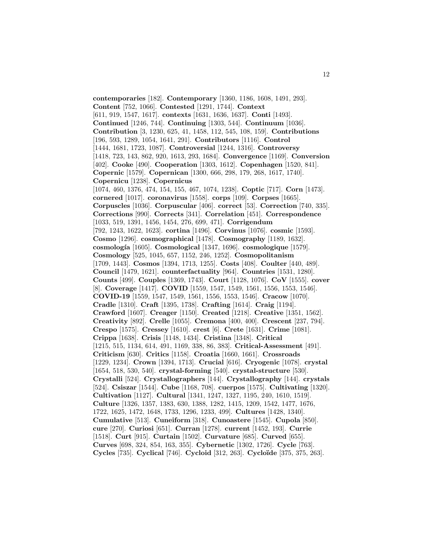**contemporaries** [182]. **Contemporary** [1360, 1186, 1608, 1491, 293]. **Content** [752, 1066]. **Contested** [1291, 1744]. **Context** [611, 919, 1547, 1617]. **contexts** [1631, 1636, 1637]. **Conti** [1493]. **Continued** [1246, 744]. **Continuing** [1303, 544]. **Continuum** [1036]. **Contribution** [3, 1230, 625, 41, 1458, 112, 545, 108, 159]. **Contributions** [196, 593, 1289, 1054, 1641, 291]. **Contributors** [1116]. **Control** [1444, 1681, 1723, 1087]. **Controversial** [1244, 1316]. **Controversy** [1418, 723, 143, 862, 920, 1613, 293, 1684]. **Convergence** [1169]. **Conversion** [402]. **Cooke** [490]. **Cooperation** [1303, 1612]. **Copenhagen** [1520, 841]. **Copernic** [1579]. **Copernican** [1300, 666, 298, 179, 268, 1617, 1740]. **Copernicu** [1238]. **Copernicus** [1074, 460, 1376, 474, 154, 155, 467, 1074, 1238]. **Coptic** [717]. **Corn** [1473]. **cornered** [1017]. **coronavirus** [1558]. **corps** [109]. **Corpses** [1665]. **Corpuscles** [1036]. **Corpuscular** [406]. **correct** [53]. **Correction** [740, 335]. **Corrections** [990]. **Corrects** [341]. **Correlation** [451]. **Correspondence** [1033, 519, 1391, 1456, 1454, 276, 699, 471]. **Corrigendum** [792, 1243, 1622, 1623]. **cortina** [1496]. **Corvinus** [1076]. **cosmic** [1593]. **Cosmo** [1296]. **cosmographical** [1478]. **Cosmography** [1189, 1632]. **cosmolog´ıa** [1605]. **Cosmological** [1347, 1696]. **cosmologique** [1579]. **Cosmology** [525, 1045, 657, 1152, 246, 1252]. **Cosmopolitanism** [1709, 1443]. **Cosmos** [1394, 1713, 1255]. **Costs** [408]. **Coulter** [440, 489]. **Council** [1479, 1621]. **counterfactuality** [964]. **Countries** [1531, 1280]. **Counts** [499]. **Couples** [1369, 1743]. **Court** [1128, 1076]. **CoV** [1555]. **cover** [8]. **Coverage** [1417]. **COVID** [1559, 1547, 1549, 1561, 1556, 1553, 1546]. **COVID-19** [1559, 1547, 1549, 1561, 1556, 1553, 1546]. **Cracow** [1070]. **Cradle** [1310]. **Craft** [1395, 1738]. **Crafting** [1614]. **Craig** [1194]. **Crawford** [1607]. **Creager** [1150]. **Created** [1218]. **Creative** [1351, 1562]. **Creativity** [892]. **Crelle** [1055]. **Cremona** [400, 400]. **Crescent** [237, 794]. **Crespo** [1575]. **Cressey** [1610]. **crest** [6]. **Crete** [1631]. **Crime** [1081]. **Crippa** [1638]. **Crisis** [1148, 1434]. **Cristina** [1348]. **Critical** [1215, 515, 1134, 614, 491, 1169, 338, 86, 383]. **Critical-Assessment** [491]. **Criticism** [630]. **Critics** [1158]. **Croatia** [1660, 1661]. **Crossroads** [1229, 1234]. **Crown** [1394, 1713]. **Crucial** [616]. **Cryogenic** [1078]. **crystal** [1654, 518, 530, 540]. **crystal-forming** [540]. **crystal-structure** [530]. **Crystalli** [524]. **Crystallographers** [144]. **Crystallography** [144]. **crystals** [524]. **Csiszar** [1544]. **Cube** [1168, 708]. **cuerpos** [1575]. **Cultivating** [1320]. **Cultivation** [1127]. **Cultural** [1341, 1247, 1327, 1195, 240, 1610, 1519]. **Culture** [1326, 1357, 1383, 630, 1388, 1282, 1415, 1209, 1542, 1477, 1676, 1722, 1625, 1472, 1648, 1733, 1296, 1233, 499]. **Cultures** [1428, 1340]. **Cumulative** [513]. **Cuneiform** [318]. **Cunoastere** [1545]. **Cupola** [850]. **cure** [270]. **Curiosi** [651]. **Curran** [1278]. **current** [1452, 193]. **Currie** [1518]. **Curt** [915]. **Curtain** [1502]. **Curvature** [685]. **Curved** [655]. **Curves** [698, 324, 854, 163, 355]. **Cybernetic** [1302, 1726]. **Cycle** [763]. **Cycles** [735]. **Cyclical** [746]. **Cycloid** [312, 263]. **Cyclo¨ıde** [375, 375, 263].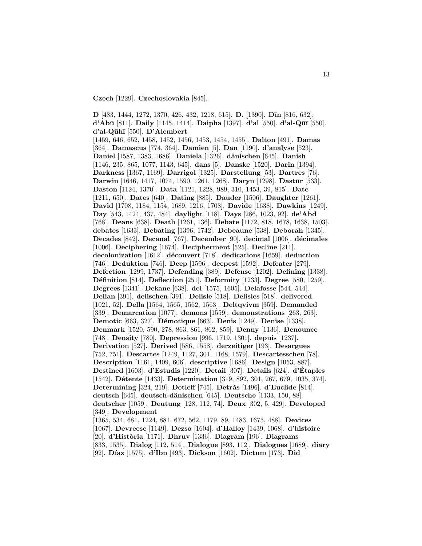**Czech** [1229]. **Czechoslovakia** [845].

**D** [483, 1444, 1272, 1370, 426, 432, 1218, 615]. **D.** [1390]. **D¯ın** [816, 632]. **d'Abū** [811]. **Daily** [1145, 1414]. **Daipha** [1397]. **d'al** [550]. **d'al-Qūī** [550]. **d'al-Q¯uh¯ı** [550]. **D'Alembert** [1459, 646, 652, 1458, 1452, 1456, 1453, 1454, 1455]. **Dalton** [491]. **Damas** [364]. **Damascus** [774, 364]. **Damien** [5]. **Dan** [1190]. **d'analyse** [523]. **Daniel** [1587, 1383, 1686]. **Daniela** [1326]. **d¨anischen** [645]. **Danish** [1146, 235, 865, 1077, 1143, 645]. **dans** [5]. **Danske** [1520]. **Darin** [1394]. **Darkness** [1367, 1169]. **Darrigol** [1325]. **Darstellung** [53]. **Dartres** [76]. Darwin [1646, 1417, 1074, 1590, 1261, 1268]. Daryn [1298]. Dastūr [533]. **Daston** [1124, 1370]. **Data** [1121, 1228, 989, 310, 1453, 39, 815]. **Date** [1211, 650]. **Dates** [640]. **Dating** [885]. **Dauder** [1506]. **Daughter** [1261]. **David** [1708, 1184, 1154, 1689, 1216, 1708]. **Davide** [1638]. **Dawkins** [1249]. **Day** [543, 1424, 437, 484]. **daylight** [118]. **Days** [286, 1023, 92]. **de'Abd** [768]. **Deans** [638]. **Death** [1261, 136]. **Debate** [1172, 818, 1678, 1638, 1503]. **debates** [1633]. **Debating** [1396, 1742]. **Debeaune** [538]. **Deborah** [1345]. **Decades** [842]. **Decanal** [767]. **December** [90]. **decimal** [1006]. **d´ecimales** [1006]. **Deciphering** [1674]. **Decipherment** [525]. **Decline** [211]. **decolonization** [1612]. **d´ecouvert** [718]. **dedications** [1659]. **deduction** [746]. **Deduktion** [746]. **Deep** [1596]. **deepest** [1592]. **Defeater** [279]. **Defection** [1299, 1737]. **Defending** [389]. **Defense** [1202]. **Defining** [1338]. **D´efinition** [814]. **Deflection** [251]. **Deformity** [1233]. **Degree** [580, 1259]. **Degrees** [1341]. **Dekane** [638]. **del** [1575, 1605]. **Delafosse** [544, 544]. **Delian** [391]. **delischen** [391]. **Delisle** [518]. **Delisles** [518]. **delivered** [1021, 52]. **Della** [1564, 1565, 1562, 1563]. **Deltqvivm** [359]. **Demanded** [339]. **Demarcation** [1077]. **demons** [1559]. **demonstrations** [263, 263]. **Demotic** [663, 327]. **D´emotique** [663]. **Denis** [1249]. **Denise** [1338]. **Denmark** [1520, 590, 278, 863, 861, 862, 859]. **Denny** [1136]. **Denounce** [748]. **Density** [780]. **Depression** [996, 1719, 1301]. **depuis** [1237]. **Derivation** [527]. **Derived** [586, 1558]. **derzeitiger** [193]. **Desargues** [752, 751]. **Descartes** [1249, 1127, 301, 1168, 1579]. **Descartesschen** [78]. **Description** [1161, 1409, 606]. **descriptive** [1686]. **Design** [1053, 887]. **Destined** [1603]. **d'Estudis** [1220]. **Detail** [307]. **Details** [624]. **d'Etaples ´** [1542]. **Détente** [1433]. **Determination** [319, 892, 301, 267, 679, 1035, 374]. **Determining** [324, 219]. **Detleff** [745]. **Detr´as** [1496]. **d'Euclide** [814]. **deutsch** [645]. **deutsch-d¨anischen** [645]. **Deutsche** [1133, 150, 88]. **deutscher** [1059]. **Deutung** [128, 112, 74]. **Deux** [302, 5, 429]. **Developed** [349]. **Development** [1365, 534, 681, 1224, 881, 672, 562, 1179, 89, 1483, 1675, 488]. **Devices** [1067]. **Devreese** [1149]. **Dezso** [1604]. **d'Halloy** [1439, 1068]. **d'histoire** [20]. **d'Hist`oria** [1171]. **Dhruv** [1336]. **Diagram** [196]. **Diagrams** [833, 1535]. **Dialog** [112, 514]. **Dialogue** [893, 112]. **Dialogues** [1689]. **diary**

[92]. **D´ıaz** [1575]. **d'Ibn** [493]. **Dickson** [1602]. **Dictum** [173]. **Did**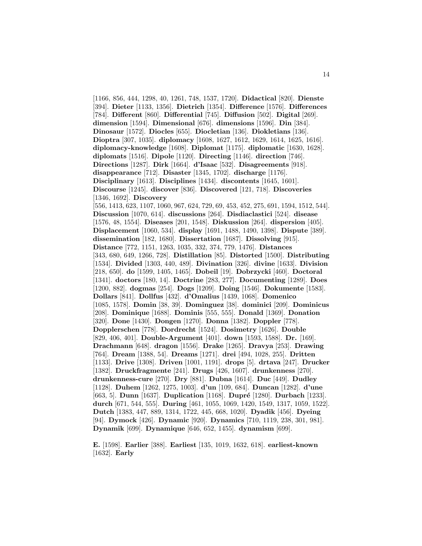[1166, 856, 444, 1298, 40, 1261, 748, 1537, 1720]. **Didactical** [820]. **Dienste** [394]. **Dieter** [1133, 1356]. **Dietrich** [1354]. **Difference** [1576]. **Differences** [784]. **Different** [860]. **Differential** [745]. **Diffusion** [502]. **Digital** [269]. **dimension** [1594]. **Dimensional** [676]. **dimensions** [1596]. **Din** [384]. **Dinosaur** [1572]. **Diocles** [655]. **Diocletian** [136]. **Diokletians** [136]. **Dioptra** [307, 1035]. **diplomacy** [1608, 1627, 1612, 1629, 1614, 1625, 1616]. **diplomacy-knowledge** [1608]. **Diplomat** [1175]. **diplomatic** [1630, 1628]. **diplomats** [1516]. **Dipole** [1120]. **Directing** [1146]. **direction** [746]. **Directions** [1287]. **Dirk** [1664]. **d'Isaac** [532]. **Disagreements** [918]. **disappearance** [712]. **Disaster** [1345, 1702]. **discharge** [1176]. **Disciplinary** [1613]. **Disciplines** [1434]. **discontents** [1645, 1601]. **Discourse** [1245]. **discover** [836]. **Discovered** [121, 718]. **Discoveries** [1346, 1692]. **Discovery** [556, 1413, 623, 1107, 1060, 967, 624, 729, 69, 453, 452, 275, 691, 1594, 1512, 544]. **Discussion** [1070, 614]. **discussions** [264]. **Disdiaclastici** [524]. **disease** [1576, 48, 1554]. **Diseases** [201, 1548]. **Diskussion** [264]. **dispersion** [405]. **Displacement** [1060, 534]. **display** [1691, 1488, 1490, 1398]. **Dispute** [389]. **dissemination** [182, 1680]. **Dissertation** [1687]. **Dissolving** [915]. **Distance** [772, 1151, 1263, 1035, 332, 374, 779, 1476]. **Distances** [343, 680, 649, 1266, 728]. **Distillation** [85]. **Distorted** [1500]. **Distributing** [1534]. **Divided** [1303, 440, 489]. **Divination** [326]. **divine** [1633]. **Division** [218, 650]. **do** [1599, 1405, 1465]. **Dobeil** [19]. **Dobrzycki** [460]. **Doctoral** [1341]. **doctors** [180, 14]. **Doctrine** [283, 277]. **Documenting** [1289]. **Does** [1200, 882]. **dogmas** [254]. **Dogs** [1209]. **Doing** [1546]. **Dokumente** [1583]. **Dollars** [841]. **Dollfus** [432]. **d'Omalius** [1439, 1068]. **Domenico** [1085, 1578]. **Domin** [38, 39]. **Dominguez** [38]. **dominici** [209]. **Dominicus** [208]. **Dominique** [1688]. **Dominis** [555, 555]. **Donald** [1369]. **Donation** [320]. **Done** [1430]. **Dongen** [1270]. **Donna** [1382]. **Doppler** [778]. **Dopplerschen** [778]. **Dordrecht** [1524]. **Dosimetry** [1626]. **Double** [829, 406, 401]. **Double-Argument** [401]. **down** [1593, 1588]. **Dr.** [169]. **Drachmann** [648]. **dragon** [1556]. **Drake** [1265]. **Dravya** [253]. **Drawing** [764]. **Dream** [1388, 54]. **Dreams** [1271]. **drei** [494, 1028, 255]. **Dritten** [1133]. **Drive** [1308]. **Driven** [1001, 1191]. **drops** [5]. **drtava** [247]. **Drucker** [1382]. **Druckfragmente** [241]. **Drugs** [426, 1607]. **drunkenness** [270]. **drunkenness-cure** [270]. **Dry** [881]. **Dubna** [1614]. **Duc** [449]. **Dudley** [1128]. **Duhem** [1262, 1275, 1003]. **d'un** [109, 684]. **Duncan** [1282]. **d'une** [663, 5]. **Dunn** [1637]. **Duplication** [1168]. **Dupré** [1280]. **Durbach** [1233]. **durch** [671, 544, 555]. **During** [461, 1055, 1069, 1420, 1549, 1317, 1059, 1522]. **Dutch** [1383, 447, 889, 1314, 1722, 445, 668, 1020]. **Dyadik** [456]. **Dyeing** [94]. **Dymock** [426]. **Dynamic** [920]. **Dynamics** [710, 1119, 238, 301, 981]. **Dynamik** [699]. **Dynamique** [646, 652, 1455]. **dynamism** [699].

**E.** [1598]. **Earlier** [388]. **Earliest** [135, 1019, 1632, 618]. **earliest-known** [1632]. **Early**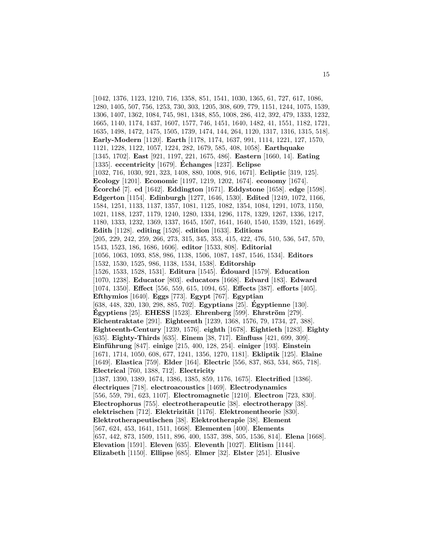[1042, 1376, 1123, 1210, 716, 1358, 851, 1541, 1030, 1365, 61, 727, 617, 1086, 1280, 1405, 507, 756, 1253, 730, 303, 1205, 308, 609, 779, 1151, 1244, 1075, 1539, 1306, 1407, 1362, 1084, 745, 981, 1348, 855, 1008, 286, 412, 392, 479, 1333, 1232, 1665, 1140, 1174, 1437, 1607, 1577, 746, 1451, 1640, 1482, 41, 1551, 1182, 1721, 1635, 1498, 1472, 1475, 1505, 1739, 1474, 144, 264, 1120, 1317, 1316, 1315, 518]. **Early-Modern** [1120]. **Earth** [1178, 1174, 1637, 991, 1114, 1221, 127, 1570, 1121, 1228, 1122, 1057, 1224, 282, 1679, 585, 408, 1058]. **Earthquake** [1345, 1702]. **East** [921, 1197, 221, 1675, 486]. **Eastern** [1660, 14]. **Eating** [1335]. **eccentricity** [1679]. **Echanges ´** [1237]. **Eclipse** [1032, 716, 1030, 921, 323, 1408, 880, 1008, 916, 1671]. **Ecliptic** [319, 125]. **Ecology** [1201]. **Economic** [1197, 1219, 1202, 1674]. **economy** [1674]. **Ecorch´ ´ e** [7]. **ed** [1642]. **Eddington** [1671]. **Eddystone** [1658]. **edge** [1598]. **Edgerton** [1154]. **Edinburgh** [1277, 1646, 1530]. **Edited** [1249, 1072, 1166, 1584, 1251, 1133, 1137, 1357, 1081, 1125, 1082, 1354, 1084, 1291, 1073, 1150, 1021, 1188, 1237, 1179, 1240, 1280, 1334, 1296, 1178, 1329, 1267, 1336, 1217, 1180, 1333, 1232, 1369, 1337, 1645, 1507, 1641, 1640, 1540, 1539, 1521, 1649]. **Edith** [1128]. **editing** [1526]. **edition** [1633]. **Editions** [205, 229, 242, 259, 266, 273, 315, 345, 353, 415, 422, 476, 510, 536, 547, 570, 1543, 1523, 186, 1686, 1606]. **editor** [1533, 808]. **Editorial** [1056, 1063, 1093, 858, 986, 1138, 1506, 1087, 1487, 1546, 1534]. **Editors** [1532, 1530, 1525, 986, 1138, 1534, 1538]. **Editorship** [1526, 1533, 1528, 1531]. **Editura** [1545]. **Edouard ´** [1579]. **Education** [1070, 1238]. **Educator** [803]. **educators** [1668]. **Edvard** [183]. **Edward** [1074, 1350]. **Effect** [556, 559, 615, 1094, 65]. **Effects** [387]. **efforts** [405]. **Efthymios** [1640]. **Eggs** [773]. **Egypt** [767]. **Egyptian** [638, 448, 320, 130, 298, 885, 702]. **Egyptians** [25]. **Egyptienne ´** [130]. **Egyptiens** [25]. **EHESS** [1523]. **Ehrenberg** [599]. **Ehrström** [279]. **Eichentraktate** [291]. **Eighteenth** [1239, 1368, 1576, 79, 1734, 27, 388]. **Eighteenth-Century** [1239, 1576]. **eighth** [1678]. **Eightieth** [1283]. **Eighty** [635]. **Eighty-Thirds** [635]. **Einem** [38, 717]. **Einfluss** [421, 699, 309]. **Einf¨uhrung** [847]. **einige** [215, 400, 128, 254]. **einiger** [193]. **Einstein** [1671, 1714, 1050, 608, 677, 1241, 1356, 1270, 1181]. **Ekliptik** [125]. **Elaine** [1649]. **Elastica** [759]. **Elder** [164]. **Electric** [556, 837, 863, 534, 865, 718]. **Electrical** [760, 1388, 712]. **Electricity** [1387, 1390, 1389, 1674, 1386, 1385, 859, 1176, 1675]. **Electrified** [1386]. **´electriques** [718]. **electroacoustics** [1469]. **Electrodynamics** [556, 559, 791, 623, 1107]. **Electromagnetic** [1210]. **Electron** [723, 830]. **Electrophorus** [755]. **electrotherapeutic** [38]. **electrotherapy** [38]. **elektrischen** [712]. **Elektrizität** [1176]. **Elektronentheorie** [830]. **Elektrotherapeutischen** [38]. **Elektrotherapie** [38]. **Element** [567, 624, 453, 1641, 1511, 1668]. **Elementen** [400]. **Elements** [657, 442, 873, 1509, 1511, 896, 400, 1537, 398, 505, 1536, 814]. **Elena** [1668]. **Elevation** [1591]. **Eleven** [635]. **Eleventh** [1027]. **Elitism** [1144]. **Elizabeth** [1150]. **Ellipse** [685]. **Elmer** [32]. **Elster** [251]. **Elusive**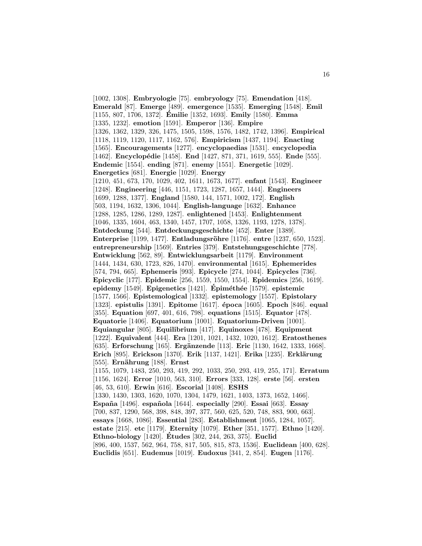[1002, 1308]. **Embryologie** [75]. **embryology** [75]. **Emendation** [418]. **Emerald** [87]. **Emerge** [489]. **emergence** [1535]. **Emerging** [1548]. **Emil** [1155, 807, 1706, 1372]. **Emilie ´** [1352, 1693]. **Emily** [1580]. **Emma** [1335, 1232]. **emotion** [1591]. **Emperor** [136]. **Empire** [1326, 1362, 1329, 326, 1475, 1505, 1598, 1576, 1482, 1742, 1396]. **Empirical** [1118, 1119, 1120, 1117, 1162, 576]. **Empiricism** [1437, 1194]. **Enacting** [1565]. **Encouragements** [1277]. **encyclopaedias** [1531]. **encyclopedia** [1462]. **Encyclopédie** [1458]. **End** [1427, 871, 371, 1619, 555]. **Ende** [555]. **Endemic** [1554]. **ending** [871]. **enemy** [1551]. **Energetic** [1029]. **Energetics** [681]. **Energie** [1029]. **Energy** [1210, 451, 673, 170, 1029, 402, 1611, 1673, 1677]. **enfant** [1543]. **Engineer** [1248]. **Engineering** [446, 1151, 1723, 1287, 1657, 1444]. **Engineers** [1699, 1288, 1377]. **England** [1580, 144, 1571, 1002, 172]. **English** [503, 1194, 1632, 1306, 1044]. **English-language** [1632]. **Enhance** [1288, 1285, 1286, 1289, 1287]. **enlightened** [1453]. **Enlightenment** [1046, 1335, 1604, 463, 1340, 1457, 1707, 1058, 1326, 1193, 1278, 1378]. **Entdeckung** [544]. **Entdeckungsgeschichte** [452]. **Enter** [1389]. **Enterprise** [1199, 1477]. **Entladungsröhre** [1176]. **entre** [1237, 650, 1523]. **entrepreneurship** [1569]. **Entries** [379]. **Entstehungsgeschichte** [778]. **Entwicklung** [562, 89]. **Entwicklungsarbeit** [1179]. **Environment** [1444, 1434, 630, 1723, 826, 1470]. **environmental** [1615]. **Ephemerides** [574, 794, 665]. **Ephemeris** [993]. **Epicycle** [274, 1044]. **Epicycles** [736]. **Epicyclic** [177]. **Epidemic** [256, 1559, 1550, 1554]. **Epidemics** [256, 1619]. **epidemy** [1549]. **Epigenetics** [1421]. **Épiméthée** [1579]. **epistemic** [1577, 1566]. **Epistemological** [1332]. **epistemology** [1557]. **Epistolary** [1323]. **epistulis** [1391]. **Epitome** [1617]. **´epoca** [1605]. **Epoch** [846]. **equal** [355]. **Equation** [697, 401, 616, 798]. **equations** [1515]. **Equator** [478]. **Equatorie** [1406]. **Equatorium** [1001]. **Equatorium-Driven** [1001]. **Equiangular** [805]. **Equilibrium** [417]. **Equinoxes** [478]. **Equipment** [1222]. **Equivalent** [444]. **Era** [1201, 1021, 1432, 1020, 1612]. **Eratosthenes** [635]. **Erforschung** [165]. **Ergänzende** [113]. **Eric** [1130, 1642, 1333, 1668]. **Erich** [895]. **Erickson** [1370]. **Erik** [1137, 1421]. **Erika** [1235]. **Erklärung** [555]. **Ern¨ahrung** [188]. **Ernst** [1155, 1079, 1483, 250, 293, 419, 292, 1033, 250, 293, 419, 255, 171]. **Erratum** [1156, 1624]. **Error** [1010, 563, 310]. **Errors** [333, 128]. **erste** [56]. **ersten** [46, 53, 610]. **Erwin** [616]. **Escorial** [1408]. **ESHS** [1330, 1430, 1303, 1620, 1070, 1304, 1479, 1621, 1403, 1373, 1652, 1466]. **Espa˜na** [1496]. **espa˜nola** [1644]. **especially** [290]. **Essai** [663]. **Essay** [700, 837, 1290, 568, 398, 848, 397, 377, 560, 625, 520, 748, 883, 900, 663]. **essays** [1668, 1086]. **Essential** [283]. **Establishment** [1065, 1284, 1057]. **estate** [215]. **etc** [1179]. **Eternity** [1079]. **Ether** [351, 1577]. **Ethno** [1420]. **Ethno-biology** [1420]. **Etudes ´** [302, 244, 263, 375]. **Euclid** [896, 400, 1537, 562, 964, 758, 817, 505, 815, 873, 1536]. **Euclidean** [400, 628]. **Euclidis** [651]. **Eudemus** [1019]. **Eudoxus** [341, 2, 854]. **Eugen** [1176].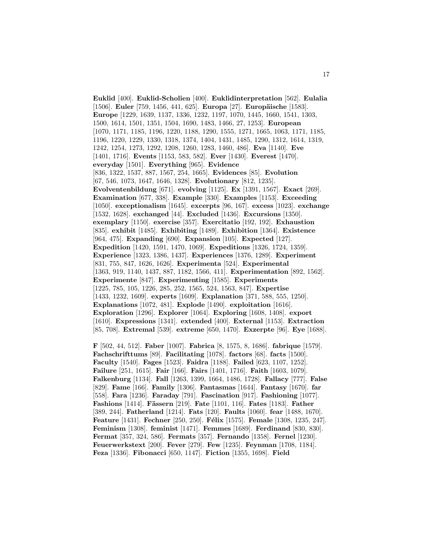**Euklid** [400]. **Euklid-Scholien** [400]. **Euklidinterpretation** [562]. **Eulalia** [1506]. **Euler** [759, 1456, 441, 625]. **Europa** [27]. **Europäische** [1583]. **Europe** [1229, 1639, 1137, 1336, 1232, 1197, 1070, 1445, 1660, 1541, 1303, 1500, 1614, 1501, 1351, 1504, 1690, 1483, 1466, 27, 1253]. **European** [1070, 1171, 1185, 1196, 1220, 1188, 1290, 1555, 1271, 1665, 1063, 1171, 1185, 1196, 1220, 1229, 1330, 1318, 1374, 1404, 1431, 1485, 1290, 1312, 1614, 1319, 1242, 1254, 1273, 1292, 1208, 1260, 1283, 1460, 486]. **Eva** [1140]. **Eve** [1401, 1716]. **Events** [1153, 583, 582]. **Ever** [1430]. **Everest** [1470]. **everyday** [1501]. **Everything** [965]. **Evidence** [836, 1322, 1537, 887, 1567, 254, 1665]. **Evidences** [85]. **Evolution** [67, 546, 1073, 1647, 1646, 1328]. **Evolutionary** [812, 1235]. **Evolventenbildung** [671]. **evolving** [1125]. **Ex** [1391, 1567]. **Exact** [269]. **Examination** [677, 338]. **Example** [330]. **Examples** [1153]. **Exceeding** [1050]. **exceptionalism** [1645]. **excerpts** [96, 167]. **excess** [1023]. **exchange** [1532, 1628]. **exchanged** [44]. **Excluded** [1436]. **Excursions** [1350]. **exemplary** [1150]. **exercise** [357]. **Exercitatio** [192, 192]. **Exhaustion** [835]. **exhibit** [1485]. **Exhibiting** [1489]. **Exhibition** [1364]. **Existence** [964, 475]. **Expanding** [690]. **Expansion** [105]. **Expected** [127]. **Expedition** [1420, 1591, 1470, 1069]. **Expeditions** [1326, 1724, 1359]. **Experience** [1323, 1386, 1437]. **Experiences** [1376, 1289]. **Experiment** [831, 755, 847, 1626, 1626]. **Experimenta** [524]. **Experimental** [1363, 919, 1140, 1437, 887, 1182, 1566, 411]. **Experimentation** [892, 1562]. **Experimente** [847]. **Experimenting** [1585]. **Experiments** [1225, 785, 105, 1226, 285, 252, 1565, 524, 1563, 847]. **Expertise** [1433, 1232, 1609]. **experts** [1609]. **Explanation** [371, 588, 555, 1250]. **Explanations** [1072, 481]. **Explode** [1490]. **exploitation** [1616]. **Exploration** [1296]. **Explorer** [1064]. **Exploring** [1608, 1408]. **export** [1610]. **Expressions** [1341]. **extended** [400]. **External** [1153]. **Extraction** [85, 708]. **Extremal** [539]. **extreme** [650, 1470]. **Exzerpte** [96]. **Eye** [1688].

**F** [502, 44, 512]. **Faber** [1007]. **Fabrica** [8, 1575, 8, 1686]. **fabrique** [1579]. **Fachschrifttums** [89]. **Facilitating** [1078]. **factors** [68]. **facts** [1500]. **Faculty** [1540]. **Fages** [1523]. **Faidra** [1188]. **Failed** [623, 1107, 1252]. **Failure** [251, 1615]. **Fair** [166]. **Fairs** [1401, 1716]. **Faith** [1603, 1079]. **Falkenburg** [1134]. **Fall** [1263, 1399, 1664, 1486, 1728]. **Fallacy** [777]. **False** [829]. **Fame** [166]. **Family** [1306]. **Fantasmas** [1644]. **Fantasy** [1670]. **far** [558]. **Fara** [1236]. **Faraday** [791]. **Fascination** [917]. **Fashioning** [1077]. **Fashions** [1414]. **Fässern** [219]. **Fate** [1101, 116]. **Fates** [1183]. **Father** [389, 244]. **Fatherland** [1214]. **Fats** [120]. **Faults** [1060]. **fear** [1488, 1670]. **Feature** [1431]. **Fechner** [250, 250]. **F´elix** [1575]. **Female** [1308, 1235, 247]. **Feminism** [1308]. **feminist** [1471]. **Femmes** [1689]. **Ferdinand** [830, 830]. **Fermat** [357, 324, 586]. **Fermats** [357]. **Fernando** [1358]. **Fernel** [1230]. **Feuerwerkstext** [200]. **Fever** [279]. **Few** [1235]. **Feynman** [1708, 1184]. **Feza** [1336]. **Fibonacci** [650, 1147]. **Fiction** [1355, 1698]. **Field**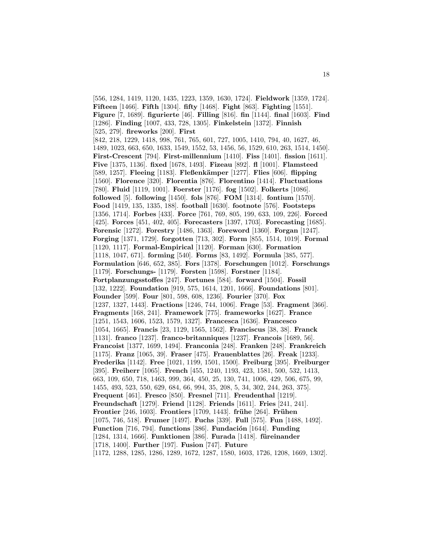[556, 1284, 1419, 1120, 1435, 1223, 1359, 1630, 1724]. **Fieldwork** [1359, 1724]. **Fifteen** [1466]. **Fifth** [1304]. **fifty** [1468]. **Fight** [863]. **Fighting** [1551]. **Figure** [7, 1689]. **figurierte** [46]. **Filling** [816]. **fin** [1144]. **final** [1603]. **Find** [1286]. **Finding** [1007, 433, 728, 1305]. **Finkelstein** [1372]. **Finnish** [525, 279]. **fireworks** [200]. **First** [842, 218, 1229, 1418, 998, 761, 765, 601, 727, 1005, 1410, 794, 40, 1627, 46, 1489, 1023, 663, 650, 1633, 1549, 1552, 53, 1456, 56, 1529, 610, 263, 1514, 1450]. **First-Crescent** [794]. **First-millennium** [1410]. **Fiss** [1401]. **fission** [1611]. **Five** [1375, 1136]. **fixed** [1678, 1493]. **Fizeau** [892]. **fl** [1001]. **Flamsteed** [589, 1257]. **Fleeing** [1183]. **Fleßenk¨amper** [1277]. **Flies** [606]. **flipping** [1560]. **Florence** [320]. **Florentia** [876]. **Florentino** [1414]. **Fluctuations** [780]. **Fluid** [1119, 1001]. **Foerster** [1176]. **fog** [1502]. **Folkerts** [1086]. **followed** [5]. **following** [1450]. **fols** [876]. **FOM** [1314]. **fontium** [1570]. **Food** [1419, 135, 1335, 188]. **football** [1630]. **footnote** [576]. **Footsteps** [1356, 1714]. **Forbes** [433]. **Force** [761, 769, 805, 199, 633, 109, 226]. **Forced** [425]. **Forces** [451, 402, 405]. **Forecasters** [1397, 1703]. **Forecasting** [1685]. **Forensic** [1272]. **Forestry** [1486, 1363]. **Foreword** [1360]. **Forgan** [1247]. **Forging** [1371, 1729]. **forgotten** [713, 302]. **Form** [855, 1514, 1019]. **Formal** [1120, 1117]. **Formal-Empirical** [1120]. **Forman** [630]. **Formation** [1118, 1047, 671]. **forming** [540]. **Forms** [83, 1492]. **Formula** [385, 577]. **Formulation** [646, 652, 385]. **Fors** [1378]. **Forschungen** [1012]. **Forschungs** [1179]. **Forschungs-** [1179]. **Forsten** [1598]. **Forstner** [1184]. **Fortplanzungsstoffes** [247]. **Fortunes** [584]. **forward** [1504]. **Fossil** [132, 1222]. **Foundation** [919, 575, 1614, 1201, 1666]. **Foundations** [801]. **Founder** [599]. **Four** [801, 598, 608, 1236]. **Fourier** [370]. **Fox** [1237, 1327, 1443]. **Fractions** [1246, 744, 1006]. **Frage** [53]. **Fragment** [366]. **Fragments** [168, 241]. **Framework** [775]. **frameworks** [1627]. **France** [1251, 1543, 1606, 1523, 1579, 1327]. **Francesca** [1636]. **Francesco** [1054, 1665]. **Francis** [23, 1129, 1565, 1562]. **Franciscus** [38, 38]. **Franck** [1131]. **franco** [1237]. **franco-britanniques** [1237]. **Francois** [1689, 56]. **Francoist** [1377, 1699, 1494]. **Franconia** [248]. **Franken** [248]. **Frankreich** [1175]. **Franz** [1065, 39]. **Fraser** [475]. **Frauenblattes** [26]. **Freak** [1233]. **Frederika** [1142]. **Free** [1021, 1199, 1501, 1500]. **Freiburg** [395]. **Freiburger** [395]. **Freiherr** [1065]. **French** [455, 1240, 1193, 423, 1581, 500, 532, 1413, 663, 109, 650, 718, 1463, 999, 364, 450, 25, 130, 741, 1006, 429, 506, 675, 99, 1455, 493, 523, 550, 629, 684, 66, 994, 35, 208, 5, 34, 302, 244, 263, 375]. **Frequent** [461]. **Fresco** [850]. **Fresnel** [711]. **Freudenthal** [1219]. **Freundschaft** [1279]. **Friend** [1128]. **Friends** [1611]. **Fries** [241, 241]. **Frontier** [246, 1603]. **Frontiers** [1709, 1443]. **frühe** [264]. **Frühen** [1075, 746, 518]. **Frumer** [1497]. **Fuchs** [339]. **Full** [575]. **Fun** [1488, 1492]. **Function** [716, 794]. **functions** [386]. **Fundación** [1644]. **Funding** [1284, 1314, 1666]. **Funktionen** [386]. **Furada** [1418]. **f¨ureinander** [1718, 1400]. **Further** [197]. **Fusion** [747]. **Future** [1172, 1288, 1285, 1286, 1289, 1672, 1287, 1580, 1603, 1726, 1208, 1669, 1302].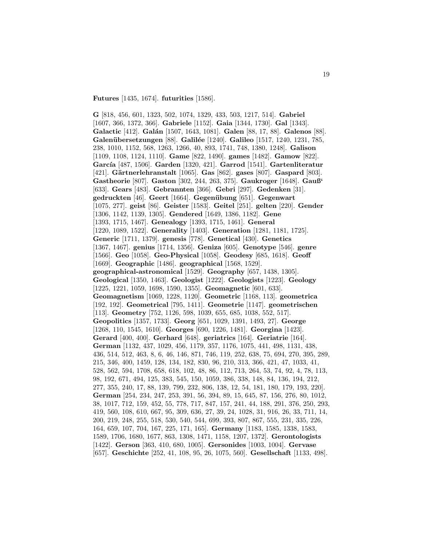**Futures** [1435, 1674]. **futurities** [1586].

**G** [818, 456, 601, 1323, 502, 1074, 1329, 433, 503, 1217, 514]. **Gabriel** [1607, 366, 1372, 366]. **Gabriele** [1152]. **Gaia** [1344, 1730]. **Gal** [1343]. **Galactic** [412]. **Gal´an** [1507, 1643, 1081]. **Galen** [88, 17, 88]. **Galenos** [88]. **Galen¨ubersetzungen** [88]. **Galil´ee** [1240]. **Galileo** [1517, 1240, 1231, 785, 238, 1010, 1152, 568, 1263, 1266, 40, 893, 1741, 748, 1380, 1248]. **Galison** [1109, 1108, 1124, 1110]. **Game** [822, 1490]. **games** [1482]. **Gamow** [822]. **Garc´ıa** [487, 1506]. **Garden** [1320, 421]. **Garrod** [1541]. **Gartenliteratur** [421]. **G¨artnerlehranstalt** [1065]. **Gas** [862]. **gases** [807]. **Gaspard** [803]. **Gastheorie** [807]. **Gaston** [302, 244, 263, 375]. **Gaukroger** [1648]. **Gauß'** [633]. **Gears** [483]. **Gebrannten** [366]. **Gebri** [297]. **Gedenken** [31]. **gedruckten** [46]. **Geert** [1664]. **Gegen¨ubung** [651]. **Gegenwart** [1075, 277]. **geist** [86]. **Geister** [1583]. **Geitel** [251]. **gelten** [220]. **Gender** [1306, 1142, 1139, 1305]. **Gendered** [1649, 1386, 1182]. **Gene** [1393, 1715, 1467]. **Genealogy** [1393, 1715, 1461]. **General** [1220, 1089, 1522]. **Generality** [1403]. **Generation** [1281, 1181, 1725]. **Generic** [1711, 1379]. **genesis** [778]. **Genetical** [430]. **Genetics** [1367, 1467]. **genius** [1714, 1356]. **Geniza** [605]. **Genotype** [546]. **genre** [1566]. **Geo** [1058]. **Geo-Physical** [1058]. **Geodesy** [685, 1618]. **Geoff** [1669]. **Geographic** [1486]. **geographical** [1568, 1529]. **geographical-astronomical** [1529]. **Geography** [657, 1438, 1305]. **Geological** [1350, 1463]. **Geologist** [1222]. **Geologists** [1223]. **Geology** [1225, 1221, 1059, 1698, 1590, 1355]. **Geomagnetic** [601, 633]. **Geomagnetism** [1069, 1228, 1120]. **Geometric** [1168, 113]. **geometrica** [192, 192]. **Geometrical** [795, 1411]. **Geometrie** [1147]. **geometrischen** [113]. **Geometry** [752, 1126, 598, 1039, 655, 685, 1038, 552, 517]. **Geopolitics** [1357, 1733]. **Georg** [651, 1029, 1391, 1493, 27]. **George** [1268, 110, 1545, 1610]. **Georges** [690, 1226, 1481]. **Georgina** [1423]. **Gerard** [400, 400]. **Gerhard** [648]. **geriatrics** [164]. **Geriatrie** [164]. **German** [1132, 437, 1029, 456, 1179, 357, 1176, 1075, 441, 498, 1131, 438, 436, 514, 512, 463, 8, 6, 46, 146, 871, 746, 119, 252, 638, 75, 694, 270, 395, 289, 215, 346, 400, 1459, 128, 134, 182, 830, 96, 210, 313, 366, 421, 47, 1033, 41, 528, 562, 594, 1708, 658, 618, 102, 48, 86, 112, 713, 264, 53, 74, 92, 4, 78, 113, 98, 192, 671, 494, 125, 383, 545, 150, 1059, 386, 338, 148, 84, 136, 194, 212, 277, 355, 240, 17, 88, 139, 799, 232, 806, 138, 12, 54, 181, 180, 179, 193, 220]. **German** [254, 234, 247, 253, 391, 56, 394, 89, 15, 645, 87, 156, 276, 80, 1012, 38, 1017, 712, 159, 452, 55, 778, 717, 847, 157, 241, 44, 188, 291, 376, 250, 293, 419, 560, 108, 610, 667, 95, 309, 636, 27, 39, 24, 1028, 31, 916, 26, 33, 711, 14, 200, 219, 248, 255, 518, 530, 540, 544, 699, 393, 807, 867, 555, 231, 335, 226, 164, 659, 107, 704, 167, 225, 171, 165]. **Germany** [1183, 1585, 1338, 1583, 1589, 1706, 1680, 1677, 863, 1308, 1471, 1158, 1207, 1372]. **Gerontologists** [1422]. **Gerson** [363, 410, 680, 1005]. **Gersonides** [1003, 1004]. **Gervase** [657]. **Geschichte** [252, 41, 108, 95, 26, 1075, 560]. **Gesellschaft** [1133, 498].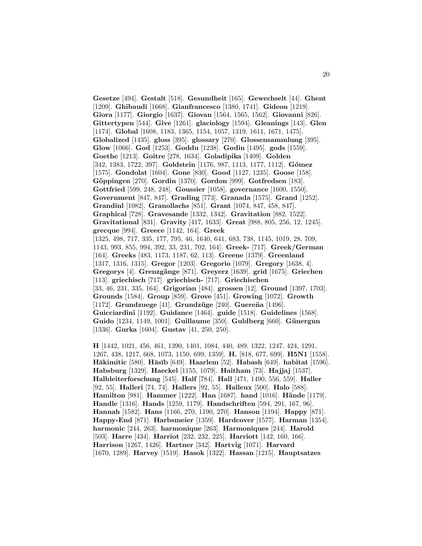**Gesetze** [494]. **Gestalt** [518]. **Gesundheit** [165]. **Gewechselt** [44]. **Ghent** [1209]. **Ghibaudi** [1668]. **Gianfrancesco** [1380, 1741]. **Gideon** [1219]. **Giora** [1177]. **Giorgio** [1637]. **Giovan** [1564, 1565, 1562]. **Giovanni** [826]. **Gittertypen** [544]. **Give** [1261]. **glaciology** [1594]. **Gleanings** [143]. **Glen** [1174]. **Global** [1608, 1183, 1365, 1154, 1057, 1319, 1611, 1671, 1475]. **Globalized** [1435]. **gloss** [395]. **glossary** [270]. **Glossensammlung** [395]. **Glow** [1066]. **God** [1253]. **Goddu** [1238]. **Godin** [1495]. **gods** [1559]. **Goethe** [1213]. **Goitre** [278, 1634]. **Goladipika** [1409]. **Golden** [342, 1383, 1722, 397]. **Goldstein** [1176, 987, 1113, 1177, 1112]. **G´omez** [1575]. **Gondolat** [1604]. **Gone** [830]. **Good** [1127, 1235]. **Goose** [158]. **G¨oppingen** [270]. **Gordin** [1370]. **Gordon** [999]. **Gotfredsen** [183]. **Gottfried** [599, 248, 248]. **Goussier** [1058]. **governance** [1600, 1550]. **Government** [847, 847]. **Grading** [773]. **Granada** [1575]. **Grand** [1252]. **Grandinl** [1082]. **Granollachs** [851]. **Grant** [1074, 847, 458, 847]. **Graphical** [728]. **Gravesande** [1332, 1342]. **Gravitation** [882, 1522]. **Gravitational** [831]. **Gravity** [417, 1633]. **Great** [988, 805, 256, 12, 1245]. **grecque** [994]. **Greece** [1142, 164]. **Greek** [1325, 498, 717, 335, 177, 795, 46, 1640, 641, 683, 738, 1145, 1019, 28, 709, 1143, 993, 855, 994, 392, 33, 231, 702, 164]. **Greek-** [717]. **Greek/German** [164]. **Greeks** [483, 1173, 1187, 62, 113]. **Greene** [1379]. **Greenland** [1317, 1316, 1315]. **Gregor** [1203]. **Gregorio** [1079]. **Gregory** [1638, 4]. **Gregorys** [4]. **Grenzg¨ange** [871]. **Greyerz** [1639]. **grid** [1675]. **Griechen** [113]. **griechisch** [717]. **griechisch-** [717]. **Griechischen** [33, 46, 231, 335, 164]. **Grigorian** [484]. **grossen** [12]. **Ground** [1397, 1703]. **Grounds** [1584]. **Group** [859]. **Grove** [451]. **Growing** [1072]. **Growth** [1172]. **Grundzuege** [41]. **Grundzüge** [240]. **Guereña** [1496]. **Guicciardini** [1192]. **Guidance** [1464]. **guide** [1518]. **Guidelines** [1568]. **Guido** [1234, 1149, 1001]. **Guillaume** [350]. **Guldberg** [660]. **G¨unergun** [1336]. **Gurka** [1604]. **Gustav** [41, 250, 250].

**H** [1442, 1021, 456, 461, 1390, 1401, 1084, 440, 489, 1322, 1247, 424, 1291, 1267, 438, 1217, 668, 1073, 1150, 699, 1359]. **H.** [818, 677, 699]. **H5N1** [1558]. **H¯akimitic** [580]. **H¯as¯ıb** [649]. **Haarlem** [52]. **Habash** [649]. **habitat** [1596]. **Habsburg** [1329]. **Haeckel** [1155, 1079]. **Haitham** [73]. **Hajjaj** [1537]. **Halbleiterforschung** [545]. **Half** [784]. **Hall** [471, 1490, 556, 559]. **Haller** [92, 55]. **Halleri** [74, 74]. **Hallers** [92, 55]. **Halleux** [500]. **Halo** [588]. **Hamilton** [981]. **Hammer** [1222]. **Han** [1687]. **hand** [1016]. **Hände** [1179]. **Handle** [1316]. **Hands** [1259, 1179]. **Handschriften** [594, 291, 167, 96]. **Hannah** [1582]. **Hans** [1166, 270, 1190, 270]. **Hanson** [1194]. **Happy** [871]. **Happy-End** [871]. **Harbsmeier** [1359]. **Hardcover** [1577]. **Harman** [1354]. **harmonic** [244, 263]. **harmonique** [263]. **Harmoniques** [244]. **Harold** [503]. **Harre** [434]. **Harriot** [232, 232, 225]. **Harriott** [142, 160, 166]. **Harrison** [1267, 1426]. **Hartner** [342]. **Hartvig** [1071]. **Harvard** [1670, 1289]. **Harvey** [1519]. **Hasok** [1322]. **Hassan** [1215]. **Hauptsatzes**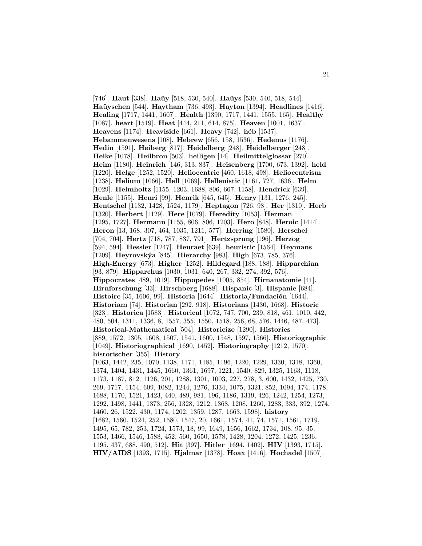[746]. **Haut** [338]. **Haüy** [518, 530, 540]. **Haüys** [530, 540, 518, 544]. **Ha¨uyschen** [544]. **Haytham** [736, 493]. **Hayton** [1394]. **Headlines** [1416]. **Healing** [1717, 1441, 1607]. **Health** [1390, 1717, 1441, 1555, 165]. **Healthy** [1087]. **heart** [1519]. **Heat** [444, 211, 614, 875]. **Heaven** [1001, 1637]. **Heavens** [1174]. **Heaviside** [661]. **Heavy** [742]. **h´eb** [1537]. **Hebammenwesens** [108]. **Hebrew** [656, 158, 1536]. **Hedenus** [1176]. **Hedin** [1591]. **Heiberg** [817]. **Heidelberg** [248]. **Heidelberger** [248]. **Heike** [1078]. **Heilbron** [503]. **heiligen** [14]. **Heilmittelglossar** [270]. **Heim** [1180]. **Heinrich** [146, 313, 837]. **Heisenberg** [1700, 673, 1392]. **held** [1220]. **Helge** [1252, 1520]. **Heliocentric** [460, 1618, 498]. **Heliocentrism** [1238]. **Helium** [1066]. **Hell** [1069]. **Hellenistic** [1161, 727, 1636]. **Helm** [1029]. **Helmholtz** [1155, 1203, 1688, 806, 667, 1158]. **Hendrick** [639]. **Henle** [1155]. **Henri** [99]. **Henrik** [645, 645]. **Henry** [131, 1276, 245]. **Hentschel** [1132, 1428, 1524, 1179]. **Heptagon** [726, 98]. **Her** [1310]. **Herb** [1320]. **Herbert** [1129]. **Here** [1079]. **Heredity** [1053]. **Herman** [1295, 1727]. **Hermann** [1155, 806, 806, 1203]. **Hero** [848]. **Heroic** [1414]. **Heron** [13, 168, 307, 464, 1035, 1211, 577]. **Herring** [1580]. **Herschel** [704, 704]. **Hertz** [718, 787, 837, 791]. **Hertzsprung** [196]. **Herzog** [594, 594]. **Hessler** [1247]. **Heuraet** [639]. **heuristic** [1564]. **Heymans** [1209]. **Heyrovsk´ya** [845]. **Hierarchy** [983]. **High** [673, 785, 376]. **High-Energy** [673]. **Higher** [1252]. **Hildegard** [188, 188]. **Hipparchian** [93, 879]. **Hipparchus** [1030, 1031, 640, 267, 332, 274, 392, 576]. **Hippocrates** [489, 1019]. **Hippopedes** [1005, 854]. **Hirnanatomie** [41]. **Hirnforschung** [33]. **Hirschberg** [1688]. **Hispanic** [3]. **Hispanie** [684]. **Histoire** [35, 1606, 99]. **Historia** [1644]. **Historia/Fundación** [1644]. **Historiam** [74]. **Historian** [292, 918]. **Historians** [1430, 1668]. **Historic** [323]. **Historica** [1583]. **Historical** [1072, 747, 700, 239, 818, 461, 1010, 442, 480, 504, 1311, 1336, 8, 1557, 355, 1550, 1518, 256, 68, 576, 1446, 487, 473]. **Historical-Mathematical** [504]. **Historicize** [1290]. **Histories** [889, 1572, 1305, 1608, 1507, 1541, 1600, 1548, 1597, 1566]. **Historiographic** [1049]. **Historiographical** [1690, 1452]. **Historiography** [1212, 1570]. **historischer** [355]. **History** [1063, 1442, 235, 1070, 1138, 1171, 1185, 1196, 1220, 1229, 1330, 1318, 1360, 1374, 1404, 1431, 1445, 1660, 1361, 1697, 1221, 1540, 829, 1325, 1163, 1118, 1173, 1187, 812, 1126, 201, 1288, 1301, 1003, 227, 278, 3, 600, 1432, 1425, 730, 269, 1717, 1154, 609, 1082, 1244, 1276, 1334, 1075, 1321, 852, 1094, 174, 1178, 1688, 1170, 1521, 1423, 440, 489, 981, 196, 1186, 1319, 426, 1242, 1254, 1273, 1292, 1498, 1441, 1373, 256, 1328, 1212, 1368, 1208, 1260, 1283, 333, 392, 1274, 1460, 26, 1522, 430, 1174, 1202, 1359, 1287, 1663, 1598]. **history** [1682, 1560, 1524, 252, 1580, 1547, 20, 1661, 1574, 41, 74, 1571, 1561, 1719, 1495, 65, 782, 253, 1724, 1573, 18, 99, 1649, 1656, 1662, 1734, 108, 95, 35, 1553, 1466, 1546, 1588, 452, 560, 1650, 1578, 1428, 1204, 1272, 1425, 1236, 1195, 437, 688, 490, 512]. **Hit** [397]. **Hitler** [1694, 1402]. **HIV** [1393, 1715]. **HIV/AIDS** [1393, 1715]. **Hjalmar** [1378]. **Hoax** [1416]. **Hochadel** [1507].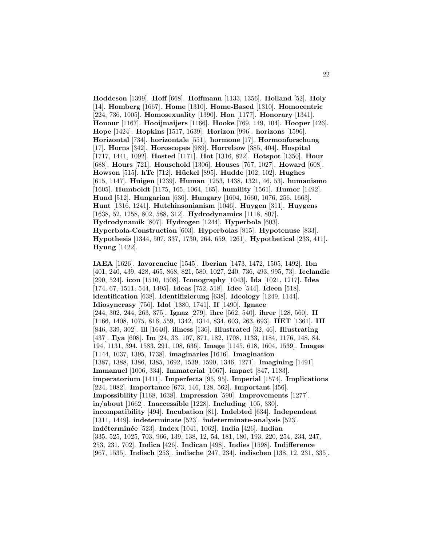**Hoddeson** [1399]. **Hoff** [668]. **Hoffmann** [1133, 1356]. **Holland** [52]. **Holy** [14]. **Homberg** [1667]. **Home** [1310]. **Home-Based** [1310]. **Homocentric** [224, 736, 1005]. **Homosexuality** [1390]. **Hon** [1177]. **Honorary** [1341]. **Honour** [1167]. **Hooijmaijers** [1166]. **Hooke** [769, 149, 104]. **Hooper** [426]. **Hope** [1424]. **Hopkins** [1517, 1639]. **Horizon** [996]. **horizons** [1596]. **Horizontal** [734]. **horizontale** [551]. **hormone** [17]. **Hormonforschung** [17]. **Horns** [342]. **Horoscopes** [989]. **Horrebow** [385, 404]. **Hospital** [1717, 1441, 1092]. **Hosted** [1171]. **Hot** [1316, 822]. **Hotspot** [1350]. **Hour** [688]. **Hours** [721]. **Household** [1306]. **Houses** [767, 1027]. **Howard** [608]. **Howson** [515]. **hTe** [712]. **H¨uckel** [895]. **Hudde** [102, 102]. **Hughes** [615, 1147]. **Huigen** [1239]. **Human** [1253, 1438, 1321, 46, 53]. **humanismo** [1605]. **Humboldt** [1175, 165, 1064, 165]. **humility** [1561]. **Humor** [1492]. **Hund** [512]. **Hungarian** [636]. **Hungary** [1604, 1660, 1076, 256, 1663]. **Hunt** [1316, 1241]. **Hutchinsonianism** [1046]. **Huygen** [311]. **Huygens** [1638, 52, 1258, 802, 588, 312]. **Hydrodynamics** [1118, 807]. **Hydrodynamik** [807]. **Hydrogen** [1244]. **Hyperbola** [603]. **Hyperbola-Construction** [603]. **Hyperbolas** [815]. **Hypotenuse** [833]. **Hypothesis** [1344, 507, 337, 1730, 264, 659, 1261]. **Hypothetical** [233, 411]. **Hyung** [1422].

**IAEA** [1626]. **Iavorenciuc** [1545]. **Iberian** [1473, 1472, 1505, 1492]. **Ibn** [401, 240, 439, 428, 465, 868, 821, 580, 1027, 240, 736, 493, 995, 73]. **Icelandic** [290, 524]. **icon** [1510, 1508]. **Iconography** [1043]. **Ida** [1021, 1217]. **Idea** [174, 67, 1511, 544, 1495]. **Ideas** [752, 518]. **Idee** [544]. **Ideen** [518]. **identification** [638]. **Identifizierung** [638]. **Ideology** [1249, 1144]. **Idiosyncrasy** [756]. **Idol** [1380, 1741]. **If** [1490]. **Ignace** [244, 302, 244, 263, 375]. **Ignaz** [279]. **ihre** [562, 540]. **ihrer** [128, 560]. **II** [1166, 1408, 1075, 816, 559, 1342, 1314, 834, 603, 263, 693]. **IIET** [1361]. **III** [846, 339, 302]. **ill** [1640]. **illness** [136]. **Illustrated** [32, 46]. **Illustrating** [437]. **Ilya** [608]. **Im** [24, 33, 107, 871, 182, 1708, 1133, 1184, 1176, 148, 84, 194, 1131, 394, 1583, 291, 108, 636]. **Image** [1145, 618, 1604, 1539]. **Images** [1144, 1037, 1395, 1738]. **imaginaries** [1616]. **Imagination** [1387, 1388, 1386, 1385, 1692, 1539, 1590, 1346, 1271]. **Imagining** [1491]. **Immanuel** [1006, 334]. **Immaterial** [1067]. **impact** [847, 1183]. **imperatorium** [1411]. **Imperfecta** [95, 95]. **Imperial** [1574]. **Implications** [224, 1082]. **Importance** [673, 146, 128, 562]. **Important** [456]. **Impossibility** [1168, 1638]. **Impression** [590]. **Improvements** [1277]. **in/about** [1662]. **Inaccessible** [1228]. **Including** [105, 330]. **incompatibility** [494]. **Incubation** [81]. **Indebted** [634]. **Independent** [1311, 1449]. **indeterminate** [523]. **indeterminate-analysis** [523]. **ind´etermin´ee** [523]. **Index** [1041, 1062]. **India** [426]. **Indian** [335, 525, 1025, 703, 966, 139, 138, 12, 54, 181, 180, 193, 220, 254, 234, 247, 253, 231, 702]. **Indica** [426]. **Indican** [498]. **Indies** [1598]. **Indifference** [967, 1535]. **Indisch** [253]. **indische** [247, 234]. **indischen** [138, 12, 231, 335].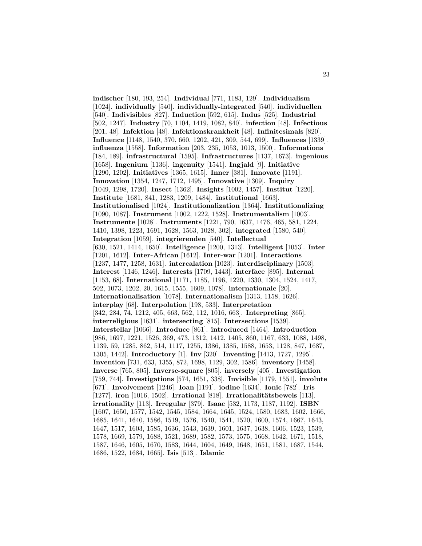**indischer** [180, 193, 254]. **Individual** [771, 1183, 129]. **Individualism** [1024]. **individually** [540]. **individually-integrated** [540]. **individuellen** [540]. **Indivisibles** [827]. **Induction** [592, 615]. **Indus** [525]. **Industrial** [502, 1247]. **Industry** [70, 1104, 1419, 1082, 840]. **infection** [48]. **Infectious** [201, 48]. **Infektion** [48]. **Infektionskrankheit** [48]. **Infinitesimals** [820]. **Influence** [1148, 1540, 370, 660, 1202, 421, 309, 544, 699]. **Influences** [1339]. **influenza** [1558]. **Information** [203, 235, 1053, 1013, 1500]. **Informations** [184, 189]. **infrastructural** [1595]. **Infrastructures** [1137, 1673]. **ingenious** [1658]. **Ingenium** [1136]. **ingenuity** [1541]. **Ingjald** [9]. **Initiative** [1290, 1202]. **Initiatives** [1365, 1615]. **Inner** [381]. **Innovate** [1191]. **Innovation** [1354, 1247, 1712, 1495]. **Innovative** [1309]. **Inquiry** [1049, 1298, 1720]. **Insect** [1362]. **Insights** [1002, 1457]. **Institut** [1220]. **Institute** [1681, 841, 1283, 1209, 1484]. **institutional** [1663]. **Institutionalised** [1024]. **Institutionalization** [1364]. **Institutionalizing** [1090, 1087]. **Instrument** [1002, 1222, 1528]. **Instrumentalism** [1003]. **Instrumente** [1028]. **Instruments** [1221, 790, 1637, 1476, 465, 581, 1224, 1410, 1398, 1223, 1691, 1628, 1563, 1028, 302]. **integrated** [1580, 540]. **Integration** [1059]. **integrierenden** [540]. **Intellectual** [630, 1521, 1414, 1650]. **Intelligence** [1200, 1313]. **Intelligent** [1053]. **Inter** [1201, 1612]. **Inter-African** [1612]. **Inter-war** [1201]. **Interactions** [1237, 1477, 1258, 1631]. **intercalation** [1023]. **interdisciplinary** [1503]. **Interest** [1146, 1246]. **Interests** [1709, 1443]. **interface** [895]. **Internal** [1153, 68]. **International** [1171, 1185, 1196, 1220, 1330, 1304, 1524, 1417, 502, 1073, 1202, 20, 1615, 1555, 1609, 1078]. **internationale** [20]. **Internationalisation** [1078]. **Internationalism** [1313, 1158, 1626]. **interplay** [68]. **Interpolation** [198, 533]. **Interpretation** [342, 284, 74, 1212, 405, 663, 562, 112, 1016, 663]. **Interpreting** [865]. **interreligious** [1631]. **intersecting** [815]. **Intersections** [1539]. **Interstellar** [1066]. **Introduce** [861]. **introduced** [1464]. **Introduction** [986, 1697, 1221, 1526, 369, 473, 1312, 1412, 1405, 860, 1167, 633, 1088, 1498, 1139, 59, 1285, 862, 514, 1117, 1255, 1386, 1385, 1588, 1653, 1128, 847, 1687, 1305, 1442]. **Introductory** [1]. **Inv** [320]. **Inventing** [1413, 1727, 1295]. **Invention** [731, 633, 1355, 872, 1698, 1129, 302, 1586]. **inventory** [1458]. **Inverse** [765, 805]. **Inverse-square** [805]. **inversely** [405]. **Investigation** [759, 744]. **Investigations** [574, 1651, 338]. **Invisible** [1179, 1551]. **involute** [671]. **Involvement** [1246]. **Ioan** [1191]. **iodine** [1634]. **Ionic** [782]. **Iris** [1277]. **iron** [1016, 1502]. **Irrational** [818]. **Irrationalitätsbeweis** [113]. **irrationality** [113]. **Irregular** [379]. **Isaac** [532, 1173, 1187, 1192]. **ISBN** [1607, 1650, 1577, 1542, 1545, 1584, 1664, 1645, 1524, 1580, 1683, 1602, 1666, 1685, 1641, 1640, 1586, 1519, 1576, 1540, 1541, 1520, 1600, 1574, 1667, 1643, 1647, 1517, 1603, 1585, 1636, 1543, 1639, 1601, 1637, 1638, 1606, 1523, 1539, 1578, 1669, 1579, 1688, 1521, 1689, 1582, 1573, 1575, 1668, 1642, 1671, 1518, 1587, 1646, 1605, 1670, 1583, 1644, 1604, 1649, 1648, 1651, 1581, 1687, 1544, 1686, 1522, 1684, 1665]. **Isis** [513]. **Islamic**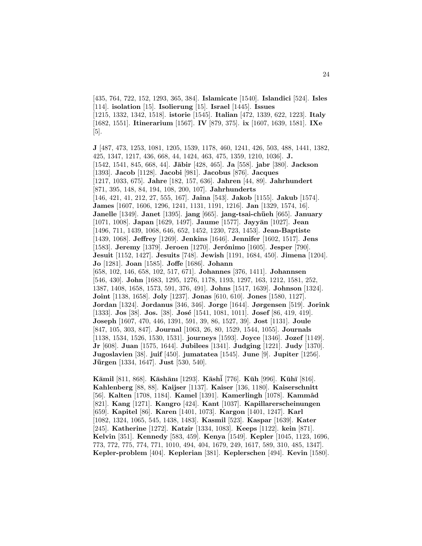[435, 764, 722, 152, 1293, 365, 384]. **Islamicate** [1540]. **Islandici** [524]. **Isles** [114]. **isolation** [15]. **Isolierung** [15]. **Israel** [1445]. **Issues** [1215, 1332, 1342, 1518]. **istorie** [1545]. **Italian** [472, 1339, 622, 1223]. **Italy** [1682, 1551]. **Itinerarium** [1567]. **IV** [879, 375]. **ix** [1607, 1639, 1581]. **IXe** [5].

**J** [487, 473, 1253, 1081, 1205, 1539, 1178, 460, 1241, 426, 503, 488, 1441, 1382, 425, 1347, 1217, 436, 668, 44, 1424, 463, 475, 1359, 1210, 1036]. **J.** [1542, 1541, 845, 668, 44]. **J¯abir** [428, 465]. **Ja** [558]. **jabr** [380]. **Jackson** [1393]. **Jacob** [1128]. **Jacobi** [981]. **Jacobus** [876]. **Jacques** [1217, 1033, 675]. **Jahre** [182, 157, 636]. **Jahren** [44, 89]. **Jahrhundert** [871, 395, 148, 84, 194, 108, 200, 107]. **Jahrhunderts** [146, 421, 41, 212, 27, 555, 167]. **Jaina** [543]. **Jakob** [1155]. **Jakub** [1574]. **James** [1607, 1606, 1296, 1241, 1131, 1191, 1216]. **Jan** [1329, 1574, 16]. **Janelle** [1349]. **Janet** [1395]. **jang** [665]. **jang-tsai-ch¨ueh** [665]. **January** [1071, 1008]. **Japan** [1629, 1497]. **Jaume** [1577]. **Jayy¯an** [1027]. **Jean** [1496, 711, 1439, 1068, 646, 652, 1452, 1230, 723, 1453]. **Jean-Baptiste** [1439, 1068]. **Jeffrey** [1269]. **Jenkins** [1646]. **Jennifer** [1602, 1517]. **Jens** [1583]. **Jeremy** [1379]. **Jeroen** [1270]. **Jer´onimo** [1605]. **Jesper** [790]. **Jesuit** [1152, 1427]. **Jesuits** [748]. **Jewish** [1191, 1684, 450]. **Jimena** [1204]. **Jo** [1281]. **Joan** [1585]. **Joffe** [1686]. **Johann** [658, 102, 146, 658, 102, 517, 671]. **Johannes** [376, 1411]. **Johannsen** [546, 430]. **John** [1683, 1295, 1276, 1178, 1193, 1297, 163, 1212, 1581, 252, 1387, 1408, 1658, 1573, 591, 376, 491]. **Johns** [1517, 1639]. **Johnson** [1324]. **Joint** [1138, 1658]. **Joly** [1237]. **Jonas** [610, 610]. **Jones** [1580, 1127]. **Jordan** [1324]. **Jordanus** [346, 346]. **Jorge** [1644]. **Jørgensen** [519]. **Jorink** [1333]. **Jos** [38]. **Jos.** [38]. **José** [1541, 1081, 1011]. **Josef** [86, 419, 419]. **Joseph** [1607, 470, 446, 1391, 591, 39, 86, 1527, 39]. **Jost** [1131]. **Joule** [847, 105, 303, 847]. **Journal** [1063, 26, 80, 1529, 1544, 1055]. **Journals** [1138, 1534, 1526, 1530, 1531]. **journeys** [1593]. **Joyce** [1346]. **Jozef** [1149]. **Jr** [608]. **Juan** [1575, 1644]. **Jubilees** [1341]. **Judging** [1221]. **Judy** [1370]. **Jugoslavien** [38]. **juif** [450]. **jumatatea** [1545]. **June** [9]. **Jupiter** [1256]. **Jürgen** [1334, 1647]. **Just** [530, 540].

**K¯amil** [811, 868]. **K¯ash¯anı** [1293]. **K¯ash¯i** [776]. **K¯uh** [996]. **K¯uh¯ı** [816]. **Kahlenberg** [88, 88]. **Kaijser** [1137]. **Kaiser** [136, 1180]. **Kaiserschnitt** [56]. **Kalten** [1708, 1184]. **Kamel** [1391]. **Kamerlingh** [1078]. **Kammˆad** [821]. **Kang** [1271]. **Kangro** [424]. **Kant** [1037]. **Kapillarerscheinungen** [659]. **Kapitel** [86]. **Karen** [1401, 1073]. **Kargon** [1401, 1247]. **Karl** [1082, 1324, 1065, 545, 1438, 1483]. **Kasmil** [523]. **Kaspar** [1639]. **Kater** [245]. **Katherine** [1272]. **Katzir** [1334, 1083]. **Keeps** [1122]. **kein** [871]. **Kelvin** [351]. **Kennedy** [583, 459]. **Kenya** [1549]. **Kepler** [1045, 1123, 1696, 773, 772, 775, 774, 771, 1010, 494, 404, 1679, 249, 1617, 589, 310, 485, 1347]. **Kepler-problem** [404]. **Keplerian** [381]. **Keplerschen** [494]. **Kevin** [1580].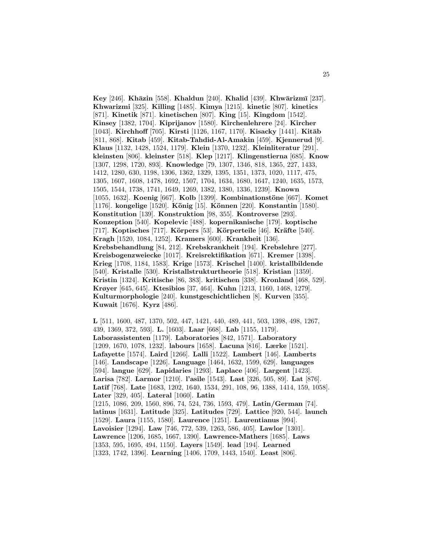**Key** [246]. **Khāzin** [558]. **Khaldun** [240]. **Khalid** [439]. **Khwārizmī** [237]. **Khwarizmi** [325]. **Killing** [1485]. **Kimya** [1215]. **kinetic** [807]. **kinetics** [871]. **Kinetik** [871]. **kinetischen** [807]. **King** [15]. **Kingdom** [1542]. **Kinsey** [1382, 1704]. **Kiprijanov** [1580]. **Kirchenlehrere** [24]. **Kircher** [1043]. **Kirchhoff** [705]. **Kirsti** [1126, 1167, 1170]. **Kisacky** [1441]. **Kitāb** [811, 868]. **Kitab** [459]. **Kitab-Tahdid-Al-Amakin** [459]. **Kjennerud** [9]. **Klaus** [1132, 1428, 1524, 1179]. **Klein** [1370, 1232]. **Kleinliteratur** [291]. **kleinsten** [806]. **kleinster** [518]. **Klep** [1217]. **Klingenstierna** [685]. **Know** [1307, 1298, 1720, 893]. **Knowledge** [79, 1307, 1346, 818, 1365, 227, 1433, 1412, 1280, 630, 1198, 1306, 1362, 1329, 1395, 1351, 1373, 1020, 1117, 475, 1305, 1607, 1608, 1478, 1692, 1507, 1704, 1634, 1680, 1647, 1240, 1635, 1573, 1505, 1544, 1738, 1741, 1649, 1269, 1382, 1380, 1336, 1239]. **Known** [1055, 1632]. **Koenig** [667]. **Kolb** [1399]. **Kombinationstöne** [667]. **Komet** [1176]. **kongelige** [1520]. **K¨onig** [15]. **K¨onnen** [220]. **Konstantin** [1580]. **Konstitution** [139]. **Konstruktion** [98, 355]. **Kontroverse** [293]. **Konzeption** [540]. **Kopelevic** [488]. **kopernikanische** [179]. **koptische** [717]. **Koptisches** [717]. **Körpers** [53]. **Körperteile** [46]. **Kräfte** [540]. **Kragh** [1520, 1084, 1252]. **Kramers** [600]. **Krankheit** [136]. **Krebsbehandlung** [84, 212]. **Krebskrankheit** [194]. **Krebslehre** [277]. **Kreisbogenzweiecke** [1017]. **Kreisrektifikation** [671]. **Kremer** [1398]. **Krieg** [1708, 1184, 1583]. **Krige** [1573]. **Krischel** [1400]. **kristallbildende** [540]. **Kristalle** [530]. **Kristallstrukturtheorie** [518]. **Kristian** [1359]. **Kristin** [1324]. **Kritische** [86, 383]. **kritischen** [338]. **Kronland** [468, 529]. **Krøyer** [645, 645]. **Ktesibios** [37, 464]. **Kuhn** [1213, 1160, 1468, 1279]. **Kulturmorphologie** [240]. **kunstgeschichtlichen** [8]. **Kurven** [355]. **Kuwait** [1676]. **Kyrz** [486].

**L** [511, 1600, 487, 1370, 502, 447, 1421, 440, 489, 441, 503, 1398, 498, 1267, 439, 1369, 372, 593]. **L.** [1603]. **Laar** [668]. **Lab** [1155, 1179]. **Laborassistenten** [1179]. **Laboratories** [842, 1571]. **Laboratory** [1209, 1670, 1078, 1232]. **labours** [1658]. **Lacuna** [816]. **Lærke** [1521]. **Lafayette** [1574]. **Laird** [1266]. **Lalli** [1522]. **Lambert** [146]. **Lamberts** [146]. **Landscape** [1226]. **Language** [1464, 1632, 1599, 629]. **languages** [594]. **langue** [629]. **Lapidaries** [1293]. **Laplace** [406]. **Largent** [1423]. **Larisa** [782]. **Larmor** [1210]. **l'asile** [1543]. **Last** [326, 505, 89]. **Lat** [876]. Latîf [768]. Late [1683, 1202, 1640, 1534, 291, 108, 96, 1388, 1414, 159, 1058]. **Later** [329, 405]. **Lateral** [1060]. **Latin** [1215, 1086, 209, 1560, 896, 74, 524, 736, 1593, 479]. **Latin/German** [74]. **latinus** [1631]. **Latitude** [325]. **Latitudes** [729]. **Lattice** [920, 544]. **launch** [1529]. **Laura** [1155, 1580]. **Laurence** [1251]. **Laurentianus** [994]. **Lavoisier** [1294]. **Law** [746, 772, 539, 1263, 586, 405]. **Lawlor** [1301]. **Lawrence** [1206, 1685, 1667, 1390]. **Lawrence-Mathers** [1685]. **Laws** [1353, 595, 1695, 494, 1150]. **Layers** [1549]. **lead** [194]. **Learned** [1323, 1742, 1396]. **Learning** [1406, 1709, 1443, 1540]. **Least** [806].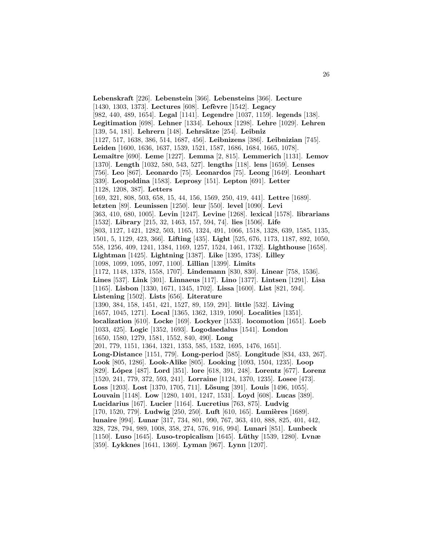**Lebenskraft** [226]. **Lebenstein** [366]. **Lebensteins** [366]. **Lecture** [1430, 1303, 1373]. **Lectures** [608]. **Lef`evre** [1542]. **Legacy** [982, 440, 489, 1654]. **Legal** [1141]. **Legendre** [1037, 1159]. **legends** [138]. **Legitimation** [698]. **Lehner** [1334]. **Lehoux** [1298]. **Lehre** [1029]. **Lehren** [139, 54, 181]. **Lehrern** [148]. **Lehrsätze** [254]. **Leibniz** [1127, 517, 1638, 386, 514, 1687, 456]. **Leibnizens** [386]. **Leibnizian** [745]. **Leiden** [1600, 1636, 1637, 1539, 1521, 1587, 1686, 1684, 1665, 1078]. **Lemaˆıtre** [690]. **Leme** [1227]. **Lemma** [2, 815]. **Lemmerich** [1131]. **Lemov** [1370]. **Length** [1032, 580, 543, 527]. **lengths** [118]. **lens** [1659]. **Lenses** [756]. **Leo** [867]. **Leonardo** [75]. **Leonardos** [75]. **Leong** [1649]. **Leonhart** [339]. **Leopoldina** [1583]. **Leprosy** [151]. **Lepton** [691]. **Letter** [1128, 1208, 387]. **Letters** [169, 321, 808, 503, 658, 15, 44, 156, 1569, 250, 419, 441]. **Lettre** [1689]. **letzten** [89]. **Leunissen** [1250]. **leur** [550]. **level** [1090]. **Levi** [363, 410, 680, 1005]. **Levin** [1247]. **Levine** [1268]. **lexical** [1578]. **librarians** [1532]. **Library** [215, 32, 1463, 157, 594, 74]. **lies** [1506]. **Life** [803, 1127, 1421, 1282, 503, 1165, 1324, 491, 1066, 1518, 1328, 639, 1585, 1135, 1501, 5, 1129, 423, 366]. **Lifting** [435]. **Light** [525, 676, 1173, 1187, 892, 1050, 558, 1256, 409, 1241, 1384, 1169, 1257, 1524, 1461, 1732]. **Lighthouse** [1658]. **Lightman** [1425]. **Lightning** [1387]. **Like** [1395, 1738]. **Lilley** [1098, 1099, 1095, 1097, 1100]. **Lillian** [1399]. **Limits** [1172, 1148, 1378, 1558, 1707]. **Lindemann** [830, 830]. **Linear** [758, 1536]. **Lines** [537]. **Link** [301]. **Linnaeus** [117]. **Lino** [1377]. **Lintsen** [1291]. **Lisa** [1165]. **Lisbon** [1330, 1671, 1345, 1702]. **Lissa** [1600]. **List** [821, 594]. **Listening** [1502]. **Lists** [656]. **Literature** [1390, 384, 158, 1451, 421, 1527, 89, 159, 291]. **little** [532]. **Living** [1657, 1045, 1271]. **Local** [1365, 1362, 1319, 1090]. **Localities** [1351]. **localization** [610]. **Locke** [169]. **Lockyer** [1533]. **locomotion** [1651]. **Loeb** [1033, 425]. **Logic** [1352, 1693]. **Logodaedalus** [1541]. **London** [1650, 1580, 1279, 1581, 1552, 840, 490]. **Long** [201, 779, 1151, 1364, 1321, 1353, 585, 1532, 1695, 1476, 1651]. **Long-Distance** [1151, 779]. **Long-period** [585]. **Longitude** [834, 433, 267]. **Look** [805, 1286]. **Look-Alike** [805]. **Looking** [1093, 1504, 1235]. **Loop** [829]. **L´opez** [487]. **Lord** [351]. **lore** [618, 391, 248]. **Lorentz** [677]. **Lorenz** [1520, 241, 779, 372, 593, 241]. **Lorraine** [1124, 1370, 1235]. **Losee** [473]. **Loss** [1203]. **Lost** [1370, 1705, 711]. **L¨osung** [391]. **Louis** [1496, 1055]. **Louvain** [1148]. **Low** [1280, 1401, 1247, 1531]. **Loyd** [608]. **Lucas** [389]. **Lucidarius** [167]. **Lucier** [1164]. **Lucretius** [763, 875]. **Ludvig** [170, 1520, 779]. **Ludwig** [250, 250]. **Luft** [610, 165]. **Lumières** [1689]. **lunaire** [994]. **Lunar** [317, 734, 801, 990, 767, 363, 410, 888, 825, 401, 442, 328, 728, 794, 989, 1008, 358, 274, 576, 916, 994]. **Lunari** [851]. **Lunbeck** [1150]. **Luso** [1645]. **Luso-tropicalism** [1645]. **L¨uthy** [1539, 1280]. **Lvnæ** [359]. **Lykknes** [1641, 1369]. **Lyman** [967]. **Lynn** [1207].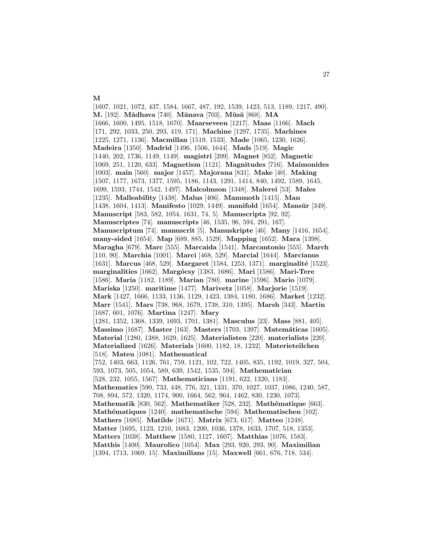[1607, 1021, 1072, 437, 1584, 1667, 487, 192, 1539, 1423, 513, 1189, 1217, 490]. **M.** [192]. **M¯adhava** [740]. **M¯anava** [703]. **M¯us¯a** [868]. **MA** [1666, 1600, 1495, 1518, 1670]. **Maarseveen** [1217]. **Maas** [1166]. **Mach** [171, 292, 1033, 250, 293, 419, 171]. **Machine** [1297, 1735]. **Machines** [1225, 1271, 1136]. **Macmillan** [1519, 1533]. **Made** [1065, 1230, 1626]. **Madeira** [1350]. **Madrid** [1496, 1506, 1644]. **Mads** [519]. **Magic** [1440, 202, 1736, 1149, 1149]. **magistri** [209]. **Magnet** [852]. **Magnetic** [1069, 251, 1120, 633]. **Magnetism** [1121]. **Magnitudes** [716]. **Maimonides** [1003]. **main** [560]. **major** [1457]. **Majorana** [831]. **Make** [40]. **Making** [1507, 1177, 1673, 1377, 1595, 1186, 1143, 1291, 1414, 840, 1492, 1589, 1645, 1699, 1593, 1744, 1542, 1497]. **Malcolmson** [1348]. **Malerei** [53]. **Males** [1235]. **Malleability** [1438]. **Malus** [406]. **Mammoth** [1415]. **Man** [1438, 1604, 1413]. **Manifesto** [1029, 1449]. **manifold** [1654]. **Mansūr** [349]. **Manuscript** [583, 582, 1054, 1631, 74, 5]. **Manuscripta** [92, 92]. **Manuscriptes** [74]. **manuscripts** [46, 1535, 96, 594, 291, 167]. **Manuscriptum** [74]. **manuscrit** [5]. **Manuskripte** [46]. **Many** [1416, 1654]. **many-sided** [1654]. **Map** [689, 885, 1529]. **Mapping** [1652]. **Mara** [1398]. **Maragha** [679]. **Marc** [555]. **Marcaida** [1541]. **Marcantonio** [555]. **March** [110, 90]. **Marchia** [1001]. **Marci** [468, 529]. **Marcial** [1644]. **Marcianus** [1631]. **Marcus** [468, 529]. **Margaret** [1584, 1253, 1371]. **marginalit´e** [1523]. **marginalities** [1662]. **Marg´ocsy** [1383, 1686]. **Mari** [1586]. **Mari-Tere** [1586]. **Maria** [1182, 1189]. **Marian** [780]. **marine** [1596]. **Mario** [1079]. **Mariska** [1250]. **maritime** [1477]. **Marivetz** [1058]. **Marjorie** [1519]. **Mark** [1427, 1666, 1133, 1136, 1129, 1423, 1384, 1180, 1686]. **Market** [1232]. **Marr** [1541]. **Mars** [738, 968, 1679, 1738, 310, 1395]. **Marsh** [343]. **Martin** [1687, 601, 1076]. **Martina** [1247]. **Mary** [1281, 1352, 1368, 1339, 1693, 1701, 1381]. **Masculus** [23]. **Mass** [881, 405]. **Massimo** [1687]. **Master** [163]. **Masters** [1703, 1397]. **Matem´aticas** [1605]. **Material** [1280, 1388, 1629, 1625]. **Materialisten** [220]. **materialists** [220]. **Materialized** [1626]. **Materials** [1600, 1182, 18, 1232]. **Materieteilchen** [518]. **Mateu** [1081]. **Mathematical** [752, 1403, 663, 1126, 761, 759, 1121, 102, 722, 1405, 835, 1192, 1019, 327, 504, 593, 1073, 505, 1054, 589, 639, 1542, 1535, 594]. **Mathematician** [528, 232, 1055, 1567]. **Mathematicians** [1191, 622, 1320, 1183]. **Mathematics** [590, 733, 448, 776, 321, 1331, 370, 1027, 1037, 1086, 1240, 587, 708, 894, 572, 1320, 1174, 900, 1664, 562, 964, 1462, 830, 1230, 1073]. **Mathematik** [830, 562]. **Mathematiker** [528, 232]. **Mathématique** [663]. **Math´ematiques** [1240]. **mathematische** [594]. **Mathematischen** [102]. **Mathers** [1685]. **Matilde** [1671]. **Matrix** [673, 617]. **Matteo** [1248]. **Matter** [1695, 1123, 1210, 1683, 1200, 1036, 1378, 1633, 1707, 518, 1353]. **Matters** [1038]. **Matthew** [1580, 1127, 1607]. **Matthias** [1076, 1583]. **Matthis** [1400]. **Maurolico** [1054]. **Max** [293, 920, 293, 90]. **Maximilian** [1394, 1713, 1069, 15]. **Maximilians** [15]. **Maxwell** [661, 676, 718, 534].

**M**

27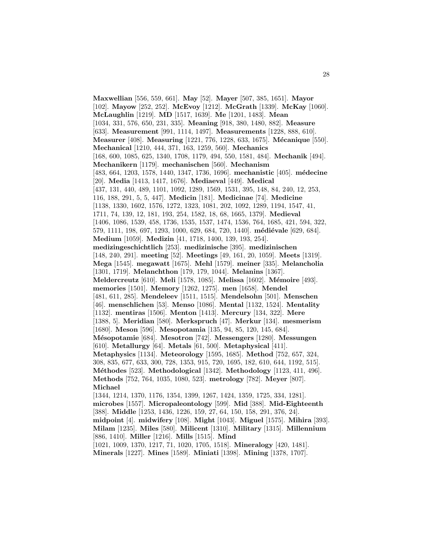**Maxwellian** [556, 559, 661]. **May** [52]. **Mayer** [507, 385, 1651]. **Mayor** [102]. **Mayow** [252, 252]. **McEvoy** [1212]. **McGrath** [1339]. **McKay** [1060]. **McLaughlin** [1219]. **MD** [1517, 1639]. **Me** [1201, 1483]. **Mean** [1034, 331, 576, 650, 231, 335]. **Meaning** [918, 380, 1480, 882]. **Measure** [633]. **Measurement** [991, 1114, 1497]. **Measurements** [1228, 888, 610]. **Measurer** [408]. **Measuring** [1221, 776, 1228, 633, 1675]. **Mécanique** [550]. **Mechanical** [1210, 444, 371, 163, 1259, 560]. **Mechanics** [168, 600, 1085, 625, 1340, 1708, 1179, 494, 550, 1581, 484]. **Mechanik** [494]. **Mechanikern** [1179]. **mechanischen** [560]. **Mechanism** [483, 664, 1203, 1578, 1440, 1347, 1736, 1696]. **mechanistic** [405]. **m´edecine** [20]. **Media** [1413, 1417, 1676]. **Mediaeval** [449]. **Medical** [437, 131, 440, 489, 1101, 1092, 1289, 1569, 1531, 395, 148, 84, 240, 12, 253, 116, 188, 291, 5, 5, 447]. **Medicin** [181]. **Medicinae** [74]. **Medicine** [1138, 1330, 1602, 1576, 1272, 1323, 1081, 202, 1092, 1289, 1194, 1547, 41, 1711, 74, 139, 12, 181, 193, 254, 1582, 18, 68, 1665, 1379]. **Medieval** [1406, 1086, 1539, 458, 1736, 1535, 1537, 1474, 1536, 764, 1685, 421, 594, 322, 579, 1111, 198, 697, 1293, 1000, 629, 684, 720, 1440]. **médiévale** [629, 684]. **Medium** [1059]. **Medizin** [41, 1718, 1400, 139, 193, 254]. **medizingeschichtlich** [253]. **medizinische** [395]. **medizinischen** [148, 240, 291]. **meeting** [52]. **Meetings** [49, 161, 20, 1059]. **Meets** [1319]. **Mega** [1545]. **megawatt** [1675]. **Mehl** [1579]. **meiner** [335]. **Melancholia** [1301, 1719]. **Melanchthon** [179, 179, 1044]. **Melanins** [1367]. **Meldercreutz** [610]. **Meli** [1578, 1085]. **Melissa** [1602]. **M´emoire** [493]. **memories** [1501]. **Memory** [1262, 1275]. **men** [1658]. **Mendel** [481, 611, 285]. **Mendeleev** [1511, 1515]. **Mendelsohn** [501]. **Menschen** [46]. **menschlichen** [53]. **Menso** [1086]. **Mental** [1132, 1524]. **Mentality** [1132]. **mentiras** [1506]. **Menton** [1413]. **Mercury** [134, 322]. **Mere** [1388, 5]. **Meridian** [580]. **Merkspruch** [47]. **Merkur** [134]. **mesmerism** [1680]. **Meson** [596]. **Mesopotamia** [135, 94, 85, 120, 145, 684]. **M´esopotamie** [684]. **Mesotron** [742]. **Messengers** [1280]. **Messungen** [610]. **Metallurgy** [64]. **Metals** [61, 500]. **Metaphysical** [411]. **Metaphysics** [1134]. **Meteorology** [1595, 1685]. **Method** [752, 657, 324, 308, 835, 677, 633, 300, 728, 1353, 915, 720, 1695, 182, 610, 644, 1192, 515]. **M´ethodes** [523]. **Methodological** [1342]. **Methodology** [1123, 411, 496]. **Methods** [752, 764, 1035, 1080, 523]. **metrology** [782]. **Meyer** [807]. **Michael** [1344, 1214, 1370, 1176, 1354, 1399, 1267, 1424, 1359, 1725, 334, 1281]. **microbes** [1557]. **Micropaleontology** [599]. **Mid** [388]. **Mid-Eighteenth** [388]. **Middle** [1253, 1436, 1226, 159, 27, 64, 150, 158, 291, 376, 24]. **midpoint** [4]. **midwifery** [108]. **Might** [1043]. **Miguel** [1575]. **Mihira** [393]. **Milam** [1235]. **Miles** [580]. **Milicent** [1310]. **Military** [1315]. **Millennium** [886, 1410]. **Miller** [1216]. **Mills** [1515]. **Mind** [1021, 1009, 1370, 1217, 71, 1020, 1705, 1518]. **Mineralogy** [420, 1481]. **Minerals** [1227]. **Mines** [1589]. **Miniati** [1398]. **Mining** [1378, 1707].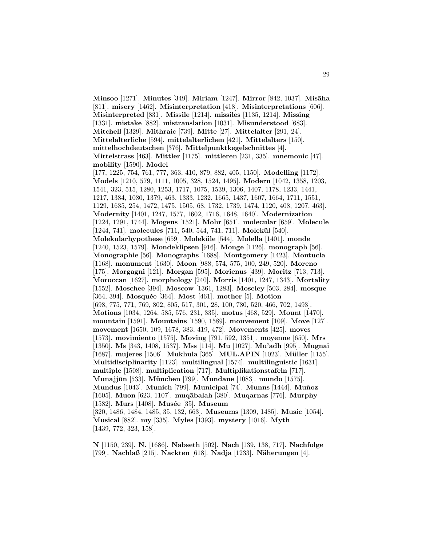**Minsoo** [1271]. **Minutes** [349]. **Miriam** [1247]. **Mirror** [842, 1037]. **Misāha** [811]. **misery** [1462]. **Misinterpretation** [418]. **Misinterpretations** [606]. **Misinterpreted** [831]. **Missile** [1214]. **missiles** [1135, 1214]. **Missing** [1331]. **mistake** [882]. **mistranslation** [1031]. **Misunderstood** [683]. **Mitchell** [1329]. **Mithraic** [739]. **Mitte** [27]. **Mittelalter** [291, 24]. **Mittelalterliche** [594]. **mittelalterlichen** [421]. **Mittelalters** [150]. **mittelhochdeutschen** [376]. **Mittelpunktkegelschnittes** [4]. **Mittelstrass** [463]. **Mittler** [1175]. **mittleren** [231, 335]. **mnemonic** [47]. **mobility** [1590]. **Model** [177, 1225, 754, 761, 777, 363, 410, 879, 882, 405, 1150]. **Modelling** [1172]. **Models** [1210, 579, 1111, 1005, 328, 1524, 1495]. **Modern** [1042, 1358, 1203, 1541, 323, 515, 1280, 1253, 1717, 1075, 1539, 1306, 1407, 1178, 1233, 1441, 1217, 1384, 1080, 1379, 463, 1333, 1232, 1665, 1437, 1607, 1664, 1711, 1551, 1129, 1635, 254, 1472, 1475, 1505, 68, 1732, 1739, 1474, 1120, 408, 1207, 463]. **Modernity** [1401, 1247, 1577, 1602, 1716, 1648, 1640]. **Modernization** [1224, 1291, 1744]. **Mogens** [1521]. **Mohr** [651]. **molecular** [659]. **Molecule** [1244, 741]. **molecules** [711, 540, 544, 741, 711]. **Molekül** [540]. **Molekularhypothese** [659]. **Molek¨ule** [544]. **Molella** [1401]. **monde** [1240, 1523, 1579]. **Mondeklipsen** [916]. **Monge** [1126]. **monograph** [56]. **Monographie** [56]. **Monographs** [1688]. **Montgomery** [1423]. **Montucla** [1168]. **monument** [1630]. **Moon** [988, 574, 575, 100, 249, 520]. **Moreno** [175]. **Morgagni** [121]. **Morgan** [595]. **Morienus** [439]. **Moritz** [713, 713]. **Moroccan** [1627]. **morphology** [240]. **Morris** [1401, 1247, 1343]. **Mortality** [1552]. **Moschee** [394]. **Moscow** [1361, 1283]. **Moseley** [503, 284]. **mosque** [364, 394]. **Mosquée** [364]. **Most** [461]. **mother** [5]. **Motion** [698, 775, 771, 769, 802, 805, 517, 301, 28, 100, 780, 520, 466, 702, 1493]. **Motions** [1034, 1264, 585, 576, 231, 335]. **motus** [468, 529]. **Mount** [1470]. **mountain** [1591]. **Mountains** [1590, 1589]. **mouvement** [109]. **Move** [127]. **movement** [1650, 109, 1678, 383, 419, 472]. **Movements** [425]. **moves** [1573]. **movimiento** [1575]. **Moving** [791, 592, 1351]. **moyenne** [650]. **Mrs** [1350]. **Ms** [343, 1408, 1537]. **Mss** [114]. **Mu** [1027]. **Mu'adh** [995]. **Mugnai** [1687]. **mujeres** [1506]. **Mukhula** [365]. **MUL.APIN** [1023]. **M¨uller** [1155]. **Multidisciplinarity** [1123]. **multilingual** [1574]. **multilinguistic** [1631]. **multiple** [1508]. **multiplication** [717]. **Multiplikationstafeln** [717]. **Munajj¯un** [533]. **M¨unchen** [799]. **Mundane** [1083]. **mundo** [1575]. **Mundus** [1043]. **Munich** [799]. **Municipal** [74]. **Munns** [1444]. **Mu˜noz** [1605]. **Muon** [623, 1107]. **muq¯abalah** [380]. **Muqarnas** [776]. **Murphy** [1582]. **Murs** [1408]. **Musée** [35]. **Museum** [320, 1486, 1484, 1485, 35, 132, 663]. **Museums** [1309, 1485]. **Music** [1054]. **Musical** [882]. **my** [335]. **Myles** [1393]. **mystery** [1016]. **Myth** [1439, 772, 323, 158].

**N** [1150, 239]. **N.** [1686]. **Nabseth** [502]. **Nach** [139, 138, 717]. **Nachfolge** [799]. **Nachlaß** [215]. **Nackten** [618]. **Nadja** [1233]. **N¨aherungen** [4].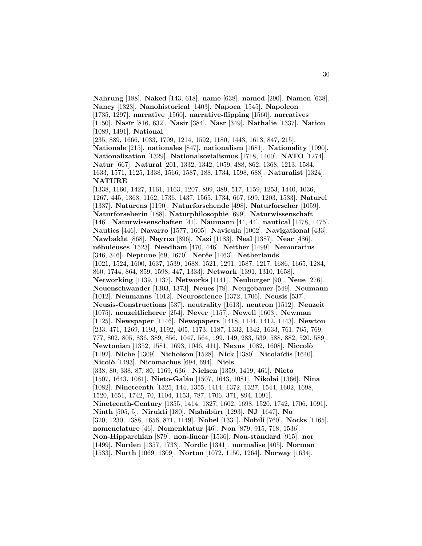**Nahrung** [188]. **Naked** [143, 618]. **name** [638]. **named** [290]. **Namen** [638]. **Nancy** [1323]. **Nanohistorical** [1403]. **Napoca** [1545]. **Napoleon** [1735, 1297]. **narrative** [1560]. **narrative-flipping** [1560]. **narratives** [1150]. **Nas¯ır** [816, 632]. **Nasir** [384]. **Nasr** [349]. **Nathalie** [1337]. **Nation** [1089, 1491]. **National** [235, 889, 1666, 1033, 1709, 1214, 1592, 1180, 1443, 1613, 847, 215]. **Nationale** [215]. **nationales** [847]. **nationalism** [1681]. **Nationality** [1090]. **Nationalization** [1329]. **Nationalsozialismus** [1718, 1400]. **NATO** [1274]. **Natur** [667]. **Natural** [201, 1332, 1342, 1059, 488, 862, 1368, 1213, 1584, 1633, 1571, 1125, 1338, 1566, 1587, 188, 1734, 1598, 688]. **Naturalist** [1324]. **NATURE** [1338, 1160, 1427, 1161, 1163, 1207, 899, 389, 517, 1159, 1253, 1440, 1036, 1267, 445, 1368, 1162, 1736, 1437, 1565, 1734, 667, 699, 1203, 1533]. **Naturel** [1337]. **Naturens** [1190]. **Naturforschende** [498]. **Naturforscher** [1059]. **Naturforseherin** [188]. **Naturphilosophie** [699]. **Naturwissenschaft** [146]. **Naturwissenschaften** [41]. **Naumann** [44, 44]. **nautical** [1478, 1475]. **Nautics** [446]. **Navarro** [1577, 1605]. **Navicula** [1002]. **Navigational** [433]. **Nawbakht** [868]. **Nayrızı** [896]. **Nazi** [1183]. **Neal** [1387]. **Near** [486]. **n´ebuleuses** [1523]. **Needham** [470, 446]. **Neither** [1499]. **Nemorarius** [346, 346]. **Neptune** [69, 1670]. **Nerée** [1463]. **Netherlands** [1021, 1524, 1600, 1637, 1539, 1688, 1521, 1291, 1587, 1217, 1686, 1665, 1284, 860, 1744, 864, 859, 1598, 447, 1333]. **Network** [1391, 1310, 1658]. **Networking** [1139, 1137]. **Networks** [1141]. **Neuburger** [90]. **Neue** [276]. **Neuenschwander** [1303, 1373]. **Neues** [78]. **Neugebauer** [549]. **Neumann** [1012]. **Neumanns** [1012]. **Neuroscience** [1372, 1706]. **Neusis** [537]. **Neusis-Constructions** [537]. **neutrality** [1613]. **neutron** [1512]. **Neuzeit** [1075]. **neuzeitlicherer** [254]. **Never** [1157]. **Newell** [1603]. **Newman** [1125]. **Newspaper** [1146]. **Newspapers** [1418, 1144, 1412, 1143]. **Newton** [233, 471, 1269, 1193, 1192, 405, 1173, 1187, 1332, 1342, 1633, 761, 765, 769, 777, 802, 805, 836, 389, 856, 1047, 564, 199, 149, 283, 539, 588, 882, 520, 589]. **Newtonian** [1352, 1581, 1693, 1046, 411]. **Nexus** [1082, 1608]. **Niccol`o** [1192]. **Niche** [1309]. **Nicholson** [1528]. **Nick** [1380]. **Nicola¨ıdis** [1640]. **Nicol`o** [1493]. **Nicomachus** [694, 694]. **Niels** [338, 80, 338, 87, 80, 1169, 636]. **Nielsen** [1359, 1419, 461]. **Nieto** [1507, 1643, 1081]. **Nieto-Gal´an** [1507, 1643, 1081]. **Nikolai** [1366]. **Nina** [1082]. **Nineteenth** [1325, 144, 1355, 1414, 1372, 1327, 1544, 1602, 1698, 1520, 1651, 1742, 70, 1104, 1153, 787, 1706, 371, 894, 1091]. **Nineteenth-Century** [1355, 1414, 1327, 1602, 1698, 1520, 1742, 1706, 1091]. **Ninth** [505, 5]. **Nirukti** [180]. **Nısh¯ab¯urı** [1293]. **NJ** [1647]. **No** [320, 1230, 1388, 1656, 871, 1149]. **Nobel** [1331]. **Nobili** [760]. **Nocks** [1165]. **nomenclature** [46]. **Nomenklatur** [46]. **Non** [879, 915, 718, 1536]. **Non-Hipparchian** [879]. **non-linear** [1536]. **Non-standard** [915]. **nor** [1499]. **Norden** [1357, 1733]. **Nordic** [1341]. **normalise** [405]. **Norman** [1533]. **North** [1069, 1309]. **Norton** [1072, 1150, 1264]. **Norway** [1634].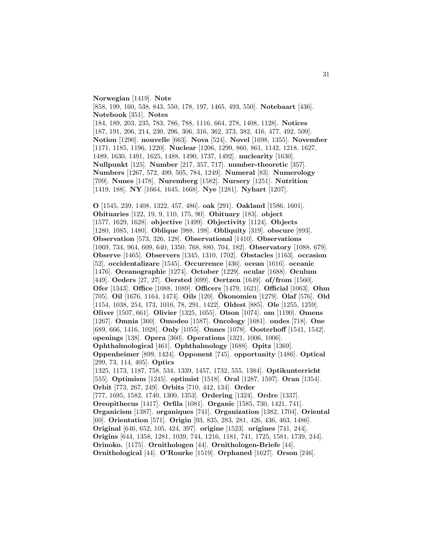**Norwegian** [1419]. **Note** [858, 199, 160, 538, 843, 550, 178, 197, 1465, 493, 550]. **Notebaart** [436]. **Notebook** [351]. **Notes** [184, 189, 203, 235, 783, 786, 788, 1116, 664, 278, 1408, 1128]. **Notices** [187, 191, 206, 214, 230, 296, 306, 316, 362, 373, 382, 416, 477, 492, 509]. **Notion** [1290]. **nouvelle** [663]. **Nova** [524]. **Novel** [1698, 1355]. **November** [1171, 1185, 1196, 1220]. **Nuclear** [1206, 1299, 860, 861, 1142, 1218, 1627, 1489, 1630, 1491, 1625, 1488, 1490, 1737, 1492]. **nuclearity** [1630]. **Nullpunkt** [125]. **Number** [217, 357, 717]. **number-theoretic** [357]. **Numbers** [1267, 572, 499, 505, 784, 1249]. **Numeral** [83]. **Numerology** [709]. **Nunes** [1478]. **Nuremberg** [1582]. **Nursery** [1251]. **Nutrition** [1419, 188]. **NY** [1664, 1645, 1668]. **Nye** [1281]. **Nyhart** [1207].

**O** [1545, 239, 1408, 1322, 457, 486]. **oak** [291]. **Oakland** [1586, 1601]. **Obituaries** [122, 19, 9, 110, 175, 90]. **Obituary** [183]. **object** [1577, 1629, 1628]. **objective** [1499]. **Objectivity** [1124]. **Objects** [1280, 1085, 1480]. **Oblique** [988, 198]. **Obliquity** [319]. **obscure** [893]. **Observation** [573, 326, 128]. **Observational** [1410]. **Observations** [1069, 734, 964, 609, 640, 1350, 768, 880, 704, 182]. **Observatory** [1088, 679]. **Observe** [1465]. **Observers** [1345, 1310, 1702]. **Obstacles** [1163]. **occasion** [52]. **occidentalizare** [1545]. **Occurrence** [436]. **ocean** [1616]. **oceanic** [1476]. **Oceanographic** [1274]. **October** [1229]. **ocular** [1688]. **Oculum** [449]. **Oeders** [27, 27]. **Oersted** [699]. **Oertzen** [1649]. **of/from** [1560]. **Ofer** [1343]. **Office** [1088, 1089]. **Officers** [1479, 1621]. **Official** [1063]. **Ohm** [705]. **Oil** [1676, 1164, 1474]. **Oils** [120]. **Okonomien ¨** [1279]. **Olaf** [576]. **Old** [1154, 1038, 254, 173, 1016, 78, 291, 1422]. **Oldest** [885]. **Ole** [1255, 1259]. **Oliver** [1507, 661]. **Olivier** [1325, 1055]. **Olson** [1074]. **om** [1190]. **Omens** [1267]. **Omnia** [360]. **Omodeo** [1587]. **Oncology** [1681]. **ondes** [718]. **One** [689, 666, 1416, 1028]. **Only** [1055]. **Onnes** [1078]. **Oosterhoff** [1541, 1542]. **openings** [138]. **Opera** [360]. **Operations** [1321, 1006, 1006]. **Ophthalmological** [461]. **Ophthalmology** [1688]. **Opitz** [1369]. **Oppenheimer** [899, 1424]. **Opponent** [745]. **opportunity** [1486]. **Optical** [299, 73, 114, 405]. **Optics** [1325, 1173, 1187, 758, 534, 1339, 1457, 1732, 555, 1384]. **Optikunterricht** [555]. **Optimism** [1245]. **optimist** [1518]. **Oral** [1287, 1597]. **Oran** [1354]. **Orbit** [773, 267, 249]. **Orbits** [710, 442, 134]. **Order** [777, 1695, 1582, 1740, 1300, 1353]. **Ordering** [1324]. **Ordre** [1337]. **Oreopithecus** [1417]. **Orfila** [1081]. **Organic** [1585, 730, 1421, 741]. **Organicism** [1387]. **organiques** [741]. **Organization** [1382, 1704]. **Oriental** [60]. **Orientation** [571]. **Origin** [93, 835, 283, 281, 426, 436, 463, 1486]. **Original** [646, 652, 105, 424, 397]. **origine** [1523]. **origines** [741, 244]. **Origins** [644, 1358, 1281, 1039, 744, 1216, 1181, 741, 1725, 1581, 1739, 244]. **Orinoko.** [1175]. **Ornithologen** [44]. **Ornithologen-Briefe** [44].

**Ornithological** [44]. **O'Rourke** [1519]. **Orphaned** [1627]. **Orson** [246].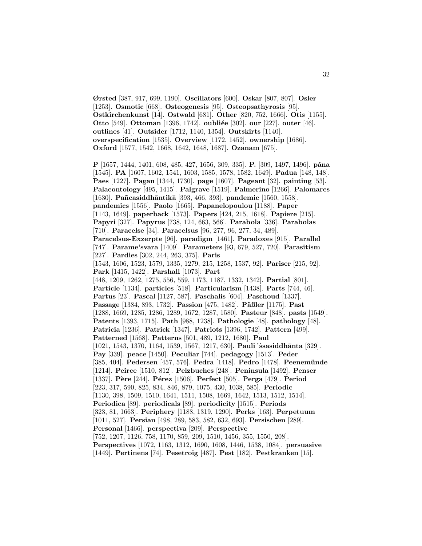**Ørsted** [387, 917, 699, 1190]. **Oscillators** [600]. **Oskar** [807, 807]. **Osler** [1253]. **Osmotic** [668]. **Osteogenesis** [95]. **Osteopsathyrosis** [95]. **Ostkirchenkunst** [14]. **Ostwald** [681]. **Other** [820, 752, 1666]. **Otis** [1155]. **Otto** [549]. **Ottoman** [1396, 1742]. **oubliée** [302]. **our** [227]. **outer** [46]. **outlines** [41]. **Outsider** [1712, 1140, 1354]. **Outskirts** [1140]. **overspecification** [1535]. **Overview** [1172, 1452]. **ownership** [1686]. **Oxford** [1577, 1542, 1668, 1642, 1648, 1687]. **Ozanam** [675].

32

**P** [1657, 1444, 1401, 608, 485, 427, 1656, 309, 335]. **P.** [309, 1497, 1496]. **pˆana** [1545]. **PA** [1607, 1602, 1541, 1603, 1585, 1578, 1582, 1649]. **Padua** [148, 148]. **Paes** [1227]. **Pagan** [1344, 1730]. **page** [1607]. **Pageant** [32]. **painting** [53]. **Palaeontology** [495, 1415]. **Palgrave** [1519]. **Palmerino** [1266]. **Palomares** [1630]. **Pa˜ncasiddh¯antik¯a** [393, 466, 393]. **pandemic** [1560, 1558]. **pandemics** [1556]. **Paolo** [1665]. **Papanelopoulou** [1188]. **Paper** [1143, 1649]. **paperback** [1573]. **Papers** [424, 215, 1618]. **Papiere** [215]. **Papyri** [327]. **Papyrus** [738, 124, 663, 566]. **Parabola** [336]. **Parabolas** [710]. **Paracelse** [34]. **Paracelsus** [96, 277, 96, 277, 34, 489]. **Paracelsus-Exzerpte** [96]. **paradigm** [1461]. **Paradoxes** [915]. **Parallel** [747]. **Parame'svara** [1409]. **Parameters** [93, 679, 527, 720]. **Parasitism** [227]. **Pardies** [302, 244, 263, 375]. **Paris** [1543, 1606, 1523, 1579, 1335, 1279, 215, 1258, 1537, 92]. **Pariser** [215, 92]. **Park** [1415, 1422]. **Parshall** [1073]. **Part** [448, 1209, 1262, 1275, 556, 559, 1173, 1187, 1332, 1342]. **Partial** [801]. **Particle** [1134]. **particles** [518]. **Particularism** [1438]. **Parts** [744, 46]. **Partus** [23]. **Pascal** [1127, 587]. **Paschalis** [604]. **Paschoud** [1337]. **Passage** [1384, 893, 1732]. **Passion** [475, 1482]. **Päßler** [1175]. **Past** [1288, 1669, 1285, 1286, 1289, 1672, 1287, 1580]. **Pasteur** [848]. **pasts** [1549]. **Patents** [1393, 1715]. **Path** [988, 1238]. **Pathologie** [48]. **pathology** [48]. **Patricia** [1236]. **Patrick** [1347]. **Patriots** [1396, 1742]. **Pattern** [499]. **Patterned** [1568]. **Patterns** [501, 489, 1212, 1680]. **Paul** [1021, 1543, 1370, 1164, 1539, 1567, 1217, 630]. **Pauli** 'ssasiddhanta [329]. **Pay** [339]. **peace** [1450]. **Peculiar** [744]. **pedagogy** [1513]. **Peder** [385, 404]. **Pedersen** [457, 576]. **Pedra** [1418]. **Pedro** [1478]. **Peenem¨unde** [1214]. **Peirce** [1510, 812]. **Pelzbuches** [248]. **Peninsula** [1492]. **Penser** [1337]. **P`ere** [244]. **P´erez** [1506]. **Perfect** [505]. **Perga** [479]. **Period** [223, 317, 590, 825, 834, 846, 879, 1075, 430, 1038, 585]. **Periodic** [1130, 398, 1509, 1510, 1641, 1511, 1508, 1669, 1642, 1513, 1512, 1514]. **Periodica** [89]. **periodicals** [89]. **periodicity** [1515]. **Periods** [323, 81, 1663]. **Periphery** [1188, 1319, 1290]. **Perks** [163]. **Perpetuum** [1011, 527]. **Persian** [498, 289, 583, 582, 632, 693]. **Persischen** [289]. **Personal** [1466]. **perspectiva** [209]. **Perspective** [752, 1207, 1126, 758, 1170, 859, 209, 1510, 1456, 355, 1550, 208]. **Perspectives** [1072, 1163, 1312, 1690, 1608, 1446, 1538, 1084]. **persuasive** [1449]. **Pertinens** [74]. **Pesetroig** [487]. **Pest** [182]. **Pestkranken** [15].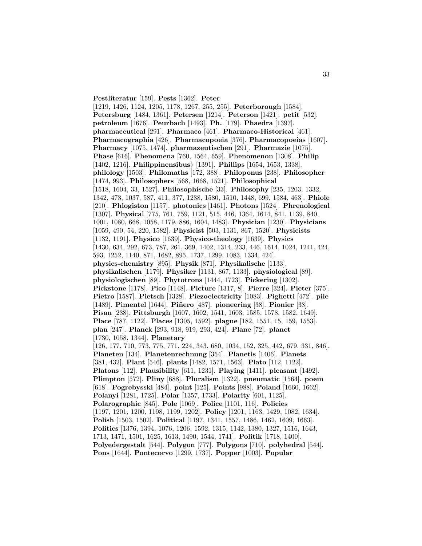**Pestliteratur** [159]. **Pests** [1362]. **Peter**

[1219, 1426, 1124, 1205, 1178, 1267, 255, 255]. **Peterborough** [1584]. **Petersburg** [1484, 1361]. **Petersen** [1214]. **Peterson** [1421]. **petit** [532]. **petroleum** [1676]. **Peurbach** [1493]. **Ph.** [179]. **Phaedra** [1397]. **pharmaceutical** [291]. **Pharmaco** [461]. **Pharmaco-Historical** [461]. **Pharmacographia** [426]. **Pharmacopoeia** [376]. **Pharmacopoeias** [1607]. **Pharmacy** [1075, 1474]. **pharmazeutischen** [291]. **Pharmazie** [1075]. **Phase** [616]. **Phenomena** [760, 1564, 659]. **Phenomenon** [1308]. **Philip** [1402, 1216]. **Philippinensibus**} [1391]. **Phillips** [1654, 1653, 1338]. **philology** [1503]. **Philomaths** [172, 388]. **Philoponus** [238]. **Philosopher** [1474, 993]. **Philosophers** [568, 1668, 1521]. **Philosophical** [1518, 1604, 33, 1527]. **Philosophische** [33]. **Philosophy** [235, 1203, 1332, 1342, 473, 1037, 587, 411, 377, 1238, 1580, 1510, 1448, 699, 1584, 463]. **Phiole** [210]. **Phlogiston** [1157]. **photonics** [1461]. **Photons** [1524]. **Phrenological** [1307]. **Physical** [775, 761, 759, 1121, 515, 446, 1364, 1614, 841, 1139, 840, 1001, 1080, 668, 1058, 1179, 886, 1604, 1483]. **Physician** [1230]. **Physicians** [1059, 490, 54, 220, 1582]. **Physicist** [503, 1131, 867, 1520]. **Physicists** [1132, 1191]. **Physico** [1639]. **Physico-theology** [1639]. **Physics** [1430, 634, 292, 673, 787, 261, 369, 1402, 1314, 233, 446, 1614, 1024, 1241, 424, 593, 1252, 1140, 871, 1682, 895, 1737, 1299, 1083, 1334, 424]. **physics-chemistry** [895]. **Physik** [871]. **Physikalische** [1133]. **physikalischen** [1179]. **Physiker** [1131, 867, 1133]. **physiological** [89]. **physiologischen** [89]. **Phytotrons** [1444, 1723]. **Pickering** [1302]. **Pickstone** [1178]. **Pico** [1148]. **Picture** [1317, 8]. **Pierre** [324]. **Pieter** [375]. **Pietro** [1587]. **Pietsch** [1328]. **Piezoelectricity** [1083]. **Pighetti** [472]. **pile** [1489]. **Pimentel** [1644]. **Piñero** [487]. **pioneering** [38]. **Pionier** [38]. **Pisan** [238]. **Pittsburgh** [1607, 1602, 1541, 1603, 1585, 1578, 1582, 1649]. **Place** [787, 1122]. **Places** [1305, 1592]. **plague** [182, 1551, 15, 159, 1553]. **plan** [247]. **Planck** [293, 918, 919, 293, 424]. **Plane** [72]. **planet** [1730, 1058, 1344]. **Planetary** [126, 177, 710, 773, 775, 771, 224, 343, 680, 1034, 152, 325, 442, 679, 331, 846]. **Planeten** [134]. **Planetenrechnung** [354]. **Planetis** [1406]. **Planets** [381, 432]. **Plant** [546]. **plants** [1482, 1571, 1563]. **Plato** [112, 1122]. **Platons** [112]. **Plausibility** [611, 1231]. **Playing** [1411]. **pleasant** [1492]. **Plimpton** [572]. **Pliny** [688]. **Pluralism** [1322]. **pneumatic** [1564]. **poem** [618]. **Pogrebysski** [484]. **point** [125]. **Points** [988]. **Poland** [1660, 1662]. **Polanyi** [1281, 1725]. **Polar** [1357, 1733]. **Polarity** [601, 1125]. **Polarographic** [845]. **Pole** [1069]. **Police** [1101, 116]. **Policies** [1197, 1201, 1200, 1198, 1199, 1202]. **Policy** [1201, 1163, 1429, 1082, 1634]. **Polish** [1503, 1502]. **Political** [1197, 1341, 1557, 1486, 1462, 1609, 1663]. **Politics** [1376, 1394, 1076, 1206, 1592, 1315, 1142, 1380, 1327, 1516, 1643, 1713, 1471, 1501, 1625, 1613, 1490, 1544, 1741]. **Politik** [1718, 1400]. **Polyedergestalt** [544]. **Polygon** [777]. **Polygons** [710]. **polyhedral** [544]. **Pons** [1644]. **Pontecorvo** [1299, 1737]. **Popper** [1003]. **Popular**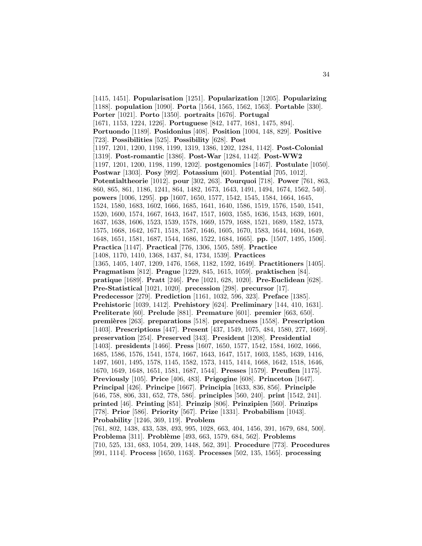[1415, 1451]. **Popularisation** [1251]. **Popularization** [1205]. **Popularizing** [1188]. **population** [1090]. **Porta** [1564, 1565, 1562, 1563]. **Portable** [330]. **Porter** [1021]. **Porto** [1350]. **portraits** [1676]. **Portugal** [1671, 1153, 1224, 1226]. **Portuguese** [842, 1477, 1681, 1475, 894]. **Portuondo** [1189]. **Posidonius** [408]. **Position** [1004, 148, 829]. **Positive** [723]. **Possibilities** [525]. **Possibility** [628]. **Post** [1197, 1201, 1200, 1198, 1199, 1319, 1386, 1202, 1284, 1142]. **Post-Colonial** [1319]. **Post-romantic** [1386]. **Post-War** [1284, 1142]. **Post-WW2** [1197, 1201, 1200, 1198, 1199, 1202]. **postgenomics** [1467]. **Postulate** [1050]. **Postwar** [1303]. **Posy** [992]. **Potassium** [601]. **Potential** [705, 1012]. **Potentialtheorie** [1012]. **pour** [302, 263]. **Pourquoi** [718]. **Power** [761, 863, 860, 865, 861, 1186, 1241, 864, 1482, 1673, 1643, 1491, 1494, 1674, 1562, 540]. **powers** [1006, 1295]. **pp** [1607, 1650, 1577, 1542, 1545, 1584, 1664, 1645, 1524, 1580, 1683, 1602, 1666, 1685, 1641, 1640, 1586, 1519, 1576, 1540, 1541, 1520, 1600, 1574, 1667, 1643, 1647, 1517, 1603, 1585, 1636, 1543, 1639, 1601, 1637, 1638, 1606, 1523, 1539, 1578, 1669, 1579, 1688, 1521, 1689, 1582, 1573, 1575, 1668, 1642, 1671, 1518, 1587, 1646, 1605, 1670, 1583, 1644, 1604, 1649, 1648, 1651, 1581, 1687, 1544, 1686, 1522, 1684, 1665]. **pp.** [1507, 1495, 1506]. **Practica** [1147]. **Practical** [776, 1306, 1505, 589]. **Practice** [1408, 1170, 1410, 1368, 1437, 84, 1734, 1539]. **Practices** [1365, 1405, 1407, 1209, 1476, 1568, 1182, 1592, 1649]. **Practitioners** [1405]. **Pragmatism** [812]. **Prague** [1229, 845, 1615, 1059]. **praktischen** [84]. **pratique** [1689]. **Pratt** [246]. **Pre** [1021, 628, 1020]. **Pre-Euclidean** [628]. **Pre-Statistical** [1021, 1020]. **precession** [298]. **precursor** [17]. **Predecessor** [279]. **Prediction** [1161, 1032, 596, 323]. **Preface** [1385]. **Prehistoric** [1039, 1412]. **Prehistory** [624]. **Preliminary** [144, 410, 1631]. **Preliterate** [60]. **Prelude** [881]. **Premature** [601]. **premier** [663, 650]. **premi`eres** [263]. **preparations** [518]. **preparedness** [1558]. **Prescription** [1403]. **Prescriptions** [447]. **Present** [437, 1549, 1075, 484, 1580, 277, 1669]. **preservation** [254]. **Preserved** [343]. **President** [1208]. **Presidential** [1403]. **presidents** [1466]. **Press** [1607, 1650, 1577, 1542, 1584, 1602, 1666, 1685, 1586, 1576, 1541, 1574, 1667, 1643, 1647, 1517, 1603, 1585, 1639, 1416, 1497, 1601, 1495, 1578, 1145, 1582, 1573, 1415, 1414, 1668, 1642, 1518, 1646, 1670, 1649, 1648, 1651, 1581, 1687, 1544]. **Presses** [1579]. **Preußen** [1175]. **Previously** [105]. **Price** [406, 483]. **Prigogine** [608]. **Princeton** [1647]. **Principal** [426]. **Principe** [1667]. **Principia** [1633, 836, 856]. **Principle** [646, 758, 806, 331, 652, 778, 586]. **principles** [560, 240]. **print** [1542, 241]. **printed** [46]. **Printing** [851]. **Prinzip** [806]. **Prinzipien** [560]. **Prinzips** [778]. **Prior** [586]. **Priority** [567]. **Prize** [1331]. **Probabilism** [1043]. **Probability** [1246, 369, 119]. **Problem** [761, 802, 1438, 433, 538, 493, 995, 1028, 663, 404, 1456, 391, 1679, 684, 500]. **Problema** [311]. **Probl`eme** [493, 663, 1579, 684, 562]. **Problems** [710, 525, 131, 683, 1054, 209, 1448, 562, 391]. **Procedure** [773]. **Procedures** [991, 1114]. **Process** [1650, 1163]. **Processes** [502, 135, 1565]. **processing**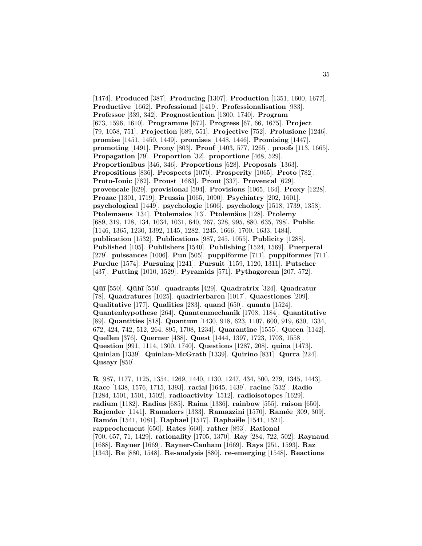[1474]. **Produced** [387]. **Producing** [1307]. **Production** [1351, 1600, 1677]. **Productive** [1662]. **Professional** [1419]. **Professionalisation** [983]. **Professor** [339, 342]. **Prognostication** [1300, 1740]. **Program** [673, 1596, 1610]. **Programme** [672]. **Progress** [67, 66, 1675]. **Project** [79, 1058, 751]. **Projection** [689, 551]. **Projective** [752]. **Prolusione** [1246]. **promise** [1451, 1450, 1449]. **promises** [1448, 1446]. **Promising** [1447]. **promoting** [1491]. **Prony** [803]. **Proof** [1403, 577, 1265]. **proofs** [113, 1665]. **Propagation** [79]. **Proportion** [32]. **proportione** [468, 529]. **Proportionibus** [346, 346]. **Proportions** [628]. **Proposals** [1363]. **Propositions** [836]. **Prospects** [1070]. **Prosperity** [1065]. **Proto** [782]. **Proto-Ionic** [782]. **Proust** [1683]. **Prout** [337]. **Provencal** [629]. **provencale** [629]. **provisional** [594]. **Provisions** [1065, 164]. **Proxy** [1228]. **Prozac** [1301, 1719]. **Prussia** [1065, 1090]. **Psychiatry** [202, 1601]. **psychological** [1449]. **psychologie** [1606]. **psychology** [1518, 1739, 1358]. **Ptolemaeus** [134]. **Ptolemaios** [13]. **Ptolem¨aus** [128]. **Ptolemy** [689, 319, 128, 134, 1034, 1031, 640, 267, 328, 995, 880, 635, 798]. **Public** [1146, 1365, 1230, 1392, 1145, 1282, 1245, 1666, 1700, 1633, 1484]. **publication** [1532]. **Publications** [987, 245, 1055]. **Publicity** [1288]. **Published** [105]. **Publishers** [1540]. **Publishing** [1524, 1569]. **Puerperal** [279]. **puissances** [1006]. **Pun** [505]. **puppiforme** [711]. **puppiformes** [711]. **Purdue** [1574]. **Pursuing** [1241]. **Pursuit** [1159, 1120, 1311]. **Putscher** [437]. **Putting** [1010, 1529]. **Pyramids** [571]. **Pythagorean** [207, 572].

**Q¯u¯ı** [550]. **Q¯uh¯ı** [550]. **quadrants** [429]. **Quadratrix** [324]. **Quadratur** [78]. **Quadratures** [1025]. **quadrierbaren** [1017]. **Quaestiones** [209]. **Qualitative** [177]. **Qualities** [283]. **quand** [650]. **quanta** [1524]. **Quantenhypothese** [264]. **Quantenmechanik** [1708, 1184]. **Quantitative** [89]. **Quantities** [818]. **Quantum** [1430, 918, 623, 1107, 600, 919, 630, 1334, 672, 424, 742, 512, 264, 895, 1708, 1234]. **Quarantine** [1555]. **Queen** [1142]. **Quellen** [376]. **Querner** [438]. **Quest** [1444, 1397, 1723, 1703, 1558]. **Question** [991, 1114, 1300, 1740]. **Questions** [1287, 208]. **quina** [1473]. **Quinlan** [1339]. **Quinlan-McGrath** [1339]. **Quirino** [831]. **Qurra** [224]. **Qusayr** [850].

**R** [987, 1177, 1125, 1354, 1269, 1440, 1130, 1247, 434, 500, 279, 1345, 1443]. **Race** [1438, 1576, 1715, 1393]. **racial** [1645, 1439]. **racine** [532]. **Radio** [1284, 1501, 1501, 1502]. **radioactivity** [1512]. **radioisotopes** [1629]. **radium** [1182]. **Radius** [685]. **Raina** [1336]. **rainbow** [555]. **raison** [650]. **Rajender** [1141]. **Ramakers** [1333]. **Ramazzini** [1570]. **Ram´ee** [309, 309]. **Ram´on** [1541, 1081]. **Raphael** [1517]. **Rapha¨ele** [1541, 1521]. **rapprochement** [650]. **Rates** [660]. **rather** [893]. **Rational** [700, 657, 71, 1429]. **rationality** [1705, 1370]. **Ray** [284, 722, 502]. **Raynaud** [1688]. **Rayner** [1669]. **Rayner-Canham** [1669]. **Rays** [251, 1593]. **Raz** [1343]. **Re** [880, 1548]. **Re-analysis** [880]. **re-emerging** [1548]. **Reactions**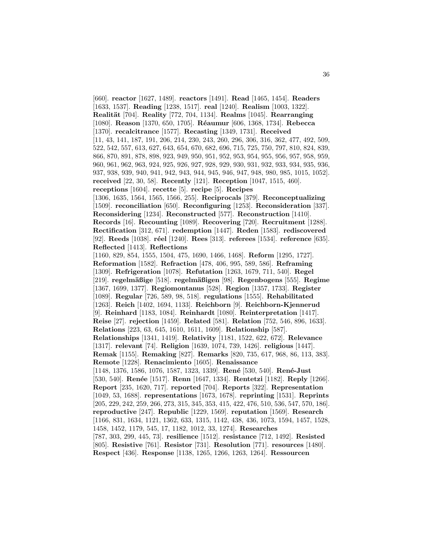[660]. **reactor** [1627, 1489]. **reactors** [1491]. **Read** [1465, 1454]. **Readers** [1633, 1537]. **Reading** [1238, 1517]. **real** [1240]. **Realism** [1003, 1322]. **Realit¨at** [704]. **Reality** [772, 704, 1134]. **Realms** [1045]. **Rearranging** [1080]. **Reason** [1370, 650, 1705]. **R´eaumur** [606, 1368, 1734]. **Rebecca** [1370]. **recalcitrance** [1577]. **Recasting** [1349, 1731]. **Received** [11, 43, 141, 187, 191, 206, 214, 230, 243, 260, 296, 306, 316, 362, 477, 492, 509, 522, 542, 557, 613, 627, 643, 654, 670, 682, 696, 715, 725, 750, 797, 810, 824, 839, 866, 870, 891, 878, 898, 923, 949, 950, 951, 952, 953, 954, 955, 956, 957, 958, 959, 960, 961, 962, 963, 924, 925, 926, 927, 928, 929, 930, 931, 932, 933, 934, 935, 936, 937, 938, 939, 940, 941, 942, 943, 944, 945, 946, 947, 948, 980, 985, 1015, 1052]. **received** [22, 30, 58]. **Recently** [121]. **Reception** [1047, 1515, 460]. **receptions** [1604]. **recette** [5]. **recipe** [5]. **Recipes** [1306, 1635, 1564, 1565, 1566, 255]. **Reciprocals** [379]. **Reconceptualizing** [1509]. **reconciliation** [650]. **Reconfiguring** [1253]. **Reconsideration** [337]. **Reconsidering** [1234]. **Reconstructed** [577]. **Reconstruction** [1410]. **Records** [16]. **Recounting** [1089]. **Recovering** [720]. **Recruitment** [1288]. **Rectification** [312, 671]. **redemption** [1447]. **Reden** [1583]. **rediscovered** [92]. **Reeds** [1038]. **réel** [1240]. **Rees** [313]. **referees** [1534]. **reference** [635]. **Reflected** [1413]. **Reflections** [1160, 829, 854, 1555, 1504, 475, 1690, 1466, 1468]. **Reform** [1295, 1727]. **Reformation** [1582]. **Refraction** [478, 406, 995, 589, 586]. **Reframing** [1309]. **Refrigeration** [1078]. **Refutation** [1263, 1679, 711, 540]. **Regel** [219]. **regelm¨aßige** [518]. **regelm¨aßigen** [98]. **Regenbogens** [555]. **Regime** [1367, 1699, 1377]. **Regiomontanus** [528]. **Region** [1357, 1733]. **Register** [1089]. **Regular** [726, 589, 98, 518]. **regulations** [1555]. **Rehabilitated** [1263]. **Reich** [1402, 1694, 1133]. **Reichborn** [9]. **Reichborn-Kjennerud** [9]. **Reinhard** [1183, 1084]. **Reinhardt** [1080]. **Reinterpretation** [1417]. **Reise** [27]. **rejection** [1459]. **Related** [581]. **Relation** [752, 546, 896, 1633]. **Relations** [223, 63, 645, 1610, 1611, 1609]. **Relationship** [587]. **Relationships** [1341, 1419]. **Relativity** [1181, 1522, 622, 672]. **Relevance** [1317]. **relevant** [74]. **Religion** [1639, 1074, 739, 1426]. **religious** [1447]. **Remak** [1155]. **Remaking** [827]. **Remarks** [820, 735, 617, 968, 86, 113, 383]. **Remote** [1228]. **Renacimiento** [1605]. **Renaissance** [1148, 1376, 1586, 1076, 1587, 1323, 1339]. **René** [530, 540]. **René-Just** [530, 540]. **Ren´ee** [1517]. **Renn** [1647, 1334]. **Rentetzi** [1182]. **Reply** [1266]. **Report** [235, 1620, 717]. **reported** [704]. **Reports** [322]. **Representation** [1049, 53, 1688]. **representations** [1673, 1678]. **reprinting** [1531]. **Reprints** [205, 229, 242, 259, 266, 273, 315, 345, 353, 415, 422, 476, 510, 536, 547, 570, 186]. **reproductive** [247]. **Republic** [1229, 1569]. **reputation** [1569]. **Research** [1166, 831, 1634, 1121, 1362, 633, 1315, 1142, 438, 436, 1073, 1594, 1457, 1528, 1458, 1452, 1179, 545, 17, 1182, 1012, 33, 1274]. **Researches** [787, 303, 299, 445, 73]. **resilience** [1512]. **resistance** [712, 1492]. **Resisted** [805]. **Resistive** [761]. **Resistor** [731]. **Resolution** [771]. **resources** [1480]. **Respect** [436]. **Response** [1138, 1265, 1266, 1263, 1264]. **Ressourcen**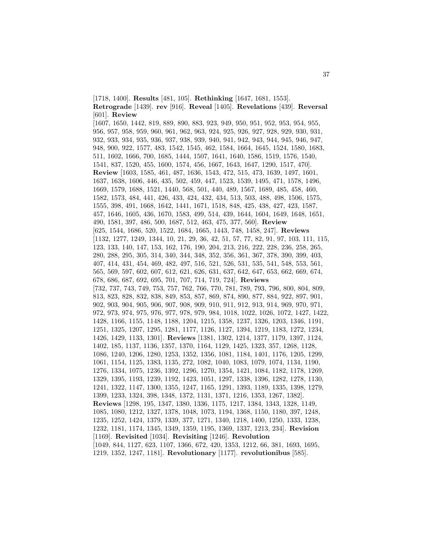[1718, 1400]. **Results** [481, 105]. **Rethinking** [1647, 1681, 1553]. **Retrograde** [1439]. **rev** [916]. **Reveal** [1405]. **Revelations** [439]. **Reversal** [601]. **Review**

[1607, 1650, 1442, 819, 889, 890, 883, 923, 949, 950, 951, 952, 953, 954, 955, 956, 957, 958, 959, 960, 961, 962, 963, 924, 925, 926, 927, 928, 929, 930, 931, 932, 933, 934, 935, 936, 937, 938, 939, 940, 941, 942, 943, 944, 945, 946, 947, 948, 900, 922, 1577, 483, 1542, 1545, 462, 1584, 1664, 1645, 1524, 1580, 1683, 511, 1602, 1666, 700, 1685, 1444, 1507, 1641, 1640, 1586, 1519, 1576, 1540, 1541, 837, 1520, 455, 1600, 1574, 456, 1667, 1643, 1647, 1290, 1517, 470]. **Review** [1603, 1585, 461, 487, 1636, 1543, 472, 515, 473, 1639, 1497, 1601, 1637, 1638, 1606, 446, 435, 502, 459, 447, 1523, 1539, 1495, 471, 1578, 1496, 1669, 1579, 1688, 1521, 1440, 568, 501, 440, 489, 1567, 1689, 485, 458, 460, 1582, 1573, 484, 441, 426, 433, 424, 432, 434, 513, 503, 488, 498, 1506, 1575, 1555, 398, 491, 1668, 1642, 1441, 1671, 1518, 848, 425, 438, 427, 423, 1587, 457, 1646, 1605, 436, 1670, 1583, 499, 514, 439, 1644, 1604, 1649, 1648, 1651, 490, 1581, 397, 486, 500, 1687, 512, 463, 475, 377, 560]. **Review** [625, 1544, 1686, 520, 1522, 1684, 1665, 1443, 748, 1458, 247]. **Reviews** [1132, 1277, 1249, 1344, 10, 21, 29, 36, 42, 51, 57, 77, 82, 91, 97, 103, 111, 115, 123, 133, 140, 147, 153, 162, 176, 190, 204, 213, 216, 222, 228, 236, 258, 265, 280, 288, 295, 305, 314, 340, 344, 348, 352, 356, 361, 367, 378, 390, 399, 403, 407, 414, 431, 454, 469, 482, 497, 516, 521, 526, 531, 535, 541, 548, 553, 561, 565, 569, 597, 602, 607, 612, 621, 626, 631, 637, 642, 647, 653, 662, 669, 674, 678, 686, 687, 692, 695, 701, 707, 714, 719, 724]. **Reviews** [732, 737, 743, 749, 753, 757, 762, 766, 770, 781, 789, 793, 796, 800, 804, 809, 813, 823, 828, 832, 838, 849, 853, 857, 869, 874, 890, 877, 884, 922, 897, 901, 902, 903, 904, 905, 906, 907, 908, 909, 910, 911, 912, 913, 914, 969, 970, 971, 972, 973, 974, 975, 976, 977, 978, 979, 984, 1018, 1022, 1026, 1072, 1427, 1422, 1428, 1166, 1155, 1148, 1188, 1204, 1215, 1358, 1237, 1326, 1203, 1346, 1191, 1251, 1325, 1207, 1295, 1281, 1177, 1126, 1127, 1394, 1219, 1183, 1272, 1234, 1426, 1429, 1133, 1301]. **Reviews** [1381, 1302, 1214, 1377, 1179, 1397, 1124, 1402, 185, 1137, 1136, 1357, 1370, 1164, 1129, 1425, 1323, 357, 1268, 1128, 1086, 1240, 1206, 1280, 1253, 1352, 1356, 1081, 1184, 1401, 1176, 1205, 1299, 1061, 1154, 1125, 1383, 1135, 272, 1082, 1040, 1083, 1079, 1074, 1134, 1190, 1276, 1334, 1075, 1236, 1392, 1296, 1270, 1354, 1421, 1084, 1182, 1178, 1269, 1329, 1395, 1193, 1239, 1192, 1423, 1051, 1297, 1338, 1396, 1282, 1278, 1130, 1241, 1322, 1147, 1300, 1355, 1247, 1165, 1291, 1393, 1189, 1335, 1398, 1279, 1399, 1233, 1324, 398, 1348, 1372, 1131, 1371, 1216, 1353, 1267, 1382]. **Reviews** [1298, 195, 1347, 1380, 1336, 1175, 1217, 1384, 1343, 1328, 1149, 1085, 1080, 1212, 1327, 1378, 1048, 1073, 1194, 1368, 1150, 1180, 397, 1248, 1235, 1252, 1424, 1379, 1339, 377, 1271, 1340, 1218, 1400, 1250, 1333, 1238, 1232, 1181, 1174, 1345, 1349, 1359, 1195, 1369, 1337, 1213, 234]. **Revision** [1169]. **Revisited** [1034]. **Revisiting** [1246]. **Revolution** [1049, 844, 1127, 623, 1107, 1366, 672, 420, 1353, 1212, 66, 381, 1693, 1695, 1219, 1352, 1247, 1181]. **Revolutionary** [1177]. **revolutionibus** [585].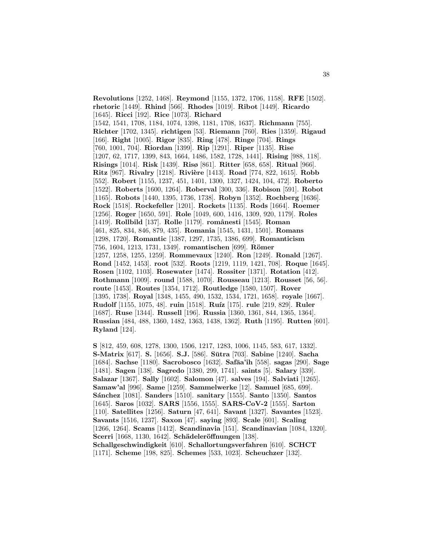**Revolutions** [1252, 1468]. **Reymond** [1155, 1372, 1706, 1158]. **RFE** [1502]. **rhetoric** [1449]. **Rhind** [566]. **Rhodes** [1019]. **Ribot** [1449]. **Ricardo** [1645]. **Ricci** [192]. **Rice** [1073]. **Richard** [1542, 1541, 1708, 1184, 1074, 1398, 1181, 1708, 1637]. **Richmann** [755]. **Richter** [1702, 1345]. **richtigen** [53]. **Riemann** [760]. **Ries** [1359]. **Rigaud** [166]. **Right** [1005]. **Rigor** [835]. **Ring** [478]. **Ringe** [704]. **Rings** [760, 1001, 704]. **Riordan** [1399]. **Rip** [1291]. **Riper** [1135]. **Rise** [1207, 62, 1717, 1399, 843, 1664, 1486, 1582, 1728, 1441]. **Rising** [988, 118]. **Risings** [1014]. **Risk** [1439]. **Risø** [861]. **Ritter** [658, 658]. **Ritual** [966]. **Ritz** [967]. **Rivalry** [1218]. **Rivière** [1413]. **Road** [774, 822, 1615]. **Robb** [552]. **Robert** [1155, 1237, 451, 1401, 1300, 1327, 1424, 104, 472]. **Roberto** [1522]. **Roberts** [1600, 1264]. **Roberval** [300, 336]. **Robison** [591]. **Robot** [1165]. **Robots** [1440, 1395, 1736, 1738]. **Robyn** [1352]. **Rochberg** [1636]. **Rock** [1518]. **Rockefeller** [1201]. **Rockets** [1135]. **Rods** [1664]. **Roemer** [1256]. **Roger** [1650, 591]. **Role** [1049, 600, 1416, 1309, 920, 1179]. **Roles** [1419]. **Rollbild** [137]. **Rolle** [1179]. **romˆanesti** [1545]. **Roman** [461, 825, 834, 846, 879, 435]. **Romania** [1545, 1431, 1501]. **Romans** [1298, 1720]. **Romantic** [1387, 1297, 1735, 1386, 699]. **Romanticism** [756, 1604, 1213, 1731, 1349]. **romantischen** [699]. **Römer** [1257, 1258, 1255, 1259]. **Rommevaux** [1240]. **Ron** [1249]. **Ronald** [1267]. **Rond** [1452, 1453]. **root** [532]. **Roots** [1219, 1119, 1421, 708]. **Roque** [1645]. **Rosen** [1102, 1103]. **Rosewater** [1474]. **Rossiter** [1371]. **Rotation** [412]. **Rothmann** [1009]. **round** [1588, 1070]. **Rousseau** [1213]. **Rousset** [56, 56]. **route** [1453]. **Routes** [1354, 1712]. **Routledge** [1580, 1507]. **Rover** [1395, 1738]. **Royal** [1348, 1455, 490, 1532, 1534, 1721, 1658]. **royale** [1667]. **Rudolf** [1155, 1075, 48]. **ruin** [1518]. **Ru´ız** [175]. **rule** [219, 829]. **Ruler** [1687]. **Ruse** [1344]. **Russell** [196]. **Russia** [1360, 1361, 844, 1365, 1364]. **Russian** [484, 488, 1360, 1482, 1363, 1438, 1362]. **Ruth** [1195]. **Rutten** [601]. **Ryland** [124].

**S** [812, 459, 608, 1278, 1300, 1506, 1217, 1283, 1006, 1145, 583, 617, 1332]. **S-Matrix** [617]. **S.** [1656]. **S.J.** [586]. **S¯utra** [703]. **Sabine** [1240]. **Sacha** [1684]. **Sachse** [1180]. **Sacrobosco** [1632]. **Safāa'ih** [558]. **sagas** [290]. **Sage** [1481]. **Sagen** [138]. **Sagredo** [1380, 299, 1741]. **saints** [5]. **Salary** [339]. **Salazar** [1367]. **Sally** [1602]. **Salomon** [47]. **salves** [194]. **Salviati** [1265]. **Samaw'al** [996]. **Same** [1259]. **Sammelwerke** [12]. **Samuel** [685, 699]. **S´anchez** [1081]. **Sanders** [1510]. **sanitary** [1555]. **Santo** [1350]. **Santos** [1645]. **Saros** [1032]. **SARS** [1556, 1555]. **SARS-CoV-2** [1555]. **Sarton** [110]. **Satellites** [1256]. **Saturn** [47, 641]. **Savant** [1327]. **Savantes** [1523]. **Savants** [1516, 1237]. **Saxon** [47]. **saying** [893]. **Scale** [601]. **Scaling** [1266, 1264]. **Scams** [1412]. **Scandinavia** [151]. **Scandinavian** [1084, 1320]. **Scerri** [1668, 1130, 1642]. **Schädeleröffnungen** [138]. **Schallgeschwindigkeit** [610]. **Schallortungsverfahren** [610]. **SCHCT** [1171]. **Scheme** [198, 825]. **Schemes** [533, 1023]. **Scheuchzer** [132].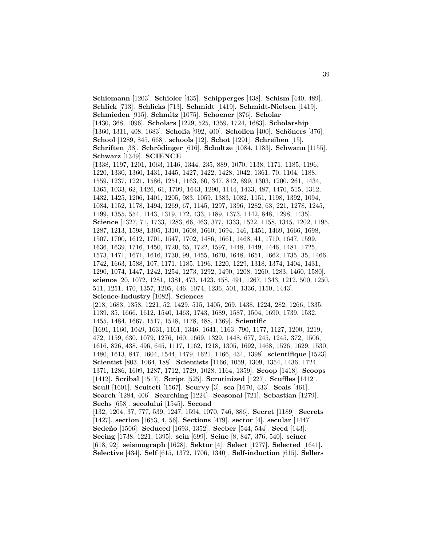**Schiemann** [1203]. **Schioler** [435]. **Schipperges** [438]. **Schism** [440, 489]. **Schlick** [713]. **Schlicks** [713]. **Schmidt** [1419]. **Schmidt-Nielsen** [1419]. **Schmieden** [915]. **Schmitz** [1075]. **Schoener** [376]. **Scholar** [1430, 368, 1096]. **Scholars** [1229, 525, 1359, 1724, 1683]. **Scholarship** [1360, 1311, 408, 1683]. **Scholia** [992, 400]. **Scholien** [400]. **Schöners** [376]. **School** [1289, 845, 668]. **schools** [12]. **Schot** [1291]. **Schreiben** [15]. **Schriften** [38]. **Schr¨odinger** [616]. **Schultze** [1084, 1183]. **Schwann** [1155]. **Schwarz** [1349]. **SCIENCE** [1338, 1197, 1201, 1063, 1146, 1344, 235, 889, 1070, 1138, 1171, 1185, 1196, 1220, 1330, 1360, 1431, 1445, 1427, 1422, 1428, 1042, 1361, 70, 1104, 1188, 1559, 1237, 1221, 1586, 1251, 1163, 60, 347, 812, 899, 1303, 1200, 261, 1434, 1365, 1033, 62, 1426, 61, 1709, 1643, 1290, 1144, 1433, 487, 1470, 515, 1312, 1432, 1425, 1206, 1401, 1205, 983, 1059, 1383, 1082, 1151, 1198, 1392, 1094, 1084, 1152, 1178, 1494, 1269, 67, 1145, 1297, 1396, 1282, 63, 221, 1278, 1245, 1199, 1355, 554, 1143, 1319, 172, 433, 1189, 1373, 1142, 848, 1298, 1435]. **Science** [1327, 71, 1733, 1283, 66, 463, 377, 1333, 1522, 1158, 1345, 1202, 1195, 1287, 1213, 1598, 1305, 1310, 1608, 1660, 1694, 146, 1451, 1469, 1666, 1698, 1507, 1700, 1612, 1701, 1547, 1702, 1486, 1661, 1468, 41, 1710, 1647, 1599, 1636, 1639, 1716, 1450, 1720, 65, 1722, 1597, 1448, 1449, 1446, 1481, 1725, 1573, 1471, 1671, 1616, 1730, 99, 1455, 1670, 1648, 1651, 1662, 1735, 35, 1466, 1742, 1663, 1588, 107, 1171, 1185, 1196, 1220, 1229, 1318, 1374, 1404, 1431, 1290, 1074, 1447, 1242, 1254, 1273, 1292, 1490, 1208, 1260, 1283, 1460, 1580]. **science** [20, 1072, 1281, 1381, 473, 1423, 458, 491, 1267, 1343, 1212, 500, 1250, 511, 1251, 470, 1357, 1205, 446, 1074, 1236, 501, 1336, 1150, 1443]. **Science-Industry** [1082]. **Sciences** [218, 1683, 1358, 1221, 52, 1429, 515, 1405, 269, 1438, 1224, 282, 1266, 1335, 1139, 35, 1666, 1612, 1540, 1463, 1743, 1689, 1587, 1504, 1690, 1739, 1532, 1455, 1484, 1667, 1517, 1518, 1178, 488, 1369]. **Scientific** [1691, 1160, 1049, 1631, 1161, 1346, 1641, 1163, 790, 1177, 1127, 1200, 1219, 472, 1159, 630, 1079, 1276, 160, 1669, 1329, 1448, 677, 245, 1245, 372, 1506, 1616, 826, 438, 496, 645, 1117, 1162, 1218, 1305, 1692, 1468, 1526, 1629, 1530, 1480, 1613, 847, 1604, 1544, 1479, 1621, 1166, 434, 1398]. **scientifique** [1523]. **Scientist** [803, 1064, 188]. **Scientists** [1166, 1059, 1309, 1354, 1436, 1724, 1371, 1286, 1609, 1287, 1712, 1729, 1028, 1164, 1359]. **Scoop** [1418]. **Scoops** [1412]. **Scribal** [1517]. **Script** [525]. **Scrutinized** [1227]. **Scuffles** [1412]. **Scull** [1601]. **Sculteti** [1567]. **Scurvy** [3]. **sea** [1670, 433]. **Seals** [461]. **Search** [1284, 406]. **Searching** [1224]. **Seasonal** [721]. **Sebastian** [1279]. **Sechs** [658]. **secolului** [1545]. **Second** [132, 1204, 37, 777, 539, 1247, 1594, 1070, 746, 886]. **Secret** [1189]. **Secrets** [1427]. **section** [1653, 4, 56]. **Sections** [479]. **sector** [4]. **secular** [1447]. **Sede˜no** [1506]. **Seduced** [1693, 1352]. **Seeber** [544, 544]. **Seed** [143]. **Seeing** [1738, 1221, 1395]. **sein** [699]. **Seine** [8, 847, 376, 540]. **seiner** [618, 92]. **seismograph** [1628]. **Sektor** [4]. **Select** [1277]. **Selected** [1641]. **Selective** [434]. **Self** [615, 1372, 1706, 1340]. **Self-induction** [615]. **Sellers**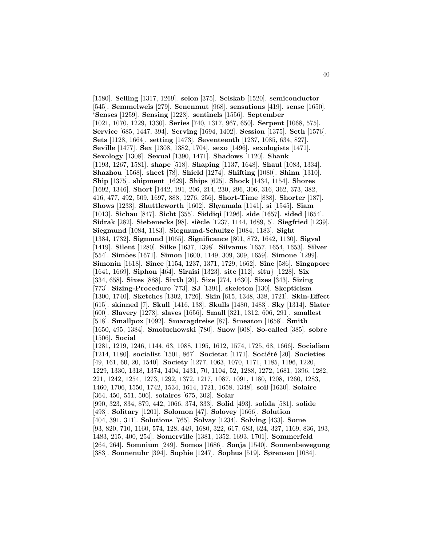[1580]. **Selling** [1317, 1269]. **selon** [375]. **Selskab** [1520]. **semiconductor** [545]. **Semmelweis** [279]. **Senenmut** [968]. **sensations** [419]. **sense** [1650]. **'Senses** [1259]. **Sensing** [1228]. **sentinels** [1556]. **September** [1021, 1070, 1229, 1330]. **Series** [740, 1317, 967, 650]. **Serpent** [1068, 575]. **Service** [685, 1447, 394]. **Serving** [1694, 1402]. **Session** [1375]. **Seth** [1576]. **Sets** [1128, 1664]. **setting** [1473]. **Seventeenth** [1237, 1085, 634, 827]. **Seville** [1477]. **Sex** [1308, 1382, 1704]. **sexo** [1496]. **sexologists** [1471]. **Sexology** [1308]. **Sexual** [1390, 1471]. **Shadows** [1120]. **Shank** [1193, 1267, 1581]. **shape** [518]. **Shaping** [1137, 1648]. **Shaul** [1083, 1334]. **Shazhou** [1568]. **sheet** [78]. **Shield** [1274]. **Shifting** [1080]. **Shinn** [1310]. **Ship** [1375]. **shipment** [1629]. **Ships** [625]. **Shock** [1434, 1154]. **Shores** [1692, 1346]. **Short** [1442, 191, 206, 214, 230, 296, 306, 316, 362, 373, 382, 416, 477, 492, 509, 1697, 888, 1276, 256]. **Short-Time** [888]. **Shorter** [187]. **Shows** [1233]. **Shuttleworth** [1602]. **Shyamala** [1141]. **si** [1545]. **Siam** [1013]. **Sichau** [847]. **Sicht** [355]. **Siddiqi** [1296]. **side** [1657]. **sided** [1654]. **Sidrak** [282]. **Siebenecks** [98]. **si`ecle** [1237, 1144, 1689, 5]. **Siegfried** [1239]. **Siegmund** [1084, 1183]. **Siegmund-Schultze** [1084, 1183]. **Sight** [1384, 1732]. **Sigmund** [1065]. **Significance** [801, 872, 1642, 1130]. **Sigval** [1419]. **Silent** [1280]. **Silke** [1637, 1398]. **Silvanus** [1657, 1654, 1653]. **Silver** [554]. **Sim˜oes** [1671]. **Simon** [1600, 1149, 309, 309, 1659]. **Simone** [1299]. **Simonin** [1618]. **Since** [1154, 1237, 1371, 1729, 1662]. **Sine** [586]. **Singapore** [1641, 1669]. **Siphon** [464]. **Siraisi** [1323]. **site** [112]. **situ**} [1228]. **Six** [334, 658]. **Sixes** [888]. **Sixth** [20]. **Size** [274, 1630]. **Sizes** [343]. **Sizing** [773]. **Sizing-Procedure** [773]. **SJ** [1391]. **skeleton** [130]. **Skepticism** [1300, 1740]. **Sketches** [1302, 1726]. **Skin** [615, 1348, 338, 1721]. **Skin-Effect** [615]. **skinned** [7]. **Skull** [1416, 138]. **Skulls** [1480, 1483]. **Sky** [1314]. **Slater** [600]. **Slavery** [1278]. **slaves** [1656]. **Small** [321, 1312, 606, 291]. **smallest** [518]. **Smallpox** [1092]. **Smaragdreise** [87]. **Smeaton** [1658]. **Smith** [1650, 495, 1384]. **Smoluchowski** [780]. **Snow** [608]. **So-called** [385]. **sobre** [1506]. **Social** [1281, 1219, 1246, 1144, 63, 1088, 1195, 1612, 1574, 1725, 68, 1666]. **Socialism** [1214, 1180]. **socialist** [1501, 867]. **Societat** [1171]. **Société** [20]. **Societies** [49, 161, 60, 20, 1540]. **Society** [1277, 1063, 1070, 1171, 1185, 1196, 1220, 1229, 1330, 1318, 1374, 1404, 1431, 70, 1104, 52, 1288, 1272, 1681, 1396, 1282, 221, 1242, 1254, 1273, 1292, 1372, 1217, 1087, 1091, 1180, 1208, 1260, 1283, 1460, 1706, 1550, 1742, 1534, 1614, 1721, 1658, 1348]. **soil** [1630]. **Solaire** [364, 450, 551, 506]. **solaires** [675, 302]. **Solar** [990, 323, 834, 879, 442, 1066, 374, 333]. **Solid** [493]. **solida** [581]. **solide** [493]. **Solitary** [1201]. **Solomon** [47]. **Solovey** [1666]. **Solution** [404, 391, 311]. **Solutions** [765]. **Solvay** [1234]. **Solving** [433]. **Some** [93, 820, 710, 1160, 574, 128, 449, 1680, 322, 617, 683, 624, 327, 1169, 836, 193, 1483, 215, 400, 254]. **Somerville** [1381, 1352, 1693, 1701]. **Sommerfeld** [264, 264]. **Somnium** [249]. **Somos** [1686]. **Sonja** [1540]. **Sonnenbewegung** [383]. **Sonnenuhr** [394]. **Sophie** [1247]. **Sophus** [519]. **Sørensen** [1084].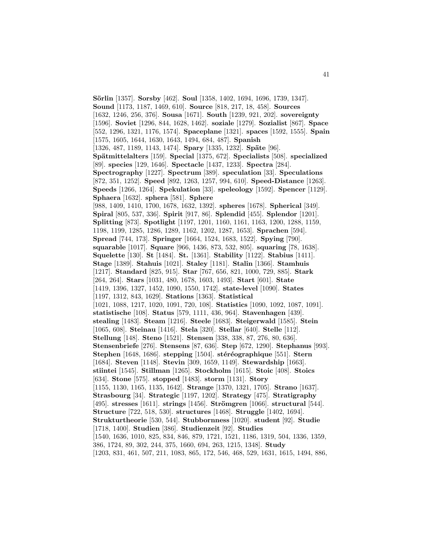**S¨orlin** [1357]. **Sorsby** [462]. **Soul** [1358, 1402, 1694, 1696, 1739, 1347]. **Sound** [1173, 1187, 1469, 610]. **Source** [818, 217, 18, 458]. **Sources** [1632, 1246, 256, 376]. **Sousa** [1671]. **South** [1239, 921, 202]. **sovereignty** [1596]. **Soviet** [1296, 844, 1628, 1462]. **soziale** [1279]. **Sozialist** [867]. **Space** [552, 1296, 1321, 1176, 1574]. **Spaceplane** [1321]. **spaces** [1592, 1555]. **Spain** [1575, 1605, 1644, 1630, 1643, 1494, 684, 487]. **Spanish** [1326, 487, 1189, 1143, 1474]. **Spary** [1335, 1232]. **Späte** [96]. **Sp¨atmittelalters** [159]. **Special** [1375, 672]. **Specialists** [508]. **specialized** [89]. **species** [129, 1646]. **Spectacle** [1437, 1233]. **Spectra** [284]. **Spectrography** [1227]. **Spectrum** [389]. **speculation** [33]. **Speculations** [872, 351, 1252]. **Speed** [892, 1263, 1257, 994, 610]. **Speed-Distance** [1263]. **Speeds** [1266, 1264]. **Spekulation** [33]. **speleology** [1592]. **Spencer** [1129]. **Sphaera** [1632]. **sphera** [581]. **Sphere** [988, 1409, 1410, 1700, 1678, 1632, 1392]. **spheres** [1678]. **Spherical** [349]. **Spiral** [805, 537, 336]. **Spirit** [917, 86]. **Splendid** [455]. **Splendor** [1201]. **Splitting** [873]. **Spotlight** [1197, 1201, 1160, 1161, 1163, 1200, 1288, 1159, 1198, 1199, 1285, 1286, 1289, 1162, 1202, 1287, 1653]. **Sprachen** [594]. **Spread** [744, 173]. **Springer** [1664, 1524, 1683, 1522]. **Spying** [790]. **squarable** [1017]. **Square** [966, 1436, 873, 532, 805]. **squaring** [78, 1638]. **Squelette** [130]. **St** [1484]. **St.** [1361]. **Stability** [1122]. **Stabius** [1411]. **Stage** [1389]. **Stahuis** [1021]. **Staley** [1181]. **Stalin** [1366]. **Stamhuis** [1217]. **Standard** [825, 915]. **Star** [767, 656, 821, 1000, 729, 885]. **Stark** [264, 264]. **Stars** [1031, 480, 1678, 1603, 1493]. **Start** [601]. **State** [1419, 1396, 1327, 1452, 1090, 1550, 1742]. **state-level** [1090]. **States** [1197, 1312, 843, 1629]. **Stations** [1363]. **Statistical** [1021, 1088, 1217, 1020, 1091, 720, 108]. **Statistics** [1090, 1092, 1087, 1091]. **statistische** [108]. **Status** [579, 1111, 436, 964]. **Stavenhagen** [439]. **stealing** [1483]. **Steam** [1216]. **Steele** [1683]. **Steigerwald** [1585]. **Stein** [1065, 608]. **Steinau** [1416]. **Stela** [320]. **Stellar** [640]. **Stelle** [112]. **Stellung** [148]. **Steno** [1521]. **Stensen** [338, 338, 87, 276, 80, 636]. **Stensenbriefe** [276]. **Stensens** [87, 636]. **Step** [672, 1290]. **Stephanus** [993]. **Stephen** [1648, 1686]. **stepping** [1504]. **stéréographique** [551]. **Stern** [1684]. **Steven** [1148]. **Stevin** [309, 1659, 1149]. **Stewardship** [1663]. **stiintei** [1545]. **Stillman** [1265]. **Stockholm** [1615]. **Stoic** [408]. **Stoics** [634]. **Stone** [575]. **stopped** [1483]. **storm** [1131]. **Story** [1155, 1130, 1165, 1135, 1642]. **Strange** [1370, 1321, 1705]. **Strano** [1637]. **Strasbourg** [34]. **Strategic** [1197, 1202]. **Strategy** [475]. **Stratigraphy** [495]. **stresses** [1611]. **strings** [1456]. **Str¨omgren** [1066]. **structural** [544]. **Structure** [722, 518, 530]. **structures** [1468]. **Struggle** [1402, 1694]. **Strukturtheorie** [530, 544]. **Stubbornness** [1020]. **student** [92]. **Studie** [1718, 1400]. **Studien** [386]. **Studienzeit** [92]. **Studies** [1540, 1636, 1010, 825, 834, 846, 879, 1721, 1521, 1186, 1319, 504, 1336, 1359, 386, 1724, 89, 302, 244, 375, 1660, 694, 263, 1215, 1348]. **Study** [1203, 831, 461, 507, 211, 1083, 865, 172, 546, 468, 529, 1631, 1615, 1494, 886,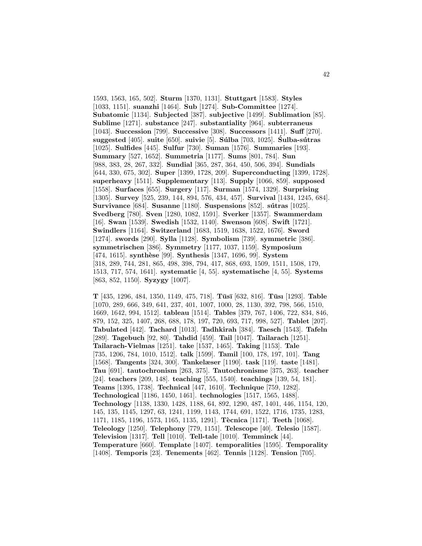1593, 1563, 165, 502]. **Sturm** [1370, 1131]. **Stuttgart** [1583]. **Styles** [1033, 1151]. **suanzhi** [1464]. **Sub** [1274]. **Sub-Committee** [1274]. **Subatomic** [1134]. **Subjected** [387]. **subjective** [1499]. **Sublimation** [85]. **Sublime** [1271]. **substance** [247]. **substantiality** [964]. **subterraneus** [1043]. **Succession** [799]. **Successive** [308]. **Successors** [1411]. **Suff** [270]. **suggested** [405]. **suite** [650]. **suivie** [5]. **S´ulba** [703, 1025]. **Sulba-s´ ´ utras** [1025]. **Sulfides** [445]. **Sulfur** [730]. **Suman** [1576]. **Summaries** [193]. **Summary** [527, 1652]. **Summetria** [1177]. **Sums** [801, 784]. **Sun** [988, 383, 28, 267, 332]. **Sundial** [365, 287, 364, 450, 506, 394]. **Sundials** [644, 330, 675, 302]. **Super** [1399, 1728, 209]. **Superconducting** [1399, 1728]. **superheavy** [1511]. **Supplementary** [113]. **Supply** [1066, 859]. **supposed** [1558]. **Surfaces** [655]. **Surgery** [117]. **Surman** [1574, 1329]. **Surprising** [1305]. **Survey** [525, 239, 144, 894, 576, 434, 457]. **Survival** [1434, 1245, 684]. **Survivance** [684]. **Susanne** [1180]. **Suspensions** [852]. **sútras** [1025]. **Svedberg** [780]. **Sven** [1280, 1082, 1591]. **Sverker** [1357]. **Swammerdam** [16]. **Swan** [1539]. **Swedish** [1532, 1140]. **Swenson** [608]. **Swift** [1721]. **Swindlers** [1164]. **Switzerland** [1683, 1519, 1638, 1522, 1676]. **Sword** [1274]. **swords** [290]. **Sylla** [1128]. **Symbolism** [739]. **symmetric** [386]. **symmetrischen** [386]. **Symmetry** [1177, 1037, 1159]. **Symposium** [474, 1615]. **synth`ese** [99]. **Synthesis** [1347, 1696, 99]. **System** [318, 289, 744, 281, 865, 498, 398, 794, 417, 868, 693, 1509, 1511, 1508, 179, 1513, 717, 574, 1641]. **systematic** [4, 55]. **systematische** [4, 55]. **Systems** [863, 852, 1150]. **Syzygy** [1007].

**T** [435, 1296, 484, 1350, 1149, 475, 718]. **Tūsī** [632, 816]. **Tūsi** [1293]. **Table** [1070, 289, 666, 349, 641, 237, 401, 1007, 1000, 28, 1130, 392, 798, 566, 1510, 1669, 1642, 994, 1512]. **tableau** [1514]. **Tables** [379, 767, 1406, 722, 834, 846, 879, 152, 325, 1407, 268, 688, 178, 197, 720, 693, 717, 998, 527]. **Tablet** [207]. **Tabulated** [442]. **Tachard** [1013]. **Tadhkirah** [384]. **Taesch** [1543]. **Tafeln** [289]. **Tagebuch** [92, 80]. **Tahdid** [459]. **Tail** [1047]. **Tailarach** [1251]. **Tailarach-Vielmas** [1251]. **take** [1537, 1465]. **Taking** [1153]. **Tale** [735, 1206, 784, 1010, 1512]. **talk** [1599]. **Tamil** [100, 178, 197, 101]. **Tang** [1568]. **Tangents** [324, 300]. **Tankelæser** [1190]. **task** [119]. **taste** [1481]. **Tau** [691]. **tautochronism** [263, 375]. **Tautochronisme** [375, 263]. **teacher** [24]. **teachers** [209, 148]. **teaching** [555, 1540]. **teachings** [139, 54, 181]. **Teams** [1395, 1738]. **Technical** [447, 1610]. **Technique** [759, 1282]. **Technological** [1186, 1450, 1461]. **technologies** [1517, 1565, 1488]. **Technology** [1138, 1330, 1428, 1188, 64, 892, 1290, 487, 1401, 446, 1154, 120, 145, 135, 1145, 1297, 63, 1241, 1199, 1143, 1744, 691, 1522, 1716, 1735, 1283, 1171, 1185, 1196, 1573, 1165, 1135, 1291]. **T`ecnica** [1171]. **Teeth** [1068]. **Teleology** [1250]. **Telephony** [779, 1151]. **Telescope** [40]. **Telesio** [1587]. **Television** [1317]. **Tell** [1010]. **Tell-tale** [1010]. **Temminck** [44]. **Temperature** [660]. **Template** [1407]. **temporalities** [1595]. **Temporality** [1408]. **Temporis** [23]. **Tenements** [462]. **Tennis** [1128]. **Tension** [705].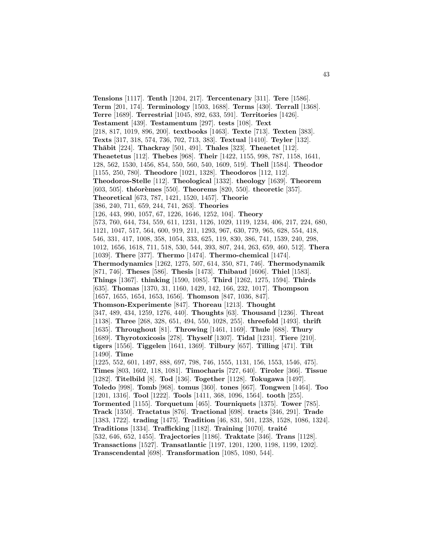**Tensions** [1117]. **Tenth** [1204, 217]. **Tercentenary** [311]. **Tere** [1586]. **Term** [201, 174]. **Terminology** [1503, 1688]. **Terms** [430]. **Terrall** [1368]. **Terre** [1689]. **Terrestrial** [1045, 892, 633, 591]. **Territories** [1426]. **Testament** [439]. **Testamentum** [297]. **tests** [108]. **Text** [218, 817, 1019, 896, 200]. **textbooks** [1463]. **Texte** [713]. **Texten** [383]. **Texts** [317, 318, 574, 736, 702, 713, 383]. **Textual** [1410]. **Teyler** [132]. **Th¯abit** [224]. **Thackray** [501, 491]. **Thales** [323]. **Theaetet** [112]. **Theaetetus** [112]. **Thebes** [968]. **Their** [1422, 1155, 998, 787, 1158, 1641, 128, 562, 1530, 1456, 854, 550, 560, 540, 1609, 519]. **Thell** [1584]. **Theodor** [1155, 250, 780]. **Theodore** [1021, 1328]. **Theodoros** [112, 112]. **Theodoros-Stelle** [112]. **Theological** [1332]. **theology** [1639]. **Theorem** [603, 505]. **théorèmes** [550]. **Theorems** [820, 550]. **theoretic** [357]. **Theoretical** [673, 787, 1421, 1520, 1457]. **Theorie** [386, 240, 711, 659, 244, 741, 263]. **Theories** [126, 443, 990, 1057, 67, 1226, 1646, 1252, 104]. **Theory** [573, 760, 644, 734, 559, 611, 1231, 1126, 1029, 1119, 1234, 406, 217, 224, 680, 1121, 1047, 517, 564, 600, 919, 211, 1293, 967, 630, 779, 965, 628, 554, 418, 546, 331, 417, 1008, 358, 1054, 333, 625, 119, 830, 386, 741, 1539, 240, 298, 1012, 1656, 1618, 711, 518, 530, 544, 393, 807, 244, 263, 659, 460, 512]. **Thera** [1039]. **There** [377]. **Thermo** [1474]. **Thermo-chemical** [1474]. **Thermodynamics** [1262, 1275, 507, 614, 350, 871, 746]. **Thermodynamik** [871, 746]. **Theses** [586]. **Thesis** [1473]. **Thibaud** [1606]. **Thiel** [1583]. **Things** [1367]. **thinking** [1590, 1085]. **Third** [1262, 1275, 1594]. **Thirds** [635]. **Thomas** [1370, 31, 1160, 1429, 142, 166, 232, 1017]. **Thompson** [1657, 1655, 1654, 1653, 1656]. **Thomson** [847, 1036, 847]. **Thomson-Experimente** [847]. **Thoreau** [1213]. **Thought** [347, 489, 434, 1259, 1276, 440]. **Thoughts** [63]. **Thousand** [1236]. **Threat** [1138]. **Three** [268, 328, 651, 494, 550, 1028, 255]. **threefold** [1493]. **thrift** [1635]. **Throughout** [81]. **Throwing** [1461, 1169]. **Thule** [688]. **Thury** [1689]. **Thyrotoxicosis** [278]. **Thyself** [1307]. **Tidal** [1231]. **Tiere** [210]. **tigers** [1556]. **Tiggelen** [1641, 1369]. **Tilbury** [657]. **Tilling** [471]. **Tilt** [1490]. **Time** [1225, 552, 601, 1497, 888, 697, 798, 746, 1555, 1131, 156, 1553, 1546, 475]. **Times** [803, 1602, 118, 1081]. **Timocharis** [727, 640]. **Tiroler** [366]. **Tissue** [1282]. **Titelbild** [8]. **Tod** [136]. **Together** [1128]. **Tokugawa** [1497]. **Toledo** [998]. **Tomb** [968]. **tomus** [360]. **tones** [667]. **Tongwen** [1464]. **Too** [1201, 1316]. **Tool** [1222]. **Tools** [1411, 368, 1096, 1564]. **tooth** [255]. **Tormented** [1155]. **Torquetum** [465]. **Tourniquets** [1375]. **Tower** [785]. **Track** [1350]. **Tractatus** [876]. **Tractional** [698]. **tracts** [346, 291]. **Trade** [1383, 1722]. **trading** [1475]. **Tradition** [46, 831, 501, 1238, 1528, 1086, 1324]. **Traditions** [1334]. **Trafficking** [1182]. **Training** [1070]. **traité** [532, 646, 652, 1455]. **Trajectories** [1186]. **Traktate** [346]. **Trans** [1128]. **Transactions** [1527]. **Transatlantic** [1197, 1201, 1200, 1198, 1199, 1202]. **Transcendental** [698]. **Transformation** [1085, 1080, 544].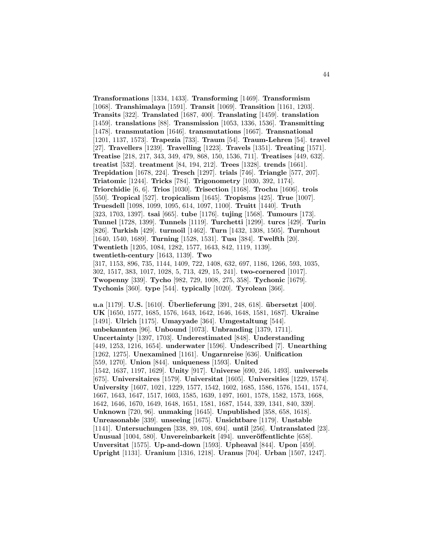**Transformations** [1334, 1433]. **Transforming** [1469]. **Transformism** [1068]. **Transhimalaya** [1591]. **Transit** [1069]. **Transition** [1161, 1203]. **Transits** [322]. **Translated** [1687, 400]. **Translating** [1459]. **translation** [1459]. **translations** [88]. **Transmission** [1053, 1336, 1536]. **Transmitting** [1478]. **transmutation** [1646]. **transmutations** [1667]. **Transnational** [1201, 1137, 1573]. **Trapezia** [733]. **Traum** [54]. **Traum-Lehren** [54]. **travel** [27]. **Travellers** [1239]. **Travelling** [1223]. **Travels** [1351]. **Treating** [1571]. **Treatise** [218, 217, 343, 349, 479, 868, 150, 1536, 711]. **Treatises** [449, 632]. **treatist** [532]. **treatment** [84, 194, 212]. **Trees** [1328]. **trends** [1661]. **Trepidation** [1678, 224]. **Tresch** [1297]. **trials** [746]. **Triangle** [577, 207]. **Triatomic** [1244]. **Tricks** [784]. **Trigonometry** [1030, 392, 1174]. **Triorchidie** [6, 6]. **Trios** [1030]. **Trisection** [1168]. **Trochu** [1606]. **trois** [550]. **Tropical** [527]. **tropicalism** [1645]. **Tropisms** [425]. **True** [1007]. **Truesdell** [1098, 1099, 1095, 614, 1097, 1100]. **Truitt** [1440]. **Truth** [323, 1703, 1397]. **tsai** [665]. **tube** [1176]. **tujing** [1568]. **Tumours** [173]. **Tunnel** [1728, 1399]. **Tunnels** [1119]. **Turchetti** [1299]. **turcs** [429]. **Turin** [826]. **Turkish** [429]. **turmoil** [1462]. **Turn** [1432, 1308, 1505]. **Turnhout** [1640, 1540, 1689]. **Turning** [1528, 1531]. **Tusı** [384]. **Twelfth** [20]. **Twentieth** [1205, 1084, 1282, 1577, 1643, 842, 1119, 1139]. **twentieth-century** [1643, 1139]. **Two** [317, 1153, 896, 735, 1144, 1409, 722, 1408, 632, 697, 1186, 1266, 593, 1035, 302, 1517, 383, 1017, 1028, 5, 713, 429, 15, 241]. **two-cornered** [1017]. **Twopenny** [339]. **Tycho** [982, 729, 1008, 275, 358]. **Tychonic** [1679].

**Tychonis** [360]. **type** [544]. **typically** [1020]. **Tyrolean** [366].

**u.a** [1179]. **U.S.** [1610]. **Überlieferung** [391, 248, 618]. **übersetzt** [400]. **UK** [1650, 1577, 1685, 1576, 1643, 1642, 1646, 1648, 1581, 1687]. **Ukraine** [1491]. **Ulrich** [1175]. **Umayyade** [364]. **Umgestaltung** [544]. **unbekannten** [96]. **Unbound** [1073]. **Unbranding** [1379, 1711]. **Uncertainty** [1397, 1703]. **Underestimated** [848]. **Understanding** [449, 1253, 1216, 1654]. **underwater** [1596]. **Undescribed** [7]. **Unearthing** [1262, 1275]. **Unexamined** [1161]. **Ungarnreise** [636]. **Unification** [559, 1270]. **Union** [844]. **uniqueness** [1593]. **United** [1542, 1637, 1197, 1629]. **Unity** [917]. **Universe** [690, 246, 1493]. **universels** [675]. **Universitaires** [1579]. **Universitat** [1605]. **Universities** [1229, 1574]. **University** [1607, 1021, 1229, 1577, 1542, 1602, 1685, 1586, 1576, 1541, 1574, 1667, 1643, 1647, 1517, 1603, 1585, 1639, 1497, 1601, 1578, 1582, 1573, 1668, 1642, 1646, 1670, 1649, 1648, 1651, 1581, 1687, 1544, 339, 1341, 840, 339]. **Unknown** [720, 96]. **unmaking** [1645]. **Unpublished** [358, 658, 1618]. **Unreasonable** [339]. **unseeing** [1675]. **Unsichtbare** [1179]. **Unstable** [1141]. **Untersuchungen** [338, 89, 108, 694]. **until** [256]. **Untranslated** [23]. **Unusual** [1004, 580]. **Unvereinbarkeit** [494]. **unveröffentlichte** [658]. **Unversitat** [1575]. **Up-and-down** [1593]. **Upheaval** [844]. **Upon** [459]. **Upright** [1131]. **Uranium** [1316, 1218]. **Uranus** [704]. **Urban** [1507, 1247].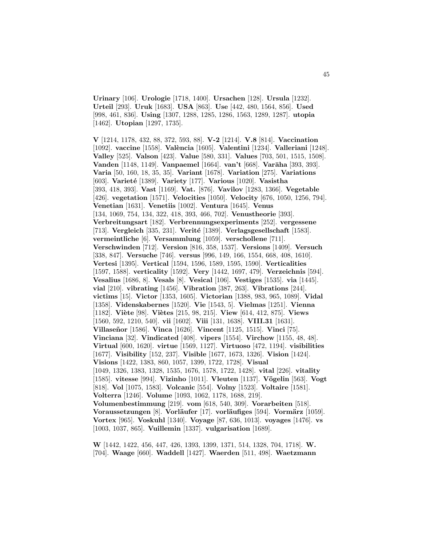**Urinary** [106]. **Urologie** [1718, 1400]. **Ursachen** [128]. **Ursula** [1232]. **Urteil** [293]. **Uruk** [1683]. **USA** [863]. **Use** [442, 480, 1564, 856]. **Used** [998, 461, 836]. **Using** [1307, 1288, 1285, 1286, 1563, 1289, 1287]. **utopia** [1462]. **Utopian** [1297, 1735].

**V** [1214, 1178, 432, 88, 372, 593, 88]. **V-2** [1214]. **V.8** [814]. **Vaccination** [1092]. **vaccine** [1558]. **Val`encia** [1605]. **Valentini** [1234]. **Valleriani** [1248]. **Valley** [525]. **Valson** [423]. **Value** [580, 331]. **Values** [703, 501, 1515, 1508]. **Vanden** [1148, 1149]. **Vanpaemel** [1664]. **van't** [668]. **Varāha** [393, 393]. **Varia** [50, 160, 18, 35, 35]. **Variant** [1678]. **Variation** [275]. **Variations** [603]. **Variet´e** [1389]. **Variety** [177]. **Various** [1020]. **Vasistha** [393, 418, 393]. **Vast** [1169]. **Vat.** [876]. **Vavilov** [1283, 1366]. **Vegetable** [426]. **vegetation** [1571]. **Velocities** [1050]. **Velocity** [676, 1050, 1256, 794]. **Venetian** [1631]. **Venetiis** [1002]. **Ventura** [1645]. **Venus** [134, 1069, 754, 134, 322, 418, 393, 466, 702]. **Venustheorie** [393]. **Verbreitungsart** [182]. **Verbrennungsexperiments** [252]. **vergessene** [713]. **Vergleich** [335, 231]. **Verité** [1389]. **Verlagsgesellschaft** [1583]. **vermeintliche** [6]. **Versammlung** [1059]. **verschollene** [711]. **Verschwinden** [712]. **Version** [816, 358, 1537]. **Versions** [1409]. **Versuch** [338, 847]. **Versuche** [746]. **versus** [996, 149, 166, 1554, 668, 408, 1610]. **Vertesi** [1395]. **Vertical** [1594, 1596, 1589, 1595, 1590]. **Verticalities** [1597, 1588]. **verticality** [1592]. **Very** [1442, 1697, 479]. **Verzeichnis** [594]. **Vesalius** [1686, 8]. **Vesals** [8]. **Vesical** [106]. **Vestiges** [1535]. **via** [1445]. **vial** [210]. **vibrating** [1456]. **Vibration** [387, 263]. **Vibrations** [244]. **victims** [15]. **Victor** [1353, 1605]. **Victorian** [1388, 983, 965, 1089]. **Vidal** [1358]. **Videnskabernes** [1520]. **Vie** [1543, 5]. **Vielmas** [1251]. **Vienna** [1182]. **Vi`ete** [98]. **Vi`etes** [215, 98, 215]. **View** [614, 412, 875]. **Views** [1560, 592, 1210, 540]. **vii** [1602]. **Viii** [131, 1638]. **VIII.31** [1631]. **Villase˜nor** [1586]. **Vinca** [1626]. **Vincent** [1125, 1515]. **Vinci** [75]. **Vinciana** [32]. **Vindicated** [408]. **vipers** [1554]. **Virchow** [1155, 48, 48]. **Virtual** [600, 1620]. **virtue** [1569, 1127]. **Virtuoso** [472, 1194]. **visibilities** [1677]. **Visibility** [152, 237]. **Visible** [1677, 1673, 1326]. **Vision** [1424]. **Visions** [1422, 1383, 860, 1057, 1399, 1722, 1728]. **Visual** [1049, 1326, 1383, 1328, 1535, 1676, 1578, 1722, 1428]. **vital** [226]. **vitality** [1585]. **vitesse** [994]. **Vizinho** [1011]. **Vleuten** [1137]. **V¨ogelin** [563]. **Vogt** [818]. **Vol** [1075, 1583]. **Volcanic** [554]. **Volny** [1523]. **Voltaire** [1581]. **Volterra** [1246]. **Volume** [1093, 1062, 1178, 1688, 219]. **Volumenbestimmung** [219]. **vom** [618, 540, 309]. **Vorarbeiten** [518]. **Voraussetzungen** [8]. **Vorläufer** [17]. **vorläufiges** [594]. **Vormärz** [1059]. **Vortex** [965]. **Voskuhl** [1340]. **Voyage** [87, 636, 1013]. **voyages** [1476]. **vs** [1003, 1037, 865]. **Vuillemin** [1337]. **vulgarisation** [1689].

**W** [1442, 1422, 456, 447, 426, 1393, 1399, 1371, 514, 1328, 704, 1718]. **W.** [704]. **Waage** [660]. **Waddell** [1427]. **Waerden** [511, 498]. **Waetzmann**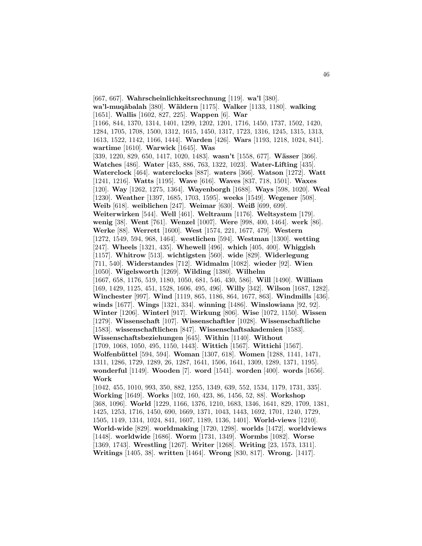[667, 667]. **Wahrscheinlichkeitsrechnung** [119]. **wa'l** [380]. **wa'l-muq¯abalah** [380]. **W¨aldern** [1175]. **Walker** [1133, 1180]. **walking** [1651]. **Wallis** [1602, 827, 225]. **Wappen** [6]. **War** [1166, 844, 1370, 1314, 1401, 1299, 1202, 1201, 1716, 1450, 1737, 1502, 1420, 1284, 1705, 1708, 1500, 1312, 1615, 1450, 1317, 1723, 1316, 1245, 1315, 1313, 1613, 1522, 1142, 1166, 1444]. **Warden** [426]. **Wars** [1193, 1218, 1024, 841]. **wartime** [1610]. **Warwick** [1645]. **Was** [339, 1220, 829, 650, 1417, 1020, 1483]. **wasn't** [1558, 677]. **Wässer** [366]. **Watches** [486]. **Water** [435, 886, 763, 1322, 1023]. **Water-Lifting** [435]. **Waterclock** [464]. **waterclocks** [887]. **waters** [366]. **Watson** [1272]. **Watt** [1241, 1216]. **Watts** [1195]. **Wave** [616]. **Waves** [837, 718, 1501]. **Waxes** [120]. **Way** [1262, 1275, 1364]. **Wayenborgh** [1688]. **Ways** [598, 1020]. **Weal** [1230]. **Weather** [1397, 1685, 1703, 1595]. **weeks** [1549]. **Wegener** [508]. **Weib** [618]. **weiblichen** [247]. **Weimar** [630]. **Weiß** [699, 699]. **Weiterwirken** [544]. **Well** [461]. **Weltraum** [1176]. **Weltsystem** [179]. **wenig** [38]. **Went** [761]. **Wenzel** [1007]. **Were** [998, 400, 1464]. **werk** [86]. **Werke** [88]. **Werrett** [1600]. **West** [1574, 221, 1677, 479]. **Western** [1272, 1549, 594, 968, 1464]. **westlichen** [594]. **Westman** [1300]. **wetting** [247]. **Wheels** [1321, 435]. **Whewell** [496]. **which** [405, 400]. **Whiggish** [1157]. **Whitrow** [513]. **wichtigsten** [560]. **wide** [829]. **Widerlegung** [711, 540]. **Widerstandes** [712]. **Widmalm** [1082]. **wieder** [92]. **Wien** [1050]. **Wigelsworth** [1269]. **Wilding** [1380]. **Wilhelm** [1667, 658, 1176, 519, 1180, 1050, 681, 546, 430, 586]. **Will** [1490]. **William** [169, 1429, 1125, 451, 1528, 1606, 495, 496]. **Willy** [342]. **Wilson** [1687, 1282]. **Winchester** [997]. **Wind** [1119, 865, 1186, 864, 1677, 863]. **Windmills** [436]. **winds** [1677]. **Wings** [1321, 334]. **winning** [1486]. **Winslowiana** [92, 92]. **Winter** [1206]. **Winterl** [917]. **Wirkung** [806]. **Wise** [1072, 1150]. **Wissen** [1279]. **Wissenschaft** [107]. **Wissenschaftler** [1028]. **Wissenschaftliche** [1583]. **wissenschaftlichen** [847]. **Wissenschaftsakademien** [1583]. **Wissenschaftsbeziehungen** [645]. **Within** [1140]. **Without** [1709, 1068, 1050, 495, 1150, 1443]. **Wittich** [1567]. **Wittichi** [1567]. **Wolfenb¨uttel** [594, 594]. **Woman** [1307, 618]. **Women** [1288, 1141, 1471, 1311, 1286, 1729, 1289, 26, 1287, 1641, 1506, 1641, 1309, 1289, 1371, 1195]. **wonderful** [1149]. **Wooden** [7]. **word** [1541]. **worden** [400]. **words** [1656]. **Work** [1042, 455, 1010, 993, 350, 882, 1255, 1349, 639, 552, 1534, 1179, 1731, 335]. **Working** [1649]. **Works** [102, 160, 423, 86, 1456, 52, 88]. **Workshop** [368, 1096]. **World** [1229, 1166, 1376, 1210, 1683, 1346, 1641, 829, 1709, 1381, 1425, 1253, 1716, 1450, 690, 1669, 1371, 1043, 1443, 1692, 1701, 1240, 1729, 1505, 1149, 1314, 1024, 841, 1607, 1189, 1136, 1401]. **World-views** [1210]. **World-wide** [829]. **worldmaking** [1720, 1298]. **worlds** [1472]. **worldviews** [1448]. **worldwide** [1686]. **Worm** [1731, 1349]. **Wormbs** [1082]. **Worse** [1369, 1743]. **Wrestling** [1267]. **Writer** [1268]. **Writing** [23, 1573, 1311]. **Writings** [1405, 38]. **written** [1464]. **Wrong** [830, 817]. **Wrong.** [1417].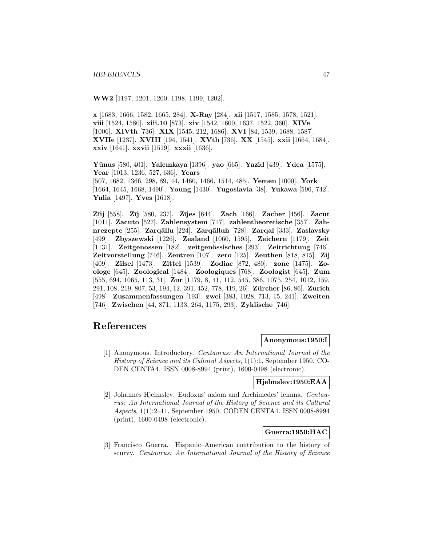**WW2** [1197, 1201, 1200, 1198, 1199, 1202].

**x** [1683, 1666, 1582, 1665, 284]. **X-Ray** [284]. **xii** [1517, 1585, 1578, 1521]. **xiii** [1524, 1580]. **xiii.10** [873]. **xiv** [1542, 1600, 1637, 1522, 360]. **XIVe** [1006]. **XIVth** [736]. **XIX** [1545, 212, 1686]. **XVI** [84, 1539, 1688, 1587]. **XVIIe** [1237]. **XVIII** [194, 1541]. **XVth** [736]. **XX** [1545]. **xxii** [1664, 1684]. **xxiv** [1641]. **xxvii** [1519]. **xxxii** [1636].

**Y¯unus** [580, 401]. **Yalcınkaya** [1396]. **yao** [665]. **Yazid** [439]. **Ydea** [1575]. **Year** [1013, 1236, 527, 636]. **Years** [507, 1682, 1366, 298, 89, 44, 1460, 1466, 1514, 485]. **Yemen** [1000]. **York** [1664, 1645, 1668, 1490]. **Young** [1430]. **Yugoslavia** [38]. **Yukawa** [596, 742]. **Yulia** [1497]. **Yves** [1618].

**Z¯ıij** [558]. **Z¯ıj** [580, 237]. **Z¯ıjes** [644]. **Zach** [166]. **Zacher** [456]. **Zacut** [1011]. **Zacuto** [527]. **Zahlensystem** [717]. **zahlentheoretische** [357]. **Zahnrezepte** [255]. **Zarq¯allu** [224]. **Zarq¯alluh** [728]. **Zarqal** [333]. **Zaslavsky** [499]. **Zbyszewski** [1226]. **Zealand** [1060, 1595]. **Zeichern** [1179]. **Zeit** [1131]. **Zeitgenossen** [182]. **zeitgen¨ossisches** [293]. **Zeitrichtung** [746]. **Zeitvorstellung** [746]. **Zentren** [107]. **zero** [125]. **Zeuthen** [818, 815]. **Zij** [409]. **Zilsel** [1473]. **Zittel** [1539]. **Zodiac** [872, 480]. **zone** [1475]. **Zoologe** [645]. **Zoological** [1484]. **Zoologiques** [768]. **Zoologist** [645]. **Zum** [555, 694, 1065, 113, 31]. **Zur** [1179, 8, 41, 112, 545, 386, 1075, 254, 1012, 159, 291, 108, 219, 807, 53, 194, 12, 391, 452, 778, 419, 26]. **Z¨urcher** [86, 86]. **Zurich** [498]. **Zusammenfassungen** [193]. **zwei** [383, 1028, 713, 15, 241]. **Zweiten** [746]. **Zwischen** [44, 871, 1133, 264, 1175, 293]. **Zyklische** [746].

# **References**

# **Anonymous:1950:I**

[1] Anonymous. Introductory. Centaurus: An International Journal of the History of Science and its Cultural Aspects, 1(1):1, September 1950. CO-DEN CENTA4. ISSN 0008-8994 (print), 1600-0498 (electronic).

#### **Hjelmslev:1950:EAA**

[2] Johannes Hjelmslev. Eudoxus' axiom and Archimedes' lemma. Centaurus: An International Journal of the History of Science and its Cultural Aspects, 1(1):2–11, September 1950. CODEN CENTA4. ISSN 0008-8994 (print), 1600-0498 (electronic).

# **Guerra:1950:HAC**

[3] Francisco Guerra. Hispanic–American contribution to the history of scurvy. Centaurus: An International Journal of the History of Science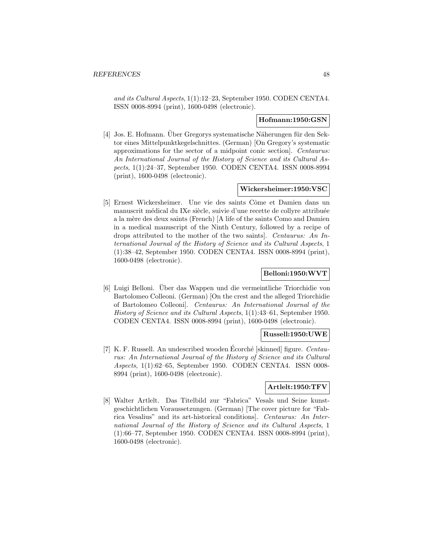and its Cultural Aspects, 1(1):12–23, September 1950. CODEN CENTA4. ISSN 0008-8994 (print), 1600-0498 (electronic).

# **Hofmann:1950:GSN**

[4] Jos. E. Hofmann. Über Gregorys systematische Näherungen für den Sektor eines Mittelpunktkegelschnittes. (German) [On Gregory's systematic approximations for the sector of a midpoint conic section]. Centaurus: An International Journal of the History of Science and its Cultural Aspects, 1(1):24–37, September 1950. CODEN CENTA4. ISSN 0008-8994 (print), 1600-0498 (electronic).

### **Wickersheimer:1950:VSC**

[5] Ernest Wickersheimer. Une vie des saints Côme et Damien dans un manuscrit médical du IXe siècle, suivie d'une recette de collyre attribuée a la m`ere des deux saints (French) [A life of the saints Como and Damien in a medical manuscript of the Ninth Century, followed by a recipe of drops attributed to the mother of the two saints]. Centaurus: An International Journal of the History of Science and its Cultural Aspects, 1 (1):38–42, September 1950. CODEN CENTA4. ISSN 0008-8994 (print), 1600-0498 (electronic).

# **Belloni:1950:WVT**

[6] Luigi Belloni. Uber das Wappen und die vermeintliche Triorchidie von ¨ Bartolomeo Colleoni. (German) [On the crest and the alleged Triorchidie of Bartolomeo Colleoni]. Centaurus: An International Journal of the History of Science and its Cultural Aspects, 1(1):43–61, September 1950. CODEN CENTA4. ISSN 0008-8994 (print), 1600-0498 (electronic).

### **Russell:1950:UWE**

[7] K. F. Russell. An undescribed wooden Ecorché [skinned] figure.  $Centau$ rus: An International Journal of the History of Science and its Cultural Aspects, 1(1):62–65, September 1950. CODEN CENTA4. ISSN 0008- 8994 (print), 1600-0498 (electronic).

# **Artlelt:1950:TFV**

[8] Walter Artlelt. Das Titelbild zur "Fabrica" Vesals und Seine kunstgeschichtlichen Voraussetzungen. (German) [The cover picture for "Fabrica Vesalius" and its art-historical conditions]. Centaurus: An International Journal of the History of Science and its Cultural Aspects, 1 (1):66–77, September 1950. CODEN CENTA4. ISSN 0008-8994 (print), 1600-0498 (electronic).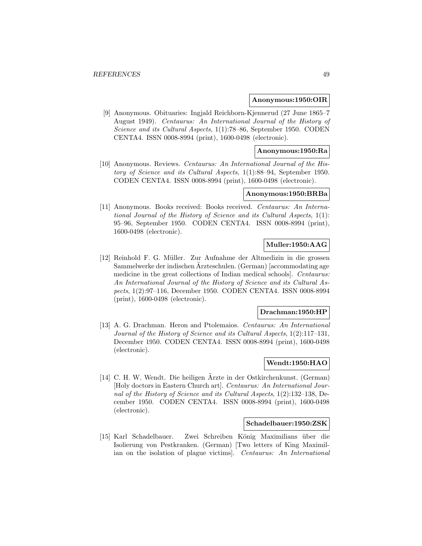#### **Anonymous:1950:OIR**

[9] Anonymous. Obituaries: Ingjald Reichborn-Kjennerud (27 June 1865–7 August 1949). Centaurus: An International Journal of the History of Science and its Cultural Aspects, 1(1):78–86, September 1950. CODEN CENTA4. ISSN 0008-8994 (print), 1600-0498 (electronic).

# **Anonymous:1950:Ra**

[10] Anonymous. Reviews. Centaurus: An International Journal of the History of Science and its Cultural Aspects, 1(1):88–94, September 1950. CODEN CENTA4. ISSN 0008-8994 (print), 1600-0498 (electronic).

# **Anonymous:1950:BRBa**

[11] Anonymous. Books received: Books received. Centaurus: An International Journal of the History of Science and its Cultural Aspects, 1(1): 95–96, September 1950. CODEN CENTA4. ISSN 0008-8994 (print), 1600-0498 (electronic).

# **Muller:1950:AAG**

[12] Reinhold F. G. Müller. Zur Aufnahme der Altmedizin in die grossen Sammelwerke der indischen Arzteschulen. (German) [accommodating age medicine in the great collections of Indian medical schools]. Centaurus: An International Journal of the History of Science and its Cultural Aspects, 1(2):97–116, December 1950. CODEN CENTA4. ISSN 0008-8994 (print), 1600-0498 (electronic).

#### **Drachman:1950:HP**

[13] A. G. Drachman. Heron and Ptolemaios. Centaurus: An International Journal of the History of Science and its Cultural Aspects, 1(2):117–131, December 1950. CODEN CENTA4. ISSN 0008-8994 (print), 1600-0498 (electronic).

# **Wendt:1950:HAO**

[14] C. H. W. Wendt. Die heiligen Ärzte in der Ostkirchenkunst. (German) [Holy doctors in Eastern Church art]. Centaurus: An International Journal of the History of Science and its Cultural Aspects, 1(2):132–138, December 1950. CODEN CENTA4. ISSN 0008-8994 (print), 1600-0498 (electronic).

### **Schadelbauer:1950:ZSK**

[15] Karl Schadelbauer. Zwei Schreiben K¨onig Maximilians ¨uber die Isolierung von Pestkranken. (German) [Two letters of King Maximilian on the isolation of plague victims]. Centaurus: An International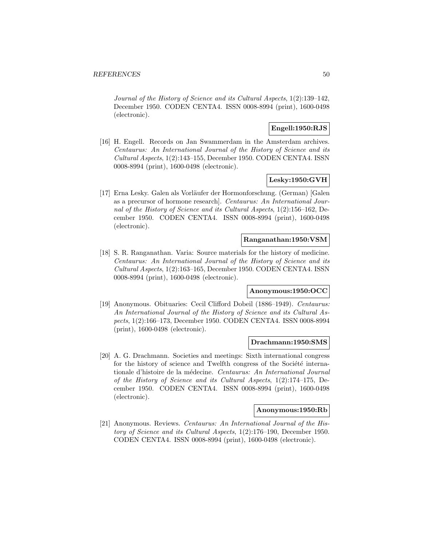Journal of the History of Science and its Cultural Aspects, 1(2):139–142, December 1950. CODEN CENTA4. ISSN 0008-8994 (print), 1600-0498 (electronic).

# **Engell:1950:RJS**

[16] H. Engell. Records on Jan Swammerdam in the Amsterdam archives. Centaurus: An International Journal of the History of Science and its Cultural Aspects, 1(2):143–155, December 1950. CODEN CENTA4. ISSN 0008-8994 (print), 1600-0498 (electronic).

# **Lesky:1950:GVH**

[17] Erna Lesky. Galen als Vorläufer der Hormonforschung. (German) [Galen as a precursor of hormone research]. Centaurus: An International Journal of the History of Science and its Cultural Aspects, 1(2):156–162, December 1950. CODEN CENTA4. ISSN 0008-8994 (print), 1600-0498 (electronic).

# **Ranganathan:1950:VSM**

[18] S. R. Ranganathan. Varia: Source materials for the history of medicine. Centaurus: An International Journal of the History of Science and its Cultural Aspects, 1(2):163–165, December 1950. CODEN CENTA4. ISSN 0008-8994 (print), 1600-0498 (electronic).

# **Anonymous:1950:OCC**

[19] Anonymous. Obituaries: Cecil Clifford Dobeil (1886–1949). Centaurus: An International Journal of the History of Science and its Cultural Aspects, 1(2):166–173, December 1950. CODEN CENTA4. ISSN 0008-8994 (print), 1600-0498 (electronic).

### **Drachmann:1950:SMS**

[20] A. G. Drachmann. Societies and meetings: Sixth international congress for the history of science and Twelfth congress of the Société internationale d'histoire de la médecine. Centaurus: An International Journal of the History of Science and its Cultural Aspects, 1(2):174–175, December 1950. CODEN CENTA4. ISSN 0008-8994 (print), 1600-0498 (electronic).

# **Anonymous:1950:Rb**

[21] Anonymous. Reviews. Centaurus: An International Journal of the History of Science and its Cultural Aspects, 1(2):176–190, December 1950. CODEN CENTA4. ISSN 0008-8994 (print), 1600-0498 (electronic).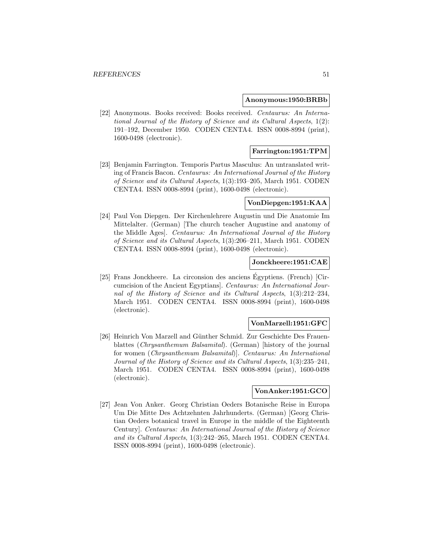#### **Anonymous:1950:BRBb**

[22] Anonymous. Books received: Books received. Centaurus: An International Journal of the History of Science and its Cultural Aspects, 1(2): 191–192, December 1950. CODEN CENTA4. ISSN 0008-8994 (print), 1600-0498 (electronic).

## **Farrington:1951:TPM**

[23] Benjamin Farrington. Temporis Partus Masculus: An untranslated writing of Francis Bacon. Centaurus: An International Journal of the History of Science and its Cultural Aspects, 1(3):193–205, March 1951. CODEN CENTA4. ISSN 0008-8994 (print), 1600-0498 (electronic).

#### **VonDiepgen:1951:KAA**

[24] Paul Von Diepgen. Der Kirchenlehrere Augustin und Die Anatomie Im Mittelalter. (German) [The church teacher Augustine and anatomy of the Middle Ages]. Centaurus: An International Journal of the History of Science and its Cultural Aspects, 1(3):206–211, March 1951. CODEN CENTA4. ISSN 0008-8994 (print), 1600-0498 (electronic).

## **Jonckheere:1951:CAE**

[25] Frans Jonckheere. La circonsion des anciens Egyptiens. (French) [Cir- ´ cumcision of the Ancient Egyptians]. Centaurus: An International Journal of the History of Science and its Cultural Aspects, 1(3):212–234, March 1951. CODEN CENTA4. ISSN 0008-8994 (print), 1600-0498 (electronic).

### **VonMarzell:1951:GFC**

[26] Heinrich Von Marzell and Günther Schmid. Zur Geschichte Des Frauenblattes (Chrysanthemum Balsamital). (German) [history of the journal for women (Chrysanthemum Balsamital)]. Centaurus: An International Journal of the History of Science and its Cultural Aspects, 1(3):235–241, March 1951. CODEN CENTA4. ISSN 0008-8994 (print), 1600-0498 (electronic).

### **VonAnker:1951:GCO**

[27] Jean Von Anker. Georg Christian Oeders Botanische Reise in Europa Um Die Mitte Des Achtzehnten Jahrhunderts. (German) [Georg Christian Oeders botanical travel in Europe in the middle of the Eighteenth Century]. Centaurus: An International Journal of the History of Science and its Cultural Aspects, 1(3):242–265, March 1951. CODEN CENTA4. ISSN 0008-8994 (print), 1600-0498 (electronic).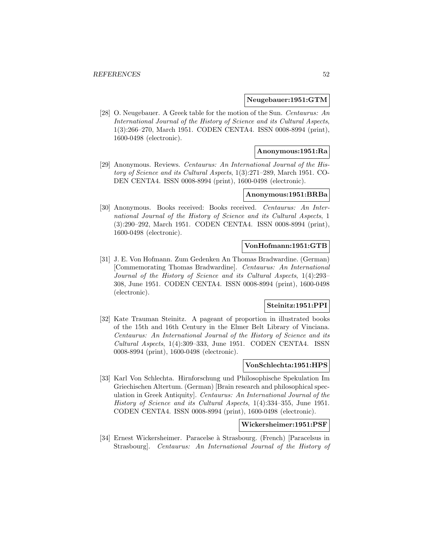#### **Neugebauer:1951:GTM**

[28] O. Neugebauer. A Greek table for the motion of the Sun. Centaurus: An International Journal of the History of Science and its Cultural Aspects, 1(3):266–270, March 1951. CODEN CENTA4. ISSN 0008-8994 (print), 1600-0498 (electronic).

### **Anonymous:1951:Ra**

[29] Anonymous. Reviews. Centaurus: An International Journal of the History of Science and its Cultural Aspects, 1(3):271–289, March 1951. CO-DEN CENTA4. ISSN 0008-8994 (print), 1600-0498 (electronic).

### **Anonymous:1951:BRBa**

[30] Anonymous. Books received: Books received. Centaurus: An International Journal of the History of Science and its Cultural Aspects, 1 (3):290–292, March 1951. CODEN CENTA4. ISSN 0008-8994 (print), 1600-0498 (electronic).

#### **VonHofmann:1951:GTB**

[31] J. E. Von Hofmann. Zum Gedenken An Thomas Bradwardine. (German) [Commemorating Thomas Bradwardine]. Centaurus: An International Journal of the History of Science and its Cultural Aspects, 1(4):293– 308, June 1951. CODEN CENTA4. ISSN 0008-8994 (print), 1600-0498 (electronic).

### **Steinitz:1951:PPI**

[32] Kate Trauman Steinitz. A pageant of proportion in illustrated books of the 15th and 16th Century in the Elmer Belt Library of Vinciana. Centaurus: An International Journal of the History of Science and its Cultural Aspects, 1(4):309–333, June 1951. CODEN CENTA4. ISSN 0008-8994 (print), 1600-0498 (electronic).

# **VonSchlechta:1951:HPS**

[33] Karl Von Schlechta. Hirnforschung und Philosophische Spekulation Im Griechischen Altertum. (German) [Brain research and philosophical speculation in Greek Antiquity]. Centaurus: An International Journal of the History of Science and its Cultural Aspects, 1(4):334–355, June 1951. CODEN CENTA4. ISSN 0008-8994 (print), 1600-0498 (electronic).

## **Wickersheimer:1951:PSF**

[34] Ernest Wickersheimer. Paracelse `a Strasbourg. (French) [Paracelsus in Strasbourg]. Centaurus: An International Journal of the History of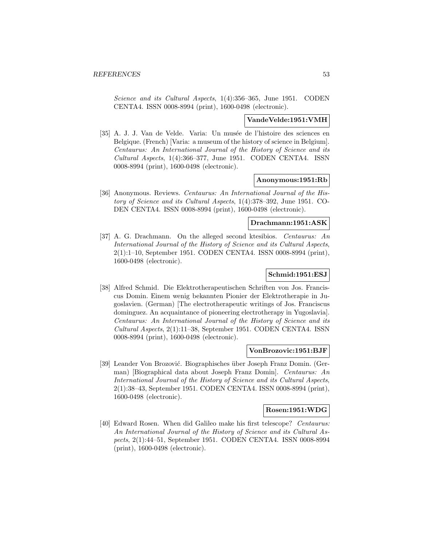Science and its Cultural Aspects, 1(4):356–365, June 1951. CODEN CENTA4. ISSN 0008-8994 (print), 1600-0498 (electronic).

### **VandeVelde:1951:VMH**

[35] A. J. J. Van de Velde. Varia: Un musée de l'histoire des sciences en Belgique. (French) [Varia: a museum of the history of science in Belgium]. Centaurus: An International Journal of the History of Science and its Cultural Aspects, 1(4):366–377, June 1951. CODEN CENTA4. ISSN 0008-8994 (print), 1600-0498 (electronic).

#### **Anonymous:1951:Rb**

[36] Anonymous. Reviews. Centaurus: An International Journal of the History of Science and its Cultural Aspects, 1(4):378–392, June 1951. CO-DEN CENTA4. ISSN 0008-8994 (print), 1600-0498 (electronic).

### **Drachmann:1951:ASK**

[37] A. G. Drachmann. On the alleged second ktesibios. Centaurus: An International Journal of the History of Science and its Cultural Aspects, 2(1):1–10, September 1951. CODEN CENTA4. ISSN 0008-8994 (print), 1600-0498 (electronic).

# **Schmid:1951:ESJ**

[38] Alfred Schmid. Die Elektrotherapeutischen Schriften von Jos. Franciscus Domin. Einem wenig bekannten Pionier der Elektrotherapie in Jugoslavien. (German) [The electrotherapeutic writings of Jos. Franciscus dominguez. An acquaintance of pioneering electrotherapy in Yugoslavia]. Centaurus: An International Journal of the History of Science and its Cultural Aspects, 2(1):11–38, September 1951. CODEN CENTA4. ISSN 0008-8994 (print), 1600-0498 (electronic).

#### **VonBrozovic:1951:BJF**

[39] Leander Von Brozović. Biographisches über Joseph Franz Domin. (German) [Biographical data about Joseph Franz Domin]. Centaurus: An International Journal of the History of Science and its Cultural Aspects, 2(1):38–43, September 1951. CODEN CENTA4. ISSN 0008-8994 (print), 1600-0498 (electronic).

# **Rosen:1951:WDG**

[40] Edward Rosen. When did Galileo make his first telescope? Centaurus: An International Journal of the History of Science and its Cultural Aspects, 2(1):44–51, September 1951. CODEN CENTA4. ISSN 0008-8994 (print), 1600-0498 (electronic).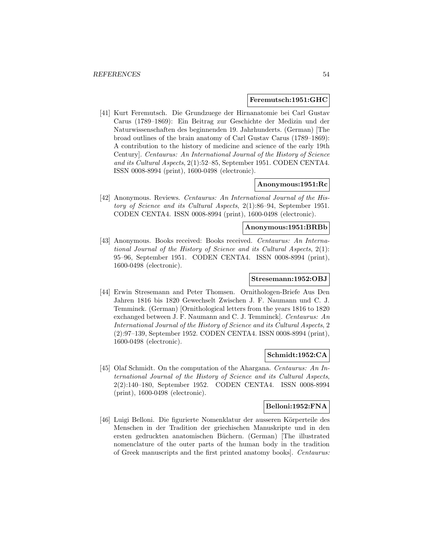#### **Feremutsch:1951:GHC**

[41] Kurt Feremutsch. Die Grundzuege der Hirnanatomie bei Carl Gustav Carus (1789–1869): Ein Beitrag zur Geschichte der Medizin und der Naturwissenschaften des beginnenden 19. Jahrhunderts. (German) [The broad outlines of the brain anatomy of Carl Gustav Carus (1789–1869): A contribution to the history of medicine and science of the early 19th Century]. Centaurus: An International Journal of the History of Science and its Cultural Aspects, 2(1):52–85, September 1951. CODEN CENTA4. ISSN 0008-8994 (print), 1600-0498 (electronic).

## **Anonymous:1951:Rc**

[42] Anonymous. Reviews. Centaurus: An International Journal of the History of Science and its Cultural Aspects, 2(1):86–94, September 1951. CODEN CENTA4. ISSN 0008-8994 (print), 1600-0498 (electronic).

# **Anonymous:1951:BRBb**

[43] Anonymous. Books received: Books received. Centaurus: An International Journal of the History of Science and its Cultural Aspects, 2(1): 95–96, September 1951. CODEN CENTA4. ISSN 0008-8994 (print), 1600-0498 (electronic).

### **Stresemann:1952:OBJ**

[44] Erwin Stresemann and Peter Thomsen. Ornithologen-Briefe Aus Den Jahren 1816 bis 1820 Gewechselt Zwischen J. F. Naumann und C. J. Temminck. (German) [Ornithological letters from the years 1816 to 1820 exchanged between J. F. Naumann and C. J. Temminck]. Centaurus: An International Journal of the History of Science and its Cultural Aspects, 2 (2):97–139, September 1952. CODEN CENTA4. ISSN 0008-8994 (print), 1600-0498 (electronic).

# **Schmidt:1952:CA**

[45] Olaf Schmidt. On the computation of the Ahargana. Centaurus: An International Journal of the History of Science and its Cultural Aspects, 2(2):140–180, September 1952. CODEN CENTA4. ISSN 0008-8994 (print), 1600-0498 (electronic).

## **Belloni:1952:FNA**

[46] Luigi Belloni. Die figurierte Nomenklatur der ausseren Körperteile des Menschen in der Tradition der griechischen Manuskripte und in den ersten gedruckten anatomischen Büchern. (German) [The illustrated nomenclature of the outer parts of the human body in the tradition of Greek manuscripts and the first printed anatomy books]. Centaurus: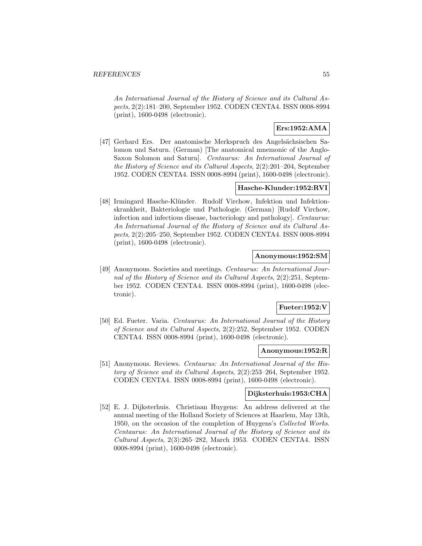An International Journal of the History of Science and its Cultural Aspects, 2(2):181–200, September 1952. CODEN CENTA4. ISSN 0008-8994 (print), 1600-0498 (electronic).

# **Ers:1952:AMA**

[47] Gerhard Ers. Der anatomische Merkspruch des Angelsächsischen Salomon und Saturn. (German) [The anatomical mnemonic of the Anglo-Saxon Solomon and Saturn]. Centaurus: An International Journal of the History of Science and its Cultural Aspects, 2(2):201–204, September 1952. CODEN CENTA4. ISSN 0008-8994 (print), 1600-0498 (electronic).

# **Hasche-Klunder:1952:RVI**

[48] Irmingard Hasche-Klünder. Rudolf Virchow, Infektion und Infektionskrankheit, Bakteriologie und Pathologie. (German) [Rudolf Virchow, infection and infectious disease, bacteriology and pathology]. Centaurus: An International Journal of the History of Science and its Cultural Aspects, 2(2):205–250, September 1952. CODEN CENTA4. ISSN 0008-8994 (print), 1600-0498 (electronic).

### **Anonymous:1952:SM**

[49] Anonymous. Societies and meetings. Centaurus: An International Journal of the History of Science and its Cultural Aspects, 2(2):251, September 1952. CODEN CENTA4. ISSN 0008-8994 (print), 1600-0498 (electronic).

# **Fueter:1952:V**

[50] Ed. Fueter. Varia. Centaurus: An International Journal of the History of Science and its Cultural Aspects, 2(2):252, September 1952. CODEN CENTA4. ISSN 0008-8994 (print), 1600-0498 (electronic).

### **Anonymous:1952:R**

[51] Anonymous. Reviews. Centaurus: An International Journal of the History of Science and its Cultural Aspects, 2(2):253–264, September 1952. CODEN CENTA4. ISSN 0008-8994 (print), 1600-0498 (electronic).

# **Dijksterhuis:1953:CHA**

[52] E. J. Dijksterhuis. Christiaan Huygens: An address delivered at the annual meeting of the Holland Society of Sciences at Haarlem, May 13th, 1950, on the occasion of the completion of Huygens's Collected Works. Centaurus: An International Journal of the History of Science and its Cultural Aspects, 2(3):265–282, March 1953. CODEN CENTA4. ISSN 0008-8994 (print), 1600-0498 (electronic).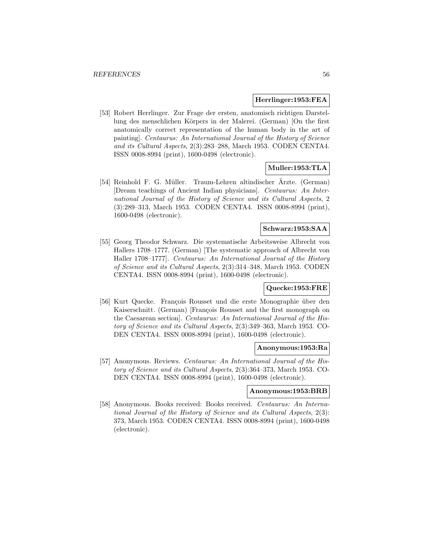### **Herrlinger:1953:FEA**

[53] Robert Herrlinger. Zur Frage der ersten, anatomisch richtigen Darstellung des menschlichen Körpers in der Malerei. (German) [On the first anatomically correct representation of the human body in the art of painting]. Centaurus: An International Journal of the History of Science and its Cultural Aspects, 2(3):283–288, March 1953. CODEN CENTA4. ISSN 0008-8994 (print), 1600-0498 (electronic).

# **Muller:1953:TLA**

[54] Reinhold F. G. Müller. Traum-Lehren altindischer Arzte. (German) [Dream teachings of Ancient Indian physicians]. Centaurus: An International Journal of the History of Science and its Cultural Aspects, 2 (3):289–313, March 1953. CODEN CENTA4. ISSN 0008-8994 (print), 1600-0498 (electronic).

# **Schwarz:1953:SAA**

[55] Georg Theodor Schwarz. Die systematische Arbeitsweise Albrecht von Hallers 1708–1777. (German) [The systematic approach of Albrecht von Haller 1708–1777]. Centaurus: An International Journal of the History of Science and its Cultural Aspects, 2(3):314–348, March 1953. CODEN CENTA4. ISSN 0008-8994 (print), 1600-0498 (electronic).

## **Quecke:1953:FRE**

[56] Kurt Quecke. Fran¸cois Rousset und die erste Monographie ¨uber den Kaiserschnitt. (German) [François Rousset and the first monograph on the Caesarean section]. Centaurus: An International Journal of the History of Science and its Cultural Aspects, 2(3):349–363, March 1953. CO-DEN CENTA4. ISSN 0008-8994 (print), 1600-0498 (electronic).

#### **Anonymous:1953:Ra**

[57] Anonymous. Reviews. Centaurus: An International Journal of the History of Science and its Cultural Aspects, 2(3):364–373, March 1953. CO-DEN CENTA4. ISSN 0008-8994 (print), 1600-0498 (electronic).

# **Anonymous:1953:BRB**

[58] Anonymous. Books received: Books received. Centaurus: An International Journal of the History of Science and its Cultural Aspects, 2(3): 373, March 1953. CODEN CENTA4. ISSN 0008-8994 (print), 1600-0498 (electronic).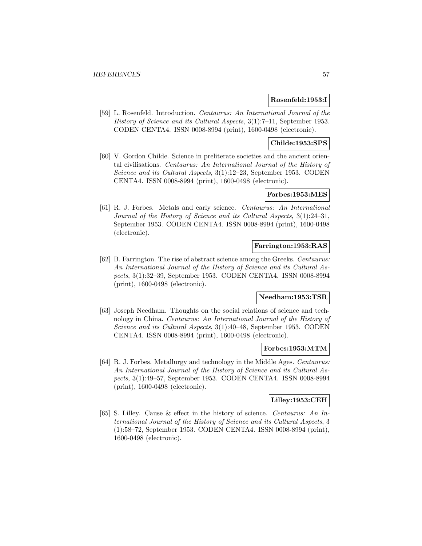# **Rosenfeld:1953:I**

[59] L. Rosenfeld. Introduction. Centaurus: An International Journal of the History of Science and its Cultural Aspects, 3(1):7–11, September 1953. CODEN CENTA4. ISSN 0008-8994 (print), 1600-0498 (electronic).

# **Childe:1953:SPS**

[60] V. Gordon Childe. Science in preliterate societies and the ancient oriental civilisations. Centaurus: An International Journal of the History of Science and its Cultural Aspects, 3(1):12–23, September 1953. CODEN CENTA4. ISSN 0008-8994 (print), 1600-0498 (electronic).

# **Forbes:1953:MES**

[61] R. J. Forbes. Metals and early science. Centaurus: An International Journal of the History of Science and its Cultural Aspects, 3(1):24–31, September 1953. CODEN CENTA4. ISSN 0008-8994 (print), 1600-0498 (electronic).

### **Farrington:1953:RAS**

[62] B. Farrington. The rise of abstract science among the Greeks. Centaurus: An International Journal of the History of Science and its Cultural Aspects, 3(1):32–39, September 1953. CODEN CENTA4. ISSN 0008-8994 (print), 1600-0498 (electronic).

# **Needham:1953:TSR**

[63] Joseph Needham. Thoughts on the social relations of science and technology in China. Centaurus: An International Journal of the History of Science and its Cultural Aspects, 3(1):40–48, September 1953. CODEN CENTA4. ISSN 0008-8994 (print), 1600-0498 (electronic).

#### **Forbes:1953:MTM**

[64] R. J. Forbes. Metallurgy and technology in the Middle Ages. Centaurus: An International Journal of the History of Science and its Cultural Aspects, 3(1):49–57, September 1953. CODEN CENTA4. ISSN 0008-8994 (print), 1600-0498 (electronic).

#### **Lilley:1953:CEH**

[65] S. Lilley. Cause & effect in the history of science. Centaurus: An International Journal of the History of Science and its Cultural Aspects, 3 (1):58–72, September 1953. CODEN CENTA4. ISSN 0008-8994 (print), 1600-0498 (electronic).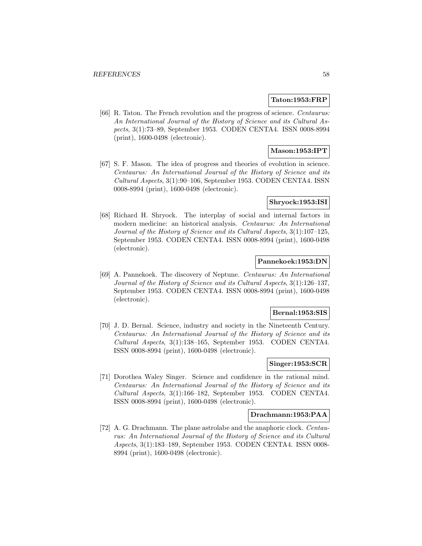### **Taton:1953:FRP**

[66] R. Taton. The French revolution and the progress of science. Centaurus: An International Journal of the History of Science and its Cultural Aspects, 3(1):73–89, September 1953. CODEN CENTA4. ISSN 0008-8994 (print), 1600-0498 (electronic).

# **Mason:1953:IPT**

[67] S. F. Mason. The idea of progress and theories of evolution in science. Centaurus: An International Journal of the History of Science and its Cultural Aspects, 3(1):90–106, September 1953. CODEN CENTA4. ISSN 0008-8994 (print), 1600-0498 (electronic).

### **Shryock:1953:ISI**

[68] Richard H. Shryock. The interplay of social and internal factors in modern medicine: an historical analysis. Centaurus: An International Journal of the History of Science and its Cultural Aspects, 3(1):107–125, September 1953. CODEN CENTA4. ISSN 0008-8994 (print), 1600-0498 (electronic).

## **Pannekoek:1953:DN**

[69] A. Pannekoek. The discovery of Neptune. Centaurus: An International Journal of the History of Science and its Cultural Aspects, 3(1):126–137, September 1953. CODEN CENTA4. ISSN 0008-8994 (print), 1600-0498 (electronic).

#### **Bernal:1953:SIS**

[70] J. D. Bernal. Science, industry and society in the Nineteenth Century. Centaurus: An International Journal of the History of Science and its Cultural Aspects, 3(1):138–165, September 1953. CODEN CENTA4. ISSN 0008-8994 (print), 1600-0498 (electronic).

# **Singer:1953:SCR**

[71] Dorothea Waley Singer. Science and confidence in the rational mind. Centaurus: An International Journal of the History of Science and its Cultural Aspects, 3(1):166–182, September 1953. CODEN CENTA4. ISSN 0008-8994 (print), 1600-0498 (electronic).

### **Drachmann:1953:PAA**

[72] A. G. Drachmann. The plane astrolabe and the anaphoric clock. Centaurus: An International Journal of the History of Science and its Cultural Aspects, 3(1):183–189, September 1953. CODEN CENTA4. ISSN 0008- 8994 (print), 1600-0498 (electronic).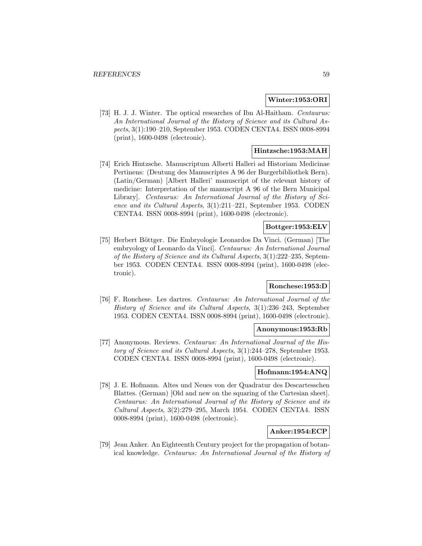### **Winter:1953:ORI**

[73] H. J. J. Winter. The optical researches of Ibn Al-Haitham. Centaurus: An International Journal of the History of Science and its Cultural Aspects, 3(1):190–210, September 1953. CODEN CENTA4. ISSN 0008-8994 (print), 1600-0498 (electronic).

# **Hintzsche:1953:MAH**

[74] Erich Hintzsche. Manuscriptum Alberti Halleri ad Historiam Medicinae Pertinens: (Deutung des Manuscriptes A 96 der Burgerbibliothek Bern). (Latin/German) [Albert Halleri' manuscript of the relevant history of medicine: Interpretation of the manuscript A 96 of the Bern Municipal Library]. Centaurus: An International Journal of the History of Science and its Cultural Aspects, 3(1):211–221, September 1953. CODEN CENTA4. ISSN 0008-8994 (print), 1600-0498 (electronic).

# **Bottger:1953:ELV**

[75] Herbert Böttger. Die Embryologie Leonardos Da Vinci. (German) [The embryology of Leonardo da Vinci]. Centaurus: An International Journal of the History of Science and its Cultural Aspects, 3(1):222–235, September 1953. CODEN CENTA4. ISSN 0008-8994 (print), 1600-0498 (electronic).

# **Ronchese:1953:D**

[76] F. Ronchese. Les dartres. Centaurus: An International Journal of the History of Science and its Cultural Aspects, 3(1):236–243, September 1953. CODEN CENTA4. ISSN 0008-8994 (print), 1600-0498 (electronic).

## **Anonymous:1953:Rb**

[77] Anonymous. Reviews. Centaurus: An International Journal of the History of Science and its Cultural Aspects, 3(1):244–278, September 1953. CODEN CENTA4. ISSN 0008-8994 (print), 1600-0498 (electronic).

### **Hofmann:1954:ANQ**

[78] J. E. Hofmann. Altes und Neues von der Quadratur des Descartesschen Blattes. (German) [Old and new on the squaring of the Cartesian sheet]. Centaurus: An International Journal of the History of Science and its Cultural Aspects, 3(2):279–295, March 1954. CODEN CENTA4. ISSN 0008-8994 (print), 1600-0498 (electronic).

# **Anker:1954:ECP**

[79] Jean Anker. An Eighteenth Century project for the propagation of botanical knowledge. Centaurus: An International Journal of the History of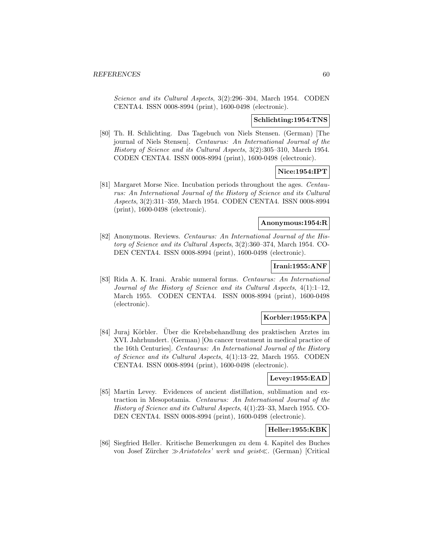Science and its Cultural Aspects, 3(2):296–304, March 1954. CODEN CENTA4. ISSN 0008-8994 (print), 1600-0498 (electronic).

### **Schlichting:1954:TNS**

[80] Th. H. Schlichting. Das Tagebuch von Niels Stensen. (German) [The journal of Niels Stensen]. Centaurus: An International Journal of the History of Science and its Cultural Aspects, 3(2):305–310, March 1954. CODEN CENTA4. ISSN 0008-8994 (print), 1600-0498 (electronic).

# **Nice:1954:IPT**

[81] Margaret Morse Nice. Incubation periods throughout the ages. Centaurus: An International Journal of the History of Science and its Cultural Aspects, 3(2):311–359, March 1954. CODEN CENTA4. ISSN 0008-8994 (print), 1600-0498 (electronic).

### **Anonymous:1954:R**

[82] Anonymous. Reviews. Centaurus: An International Journal of the History of Science and its Cultural Aspects, 3(2):360–374, March 1954. CO-DEN CENTA4. ISSN 0008-8994 (print), 1600-0498 (electronic).

# **Irani:1955:ANF**

[83] Rida A. K. Irani. Arabic numeral forms. Centaurus: An International Journal of the History of Science and its Cultural Aspects, 4(1):1–12, March 1955. CODEN CENTA4. ISSN 0008-8994 (print), 1600-0498 (electronic).

# **Korbler:1955:KPA**

[84] Juraj Körbler. Über die Krebsbehandlung des praktischen Arztes im XVI. Jahrhundert. (German) [On cancer treatment in medical practice of the 16th Centuries]. Centaurus: An International Journal of the History of Science and its Cultural Aspects, 4(1):13–22, March 1955. CODEN CENTA4. ISSN 0008-8994 (print), 1600-0498 (electronic).

### **Levey:1955:EAD**

[85] Martin Levey. Evidences of ancient distillation, sublimation and extraction in Mesopotamia. Centaurus: An International Journal of the History of Science and its Cultural Aspects, 4(1):23–33, March 1955. CO-DEN CENTA4. ISSN 0008-8994 (print), 1600-0498 (electronic).

#### **Heller:1955:KBK**

[86] Siegfried Heller. Kritische Bemerkungen zu dem 4. Kapitel des Buches von Josef Zürcher  $\gg$ Aristoteles' werk und geist«. (German) [Critical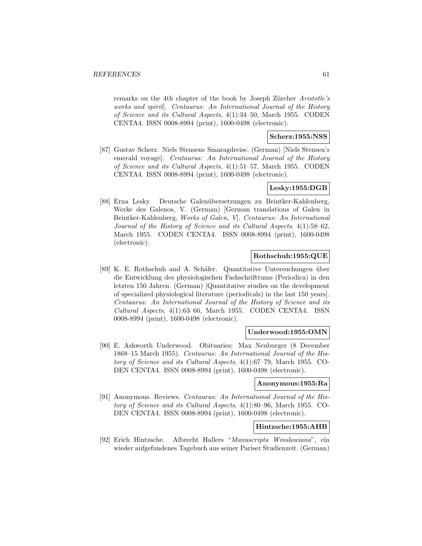remarks on the 4th chapter of the book by Joseph Zürcher Aristotle's works and spirit]. Centaurus: An International Journal of the History of Science and its Cultural Aspects, 4(1):34–50, March 1955. CODEN CENTA4. ISSN 0008-8994 (print), 1600-0498 (electronic).

# **Scherz:1955:NSS**

[87] Gustav Scherz. Niels Stensens Smaragdreise. (German) [Niels Stensen's emerald voyage]. Centaurus: An International Journal of the History of Science and its Cultural Aspects, 4(1):51–57, March 1955. CODEN CENTA4. ISSN 0008-8994 (print), 1600-0498 (electronic).

# **Lesky:1955:DGB**

[88] Erna Lesky. Deutsche Galen¨ubersetzungen zu Beintker-Kahlenberg, Werke des Galenos, V. (German) [German translations of Galen in Beintker-Kahlenberg, Works of Galen, V]. Centaurus: An International Journal of the History of Science and its Cultural Aspects, 4(1):58–62, March 1955. CODEN CENTA4. ISSN 0008-8994 (print), 1600-0498 (electronic).

# **Rothschuh:1955:QUE**

[89] K. E. Rothschuh and A. Schäfer. Quantitative Untersuchungen über die Entwicklung des physiologischen Fachschrifttums (Periodica) in den letzten 150 Jahren. (German) [Quantitative studies on the development of specialized physiological literature (periodicals) in the last 150 years]. Centaurus: An International Journal of the History of Science and its Cultural Aspects, 4(1):63–66, March 1955. CODEN CENTA4. ISSN 0008-8994 (print), 1600-0498 (electronic).

# **Underwood:1955:OMN**

[90] E. Ashworth Underwood. Obituaries: Max Neuburger (8 December 1868–15 March 1955). Centaurus: An International Journal of the History of Science and its Cultural Aspects, 4(1):67–79, March 1955. CO-DEN CENTA4. ISSN 0008-8994 (print), 1600-0498 (electronic).

#### **Anonymous:1955:Ra**

[91] Anonymous. Reviews. Centaurus: An International Journal of the History of Science and its Cultural Aspects, 4(1):80–96, March 1955. CO-DEN CENTA4. ISSN 0008-8994 (print), 1600-0498 (electronic).

# **Hintzsche:1955:AHB**

[92] Erich Hintzsche. Albrecht Hallers "Manuscripta Winslowiana", ein wieder aufgefundenes Tagebuch aus seiner Pariser Studienzeit. (German)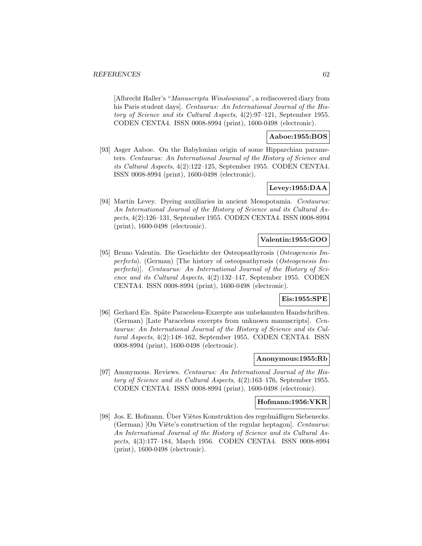[Albrecht Haller's "Manuscripta Winslowiana", a rediscovered diary from his Paris student days]. Centaurus: An International Journal of the History of Science and its Cultural Aspects, 4(2):97–121, September 1955. CODEN CENTA4. ISSN 0008-8994 (print), 1600-0498 (electronic).

# **Aaboe:1955:BOS**

[93] Asger Aaboe. On the Babylonian origin of some Hipparchian parameters. Centaurus: An International Journal of the History of Science and its Cultural Aspects, 4(2):122–125, September 1955. CODEN CENTA4. ISSN 0008-8994 (print), 1600-0498 (electronic).

# **Levey:1955:DAA**

[94] Martin Levey. Dyeing auxiliaries in ancient Mesopotamia. Centaurus: An International Journal of the History of Science and its Cultural Aspects, 4(2):126–131, September 1955. CODEN CENTA4. ISSN 0008-8994 (print), 1600-0498 (electronic).

# **Valentin:1955:GOO**

[95] Bruno Valentin. Die Geschichte der Osteopsathyrosis (Osteogenesis Imperfecta). (German) [The history of osteopsathyrosis (Osteogenesis Imperfecta)]. Centaurus: An International Journal of the History of Science and its Cultural Aspects, 4(2):132–147, September 1955. CODEN CENTA4. ISSN 0008-8994 (print), 1600-0498 (electronic).

# **Eis:1955:SPE**

[96] Gerhard Eis. Späte Paracelsus-Exzerpte aus unbekannten Handschriften. (German) [Late Paracelsus excerpts from unknown manuscripts]. Centaurus: An International Journal of the History of Science and its Cultural Aspects, 4(2):148–162, September 1955. CODEN CENTA4. ISSN 0008-8994 (print), 1600-0498 (electronic).

#### **Anonymous:1955:Rb**

[97] Anonymous. Reviews. Centaurus: An International Journal of the History of Science and its Cultural Aspects, 4(2):163–176, September 1955. CODEN CENTA4. ISSN 0008-8994 (print), 1600-0498 (electronic).

#### **Hofmann:1956:VKR**

[98] Jos. E. Hofmann. Über Viètes Konstruktion des regelmäßigen Siebenecks. (German) [On Viète's construction of the regular heptagon]. Centaurus: An International Journal of the History of Science and its Cultural Aspects, 4(3):177–184, March 1956. CODEN CENTA4. ISSN 0008-8994 (print), 1600-0498 (electronic).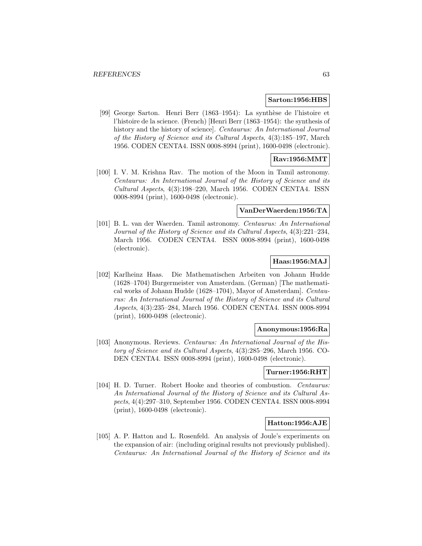#### **Sarton:1956:HBS**

[99] George Sarton. Henri Berr (1863–1954): La synthèse de l'histoire et l'histoire de la science. (French) [Henri Berr (1863–1954): the synthesis of history and the history of science]. Centaurus: An International Journal of the History of Science and its Cultural Aspects, 4(3):185–197, March 1956. CODEN CENTA4. ISSN 0008-8994 (print), 1600-0498 (electronic).

# **Rav:1956:MMT**

[100] I. V. M. Krishna Rav. The motion of the Moon in Tamil astronomy. Centaurus: An International Journal of the History of Science and its Cultural Aspects, 4(3):198–220, March 1956. CODEN CENTA4. ISSN 0008-8994 (print), 1600-0498 (electronic).

#### **VanDerWaerden:1956:TA**

[101] B. L. van der Waerden. Tamil astronomy. Centaurus: An International Journal of the History of Science and its Cultural Aspects, 4(3):221–234, March 1956. CODEN CENTA4. ISSN 0008-8994 (print), 1600-0498 (electronic).

# **Haas:1956:MAJ**

[102] Karlheinz Haas. Die Mathematischen Arbeiten von Johann Hudde (1628–1704) Burgermeister von Amsterdam. (German) [The mathematical works of Johann Hudde (1628–1704), Mayor of Amsterdam]. Centaurus: An International Journal of the History of Science and its Cultural Aspects, 4(3):235–284, March 1956. CODEN CENTA4. ISSN 0008-8994 (print), 1600-0498 (electronic).

## **Anonymous:1956:Ra**

[103] Anonymous. Reviews. Centaurus: An International Journal of the History of Science and its Cultural Aspects, 4(3):285–296, March 1956. CO-DEN CENTA4. ISSN 0008-8994 (print), 1600-0498 (electronic).

# **Turner:1956:RHT**

[104] H. D. Turner. Robert Hooke and theories of combustion. Centaurus: An International Journal of the History of Science and its Cultural Aspects, 4(4):297–310, September 1956. CODEN CENTA4. ISSN 0008-8994 (print), 1600-0498 (electronic).

#### **Hatton:1956:AJE**

[105] A. P. Hatton and L. Rosenfeld. An analysis of Joule's experiments on the expansion of air: (including original results not previously published). Centaurus: An International Journal of the History of Science and its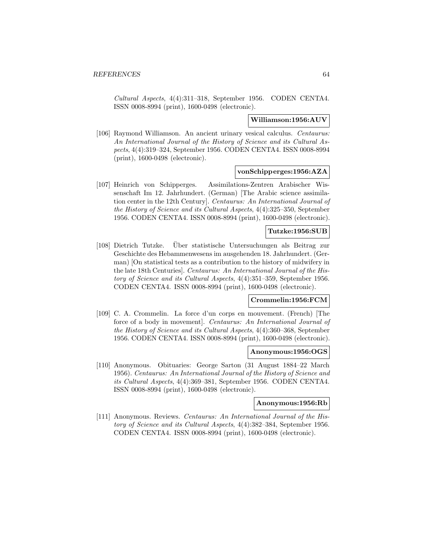Cultural Aspects, 4(4):311–318, September 1956. CODEN CENTA4. ISSN 0008-8994 (print), 1600-0498 (electronic).

#### **Williamson:1956:AUV**

[106] Raymond Williamson. An ancient urinary vesical calculus. Centaurus: An International Journal of the History of Science and its Cultural Aspects, 4(4):319–324, September 1956. CODEN CENTA4. ISSN 0008-8994 (print), 1600-0498 (electronic).

# **vonSchipperges:1956:AZA**

[107] Heinrich von Schipperges. Assimilations-Zentren Arabischer Wissenschaft Im 12. Jahrhundert. (German) [The Arabic science assimilation center in the 12th Century]. Centaurus: An International Journal of the History of Science and its Cultural Aspects, 4(4):325–350, September 1956. CODEN CENTA4. ISSN 0008-8994 (print), 1600-0498 (electronic).

# **Tutzke:1956:SUB**

[108] Dietrich Tutzke. Uber statistische Untersuchungen als Beitrag zur ¨ Geschichte des Hebammenwesens im ausgehenden 18. Jahrhundert. (German) [On statistical tests as a contribution to the history of midwifery in the late 18th Centuries]. Centaurus: An International Journal of the History of Science and its Cultural Aspects, 4(4):351–359, September 1956. CODEN CENTA4. ISSN 0008-8994 (print), 1600-0498 (electronic).

### **Crommelin:1956:FCM**

[109] C. A. Crommelin. La force d'un corps en mouvement. (French) [The force of a body in movement]. Centaurus: An International Journal of the History of Science and its Cultural Aspects, 4(4):360–368, September 1956. CODEN CENTA4. ISSN 0008-8994 (print), 1600-0498 (electronic).

### **Anonymous:1956:OGS**

[110] Anonymous. Obituaries: George Sarton (31 August 1884–22 March 1956). Centaurus: An International Journal of the History of Science and its Cultural Aspects, 4(4):369–381, September 1956. CODEN CENTA4. ISSN 0008-8994 (print), 1600-0498 (electronic).

#### **Anonymous:1956:Rb**

[111] Anonymous. Reviews. Centaurus: An International Journal of the History of Science and its Cultural Aspects, 4(4):382–384, September 1956. CODEN CENTA4. ISSN 0008-8994 (print), 1600-0498 (electronic).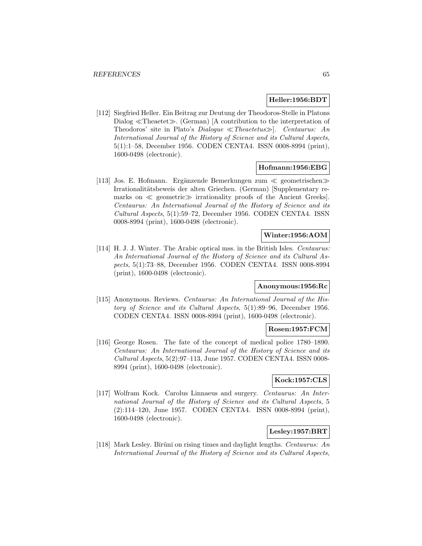### **Heller:1956:BDT**

[112] Siegfried Heller. Ein Beitrag zur Deutung der Theodoros-Stelle in Platons Dialog  $\ll$ Theaetet $\gg$ . (German) [A contribution to the interpretation of Theodoros' site in Plato's Dialogue  $\ll$ Theaetetus $\gg$ . Centaurus: An International Journal of the History of Science and its Cultural Aspects, 5(1):1–58, December 1956. CODEN CENTA4. ISSN 0008-8994 (print), 1600-0498 (electronic).

## **Hofmann:1956:EBG**

[113] Jos. E. Hofmann. Ergänzende Bemerkungen zum  $\ll$  geometrischen $\gg$ Irrationalitätsbeweis der alten Griechen. (German) [Supplementary remarks on  $\ll$  geometric $\gg$  irrationality proofs of the Ancient Greeks. Centaurus: An International Journal of the History of Science and its Cultural Aspects, 5(1):59–72, December 1956. CODEN CENTA4. ISSN 0008-8994 (print), 1600-0498 (electronic).

### **Winter:1956:AOM**

[114] H. J. J. Winter. The Arabic optical mss. in the British Isles. Centaurus: An International Journal of the History of Science and its Cultural Aspects, 5(1):73–88, December 1956. CODEN CENTA4. ISSN 0008-8994 (print), 1600-0498 (electronic).

# **Anonymous:1956:Rc**

[115] Anonymous. Reviews. Centaurus: An International Journal of the History of Science and its Cultural Aspects, 5(1):89–96, December 1956. CODEN CENTA4. ISSN 0008-8994 (print), 1600-0498 (electronic).

## **Rosen:1957:FCM**

[116] George Rosen. The fate of the concept of medical police 1780–1890. Centaurus: An International Journal of the History of Science and its Cultural Aspects, 5(2):97–113, June 1957. CODEN CENTA4. ISSN 0008- 8994 (print), 1600-0498 (electronic).

## **Kock:1957:CLS**

[117] Wolfram Kock. Carolus Linnaeus and surgery. Centaurus: An International Journal of the History of Science and its Cultural Aspects, 5 (2):114–120, June 1957. CODEN CENTA4. ISSN 0008-8994 (print), 1600-0498 (electronic).

# **Lesley:1957:BRT**

[118] Mark Lesley. Būrünī on rising times and daylight lengths. Centaurus: An International Journal of the History of Science and its Cultural Aspects,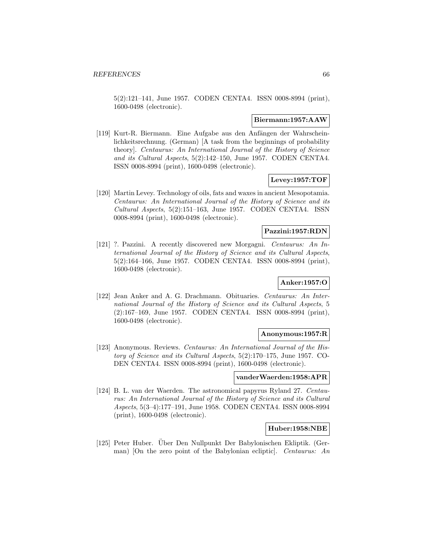5(2):121–141, June 1957. CODEN CENTA4. ISSN 0008-8994 (print), 1600-0498 (electronic).

#### **Biermann:1957:AAW**

[119] Kurt-R. Biermann. Eine Aufgabe aus den Anfängen der Wahrscheinlichkeitsrechnung. (German) [A task from the beginnings of probability theory]. Centaurus: An International Journal of the History of Science and its Cultural Aspects, 5(2):142–150, June 1957. CODEN CENTA4. ISSN 0008-8994 (print), 1600-0498 (electronic).

# **Levey:1957:TOF**

[120] Martin Levey. Technology of oils, fats and waxes in ancient Mesopotamia. Centaurus: An International Journal of the History of Science and its Cultural Aspects, 5(2):151–163, June 1957. CODEN CENTA4. ISSN 0008-8994 (print), 1600-0498 (electronic).

### **Pazzini:1957:RDN**

[121] ?. Pazzini. A recently discovered new Morgagni. Centaurus: An International Journal of the History of Science and its Cultural Aspects, 5(2):164–166, June 1957. CODEN CENTA4. ISSN 0008-8994 (print), 1600-0498 (electronic).

# **Anker:1957:O**

[122] Jean Anker and A. G. Drachmann. Obituaries. Centaurus: An International Journal of the History of Science and its Cultural Aspects, 5 (2):167–169, June 1957. CODEN CENTA4. ISSN 0008-8994 (print), 1600-0498 (electronic).

#### **Anonymous:1957:R**

[123] Anonymous. Reviews. Centaurus: An International Journal of the History of Science and its Cultural Aspects, 5(2):170–175, June 1957. CO-DEN CENTA4. ISSN 0008-8994 (print), 1600-0498 (electronic).

### **vanderWaerden:1958:APR**

[124] B. L. van der Waerden. The astronomical papyrus Ryland 27. Centaurus: An International Journal of the History of Science and its Cultural Aspects, 5(3–4):177–191, June 1958. CODEN CENTA4. ISSN 0008-8994 (print), 1600-0498 (electronic).

# **Huber:1958:NBE**

[125] Peter Huber. Über Den Nullpunkt Der Babylonischen Ekliptik. (German) [On the zero point of the Babylonian ecliptic]. Centaurus: An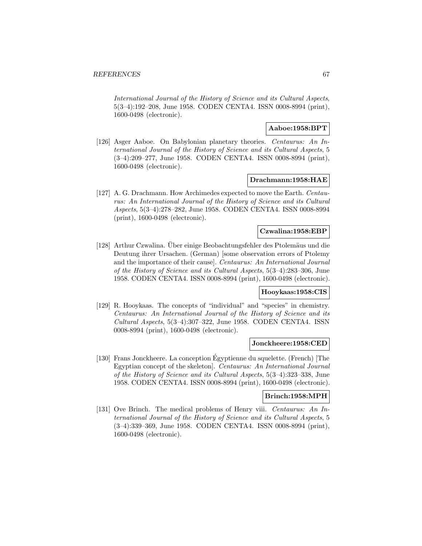International Journal of the History of Science and its Cultural Aspects, 5(3–4):192–208, June 1958. CODEN CENTA4. ISSN 0008-8994 (print), 1600-0498 (electronic).

# **Aaboe:1958:BPT**

[126] Asger Aaboe. On Babylonian planetary theories. Centaurus: An International Journal of the History of Science and its Cultural Aspects, 5 (3–4):209–277, June 1958. CODEN CENTA4. ISSN 0008-8994 (print), 1600-0498 (electronic).

#### **Drachmann:1958:HAE**

[127] A. G. Drachmann. How Archimedes expected to move the Earth. Centaurus: An International Journal of the History of Science and its Cultural Aspects, 5(3–4):278–282, June 1958. CODEN CENTA4. ISSN 0008-8994 (print), 1600-0498 (electronic).

# **Czwalina:1958:EBP**

[128] Arthur Czwalina. Über einige Beobachtungsfehler des Ptolemäus und die Deutung ihrer Ursachen. (German) [some observation errors of Ptolemy and the importance of their cause]. Centaurus: An International Journal of the History of Science and its Cultural Aspects, 5(3–4):283–306, June 1958. CODEN CENTA4. ISSN 0008-8994 (print), 1600-0498 (electronic).

#### **Hooykaas:1958:CIS**

[129] R. Hooykaas. The concepts of "individual" and "species" in chemistry. Centaurus: An International Journal of the History of Science and its Cultural Aspects, 5(3–4):307–322, June 1958. CODEN CENTA4. ISSN 0008-8994 (print), 1600-0498 (electronic).

# **Jonckheere:1958:CED**

[130] Frans Jonckheere. La conception Egyptienne du squelette. (French) [The ´ Egyptian concept of the skeleton]. Centaurus: An International Journal of the History of Science and its Cultural Aspects, 5(3–4):323–338, June 1958. CODEN CENTA4. ISSN 0008-8994 (print), 1600-0498 (electronic).

### **Brinch:1958:MPH**

[131] Ove Brinch. The medical problems of Henry viii. Centaurus: An International Journal of the History of Science and its Cultural Aspects, 5 (3–4):339–369, June 1958. CODEN CENTA4. ISSN 0008-8994 (print), 1600-0498 (electronic).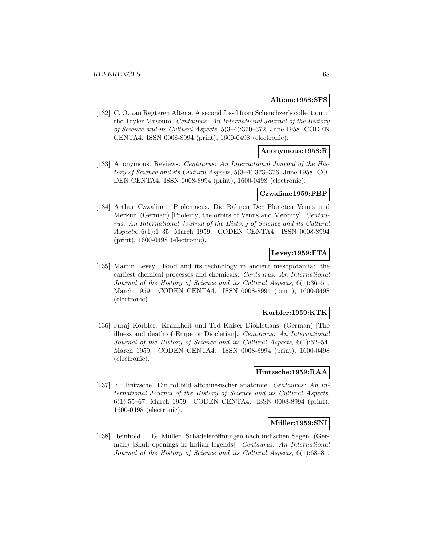### **Altena:1958:SFS**

[132] C. O. van Regteren Altena. A second fossil from Scheuchzer's collection in the Teyler Museum. Centaurus: An International Journal of the History of Science and its Cultural Aspects, 5(3–4):370–372, June 1958. CODEN CENTA4. ISSN 0008-8994 (print), 1600-0498 (electronic).

# **Anonymous:1958:R**

[133] Anonymous. Reviews. Centaurus: An International Journal of the History of Science and its Cultural Aspects, 5(3–4):373–376, June 1958. CO-DEN CENTA4. ISSN 0008-8994 (print), 1600-0498 (electronic).

### **Czwalina:1959:PBP**

[134] Arthur Czwalina. Ptolemaeus, Die Bahnen Der Planeten Venus und Merkur. (German) [Ptolemy, the orbits of Venus and Mercury]. Centaurus: An International Journal of the History of Science and its Cultural Aspects, 6(1):1–35, March 1959. CODEN CENTA4. ISSN 0008-8994 (print), 1600-0498 (electronic).

# **Levey:1959:FTA**

[135] Martin Levey. Food and its technology in ancient mesopotamia: the earliest chemical processes and chemicals. Centaurus: An International Journal of the History of Science and its Cultural Aspects, 6(1):36–51, March 1959. CODEN CENTA4. ISSN 0008-8994 (print), 1600-0498 (electronic).

### **Korbler:1959:KTK**

[136] Juraj Körbler. Krankheit und Tod Kaiser Diokletians. (German) [The illness and death of Emperor Diocletian]. Centaurus: An International Journal of the History of Science and its Cultural Aspects, 6(1):52–54, March 1959. CODEN CENTA4. ISSN 0008-8994 (print), 1600-0498 (electronic).

### **Hintzsche:1959:RAA**

[137] E. Hintzsche. Ein rollbild altchinesischer anatomie. Centaurus: An International Journal of the History of Science and its Cultural Aspects, 6(1):55–67, March 1959. CODEN CENTA4. ISSN 0008-8994 (print), 1600-0498 (electronic).

### **Miiller:1959:SNI**

[138] Reinhold F. G. Miiller. Schädeleröffnungen nach indischen Sagen. (German) [Skull openings in Indian legends]. Centaurus: An International Journal of the History of Science and its Cultural Aspects, 6(1):68–81,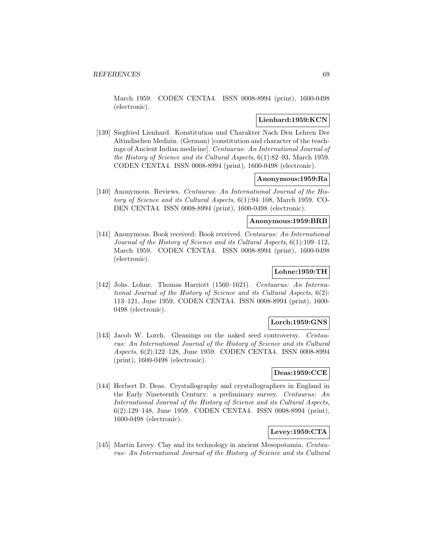March 1959. CODEN CENTA4. ISSN 0008-8994 (print), 1600-0498 (electronic).

# **Lienhard:1959:KCN**

[139] Siegfried Lienhard. Konstitution und Charakter Nach Den Lehren Der Altindischen Medizin. (German) [constitution and character of the teachings of Ancient Indian medicine]. Centaurus: An International Journal of the History of Science and its Cultural Aspects, 6(1):82–93, March 1959. CODEN CENTA4. ISSN 0008-8994 (print), 1600-0498 (electronic).

### **Anonymous:1959:Ra**

[140] Anonymous. Reviews. Centaurus: An International Journal of the History of Science and its Cultural Aspects, 6(1):94–108, March 1959. CO-DEN CENTA4. ISSN 0008-8994 (print), 1600-0498 (electronic).

### **Anonymous:1959:BRB**

[141] Anonymous. Book received: Book received. Centaurus: An International Journal of the History of Science and its Cultural Aspects, 6(1):109–112, March 1959. CODEN CENTA4. ISSN 0008-8994 (print), 1600-0498 (electronic).

# **Lohne:1959:TH**

[142] Johs. Lohne. Thomas Harriott (1560–1621). Centaurus: An International Journal of the History of Science and its Cultural Aspects, 6(2): 113–121, June 1959. CODEN CENTA4. ISSN 0008-8994 (print), 1600- 0498 (electronic).

### **Lorch:1959:GNS**

[143] Jacob W. Lorch. Gleanings on the naked seed controversy. Centaurus: An International Journal of the History of Science and its Cultural Aspects, 6(2):122–128, June 1959. CODEN CENTA4. ISSN 0008-8994 (print), 1600-0498 (electronic).

### **Deas:1959:CCE**

[144] Herbert D. Deas. Crystallography and crystallographers in England in the Early Nineteenth Century: a preliminary survey. Centaurus: An International Journal of the History of Science and its Cultural Aspects, 6(2):129–148, June 1959. CODEN CENTA4. ISSN 0008-8994 (print), 1600-0498 (electronic).

# **Levey:1959:CTA**

[145] Martin Levey. Clay and its technology in ancient Mesopotamia. Centaurus: An International Journal of the History of Science and its Cultural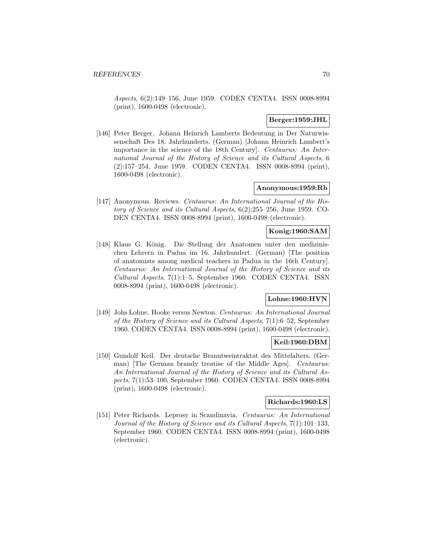Aspects, 6(2):149–156, June 1959. CODEN CENTA4. ISSN 0008-8994 (print), 1600-0498 (electronic).

# **Berger:1959:JHL**

[146] Peter Berger. Johann Heinrich Lamberts Bedeutung in Der Naturwissenschaft Des 18. Jahrhunderts. (German) [Johann Heinrich Lambert's importance in the science of the 18th Century]. Centaurus: An International Journal of the History of Science and its Cultural Aspects, 6 (2):157–254, June 1959. CODEN CENTA4. ISSN 0008-8994 (print), 1600-0498 (electronic).

### **Anonymous:1959:Rb**

[147] Anonymous. Reviews. Centaurus: An International Journal of the History of Science and its Cultural Aspects, 6(2):255–256, June 1959. CO-DEN CENTA4. ISSN 0008-8994 (print), 1600-0498 (electronic).

# **Konig:1960:SAM**

[148] Klaus G. König. Die Stellung der Anatomen unter den medizinischen Lehrern in Padua im 16. Jahrhundert. (German) [The position of anatomists among medical teachers in Padua in the 16th Century]. Centaurus: An International Journal of the History of Science and its Cultural Aspects, 7(1):1–5, September 1960. CODEN CENTA4. ISSN 0008-8994 (print), 1600-0498 (electronic).

# **Lohne:1960:HVN**

[149] Johs Lohne. Hooke versus Newton. Centaurus: An International Journal of the History of Science and its Cultural Aspects, 7(1):6–52, September 1960. CODEN CENTA4. ISSN 0008-8994 (print), 1600-0498 (electronic).

# **Keil:1960:DBM**

[150] Gundolf Keil. Der deutsche Branntweintraktat des Mittelalters. (German) [The German brandy treatise of the Middle Ages]. *Centaurus:* An International Journal of the History of Science and its Cultural Aspects, 7(1):53–100, September 1960. CODEN CENTA4. ISSN 0008-8994 (print), 1600-0498 (electronic).

# **Richards:1960:LS**

[151] Peter Richards. Leprosy in Scandinavia. Centaurus: An International Journal of the History of Science and its Cultural Aspects, 7(1):101–133, September 1960. CODEN CENTA4. ISSN 0008-8994 (print), 1600-0498 (electronic).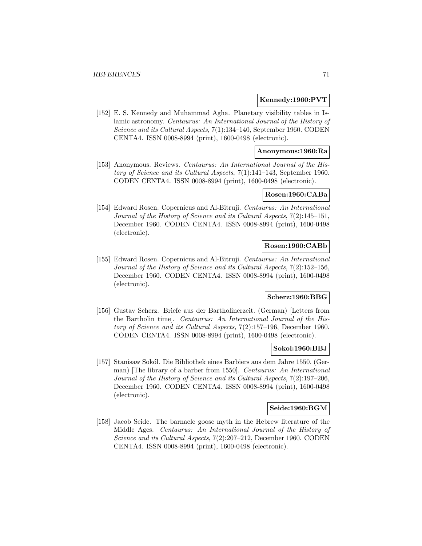## **Kennedy:1960:PVT**

[152] E. S. Kennedy and Muhammad Agha. Planetary visibility tables in Islamic astronomy. Centaurus: An International Journal of the History of Science and its Cultural Aspects, 7(1):134–140, September 1960. CODEN CENTA4. ISSN 0008-8994 (print), 1600-0498 (electronic).

# **Anonymous:1960:Ra**

[153] Anonymous. Reviews. Centaurus: An International Journal of the History of Science and its Cultural Aspects, 7(1):141–143, September 1960. CODEN CENTA4. ISSN 0008-8994 (print), 1600-0498 (electronic).

### **Rosen:1960:CABa**

[154] Edward Rosen. Copernicus and Al-Bitruji. Centaurus: An International Journal of the History of Science and its Cultural Aspects, 7(2):145–151, December 1960. CODEN CENTA4. ISSN 0008-8994 (print), 1600-0498 (electronic).

### **Rosen:1960:CABb**

[155] Edward Rosen. Copernicus and Al-Bitruji. Centaurus: An International Journal of the History of Science and its Cultural Aspects, 7(2):152–156, December 1960. CODEN CENTA4. ISSN 0008-8994 (print), 1600-0498 (electronic).

# **Scherz:1960:BBG**

[156] Gustav Scherz. Briefe aus der Bartholinerzeit. (German) [Letters from the Bartholin time]. Centaurus: An International Journal of the History of Science and its Cultural Aspects, 7(2):157–196, December 1960. CODEN CENTA4. ISSN 0008-8994 (print), 1600-0498 (electronic).

#### **Sokol:1960:BBJ**

[157] Stanisaw Sokól. Die Bibliothek eines Barbiers aus dem Jahre 1550. (German) [The library of a barber from 1550]. Centaurus: An International Journal of the History of Science and its Cultural Aspects, 7(2):197–206, December 1960. CODEN CENTA4. ISSN 0008-8994 (print), 1600-0498 (electronic).

### **Seide:1960:BGM**

[158] Jacob Seide. The barnacle goose myth in the Hebrew literature of the Middle Ages. Centaurus: An International Journal of the History of Science and its Cultural Aspects, 7(2):207–212, December 1960. CODEN CENTA4. ISSN 0008-8994 (print), 1600-0498 (electronic).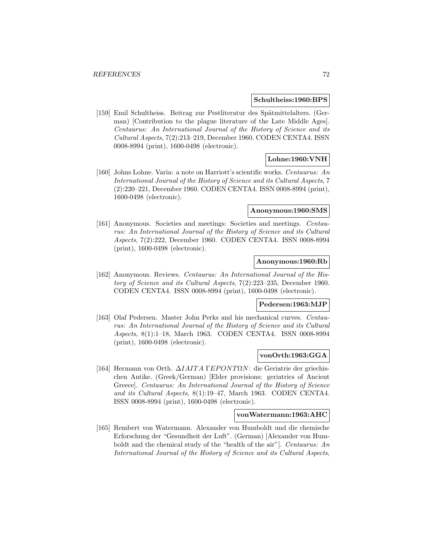#### **Schultheiss:1960:BPS**

[159] Emil Schultheiss. Beitrag zur Pestliteratur des Spätmittelalters. (German) [Contribution to the plague literature of the Late Middle Ages]. Centaurus: An International Journal of the History of Science and its Cultural Aspects, 7(2):213–219, December 1960. CODEN CENTA4. ISSN 0008-8994 (print), 1600-0498 (electronic).

# **Lohne:1960:VNH**

[160] Johns Lohne. Varia: a note on Harriott's scientific works. Centaurus: An International Journal of the History of Science and its Cultural Aspects, 7 (2):220–221, December 1960. CODEN CENTA4. ISSN 0008-8994 (print), 1600-0498 (electronic).

#### **Anonymous:1960:SMS**

[161] Anonymous. Societies and meetings: Societies and meetings. Centaurus: An International Journal of the History of Science and its Cultural Aspects, 7(2):222, December 1960. CODEN CENTA4. ISSN 0008-8994 (print), 1600-0498 (electronic).

#### **Anonymous:1960:Rb**

[162] Anonymous. Reviews. Centaurus: An International Journal of the History of Science and its Cultural Aspects, 7(2):223–235, December 1960. CODEN CENTA4. ISSN 0008-8994 (print), 1600-0498 (electronic).

#### **Pedersen:1963:MJP**

[163] Olaf Pedersen. Master John Perks and his mechanical curves. Centaurus: An International Journal of the History of Science and its Cultural Aspects, 8(1):1–18, March 1963. CODEN CENTA4. ISSN 0008-8994 (print), 1600-0498 (electronic).

### **vonOrth:1963:GGA**

[164] Hermann von Orth. ∆IAIT A ΓEPONTΩN: die Geriatrie der griechischen Antike. (Greek/German) [Elder provisions: geriatrics of Ancient Greece]. Centaurus: An International Journal of the History of Science and its Cultural Aspects, 8(1):19–47, March 1963. CODEN CENTA4. ISSN 0008-8994 (print), 1600-0498 (electronic).

### **vonWatermann:1963:AHC**

[165] Rembert von Watermann. Alexander von Humboldt und die chemische Erforschung der "Gesundheit der Luft". (German) [Alexander von Humboldt and the chemical study of the "health of the air"]. Centaurus: An International Journal of the History of Science and its Cultural Aspects,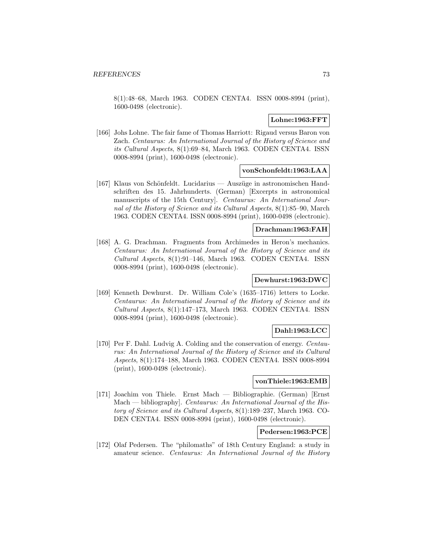8(1):48–68, March 1963. CODEN CENTA4. ISSN 0008-8994 (print), 1600-0498 (electronic).

# **Lohne:1963:FFT**

[166] Johs Lohne. The fair fame of Thomas Harriott: Rigaud versus Baron von Zach. Centaurus: An International Journal of the History of Science and its Cultural Aspects, 8(1):69–84, March 1963. CODEN CENTA4. ISSN 0008-8994 (print), 1600-0498 (electronic).

## **vonSchonfeldt:1963:LAA**

[167] Klaus von Schönfeldt. Lucidarius — Auszüge in astronomischen Handschriften des 15. Jahrhunderts. (German) [Excerpts in astronomical manuscripts of the 15th Century]. Centaurus: An International Journal of the History of Science and its Cultural Aspects, 8(1):85–90, March 1963. CODEN CENTA4. ISSN 0008-8994 (print), 1600-0498 (electronic).

# **Drachman:1963:FAH**

[168] A. G. Drachman. Fragments from Archimedes in Heron's mechanics. Centaurus: An International Journal of the History of Science and its Cultural Aspects, 8(1):91–146, March 1963. CODEN CENTA4. ISSN 0008-8994 (print), 1600-0498 (electronic).

## **Dewhurst:1963:DWC**

[169] Kenneth Dewhurst. Dr. William Cole's (1635–1716) letters to Locke. Centaurus: An International Journal of the History of Science and its Cultural Aspects, 8(1):147–173, March 1963. CODEN CENTA4. ISSN 0008-8994 (print), 1600-0498 (electronic).

# **Dahl:1963:LCC**

[170] Per F. Dahl. Ludvig A. Colding and the conservation of energy. Centaurus: An International Journal of the History of Science and its Cultural Aspects, 8(1):174–188, March 1963. CODEN CENTA4. ISSN 0008-8994 (print), 1600-0498 (electronic).

#### **vonThiele:1963:EMB**

[171] Joachim von Thiele. Ernst Mach — Bibliographie. (German) [Ernst Mach — bibliography. Centaurus: An International Journal of the History of Science and its Cultural Aspects, 8(1):189–237, March 1963. CO-DEN CENTA4. ISSN 0008-8994 (print), 1600-0498 (electronic).

# **Pedersen:1963:PCE**

[172] Olaf Pedersen. The "philomaths" of 18th Century England: a study in amateur science. Centaurus: An International Journal of the History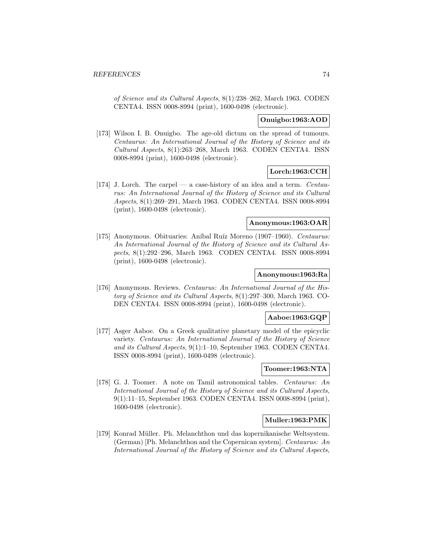of Science and its Cultural Aspects, 8(1):238–262, March 1963. CODEN CENTA4. ISSN 0008-8994 (print), 1600-0498 (electronic).

### **Onuigbo:1963:AOD**

[173] Wilson I. B. Onuigbo. The age-old dictum on the spread of tumours. Centaurus: An International Journal of the History of Science and its Cultural Aspects, 8(1):263–268, March 1963. CODEN CENTA4. ISSN 0008-8994 (print), 1600-0498 (electronic).

# **Lorch:1963:CCH**

[174] J. Lorch. The carpel — a case-history of an idea and a term. Centaurus: An International Journal of the History of Science and its Cultural Aspects, 8(1):269–291, March 1963. CODEN CENTA4. ISSN 0008-8994 (print), 1600-0498 (electronic).

## **Anonymous:1963:OAR**

[175] Anonymous. Obituaries: Aníbal Ruíz Moreno (1907–1960). Centaurus: An International Journal of the History of Science and its Cultural Aspects, 8(1):292–296, March 1963. CODEN CENTA4. ISSN 0008-8994 (print), 1600-0498 (electronic).

## **Anonymous:1963:Ra**

[176] Anonymous. Reviews. Centaurus: An International Journal of the History of Science and its Cultural Aspects, 8(1):297–300, March 1963. CO-DEN CENTA4. ISSN 0008-8994 (print), 1600-0498 (electronic).

# **Aaboe:1963:GQP**

[177] Asger Aaboe. On a Greek qualitative planetary model of the epicyclic variety. Centaurus: An International Journal of the History of Science and its Cultural Aspects, 9(1):1–10, September 1963. CODEN CENTA4. ISSN 0008-8994 (print), 1600-0498 (electronic).

#### **Toomer:1963:NTA**

[178] G. J. Toomer. A note on Tamil astronomical tables. Centaurus: An International Journal of the History of Science and its Cultural Aspects, 9(1):11–15, September 1963. CODEN CENTA4. ISSN 0008-8994 (print), 1600-0498 (electronic).

## **Muller:1963:PMK**

[179] Konrad Müller. Ph. Melanchthon und das kopernikanische Weltsystem. (German) [Ph. Melanchthon and the Copernican system]. Centaurus: An International Journal of the History of Science and its Cultural Aspects,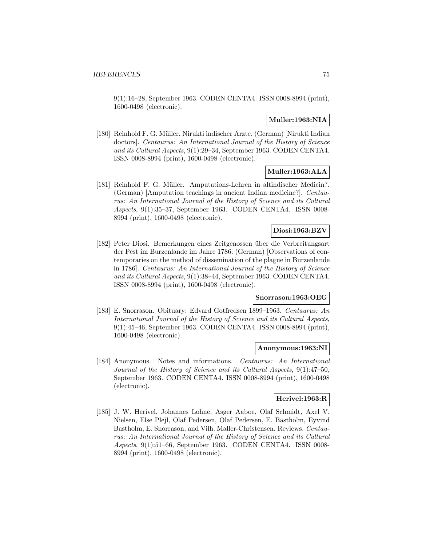9(1):16–28, September 1963. CODEN CENTA4. ISSN 0008-8994 (print), 1600-0498 (electronic).

# **Muller:1963:NIA**

[180] Reinhold F. G. M¨uller. Nirukti indischer Arzte. (German) [Nirukti Indian ¨ doctors]. Centaurus: An International Journal of the History of Science and its Cultural Aspects, 9(1):29–34, September 1963. CODEN CENTA4. ISSN 0008-8994 (print), 1600-0498 (electronic).

# **Muller:1963:ALA**

[181] Reinhold F. G. Müller. Amputations-Lehren in altindischer Medicin?. (German) [Amputation teachings in ancient Indian medicine?]. Centaurus: An International Journal of the History of Science and its Cultural Aspects, 9(1):35–37, September 1963. CODEN CENTA4. ISSN 0008- 8994 (print), 1600-0498 (electronic).

# **Diosi:1963:BZV**

[182] Peter Diosi. Bemerkungen eines Zeitgenossen ¨uber die Verbreitungsart der Pest im Burzenlande im Jahre 1786. (German) [Observations of contemporaries on the method of dissemination of the plague in Burzenlande in 1786]. Centaurus: An International Journal of the History of Science and its Cultural Aspects, 9(1):38–44, September 1963. CODEN CENTA4. ISSN 0008-8994 (print), 1600-0498 (electronic).

## **Snorrason:1963:OEG**

[183] E. Snorrason. Obituary: Edvard Gotfredsen 1899–1963. Centaurus: An International Journal of the History of Science and its Cultural Aspects, 9(1):45–46, September 1963. CODEN CENTA4. ISSN 0008-8994 (print), 1600-0498 (electronic).

#### **Anonymous:1963:NI**

[184] Anonymous. Notes and informations. Centaurus: An International Journal of the History of Science and its Cultural Aspects, 9(1):47–50, September 1963. CODEN CENTA4. ISSN 0008-8994 (print), 1600-0498 (electronic).

# **Herivel:1963:R**

[185] J. W. Herivel, Johannes Lohne, Asger Aaboe, Olaf Schmidt, Axel V. Nielsen, Else Plejl, Olaf Pedersen, Olaf Pedersen, E. Bastholm, Eyvind Bastholm, E. Snorrason, and Vilh. Maller-Christensen. Reviews. Centaurus: An International Journal of the History of Science and its Cultural Aspects, 9(1):51–66, September 1963. CODEN CENTA4. ISSN 0008- 8994 (print), 1600-0498 (electronic).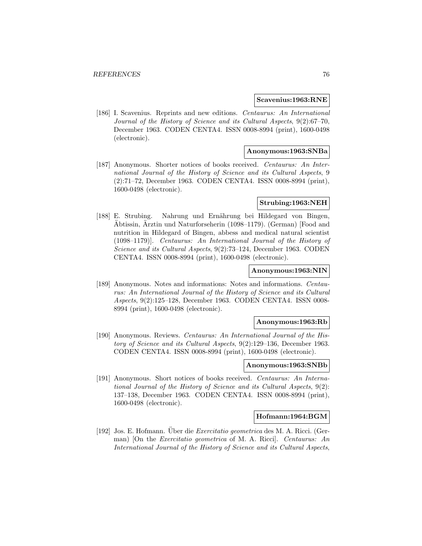### **Scavenius:1963:RNE**

[186] I. Scavenius. Reprints and new editions. Centaurus: An International Journal of the History of Science and its Cultural Aspects, 9(2):67–70, December 1963. CODEN CENTA4. ISSN 0008-8994 (print), 1600-0498 (electronic).

## **Anonymous:1963:SNBa**

[187] Anonymous. Shorter notices of books received. Centaurus: An International Journal of the History of Science and its Cultural Aspects, 9 (2):71–72, December 1963. CODEN CENTA4. ISSN 0008-8994 (print), 1600-0498 (electronic).

## **Strubing:1963:NEH**

[188] E. Strubing. Nahrung und Ernährung bei Hildegard von Bingen,  $\tilde{A}$ btissin,  $\tilde{A}$ rztin und Naturforseherin (1098–1179). (German) [Food and nutrition in Hildegard of Bingen, abbess and medical natural scientist (1098–1179)]. Centaurus: An International Journal of the History of Science and its Cultural Aspects, 9(2):73–124, December 1963. CODEN CENTA4. ISSN 0008-8994 (print), 1600-0498 (electronic).

#### **Anonymous:1963:NIN**

[189] Anonymous. Notes and informations: Notes and informations. Centaurus: An International Journal of the History of Science and its Cultural Aspects, 9(2):125–128, December 1963. CODEN CENTA4. ISSN 0008- 8994 (print), 1600-0498 (electronic).

## **Anonymous:1963:Rb**

[190] Anonymous. Reviews. Centaurus: An International Journal of the History of Science and its Cultural Aspects, 9(2):129–136, December 1963. CODEN CENTA4. ISSN 0008-8994 (print), 1600-0498 (electronic).

# **Anonymous:1963:SNBb**

[191] Anonymous. Short notices of books received. Centaurus: An International Journal of the History of Science and its Cultural Aspects, 9(2): 137–138, December 1963. CODEN CENTA4. ISSN 0008-8994 (print), 1600-0498 (electronic).

#### **Hofmann:1964:BGM**

[192] Jos. E. Hofmann. Uber die *Exercitatio geometrica* des M. A. Ricci. (German) [On the Exercitatio geometrica of M. A. Ricci]. Centaurus: An International Journal of the History of Science and its Cultural Aspects,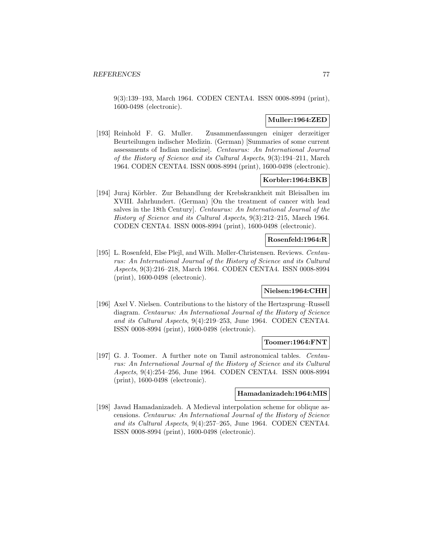9(3):139–193, March 1964. CODEN CENTA4. ISSN 0008-8994 (print), 1600-0498 (electronic).

# **Muller:1964:ZED**

[193] Reinhold F. G. Muller. Zusammenfassungen einiger derzeitiger Beurteilungen indischer Medizin. (German) [Summaries of some current assessments of Indian medicine]. Centaurus: An International Journal of the History of Science and its Cultural Aspects, 9(3):194–211, March 1964. CODEN CENTA4. ISSN 0008-8994 (print), 1600-0498 (electronic).

# **Korbler:1964:BKB**

[194] Juraj Körbler. Zur Behandlung der Krebskrankheit mit Bleisalben im XVIII. Jahrhundert. (German) [On the treatment of cancer with lead salves in the 18th Century]. Centaurus: An International Journal of the History of Science and its Cultural Aspects, 9(3):212–215, March 1964. CODEN CENTA4. ISSN 0008-8994 (print), 1600-0498 (electronic).

## **Rosenfeld:1964:R**

[195] L. Rosenfeld, Else Plejl, and Wilh. Møller-Christensen. Reviews. Centaurus: An International Journal of the History of Science and its Cultural Aspects, 9(3):216–218, March 1964. CODEN CENTA4. ISSN 0008-8994 (print), 1600-0498 (electronic).

# **Nielsen:1964:CHH**

[196] Axel V. Nielsen. Contributions to the history of the Hertzsprung–Russell diagram. Centaurus: An International Journal of the History of Science and its Cultural Aspects, 9(4):219–253, June 1964. CODEN CENTA4. ISSN 0008-8994 (print), 1600-0498 (electronic).

## **Toomer:1964:FNT**

[197] G. J. Toomer. A further note on Tamil astronomical tables. *Centau*rus: An International Journal of the History of Science and its Cultural Aspects, 9(4):254–256, June 1964. CODEN CENTA4. ISSN 0008-8994 (print), 1600-0498 (electronic).

## **Hamadanizadeh:1964:MIS**

[198] Javad Hamadanizadeh. A Medieval interpolation scheme for oblique ascensions. Centaurus: An International Journal of the History of Science and its Cultural Aspects, 9(4):257–265, June 1964. CODEN CENTA4. ISSN 0008-8994 (print), 1600-0498 (electronic).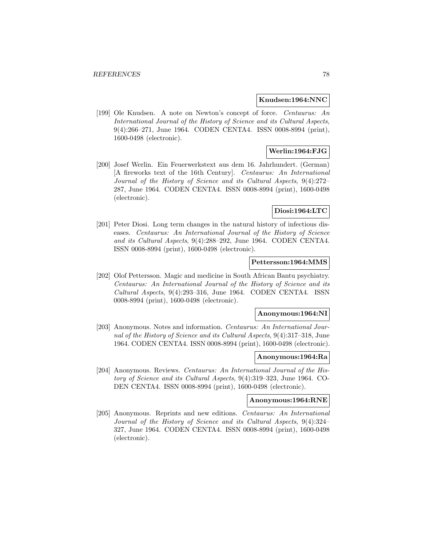### **Knudsen:1964:NNC**

[199] Ole Knudsen. A note on Newton's concept of force. Centaurus: An International Journal of the History of Science and its Cultural Aspects, 9(4):266–271, June 1964. CODEN CENTA4. ISSN 0008-8994 (print), 1600-0498 (electronic).

# **Werlin:1964:FJG**

[200] Josef Werlin. Ein Feuerwerkstext aus dem 16. Jahrhundert. (German) [A fireworks text of the 16th Century]. Centaurus: An International Journal of the History of Science and its Cultural Aspects, 9(4):272– 287, June 1964. CODEN CENTA4. ISSN 0008-8994 (print), 1600-0498 (electronic).

### **Diosi:1964:LTC**

[201] Peter Diosi. Long term changes in the natural history of infectious diseases. Centaurus: An International Journal of the History of Science and its Cultural Aspects, 9(4):288–292, June 1964. CODEN CENTA4. ISSN 0008-8994 (print), 1600-0498 (electronic).

## **Pettersson:1964:MMS**

[202] Olof Pettersson. Magic and medicine in South African Bantu psychiatry. Centaurus: An International Journal of the History of Science and its Cultural Aspects, 9(4):293–316, June 1964. CODEN CENTA4. ISSN 0008-8994 (print), 1600-0498 (electronic).

## **Anonymous:1964:NI**

[203] Anonymous. Notes and information. Centaurus: An International Journal of the History of Science and its Cultural Aspects, 9(4):317–318, June 1964. CODEN CENTA4. ISSN 0008-8994 (print), 1600-0498 (electronic).

## **Anonymous:1964:Ra**

[204] Anonymous. Reviews. Centaurus: An International Journal of the History of Science and its Cultural Aspects, 9(4):319–323, June 1964. CO-DEN CENTA4. ISSN 0008-8994 (print), 1600-0498 (electronic).

### **Anonymous:1964:RNE**

[205] Anonymous. Reprints and new editions. Centaurus: An International Journal of the History of Science and its Cultural Aspects, 9(4):324– 327, June 1964. CODEN CENTA4. ISSN 0008-8994 (print), 1600-0498 (electronic).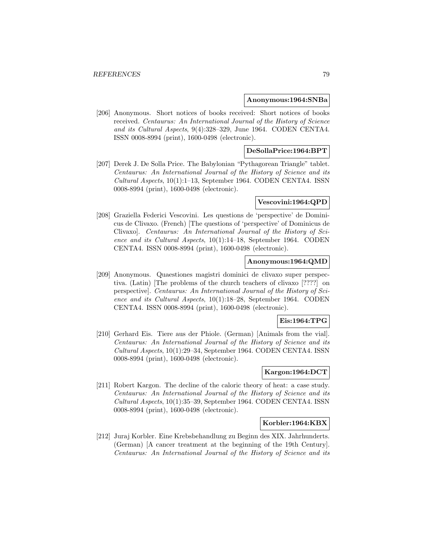#### **Anonymous:1964:SNBa**

[206] Anonymous. Short notices of books received: Short notices of books received. Centaurus: An International Journal of the History of Science and its Cultural Aspects, 9(4):328–329, June 1964. CODEN CENTA4. ISSN 0008-8994 (print), 1600-0498 (electronic).

# **DeSollaPrice:1964:BPT**

[207] Derek J. De Solla Price. The Babylonian "Pythagorean Triangle" tablet. Centaurus: An International Journal of the History of Science and its Cultural Aspects, 10(1):1–13, September 1964. CODEN CENTA4. ISSN 0008-8994 (print), 1600-0498 (electronic).

## **Vescovini:1964:QPD**

[208] Graziella Federici Vescovini. Les questions de 'perspective' de Dominicus de Clivaxo. (French) [The questions of 'perspective' of Dominicus de Clivaxo]. Centaurus: An International Journal of the History of Science and its Cultural Aspects, 10(1):14–18, September 1964. CODEN CENTA4. ISSN 0008-8994 (print), 1600-0498 (electronic).

### **Anonymous:1964:QMD**

[209] Anonymous. Quaestiones magistri dominici de clivaxo super perspectiva. (Latin) [The problems of the church teachers of clivaxo [????] on perspective]. Centaurus: An International Journal of the History of Science and its Cultural Aspects, 10(1):18–28, September 1964. CODEN CENTA4. ISSN 0008-8994 (print), 1600-0498 (electronic).

# **Eis:1964:TPG**

[210] Gerhard Eis. Tiere aus der Phiole. (German) [Animals from the vial]. Centaurus: An International Journal of the History of Science and its Cultural Aspects, 10(1):29–34, September 1964. CODEN CENTA4. ISSN 0008-8994 (print), 1600-0498 (electronic).

## **Kargon:1964:DCT**

[211] Robert Kargon. The decline of the caloric theory of heat: a case study. Centaurus: An International Journal of the History of Science and its Cultural Aspects, 10(1):35–39, September 1964. CODEN CENTA4. ISSN 0008-8994 (print), 1600-0498 (electronic).

# **Korbler:1964:KBX**

[212] Juraj Korbler. Eine Krebsbehandlung zu Beginn des XIX. Jahrhunderts. (German) [A cancer treatment at the beginning of the 19th Century]. Centaurus: An International Journal of the History of Science and its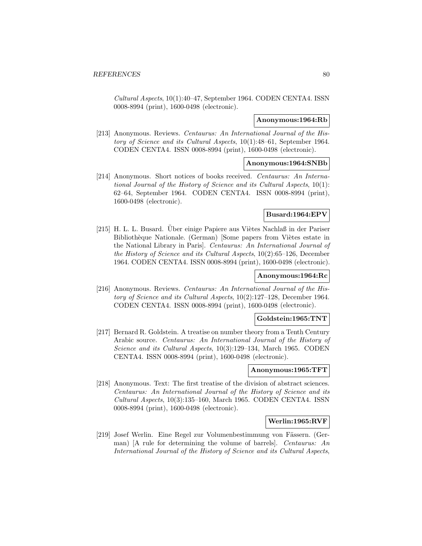Cultural Aspects, 10(1):40–47, September 1964. CODEN CENTA4. ISSN 0008-8994 (print), 1600-0498 (electronic).

### **Anonymous:1964:Rb**

[213] Anonymous. Reviews. Centaurus: An International Journal of the History of Science and its Cultural Aspects, 10(1):48–61, September 1964. CODEN CENTA4. ISSN 0008-8994 (print), 1600-0498 (electronic).

### **Anonymous:1964:SNBb**

[214] Anonymous. Short notices of books received. Centaurus: An International Journal of the History of Science and its Cultural Aspects, 10(1): 62–64, September 1964. CODEN CENTA4. ISSN 0008-8994 (print), 1600-0498 (electronic).

## **Busard:1964:EPV**

[215] H. L. L. Busard. Über einige Papiere aus Viètes Nachlaß in der Pariser Bibliothèque Nationale. (German) [Some papers from Viètes estate in the National Library in Paris]. Centaurus: An International Journal of the History of Science and its Cultural Aspects, 10(2):65–126, December 1964. CODEN CENTA4. ISSN 0008-8994 (print), 1600-0498 (electronic).

# **Anonymous:1964:Rc**

[216] Anonymous. Reviews. Centaurus: An International Journal of the History of Science and its Cultural Aspects, 10(2):127–128, December 1964. CODEN CENTA4. ISSN 0008-8994 (print), 1600-0498 (electronic).

## **Goldstein:1965:TNT**

[217] Bernard R. Goldstein. A treatise on number theory from a Tenth Century Arabic source. Centaurus: An International Journal of the History of Science and its Cultural Aspects, 10(3):129–134, March 1965. CODEN CENTA4. ISSN 0008-8994 (print), 1600-0498 (electronic).

#### **Anonymous:1965:TFT**

[218] Anonymous. Text: The first treatise of the division of abstract sciences. Centaurus: An International Journal of the History of Science and its Cultural Aspects, 10(3):135–160, March 1965. CODEN CENTA4. ISSN 0008-8994 (print), 1600-0498 (electronic).

## **Werlin:1965:RVF**

[219] Josef Werlin. Eine Regel zur Volumenbestimmung von Fässern. (German) [A rule for determining the volume of barrels]. Centaurus: An International Journal of the History of Science and its Cultural Aspects,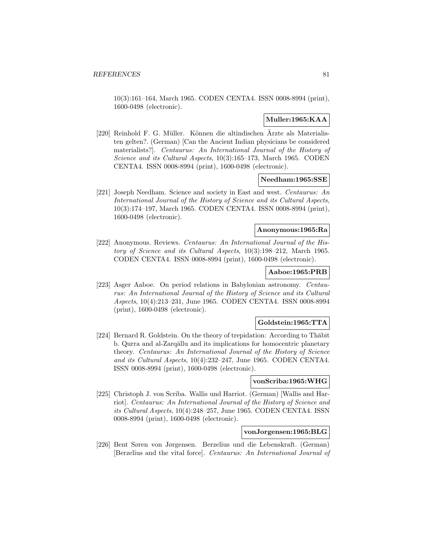10(3):161–164, March 1965. CODEN CENTA4. ISSN 0008-8994 (print), 1600-0498 (electronic).

# **Muller:1965:KAA**

[220] Reinhold F. G. Müller. Können die altindischen Ärzte als Materialisten gelten?. (German) [Can the Ancient Indian physicians be considered materialists?]. Centaurus: An International Journal of the History of Science and its Cultural Aspects, 10(3):165–173, March 1965. CODEN CENTA4. ISSN 0008-8994 (print), 1600-0498 (electronic).

## **Needham:1965:SSE**

[221] Joseph Needham. Science and society in East and west. Centaurus: An International Journal of the History of Science and its Cultural Aspects, 10(3):174–197, March 1965. CODEN CENTA4. ISSN 0008-8994 (print), 1600-0498 (electronic).

## **Anonymous:1965:Ra**

[222] Anonymous. Reviews. Centaurus: An International Journal of the History of Science and its Cultural Aspects, 10(3):198–212, March 1965. CODEN CENTA4. ISSN 0008-8994 (print), 1600-0498 (electronic).

# **Aaboe:1965:PRB**

[223] Asger Aaboe. On period relations in Babylonian astronomy. Centaurus: An International Journal of the History of Science and its Cultural Aspects, 10(4):213–231, June 1965. CODEN CENTA4. ISSN 0008-8994 (print), 1600-0498 (electronic).

# **Goldstein:1965:TTA**

[224] Bernard R. Goldstein. On the theory of trepidation: According to Thabit b. Qurra and al-Zarqāllu and its implications for homocentric planetary theory. Centaurus: An International Journal of the History of Science and its Cultural Aspects, 10(4):232–247, June 1965. CODEN CENTA4. ISSN 0008-8994 (print), 1600-0498 (electronic).

## **vonScriba:1965:WHG**

[225] Christoph J. von Scriba. Wallis und Harriot. (German) [Wallis and Harriot]. Centaurus: An International Journal of the History of Science and its Cultural Aspects, 10(4):248–257, June 1965. CODEN CENTA4. ISSN 0008-8994 (print), 1600-0498 (electronic).

## **vonJorgensen:1965:BLG**

[226] Bent Søren von Jørgensen. Berzelius und die Lebenskraft. (German) [Berzelius and the vital force]. Centaurus: An International Journal of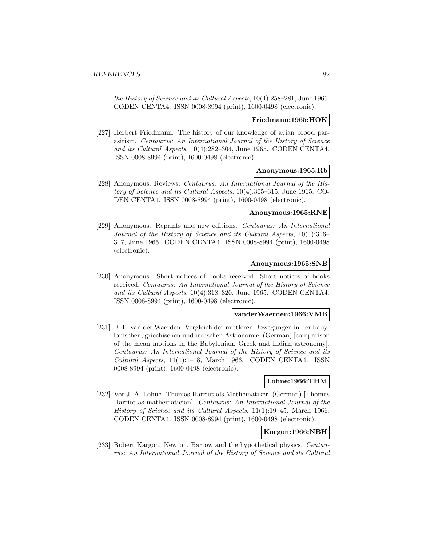the History of Science and its Cultural Aspects, 10(4):258–281, June 1965. CODEN CENTA4. ISSN 0008-8994 (print), 1600-0498 (electronic).

### **Friedmann:1965:HOK**

[227] Herbert Friedmann. The history of our knowledge of avian brood parasitism. Centaurus: An International Journal of the History of Science and its Cultural Aspects, 10(4):282–304, June 1965. CODEN CENTA4. ISSN 0008-8994 (print), 1600-0498 (electronic).

#### **Anonymous:1965:Rb**

[228] Anonymous. Reviews. Centaurus: An International Journal of the History of Science and its Cultural Aspects, 10(4):305–315, June 1965. CO-DEN CENTA4. ISSN 0008-8994 (print), 1600-0498 (electronic).

### **Anonymous:1965:RNE**

[229] Anonymous. Reprints and new editions. Centaurus: An International Journal of the History of Science and its Cultural Aspects, 10(4):316– 317, June 1965. CODEN CENTA4. ISSN 0008-8994 (print), 1600-0498 (electronic).

### **Anonymous:1965:SNB**

[230] Anonymous. Short notices of books received: Short notices of books received. Centaurus: An International Journal of the History of Science and its Cultural Aspects, 10(4):318–320, June 1965. CODEN CENTA4. ISSN 0008-8994 (print), 1600-0498 (electronic).

#### **vanderWaerden:1966:VMB**

[231] B. L. van der Waerden. Vergleich der mittleren Bewegungen in der babylonischen, griechischen und indischen Astronomie. (German) [comparison of the mean motions in the Babylonian, Greek and Indian astronomy]. Centaurus: An International Journal of the History of Science and its Cultural Aspects, 11(1):1–18, March 1966. CODEN CENTA4. ISSN 0008-8994 (print), 1600-0498 (electronic).

## **Lohne:1966:THM**

[232] Vot J. A. Lohne. Thomas Harriot als Mathematiker. (German) [Thomas Harriot as mathematician]. Centaurus: An International Journal of the History of Science and its Cultural Aspects, 11(1):19–45, March 1966. CODEN CENTA4. ISSN 0008-8994 (print), 1600-0498 (electronic).

# **Kargon:1966:NBH**

[233] Robert Kargon. Newton, Barrow and the hypothetical physics. Centaurus: An International Journal of the History of Science and its Cultural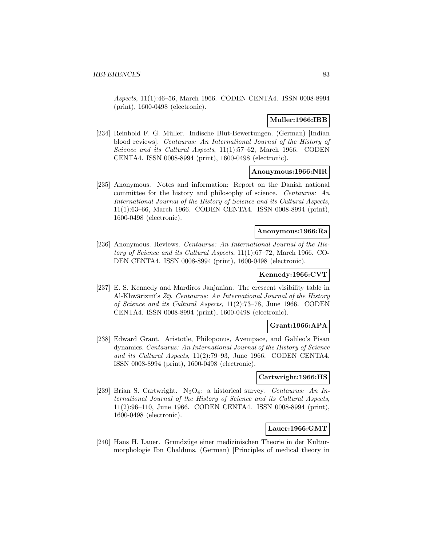Aspects, 11(1):46–56, March 1966. CODEN CENTA4. ISSN 0008-8994 (print), 1600-0498 (electronic).

# **Muller:1966:IBB**

[234] Reinhold F. G. Müller. Indische Blut-Bewertungen. (German) [Indian blood reviews]. Centaurus: An International Journal of the History of Science and its Cultural Aspects, 11(1):57–62, March 1966. CODEN CENTA4. ISSN 0008-8994 (print), 1600-0498 (electronic).

## **Anonymous:1966:NIR**

[235] Anonymous. Notes and information: Report on the Danish national committee for the history and philosophy of science. Centaurus: An International Journal of the History of Science and its Cultural Aspects, 11(1):63–66, March 1966. CODEN CENTA4. ISSN 0008-8994 (print), 1600-0498 (electronic).

## **Anonymous:1966:Ra**

[236] Anonymous. Reviews. Centaurus: An International Journal of the History of Science and its Cultural Aspects, 11(1):67–72, March 1966. CO-DEN CENTA4. ISSN 0008-8994 (print), 1600-0498 (electronic).

# **Kennedy:1966:CVT**

[237] E. S. Kennedy and Mardiros Janjanian. The crescent visibility table in Al-Khwārizmī's  $Z_{ij}$ . Centaurus: An International Journal of the History of Science and its Cultural Aspects, 11(2):73–78, June 1966. CODEN CENTA4. ISSN 0008-8994 (print), 1600-0498 (electronic).

### **Grant:1966:APA**

[238] Edward Grant. Aristotle, Philoponus, Avempace, and Galileo's Pisan dynamics. Centaurus: An International Journal of the History of Science and its Cultural Aspects, 11(2):79–93, June 1966. CODEN CENTA4. ISSN 0008-8994 (print), 1600-0498 (electronic).

## **Cartwright:1966:HS**

[239] Brian S. Cartwright.  $N_2O_4$ : a historical survey. Centaurus: An International Journal of the History of Science and its Cultural Aspects, 11(2):96–110, June 1966. CODEN CENTA4. ISSN 0008-8994 (print), 1600-0498 (electronic).

### **Lauer:1966:GMT**

[240] Hans H. Lauer. Grundzüge einer medizinischen Theorie in der Kulturmorphologie Ibn Chalduns. (German) [Principles of medical theory in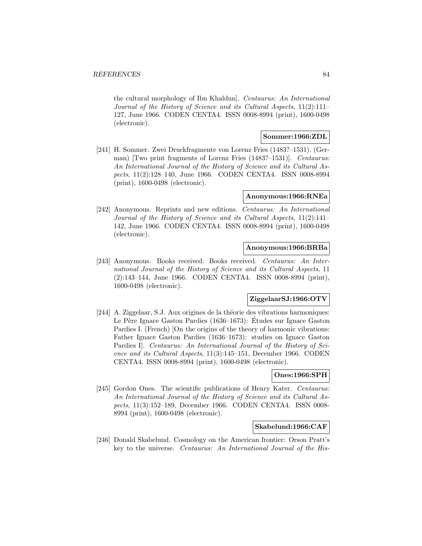the cultural morphology of Ibn Khaldun]. Centaurus: An International Journal of the History of Science and its Cultural Aspects, 11(2):111– 127, June 1966. CODEN CENTA4. ISSN 0008-8994 (print), 1600-0498 (electronic).

## **Sommer:1966:ZDL**

[241] H. Sommer. Zwei Druckfragmente von Lorenz Fries (1483?–1531). (German) [Two print fragments of Lorenz Fries (1483?–1531)]. Centaurus: An International Journal of the History of Science and its Cultural Aspects, 11(2):128–140, June 1966. CODEN CENTA4. ISSN 0008-8994 (print), 1600-0498 (electronic).

# **Anonymous:1966:RNEa**

[242] Anonymous. Reprints and new editions. Centaurus: An International Journal of the History of Science and its Cultural Aspects, 11(2):141– 142, June 1966. CODEN CENTA4. ISSN 0008-8994 (print), 1600-0498 (electronic).

### **Anonymous:1966:BRBa**

[243] Anonymous. Books received: Books received. Centaurus: An International Journal of the History of Science and its Cultural Aspects, 11 (2):143–144, June 1966. CODEN CENTA4. ISSN 0008-8994 (print), 1600-0498 (electronic).

# **ZiggelaarSJ:1966:OTV**

 $[244]$  A. Ziggelaar, S.J. Aux origines de la théorie des vibrations harmoniques: Le Père Ignace Gaston Pardies (1636–1673): Etudes sur Ignace Gaston Pardies I. (French) [On the origins of the theory of harmonic vibrations: Father Ignace Gaston Pardies (1636–1673): studies on Ignace Gaston Pardies I]. Centaurus: An International Journal of the History of Science and its Cultural Aspects, 11(3):145–151, December 1966. CODEN CENTA4. ISSN 0008-8994 (print), 1600-0498 (electronic).

# **Ones:1966:SPH**

[245] Gordon Ones. The scientific publications of Henry Kater. Centaurus: An International Journal of the History of Science and its Cultural Aspects, 11(3):152–189, December 1966. CODEN CENTA4. ISSN 0008- 8994 (print), 1600-0498 (electronic).

## **Skabelund:1966:CAF**

[246] Donald Skabelund. Cosmology on the American frontier: Orson Pratt's key to the universe. Centaurus: An International Journal of the His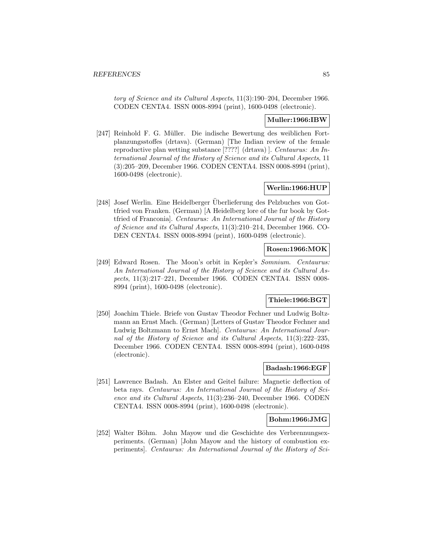tory of Science and its Cultural Aspects, 11(3):190–204, December 1966. CODEN CENTA4. ISSN 0008-8994 (print), 1600-0498 (electronic).

# **Muller:1966:IBW**

[247] Reinhold F. G. Müller. Die indische Bewertung des weiblichen Fortplanzungsstoffes (drtava). (German) [The Indian review of the female reproductive plan wetting substance [????] (drtava) ]. Centaurus: An International Journal of the History of Science and its Cultural Aspects, 11 (3):205–209, December 1966. CODEN CENTA4. ISSN 0008-8994 (print), 1600-0498 (electronic).

# **Werlin:1966:HUP**

[248] Josef Werlin. Eine Heidelberger Überlieferung des Pelzbuches von Gottfried von Franken. (German) [A Heidelberg lore of the fur book by Gottfried of Franconia]. Centaurus: An International Journal of the History of Science and its Cultural Aspects, 11(3):210–214, December 1966. CO-DEN CENTA4. ISSN 0008-8994 (print), 1600-0498 (electronic).

# **Rosen:1966:MOK**

[249] Edward Rosen. The Moon's orbit in Kepler's Somnium. Centaurus: An International Journal of the History of Science and its Cultural Aspects, 11(3):217–221, December 1966. CODEN CENTA4. ISSN 0008- 8994 (print), 1600-0498 (electronic).

# **Thiele:1966:BGT**

[250] Joachim Thiele. Briefe von Gustav Theodor Fechner und Ludwig Boltzmann an Ernst Mach. (German) [Letters of Gustav Theodor Fechner and Ludwig Boltzmann to Ernst Mach]. Centaurus: An International Journal of the History of Science and its Cultural Aspects, 11(3):222–235, December 1966. CODEN CENTA4. ISSN 0008-8994 (print), 1600-0498 (electronic).

## **Badash:1966:EGF**

[251] Lawrence Badash. An Elster and Geitel failure: Magnetic deflection of beta rays. Centaurus: An International Journal of the History of Science and its Cultural Aspects, 11(3):236–240, December 1966. CODEN CENTA4. ISSN 0008-8994 (print), 1600-0498 (electronic).

### **Bohm:1966:JMG**

[252] Walter Böhm. John Mayow und die Geschichte des Verbrennungsexperiments. (German) [John Mayow and the history of combustion experiments]. Centaurus: An International Journal of the History of Sci-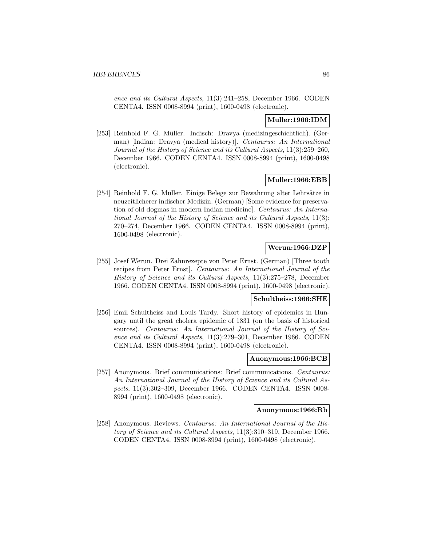ence and its Cultural Aspects, 11(3):241–258, December 1966. CODEN CENTA4. ISSN 0008-8994 (print), 1600-0498 (electronic).

# **Muller:1966:IDM**

[253] Reinhold F. G. Müller. Indisch: Dravya (medizingeschichtlich). (German) [Indian: Dravya (medical history)]. Centaurus: An International Journal of the History of Science and its Cultural Aspects, 11(3):259–260, December 1966. CODEN CENTA4. ISSN 0008-8994 (print), 1600-0498 (electronic).

## **Muller:1966:EBB**

[254] Reinhold F. G. Muller. Einige Belege zur Bewahrung alter Lehrsätze in neuzeitlicherer indischer Medizin. (German) [Some evidence for preservation of old dogmas in modern Indian medicine]. Centaurus: An International Journal of the History of Science and its Cultural Aspects, 11(3): 270–274, December 1966. CODEN CENTA4. ISSN 0008-8994 (print), 1600-0498 (electronic).

# **Werun:1966:DZP**

[255] Josef Werun. Drei Zahnrezepte von Peter Ernst. (German) [Three tooth recipes from Peter Ernst]. Centaurus: An International Journal of the History of Science and its Cultural Aspects, 11(3):275–278, December 1966. CODEN CENTA4. ISSN 0008-8994 (print), 1600-0498 (electronic).

# **Schultheiss:1966:SHE**

[256] Emil Schultheiss and Louis Tardy. Short history of epidemics in Hungary until the great cholera epidemic of 1831 (on the basis of historical sources). Centaurus: An International Journal of the History of Science and its Cultural Aspects, 11(3):279–301, December 1966. CODEN CENTA4. ISSN 0008-8994 (print), 1600-0498 (electronic).

#### **Anonymous:1966:BCB**

[257] Anonymous. Brief communications: Brief communications. Centaurus: An International Journal of the History of Science and its Cultural Aspects, 11(3):302–309, December 1966. CODEN CENTA4. ISSN 0008- 8994 (print), 1600-0498 (electronic).

# **Anonymous:1966:Rb**

[258] Anonymous. Reviews. Centaurus: An International Journal of the History of Science and its Cultural Aspects, 11(3):310–319, December 1966. CODEN CENTA4. ISSN 0008-8994 (print), 1600-0498 (electronic).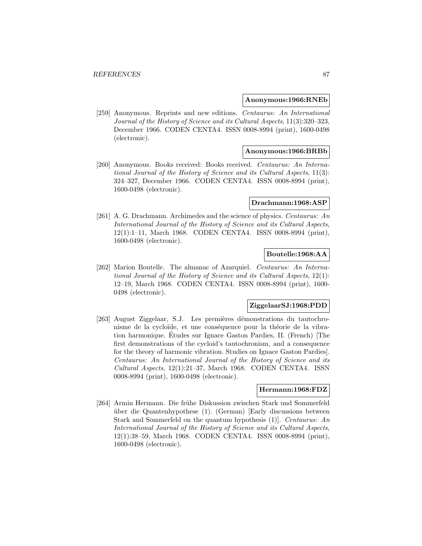#### **Anonymous:1966:RNEb**

[259] Anonymous. Reprints and new editions. Centaurus: An International Journal of the History of Science and its Cultural Aspects, 11(3):320–323, December 1966. CODEN CENTA4. ISSN 0008-8994 (print), 1600-0498 (electronic).

## **Anonymous:1966:BRBb**

[260] Anonymous. Books received: Books received. Centaurus: An International Journal of the History of Science and its Cultural Aspects, 11(3): 324–327, December 1966. CODEN CENTA4. ISSN 0008-8994 (print), 1600-0498 (electronic).

#### **Drachmann:1968:ASP**

[261] A. G. Drachmann. Archimedes and the science of physics. Centaurus: An International Journal of the History of Science and its Cultural Aspects, 12(1):1–11, March 1968. CODEN CENTA4. ISSN 0008-8994 (print), 1600-0498 (electronic).

# **Boutelle:1968:AA**

[262] Marion Boutelle. The almanac of Azarquiel. Centaurus: An International Journal of the History of Science and its Cultural Aspects, 12(1): 12–19, March 1968. CODEN CENTA4. ISSN 0008-8994 (print), 1600- 0498 (electronic).

#### **ZiggelaarSJ:1968:PDD**

[263] August Ziggelaar, S.J. Les premières démonstrations du tautochronisme de la cycloïde, et une conséquence pour la théorie de la vibration harmonique. Etudes sur Ignace Gaston Pardies, II. (French) [The ´ first demonstrations of the cycloid's tautochronism, and a consequence for the theory of harmonic vibration. Studies on Ignace Gaston Pardies]. Centaurus: An International Journal of the History of Science and its Cultural Aspects, 12(1):21–37, March 1968. CODEN CENTA4. ISSN 0008-8994 (print), 1600-0498 (electronic).

# **Hermann:1968:FDZ**

[264] Armin Hermann. Die frühe Diskussion zwischen Stark und Sommerfeld über die Quantenhypothese  $(1)$ . (German) [Early discussions between Stark and Sommerfeld on the quantum hypothesis (1)]. Centaurus: An International Journal of the History of Science and its Cultural Aspects, 12(1):38–59, March 1968. CODEN CENTA4. ISSN 0008-8994 (print), 1600-0498 (electronic).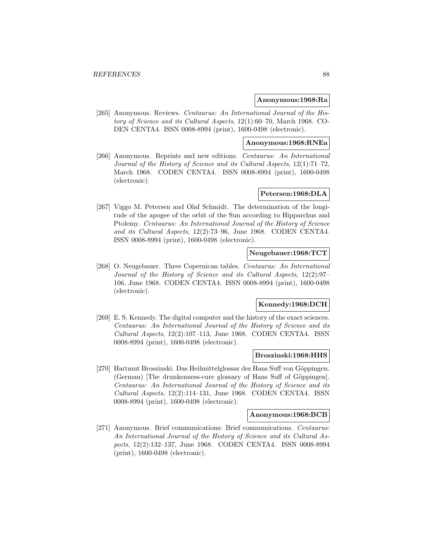#### **Anonymous:1968:Ra**

[265] Anonymous. Reviews. Centaurus: An International Journal of the History of Science and its Cultural Aspects, 12(1):60–70, March 1968. CO-DEN CENTA4. ISSN 0008-8994 (print), 1600-0498 (electronic).

#### **Anonymous:1968:RNEa**

[266] Anonymous. Reprints and new editions. Centaurus: An International Journal of the History of Science and its Cultural Aspects, 12(1):71–72, March 1968. CODEN CENTA4. ISSN 0008-8994 (print), 1600-0498 (electronic).

# **Petersen:1968:DLA**

[267] Viggo M. Petersen and Olaf Schmidt. The determination of the longitude of the apogee of the orbit of the Sun according to Hipparchus and Ptolemy. Centaurus: An International Journal of the History of Science and its Cultural Aspects, 12(2):73–96, June 1968. CODEN CENTA4. ISSN 0008-8994 (print), 1600-0498 (electronic).

# **Neugebauer:1968:TCT**

[268] O. Neugebauer. Three Copernican tables. Centaurus: An International Journal of the History of Science and its Cultural Aspects, 12(2):97– 106, June 1968. CODEN CENTA4. ISSN 0008-8994 (print), 1600-0498 (electronic).

## **Kennedy:1968:DCH**

[269] E. S. Kennedy. The digital computer and the history of the exact sciences. Centaurus: An International Journal of the History of Science and its Cultural Aspects, 12(2):107–113, June 1968. CODEN CENTA4. ISSN 0008-8994 (print), 1600-0498 (electronic).

## **Broszinski:1968:HHS**

[270] Hartmut Broszinski. Das Heilmittelglossar des Hans Suff von Göppingen. (German) [The drunkenness-cure glossary of Hans Suff of Göppingen]. Centaurus: An International Journal of the History of Science and its Cultural Aspects, 12(2):114–131, June 1968. CODEN CENTA4. ISSN 0008-8994 (print), 1600-0498 (electronic).

#### **Anonymous:1968:BCB**

[271] Anonymous. Brief communications: Brief communications. Centaurus: An International Journal of the History of Science and its Cultural Aspects, 12(2):132–137, June 1968. CODEN CENTA4. ISSN 0008-8994 (print), 1600-0498 (electronic).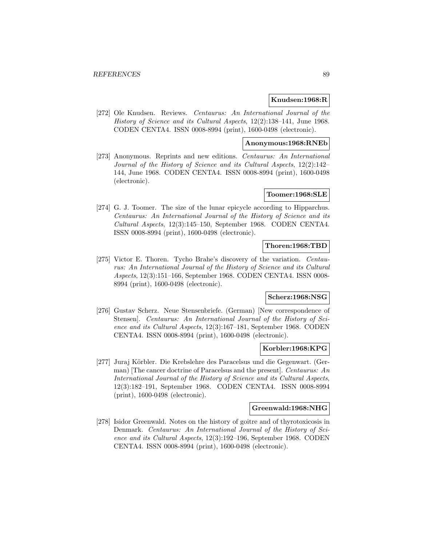## **Knudsen:1968:R**

[272] Ole Knudsen. Reviews. Centaurus: An International Journal of the History of Science and its Cultural Aspects, 12(2):138–141, June 1968. CODEN CENTA4. ISSN 0008-8994 (print), 1600-0498 (electronic).

## **Anonymous:1968:RNEb**

[273] Anonymous. Reprints and new editions. Centaurus: An International Journal of the History of Science and its Cultural Aspects, 12(2):142– 144, June 1968. CODEN CENTA4. ISSN 0008-8994 (print), 1600-0498 (electronic).

## **Toomer:1968:SLE**

[274] G. J. Toomer. The size of the lunar epicycle according to Hipparchus. Centaurus: An International Journal of the History of Science and its Cultural Aspects, 12(3):145–150, September 1968. CODEN CENTA4. ISSN 0008-8994 (print), 1600-0498 (electronic).

## **Thoren:1968:TBD**

[275] Victor E. Thoren. Tycho Brahe's discovery of the variation. Centaurus: An International Journal of the History of Science and its Cultural Aspects, 12(3):151–166, September 1968. CODEN CENTA4. ISSN 0008- 8994 (print), 1600-0498 (electronic).

# **Scherz:1968:NSG**

[276] Gustav Scherz. Neue Stensenbriefe. (German) [New correspondence of Stensen]. Centaurus: An International Journal of the History of Science and its Cultural Aspects, 12(3):167–181, September 1968. CODEN CENTA4. ISSN 0008-8994 (print), 1600-0498 (electronic).

#### **Korbler:1968:KPG**

[277] Juraj Körbler. Die Krebslehre des Paracelsus und die Gegenwart. (German) [The cancer doctrine of Paracelsus and the present]. Centaurus: An International Journal of the History of Science and its Cultural Aspects, 12(3):182–191, September 1968. CODEN CENTA4. ISSN 0008-8994 (print), 1600-0498 (electronic).

## **Greenwald:1968:NHG**

[278] Isidor Greenwald. Notes on the history of goitre and of thyrotoxicosis in Denmark. Centaurus: An International Journal of the History of Science and its Cultural Aspects, 12(3):192–196, September 1968. CODEN CENTA4. ISSN 0008-8994 (print), 1600-0498 (electronic).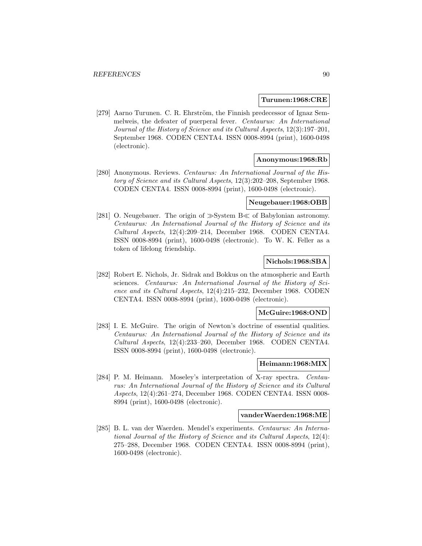#### **Turunen:1968:CRE**

[279] Aarno Turunen. C. R. Ehrström, the Finnish predecessor of Ignaz Semmelweis, the defeater of puerperal fever. Centaurus: An International Journal of the History of Science and its Cultural Aspects, 12(3):197–201, September 1968. CODEN CENTA4. ISSN 0008-8994 (print), 1600-0498 (electronic).

## **Anonymous:1968:Rb**

[280] Anonymous. Reviews. Centaurus: An International Journal of the History of Science and its Cultural Aspects, 12(3):202–208, September 1968. CODEN CENTA4. ISSN 0008-8994 (print), 1600-0498 (electronic).

### **Neugebauer:1968:OBB**

[281] O. Neugebauer. The origin of  $\gg$  System B $\ll$  of Babylonian astronomy. Centaurus: An International Journal of the History of Science and its Cultural Aspects, 12(4):209–214, December 1968. CODEN CENTA4. ISSN 0008-8994 (print), 1600-0498 (electronic). To W. K. Feller as a token of lifelong friendship.

# **Nichols:1968:SBA**

[282] Robert E. Nichols, Jr. Sidrak and Bokkus on the atmospheric and Earth sciences. Centaurus: An International Journal of the History of Science and its Cultural Aspects, 12(4):215–232, December 1968. CODEN CENTA4. ISSN 0008-8994 (print), 1600-0498 (electronic).

#### **McGuire:1968:OND**

[283] I. E. McGuire. The origin of Newton's doctrine of essential qualities. Centaurus: An International Journal of the History of Science and its Cultural Aspects, 12(4):233–260, December 1968. CODEN CENTA4. ISSN 0008-8994 (print), 1600-0498 (electronic).

## **Heimann:1968:MIX**

[284] P. M. Heimann. Moseley's interpretation of X-ray spectra. Centaurus: An International Journal of the History of Science and its Cultural Aspects, 12(4):261–274, December 1968. CODEN CENTA4. ISSN 0008- 8994 (print), 1600-0498 (electronic).

## **vanderWaerden:1968:ME**

[285] B. L. van der Waerden. Mendel's experiments. Centaurus: An International Journal of the History of Science and its Cultural Aspects, 12(4): 275–288, December 1968. CODEN CENTA4. ISSN 0008-8994 (print), 1600-0498 (electronic).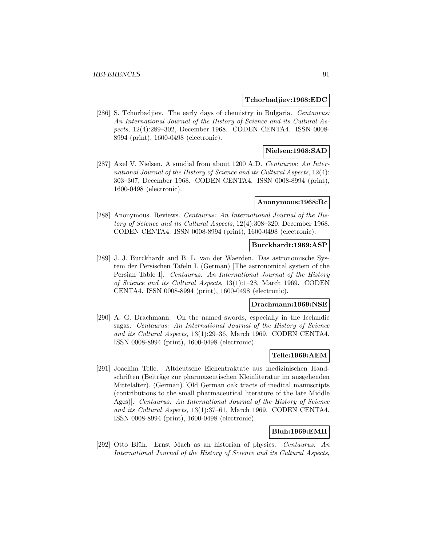#### **Tchorbadjiev:1968:EDC**

[286] S. Tchorbadjiev. The early days of chemistry in Bulgaria. Centaurus: An International Journal of the History of Science and its Cultural Aspects, 12(4):289–302, December 1968. CODEN CENTA4. ISSN 0008- 8994 (print), 1600-0498 (electronic).

# **Nielsen:1968:SAD**

[287] Axel V. Nielsen. A sundial from about 1200 A.D. Centaurus: An International Journal of the History of Science and its Cultural Aspects, 12(4): 303–307, December 1968. CODEN CENTA4. ISSN 0008-8994 (print), 1600-0498 (electronic).

#### **Anonymous:1968:Rc**

[288] Anonymous. Reviews. Centaurus: An International Journal of the History of Science and its Cultural Aspects, 12(4):308–320, December 1968. CODEN CENTA4. ISSN 0008-8994 (print), 1600-0498 (electronic).

#### **Burckhardt:1969:ASP**

[289] J. J. Burckhardt and B. L. van der Waerden. Das astronomische System der Persischen Tafeln I. (German) [The astronomical system of the Persian Table I]. Centaurus: An International Journal of the History of Science and its Cultural Aspects, 13(1):1–28, March 1969. CODEN CENTA4. ISSN 0008-8994 (print), 1600-0498 (electronic).

#### **Drachmann:1969:NSE**

[290] A. G. Drachmann. On the named swords, especially in the Icelandic sagas. Centaurus: An International Journal of the History of Science and its Cultural Aspects, 13(1):29–36, March 1969. CODEN CENTA4. ISSN 0008-8994 (print), 1600-0498 (electronic).

## **Telle:1969:AEM**

[291] Joachim Telle. Altdeutsche Eichentraktate aus medizinischen Handschriften (Beiträge zur pharmazeutischen Kleinliteratur im ausgehenden Mittelalter). (German) [Old German oak tracts of medical manuscripts (contributions to the small pharmaceutical literature of the late Middle Ages)]. Centaurus: An International Journal of the History of Science and its Cultural Aspects, 13(1):37–61, March 1969. CODEN CENTA4. ISSN 0008-8994 (print), 1600-0498 (electronic).

# **Bluh:1969:EMH**

[292] Otto Blüh. Ernst Mach as an historian of physics. Centaurus: An International Journal of the History of Science and its Cultural Aspects,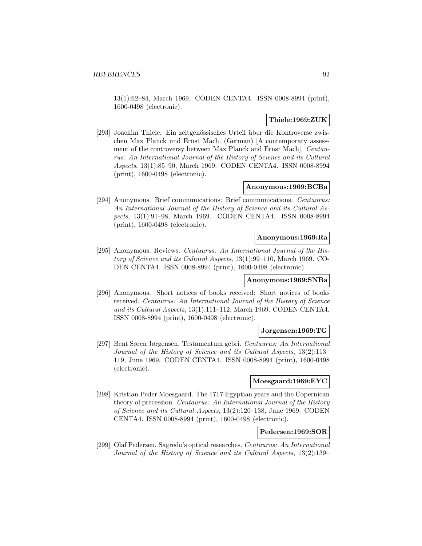13(1):62–84, March 1969. CODEN CENTA4. ISSN 0008-8994 (print), 1600-0498 (electronic).

# **Thiele:1969:ZUK**

[293] Joachim Thiele. Ein zeitgenössisches Urteil über die Kontroverse zwischen Max Planck und Ernst Mach. (German) [A contemporary assessment of the controversy between Max Planck and Ernst Mach]. Centaurus: An International Journal of the History of Science and its Cultural Aspects, 13(1):85–90, March 1969. CODEN CENTA4. ISSN 0008-8994 (print), 1600-0498 (electronic).

## **Anonymous:1969:BCBa**

[294] Anonymous. Brief communications: Brief communications. Centaurus: An International Journal of the History of Science and its Cultural Aspects, 13(1):91–98, March 1969. CODEN CENTA4. ISSN 0008-8994 (print), 1600-0498 (electronic).

# **Anonymous:1969:Ra**

[295] Anonymous. Reviews. Centaurus: An International Journal of the History of Science and its Cultural Aspects, 13(1):99–110, March 1969. CO-DEN CENTA4. ISSN 0008-8994 (print), 1600-0498 (electronic).

## **Anonymous:1969:SNBa**

[296] Anonymous. Short notices of books received: Short notices of books received. Centaurus: An International Journal of the History of Science and its Cultural Aspects, 13(1):111–112, March 1969. CODEN CENTA4. ISSN 0008-8994 (print), 1600-0498 (electronic).

#### **Jorgensen:1969:TG**

[297] Bent Søren Jørgensen. Testamentum gebri. Centaurus: An International Journal of the History of Science and its Cultural Aspects, 13(2):113– 119, June 1969. CODEN CENTA4. ISSN 0008-8994 (print), 1600-0498 (electronic).

#### **Moesgaard:1969:EYC**

[298] Kristian Peder Moesgaard. The 1717 Egyptian years and the Copernican theory of precession. Centaurus: An International Journal of the History of Science and its Cultural Aspects, 13(2):120–138, June 1969. CODEN CENTA4. ISSN 0008-8994 (print), 1600-0498 (electronic).

## **Pedersen:1969:SOR**

[299] Olaf Pedersen. Sagredo's optical researches. Centaurus: An International Journal of the History of Science and its Cultural Aspects, 13(2):139–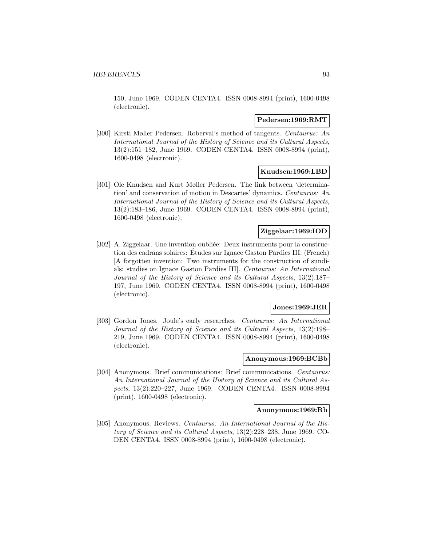150, June 1969. CODEN CENTA4. ISSN 0008-8994 (print), 1600-0498 (electronic).

### **Pedersen:1969:RMT**

[300] Kirsti Møller Pedersen. Roberval's method of tangents. Centaurus: An International Journal of the History of Science and its Cultural Aspects, 13(2):151–182, June 1969. CODEN CENTA4. ISSN 0008-8994 (print), 1600-0498 (electronic).

# **Knudsen:1969:LBD**

[301] Ole Knudsen and Kurt Møller Pedersen. The link between 'determination' and conservation of motion in Descartes' dynamics. Centaurus: An International Journal of the History of Science and its Cultural Aspects, 13(2):183–186, June 1969. CODEN CENTA4. ISSN 0008-8994 (print), 1600-0498 (electronic).

# **Ziggelaar:1969:IOD**

[302] A. Ziggelaar. Une invention oubliée: Deux instruments pour la construction des cadrans solaires: Etudes sur Ignace Gaston Pardies III. (French) ´ [A forgotten invention: Two instruments for the construction of sundials: studies on Ignace Gaston Pardies III]. Centaurus: An International Journal of the History of Science and its Cultural Aspects, 13(2):187– 197, June 1969. CODEN CENTA4. ISSN 0008-8994 (print), 1600-0498 (electronic).

# **Jones:1969:JER**

[303] Gordon Jones. Joule's early researches. Centaurus: An International Journal of the History of Science and its Cultural Aspects, 13(2):198– 219, June 1969. CODEN CENTA4. ISSN 0008-8994 (print), 1600-0498 (electronic).

#### **Anonymous:1969:BCBb**

[304] Anonymous. Brief communications: Brief communications. Centaurus: An International Journal of the History of Science and its Cultural Aspects, 13(2):220–227, June 1969. CODEN CENTA4. ISSN 0008-8994 (print), 1600-0498 (electronic).

# **Anonymous:1969:Rb**

[305] Anonymous. Reviews. Centaurus: An International Journal of the History of Science and its Cultural Aspects, 13(2):228–238, June 1969. CO-DEN CENTA4. ISSN 0008-8994 (print), 1600-0498 (electronic).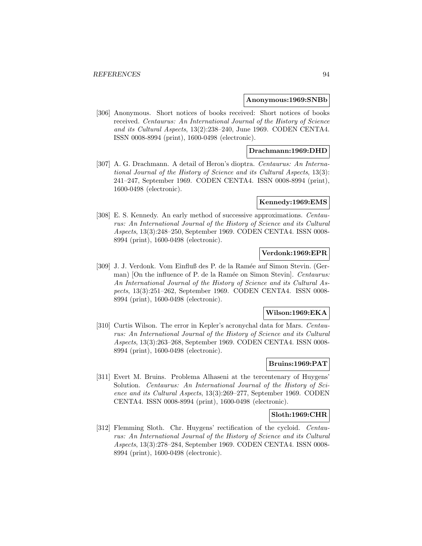#### **Anonymous:1969:SNBb**

[306] Anonymous. Short notices of books received: Short notices of books received. Centaurus: An International Journal of the History of Science and its Cultural Aspects, 13(2):238–240, June 1969. CODEN CENTA4. ISSN 0008-8994 (print), 1600-0498 (electronic).

## **Drachmann:1969:DHD**

[307] A. G. Drachmann. A detail of Heron's dioptra. Centaurus: An International Journal of the History of Science and its Cultural Aspects, 13(3): 241–247, September 1969. CODEN CENTA4. ISSN 0008-8994 (print), 1600-0498 (electronic).

### **Kennedy:1969:EMS**

[308] E. S. Kennedy. An early method of successive approximations. Centaurus: An International Journal of the History of Science and its Cultural Aspects, 13(3):248–250, September 1969. CODEN CENTA4. ISSN 0008- 8994 (print), 1600-0498 (electronic).

# **Verdonk:1969:EPR**

[309] J. J. Verdonk. Vom Einfluß des P. de la Ramée auf Simon Stevin. (German) [On the influence of P. de la Ramée on Simon Stevin]. *Centaurus:* An International Journal of the History of Science and its Cultural Aspects, 13(3):251–262, September 1969. CODEN CENTA4. ISSN 0008- 8994 (print), 1600-0498 (electronic).

#### **Wilson:1969:EKA**

[310] Curtis Wilson. The error in Kepler's acronychal data for Mars. *Centau*rus: An International Journal of the History of Science and its Cultural Aspects, 13(3):263–268, September 1969. CODEN CENTA4. ISSN 0008- 8994 (print), 1600-0498 (electronic).

# **Bruins:1969:PAT**

[311] Evert M. Bruins. Problema Alhaseni at the tercentenary of Huygens' Solution. Centaurus: An International Journal of the History of Science and its Cultural Aspects, 13(3):269–277, September 1969. CODEN CENTA4. ISSN 0008-8994 (print), 1600-0498 (electronic).

## **Sloth:1969:CHR**

[312] Flemming Sloth. Chr. Huygens' rectification of the cycloid. Centaurus: An International Journal of the History of Science and its Cultural Aspects, 13(3):278–284, September 1969. CODEN CENTA4. ISSN 0008- 8994 (print), 1600-0498 (electronic).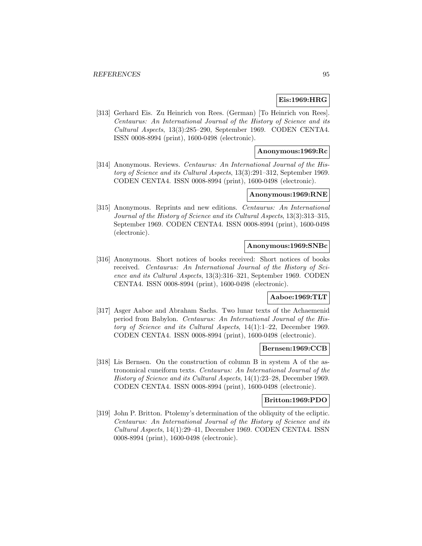# **Eis:1969:HRG**

[313] Gerhard Eis. Zu Heinrich von Rees. (German) [To Heinrich von Rees]. Centaurus: An International Journal of the History of Science and its Cultural Aspects, 13(3):285–290, September 1969. CODEN CENTA4. ISSN 0008-8994 (print), 1600-0498 (electronic).

# **Anonymous:1969:Rc**

[314] Anonymous. Reviews. Centaurus: An International Journal of the History of Science and its Cultural Aspects, 13(3):291–312, September 1969. CODEN CENTA4. ISSN 0008-8994 (print), 1600-0498 (electronic).

### **Anonymous:1969:RNE**

[315] Anonymous. Reprints and new editions. Centaurus: An International Journal of the History of Science and its Cultural Aspects, 13(3):313–315, September 1969. CODEN CENTA4. ISSN 0008-8994 (print), 1600-0498 (electronic).

## **Anonymous:1969:SNBc**

[316] Anonymous. Short notices of books received: Short notices of books received. Centaurus: An International Journal of the History of Science and its Cultural Aspects, 13(3):316–321, September 1969. CODEN CENTA4. ISSN 0008-8994 (print), 1600-0498 (electronic).

## **Aaboe:1969:TLT**

[317] Asger Aaboe and Abraham Sachs. Two lunar texts of the Achaemenid period from Babylon. Centaurus: An International Journal of the History of Science and its Cultural Aspects, 14(1):1–22, December 1969. CODEN CENTA4. ISSN 0008-8994 (print), 1600-0498 (electronic).

#### **Bernsen:1969:CCB**

[318] Lis Bernsen. On the construction of column B in system A of the astronomical cuneiform texts. Centaurus: An International Journal of the History of Science and its Cultural Aspects, 14(1):23–28, December 1969. CODEN CENTA4. ISSN 0008-8994 (print), 1600-0498 (electronic).

#### **Britton:1969:PDO**

[319] John P. Britton. Ptolemy's determination of the obliquity of the ecliptic. Centaurus: An International Journal of the History of Science and its Cultural Aspects, 14(1):29–41, December 1969. CODEN CENTA4. ISSN 0008-8994 (print), 1600-0498 (electronic).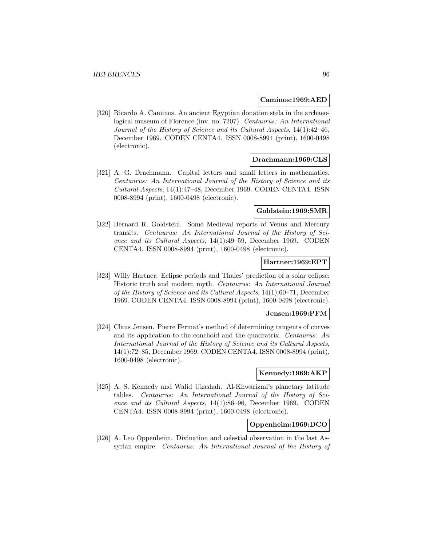#### **Caminos:1969:AED**

[320] Ricardo A. Caminos. An ancient Egyptian donation stela in the archaeological museum of Florence (inv. no. 7207). Centaurus: An International Journal of the History of Science and its Cultural Aspects, 14(1):42–46, December 1969. CODEN CENTA4. ISSN 0008-8994 (print), 1600-0498 (electronic).

### **Drachmann:1969:CLS**

[321] A. G. Drachmann. Capital letters and small letters in mathematics. Centaurus: An International Journal of the History of Science and its Cultural Aspects, 14(1):47–48, December 1969. CODEN CENTA4. ISSN 0008-8994 (print), 1600-0498 (electronic).

#### **Goldstein:1969:SMR**

[322] Bernard R. Goldstein. Some Medieval reports of Venus and Mercury transits. Centaurus: An International Journal of the History of Science and its Cultural Aspects, 14(1):49–59, December 1969. CODEN CENTA4. ISSN 0008-8994 (print), 1600-0498 (electronic).

## **Hartner:1969:EPT**

[323] Willy Hartner. Eclipse periods and Thales' prediction of a solar eclipse: Historic truth and modern myth. Centaurus: An International Journal of the History of Science and its Cultural Aspects, 14(1):60–71, December 1969. CODEN CENTA4. ISSN 0008-8994 (print), 1600-0498 (electronic).

#### **Jensen:1969:PFM**

[324] Claus Jensen. Pierre Fermat's method of determining tangents of curves and its application to the conchoid and the quadratrix. Centaurus: An International Journal of the History of Science and its Cultural Aspects, 14(1):72–85, December 1969. CODEN CENTA4. ISSN 0008-8994 (print), 1600-0498 (electronic).

## **Kennedy:1969:AKP**

[325] A. S. Kennedy and Walid Ukashah. Al-Khwarizmi's planetary latitude tables. Centaurus: An International Journal of the History of Science and its Cultural Aspects, 14(1):86–96, December 1969. CODEN CENTA4. ISSN 0008-8994 (print), 1600-0498 (electronic).

# **Oppenheim:1969:DCO**

[326] A. Leo Oppenheim. Divination and celestial observation in the last Assyrian empire. Centaurus: An International Journal of the History of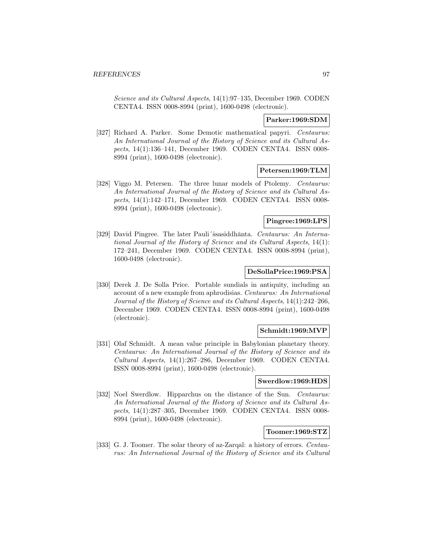Science and its Cultural Aspects, 14(1):97–135, December 1969. CODEN CENTA4. ISSN 0008-8994 (print), 1600-0498 (electronic).

## **Parker:1969:SDM**

[327] Richard A. Parker. Some Demotic mathematical papyri. Centaurus: An International Journal of the History of Science and its Cultural Aspects, 14(1):136–141, December 1969. CODEN CENTA4. ISSN 0008- 8994 (print), 1600-0498 (electronic).

## **Petersen:1969:TLM**

[328] Viggo M. Petersen. The three lunar models of Ptolemy. Centaurus: An International Journal of the History of Science and its Cultural Aspects, 14(1):142–171, December 1969. CODEN CENTA4. ISSN 0008- 8994 (print), 1600-0498 (electronic).

# **Pingree:1969:LPS**

[329] David Pingree. The later Pauli´ssasiddhānta. Centaurus: An International Journal of the History of Science and its Cultural Aspects, 14(1): 172–241, December 1969. CODEN CENTA4. ISSN 0008-8994 (print), 1600-0498 (electronic).

# **DeSollaPrice:1969:PSA**

[330] Derek J. De Solla Price. Portable sundials in antiquity, including an account of a new example from aphrodisias. Centaurus: An International Journal of the History of Science and its Cultural Aspects, 14(1):242–266, December 1969. CODEN CENTA4. ISSN 0008-8994 (print), 1600-0498 (electronic).

## **Schmidt:1969:MVP**

[331] Olaf Schmidt. A mean value principle in Babylonian planetary theory. Centaurus: An International Journal of the History of Science and its Cultural Aspects, 14(1):267–286, December 1969. CODEN CENTA4. ISSN 0008-8994 (print), 1600-0498 (electronic).

## **Swerdlow:1969:HDS**

[332] Noel Swerdlow. Hipparchus on the distance of the Sun. Centaurus: An International Journal of the History of Science and its Cultural Aspects, 14(1):287–305, December 1969. CODEN CENTA4. ISSN 0008- 8994 (print), 1600-0498 (electronic).

## **Toomer:1969:STZ**

[333] G. J. Toomer. The solar theory of az-Zarqal: a history of errors. Centaurus: An International Journal of the History of Science and its Cultural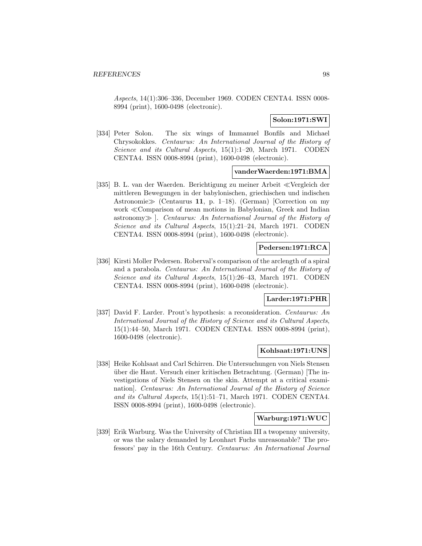Aspects, 14(1):306–336, December 1969. CODEN CENTA4. ISSN 0008- 8994 (print), 1600-0498 (electronic).

# **Solon:1971:SWI**

[334] Peter Solon. The six wings of Immanuel Bonfils and Michael Chrysokokkes. Centaurus: An International Journal of the History of Science and its Cultural Aspects, 15(1):1-20, March 1971. CODEN CENTA4. ISSN 0008-8994 (print), 1600-0498 (electronic).

## **vanderWaerden:1971:BMA**

[335] B. L. van der Waerden. Berichtigung zu meiner Arbeit «Vergleich der mittleren Bewegungen in der babylonischen, griechischen und indischen Astronomie  $\gg$  (Centaurus 11, p. 1–18). (German) [Correction on my work Comparison of mean motions in Babylonian, Greek and Indian astronomy  $\gg$ . Centaurus: An International Journal of the History of Science and its Cultural Aspects, 15(1):21–24, March 1971. CODEN CENTA4. ISSN 0008-8994 (print), 1600-0498 (electronic).

## **Pedersen:1971:RCA**

[336] Kirsti Moller Pedersen. Roberval's comparison of the arclength of a spiral and a parabola. Centaurus: An International Journal of the History of Science and its Cultural Aspects, 15(1):26–43, March 1971. CODEN CENTA4. ISSN 0008-8994 (print), 1600-0498 (electronic).

# **Larder:1971:PHR**

[337] David F. Larder. Prout's hypothesis: a reconsideration. Centaurus: An International Journal of the History of Science and its Cultural Aspects, 15(1):44–50, March 1971. CODEN CENTA4. ISSN 0008-8994 (print), 1600-0498 (electronic).

## **Kohlsaat:1971:UNS**

[338] Heike Kohlsaat and Carl Schirren. Die Untersuchungen von Niels Stensen über die Haut. Versuch einer kritischen Betrachtung. (German) [The investigations of Niels Stensen on the skin. Attempt at a critical examination]. Centaurus: An International Journal of the History of Science and its Cultural Aspects, 15(1):51–71, March 1971. CODEN CENTA4. ISSN 0008-8994 (print), 1600-0498 (electronic).

#### **Warburg:1971:WUC**

[339] Erik Warburg. Was the University of Christian III a twopenny university, or was the salary demanded by Leonhart Fuchs unreasonable? The professors' pay in the 16th Century. Centaurus: An International Journal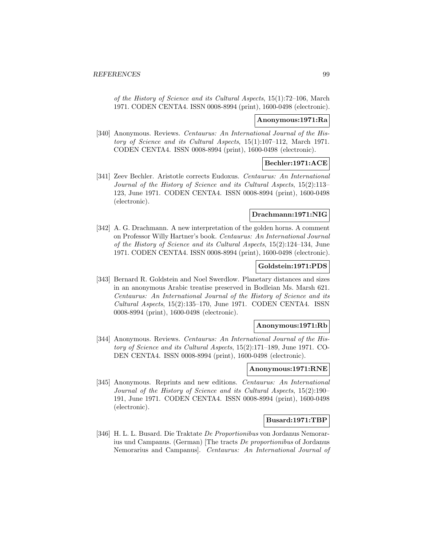of the History of Science and its Cultural Aspects, 15(1):72–106, March 1971. CODEN CENTA4. ISSN 0008-8994 (print), 1600-0498 (electronic).

### **Anonymous:1971:Ra**

[340] Anonymous. Reviews. Centaurus: An International Journal of the History of Science and its Cultural Aspects, 15(1):107–112, March 1971. CODEN CENTA4. ISSN 0008-8994 (print), 1600-0498 (electronic).

## **Bechler:1971:ACE**

[341] Zeev Bechler. Aristotle corrects Eudoxus. Centaurus: An International Journal of the History of Science and its Cultural Aspects, 15(2):113– 123, June 1971. CODEN CENTA4. ISSN 0008-8994 (print), 1600-0498 (electronic).

## **Drachmann:1971:NIG**

[342] A. G. Drachmann. A new interpretation of the golden horns. A comment on Professor Willy Hartner's book. Centaurus: An International Journal of the History of Science and its Cultural Aspects, 15(2):124–134, June 1971. CODEN CENTA4. ISSN 0008-8994 (print), 1600-0498 (electronic).

## **Goldstein:1971:PDS**

[343] Bernard R. Goldstein and Noel Swerdlow. Planetary distances and sizes in an anonymous Arabic treatise preserved in Bodleian Ms. Marsh 621. Centaurus: An International Journal of the History of Science and its Cultural Aspects, 15(2):135–170, June 1971. CODEN CENTA4. ISSN 0008-8994 (print), 1600-0498 (electronic).

### **Anonymous:1971:Rb**

[344] Anonymous. Reviews. Centaurus: An International Journal of the History of Science and its Cultural Aspects, 15(2):171–189, June 1971. CO-DEN CENTA4. ISSN 0008-8994 (print), 1600-0498 (electronic).

#### **Anonymous:1971:RNE**

[345] Anonymous. Reprints and new editions. Centaurus: An International Journal of the History of Science and its Cultural Aspects, 15(2):190– 191, June 1971. CODEN CENTA4. ISSN 0008-8994 (print), 1600-0498 (electronic).

## **Busard:1971:TBP**

[346] H. L. L. Busard. Die Traktate De Proportionibus von Jordanus Nemorarius und Campanus. (German) [The tracts De proportionibus of Jordanus Nemorarius and Campanus]. Centaurus: An International Journal of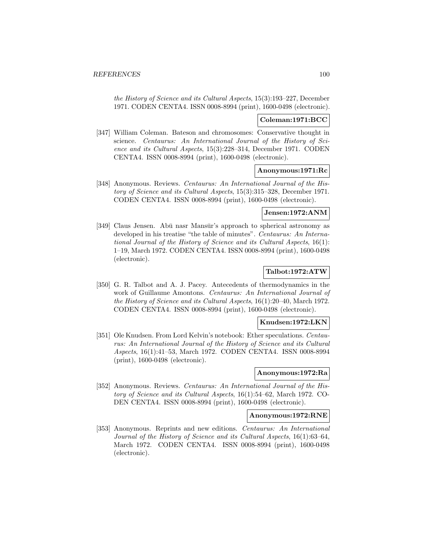the History of Science and its Cultural Aspects, 15(3):193–227, December 1971. CODEN CENTA4. ISSN 0008-8994 (print), 1600-0498 (electronic).

## **Coleman:1971:BCC**

[347] William Coleman. Bateson and chromosomes: Conservative thought in science. Centaurus: An International Journal of the History of Science and its Cultural Aspects, 15(3):228–314, December 1971. CODEN CENTA4. ISSN 0008-8994 (print), 1600-0498 (electronic).

## **Anonymous:1971:Rc**

[348] Anonymous. Reviews. Centaurus: An International Journal of the History of Science and its Cultural Aspects, 15(3):315–328, December 1971. CODEN CENTA4. ISSN 0008-8994 (print), 1600-0498 (electronic).

### **Jensen:1972:ANM**

[349] Claus Jensen. Abū nasr Mansūr's approach to spherical astronomy as developed in his treatise "the table of minutes". Centaurus: An International Journal of the History of Science and its Cultural Aspects, 16(1): 1–19, March 1972. CODEN CENTA4. ISSN 0008-8994 (print), 1600-0498 (electronic).

# **Talbot:1972:ATW**

[350] G. R. Talbot and A. J. Pacey. Antecedents of thermodynamics in the work of Guillaume Amontons. Centaurus: An International Journal of the History of Science and its Cultural Aspects, 16(1):20–40, March 1972. CODEN CENTA4. ISSN 0008-8994 (print), 1600-0498 (electronic).

## **Knudsen:1972:LKN**

[351] Ole Knudsen. From Lord Kelvin's notebook: Ether speculations. Centaurus: An International Journal of the History of Science and its Cultural Aspects, 16(1):41–53, March 1972. CODEN CENTA4. ISSN 0008-8994 (print), 1600-0498 (electronic).

#### **Anonymous:1972:Ra**

[352] Anonymous. Reviews. Centaurus: An International Journal of the History of Science and its Cultural Aspects, 16(1):54–62, March 1972. CO-DEN CENTA4. ISSN 0008-8994 (print), 1600-0498 (electronic).

#### **Anonymous:1972:RNE**

[353] Anonymous. Reprints and new editions. Centaurus: An International Journal of the History of Science and its Cultural Aspects, 16(1):63–64, March 1972. CODEN CENTA4. ISSN 0008-8994 (print), 1600-0498 (electronic).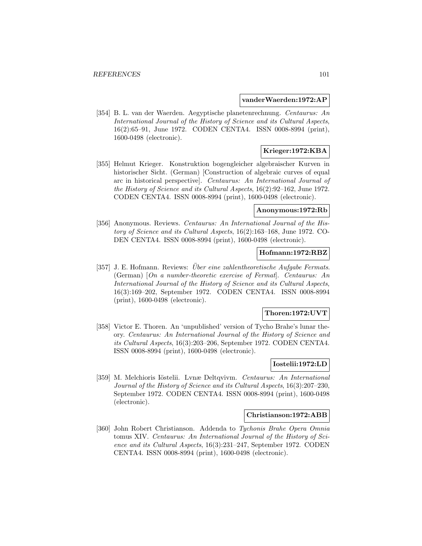#### **vanderWaerden:1972:AP**

[354] B. L. van der Waerden. Aegyptische planetenrechnung. Centaurus: An International Journal of the History of Science and its Cultural Aspects, 16(2):65–91, June 1972. CODEN CENTA4. ISSN 0008-8994 (print), 1600-0498 (electronic).

# **Krieger:1972:KBA**

[355] Helmut Krieger. Konstruktion bogengleicher algebraischer Kurven in historischer Sicht. (German) [Construction of algebraic curves of equal arc in historical perspective]. Centaurus: An International Journal of the History of Science and its Cultural Aspects, 16(2):92–162, June 1972. CODEN CENTA4. ISSN 0008-8994 (print), 1600-0498 (electronic).

#### **Anonymous:1972:Rb**

[356] Anonymous. Reviews. Centaurus: An International Journal of the History of Science and its Cultural Aspects, 16(2):163–168, June 1972. CO-DEN CENTA4. ISSN 0008-8994 (print), 1600-0498 (electronic).

# **Hofmann:1972:RBZ**

[357] J. E. Hofmann. Reviews: *Über eine zahlentheoretische Aufgabe Fermats*. (German) [On a number-theoretic exercise of Fermat]. Centaurus: An International Journal of the History of Science and its Cultural Aspects, 16(3):169–202, September 1972. CODEN CENTA4. ISSN 0008-8994 (print), 1600-0498 (electronic).

## **Thoren:1972:UVT**

[358] Victor E. Thoren. An 'unpublished' version of Tycho Brahe's lunar theory. Centaurus: An International Journal of the History of Science and its Cultural Aspects, 16(3):203–206, September 1972. CODEN CENTA4. ISSN 0008-8994 (print), 1600-0498 (electronic).

## **Iostelii:1972:LD**

[359] M. Melchioris Iöstelii. Lynæ Deltqvivm. Centaurus: An International Journal of the History of Science and its Cultural Aspects, 16(3):207–230, September 1972. CODEN CENTA4. ISSN 0008-8994 (print), 1600-0498 (electronic).

#### **Christianson:1972:ABB**

[360] John Robert Christianson. Addenda to Tychonis Brahe Opera Omnia tomus XIV. Centaurus: An International Journal of the History of Science and its Cultural Aspects, 16(3):231–247, September 1972. CODEN CENTA4. ISSN 0008-8994 (print), 1600-0498 (electronic).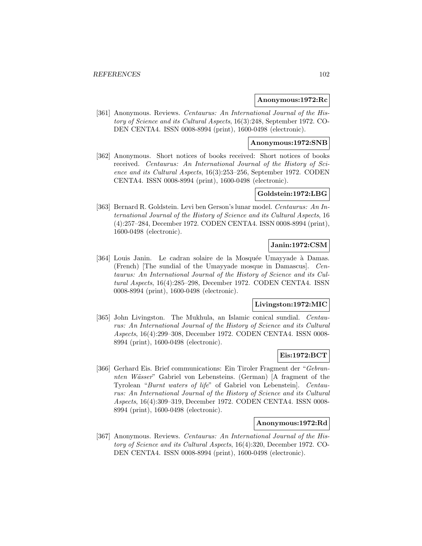### **Anonymous:1972:Rc**

[361] Anonymous. Reviews. Centaurus: An International Journal of the History of Science and its Cultural Aspects, 16(3):248, September 1972. CO-DEN CENTA4. ISSN 0008-8994 (print), 1600-0498 (electronic).

#### **Anonymous:1972:SNB**

[362] Anonymous. Short notices of books received: Short notices of books received. Centaurus: An International Journal of the History of Science and its Cultural Aspects, 16(3):253–256, September 1972. CODEN CENTA4. ISSN 0008-8994 (print), 1600-0498 (electronic).

# **Goldstein:1972:LBG**

[363] Bernard R. Goldstein. Levi ben Gerson's lunar model. Centaurus: An International Journal of the History of Science and its Cultural Aspects, 16 (4):257–284, December 1972. CODEN CENTA4. ISSN 0008-8994 (print), 1600-0498 (electronic).

# **Janin:1972:CSM**

[364] Louis Janin. Le cadran solaire de la Mosquée Umayyade à Damas. (French) [The sundial of the Umayyade mosque in Damascus]. Centaurus: An International Journal of the History of Science and its Cultural Aspects, 16(4):285–298, December 1972. CODEN CENTA4. ISSN 0008-8994 (print), 1600-0498 (electronic).

## **Livingston:1972:MIC**

[365] John Livingston. The Mukhula, an Islamic conical sundial. Centaurus: An International Journal of the History of Science and its Cultural Aspects, 16(4):299–308, December 1972. CODEN CENTA4. ISSN 0008- 8994 (print), 1600-0498 (electronic).

## **Eis:1972:BCT**

[366] Gerhard Eis. Brief communications: Ein Tiroler Fragment der "Gebrannten Wässer" Gabriel von Lebensteins. (German) [A fragment of the Tyrolean "Burnt waters of life" of Gabriel von Lebenstein]. Centaurus: An International Journal of the History of Science and its Cultural Aspects, 16(4):309–319, December 1972. CODEN CENTA4. ISSN 0008- 8994 (print), 1600-0498 (electronic).

## **Anonymous:1972:Rd**

[367] Anonymous. Reviews. Centaurus: An International Journal of the History of Science and its Cultural Aspects, 16(4):320, December 1972. CO-DEN CENTA4. ISSN 0008-8994 (print), 1600-0498 (electronic).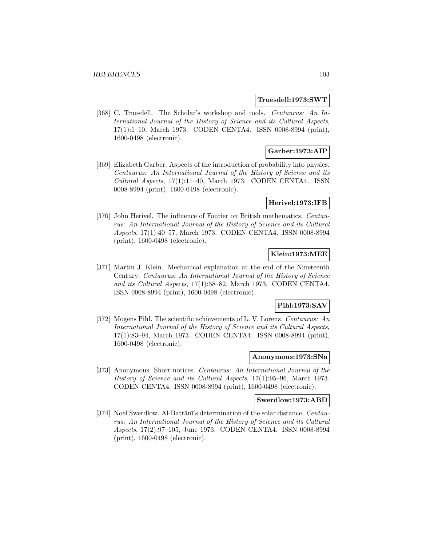### **Truesdell:1973:SWT**

[368] C. Truesdell. The Scholar's workshop and tools. Centaurus: An International Journal of the History of Science and its Cultural Aspects, 17(1):1–10, March 1973. CODEN CENTA4. ISSN 0008-8994 (print), 1600-0498 (electronic).

# **Garber:1973:AIP**

[369] Elizabeth Garber. Aspects of the introduction of probability into physics. Centaurus: An International Journal of the History of Science and its Cultural Aspects, 17(1):11–40, March 1973. CODEN CENTA4. ISSN 0008-8994 (print), 1600-0498 (electronic).

## **Herivel:1973:IFB**

[370] John Herivel. The influence of Fourier on British mathematics. Centaurus: An International Journal of the History of Science and its Cultural Aspects, 17(1):40–57, March 1973. CODEN CENTA4. ISSN 0008-8994 (print), 1600-0498 (electronic).

# **Klein:1973:MEE**

[371] Martin J. Klein. Mechanical explanation at the end of the Nineteenth Century. Centaurus: An International Journal of the History of Science and its Cultural Aspects, 17(1):58–82, March 1973. CODEN CENTA4. ISSN 0008-8994 (print), 1600-0498 (electronic).

## **Pihl:1973:SAV**

[372] Mogens Pihl. The scientific achievements of L. V. Lorenz. Centaurus: An International Journal of the History of Science and its Cultural Aspects, 17(1):83–94, March 1973. CODEN CENTA4. ISSN 0008-8994 (print), 1600-0498 (electronic).

# **Anonymous:1973:SNa**

[373] Anonymous. Short notices. Centaurus: An International Journal of the History of Science and its Cultural Aspects, 17(1):95–96, March 1973. CODEN CENTA4. ISSN 0008-8994 (print), 1600-0498 (electronic).

#### **Swerdlow:1973:ABD**

[374] Noel Swerdlow. Al-Battānī's determination of the solar distance. Centaurus: An International Journal of the History of Science and its Cultural Aspects, 17(2):97–105, June 1973. CODEN CENTA4. ISSN 0008-8994 (print), 1600-0498 (electronic).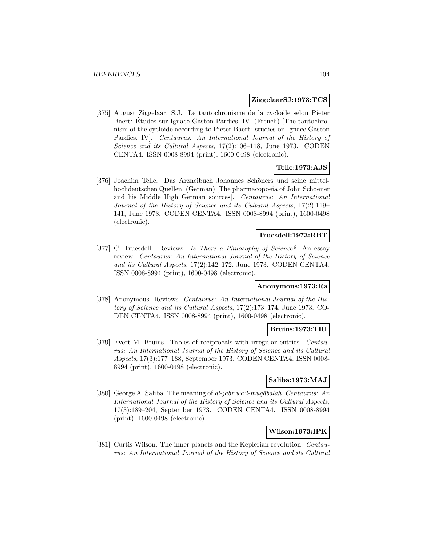## **ZiggelaarSJ:1973:TCS**

[375] August Ziggelaar, S.J. Le tautochronisme de la cycloïde selon Pieter Baert: Etudes sur Ignace Gaston Pardies, IV. (French) The tautochronism of the cycloide according to Pieter Baert: studies on Ignace Gaston Pardies, IV]. Centaurus: An International Journal of the History of Science and its Cultural Aspects, 17(2):106–118, June 1973. CODEN CENTA4. ISSN 0008-8994 (print), 1600-0498 (electronic).

# **Telle:1973:AJS**

[376] Joachim Telle. Das Arzneibuch Johannes Schöners und seine mittelhochdeutschen Quellen. (German) [The pharmacopoeia of John Schoener and his Middle High German sources]. Centaurus: An International Journal of the History of Science and its Cultural Aspects, 17(2):119– 141, June 1973. CODEN CENTA4. ISSN 0008-8994 (print), 1600-0498 (electronic).

## **Truesdell:1973:RBT**

[377] C. Truesdell. Reviews: Is There a Philosophy of Science? An essay review. Centaurus: An International Journal of the History of Science and its Cultural Aspects, 17(2):142–172, June 1973. CODEN CENTA4. ISSN 0008-8994 (print), 1600-0498 (electronic).

# **Anonymous:1973:Ra**

[378] Anonymous. Reviews. Centaurus: An International Journal of the History of Science and its Cultural Aspects, 17(2):173–174, June 1973. CO-DEN CENTA4. ISSN 0008-8994 (print), 1600-0498 (electronic).

# **Bruins:1973:TRI**

[379] Evert M. Bruins. Tables of reciprocals with irregular entries. Centaurus: An International Journal of the History of Science and its Cultural Aspects, 17(3):177–188, September 1973. CODEN CENTA4. ISSN 0008- 8994 (print), 1600-0498 (electronic).

## **Saliba:1973:MAJ**

[380] George A. Saliba. The meaning of al-jabr wa'l-muq $\bar{a}$ balah. Centaurus: An International Journal of the History of Science and its Cultural Aspects, 17(3):189–204, September 1973. CODEN CENTA4. ISSN 0008-8994 (print), 1600-0498 (electronic).

# **Wilson:1973:IPK**

[381] Curtis Wilson. The inner planets and the Keplerian revolution. Centaurus: An International Journal of the History of Science and its Cultural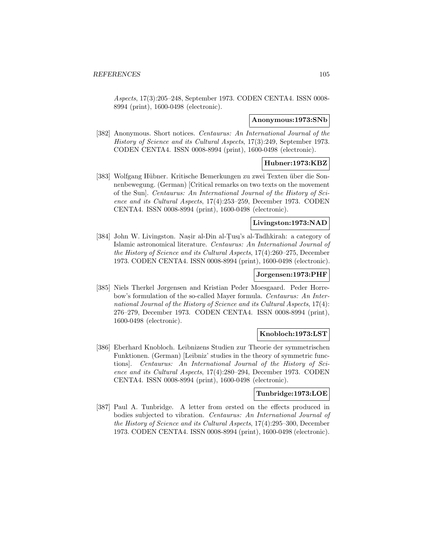Aspects, 17(3):205–248, September 1973. CODEN CENTA4. ISSN 0008- 8994 (print), 1600-0498 (electronic).

### **Anonymous:1973:SNb**

[382] Anonymous. Short notices. Centaurus: An International Journal of the History of Science and its Cultural Aspects, 17(3):249, September 1973. CODEN CENTA4. ISSN 0008-8994 (print), 1600-0498 (electronic).

## **Hubner:1973:KBZ**

[383] Wolfgang Hübner. Kritische Bemerkungen zu zwei Texten über die Sonnenbewegung. (German) [Critical remarks on two texts on the movement of the Sun]. Centaurus: An International Journal of the History of Science and its Cultural Aspects, 17(4):253–259, December 1973. CODEN CENTA4. ISSN 0008-8994 (print), 1600-0498 (electronic).

## **Livingston:1973:NAD**

[384] John W. Livingston. Nasir al-Din al-Tusi's al-Tadhkirah: a category of<br>
Islamic astronomical literature. Conteurse: An International Jeurnal of Islamic astronomical literature. Centaurus: An International Journal of the History of Science and its Cultural Aspects, 17(4):260–275, December 1973. CODEN CENTA4. ISSN 0008-8994 (print), 1600-0498 (electronic).

## **Jorgensen:1973:PHF**

[385] Niels Therkel Jørgensen and Kristian Peder Moesgaard. Peder Horrebow's formulation of the so-called Mayer formula. Centaurus: An International Journal of the History of Science and its Cultural Aspects, 17(4): 276–279, December 1973. CODEN CENTA4. ISSN 0008-8994 (print), 1600-0498 (electronic).

## **Knobloch:1973:LST**

[386] Eberhard Knobloch. Leibnizens Studien zur Theorie der symmetrischen Funktionen. (German) [Leibniz' studies in the theory of symmetric functions]. Centaurus: An International Journal of the History of Science and its Cultural Aspects, 17(4):280–294, December 1973. CODEN CENTA4. ISSN 0008-8994 (print), 1600-0498 (electronic).

# **Tunbridge:1973:LOE**

[387] Paul A. Tunbridge. A letter from ørsted on the effects produced in bodies subjected to vibration. Centaurus: An International Journal of the History of Science and its Cultural Aspects, 17(4):295–300, December 1973. CODEN CENTA4. ISSN 0008-8994 (print), 1600-0498 (electronic).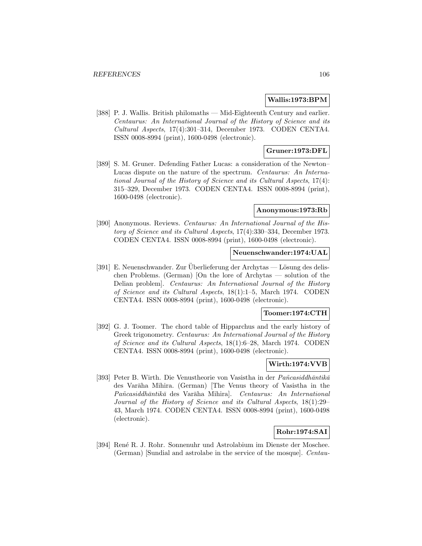### **Wallis:1973:BPM**

[388] P. J. Wallis. British philomaths — Mid-Eighteenth Century and earlier. Centaurus: An International Journal of the History of Science and its Cultural Aspects, 17(4):301–314, December 1973. CODEN CENTA4. ISSN 0008-8994 (print), 1600-0498 (electronic).

# **Gruner:1973:DFL**

[389] S. M. Gruner. Defending Father Lucas: a consideration of the Newton– Lucas dispute on the nature of the spectrum. Centaurus: An International Journal of the History of Science and its Cultural Aspects, 17(4): 315–329, December 1973. CODEN CENTA4. ISSN 0008-8994 (print), 1600-0498 (electronic).

### **Anonymous:1973:Rb**

[390] Anonymous. Reviews. Centaurus: An International Journal of the History of Science and its Cultural Aspects, 17(4):330–334, December 1973. CODEN CENTA4. ISSN 0008-8994 (print), 1600-0498 (electronic).

#### **Neuenschwander:1974:UAL**

[391] E. Neuenschwander. Zur Überlieferung der Archytas — Lösung des delischen Problems. (German) [On the lore of Archytas — solution of the Delian problem]. Centaurus: An International Journal of the History of Science and its Cultural Aspects, 18(1):1–5, March 1974. CODEN CENTA4. ISSN 0008-8994 (print), 1600-0498 (electronic).

## **Toomer:1974:CTH**

[392] G. J. Toomer. The chord table of Hipparchus and the early history of Greek trigonometry. Centaurus: An International Journal of the History of Science and its Cultural Aspects, 18(1):6–28, March 1974. CODEN CENTA4. ISSN 0008-8994 (print), 1600-0498 (electronic).

# **Wirth:1974:VVB**

[393] Peter B. Wirth. Die Venustheorie von Vasistha in der Pañcasiddhāntikā des Varāha Mihira. (German) [The Venus theory of Vasistha in the Pañcasiddhāntikā des Varāha Mihira]. Centaurus: An International Journal of the History of Science and its Cultural Aspects, 18(1):29– 43, March 1974. CODEN CENTA4. ISSN 0008-8994 (print), 1600-0498 (electronic).

# **Rohr:1974:SAI**

[394] Ren´e R. J. Rohr. Sonnenuhr und Astrolabium im Dienste der Moschee. (German) [Sundial and astrolabe in the service of the mosque]. Centau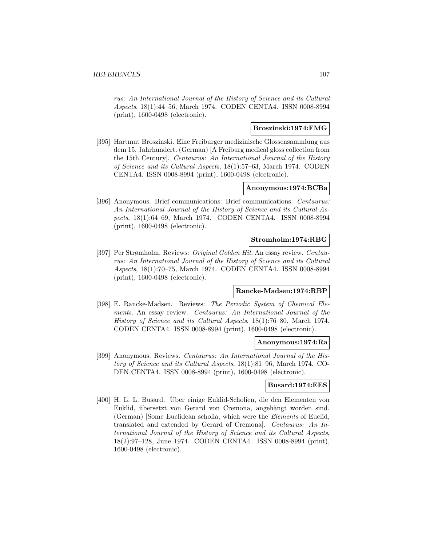rus: An International Journal of the History of Science and its Cultural Aspects, 18(1):44–56, March 1974. CODEN CENTA4. ISSN 0008-8994 (print), 1600-0498 (electronic).

# **Broszinski:1974:FMG**

[395] Hartmut Broszinski. Eine Freiburger medizinische Glossensammlung aus dem 15. Jahrhundert. (German) [A Freiburg medical gloss collection from the 15th Century]. Centaurus: An International Journal of the History of Science and its Cultural Aspects, 18(1):57–63, March 1974. CODEN CENTA4. ISSN 0008-8994 (print), 1600-0498 (electronic).

### **Anonymous:1974:BCBa**

[396] Anonymous. Brief communications: Brief communications. Centaurus: An International Journal of the History of Science and its Cultural Aspects, 18(1):64–69, March 1974. CODEN CENTA4. ISSN 0008-8994 (print), 1600-0498 (electronic).

## **Stromholm:1974:RBG**

[397] Per Strømholm. Reviews: Original Golden Hit. An essay review. Centaurus: An International Journal of the History of Science and its Cultural Aspects, 18(1):70–75, March 1974. CODEN CENTA4. ISSN 0008-8994 (print), 1600-0498 (electronic).

## **Rancke-Madsen:1974:RBP**

[398] E. Rancke-Madsen. Reviews: The Periodic System of Chemical Elements. An essay review. Centaurus: An International Journal of the History of Science and its Cultural Aspects, 18(1):76–80, March 1974. CODEN CENTA4. ISSN 0008-8994 (print), 1600-0498 (electronic).

# **Anonymous:1974:Ra**

[399] Anonymous. Reviews. Centaurus: An International Journal of the History of Science and its Cultural Aspects, 18(1):81–96, March 1974. CO-DEN CENTA4. ISSN 0008-8994 (print), 1600-0498 (electronic).

# **Busard:1974:EES**

[400] H. L. L. Busard. Uber einige Euklid-Scholien, die den Elementen von ¨ Euklid, übersetzt von Gerard von Cremona, angehängt worden sind. (German) [Some Euclidean scholia, which were the Elements of Euclid, translated and extended by Gerard of Cremona]. Centaurus: An International Journal of the History of Science and its Cultural Aspects, 18(2):97–128, June 1974. CODEN CENTA4. ISSN 0008-8994 (print), 1600-0498 (electronic).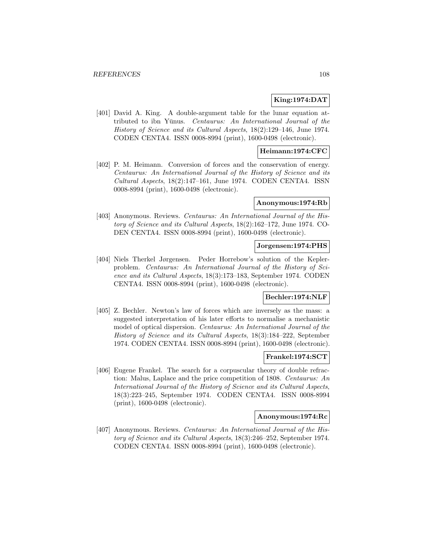## **King:1974:DAT**

[401] David A. King. A double-argument table for the lunar equation attributed to ibn Yūnus. Centaurus: An International Journal of the History of Science and its Cultural Aspects, 18(2):129–146, June 1974. CODEN CENTA4. ISSN 0008-8994 (print), 1600-0498 (electronic).

## **Heimann:1974:CFC**

[402] P. M. Heimann. Conversion of forces and the conservation of energy. Centaurus: An International Journal of the History of Science and its Cultural Aspects, 18(2):147–161, June 1974. CODEN CENTA4. ISSN 0008-8994 (print), 1600-0498 (electronic).

#### **Anonymous:1974:Rb**

[403] Anonymous. Reviews. Centaurus: An International Journal of the History of Science and its Cultural Aspects, 18(2):162–172, June 1974. CO-DEN CENTA4. ISSN 0008-8994 (print), 1600-0498 (electronic).

#### **Jorgensen:1974:PHS**

[404] Niels Therkel Jørgensen. Peder Horrebow's solution of the Keplerproblem. Centaurus: An International Journal of the History of Science and its Cultural Aspects, 18(3):173–183, September 1974. CODEN CENTA4. ISSN 0008-8994 (print), 1600-0498 (electronic).

## **Bechler:1974:NLF**

[405] Z. Bechler. Newton's law of forces which are inversely as the mass: a suggested interpretation of his later efforts to normalise a mechanistic model of optical dispersion. Centaurus: An International Journal of the History of Science and its Cultural Aspects, 18(3):184–222, September 1974. CODEN CENTA4. ISSN 0008-8994 (print), 1600-0498 (electronic).

## **Frankel:1974:SCT**

[406] Eugene Frankel. The search for a corpuscular theory of double refraction: Malus, Laplace and the price competition of 1808. Centaurus: An International Journal of the History of Science and its Cultural Aspects, 18(3):223–245, September 1974. CODEN CENTA4. ISSN 0008-8994 (print), 1600-0498 (electronic).

## **Anonymous:1974:Rc**

[407] Anonymous. Reviews. Centaurus: An International Journal of the History of Science and its Cultural Aspects, 18(3):246–252, September 1974. CODEN CENTA4. ISSN 0008-8994 (print), 1600-0498 (electronic).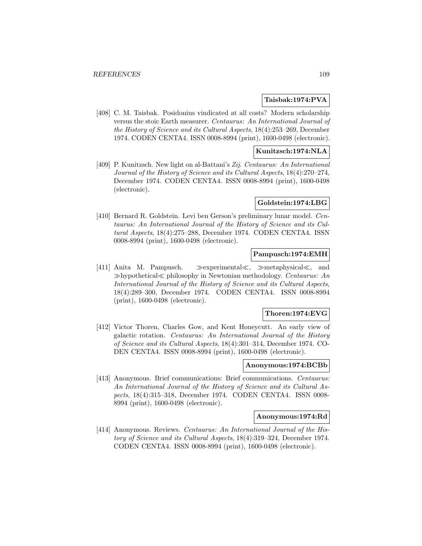# **Taisbak:1974:PVA**

[408] C. M. Taisbak. Posidonius vindicated at all costs? Modern scholarship versus the stoic Earth measurer. Centaurus: An International Journal of the History of Science and its Cultural Aspects, 18(4):253–269, December 1974. CODEN CENTA4. ISSN 0008-8994 (print), 1600-0498 (electronic).

## **Kunitzsch:1974:NLA**

[409] P. Kunitzsch. New light on al-Battani's Zij. Centaurus: An International Journal of the History of Science and its Cultural Aspects, 18(4):270–274, December 1974. CODEN CENTA4. ISSN 0008-8994 (print), 1600-0498 (electronic).

#### **Goldstein:1974:LBG**

[410] Bernard R. Goldstein. Levi ben Gerson's preliminary lunar model. Centaurus: An International Journal of the History of Science and its Cultural Aspects, 18(4):275–288, December 1974. CODEN CENTA4. ISSN 0008-8994 (print), 1600-0498 (electronic).

## **Pampusch:1974:EMH**

[411] Anita M. Pampusch.  $\gg$  experimental $\ll$ ,  $\gg$  metaphysical $\ll$ , and  $\gg$ hypothetical $\ll$  philosophy in Newtonian methodology. Centaurus: An International Journal of the History of Science and its Cultural Aspects, 18(4):289–300, December 1974. CODEN CENTA4. ISSN 0008-8994 (print), 1600-0498 (electronic).

#### **Thoren:1974:EVG**

[412] Victor Thoren, Charles Gow, and Kent Honeycutt. An early view of galactic rotation. Centaurus: An International Journal of the History of Science and its Cultural Aspects, 18(4):301–314, December 1974. CO-DEN CENTA4. ISSN 0008-8994 (print), 1600-0498 (electronic).

## **Anonymous:1974:BCBb**

[413] Anonymous. Brief communications: Brief communications. Centaurus: An International Journal of the History of Science and its Cultural Aspects, 18(4):315–318, December 1974. CODEN CENTA4. ISSN 0008- 8994 (print), 1600-0498 (electronic).

#### **Anonymous:1974:Rd**

[414] Anonymous. Reviews. Centaurus: An International Journal of the History of Science and its Cultural Aspects, 18(4):319–324, December 1974. CODEN CENTA4. ISSN 0008-8994 (print), 1600-0498 (electronic).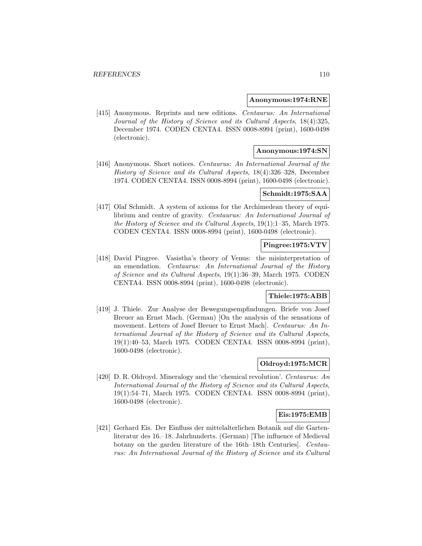#### **Anonymous:1974:RNE**

[415] Anonymous. Reprints and new editions. Centaurus: An International Journal of the History of Science and its Cultural Aspects, 18(4):325, December 1974. CODEN CENTA4. ISSN 0008-8994 (print), 1600-0498 (electronic).

# **Anonymous:1974:SN**

[416] Anonymous. Short notices. Centaurus: An International Journal of the History of Science and its Cultural Aspects, 18(4):326–328, December 1974. CODEN CENTA4. ISSN 0008-8994 (print), 1600-0498 (electronic).

# **Schmidt:1975:SAA**

[417] Olaf Schmidt. A system of axioms for the Archimedean theory of equilibrium and centre of gravity. Centaurus: An International Journal of the History of Science and its Cultural Aspects, 19(1):1–35, March 1975. CODEN CENTA4. ISSN 0008-8994 (print), 1600-0498 (electronic).

### **Pingree:1975:VTV**

[418] David Pingree. Vasistha's theory of Venus: the misinterpretation of an emendation. Centaurus: An International Journal of the History of Science and its Cultural Aspects, 19(1):36–39, March 1975. CODEN CENTA4. ISSN 0008-8994 (print), 1600-0498 (electronic).

# **Thiele:1975:ABB**

[419] J. Thiele. Zur Analyse der Bewegungsempfindungen. Briefe von Josef Breuer an Ernst Mach. (German) [On the analysis of the sensations of movement. Letters of Josef Breuer to Ernst Mach]. Centaurus: An International Journal of the History of Science and its Cultural Aspects, 19(1):40–53, March 1975. CODEN CENTA4. ISSN 0008-8994 (print), 1600-0498 (electronic).

## **Oldroyd:1975:MCR**

[420] D. R. Oldroyd. Mineralogy and the 'chemical revolution'. Centaurus: An International Journal of the History of Science and its Cultural Aspects, 19(1):54–71, March 1975. CODEN CENTA4. ISSN 0008-8994 (print), 1600-0498 (electronic).

#### **Eis:1975:EMB**

[421] Gerhard Eis. Der Einfluss der mittelalterlichen Botanik auf die Gartenliteratur des 16.–18. Jahrhunderts. (German) [The influence of Medieval botany on the garden literature of the 16th–18th Centuries]. Centaurus: An International Journal of the History of Science and its Cultural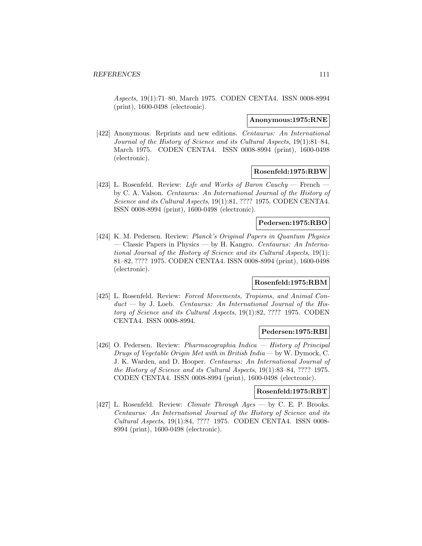Aspects, 19(1):71–80, March 1975. CODEN CENTA4. ISSN 0008-8994 (print), 1600-0498 (electronic).

#### **Anonymous:1975:RNE**

[422] Anonymous. Reprints and new editions. Centaurus: An International Journal of the History of Science and its Cultural Aspects, 19(1):81–84, March 1975. CODEN CENTA4. ISSN 0008-8994 (print), 1600-0498 (electronic).

### **Rosenfeld:1975:RBW**

[423] L. Rosenfeld. Review: Life and Works of Baron Cauchy — French by C. A. Valson. Centaurus: An International Journal of the History of Science and its Cultural Aspects, 19(1):81, ???? 1975. CODEN CENTA4. ISSN 0008-8994 (print), 1600-0498 (electronic).

## **Pedersen:1975:RBO**

[424] K. M. Pedersen. Review: Planck's Original Papers in Quantum Physics — Classic Papers in Physics — by H. Kangro. Centaurus: An International Journal of the History of Science and its Cultural Aspects, 19(1): 81–82, ???? 1975. CODEN CENTA4. ISSN 0008-8994 (print), 1600-0498 (electronic).

# **Rosenfeld:1975:RBM**

[425] L. Rosenfeld. Review: Forced Movements, Tropisms, and Animal Con $duct$  — by J. Loeb. Centaurus: An International Journal of the History of Science and its Cultural Aspects, 19(1):82, ???? 1975. CODEN CENTA4. ISSN 0008-8994.

# **Pedersen:1975:RBI**

[426] O. Pedersen. Review: Pharmacographia Indica — History of Principal Drugs of Vegetable Origin Met with in British India — by W. Dymock, C. J. K. Warden, and D. Hooper. Centaurus: An International Journal of the History of Science and its Cultural Aspects, 19(1):83–84, ???? 1975. CODEN CENTA4. ISSN 0008-8994 (print), 1600-0498 (electronic).

#### **Rosenfeld:1975:RBT**

[427] L. Rosenfeld. Review: *Climate Through Ages* — by C. E. P. Brooks. Centaurus: An International Journal of the History of Science and its Cultural Aspects, 19(1):84, ???? 1975. CODEN CENTA4. ISSN 0008- 8994 (print), 1600-0498 (electronic).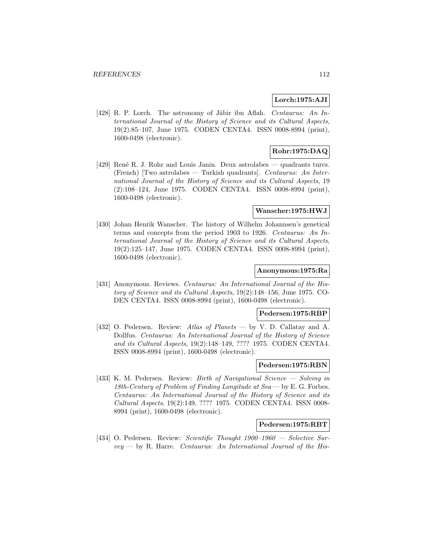### **Lorch:1975:AJI**

[428] R. P. Lorch. The astronomy of Jābir ibn Aflah. Centaurus: An International Journal of the History of Science and its Cultural Aspects, 19(2):85–107, June 1975. CODEN CENTA4. ISSN 0008-8994 (print), 1600-0498 (electronic).

# **Rohr:1975:DAQ**

[429] Ren´e R. J. Rohr and Louis Janin. Deux astrolabes — quadrants turcs. (French) [Two astrolabes — Turkish quadrants]. Centaurus: An International Journal of the History of Science and its Cultural Aspects, 19 (2):108–124, June 1975. CODEN CENTA4. ISSN 0008-8994 (print), 1600-0498 (electronic).

#### **Wanscher:1975:HWJ**

[430] Johan Henrik Wanscher. The history of Wilhelm Johannsen's genetical terms and concepts from the period 1903 to 1926. Centaurus: An International Journal of the History of Science and its Cultural Aspects, 19(2):125–147, June 1975. CODEN CENTA4. ISSN 0008-8994 (print), 1600-0498 (electronic).

#### **Anonymous:1975:Ra**

[431] Anonymous. Reviews. Centaurus: An International Journal of the History of Science and its Cultural Aspects, 19(2):148–156, June 1975. CO-DEN CENTA4. ISSN 0008-8994 (print), 1600-0498 (electronic).

# **Pedersen:1975:RBP**

[432] O. Pedersen. Review: Atlas of Planets — by V. D. Callatay and A. Dollfus. Centaurus: An International Journal of the History of Science and its Cultural Aspects, 19(2):148–149, ???? 1975. CODEN CENTA4. ISSN 0008-8994 (print), 1600-0498 (electronic).

## **Pedersen:1975:RBN**

[433] K. M. Pedersen. Review: Birth of Navigational Science — Solving in 18th-Century of Problem of Finding Longitude at Sea — by E. G. Forbes. Centaurus: An International Journal of the History of Science and its Cultural Aspects, 19(2):149, ???? 1975. CODEN CENTA4. ISSN 0008- 8994 (print), 1600-0498 (electronic).

## **Pedersen:1975:RBT**

[434] O. Pedersen. Review: Scientific Thought 1900–1960 — Selective Sur $vey$  — by R. Harre. Centaurus: An International Journal of the His-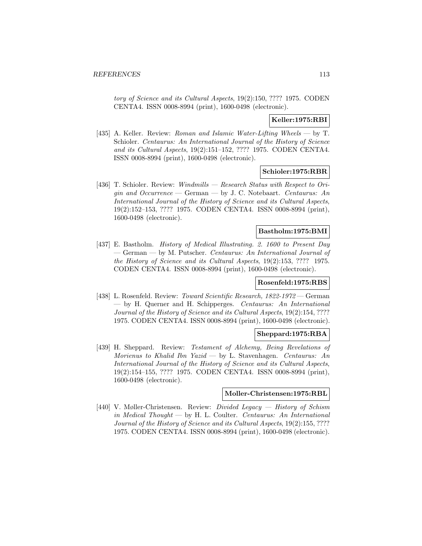tory of Science and its Cultural Aspects, 19(2):150, ???? 1975. CODEN CENTA4. ISSN 0008-8994 (print), 1600-0498 (electronic).

# **Keller:1975:RBI**

[435] A. Keller. Review: Roman and Islamic Water-Lifting Wheels — by T. Schioler. Centaurus: An International Journal of the History of Science and its Cultural Aspects, 19(2):151–152, ???? 1975. CODEN CENTA4. ISSN 0008-8994 (print), 1600-0498 (electronic).

## **Schioler:1975:RBR**

[436] T. Schioler. Review: *Windmills — Research Status with Respect to Ori*gin and  $Occurrence$  – German – by J. C. Notebaart. Centaurus: An International Journal of the History of Science and its Cultural Aspects, 19(2):152–153, ???? 1975. CODEN CENTA4. ISSN 0008-8994 (print), 1600-0498 (electronic).

# **Bastholm:1975:BMI**

[437] E. Bastholm. History of Medical Illustrating. 2. 1600 to Present Day — German — by M. Putscher. Centaurus: An International Journal of the History of Science and its Cultural Aspects, 19(2):153, ???? 1975. CODEN CENTA4. ISSN 0008-8994 (print), 1600-0498 (electronic).

# **Rosenfeld:1975:RBS**

[438] L. Rosenfeld. Review: Toward Scientific Research, 1822-1972 — German — by H. Querner and H. Schipperges. Centaurus: An International Journal of the History of Science and its Cultural Aspects, 19(2):154, ???? 1975. CODEN CENTA4. ISSN 0008-8994 (print), 1600-0498 (electronic).

### **Sheppard:1975:RBA**

[439] H. Sheppard. Review: Testament of Alchemy, Being Revelations of Morienus to Khalid Ibn Yazid — by L. Stavenhagen. Centaurus: An International Journal of the History of Science and its Cultural Aspects, 19(2):154–155, ???? 1975. CODEN CENTA4. ISSN 0008-8994 (print), 1600-0498 (electronic).

#### **Moller-Christensen:1975:RBL**

[440] V. Møller-Christensen. Review: Divided Legacy — History of Schism in Medical Thought — by H. L. Coulter. Centaurus: An International Journal of the History of Science and its Cultural Aspects, 19(2):155, ???? 1975. CODEN CENTA4. ISSN 0008-8994 (print), 1600-0498 (electronic).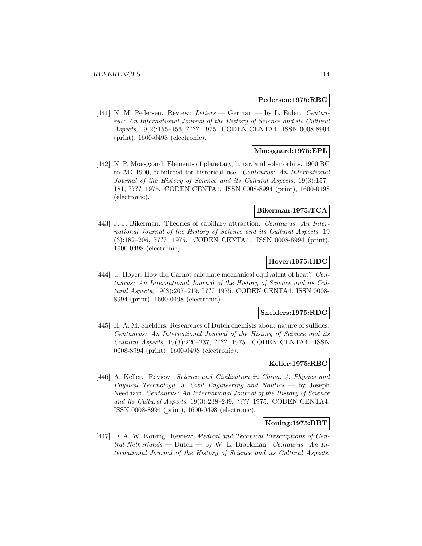#### **Pedersen:1975:RBG**

[441] K. M. Pedersen. Review: Letters — German — by L. Euler. Centaurus: An International Journal of the History of Science and its Cultural Aspects, 19(2):155–156, ???? 1975. CODEN CENTA4. ISSN 0008-8994 (print), 1600-0498 (electronic).

## **Moesgaard:1975:EPL**

[442] K. P. Moesgaard. Elements of planetary, lunar, and solar orbits, 1900 BC to AD 1900, tabulated for historical use. Centaurus: An International Journal of the History of Science and its Cultural Aspects, 19(3):157– 181, ???? 1975. CODEN CENTA4. ISSN 0008-8994 (print), 1600-0498 (electronic).

### **Bikerman:1975:TCA**

[443] J. J. Bikerman. Theories of capillary attraction. Centaurus: An International Journal of the History of Science and its Cultural Aspects, 19 (3):182–206, ???? 1975. CODEN CENTA4. ISSN 0008-8994 (print), 1600-0498 (electronic).

## **Hoyer:1975:HDC**

[444] U. Hoyer. How did Carnot calculate mechanical equivalent of heat? Centaurus: An International Journal of the History of Science and its Cultural Aspects, 19(3):207–219, ???? 1975. CODEN CENTA4. ISSN 0008- 8994 (print), 1600-0498 (electronic).

#### **Snelders:1975:RDC**

[445] H. A. M. Snelders. Researches of Dutch chemists about nature of sulfides. Centaurus: An International Journal of the History of Science and its Cultural Aspects, 19(3):220–237, ???? 1975. CODEN CENTA4. ISSN 0008-8994 (print), 1600-0498 (electronic).

# **Keller:1975:RBC**

[446] A. Keller. Review: Science and Civilization in China. 4. Physics and Physical Technology. 3. Civil Engineering and Nautics — by Joseph Needham. Centaurus: An International Journal of the History of Science and its Cultural Aspects, 19(3):238–239, ???? 1975. CODEN CENTA4. ISSN 0008-8994 (print), 1600-0498 (electronic).

## **Koning:1975:RBT**

[447] D. A. W. Koning. Review: Medical and Technical Prescriptions of Central Netherlands — Dutch — by W. L. Braekman. Centaurus: An International Journal of the History of Science and its Cultural Aspects,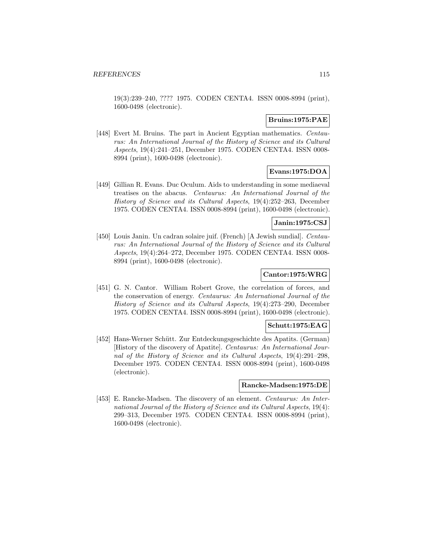19(3):239–240, ???? 1975. CODEN CENTA4. ISSN 0008-8994 (print), 1600-0498 (electronic).

## **Bruins:1975:PAE**

[448] Evert M. Bruins. The part in Ancient Egyptian mathematics. Centaurus: An International Journal of the History of Science and its Cultural Aspects, 19(4):241–251, December 1975. CODEN CENTA4. ISSN 0008- 8994 (print), 1600-0498 (electronic).

# **Evans:1975:DOA**

[449] Gillian R. Evans. Duc Oculum. Aids to understanding in some mediaeval treatises on the abacus. Centaurus: An International Journal of the History of Science and its Cultural Aspects, 19(4):252–263, December 1975. CODEN CENTA4. ISSN 0008-8994 (print), 1600-0498 (electronic).

## **Janin:1975:CSJ**

[450] Louis Janin. Un cadran solaire juif. (French) [A Jewish sundial]. Centaurus: An International Journal of the History of Science and its Cultural Aspects, 19(4):264–272, December 1975. CODEN CENTA4. ISSN 0008- 8994 (print), 1600-0498 (electronic).

# **Cantor:1975:WRG**

[451] G. N. Cantor. William Robert Grove, the correlation of forces, and the conservation of energy. Centaurus: An International Journal of the History of Science and its Cultural Aspects, 19(4):273–290, December 1975. CODEN CENTA4. ISSN 0008-8994 (print), 1600-0498 (electronic).

#### **Schutt:1975:EAG**

[452] Hans-Werner Schütt. Zur Entdeckungsgeschichte des Apatits. (German) [History of the discovery of Apatite]. Centaurus: An International Journal of the History of Science and its Cultural Aspects, 19(4):291–298, December 1975. CODEN CENTA4. ISSN 0008-8994 (print), 1600-0498 (electronic).

#### **Rancke-Madsen:1975:DE**

[453] E. Rancke-Madsen. The discovery of an element. Centaurus: An International Journal of the History of Science and its Cultural Aspects, 19(4): 299–313, December 1975. CODEN CENTA4. ISSN 0008-8994 (print), 1600-0498 (electronic).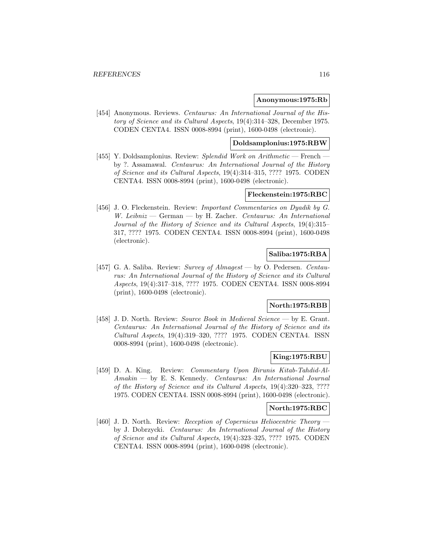#### **Anonymous:1975:Rb**

[454] Anonymous. Reviews. Centaurus: An International Journal of the History of Science and its Cultural Aspects, 19(4):314–328, December 1975. CODEN CENTA4. ISSN 0008-8994 (print), 1600-0498 (electronic).

# **Doldsamplonius:1975:RBW**

[455] Y. Doldsamplonius. Review: Splendid Work on Arithmetic — French by ?. Assamawal. Centaurus: An International Journal of the History of Science and its Cultural Aspects, 19(4):314–315, ???? 1975. CODEN CENTA4. ISSN 0008-8994 (print), 1600-0498 (electronic).

## **Fleckenstein:1975:RBC**

[456] J. O. Fleckenstein. Review: *Important Commentaries on Dyadik by G.* W. Leibniz — German — by H. Zacher. Centaurus: An International Journal of the History of Science and its Cultural Aspects, 19(4):315– 317, ???? 1975. CODEN CENTA4. ISSN 0008-8994 (print), 1600-0498 (electronic).

# **Saliba:1975:RBA**

[457] G. A. Saliba. Review: Survey of Almagest — by O. Pedersen. Centaurus: An International Journal of the History of Science and its Cultural Aspects, 19(4):317–318, ???? 1975. CODEN CENTA4. ISSN 0008-8994 (print), 1600-0498 (electronic).

## **North:1975:RBB**

[458] J. D. North. Review: Source Book in Medieval Science — by E. Grant. Centaurus: An International Journal of the History of Science and its Cultural Aspects, 19(4):319–320, ???? 1975. CODEN CENTA4. ISSN 0008-8994 (print), 1600-0498 (electronic).

## **King:1975:RBU**

[459] D. A. King. Review: Commentary Upon Birunis Kitab-Tahdid-Al-Amakin — by E. S. Kennedy. Centaurus: An International Journal of the History of Science and its Cultural Aspects, 19(4):320–323, ???? 1975. CODEN CENTA4. ISSN 0008-8994 (print), 1600-0498 (electronic).

#### **North:1975:RBC**

[460] J. D. North. Review: Reception of Copernicus Heliocentric Theory by J. Dobrzycki. Centaurus: An International Journal of the History of Science and its Cultural Aspects, 19(4):323–325, ???? 1975. CODEN CENTA4. ISSN 0008-8994 (print), 1600-0498 (electronic).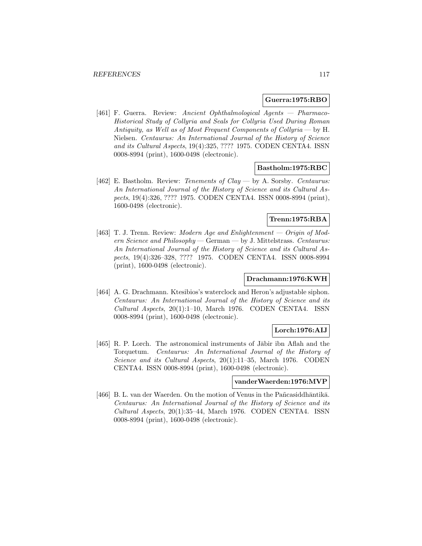#### **Guerra:1975:RBO**

[461] F. Guerra. Review: Ancient Ophthalmological Agents — Pharmaco-Historical Study of Collyria and Seals for Collyria Used During Roman Antiquity, as Well as of Most Frequent Components of Collyria — by H. Nielsen. Centaurus: An International Journal of the History of Science and its Cultural Aspects, 19(4):325, ???? 1975. CODEN CENTA4. ISSN 0008-8994 (print), 1600-0498 (electronic).

### **Bastholm:1975:RBC**

[462] E. Bastholm. Review: Tenements of Clay — by A. Sorsby. Centaurus: An International Journal of the History of Science and its Cultural Aspects, 19(4):326, ???? 1975. CODEN CENTA4. ISSN 0008-8994 (print), 1600-0498 (electronic).

# **Trenn:1975:RBA**

[463] T. J. Trenn. Review: Modern Age and Enlightenment — Origin of Modern Science and Philosophy — German — by J. Mittelstrass. Centaurus: An International Journal of the History of Science and its Cultural Aspects, 19(4):326–328, ???? 1975. CODEN CENTA4. ISSN 0008-8994 (print), 1600-0498 (electronic).

# **Drachmann:1976:KWH**

[464] A. G. Drachmann. Ktesibios's waterclock and Heron's adjustable siphon. Centaurus: An International Journal of the History of Science and its Cultural Aspects, 20(1):1–10, March 1976. CODEN CENTA4. ISSN 0008-8994 (print), 1600-0498 (electronic).

## **Lorch:1976:AIJ**

[465] R. P. Lorch. The astronomical instruments of Jābir ibn Aflah and the Torquetum. Centaurus: An International Journal of the History of Science and its Cultural Aspects, 20(1):11–35, March 1976. CODEN CENTA4. ISSN 0008-8994 (print), 1600-0498 (electronic).

# **vanderWaerden:1976:MVP**

[466] B. L. van der Waerden. On the motion of Venus in the Pañcasiddhāntikā. Centaurus: An International Journal of the History of Science and its Cultural Aspects, 20(1):35–44, March 1976. CODEN CENTA4. ISSN 0008-8994 (print), 1600-0498 (electronic).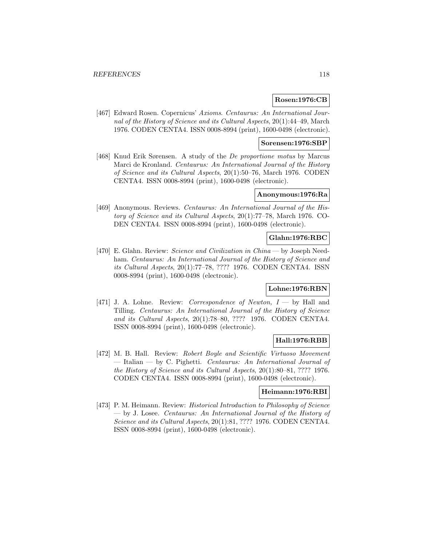## **Rosen:1976:CB**

[467] Edward Rosen. Copernicus' Axioms. Centaurus: An International Journal of the History of Science and its Cultural Aspects, 20(1):44–49, March 1976. CODEN CENTA4. ISSN 0008-8994 (print), 1600-0498 (electronic).

## **Sorensen:1976:SBP**

[468] Knud Erik Sørensen. A study of the De proportione motus by Marcus Marci de Kronland. Centaurus: An International Journal of the History of Science and its Cultural Aspects, 20(1):50–76, March 1976. CODEN CENTA4. ISSN 0008-8994 (print), 1600-0498 (electronic).

## **Anonymous:1976:Ra**

[469] Anonymous. Reviews. Centaurus: An International Journal of the History of Science and its Cultural Aspects, 20(1):77–78, March 1976. CO-DEN CENTA4. ISSN 0008-8994 (print), 1600-0498 (electronic).

# **Glahn:1976:RBC**

[470] E. Glahn. Review: Science and Civilization in China — by Joseph Needham. Centaurus: An International Journal of the History of Science and its Cultural Aspects, 20(1):77–78, ???? 1976. CODEN CENTA4. ISSN 0008-8994 (print), 1600-0498 (electronic).

# **Lohne:1976:RBN**

[471] J. A. Lohne. Review: *Correspondence of Newton*,  $I -$  by Hall and Tilling. Centaurus: An International Journal of the History of Science and its Cultural Aspects, 20(1):78–80, ???? 1976. CODEN CENTA4. ISSN 0008-8994 (print), 1600-0498 (electronic).

# **Hall:1976:RBB**

[472] M. B. Hall. Review: Robert Boyle and Scientific Virtuoso Movement — Italian — by C. Pighetti. Centaurus: An International Journal of the History of Science and its Cultural Aspects, 20(1):80–81, ???? 1976. CODEN CENTA4. ISSN 0008-8994 (print), 1600-0498 (electronic).

# **Heimann:1976:RBI**

[473] P. M. Heimann. Review: Historical Introduction to Philosophy of Science — by J. Losee. Centaurus: An International Journal of the History of Science and its Cultural Aspects, 20(1):81, ???? 1976. CODEN CENTA4. ISSN 0008-8994 (print), 1600-0498 (electronic).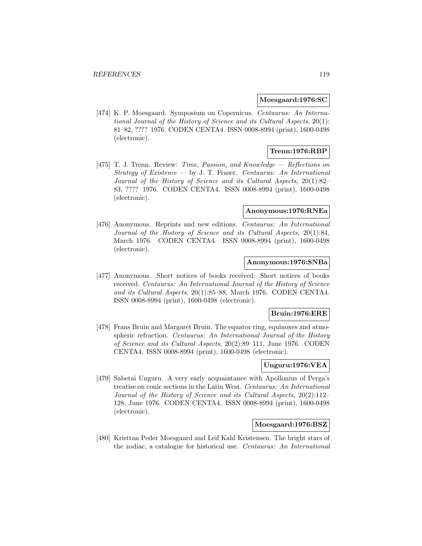### **Moesgaard:1976:SC**

[474] K. P. Moesgaard. Symposium on Copernicus. Centaurus: An International Journal of the History of Science and its Cultural Aspects, 20(1): 81–82, ???? 1976. CODEN CENTA4. ISSN 0008-8994 (print), 1600-0498 (electronic).

# **Trenn:1976:RBP**

[475] T. J. Trenn. Review: Time, Passion, and Knowledge — Reflections on Strategy of Existence — by J. T. Fraser. Centaurus: An International Journal of the History of Science and its Cultural Aspects, 20(1):82– 83, ???? 1976. CODEN CENTA4. ISSN 0008-8994 (print), 1600-0498 (electronic).

#### **Anonymous:1976:RNEa**

[476] Anonymous. Reprints and new editions. Centaurus: An International Journal of the History of Science and its Cultural Aspects, 20(1):84, March 1976. CODEN CENTA4. ISSN 0008-8994 (print), 1600-0498 (electronic).

# **Anonymous:1976:SNBa**

[477] Anonymous. Short notices of books received: Short notices of books received. Centaurus: An International Journal of the History of Science and its Cultural Aspects, 20(1):85–88, March 1976. CODEN CENTA4. ISSN 0008-8994 (print), 1600-0498 (electronic).

## **Bruin:1976:ERE**

[478] Frans Bruin and Margaret Bruin. The equator ring, equinoxes and atmospheric refraction. Centaurus: An International Journal of the History of Science and its Cultural Aspects, 20(2):89–111, June 1976. CODEN CENTA4. ISSN 0008-8994 (print), 1600-0498 (electronic).

## **Unguru:1976:VEA**

[479] Sabetai Unguru. A very early acquaintance with Apollonius of Perga's treatise on conic sections in the Latin West. Centaurus: An International Journal of the History of Science and its Cultural Aspects, 20(2):112– 128, June 1976. CODEN CENTA4. ISSN 0008-8994 (print), 1600-0498 (electronic).

### **Moesgaard:1976:BSZ**

[480] Kristtan Peder Moesgaard and Leif Kahl Kristensen. The bright stars of the zodiac, a catalogue for historical use. Centaurus: An International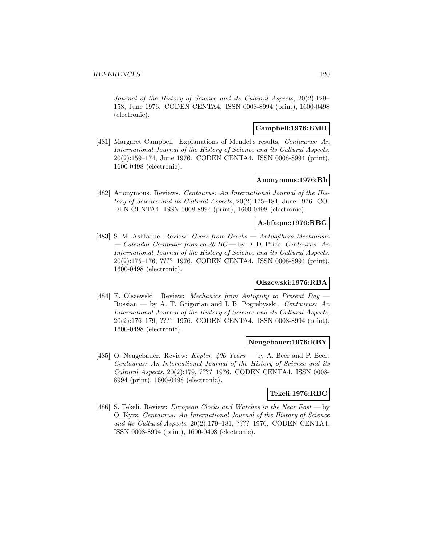Journal of the History of Science and its Cultural Aspects, 20(2):129– 158, June 1976. CODEN CENTA4. ISSN 0008-8994 (print), 1600-0498 (electronic).

# **Campbell:1976:EMR**

[481] Margaret Campbell. Explanations of Mendel's results. Centaurus: An International Journal of the History of Science and its Cultural Aspects, 20(2):159–174, June 1976. CODEN CENTA4. ISSN 0008-8994 (print), 1600-0498 (electronic).

### **Anonymous:1976:Rb**

[482] Anonymous. Reviews. Centaurus: An International Journal of the History of Science and its Cultural Aspects, 20(2):175–184, June 1976. CO-DEN CENTA4. ISSN 0008-8994 (print), 1600-0498 (electronic).

## **Ashfaque:1976:RBG**

[483] S. M. Ashfaque. Review: Gears from Greeks — Antikythera Mechanism — Calendar Computer from ca 80 BC — by D. D. Price. Centaurus: An International Journal of the History of Science and its Cultural Aspects, 20(2):175–176, ???? 1976. CODEN CENTA4. ISSN 0008-8994 (print), 1600-0498 (electronic).

# **Olszewski:1976:RBA**

[484] E. Olszewski. Review: Mechanics from Antiquity to Present Day -Russian — by A. T. Grigorian and I. B. Pogrebysski. Centaurus: An International Journal of the History of Science and its Cultural Aspects, 20(2):176–179, ???? 1976. CODEN CENTA4. ISSN 0008-8994 (print), 1600-0498 (electronic).

### **Neugebauer:1976:RBY**

[485] O. Neugebauer. Review: Kepler, 400 Years — by A. Beer and P. Beer. Centaurus: An International Journal of the History of Science and its Cultural Aspects, 20(2):179, ???? 1976. CODEN CENTA4. ISSN 0008- 8994 (print), 1600-0498 (electronic).

# **Tekeli:1976:RBC**

[486] S. Tekeli. Review: *European Clocks and Watches in the Near East* — by O. Kyrz. Centaurus: An International Journal of the History of Science and its Cultural Aspects, 20(2):179–181, ???? 1976. CODEN CENTA4. ISSN 0008-8994 (print), 1600-0498 (electronic).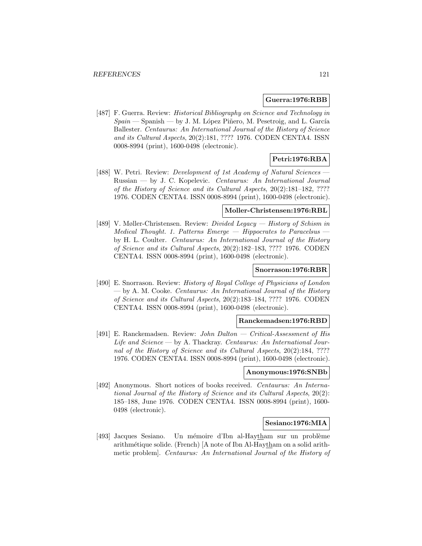### **Guerra:1976:RBB**

[487] F. Guerra. Review: *Historical Bibliography on Science and Technology in*  $Spain$  – Spanish – by J. M. López Piñero, M. Pesetroig, and L. García Ballester. Centaurus: An International Journal of the History of Science and its Cultural Aspects, 20(2):181, ???? 1976. CODEN CENTA4. ISSN 0008-8994 (print), 1600-0498 (electronic).

# **Petri:1976:RBA**

[488] W. Petri. Review: *Development of 1st Academy of Natural Sciences* -Russian — by J. C. Kopelevic. Centaurus: An International Journal of the History of Science and its Cultural Aspects, 20(2):181–182, ???? 1976. CODEN CENTA4. ISSN 0008-8994 (print), 1600-0498 (electronic).

#### **Moller-Christensen:1976:RBL**

[489] V. Møller-Christensen. Review: Divided Legacy — History of Schism in Medical Thought. 1. Patterns Emerge  $-$  Hippocrates to Paracelsus  $\cdot$ by H. L. Coulter. Centaurus: An International Journal of the History of Science and its Cultural Aspects, 20(2):182–183, ???? 1976. CODEN CENTA4. ISSN 0008-8994 (print), 1600-0498 (electronic).

#### **Snorrason:1976:RBR**

[490] E. Snorrason. Review: History of Royal College of Physicians of London — by A. M. Cooke. Centaurus: An International Journal of the History of Science and its Cultural Aspects, 20(2):183–184, ???? 1976. CODEN CENTA4. ISSN 0008-8994 (print), 1600-0498 (electronic).

### **Ranckemadsen:1976:RBD**

[491] E. Ranckemadsen. Review: John Dalton — Critical-Assessment of His Life and  $Science$   $\rightarrow$  by A. Thackray. Centaurus: An International Journal of the History of Science and its Cultural Aspects, 20(2):184, ???? 1976. CODEN CENTA4. ISSN 0008-8994 (print), 1600-0498 (electronic).

### **Anonymous:1976:SNBb**

[492] Anonymous. Short notices of books received. Centaurus: An International Journal of the History of Science and its Cultural Aspects, 20(2): 185–188, June 1976. CODEN CENTA4. ISSN 0008-8994 (print), 1600- 0498 (electronic).

# **Sesiano:1976:MIA**

[493] Jacques Sesiano. Un mémoire d'Ibn al-Haytham sur un problème arithm´etique solide. (French) [A note of Ibn Al-Haytham on a solid arithmetic problem]. Centaurus: An International Journal of the History of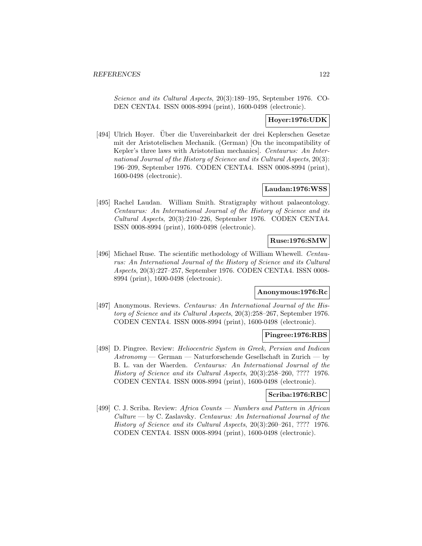Science and its Cultural Aspects, 20(3):189–195, September 1976. CO-DEN CENTA4. ISSN 0008-8994 (print), 1600-0498 (electronic).

# **Hoyer:1976:UDK**

[494] Ulrich Hoyer. Über die Unvereinbarkeit der drei Keplerschen Gesetze mit der Aristotelischen Mechanik. (German) [On the incompatibility of Kepler's three laws with Aristotelian mechanics]. Centaurus: An International Journal of the History of Science and its Cultural Aspects, 20(3): 196–209, September 1976. CODEN CENTA4. ISSN 0008-8994 (print), 1600-0498 (electronic).

# **Laudan:1976:WSS**

[495] Rachel Laudan. William Smith. Stratigraphy without palaeontology. Centaurus: An International Journal of the History of Science and its Cultural Aspects, 20(3):210–226, September 1976. CODEN CENTA4. ISSN 0008-8994 (print), 1600-0498 (electronic).

# **Ruse:1976:SMW**

[496] Michael Ruse. The scientific methodology of William Whewell. *Centau*rus: An International Journal of the History of Science and its Cultural Aspects, 20(3):227–257, September 1976. CODEN CENTA4. ISSN 0008- 8994 (print), 1600-0498 (electronic).

# **Anonymous:1976:Rc**

[497] Anonymous. Reviews. Centaurus: An International Journal of the History of Science and its Cultural Aspects, 20(3):258–267, September 1976. CODEN CENTA4. ISSN 0008-8994 (print), 1600-0498 (electronic).

#### **Pingree:1976:RBS**

[498] D. Pingree. Review: Heliocentric System in Greek, Persian and Indican  $Astronomy - German - Naturforschende Gesellschaft in Zurich - by$ B. L. van der Waerden. Centaurus: An International Journal of the History of Science and its Cultural Aspects, 20(3):258–260, ???? 1976. CODEN CENTA4. ISSN 0008-8994 (print), 1600-0498 (electronic).

# **Scriba:1976:RBC**

[499] C. J. Scriba. Review: Africa Counts — Numbers and Pattern in African Culture — by C. Zaslavsky. Centaurus: An International Journal of the History of Science and its Cultural Aspects, 20(3):260–261, ???? 1976. CODEN CENTA4. ISSN 0008-8994 (print), 1600-0498 (electronic).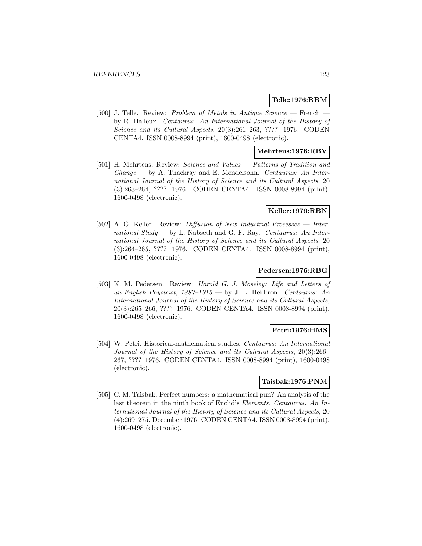### **Telle:1976:RBM**

[500] J. Telle. Review: Problem of Metals in Antique  $Science$  – French by R. Halleux. Centaurus: An International Journal of the History of Science and its Cultural Aspects, 20(3):261–263, ???? 1976. CODEN CENTA4. ISSN 0008-8994 (print), 1600-0498 (electronic).

## **Mehrtens:1976:RBV**

[501] H. Mehrtens. Review: Science and Values — Patterns of Tradition and  $Change \rightarrow by A$ . Thackray and E. Mendelsohn. Centaurus: An International Journal of the History of Science and its Cultural Aspects, 20 (3):263–264, ???? 1976. CODEN CENTA4. ISSN 0008-8994 (print), 1600-0498 (electronic).

## **Keller:1976:RBN**

[502] A. G. Keller. Review: Diffusion of New Industrial Processes — International Study — by L. Nabseth and G. F. Ray. Centaurus: An International Journal of the History of Science and its Cultural Aspects, 20 (3):264–265, ???? 1976. CODEN CENTA4. ISSN 0008-8994 (print), 1600-0498 (electronic).

### **Pedersen:1976:RBG**

[503] K. M. Pedersen. Review: Harold G. J. Moseley: Life and Letters of an English Physicist, 1887–1915 — by J. L. Heilbron. Centaurus: An International Journal of the History of Science and its Cultural Aspects, 20(3):265–266, ???? 1976. CODEN CENTA4. ISSN 0008-8994 (print), 1600-0498 (electronic).

# **Petri:1976:HMS**

[504] W. Petri. Historical-mathematical studies. Centaurus: An International Journal of the History of Science and its Cultural Aspects, 20(3):266– 267, ???? 1976. CODEN CENTA4. ISSN 0008-8994 (print), 1600-0498 (electronic).

#### **Taisbak:1976:PNM**

[505] C. M. Taisbak. Perfect numbers: a mathematical pun? An analysis of the last theorem in the ninth book of Euclid's Elements. Centaurus: An International Journal of the History of Science and its Cultural Aspects, 20 (4):269–275, December 1976. CODEN CENTA4. ISSN 0008-8994 (print), 1600-0498 (electronic).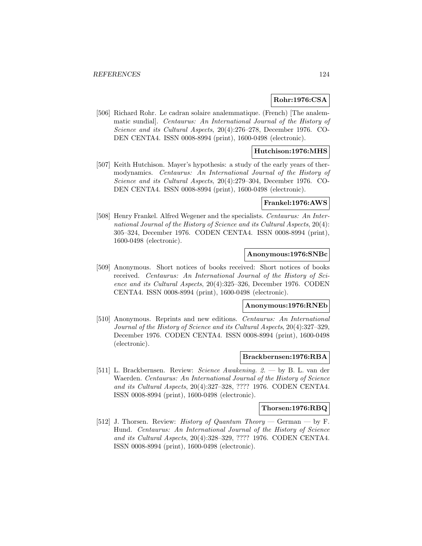### **Rohr:1976:CSA**

[506] Richard Rohr. Le cadran solaire analemmatique. (French) [The analemmatic sundial]. Centaurus: An International Journal of the History of Science and its Cultural Aspects, 20(4):276–278, December 1976. CO-DEN CENTA4. ISSN 0008-8994 (print), 1600-0498 (electronic).

## **Hutchison:1976:MHS**

[507] Keith Hutchison. Mayer's hypothesis: a study of the early years of thermodynamics. Centaurus: An International Journal of the History of Science and its Cultural Aspects, 20(4):279–304, December 1976. CO-DEN CENTA4. ISSN 0008-8994 (print), 1600-0498 (electronic).

## **Frankel:1976:AWS**

[508] Henry Frankel. Alfred Wegener and the specialists. Centaurus: An International Journal of the History of Science and its Cultural Aspects, 20(4): 305–324, December 1976. CODEN CENTA4. ISSN 0008-8994 (print), 1600-0498 (electronic).

#### **Anonymous:1976:SNBc**

[509] Anonymous. Short notices of books received: Short notices of books received. Centaurus: An International Journal of the History of Science and its Cultural Aspects, 20(4):325–326, December 1976. CODEN CENTA4. ISSN 0008-8994 (print), 1600-0498 (electronic).

#### **Anonymous:1976:RNEb**

[510] Anonymous. Reprints and new editions. Centaurus: An International Journal of the History of Science and its Cultural Aspects, 20(4):327–329, December 1976. CODEN CENTA4. ISSN 0008-8994 (print), 1600-0498 (electronic).

### **Brackbernsen:1976:RBA**

[511] L. Brackbernsen. Review: Science Awakening. 2. — by B. L. van der Waerden. Centaurus: An International Journal of the History of Science and its Cultural Aspects, 20(4):327–328, ???? 1976. CODEN CENTA4. ISSN 0008-8994 (print), 1600-0498 (electronic).

### **Thorsen:1976:RBQ**

[512] J. Thorsen. Review: *History of Quantum Theory* — German — by F. Hund. Centaurus: An International Journal of the History of Science and its Cultural Aspects, 20(4):328–329, ???? 1976. CODEN CENTA4. ISSN 0008-8994 (print), 1600-0498 (electronic).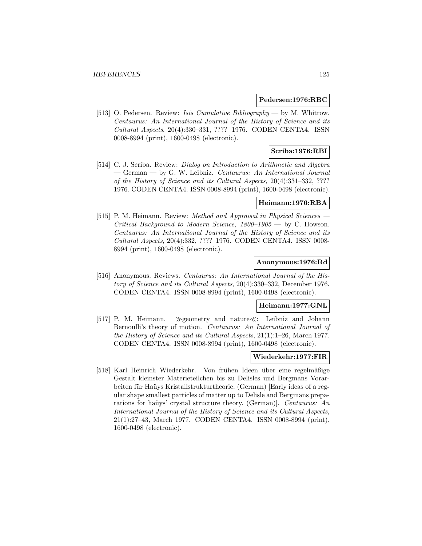#### **Pedersen:1976:RBC**

[513] O. Pedersen. Review: Isis Cumulative Bibliography — by M. Whitrow. Centaurus: An International Journal of the History of Science and its Cultural Aspects, 20(4):330–331, ???? 1976. CODEN CENTA4. ISSN 0008-8994 (print), 1600-0498 (electronic).

# **Scriba:1976:RBI**

[514] C. J. Scriba. Review: Dialog on Introduction to Arithmetic and Algebra — German — by G. W. Leibniz. Centaurus: An International Journal of the History of Science and its Cultural Aspects, 20(4):331–332, ???? 1976. CODEN CENTA4. ISSN 0008-8994 (print), 1600-0498 (electronic).

## **Heimann:1976:RBA**

[515] P. M. Heimann. Review: Method and Appraisal in Physical Sciences — Critical Background to Modern Science,  $1800-1905$  – by C. Howson. Centaurus: An International Journal of the History of Science and its Cultural Aspects, 20(4):332, ???? 1976. CODEN CENTA4. ISSN 0008- 8994 (print), 1600-0498 (electronic).

#### **Anonymous:1976:Rd**

[516] Anonymous. Reviews. Centaurus: An International Journal of the History of Science and its Cultural Aspects, 20(4):330–332, December 1976. CODEN CENTA4. ISSN 0008-8994 (print), 1600-0498 (electronic).

#### **Heimann:1977:GNL**

[517] P. M. Heimann.  $\gg$  geometry and nature $\ll$ : Leibniz and Johann Bernoulli's theory of motion. Centaurus: An International Journal of the History of Science and its Cultural Aspects, 21(1):1–26, March 1977. CODEN CENTA4. ISSN 0008-8994 (print), 1600-0498 (electronic).

### **Wiederkehr:1977:FIR**

[518] Karl Heinrich Wiederkehr. Von frühen Ideen über eine regelmäßige Gestalt kleinster Materieteilchen bis zu Delisles und Bergmans Vorarbeiten für Haüys Kristallstrukturtheorie. (German) [Early ideas of a regular shape smallest particles of matter up to Delisle and Bergmans preparations for haüys' crystal structure theory. (German). Centaurus: An International Journal of the History of Science and its Cultural Aspects, 21(1):27–43, March 1977. CODEN CENTA4. ISSN 0008-8994 (print), 1600-0498 (electronic).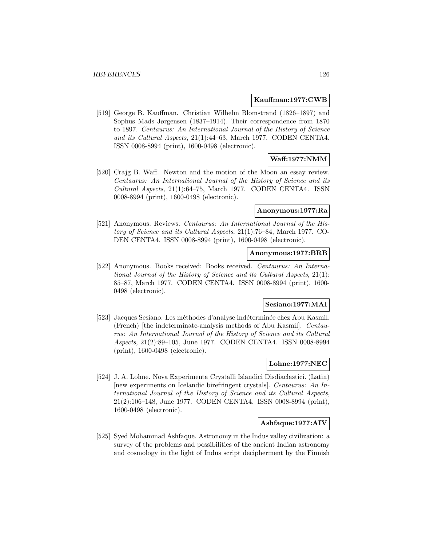### **Kauffman:1977:CWB**

[519] George B. Kauffman. Christian Wilhelm Blomstrand (1826–1897) and Sophus Mads Jørgensen (1837–1914). Their correspondence from 1870 to 1897. Centaurus: An International Journal of the History of Science and its Cultural Aspects, 21(1):44–63, March 1977. CODEN CENTA4. ISSN 0008-8994 (print), 1600-0498 (electronic).

# **Waff:1977:NMM**

[520] Crajg B. Waff. Newton and the motion of the Moon an essay review. Centaurus: An International Journal of the History of Science and its Cultural Aspects, 21(1):64–75, March 1977. CODEN CENTA4. ISSN 0008-8994 (print), 1600-0498 (electronic).

### **Anonymous:1977:Ra**

[521] Anonymous. Reviews. Centaurus: An International Journal of the History of Science and its Cultural Aspects, 21(1):76–84, March 1977. CO-DEN CENTA4. ISSN 0008-8994 (print), 1600-0498 (electronic).

# **Anonymous:1977:BRB**

[522] Anonymous. Books received: Books received. Centaurus: An International Journal of the History of Science and its Cultural Aspects, 21(1): 85–87, March 1977. CODEN CENTA4. ISSN 0008-8994 (print), 1600- 0498 (electronic).

## **Sesiano:1977:MAI**

[523] Jacques Sesiano. Les méthodes d'analyse indéterminée chez Abu Kasmil. (French) [the indeterminate-analysis methods of Abu Kasmil]. Centaurus: An International Journal of the History of Science and its Cultural Aspects, 21(2):89–105, June 1977. CODEN CENTA4. ISSN 0008-8994 (print), 1600-0498 (electronic).

# **Lohne:1977:NEC**

[524] J. A. Lohne. Nova Experimenta Crystalli Islandici Disdiaclastici. (Latin) [new experiments on Icelandic birefringent crystals]. Centaurus: An International Journal of the History of Science and its Cultural Aspects, 21(2):106–148, June 1977. CODEN CENTA4. ISSN 0008-8994 (print), 1600-0498 (electronic).

## **Ashfaque:1977:AIV**

[525] Syed Mohammad Ashfaque. Astronomy in the Indus valley civilization: a survey of the problems and possibilities of the ancient Indian astronomy and cosmology in the light of Indus script decipherment by the Finnish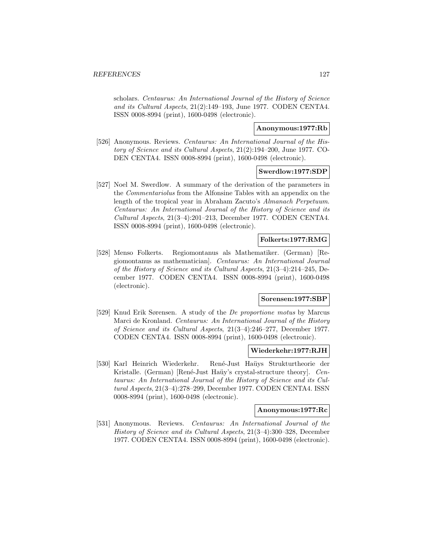scholars. Centaurus: An International Journal of the History of Science and its Cultural Aspects, 21(2):149–193, June 1977. CODEN CENTA4. ISSN 0008-8994 (print), 1600-0498 (electronic).

# **Anonymous:1977:Rb**

[526] Anonymous. Reviews. Centaurus: An International Journal of the History of Science and its Cultural Aspects, 21(2):194–200, June 1977. CO-DEN CENTA4. ISSN 0008-8994 (print), 1600-0498 (electronic).

### **Swerdlow:1977:SDP**

[527] Noel M. Swerdlow. A summary of the derivation of the parameters in the Commentariolus from the Alfonsine Tables with an appendix on the length of the tropical year in Abraham Zacuto's Almanach Perpetuum. Centaurus: An International Journal of the History of Science and its Cultural Aspects, 21(3–4):201–213, December 1977. CODEN CENTA4. ISSN 0008-8994 (print), 1600-0498 (electronic).

# **Folkerts:1977:RMG**

[528] Menso Folkerts. Regiomontanus als Mathematiker. (German) [Regiomontanus as mathematician]. Centaurus: An International Journal of the History of Science and its Cultural Aspects, 21(3–4):214–245, December 1977. CODEN CENTA4. ISSN 0008-8994 (print), 1600-0498 (electronic).

# **Sorensen:1977:SBP**

[529] Knud Erik Sørensen. A study of the De proportione motus by Marcus Marci de Kronland. Centaurus: An International Journal of the History of Science and its Cultural Aspects, 21(3–4):246–277, December 1977. CODEN CENTA4. ISSN 0008-8994 (print), 1600-0498 (electronic).

## **Wiederkehr:1977:RJH**

[530] Karl Heinrich Wiederkehr. René-Just Haüys Strukturtheorie der Kristalle. (German) [René-Just Haüy's crystal-structure theory]. Centaurus: An International Journal of the History of Science and its Cultural Aspects, 21(3–4):278–299, December 1977. CODEN CENTA4. ISSN 0008-8994 (print), 1600-0498 (electronic).

# **Anonymous:1977:Rc**

[531] Anonymous. Reviews. Centaurus: An International Journal of the History of Science and its Cultural Aspects, 21(3–4):300–328, December 1977. CODEN CENTA4. ISSN 0008-8994 (print), 1600-0498 (electronic).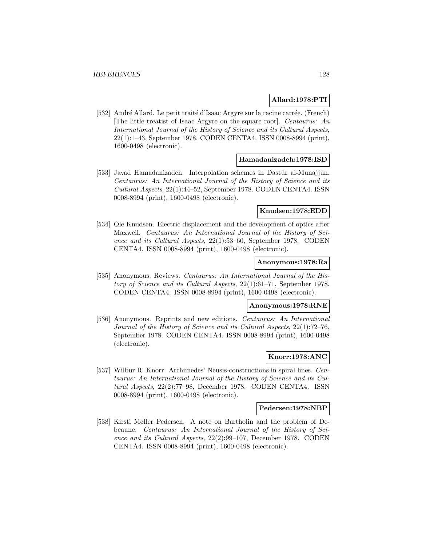## **Allard:1978:PTI**

[532] André Allard. Le petit traité d'Isaac Argyre sur la racine carrée. (French) [The little treatist of Isaac Argyre on the square root]. Centaurus: An International Journal of the History of Science and its Cultural Aspects, 22(1):1–43, September 1978. CODEN CENTA4. ISSN 0008-8994 (print), 1600-0498 (electronic).

### **Hamadanizadeh:1978:ISD**

[533] Javad Hamadanizadeh. Interpolation schemes in Dastūr al-Munajjūn. Centaurus: An International Journal of the History of Science and its Cultural Aspects, 22(1):44–52, September 1978. CODEN CENTA4. ISSN 0008-8994 (print), 1600-0498 (electronic).

### **Knudsen:1978:EDD**

[534] Ole Knudsen. Electric displacement and the development of optics after Maxwell. Centaurus: An International Journal of the History of Science and its Cultural Aspects, 22(1):53–60, September 1978. CODEN CENTA4. ISSN 0008-8994 (print), 1600-0498 (electronic).

# **Anonymous:1978:Ra**

[535] Anonymous. Reviews. Centaurus: An International Journal of the History of Science and its Cultural Aspects, 22(1):61–71, September 1978. CODEN CENTA4. ISSN 0008-8994 (print), 1600-0498 (electronic).

### **Anonymous:1978:RNE**

[536] Anonymous. Reprints and new editions. Centaurus: An International Journal of the History of Science and its Cultural Aspects, 22(1):72–76, September 1978. CODEN CENTA4. ISSN 0008-8994 (print), 1600-0498 (electronic).

## **Knorr:1978:ANC**

[537] Wilbur R. Knorr. Archimedes' Neusis-constructions in spiral lines. Centaurus: An International Journal of the History of Science and its Cultural Aspects, 22(2):77–98, December 1978. CODEN CENTA4. ISSN 0008-8994 (print), 1600-0498 (electronic).

## **Pedersen:1978:NBP**

[538] Kirsti Møller Pedersen. A note on Bartholin and the problem of Debeaune. Centaurus: An International Journal of the History of Science and its Cultural Aspects, 22(2):99–107, December 1978. CODEN CENTA4. ISSN 0008-8994 (print), 1600-0498 (electronic).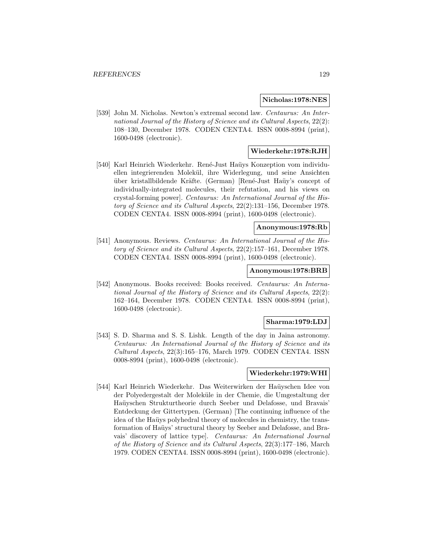#### **Nicholas:1978:NES**

[539] John M. Nicholas. Newton's extremal second law. Centaurus: An International Journal of the History of Science and its Cultural Aspects, 22(2): 108–130, December 1978. CODEN CENTA4. ISSN 0008-8994 (print), 1600-0498 (electronic).

## **Wiederkehr:1978:RJH**

[540] Karl Heinrich Wiederkehr. René-Just Haüys Konzeption vom individuellen integrierenden Molek¨ul, ihre Widerlegung, und seine Ansichten über kristallbildende Kräfte. (German) [René-Just Haüy's concept of individually-integrated molecules, their refutation, and his views on crystal-forming power]. Centaurus: An International Journal of the History of Science and its Cultural Aspects, 22(2):131–156, December 1978. CODEN CENTA4. ISSN 0008-8994 (print), 1600-0498 (electronic).

# **Anonymous:1978:Rb**

[541] Anonymous. Reviews. Centaurus: An International Journal of the History of Science and its Cultural Aspects, 22(2):157–161, December 1978. CODEN CENTA4. ISSN 0008-8994 (print), 1600-0498 (electronic).

#### **Anonymous:1978:BRB**

[542] Anonymous. Books received: Books received. Centaurus: An International Journal of the History of Science and its Cultural Aspects, 22(2): 162–164, December 1978. CODEN CENTA4. ISSN 0008-8994 (print), 1600-0498 (electronic).

#### **Sharma:1979:LDJ**

[543] S. D. Sharma and S. S. Lishk. Length of the day in Jaina astronomy. Centaurus: An International Journal of the History of Science and its Cultural Aspects, 22(3):165–176, March 1979. CODEN CENTA4. ISSN 0008-8994 (print), 1600-0498 (electronic).

## **Wiederkehr:1979:WHI**

[544] Karl Heinrich Wiederkehr. Das Weiterwirken der Haüyschen Idee von der Polyedergestalt der Moleküle in der Chemie, die Umgestaltung der Haüyschen Strukturtheorie durch Seeber und Delafosse, und Bravais' Entdeckung der Gittertypen. (German) [The continuing influence of the idea of the Haüys polyhedral theory of molecules in chemistry, the transformation of Haüys' structural theory by Seeber and Delafosse, and Bravais' discovery of lattice type]. Centaurus: An International Journal of the History of Science and its Cultural Aspects, 22(3):177–186, March 1979. CODEN CENTA4. ISSN 0008-8994 (print), 1600-0498 (electronic).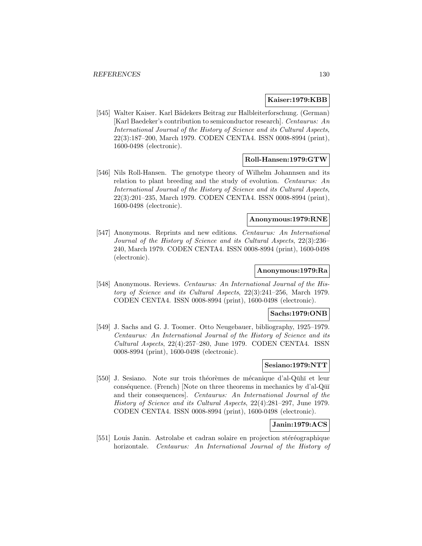## **Kaiser:1979:KBB**

[545] Walter Kaiser. Karl Bädekers Beitrag zur Halbleiterforschung. (German) [Karl Baedeker's contribution to semiconductor research]. Centaurus: An International Journal of the History of Science and its Cultural Aspects, 22(3):187–200, March 1979. CODEN CENTA4. ISSN 0008-8994 (print), 1600-0498 (electronic).

# **Roll-Hansen:1979:GTW**

[546] Nils Roll-Hansen. The genotype theory of Wilhelm Johannsen and its relation to plant breeding and the study of evolution. Centaurus: An International Journal of the History of Science and its Cultural Aspects, 22(3):201–235, March 1979. CODEN CENTA4. ISSN 0008-8994 (print), 1600-0498 (electronic).

# **Anonymous:1979:RNE**

[547] Anonymous. Reprints and new editions. Centaurus: An International Journal of the History of Science and its Cultural Aspects, 22(3):236– 240, March 1979. CODEN CENTA4. ISSN 0008-8994 (print), 1600-0498 (electronic).

#### **Anonymous:1979:Ra**

[548] Anonymous. Reviews. Centaurus: An International Journal of the History of Science and its Cultural Aspects, 22(3):241–256, March 1979. CODEN CENTA4. ISSN 0008-8994 (print), 1600-0498 (electronic).

# **Sachs:1979:ONB**

[549] J. Sachs and G. J. Toomer. Otto Neugebauer, bibliography, 1925–1979. Centaurus: An International Journal of the History of Science and its  $Cultural Aspects, 22(4):257–280, June 1979. CODEN CENTA4. ISSN$ 0008-8994 (print), 1600-0498 (electronic).

### **Sesiano:1979:NTT**

[550] J. Sesiano. Note sur trois théorèmes de mécanique d'al-Qūhī et leur conséquence. (French) [Note on three theorems in mechanics by d'al-Q $\overline{u}$ ] and their consequences]. Centaurus: An International Journal of the History of Science and its Cultural Aspects, 22(4):281–297, June 1979. CODEN CENTA4. ISSN 0008-8994 (print), 1600-0498 (electronic).

# **Janin:1979:ACS**

[551] Louis Janin. Astrolabe et cadran solaire en projection stéréographique horizontale. Centaurus: An International Journal of the History of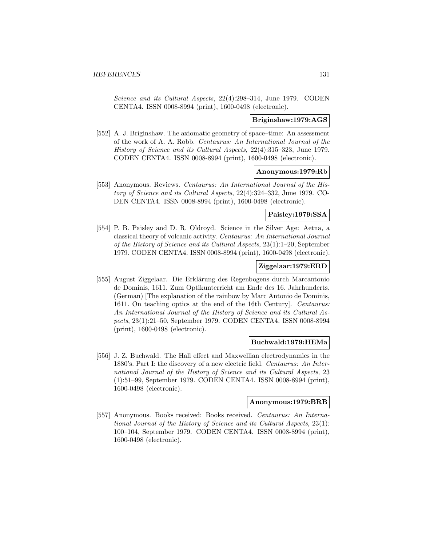Science and its Cultural Aspects, 22(4):298–314, June 1979. CODEN CENTA4. ISSN 0008-8994 (print), 1600-0498 (electronic).

## **Briginshaw:1979:AGS**

[552] A. J. Briginshaw. The axiomatic geometry of space–time: An assessment of the work of A. A. Robb. Centaurus: An International Journal of the History of Science and its Cultural Aspects, 22(4):315–323, June 1979. CODEN CENTA4. ISSN 0008-8994 (print), 1600-0498 (electronic).

# **Anonymous:1979:Rb**

[553] Anonymous. Reviews. Centaurus: An International Journal of the History of Science and its Cultural Aspects, 22(4):324–332, June 1979. CO-DEN CENTA4. ISSN 0008-8994 (print), 1600-0498 (electronic).

# **Paisley:1979:SSA**

[554] P. B. Paisley and D. R. Oldroyd. Science in the Silver Age: Aetna, a classical theory of volcanic activity. Centaurus: An International Journal of the History of Science and its Cultural Aspects, 23(1):1–20, September 1979. CODEN CENTA4. ISSN 0008-8994 (print), 1600-0498 (electronic).

# **Ziggelaar:1979:ERD**

[555] August Ziggelaar. Die Erklärung des Regenbogens durch Marcantonio de Dominis, 1611. Zum Optikunterricht am Ende des 16. Jahrhunderts. (German) [The explanation of the rainbow by Marc Antonio de Dominis, 1611. On teaching optics at the end of the 16th Century]. Centaurus: An International Journal of the History of Science and its Cultural Aspects, 23(1):21–50, September 1979. CODEN CENTA4. ISSN 0008-8994 (print), 1600-0498 (electronic).

#### **Buchwald:1979:HEMa**

[556] J. Z. Buchwald. The Hall effect and Maxwellian electrodynamics in the 1880's. Part I: the discovery of a new electric field. Centaurus: An International Journal of the History of Science and its Cultural Aspects, 23 (1):51–99, September 1979. CODEN CENTA4. ISSN 0008-8994 (print), 1600-0498 (electronic).

### **Anonymous:1979:BRB**

[557] Anonymous. Books received: Books received. Centaurus: An International Journal of the History of Science and its Cultural Aspects, 23(1): 100–104, September 1979. CODEN CENTA4. ISSN 0008-8994 (print), 1600-0498 (electronic).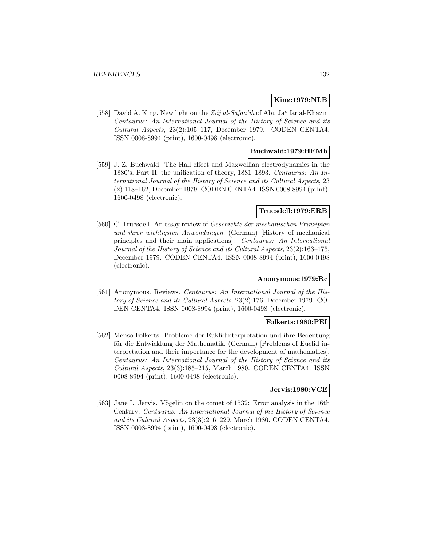# **King:1979:NLB**

[558] David A. King. New light on the Zīij al-Safāa'ih of Abū Ja<sup>c</sup> far al-Khāzin. Centaurus: An International Journal of the History of Science and its Cultural Aspects, 23(2):105–117, December 1979. CODEN CENTA4. ISSN 0008-8994 (print), 1600-0498 (electronic).

## **Buchwald:1979:HEMb**

[559] J. Z. Buchwald. The Hall effect and Maxwellian electrodynamics in the 1880's. Part II: the unification of theory, 1881–1893. Centaurus: An International Journal of the History of Science and its Cultural Aspects, 23 (2):118–162, December 1979. CODEN CENTA4. ISSN 0008-8994 (print), 1600-0498 (electronic).

# **Truesdell:1979:ERB**

[560] C. Truesdell. An essay review of Geschichte der mechanischen Prinzipien und ihrer wichtigsten Anwendungen. (German) [History of mechanical principles and their main applications]. Centaurus: An International Journal of the History of Science and its Cultural Aspects, 23(2):163–175, December 1979. CODEN CENTA4. ISSN 0008-8994 (print), 1600-0498 (electronic).

# **Anonymous:1979:Rc**

[561] Anonymous. Reviews. Centaurus: An International Journal of the History of Science and its Cultural Aspects, 23(2):176, December 1979. CO-DEN CENTA4. ISSN 0008-8994 (print), 1600-0498 (electronic).

### **Folkerts:1980:PEI**

[562] Menso Folkerts. Probleme der Euklidinterpretation und ihre Bedeutung für die Entwicklung der Mathematik. (German) [Problems of Euclid interpretation and their importance for the development of mathematics]. Centaurus: An International Journal of the History of Science and its Cultural Aspects, 23(3):185–215, March 1980. CODEN CENTA4. ISSN 0008-8994 (print), 1600-0498 (electronic).

# **Jervis:1980:VCE**

[563] Jane L. Jervis. Vögelin on the comet of 1532: Error analysis in the 16th Century. Centaurus: An International Journal of the History of Science and its Cultural Aspects, 23(3):216–229, March 1980. CODEN CENTA4. ISSN 0008-8994 (print), 1600-0498 (electronic).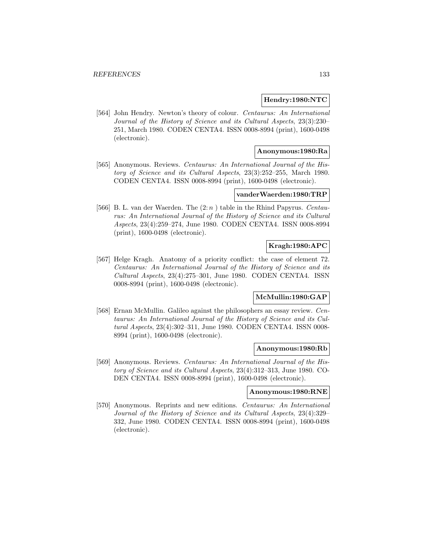### **Hendry:1980:NTC**

[564] John Hendry. Newton's theory of colour. Centaurus: An International Journal of the History of Science and its Cultural Aspects, 23(3):230– 251, March 1980. CODEN CENTA4. ISSN 0008-8994 (print), 1600-0498 (electronic).

## **Anonymous:1980:Ra**

[565] Anonymous. Reviews. Centaurus: An International Journal of the History of Science and its Cultural Aspects, 23(3):252–255, March 1980. CODEN CENTA4. ISSN 0008-8994 (print), 1600-0498 (electronic).

#### **vanderWaerden:1980:TRP**

[566] B. L. van der Waerden. The  $(2:n)$  table in the Rhind Papyrus. Centaurus: An International Journal of the History of Science and its Cultural Aspects, 23(4):259–274, June 1980. CODEN CENTA4. ISSN 0008-8994 (print), 1600-0498 (electronic).

# **Kragh:1980:APC**

[567] Helge Kragh. Anatomy of a priority conflict: the case of element 72. Centaurus: An International Journal of the History of Science and its Cultural Aspects, 23(4):275–301, June 1980. CODEN CENTA4. ISSN 0008-8994 (print), 1600-0498 (electronic).

# **McMullin:1980:GAP**

[568] Ernan McMullin. Galileo against the philosophers an essay review. Centaurus: An International Journal of the History of Science and its Cultural Aspects, 23(4):302–311, June 1980. CODEN CENTA4. ISSN 0008- 8994 (print), 1600-0498 (electronic).

### **Anonymous:1980:Rb**

[569] Anonymous. Reviews. Centaurus: An International Journal of the History of Science and its Cultural Aspects, 23(4):312–313, June 1980. CO-DEN CENTA4. ISSN 0008-8994 (print), 1600-0498 (electronic).

#### **Anonymous:1980:RNE**

[570] Anonymous. Reprints and new editions. Centaurus: An International Journal of the History of Science and its Cultural Aspects, 23(4):329– 332, June 1980. CODEN CENTA4. ISSN 0008-8994 (print), 1600-0498 (electronic).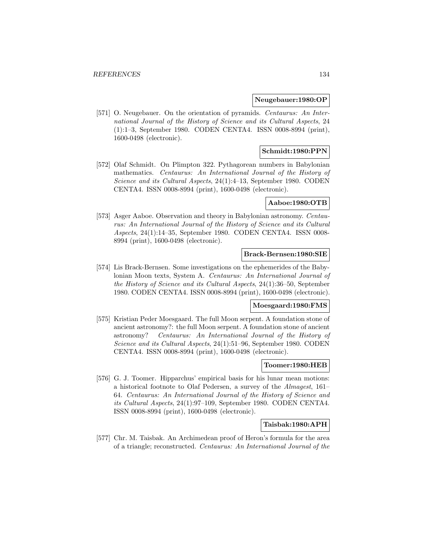#### **Neugebauer:1980:OP**

[571] O. Neugebauer. On the orientation of pyramids. Centaurus: An International Journal of the History of Science and its Cultural Aspects, 24 (1):1–3, September 1980. CODEN CENTA4. ISSN 0008-8994 (print), 1600-0498 (electronic).

## **Schmidt:1980:PPN**

[572] Olaf Schmidt. On Plimpton 322. Pythagorean numbers in Babylonian mathematics. Centaurus: An International Journal of the History of Science and its Cultural Aspects, 24(1):4–13, September 1980. CODEN CENTA4. ISSN 0008-8994 (print), 1600-0498 (electronic).

## **Aaboe:1980:OTB**

[573] Asger Aaboe. Observation and theory in Babylonian astronomy. Centaurus: An International Journal of the History of Science and its Cultural Aspects, 24(1):14–35, September 1980. CODEN CENTA4. ISSN 0008- 8994 (print), 1600-0498 (electronic).

### **Brack-Bernsen:1980:SIE**

[574] Lis Brack-Bernsen. Some investigations on the ephemerides of the Babylonian Moon texts, System A. Centaurus: An International Journal of the History of Science and its Cultural Aspects, 24(1):36–50, September 1980. CODEN CENTA4. ISSN 0008-8994 (print), 1600-0498 (electronic).

#### **Moesgaard:1980:FMS**

[575] Kristian Peder Moesgaard. The full Moon serpent. A foundation stone of ancient astronomy?: the full Moon serpent. A foundation stone of ancient astronomy? Centaurus: An International Journal of the History of Science and its Cultural Aspects, 24(1):51–96, September 1980. CODEN CENTA4. ISSN 0008-8994 (print), 1600-0498 (electronic).

## **Toomer:1980:HEB**

[576] G. J. Toomer. Hipparchus' empirical basis for his lunar mean motions: a historical footnote to Olaf Pedersen, a survey of the Almagest, 161– 64. Centaurus: An International Journal of the History of Science and its Cultural Aspects, 24(1):97–109, September 1980. CODEN CENTA4. ISSN 0008-8994 (print), 1600-0498 (electronic).

### **Taisbak:1980:APH**

[577] Chr. M. Taisbak. An Archimedean proof of Heron's formula for the area of a triangle; reconstructed. Centaurus: An International Journal of the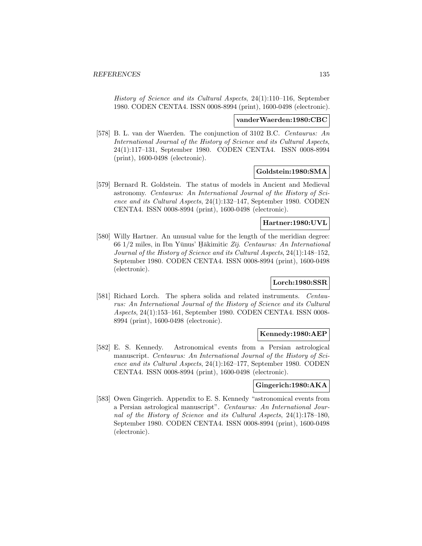History of Science and its Cultural Aspects, 24(1):110–116, September 1980. CODEN CENTA4. ISSN 0008-8994 (print), 1600-0498 (electronic).

#### **vanderWaerden:1980:CBC**

[578] B. L. van der Waerden. The conjunction of 3102 B.C. Centaurus: An International Journal of the History of Science and its Cultural Aspects, 24(1):117–131, September 1980. CODEN CENTA4. ISSN 0008-8994 (print), 1600-0498 (electronic).

### **Goldstein:1980:SMA**

[579] Bernard R. Goldstein. The status of models in Ancient and Medieval astronomy. Centaurus: An International Journal of the History of Science and its Cultural Aspects, 24(1):132–147, September 1980. CODEN CENTA4. ISSN 0008-8994 (print), 1600-0498 (electronic).

### **Hartner:1980:UVL**

[580] Willy Hartner. An unusual value for the length of the meridian degree:  $66$  1/2 miles, in Ibn Yūnus' Hākimitic  $Z\bar{y}$ . Centaurus: An International Journal of the History of Science and its Cultural Aspects, 24(1):148–152, September 1980. CODEN CENTA4. ISSN 0008-8994 (print), 1600-0498 (electronic).

# **Lorch:1980:SSR**

[581] Richard Lorch. The sphera solida and related instruments. *Centau*rus: An International Journal of the History of Science and its Cultural Aspects, 24(1):153–161, September 1980. CODEN CENTA4. ISSN 0008- 8994 (print), 1600-0498 (electronic).

#### **Kennedy:1980:AEP**

[582] E. S. Kennedy. Astronomical events from a Persian astrological manuscript. Centaurus: An International Journal of the History of Science and its Cultural Aspects, 24(1):162–177, September 1980. CODEN CENTA4. ISSN 0008-8994 (print), 1600-0498 (electronic).

# **Gingerich:1980:AKA**

[583] Owen Gingerich. Appendix to E. S. Kennedy "astronomical events from a Persian astrological manuscript". Centaurus: An International Journal of the History of Science and its Cultural Aspects, 24(1):178–180, September 1980. CODEN CENTA4. ISSN 0008-8994 (print), 1600-0498 (electronic).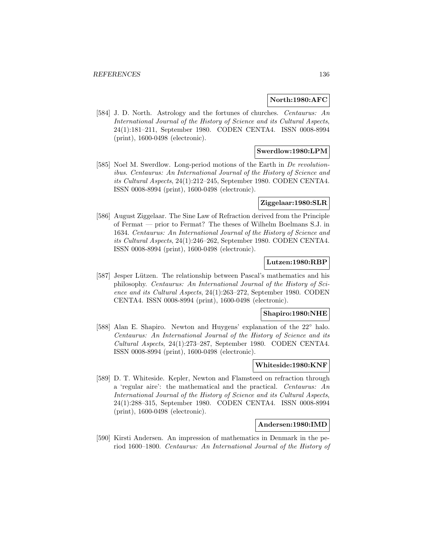### **North:1980:AFC**

[584] J. D. North. Astrology and the fortunes of churches. Centaurus: An International Journal of the History of Science and its Cultural Aspects, 24(1):181–211, September 1980. CODEN CENTA4. ISSN 0008-8994 (print), 1600-0498 (electronic).

### **Swerdlow:1980:LPM**

[585] Noel M. Swerdlow. Long-period motions of the Earth in De revolutionibus. Centaurus: An International Journal of the History of Science and its Cultural Aspects, 24(1):212–245, September 1980. CODEN CENTA4. ISSN 0008-8994 (print), 1600-0498 (electronic).

## **Ziggelaar:1980:SLR**

[586] August Ziggelaar. The Sine Law of Refraction derived from the Principle of Fermat — prior to Fermat? The theses of Wilhelm Boelmans S.J. in 1634. Centaurus: An International Journal of the History of Science and its Cultural Aspects, 24(1):246–262, September 1980. CODEN CENTA4. ISSN 0008-8994 (print), 1600-0498 (electronic).

## **Lutzen:1980:RBP**

[587] Jesper Lützen. The relationship between Pascal's mathematics and his philosophy. Centaurus: An International Journal of the History of Science and its Cultural Aspects, 24(1):263–272, September 1980. CODEN CENTA4. ISSN 0008-8994 (print), 1600-0498 (electronic).

### **Shapiro:1980:NHE**

[588] Alan E. Shapiro. Newton and Huygens' explanation of the 22° halo. Centaurus: An International Journal of the History of Science and its Cultural Aspects, 24(1):273–287, September 1980. CODEN CENTA4. ISSN 0008-8994 (print), 1600-0498 (electronic).

#### **Whiteside:1980:KNF**

[589] D. T. Whiteside. Kepler, Newton and Flamsteed on refraction through a 'regular aire': the mathematical and the practical. Centaurus: An International Journal of the History of Science and its Cultural Aspects, 24(1):288–315, September 1980. CODEN CENTA4. ISSN 0008-8994 (print), 1600-0498 (electronic).

#### **Andersen:1980:IMD**

[590] Kirsti Andersen. An impression of mathematics in Denmark in the period 1600–1800. Centaurus: An International Journal of the History of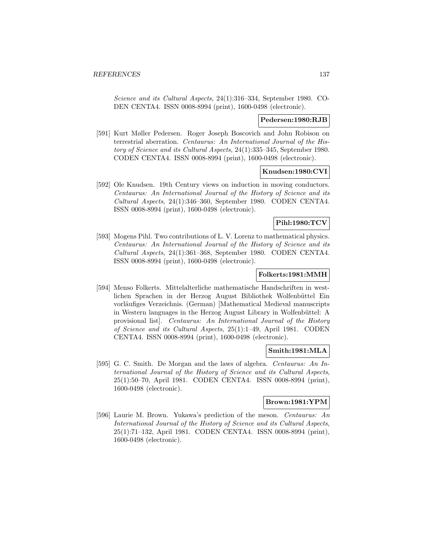Science and its Cultural Aspects, 24(1):316–334, September 1980. CO-DEN CENTA4. ISSN 0008-8994 (print), 1600-0498 (electronic).

### **Pedersen:1980:RJB**

[591] Kurt Møller Pedersen. Roger Joseph Boscovich and John Robison on terrestrial aberration. Centaurus: An International Journal of the History of Science and its Cultural Aspects, 24(1):335–345, September 1980. CODEN CENTA4. ISSN 0008-8994 (print), 1600-0498 (electronic).

### **Knudsen:1980:CVI**

[592] Ole Knudsen. 19th Century views on induction in moving conductors. Centaurus: An International Journal of the History of Science and its Cultural Aspects, 24(1):346–360, September 1980. CODEN CENTA4. ISSN 0008-8994 (print), 1600-0498 (electronic).

# **Pihl:1980:TCV**

[593] Mogens Pihl. Two contributions of L. V. Lorenz to mathematical physics. Centaurus: An International Journal of the History of Science and its Cultural Aspects, 24(1):361–368, September 1980. CODEN CENTA4. ISSN 0008-8994 (print), 1600-0498 (electronic).

# **Folkerts:1981:MMH**

[594] Menso Folkerts. Mittelalterliche mathematische Handschriften in westlichen Sprachen in der Herzog August Bibliothek Wolfenbüttel Ein vorläufiges Verzeichnis. (German) [Mathematical Medieval manuscripts in Western languages in the Herzog August Library in Wolfenbüttel: A provisional list]. Centaurus: An International Journal of the History of Science and its Cultural Aspects, 25(1):1–49, April 1981. CODEN CENTA4. ISSN 0008-8994 (print), 1600-0498 (electronic).

#### **Smith:1981:MLA**

[595] G. C. Smith. De Morgan and the laws of algebra. Centaurus: An International Journal of the History of Science and its Cultural Aspects, 25(1):50–70, April 1981. CODEN CENTA4. ISSN 0008-8994 (print), 1600-0498 (electronic).

# **Brown:1981:YPM**

[596] Laurie M. Brown. Yukawa's prediction of the meson. Centaurus: An International Journal of the History of Science and its Cultural Aspects, 25(1):71–132, April 1981. CODEN CENTA4. ISSN 0008-8994 (print), 1600-0498 (electronic).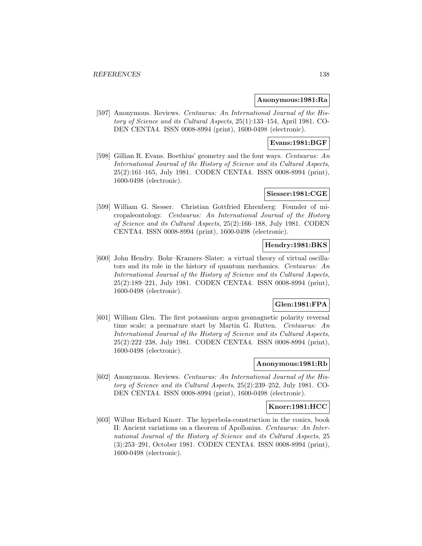#### **Anonymous:1981:Ra**

[597] Anonymous. Reviews. Centaurus: An International Journal of the History of Science and its Cultural Aspects, 25(1):133–154, April 1981. CO-DEN CENTA4. ISSN 0008-8994 (print), 1600-0498 (electronic).

# **Evans:1981:BGF**

[598] Gillian R. Evans. Boethius' geometry and the four ways. Centaurus: An International Journal of the History of Science and its Cultural Aspects, 25(2):161–165, July 1981. CODEN CENTA4. ISSN 0008-8994 (print), 1600-0498 (electronic).

# **Siesser:1981:CGE**

[599] William G. Siesser. Christian Gottfried Ehrenberg: Founder of micropaleontology. Centaurus: An International Journal of the History of Science and its Cultural Aspects, 25(2):166–188, July 1981. CODEN CENTA4. ISSN 0008-8994 (print), 1600-0498 (electronic).

# **Hendry:1981:BKS**

[600] John Hendry. Bohr–Kramers–Slater: a virtual theory of virtual oscillators and its role in the history of quantum mechanics. Centaurus: An International Journal of the History of Science and its Cultural Aspects, 25(2):189–221, July 1981. CODEN CENTA4. ISSN 0008-8994 (print), 1600-0498 (electronic).

# **Glen:1981:FPA**

[601] William Glen. The first potassium–argon geomagnetic polarity reversal time scale; a premature start by Martin G. Rutten. Centaurus: An International Journal of the History of Science and its Cultural Aspects, 25(2):222–238, July 1981. CODEN CENTA4. ISSN 0008-8994 (print), 1600-0498 (electronic).

# **Anonymous:1981:Rb**

[602] Anonymous. Reviews. Centaurus: An International Journal of the History of Science and its Cultural Aspects, 25(2):239–252, July 1981. CO-DEN CENTA4. ISSN 0008-8994 (print), 1600-0498 (electronic).

## **Knorr:1981:HCC**

[603] Wilbur Richard Knorr. The hyperbola-construction in the conics, book II: Ancient variations on a theorem of Apollonius. Centaurus: An International Journal of the History of Science and its Cultural Aspects, 25 (3):253–291, October 1981. CODEN CENTA4. ISSN 0008-8994 (print), 1600-0498 (electronic).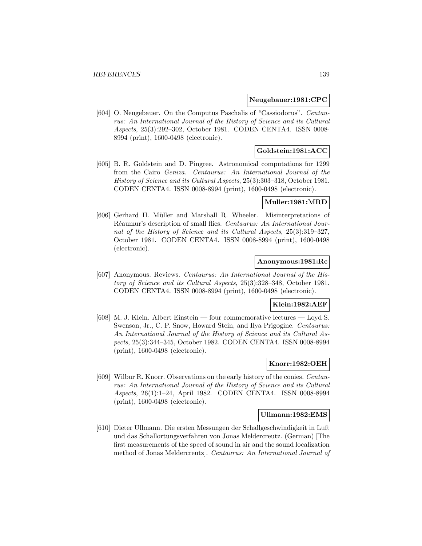#### **Neugebauer:1981:CPC**

[604] O. Neugebauer. On the Computus Paschalis of "Cassiodorus". Centaurus: An International Journal of the History of Science and its Cultural Aspects, 25(3):292–302, October 1981. CODEN CENTA4. ISSN 0008- 8994 (print), 1600-0498 (electronic).

## **Goldstein:1981:ACC**

[605] B. R. Goldstein and D. Pingree. Astronomical computations for 1299 from the Cairo Geniza. Centaurus: An International Journal of the History of Science and its Cultural Aspects, 25(3):303–318, October 1981. CODEN CENTA4. ISSN 0008-8994 (print), 1600-0498 (electronic).

### **Muller:1981:MRD**

[606] Gerhard H. Müller and Marshall R. Wheeler. Misinterpretations of Réaumur's description of small flies. Centaurus: An International Journal of the History of Science and its Cultural Aspects, 25(3):319–327, October 1981. CODEN CENTA4. ISSN 0008-8994 (print), 1600-0498 (electronic).

### **Anonymous:1981:Rc**

[607] Anonymous. Reviews. Centaurus: An International Journal of the History of Science and its Cultural Aspects, 25(3):328–348, October 1981. CODEN CENTA4. ISSN 0008-8994 (print), 1600-0498 (electronic).

### **Klein:1982:AEF**

[608] M. J. Klein. Albert Einstein — four commemorative lectures — Loyd S. Swenson, Jr., C. P. Snow, Howard Stein, and Ilya Prigogine. Centaurus: An International Journal of the History of Science and its Cultural Aspects, 25(3):344–345, October 1982. CODEN CENTA4. ISSN 0008-8994 (print), 1600-0498 (electronic).

# **Knorr:1982:OEH**

[609] Wilbur R. Knorr. Observations on the early history of the conies. Centaurus: An International Journal of the History of Science and its Cultural Aspects, 26(1):1–24, April 1982. CODEN CENTA4. ISSN 0008-8994 (print), 1600-0498 (electronic).

### **Ullmann:1982:EMS**

[610] Dieter Ullmann. Die ersten Messungen der Schallgeschwindigkeit in Luft und das Schallortungsverfahren von Jonas Meldercreutz. (German) [The first measurements of the speed of sound in air and the sound localization method of Jonas Meldercreutz]. Centaurus: An International Journal of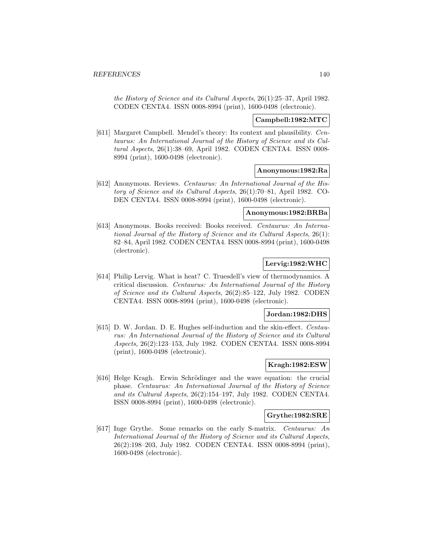the History of Science and its Cultural Aspects, 26(1):25–37, April 1982. CODEN CENTA4. ISSN 0008-8994 (print), 1600-0498 (electronic).

### **Campbell:1982:MTC**

[611] Margaret Campbell. Mendel's theory: Its context and plausibility. Centaurus: An International Journal of the History of Science and its Cultural Aspects, 26(1):38–69, April 1982. CODEN CENTA4. ISSN 0008- 8994 (print), 1600-0498 (electronic).

#### **Anonymous:1982:Ra**

[612] Anonymous. Reviews. Centaurus: An International Journal of the History of Science and its Cultural Aspects, 26(1):70–81, April 1982. CO-DEN CENTA4. ISSN 0008-8994 (print), 1600-0498 (electronic).

#### **Anonymous:1982:BRBa**

[613] Anonymous. Books received: Books received. Centaurus: An International Journal of the History of Science and its Cultural Aspects, 26(1): 82–84, April 1982. CODEN CENTA4. ISSN 0008-8994 (print), 1600-0498 (electronic).

### **Lervig:1982:WHC**

[614] Philip Lervig. What is heat? C. Truesdell's view of thermodynamics. A critical discussion. Centaurus: An International Journal of the History of Science and its Cultural Aspects, 26(2):85–122, July 1982. CODEN CENTA4. ISSN 0008-8994 (print), 1600-0498 (electronic).

#### **Jordan:1982:DHS**

[615] D. W. Jordan. D. E. Hughes self-induction and the skin-effect. Centaurus: An International Journal of the History of Science and its Cultural Aspects, 26(2):123–153, July 1982. CODEN CENTA4. ISSN 0008-8994 (print), 1600-0498 (electronic).

## **Kragh:1982:ESW**

[616] Helge Kragh. Erwin Schrödinger and the wave equation: the crucial phase. Centaurus: An International Journal of the History of Science and its Cultural Aspects, 26(2):154–197, July 1982. CODEN CENTA4. ISSN 0008-8994 (print), 1600-0498 (electronic).

#### **Grythe:1982:SRE**

[617] Inge Grythe. Some remarks on the early S-matrix. Centaurus: An International Journal of the History of Science and its Cultural Aspects, 26(2):198–203, July 1982. CODEN CENTA4. ISSN 0008-8994 (print), 1600-0498 (electronic).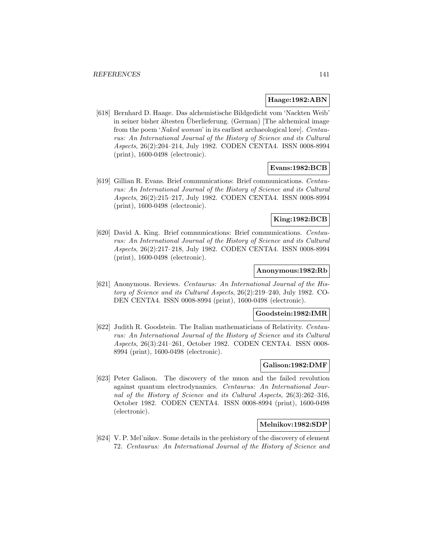## **Haage:1982:ABN**

[618] Bernhard D. Haage. Das alchemistische Bildgedicht vom 'Nackten Weib' in seiner bisher ältesten Überlieferung. (German) [The alchemical image from the poem 'Naked woman' in its earliest archaeological lore]. Centaurus: An International Journal of the History of Science and its Cultural Aspects, 26(2):204–214, July 1982. CODEN CENTA4. ISSN 0008-8994 (print), 1600-0498 (electronic).

# **Evans:1982:BCB**

[619] Gillian R. Evans. Brief communications: Brief communications. Centaurus: An International Journal of the History of Science and its Cultural Aspects, 26(2):215–217, July 1982. CODEN CENTA4. ISSN 0008-8994 (print), 1600-0498 (electronic).

# **King:1982:BCB**

[620] David A. King. Brief communications: Brief communications. Centaurus: An International Journal of the History of Science and its Cultural Aspects, 26(2):217–218, July 1982. CODEN CENTA4. ISSN 0008-8994 (print), 1600-0498 (electronic).

#### **Anonymous:1982:Rb**

[621] Anonymous. Reviews. Centaurus: An International Journal of the History of Science and its Cultural Aspects, 26(2):219–240, July 1982. CO-DEN CENTA4. ISSN 0008-8994 (print), 1600-0498 (electronic).

#### **Goodstein:1982:IMR**

[622] Judith R. Goodstein. The Italian mathematicians of Relativity. Centaurus: An International Journal of the History of Science and its Cultural Aspects, 26(3):241–261, October 1982. CODEN CENTA4. ISSN 0008- 8994 (print), 1600-0498 (electronic).

#### **Galison:1982:DMF**

[623] Peter Galison. The discovery of the muon and the failed revolution against quantum electrodynamics. Centaurus: An International Journal of the History of Science and its Cultural Aspects, 26(3):262–316, October 1982. CODEN CENTA4. ISSN 0008-8994 (print), 1600-0498 (electronic).

### **Melnikov:1982:SDP**

[624] V. P. Mel'nikov. Some details in the prehistory of the discovery of element 72. Centaurus: An International Journal of the History of Science and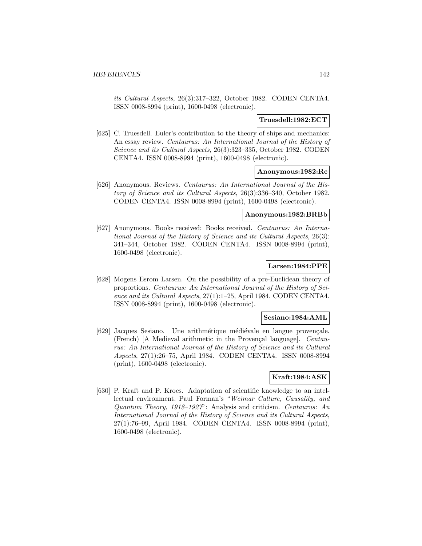its Cultural Aspects, 26(3):317–322, October 1982. CODEN CENTA4. ISSN 0008-8994 (print), 1600-0498 (electronic).

### **Truesdell:1982:ECT**

[625] C. Truesdell. Euler's contribution to the theory of ships and mechanics: An essay review. Centaurus: An International Journal of the History of Science and its Cultural Aspects, 26(3):323–335, October 1982. CODEN CENTA4. ISSN 0008-8994 (print), 1600-0498 (electronic).

# **Anonymous:1982:Rc**

[626] Anonymous. Reviews. Centaurus: An International Journal of the History of Science and its Cultural Aspects, 26(3):336–340, October 1982. CODEN CENTA4. ISSN 0008-8994 (print), 1600-0498 (electronic).

## **Anonymous:1982:BRBb**

[627] Anonymous. Books received: Books received. Centaurus: An International Journal of the History of Science and its Cultural Aspects, 26(3): 341–344, October 1982. CODEN CENTA4. ISSN 0008-8994 (print), 1600-0498 (electronic).

# **Larsen:1984:PPE**

[628] Mogens Esrom Larsen. On the possibility of a pre-Euclidean theory of proportions. Centaurus: An International Journal of the History of Science and its Cultural Aspects, 27(1):1–25, April 1984. CODEN CENTA4. ISSN 0008-8994 (print), 1600-0498 (electronic).

# **Sesiano:1984:AML**

[629] Jacques Sesiano. Une arithmétique médiévale en langue provençale. (French) [A Medieval arithmetic in the Provençal language]. Centaurus: An International Journal of the History of Science and its Cultural Aspects, 27(1):26–75, April 1984. CODEN CENTA4. ISSN 0008-8994 (print), 1600-0498 (electronic).

## **Kraft:1984:ASK**

[630] P. Kraft and P. Kroes. Adaptation of scientific knowledge to an intellectual environment. Paul Forman's "Weimar Culture, Causality, and Quantum Theory, 1918–1927": Analysis and criticism. Centaurus: An International Journal of the History of Science and its Cultural Aspects, 27(1):76–99, April 1984. CODEN CENTA4. ISSN 0008-8994 (print), 1600-0498 (electronic).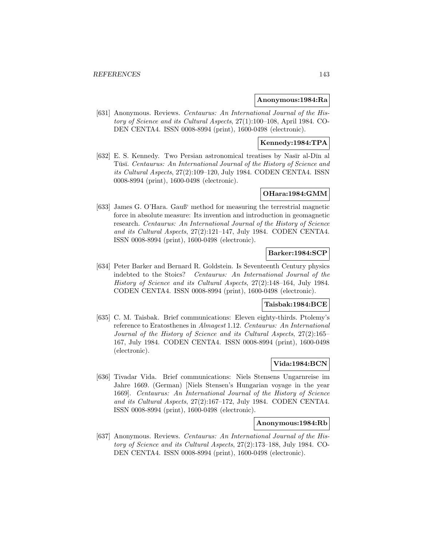#### **Anonymous:1984:Ra**

[631] Anonymous. Reviews. Centaurus: An International Journal of the History of Science and its Cultural Aspects, 27(1):100–108, April 1984. CO-DEN CENTA4. ISSN 0008-8994 (print), 1600-0498 (electronic).

## **Kennedy:1984:TPA**

[632] E. S. Kennedy. Two Persian astronomical treatises by Nasīr al-Dīn al Tūsī. Centaurus: An International Journal of the History of Science and its Cultural Aspects, 27(2):109–120, July 1984. CODEN CENTA4. ISSN 0008-8994 (print), 1600-0498 (electronic).

# **OHara:1984:GMM**

[633] James G. O'Hara. Gauß' method for measuring the terrestrial magnetic force in absolute measure: Its invention and introduction in geomagnetic research. Centaurus: An International Journal of the History of Science and its Cultural Aspects, 27(2):121–147, July 1984. CODEN CENTA4. ISSN 0008-8994 (print), 1600-0498 (electronic).

# **Barker:1984:SCP**

[634] Peter Barker and Bernard R. Goldstein. Is Seventeenth Century physics indebted to the Stoics? Centaurus: An International Journal of the History of Science and its Cultural Aspects, 27(2):148–164, July 1984. CODEN CENTA4. ISSN 0008-8994 (print), 1600-0498 (electronic).

# **Taisbak:1984:BCE**

[635] C. M. Taisbak. Brief communications: Eleven eighty-thirds. Ptolemy's reference to Eratosthenes in Almagest 1.12. Centaurus: An International Journal of the History of Science and its Cultural Aspects, 27(2):165– 167, July 1984. CODEN CENTA4. ISSN 0008-8994 (print), 1600-0498 (electronic).

# **Vida:1984:BCN**

[636] Tivadar Vida. Brief communications: Niels Stensens Ungarnreise im Jahre 1669. (German) [Niels Stensen's Hungarian voyage in the year 1669]. Centaurus: An International Journal of the History of Science and its Cultural Aspects, 27(2):167–172, July 1984. CODEN CENTA4. ISSN 0008-8994 (print), 1600-0498 (electronic).

### **Anonymous:1984:Rb**

[637] Anonymous. Reviews. Centaurus: An International Journal of the History of Science and its Cultural Aspects, 27(2):173–188, July 1984. CO-DEN CENTA4. ISSN 0008-8994 (print), 1600-0498 (electronic).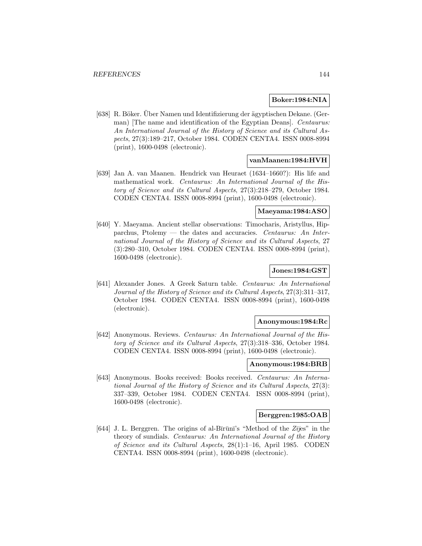## **Boker:1984:NIA**

[638] R. Böker. Über Namen und Identifizierung der ägyptischen Dekane. (German) The name and identification of the Egyptian Deans. Centaurus: An International Journal of the History of Science and its Cultural Aspects, 27(3):189–217, October 1984. CODEN CENTA4. ISSN 0008-8994 (print), 1600-0498 (electronic).

### **vanMaanen:1984:HVH**

[639] Jan A. van Maanen. Hendrick van Heuraet (1634–1660?): His life and mathematical work. Centaurus: An International Journal of the History of Science and its Cultural Aspects, 27(3):218–279, October 1984. CODEN CENTA4. ISSN 0008-8994 (print), 1600-0498 (electronic).

## **Maeyama:1984:ASO**

[640] Y. Maeyama. Ancient stellar observations: Timocharis, Aristyllus, Hipparchus, Ptolemy — the dates and accuracies. Centaurus: An International Journal of the History of Science and its Cultural Aspects, 27 (3):280–310, October 1984. CODEN CENTA4. ISSN 0008-8994 (print), 1600-0498 (electronic).

# **Jones:1984:GST**

[641] Alexander Jones. A Greek Saturn table. Centaurus: An International Journal of the History of Science and its Cultural Aspects, 27(3):311–317, October 1984. CODEN CENTA4. ISSN 0008-8994 (print), 1600-0498 (electronic).

## **Anonymous:1984:Rc**

[642] Anonymous. Reviews. Centaurus: An International Journal of the History of Science and its Cultural Aspects, 27(3):318–336, October 1984. CODEN CENTA4. ISSN 0008-8994 (print), 1600-0498 (electronic).

## **Anonymous:1984:BRB**

[643] Anonymous. Books received: Books received. Centaurus: An International Journal of the History of Science and its Cultural Aspects, 27(3): 337–339, October 1984. CODEN CENTA4. ISSN 0008-8994 (print), 1600-0498 (electronic).

### **Berggren:1985:OAB**

[644] J. L. Berggren. The origins of al-B $\overline{I}$ rūnī's "Method of the Z $\overline{ij}$ es" in the theory of sundials. Centaurus: An International Journal of the History of Science and its Cultural Aspects, 28(1):1–16, April 1985. CODEN CENTA4. ISSN 0008-8994 (print), 1600-0498 (electronic).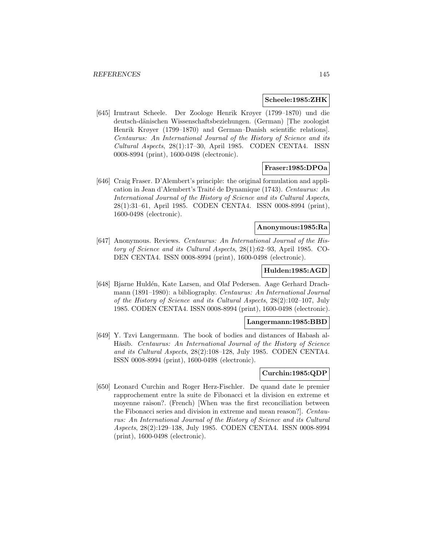#### **Scheele:1985:ZHK**

[645] Irmtraut Scheele. Der Zoologe Henrik Krøyer (1799–1870) und die deutsch-d¨anischen Wissenschaftsbeziehungen. (German) [The zoologist Henrik Krøyer (1799–1870) and German–Danish scientific relations]. Centaurus: An International Journal of the History of Science and its Cultural Aspects, 28(1):17–30, April 1985. CODEN CENTA4. ISSN 0008-8994 (print), 1600-0498 (electronic).

## **Fraser:1985:DPOa**

[646] Craig Fraser. D'Alembert's principle: the original formulation and application in Jean d'Alembert's Traité de Dynamique (1743). Centaurus: An International Journal of the History of Science and its Cultural Aspects, 28(1):31–61, April 1985. CODEN CENTA4. ISSN 0008-8994 (print), 1600-0498 (electronic).

# **Anonymous:1985:Ra**

[647] Anonymous. Reviews. Centaurus: An International Journal of the History of Science and its Cultural Aspects, 28(1):62–93, April 1985. CO-DEN CENTA4. ISSN 0008-8994 (print), 1600-0498 (electronic).

### **Hulden:1985:AGD**

[648] Bjarne Huldén, Kate Larsen, and Olaf Pedersen. Aage Gerhard Drachmann (1891–1980): a bibliography. Centaurus: An International Journal of the History of Science and its Cultural Aspects, 28(2):102–107, July 1985. CODEN CENTA4. ISSN 0008-8994 (print), 1600-0498 (electronic).

### **Langermann:1985:BBD**

[649] Y. Tzvi Langermann. The book of bodies and distances of Habash al-Hāsīb. Centaurus: An International Journal of the History of Science and its Cultural Aspects, 28(2):108–128, July 1985. CODEN CENTA4. ISSN 0008-8994 (print), 1600-0498 (electronic).

## **Curchin:1985:QDP**

[650] Leonard Curchin and Roger Herz-Fischler. De quand date le premier rapprochement entre la suite de Fibonacci et la division en extreme et moyenne raison?. (French) [When was the first reconciliation between the Fibonacci series and division in extreme and mean reason?]. Centaurus: An International Journal of the History of Science and its Cultural Aspects, 28(2):129–138, July 1985. CODEN CENTA4. ISSN 0008-8994 (print), 1600-0498 (electronic).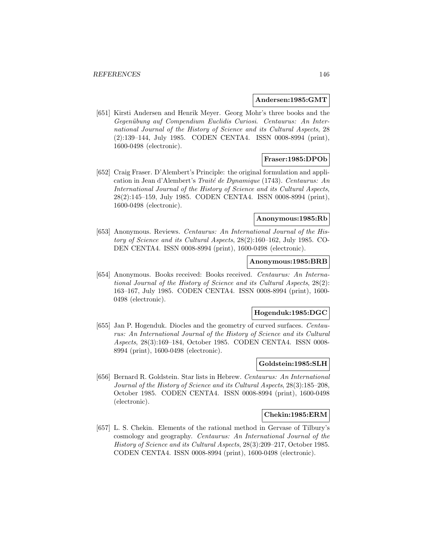### **Andersen:1985:GMT**

[651] Kirsti Andersen and Henrik Meyer. Georg Mohr's three books and the Gegenübung auf Compendium Euclidis Curiosi. Centaurus: An International Journal of the History of Science and its Cultural Aspects, 28 (2):139–144, July 1985. CODEN CENTA4. ISSN 0008-8994 (print), 1600-0498 (electronic).

## **Fraser:1985:DPOb**

[652] Craig Fraser. D'Alembert's Principle: the original formulation and application in Jean d'Alembert's Traité de Dynamique (1743). Centaurus: An International Journal of the History of Science and its Cultural Aspects, 28(2):145–159, July 1985. CODEN CENTA4. ISSN 0008-8994 (print), 1600-0498 (electronic).

## **Anonymous:1985:Rb**

[653] Anonymous. Reviews. Centaurus: An International Journal of the History of Science and its Cultural Aspects, 28(2):160–162, July 1985. CO-DEN CENTA4. ISSN 0008-8994 (print), 1600-0498 (electronic).

#### **Anonymous:1985:BRB**

[654] Anonymous. Books received: Books received. Centaurus: An International Journal of the History of Science and its Cultural Aspects, 28(2): 163–167, July 1985. CODEN CENTA4. ISSN 0008-8994 (print), 1600- 0498 (electronic).

### **Hogenduk:1985:DGC**

[655] Jan P. Hogenduk. Diocles and the geometry of curved surfaces. Centaurus: An International Journal of the History of Science and its Cultural Aspects, 28(3):169–184, October 1985. CODEN CENTA4. ISSN 0008- 8994 (print), 1600-0498 (electronic).

## **Goldstein:1985:SLH**

[656] Bernard R. Goldstein. Star lists in Hebrew. Centaurus: An International Journal of the History of Science and its Cultural Aspects, 28(3):185–208, October 1985. CODEN CENTA4. ISSN 0008-8994 (print), 1600-0498 (electronic).

### **Chekin:1985:ERM**

[657] L. S. Chekin. Elements of the rational method in Gervase of Tilbury's cosmology and geography. Centaurus: An International Journal of the History of Science and its Cultural Aspects, 28(3):209–217, October 1985. CODEN CENTA4. ISSN 0008-8994 (print), 1600-0498 (electronic).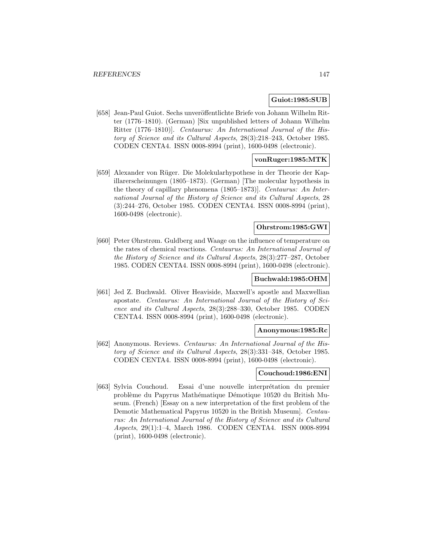# **Guiot:1985:SUB**

[658] Jean-Paul Guiot. Sechs unveröffentlichte Briefe von Johann Wilhelm Ritter (1776–1810). (German) [Six unpublished letters of Johann Wilhelm Ritter (1776–1810)]. Centaurus: An International Journal of the History of Science and its Cultural Aspects, 28(3):218–243, October 1985. CODEN CENTA4. ISSN 0008-8994 (print), 1600-0498 (electronic).

# **vonRuger:1985:MTK**

[659] Alexander von Rüger. Die Molekularhypothese in der Theorie der Kapillarerscheinungen (1805–1873). (German) [The molecular hypothesis in the theory of capillary phenomena (1805–1873)]. Centaurus: An International Journal of the History of Science and its Cultural Aspects, 28 (3):244–276, October 1985. CODEN CENTA4. ISSN 0008-8994 (print), 1600-0498 (electronic).

# **Ohrstrom:1985:GWI**

[660] Peter Øhrstrøm. Guldberg and Waage on the influence of temperature on the rates of chemical reactions. Centaurus: An International Journal of the History of Science and its Cultural Aspects, 28(3):277–287, October 1985. CODEN CENTA4. ISSN 0008-8994 (print), 1600-0498 (electronic).

## **Buchwald:1985:OHM**

[661] Jed Z. Buchwald. Oliver Heaviside, Maxwell's apostle and Maxwellian apostate. Centaurus: An International Journal of the History of Science and its Cultural Aspects, 28(3):288–330, October 1985. CODEN CENTA4. ISSN 0008-8994 (print), 1600-0498 (electronic).

# **Anonymous:1985:Rc**

[662] Anonymous. Reviews. Centaurus: An International Journal of the History of Science and its Cultural Aspects, 28(3):331–348, October 1985. CODEN CENTA4. ISSN 0008-8994 (print), 1600-0498 (electronic).

## **Couchoud:1986:ENI**

[663] Sylvia Couchoud. Essai d'une nouvelle interprétation du premier problème du Papyrus Mathématique Démotique 10520 du British Museum. (French) [Essay on a new interpretation of the first problem of the Demotic Mathematical Papyrus 10520 in the British Museum]. Centaurus: An International Journal of the History of Science and its Cultural Aspects, 29(1):1–4, March 1986. CODEN CENTA4. ISSN 0008-8994 (print), 1600-0498 (electronic).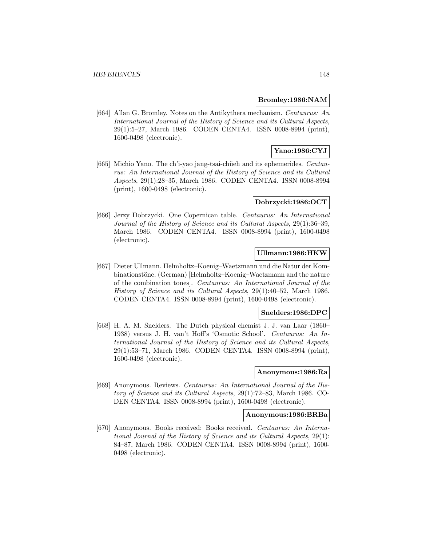### **Bromley:1986:NAM**

[664] Allan G. Bromley. Notes on the Antikythera mechanism. Centaurus: An International Journal of the History of Science and its Cultural Aspects, 29(1):5–27, March 1986. CODEN CENTA4. ISSN 0008-8994 (print), 1600-0498 (electronic).

# **Yano:1986:CYJ**

[665] Michio Yano. The ch'i-yao jang-tsai-chüeh and its ephemerides. Centaurus: An International Journal of the History of Science and its Cultural Aspects, 29(1):28–35, March 1986. CODEN CENTA4. ISSN 0008-8994 (print), 1600-0498 (electronic).

### **Dobrzycki:1986:OCT**

[666] Jerzy Dobrzycki. One Copernican table. Centaurus: An International Journal of the History of Science and its Cultural Aspects, 29(1):36–39, March 1986. CODEN CENTA4. ISSN 0008-8994 (print), 1600-0498 (electronic).

## **Ullmann:1986:HKW**

[667] Dieter Ullmann. Helmholtz–Koenig–Waetzmann und die Natur der Kombinationstöne. (German) [Helmholtz–Koenig–Waetzmann and the nature of the combination tones]. Centaurus: An International Journal of the History of Science and its Cultural Aspects, 29(1):40–52, March 1986. CODEN CENTA4. ISSN 0008-8994 (print), 1600-0498 (electronic).

### **Snelders:1986:DPC**

[668] H. A. M. Snelders. The Dutch physical chemist J. J. van Laar (1860– 1938) versus J. H. van't Hoff's 'Osmotic School'. Centaurus: An International Journal of the History of Science and its Cultural Aspects, 29(1):53–71, March 1986. CODEN CENTA4. ISSN 0008-8994 (print), 1600-0498 (electronic).

## **Anonymous:1986:Ra**

[669] Anonymous. Reviews. Centaurus: An International Journal of the History of Science and its Cultural Aspects, 29(1):72–83, March 1986. CO-DEN CENTA4. ISSN 0008-8994 (print), 1600-0498 (electronic).

### **Anonymous:1986:BRBa**

[670] Anonymous. Books received: Books received. Centaurus: An International Journal of the History of Science and its Cultural Aspects, 29(1): 84–87, March 1986. CODEN CENTA4. ISSN 0008-8994 (print), 1600- 0498 (electronic).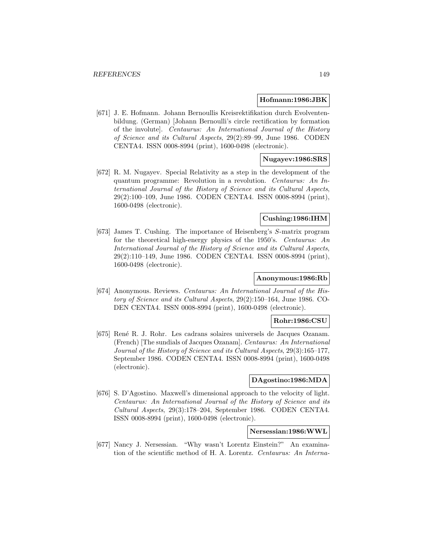#### **Hofmann:1986:JBK**

[671] J. E. Hofmann. Johann Bernoullis Kreisrektifikation durch Evolventenbildung. (German) [Johann Bernoulli's circle rectification by formation of the involute]. Centaurus: An International Journal of the History of Science and its Cultural Aspects, 29(2):89–99, June 1986. CODEN CENTA4. ISSN 0008-8994 (print), 1600-0498 (electronic).

# **Nugayev:1986:SRS**

[672] R. M. Nugayev. Special Relativity as a step in the development of the quantum programme: Revolution in a revolution. Centaurus: An International Journal of the History of Science and its Cultural Aspects, 29(2):100–109, June 1986. CODEN CENTA4. ISSN 0008-8994 (print), 1600-0498 (electronic).

# **Cushing:1986:IHM**

[673] James T. Cushing. The importance of Heisenberg's S-matrix program for the theoretical high-energy physics of the 1950's. Centaurus: An International Journal of the History of Science and its Cultural Aspects, 29(2):110–149, June 1986. CODEN CENTA4. ISSN 0008-8994 (print), 1600-0498 (electronic).

## **Anonymous:1986:Rb**

[674] Anonymous. Reviews. Centaurus: An International Journal of the History of Science and its Cultural Aspects, 29(2):150–164, June 1986. CO-DEN CENTA4. ISSN 0008-8994 (print), 1600-0498 (electronic).

## **Rohr:1986:CSU**

[675] René R. J. Rohr. Les cadrans solaires universels de Jacques Ozanam. (French) [The sundials of Jacques Ozanam]. Centaurus: An International Journal of the History of Science and its Cultural Aspects, 29(3):165–177, September 1986. CODEN CENTA4. ISSN 0008-8994 (print), 1600-0498 (electronic).

# **DAgostino:1986:MDA**

[676] S. D'Agostino. Maxwell's dimensional approach to the velocity of light. Centaurus: An International Journal of the History of Science and its Cultural Aspects, 29(3):178–204, September 1986. CODEN CENTA4. ISSN 0008-8994 (print), 1600-0498 (electronic).

# **Nersessian:1986:WWL**

[677] Nancy J. Nersessian. "Why wasn't Lorentz Einstein?" An examination of the scientific method of H. A. Lorentz. Centaurus: An Interna-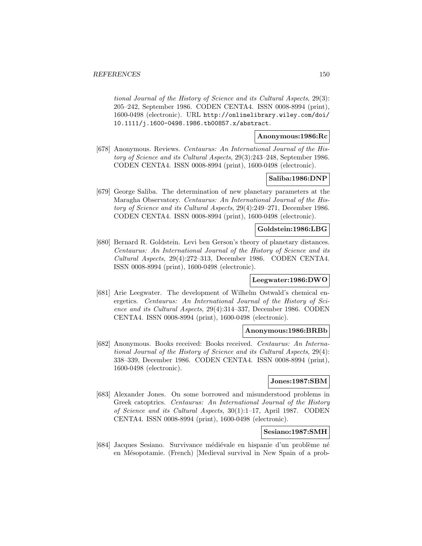tional Journal of the History of Science and its Cultural Aspects, 29(3): 205–242, September 1986. CODEN CENTA4. ISSN 0008-8994 (print), 1600-0498 (electronic). URL http://onlinelibrary.wiley.com/doi/ 10.1111/j.1600-0498.1986.tb00857.x/abstract.

# **Anonymous:1986:Rc**

[678] Anonymous. Reviews. Centaurus: An International Journal of the History of Science and its Cultural Aspects, 29(3):243–248, September 1986. CODEN CENTA4. ISSN 0008-8994 (print), 1600-0498 (electronic).

## **Saliba:1986:DNP**

[679] George Saliba. The determination of new planetary parameters at the Maragha Observatory. Centaurus: An International Journal of the History of Science and its Cultural Aspects, 29(4):249–271, December 1986. CODEN CENTA4. ISSN 0008-8994 (print), 1600-0498 (electronic).

## **Goldstein:1986:LBG**

[680] Bernard R. Goldstein. Levi ben Gerson's theory of planetary distances. Centaurus: An International Journal of the History of Science and its Cultural Aspects, 29(4):272–313, December 1986. CODEN CENTA4. ISSN 0008-8994 (print), 1600-0498 (electronic).

## **Leegwater:1986:DWO**

[681] Arie Leegwater. The development of Wilhelm Ostwald's chemical energetics. Centaurus: An International Journal of the History of Science and its Cultural Aspects, 29(4):314–337, December 1986. CODEN CENTA4. ISSN 0008-8994 (print), 1600-0498 (electronic).

### **Anonymous:1986:BRBb**

[682] Anonymous. Books received: Books received. Centaurus: An International Journal of the History of Science and its Cultural Aspects, 29(4): 338–339, December 1986. CODEN CENTA4. ISSN 0008-8994 (print), 1600-0498 (electronic).

## **Jones:1987:SBM**

[683] Alexander Jones. On some borrowed and misunderstood problems in Greek catoptrics. Centaurus: An International Journal of the History of Science and its Cultural Aspects, 30(1):1–17, April 1987. CODEN CENTA4. ISSN 0008-8994 (print), 1600-0498 (electronic).

## **Sesiano:1987:SMH**

[684] Jacques Sesiano. Survivance médiévale en hispanie d'un problème né en Mésopotamie. (French) [Medieval survival in New Spain of a prob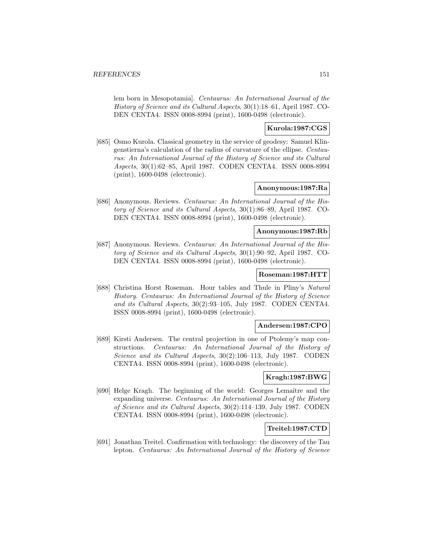lem born in Mesopotamia]. Centaurus: An International Journal of the History of Science and its Cultural Aspects, 30(1):18–61, April 1987. CO-DEN CENTA4. ISSN 0008-8994 (print), 1600-0498 (electronic).

# **Kurola:1987:CGS**

[685] Osmo Kurola. Classical geometry in the service of geodesy: Samuel Klingenstierna's calculation of the radius of curvature of the ellipse. Centaurus: An International Journal of the History of Science and its Cultural Aspects, 30(1):62–85, April 1987. CODEN CENTA4. ISSN 0008-8994 (print), 1600-0498 (electronic).

## **Anonymous:1987:Ra**

[686] Anonymous. Reviews. Centaurus: An International Journal of the History of Science and its Cultural Aspects, 30(1):86–89, April 1987. CO-DEN CENTA4. ISSN 0008-8994 (print), 1600-0498 (electronic).

## **Anonymous:1987:Rb**

[687] Anonymous. Reviews. Centaurus: An International Journal of the History of Science and its Cultural Aspects, 30(1):90–92, April 1987. CO-DEN CENTA4. ISSN 0008-8994 (print), 1600-0498 (electronic).

# **Roseman:1987:HTT**

[688] Christina Horst Roseman. Hour tables and Thule in Pliny's Natural History. Centaurus: An International Journal of the History of Science and its Cultural Aspects, 30(2):93–105, July 1987. CODEN CENTA4. ISSN 0008-8994 (print), 1600-0498 (electronic).

### **Andersen:1987:CPO**

[689] Kirsti Andersen. The central projection in one of Ptolemy's map constructions. Centaurus: An International Journal of the History of Science and its Cultural Aspects, 30(2):106–113, July 1987. CODEN CENTA4. ISSN 0008-8994 (print), 1600-0498 (electronic).

## **Kragh:1987:BWG**

[690] Helge Kragh. The beginning of the world: Georges Lemaître and the expanding universe. Centaurus: An International Journal of the History of Science and its Cultural Aspects, 30(2):114–139, July 1987. CODEN CENTA4. ISSN 0008-8994 (print), 1600-0498 (electronic).

## **Treitel:1987:CTD**

[691] Jonathan Treitel. Confirmation with technology: the discovery of the Tau lepton. Centaurus: An International Journal of the History of Science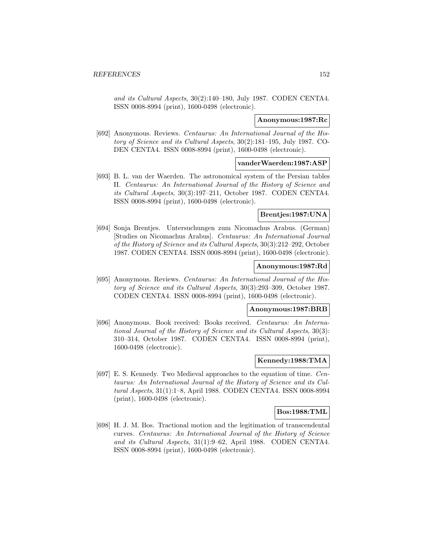and its Cultural Aspects, 30(2):140–180, July 1987. CODEN CENTA4. ISSN 0008-8994 (print), 1600-0498 (electronic).

### **Anonymous:1987:Rc**

[692] Anonymous. Reviews. Centaurus: An International Journal of the History of Science and its Cultural Aspects, 30(2):181–195, July 1987. CO-DEN CENTA4. ISSN 0008-8994 (print), 1600-0498 (electronic).

## **vanderWaerden:1987:ASP**

[693] B. L. van der Waerden. The astronomical system of the Persian tables II. Centaurus: An International Journal of the History of Science and its Cultural Aspects, 30(3):197–211, October 1987. CODEN CENTA4. ISSN 0008-8994 (print), 1600-0498 (electronic).

# **Brentjes:1987:UNA**

[694] Sonja Brentjes. Untersuchungen zum Nicomachus Arabus. (German) [Studies on Nicomachus Arabus]. Centaurus: An International Journal of the History of Science and its Cultural Aspects, 30(3):212–292, October 1987. CODEN CENTA4. ISSN 0008-8994 (print), 1600-0498 (electronic).

# **Anonymous:1987:Rd**

[695] Anonymous. Reviews. Centaurus: An International Journal of the History of Science and its Cultural Aspects, 30(3):293–309, October 1987. CODEN CENTA4. ISSN 0008-8994 (print), 1600-0498 (electronic).

### **Anonymous:1987:BRB**

[696] Anonymous. Book received: Books received. Centaurus: An International Journal of the History of Science and its Cultural Aspects, 30(3): 310–314, October 1987. CODEN CENTA4. ISSN 0008-8994 (print), 1600-0498 (electronic).

### **Kennedy:1988:TMA**

[697] E. S. Kennedy. Two Medieval approaches to the equation of time. Centaurus: An International Journal of the History of Science and its Cultural Aspects, 31(1):1–8, April 1988. CODEN CENTA4. ISSN 0008-8994 (print), 1600-0498 (electronic).

## **Bos:1988:TML**

[698] H. J. M. Bos. Tractional motion and the legitimation of transcendental curves. Centaurus: An International Journal of the History of Science and its Cultural Aspects, 31(1):9–62, April 1988. CODEN CENTA4. ISSN 0008-8994 (print), 1600-0498 (electronic).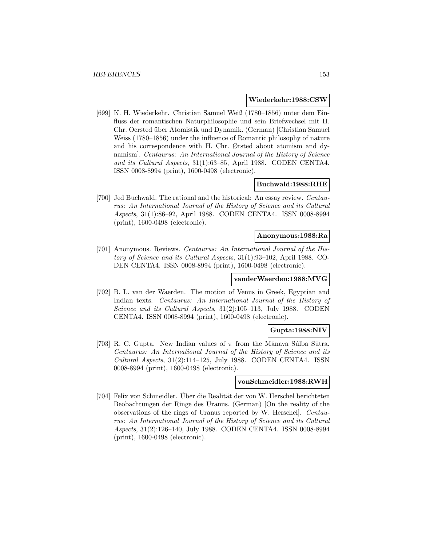### **Wiederkehr:1988:CSW**

[699] K. H. Wiederkehr. Christian Samuel Weiß (1780–1856) unter dem Einfluss der romantischen Naturphilosophie und sein Briefwechsel mit H. Chr. Oersted über Atomistik und Dynamik. (German) [Christian Samuel Weiss (1780–1856) under the influence of Romantic philosophy of nature and his correspondence with H. Chr. Ørsted about atomism and dynamism]. Centaurus: An International Journal of the History of Science and its Cultural Aspects, 31(1):63–85, April 1988. CODEN CENTA4. ISSN 0008-8994 (print), 1600-0498 (electronic).

# **Buchwald:1988:RHE**

[700] Jed Buchwald. The rational and the historical: An essay review. Centaurus: An International Journal of the History of Science and its Cultural Aspects, 31(1):86–92, April 1988. CODEN CENTA4. ISSN 0008-8994 (print), 1600-0498 (electronic).

#### **Anonymous:1988:Ra**

[701] Anonymous. Reviews. Centaurus: An International Journal of the History of Science and its Cultural Aspects, 31(1):93–102, April 1988. CO-DEN CENTA4. ISSN 0008-8994 (print), 1600-0498 (electronic).

## **vanderWaerden:1988:MVG**

[702] B. L. van der Waerden. The motion of Venus in Greek, Egyptian and Indian texts. Centaurus: An International Journal of the History of Science and its Cultural Aspects, 31(2):105–113, July 1988. CODEN CENTA4. ISSN 0008-8994 (print), 1600-0498 (electronic).

## **Gupta:1988:NIV**

[703] R. C. Gupta. New Indian values of  $\pi$  from the Mānava Súlba Sūtra. Centaurus: An International Journal of the History of Science and its Cultural Aspects, 31(2):114–125, July 1988. CODEN CENTA4. ISSN 0008-8994 (print), 1600-0498 (electronic).

### **vonSchmeidler:1988:RWH**

[704] Felix von Schmeidler. Über die Realität der von W. Herschel berichteten Beobachtungen der Ringe des Uranus. (German) [On the reality of the observations of the rings of Uranus reported by W. Herschel]. Centaurus: An International Journal of the History of Science and its Cultural Aspects, 31(2):126–140, July 1988. CODEN CENTA4. ISSN 0008-8994 (print), 1600-0498 (electronic).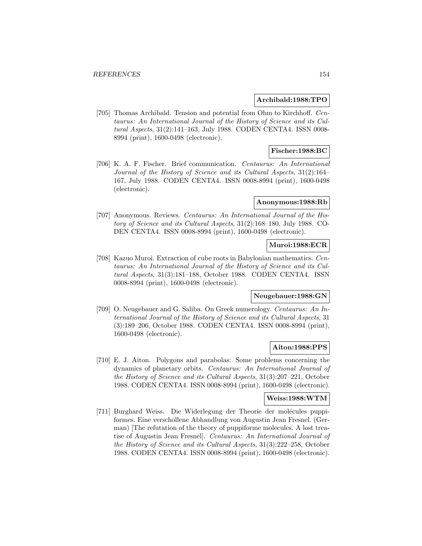## **Archibald:1988:TPO**

[705] Thomas Archibald. Tension and potential from Ohm to Kirchhoff. Centaurus: An International Journal of the History of Science and its Cultural Aspects, 31(2):141–163, July 1988. CODEN CENTA4. ISSN 0008- 8994 (print), 1600-0498 (electronic).

# **Fischer:1988:BC**

[706] K. A. F. Fischer. Brief communication. Centaurus: An International Journal of the History of Science and its Cultural Aspects, 31(2):164– 167, July 1988. CODEN CENTA4. ISSN 0008-8994 (print), 1600-0498 (electronic).

## **Anonymous:1988:Rb**

[707] Anonymous. Reviews. Centaurus: An International Journal of the History of Science and its Cultural Aspects, 31(2):168–180, July 1988. CO-DEN CENTA4. ISSN 0008-8994 (print), 1600-0498 (electronic).

## **Muroi:1988:ECR**

[708] Kazuo Muroi. Extraction of cube roots in Babylonian mathematics. Centaurus: An International Journal of the History of Science and its Cultural Aspects, 31(3):181–188, October 1988. CODEN CENTA4. ISSN 0008-8994 (print), 1600-0498 (electronic).

# **Neugebauer:1988:GN**

[709] O. Neugebauer and G. Saliba. On Greek numerology. Centaurus: An International Journal of the History of Science and its Cultural Aspects, 31 (3):189–206, October 1988. CODEN CENTA4. ISSN 0008-8994 (print), 1600-0498 (electronic).

## **Aiton:1988:PPS**

[710] E. J. Aiton. Polygons and parabolas: Some problems concerning the dynamics of planetary orbits. Centaurus: An International Journal of the History of Science and its Cultural Aspects, 31(3):207–221, October 1988. CODEN CENTA4. ISSN 0008-8994 (print), 1600-0498 (electronic).

## **Weiss:1988:WTM**

[711] Burghard Weiss. Die Widerlegung der Theorie der molécules puppiformes. Eine verschollene Abhandlung von Augustin Jean Fresnel. (German) [The refutation of the theory of puppiforme molecules. A lost treatise of Augustin Jean Fresnel]. Centaurus: An International Journal of the History of Science and its Cultural Aspects, 31(3):222–258, October 1988. CODEN CENTA4. ISSN 0008-8994 (print), 1600-0498 (electronic).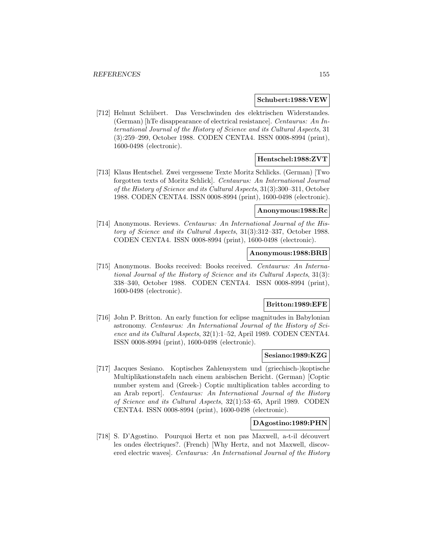### **Schubert:1988:VEW**

[712] Helmut Schübert. Das Verschwinden des elektrischen Widerstandes. (German) [hTe disappearance of electrical resistance]. Centaurus: An International Journal of the History of Science and its Cultural Aspects, 31 (3):259–299, October 1988. CODEN CENTA4. ISSN 0008-8994 (print), 1600-0498 (electronic).

# **Hentschel:1988:ZVT**

[713] Klaus Hentschel. Zwei vergessene Texte Moritz Schlicks. (German) [Two forgotten texts of Moritz Schlick]. Centaurus: An International Journal of the History of Science and its Cultural Aspects, 31(3):300–311, October 1988. CODEN CENTA4. ISSN 0008-8994 (print), 1600-0498 (electronic).

### **Anonymous:1988:Rc**

[714] Anonymous. Reviews. Centaurus: An International Journal of the History of Science and its Cultural Aspects, 31(3):312–337, October 1988. CODEN CENTA4. ISSN 0008-8994 (print), 1600-0498 (electronic).

# **Anonymous:1988:BRB**

[715] Anonymous. Books received: Books received. Centaurus: An International Journal of the History of Science and its Cultural Aspects, 31(3): 338–340, October 1988. CODEN CENTA4. ISSN 0008-8994 (print), 1600-0498 (electronic).

## **Britton:1989:EFE**

[716] John P. Britton. An early function for eclipse magnitudes in Babylonian astronomy. Centaurus: An International Journal of the History of Science and its Cultural Aspects, 32(1):1–52, April 1989. CODEN CENTA4. ISSN 0008-8994 (print), 1600-0498 (electronic).

## **Sesiano:1989:KZG**

[717] Jacques Sesiano. Koptisches Zahlensystem und (griechisch-)koptische Multiplikationstafeln nach einem arabischen Bericht. (German) [Coptic number system and (Greek-) Coptic multiplication tables according to an Arab report]. Centaurus: An International Journal of the History of Science and its Cultural Aspects, 32(1):53–65, April 1989. CODEN CENTA4. ISSN 0008-8994 (print), 1600-0498 (electronic).

### **DAgostino:1989:PHN**

[718] S. D'Agostino. Pourquoi Hertz et non pas Maxwell, a-t-il découvert les ondes électriques?. (French) [Why Hertz, and not Maxwell, discovered electric waves]. Centaurus: An International Journal of the History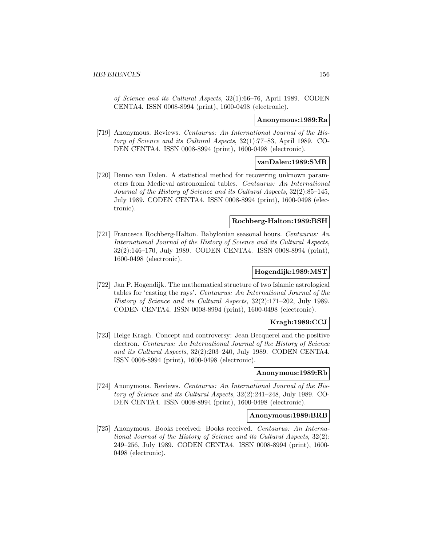of Science and its Cultural Aspects, 32(1):66–76, April 1989. CODEN CENTA4. ISSN 0008-8994 (print), 1600-0498 (electronic).

### **Anonymous:1989:Ra**

[719] Anonymous. Reviews. Centaurus: An International Journal of the History of Science and its Cultural Aspects, 32(1):77–83, April 1989. CO-DEN CENTA4. ISSN 0008-8994 (print), 1600-0498 (electronic).

## **vanDalen:1989:SMR**

[720] Benno van Dalen. A statistical method for recovering unknown parameters from Medieval astronomical tables. Centaurus: An International Journal of the History of Science and its Cultural Aspects, 32(2):85–145, July 1989. CODEN CENTA4. ISSN 0008-8994 (print), 1600-0498 (electronic).

# **Rochberg-Halton:1989:BSH**

[721] Francesca Rochberg-Halton. Babylonian seasonal hours. Centaurus: An International Journal of the History of Science and its Cultural Aspects, 32(2):146–170, July 1989. CODEN CENTA4. ISSN 0008-8994 (print), 1600-0498 (electronic).

# **Hogendijk:1989:MST**

[722] Jan P. Hogendijk. The mathematical structure of two Islamic astrological tables for 'casting the rays'. Centaurus: An International Journal of the History of Science and its Cultural Aspects, 32(2):171–202, July 1989. CODEN CENTA4. ISSN 0008-8994 (print), 1600-0498 (electronic).

# **Kragh:1989:CCJ**

[723] Helge Kragh. Concept and controversy: Jean Becquerel and the positive electron. Centaurus: An International Journal of the History of Science and its Cultural Aspects, 32(2):203–240, July 1989. CODEN CENTA4. ISSN 0008-8994 (print), 1600-0498 (electronic).

## **Anonymous:1989:Rb**

[724] Anonymous. Reviews. Centaurus: An International Journal of the History of Science and its Cultural Aspects, 32(2):241–248, July 1989. CO-DEN CENTA4. ISSN 0008-8994 (print), 1600-0498 (electronic).

### **Anonymous:1989:BRB**

[725] Anonymous. Books received: Books received. Centaurus: An International Journal of the History of Science and its Cultural Aspects, 32(2): 249–256, July 1989. CODEN CENTA4. ISSN 0008-8994 (print), 1600- 0498 (electronic).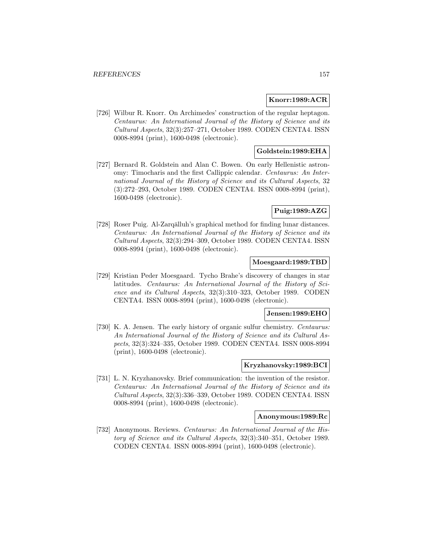## **Knorr:1989:ACR**

[726] Wilbur R. Knorr. On Archimedes' construction of the regular heptagon. Centaurus: An International Journal of the History of Science and its Cultural Aspects, 32(3):257–271, October 1989. CODEN CENTA4. ISSN 0008-8994 (print), 1600-0498 (electronic).

## **Goldstein:1989:EHA**

[727] Bernard R. Goldstein and Alan C. Bowen. On early Hellenistic astronomy: Timocharis and the first Callippic calendar. Centaurus: An International Journal of the History of Science and its Cultural Aspects, 32 (3):272–293, October 1989. CODEN CENTA4. ISSN 0008-8994 (print), 1600-0498 (electronic).

# **Puig:1989:AZG**

[728] Roser Puig. Al-Zarqālluh's graphical method for finding lunar distances. Centaurus: An International Journal of the History of Science and its Cultural Aspects, 32(3):294–309, October 1989. CODEN CENTA4. ISSN 0008-8994 (print), 1600-0498 (electronic).

## **Moesgaard:1989:TBD**

[729] Kristian Peder Moesgaard. Tycho Brahe's discovery of changes in star latitudes. Centaurus: An International Journal of the History of Science and its Cultural Aspects, 32(3):310–323, October 1989. CODEN CENTA4. ISSN 0008-8994 (print), 1600-0498 (electronic).

## **Jensen:1989:EHO**

[730] K. A. Jensen. The early history of organic sulfur chemistry. Centaurus: An International Journal of the History of Science and its Cultural Aspects, 32(3):324–335, October 1989. CODEN CENTA4. ISSN 0008-8994 (print), 1600-0498 (electronic).

# **Kryzhanovsky:1989:BCI**

[731] L. N. Kryzhanovsky. Brief communication: the invention of the resistor. Centaurus: An International Journal of the History of Science and its Cultural Aspects, 32(3):336–339, October 1989. CODEN CENTA4. ISSN 0008-8994 (print), 1600-0498 (electronic).

### **Anonymous:1989:Rc**

[732] Anonymous. Reviews. Centaurus: An International Journal of the History of Science and its Cultural Aspects, 32(3):340–351, October 1989. CODEN CENTA4. ISSN 0008-8994 (print), 1600-0498 (electronic).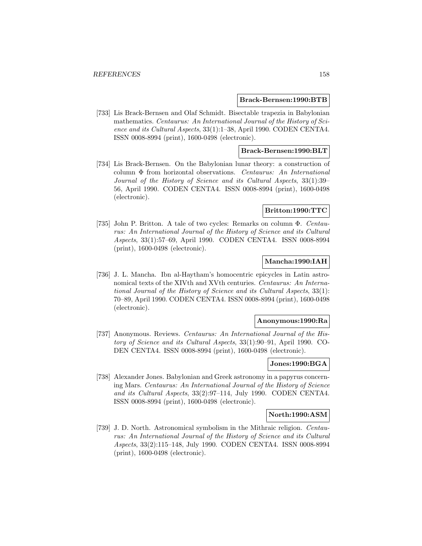### **Brack-Bernsen:1990:BTB**

[733] Lis Brack-Bernsen and Olaf Schmidt. Bisectable trapezia in Babylonian mathematics. Centaurus: An International Journal of the History of Science and its Cultural Aspects, 33(1):1–38, April 1990. CODEN CENTA4. ISSN 0008-8994 (print), 1600-0498 (electronic).

## **Brack-Bernsen:1990:BLT**

[734] Lis Brack-Bernsen. On the Babylonian lunar theory: a construction of column Φ from horizontal observations. Centaurus: An International Journal of the History of Science and its Cultural Aspects, 33(1):39– 56, April 1990. CODEN CENTA4. ISSN 0008-8994 (print), 1600-0498 (electronic).

## **Britton:1990:TTC**

[735] John P. Britton. A tale of two cycles: Remarks on column Φ. Centaurus: An International Journal of the History of Science and its Cultural Aspects, 33(1):57–69, April 1990. CODEN CENTA4. ISSN 0008-8994 (print), 1600-0498 (electronic).

## **Mancha:1990:IAH**

[736] J. L. Mancha. Ibn al-Haytham's homocentric epicycles in Latin astronomical texts of the XIVth and XVth centuries. Centaurus: An International Journal of the History of Science and its Cultural Aspects, 33(1): 70–89, April 1990. CODEN CENTA4. ISSN 0008-8994 (print), 1600-0498 (electronic).

## **Anonymous:1990:Ra**

[737] Anonymous. Reviews. Centaurus: An International Journal of the History of Science and its Cultural Aspects, 33(1):90–91, April 1990. CO-DEN CENTA4. ISSN 0008-8994 (print), 1600-0498 (electronic).

# **Jones:1990:BGA**

[738] Alexander Jones. Babylonian and Greek astronomy in a papyrus concerning Mars. Centaurus: An International Journal of the History of Science and its Cultural Aspects, 33(2):97–114, July 1990. CODEN CENTA4. ISSN 0008-8994 (print), 1600-0498 (electronic).

## **North:1990:ASM**

[739] J. D. North. Astronomical symbolism in the Mithraic religion. Centaurus: An International Journal of the History of Science and its Cultural Aspects, 33(2):115–148, July 1990. CODEN CENTA4. ISSN 0008-8994 (print), 1600-0498 (electronic).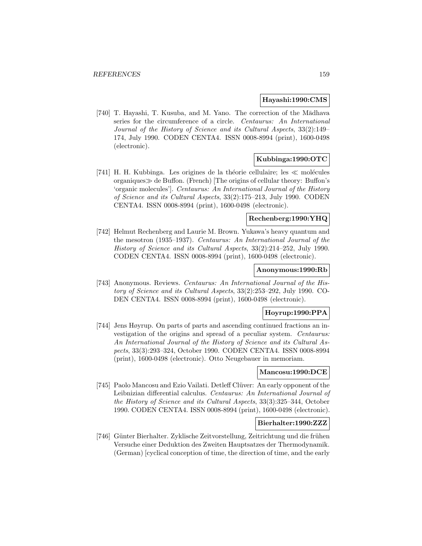## **Hayashi:1990:CMS**

[740] T. Hayashi, T. Kusuba, and M. Yano. The correction of the Mādhava series for the circumference of a circle. Centaurus: An International Journal of the History of Science and its Cultural Aspects, 33(2):149– 174, July 1990. CODEN CENTA4. ISSN 0008-8994 (print), 1600-0498 (electronic).

# **Kubbinga:1990:OTC**

[741] H. H. Kubbinga. Les origines de la théorie cellulaire; les  $\ll$  molécules organiques  $\gg$  de Buffon. (French) The origins of cellular theory: Buffon's 'organic molecules']. Centaurus: An International Journal of the History of Science and its Cultural Aspects, 33(2):175–213, July 1990. CODEN CENTA4. ISSN 0008-8994 (print), 1600-0498 (electronic).

# **Rechenberg:1990:YHQ**

[742] Helmut Rechenberg and Laurie M. Brown. Yukawa's heavy quantum and the mesotron (1935–1937). Centaurus: An International Journal of the History of Science and its Cultural Aspects, 33(2):214–252, July 1990. CODEN CENTA4. ISSN 0008-8994 (print), 1600-0498 (electronic).

## **Anonymous:1990:Rb**

[743] Anonymous. Reviews. Centaurus: An International Journal of the History of Science and its Cultural Aspects, 33(2):253–292, July 1990. CO-DEN CENTA4. ISSN 0008-8994 (print), 1600-0498 (electronic).

## **Hoyrup:1990:PPA**

[744] Jens Høyrup. On parts of parts and ascending continued fractions an investigation of the origins and spread of a peculiar system. Centaurus: An International Journal of the History of Science and its Cultural Aspects, 33(3):293–324, October 1990. CODEN CENTA4. ISSN 0008-8994 (print), 1600-0498 (electronic). Otto Neugebauer in memoriam.

## **Mancosu:1990:DCE**

[745] Paolo Mancosu and Ezio Vailati. Detleff Clüver: An early opponent of the Leibnizian differential calculus. Centaurus: An International Journal of the History of Science and its Cultural Aspects, 33(3):325–344, October 1990. CODEN CENTA4. ISSN 0008-8994 (print), 1600-0498 (electronic).

## **Bierhalter:1990:ZZZ**

[746] Günter Bierhalter. Zyklische Zeitvorstellung, Zeitrichtung und die frühen Versuche einer Deduktion des Zweiten Hauptsatzes der Thermodynamik. (German) [cyclical conception of time, the direction of time, and the early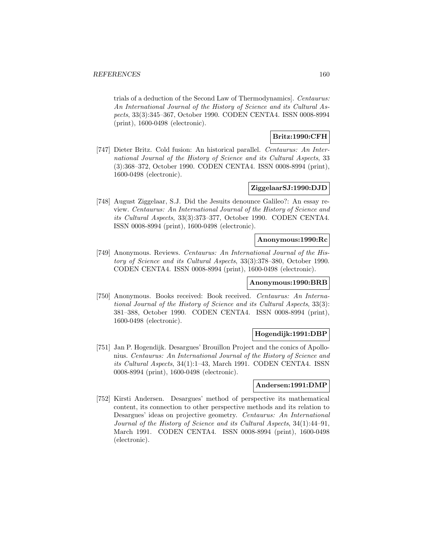trials of a deduction of the Second Law of Thermodynamics]. Centaurus: An International Journal of the History of Science and its Cultural Aspects, 33(3):345–367, October 1990. CODEN CENTA4. ISSN 0008-8994 (print), 1600-0498 (electronic).

# **Britz:1990:CFH**

[747] Dieter Britz. Cold fusion: An historical parallel. Centaurus: An International Journal of the History of Science and its Cultural Aspects, 33 (3):368–372, October 1990. CODEN CENTA4. ISSN 0008-8994 (print), 1600-0498 (electronic).

# **ZiggelaarSJ:1990:DJD**

[748] August Ziggelaar, S.J. Did the Jesuits denounce Galileo?: An essay review. Centaurus: An International Journal of the History of Science and its Cultural Aspects, 33(3):373–377, October 1990. CODEN CENTA4. ISSN 0008-8994 (print), 1600-0498 (electronic).

## **Anonymous:1990:Rc**

[749] Anonymous. Reviews. Centaurus: An International Journal of the History of Science and its Cultural Aspects, 33(3):378–380, October 1990. CODEN CENTA4. ISSN 0008-8994 (print), 1600-0498 (electronic).

### **Anonymous:1990:BRB**

[750] Anonymous. Books received: Book received. Centaurus: An International Journal of the History of Science and its Cultural Aspects, 33(3): 381–388, October 1990. CODEN CENTA4. ISSN 0008-8994 (print), 1600-0498 (electronic).

## **Hogendijk:1991:DBP**

[751] Jan P. Hogendijk. Desargues' Brouillon Project and the conics of Apollonius. Centaurus: An International Journal of the History of Science and its Cultural Aspects, 34(1):1–43, March 1991. CODEN CENTA4. ISSN 0008-8994 (print), 1600-0498 (electronic).

### **Andersen:1991:DMP**

[752] Kirsti Andersen. Desargues' method of perspective its mathematical content, its connection to other perspective methods and its relation to Desargues' ideas on projective geometry. Centaurus: An International Journal of the History of Science and its Cultural Aspects, 34(1):44–91, March 1991. CODEN CENTA4. ISSN 0008-8994 (print), 1600-0498 (electronic).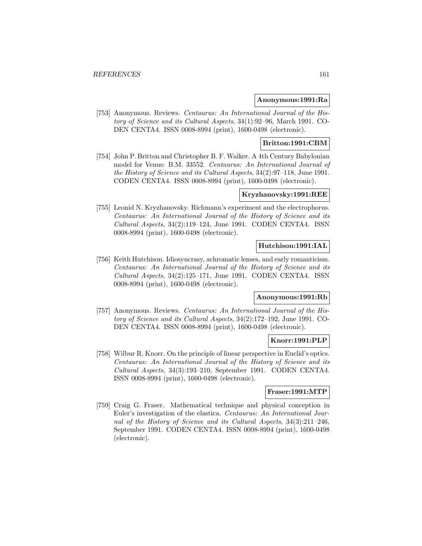### **Anonymous:1991:Ra**

[753] Anonymous. Reviews. Centaurus: An International Journal of the History of Science and its Cultural Aspects, 34(1):92–96, March 1991. CO-DEN CENTA4. ISSN 0008-8994 (print), 1600-0498 (electronic).

# **Britton:1991:CBM**

[754] John P. Britton and Christopher B. F. Walker. A 4th Century Babylonian model for Venus: B.M. 33552. Centaurus: An International Journal of the History of Science and its Cultural Aspects, 34(2):97–118, June 1991. CODEN CENTA4. ISSN 0008-8994 (print), 1600-0498 (electronic).

# **Kryzhanovsky:1991:REE**

[755] Leonid N. Kryzhanovsky. Richmann's experiment and the electrophorus. Centaurus: An International Journal of the History of Science and its Cultural Aspects, 34(2):119–124, June 1991. CODEN CENTA4. ISSN 0008-8994 (print), 1600-0498 (electronic).

# **Hutchison:1991:IAL**

[756] Keith Hutchison. Idiosyncrasy, achromatic lenses, and early romanticism. Centaurus: An International Journal of the History of Science and its Cultural Aspects, 34(2):125–171, June 1991. CODEN CENTA4. ISSN 0008-8994 (print), 1600-0498 (electronic).

# **Anonymous:1991:Rb**

[757] Anonymous. Reviews. Centaurus: An International Journal of the History of Science and its Cultural Aspects, 34(2):172–192, June 1991. CO-DEN CENTA4. ISSN 0008-8994 (print), 1600-0498 (electronic).

# **Knorr:1991:PLP**

[758] Wilbur R. Knorr. On the principle of linear perspective in Euclid's optics. Centaurus: An International Journal of the History of Science and its Cultural Aspects, 34(3):193–210, September 1991. CODEN CENTA4. ISSN 0008-8994 (print), 1600-0498 (electronic).

### **Fraser:1991:MTP**

[759] Craig G. Fraser. Mathematical technique and physical conception in Euler's investigation of the elastica. Centaurus: An International Journal of the History of Science and its Cultural Aspects, 34(3):211–246, September 1991. CODEN CENTA4. ISSN 0008-8994 (print), 1600-0498 (electronic).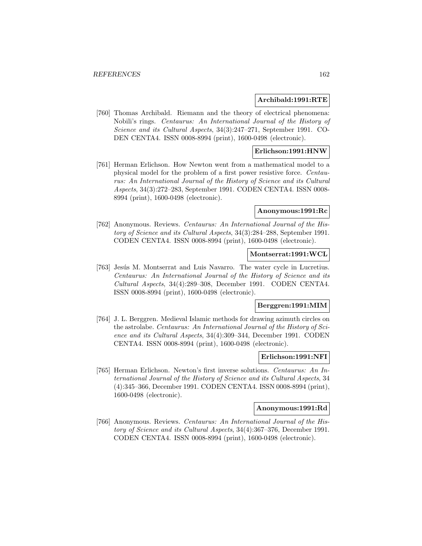## **Archibald:1991:RTE**

[760] Thomas Archibald. Riemann and the theory of electrical phenomena: Nobili's rings. Centaurus: An International Journal of the History of Science and its Cultural Aspects, 34(3):247–271, September 1991. CO-DEN CENTA4. ISSN 0008-8994 (print), 1600-0498 (electronic).

# **Erlichson:1991:HNW**

[761] Herman Erlichson. How Newton went from a mathematical model to a physical model for the problem of a first power resistive force. Centaurus: An International Journal of the History of Science and its Cultural Aspects, 34(3):272–283, September 1991. CODEN CENTA4. ISSN 0008- 8994 (print), 1600-0498 (electronic).

## **Anonymous:1991:Rc**

[762] Anonymous. Reviews. Centaurus: An International Journal of the History of Science and its Cultural Aspects, 34(3):284–288, September 1991. CODEN CENTA4. ISSN 0008-8994 (print), 1600-0498 (electronic).

## **Montserrat:1991:WCL**

[763] Jesús M. Montserrat and Luis Navarro. The water cycle in Lucretius. Centaurus: An International Journal of the History of Science and its Cultural Aspects, 34(4):289–308, December 1991. CODEN CENTA4. ISSN 0008-8994 (print), 1600-0498 (electronic).

### **Berggren:1991:MIM**

[764] J. L. Berggren. Medieval Islamic methods for drawing azimuth circles on the astrolabe. Centaurus: An International Journal of the History of Science and its Cultural Aspects, 34(4):309–344, December 1991. CODEN CENTA4. ISSN 0008-8994 (print), 1600-0498 (electronic).

# **Erlichson:1991:NFI**

[765] Herman Erlichson. Newton's first inverse solutions. Centaurus: An International Journal of the History of Science and its Cultural Aspects, 34 (4):345–366, December 1991. CODEN CENTA4. ISSN 0008-8994 (print), 1600-0498 (electronic).

# **Anonymous:1991:Rd**

[766] Anonymous. Reviews. Centaurus: An International Journal of the History of Science and its Cultural Aspects, 34(4):367–376, December 1991. CODEN CENTA4. ISSN 0008-8994 (print), 1600-0498 (electronic).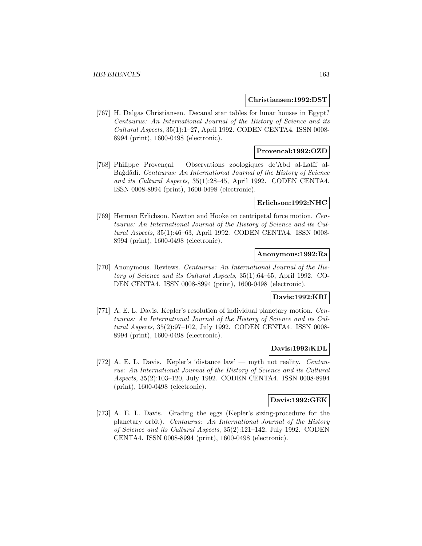### **Christiansen:1992:DST**

[767] H. Dalgas Christiansen. Decanal star tables for lunar houses in Egypt? Centaurus: An International Journal of the History of Science and its Cultural Aspects, 35(1):1–27, April 1992. CODEN CENTA4. ISSN 0008- 8994 (print), 1600-0498 (electronic).

# **Provencal:1992:OZD**

[768] Philippe Provençal. Observations zoologiques de'Abd al-Latîf al-Bagdâdî. Centaurus: An International Journal of the History of Science and its Cultural Aspects, 35(1):28–45, April 1992. CODEN CENTA4. ISSN 0008-8994 (print), 1600-0498 (electronic).

## **Erlichson:1992:NHC**

[769] Herman Erlichson. Newton and Hooke on centripetal force motion. Centaurus: An International Journal of the History of Science and its Cultural Aspects, 35(1):46–63, April 1992. CODEN CENTA4. ISSN 0008- 8994 (print), 1600-0498 (electronic).

## **Anonymous:1992:Ra**

[770] Anonymous. Reviews. Centaurus: An International Journal of the History of Science and its Cultural Aspects, 35(1):64–65, April 1992. CO-DEN CENTA4. ISSN 0008-8994 (print), 1600-0498 (electronic).

# **Davis:1992:KRI**

[771] A. E. L. Davis. Kepler's resolution of individual planetary motion. Centaurus: An International Journal of the History of Science and its Cultural Aspects, 35(2):97–102, July 1992. CODEN CENTA4. ISSN 0008- 8994 (print), 1600-0498 (electronic).

### **Davis:1992:KDL**

[772] A. E. L. Davis. Kepler's 'distance law' — myth not reality. Centaurus: An International Journal of the History of Science and its Cultural Aspects, 35(2):103–120, July 1992. CODEN CENTA4. ISSN 0008-8994 (print), 1600-0498 (electronic).

### **Davis:1992:GEK**

[773] A. E. L. Davis. Grading the eggs (Kepler's sizing-procedure for the planetary orbit). Centaurus: An International Journal of the History of Science and its Cultural Aspects, 35(2):121–142, July 1992. CODEN CENTA4. ISSN 0008-8994 (print), 1600-0498 (electronic).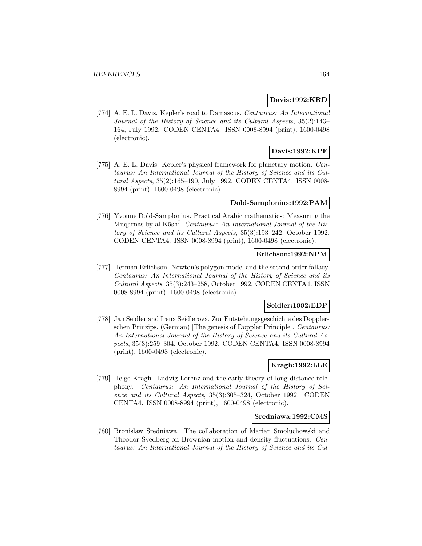## **Davis:1992:KRD**

[774] A. E. L. Davis. Kepler's road to Damascus. Centaurus: An International Journal of the History of Science and its Cultural Aspects, 35(2):143– 164, July 1992. CODEN CENTA4. ISSN 0008-8994 (print), 1600-0498 (electronic).

# **Davis:1992:KPF**

[775] A. E. L. Davis. Kepler's physical framework for planetary motion. Centaurus: An International Journal of the History of Science and its Cultural Aspects, 35(2):165–190, July 1992. CODEN CENTA4. ISSN 0008- 8994 (print), 1600-0498 (electronic).

### **Dold-Samplonius:1992:PAM**

[776] Yvonne Dold-Samplonius. Practical Arabic mathematics: Measuring the Muqarnas by al-Kāshī. Centaurus: An International Journal of the History of Science and its Cultural Aspects, 35(3):193–242, October 1992. CODEN CENTA4. ISSN 0008-8994 (print), 1600-0498 (electronic).

## **Erlichson:1992:NPM**

[777] Herman Erlichson. Newton's polygon model and the second order fallacy. Centaurus: An International Journal of the History of Science and its Cultural Aspects, 35(3):243–258, October 1992. CODEN CENTA4. ISSN 0008-8994 (print), 1600-0498 (electronic).

### **Seidler:1992:EDP**

[778] Jan Seidler and Irena Seidlerová. Zur Entstehungsgeschichte des Dopplerschen Prinzips. (German) [The genesis of Doppler Principle]. Centaurus: An International Journal of the History of Science and its Cultural Aspects, 35(3):259–304, October 1992. CODEN CENTA4. ISSN 0008-8994 (print), 1600-0498 (electronic).

# **Kragh:1992:LLE**

[779] Helge Kragh. Ludvig Lorenz and the early theory of long-distance telephony. Centaurus: An International Journal of the History of Science and its Cultural Aspects, 35(3):305–324, October 1992. CODEN CENTA4. ISSN 0008-8994 (print), 1600-0498 (electronic).

### **Sredniawa:1992:CMS**

[780] Bronisław Średniawa. The collaboration of Marian Smoluchowski and Theodor Svedberg on Brownian motion and density fluctuations. Centaurus: An International Journal of the History of Science and its Cul-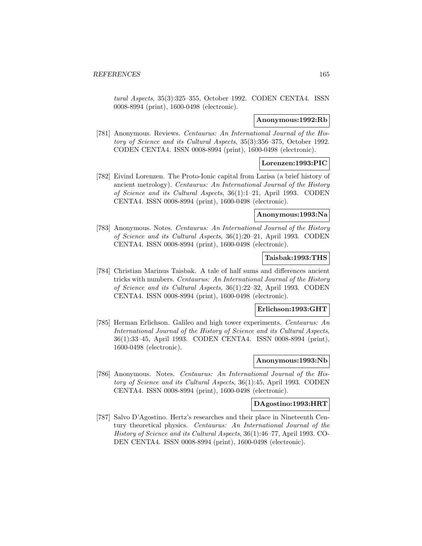tural Aspects, 35(3):325–355, October 1992. CODEN CENTA4. ISSN 0008-8994 (print), 1600-0498 (electronic).

## **Anonymous:1992:Rb**

[781] Anonymous. Reviews. Centaurus: An International Journal of the History of Science and its Cultural Aspects, 35(3):356–375, October 1992. CODEN CENTA4. ISSN 0008-8994 (print), 1600-0498 (electronic).

# **Lorenzen:1993:PIC**

[782] Eivind Lorenzen. The Proto-Ionic capital from Larisa (a brief history of ancient metrology). Centaurus: An International Journal of the History of Science and its Cultural Aspects, 36(1):1–21, April 1993. CODEN CENTA4. ISSN 0008-8994 (print), 1600-0498 (electronic).

# **Anonymous:1993:Na**

[783] Anonymous. Notes. Centaurus: An International Journal of the History of Science and its Cultural Aspects, 36(1):20–21, April 1993. CODEN CENTA4. ISSN 0008-8994 (print), 1600-0498 (electronic).

### **Taisbak:1993:THS**

[784] Christian Marinus Taisbak. A tale of half sums and differences ancient tricks with numbers. Centaurus: An International Journal of the History of Science and its Cultural Aspects, 36(1):22–32, April 1993. CODEN CENTA4. ISSN 0008-8994 (print), 1600-0498 (electronic).

### **Erlichson:1993:GHT**

[785] Herman Erlichson. Galileo and high tower experiments. Centaurus: An International Journal of the History of Science and its Cultural Aspects, 36(1):33–45, April 1993. CODEN CENTA4. ISSN 0008-8994 (print), 1600-0498 (electronic).

### **Anonymous:1993:Nb**

[786] Anonymous. Notes. Centaurus: An International Journal of the History of Science and its Cultural Aspects, 36(1):45, April 1993. CODEN CENTA4. ISSN 0008-8994 (print), 1600-0498 (electronic).

### **DAgostino:1993:HRT**

[787] Salvo D'Agostino. Hertz's researches and their place in Nineteenth Century theoretical physics. Centaurus: An International Journal of the History of Science and its Cultural Aspects, 36(1):46–77, April 1993. CO-DEN CENTA4. ISSN 0008-8994 (print), 1600-0498 (electronic).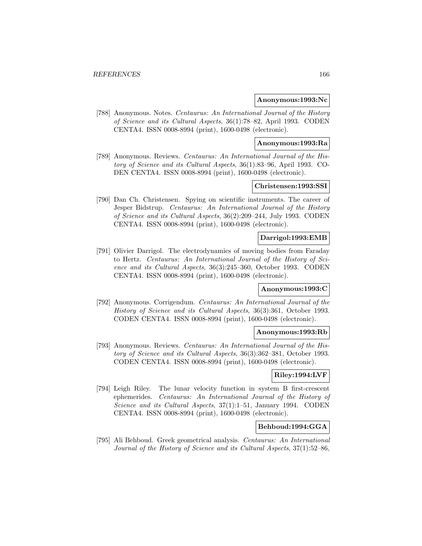### **Anonymous:1993:Nc**

[788] Anonymous. Notes. Centaurus: An International Journal of the History of Science and its Cultural Aspects, 36(1):78–82, April 1993. CODEN CENTA4. ISSN 0008-8994 (print), 1600-0498 (electronic).

### **Anonymous:1993:Ra**

[789] Anonymous. Reviews. Centaurus: An International Journal of the History of Science and its Cultural Aspects, 36(1):83–96, April 1993. CO-DEN CENTA4. ISSN 0008-8994 (print), 1600-0498 (electronic).

# **Christensen:1993:SSI**

[790] Dan Ch. Christensen. Spying on scientific instruments. The career of Jesper Bidstrup. Centaurus: An International Journal of the History of Science and its Cultural Aspects, 36(2):209–244, July 1993. CODEN CENTA4. ISSN 0008-8994 (print), 1600-0498 (electronic).

# **Darrigol:1993:EMB**

[791] Olivier Darrigol. The electrodynamics of moving bodies from Faraday to Hertz. Centaurus: An International Journal of the History of Science and its Cultural Aspects, 36(3):245–360, October 1993. CODEN CENTA4. ISSN 0008-8994 (print), 1600-0498 (electronic).

### **Anonymous:1993:C**

[792] Anonymous. Corrigendum. Centaurus: An International Journal of the History of Science and its Cultural Aspects, 36(3):361, October 1993. CODEN CENTA4. ISSN 0008-8994 (print), 1600-0498 (electronic).

### **Anonymous:1993:Rb**

[793] Anonymous. Reviews. Centaurus: An International Journal of the History of Science and its Cultural Aspects, 36(3):362–381, October 1993. CODEN CENTA4. ISSN 0008-8994 (print), 1600-0498 (electronic).

# **Riley:1994:LVF**

[794] Leigh Riley. The lunar velocity function in system B first-crescent ephemerides. Centaurus: An International Journal of the History of Science and its Cultural Aspects, 37(1):1–51, January 1994. CODEN CENTA4. ISSN 0008-8994 (print), 1600-0498 (electronic).

## **Behboud:1994:GGA**

[795] Ali Behboud. Greek geometrical analysis. Centaurus: An International Journal of the History of Science and its Cultural Aspects, 37(1):52–86,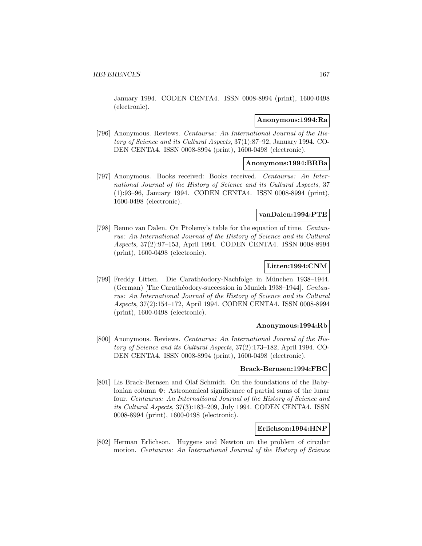January 1994. CODEN CENTA4. ISSN 0008-8994 (print), 1600-0498 (electronic).

## **Anonymous:1994:Ra**

[796] Anonymous. Reviews. Centaurus: An International Journal of the History of Science and its Cultural Aspects, 37(1):87–92, January 1994. CO-DEN CENTA4. ISSN 0008-8994 (print), 1600-0498 (electronic).

## **Anonymous:1994:BRBa**

[797] Anonymous. Books received: Books received. Centaurus: An International Journal of the History of Science and its Cultural Aspects, 37 (1):93–96, January 1994. CODEN CENTA4. ISSN 0008-8994 (print), 1600-0498 (electronic).

## **vanDalen:1994:PTE**

[798] Benno van Dalen. On Ptolemy's table for the equation of time. Centaurus: An International Journal of the History of Science and its Cultural Aspects, 37(2):97–153, April 1994. CODEN CENTA4. ISSN 0008-8994 (print), 1600-0498 (electronic).

# **Litten:1994:CNM**

[799] Freddy Litten. Die Carathéodory-Nachfolge in München 1938–1944. (German) The Carathéodory-succession in Munich 1938–1944]. Centaurus: An International Journal of the History of Science and its Cultural Aspects, 37(2):154–172, April 1994. CODEN CENTA4. ISSN 0008-8994 (print), 1600-0498 (electronic).

### **Anonymous:1994:Rb**

[800] Anonymous. Reviews. Centaurus: An International Journal of the History of Science and its Cultural Aspects, 37(2):173–182, April 1994. CO-DEN CENTA4. ISSN 0008-8994 (print), 1600-0498 (electronic).

### **Brack-Bernsen:1994:FBC**

[801] Lis Brack-Bernsen and Olaf Schmidt. On the foundations of the Babylonian column Φ: Astronomical significance of partial sums of the lunar four. Centaurus: An International Journal of the History of Science and its Cultural Aspects, 37(3):183–209, July 1994. CODEN CENTA4. ISSN 0008-8994 (print), 1600-0498 (electronic).

### **Erlichson:1994:HNP**

[802] Herman Erlichson. Huygens and Newton on the problem of circular motion. Centaurus: An International Journal of the History of Science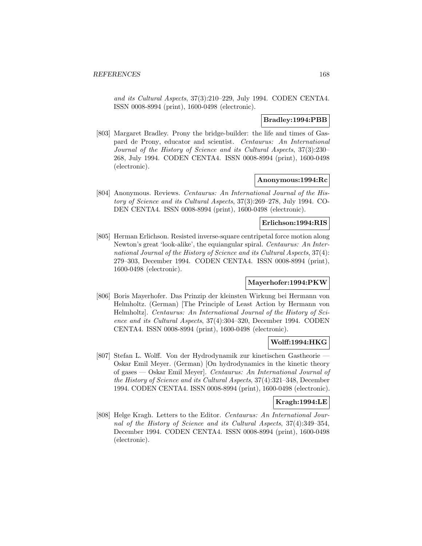and its Cultural Aspects, 37(3):210–229, July 1994. CODEN CENTA4. ISSN 0008-8994 (print), 1600-0498 (electronic).

## **Bradley:1994:PBB**

[803] Margaret Bradley. Prony the bridge-builder: the life and times of Gaspard de Prony, educator and scientist. Centaurus: An International Journal of the History of Science and its Cultural Aspects, 37(3):230– 268, July 1994. CODEN CENTA4. ISSN 0008-8994 (print), 1600-0498 (electronic).

## **Anonymous:1994:Rc**

[804] Anonymous. Reviews. Centaurus: An International Journal of the History of Science and its Cultural Aspects, 37(3):269–278, July 1994. CO-DEN CENTA4. ISSN 0008-8994 (print), 1600-0498 (electronic).

## **Erlichson:1994:RIS**

[805] Herman Erlichson. Resisted inverse-square centripetal force motion along Newton's great 'look-alike', the equiangular spiral. Centaurus: An International Journal of the History of Science and its Cultural Aspects, 37(4): 279–303, December 1994. CODEN CENTA4. ISSN 0008-8994 (print), 1600-0498 (electronic).

### **Mayerhofer:1994:PKW**

[806] Boris Mayerhofer. Das Prinzip der kleinsten Wirkung bei Hermann von Helmholtz. (German) [The Principle of Least Action by Hermann von Helmholtz]. Centaurus: An International Journal of the History of Science and its Cultural Aspects, 37(4):304–320, December 1994. CODEN CENTA4. ISSN 0008-8994 (print), 1600-0498 (electronic).

# **Wolff:1994:HKG**

[807] Stefan L. Wolff. Von der Hydrodynamik zur kinetischen Gastheorie — Oskar Emil Meyer. (German) [On hydrodynamics in the kinetic theory of gases — Oskar Emil Meyer]. Centaurus: An International Journal of the History of Science and its Cultural Aspects, 37(4):321–348, December 1994. CODEN CENTA4. ISSN 0008-8994 (print), 1600-0498 (electronic).

## **Kragh:1994:LE**

[808] Helge Kragh. Letters to the Editor. Centaurus: An International Journal of the History of Science and its Cultural Aspects, 37(4):349–354, December 1994. CODEN CENTA4. ISSN 0008-8994 (print), 1600-0498 (electronic).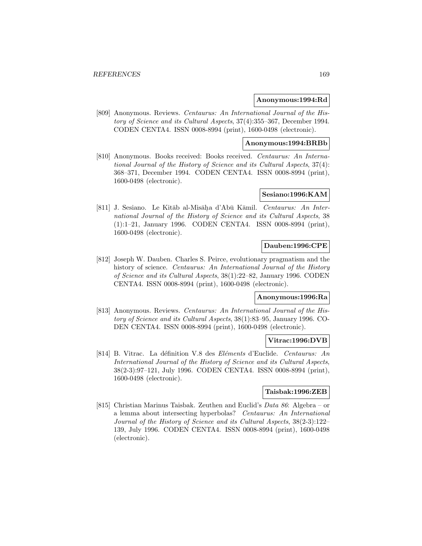### **Anonymous:1994:Rd**

[809] Anonymous. Reviews. Centaurus: An International Journal of the History of Science and its Cultural Aspects, 37(4):355–367, December 1994. CODEN CENTA4. ISSN 0008-8994 (print), 1600-0498 (electronic).

# **Anonymous:1994:BRBb**

[810] Anonymous. Books received: Books received. Centaurus: An International Journal of the History of Science and its Cultural Aspects, 37(4): 368–371, December 1994. CODEN CENTA4. ISSN 0008-8994 (print), 1600-0498 (electronic).

## **Sesiano:1996:KAM**

[811] J. Sesiano. Le Kitāb al-Misāḥa d'Abū Kāmil. Centaurus: An International Journal of the History of Science and its Cultural Aspects, 38 (1):1–21, January 1996. CODEN CENTA4. ISSN 0008-8994 (print), 1600-0498 (electronic).

# **Dauben:1996:CPE**

[812] Joseph W. Dauben. Charles S. Peirce, evolutionary pragmatism and the history of science. *Centaurus: An International Journal of the History* of Science and its Cultural Aspects, 38(1):22–82, January 1996. CODEN CENTA4. ISSN 0008-8994 (print), 1600-0498 (electronic).

## **Anonymous:1996:Ra**

[813] Anonymous. Reviews. Centaurus: An International Journal of the History of Science and its Cultural Aspects, 38(1):83–95, January 1996. CO-DEN CENTA4. ISSN 0008-8994 (print), 1600-0498 (electronic).

# **Vitrac:1996:DVB**

[814] B. Vitrac. La définition V.8 des Eléments d'Euclide. Centaurus: An International Journal of the History of Science and its Cultural Aspects, 38(2-3):97–121, July 1996. CODEN CENTA4. ISSN 0008-8994 (print), 1600-0498 (electronic).

### **Taisbak:1996:ZEB**

[815] Christian Marinus Taisbak. Zeuthen and Euclid's Data 86: Algebra – or a lemma about intersecting hyperbolas? Centaurus: An International Journal of the History of Science and its Cultural Aspects, 38(2-3):122– 139, July 1996. CODEN CENTA4. ISSN 0008-8994 (print), 1600-0498 (electronic).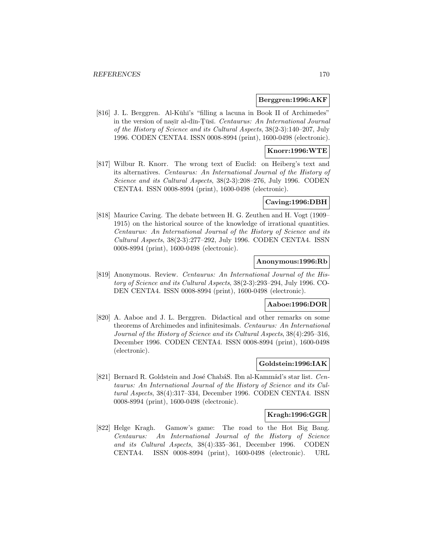### **Berggren:1996:AKF**

[816] J. L. Berggren. Al-Kūhī's "filling a lacuna in Book II of Archimedes" in the version of nasīr al-dīn-Tūsī. Centaurus: An International Journal of the History of Science and its Cultural Aspects, 38(2-3):140–207, July 1996. CODEN CENTA4. ISSN 0008-8994 (print), 1600-0498 (electronic).

## **Knorr:1996:WTE**

[817] Wilbur R. Knorr. The wrong text of Euclid: on Heiberg's text and its alternatives. Centaurus: An International Journal of the History of Science and its Cultural Aspects, 38(2-3):208–276, July 1996. CODEN CENTA4. ISSN 0008-8994 (print), 1600-0498 (electronic).

## **Caving:1996:DBH**

[818] Maurice Caving. The debate between H. G. Zeuthen and H. Vogt (1909– 1915) on the historical source of the knowledge of irrational quantities. Centaurus: An International Journal of the History of Science and its Cultural Aspects, 38(2-3):277–292, July 1996. CODEN CENTA4. ISSN 0008-8994 (print), 1600-0498 (electronic).

### **Anonymous:1996:Rb**

[819] Anonymous. Review. Centaurus: An International Journal of the History of Science and its Cultural Aspects, 38(2-3):293–294, July 1996. CO-DEN CENTA4. ISSN 0008-8994 (print), 1600-0498 (electronic).

### **Aaboe:1996:DOR**

[820] A. Aaboe and J. L. Berggren. Didactical and other remarks on some theorems of Archimedes and infinitesimals. Centaurus: An International Journal of the History of Science and its Cultural Aspects, 38(4):295–316, December 1996. CODEN CENTA4. ISSN 0008-8994 (print), 1600-0498 (electronic).

# **Goldstein:1996:IAK**

[821] Bernard R. Goldstein and José ChabáS. Ibn al-Kammâd's star list. Centaurus: An International Journal of the History of Science and its Cultural Aspects, 38(4):317–334, December 1996. CODEN CENTA4. ISSN 0008-8994 (print), 1600-0498 (electronic).

## **Kragh:1996:GGR**

[822] Helge Kragh. Gamow's game: The road to the Hot Big Bang. Centaurus: An International Journal of the History of Science and its Cultural Aspects, 38(4):335–361, December 1996. CODEN CENTA4. ISSN 0008-8994 (print), 1600-0498 (electronic). URL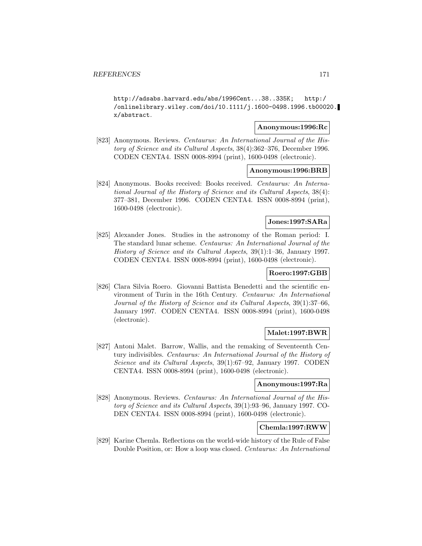http://adsabs.harvard.edu/abs/1996Cent...38..335K; http:/ /onlinelibrary.wiley.com/doi/10.1111/j.1600-0498.1996.tb00020. x/abstract.

## **Anonymous:1996:Rc**

[823] Anonymous. Reviews. Centaurus: An International Journal of the History of Science and its Cultural Aspects, 38(4):362–376, December 1996. CODEN CENTA4. ISSN 0008-8994 (print), 1600-0498 (electronic).

## **Anonymous:1996:BRB**

[824] Anonymous. Books received: Books received. Centaurus: An International Journal of the History of Science and its Cultural Aspects, 38(4): 377–381, December 1996. CODEN CENTA4. ISSN 0008-8994 (print), 1600-0498 (electronic).

## **Jones:1997:SARa**

[825] Alexander Jones. Studies in the astronomy of the Roman period: I. The standard lunar scheme. Centaurus: An International Journal of the History of Science and its Cultural Aspects, 39(1):1–36, January 1997. CODEN CENTA4. ISSN 0008-8994 (print), 1600-0498 (electronic).

# **Roero:1997:GBB**

[826] Clara Silvia Roero. Giovanni Battista Benedetti and the scientific environment of Turin in the 16th Century. Centaurus: An International Journal of the History of Science and its Cultural Aspects, 39(1):37–66, January 1997. CODEN CENTA4. ISSN 0008-8994 (print), 1600-0498 (electronic).

## **Malet:1997:BWR**

[827] Antoni Malet. Barrow, Wallis, and the remaking of Seventeenth Century indivisibles. Centaurus: An International Journal of the History of Science and its Cultural Aspects, 39(1):67–92, January 1997. CODEN CENTA4. ISSN 0008-8994 (print), 1600-0498 (electronic).

### **Anonymous:1997:Ra**

[828] Anonymous. Reviews. Centaurus: An International Journal of the History of Science and its Cultural Aspects, 39(1):93–96, January 1997. CO-DEN CENTA4. ISSN 0008-8994 (print), 1600-0498 (electronic).

## **Chemla:1997:RWW**

[829] Karine Chemla. Reflections on the world-wide history of the Rule of False Double Position, or: How a loop was closed. Centaurus: An International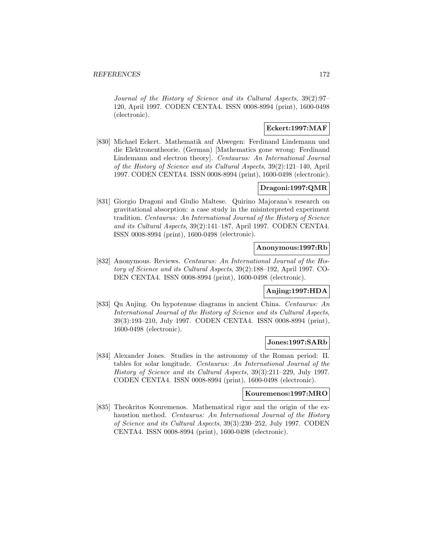Journal of the History of Science and its Cultural Aspects, 39(2):97– 120, April 1997. CODEN CENTA4. ISSN 0008-8994 (print), 1600-0498 (electronic).

# **Eckert:1997:MAF**

[830] Michael Eckert. Mathematik auf Abwegen: Ferdinand Lindemann und die Elektronentheorie. (German) [Mathematics gone wrong: Ferdinand Lindemann and electron theory]. Centaurus: An International Journal of the History of Science and its Cultural Aspects, 39(2):121–140, April 1997. CODEN CENTA4. ISSN 0008-8994 (print), 1600-0498 (electronic).

# **Dragoni:1997:QMR**

[831] Giorgio Dragoni and Giulio Maltese. Quirino Majorana's research on gravitational absorption: a case study in the misinterpreted experiment tradition. Centaurus: An International Journal of the History of Science and its Cultural Aspects, 39(2):141–187, April 1997. CODEN CENTA4. ISSN 0008-8994 (print), 1600-0498 (electronic).

### **Anonymous:1997:Rb**

[832] Anonymous. Reviews. Centaurus: An International Journal of the History of Science and its Cultural Aspects, 39(2):188–192, April 1997. CO-DEN CENTA4. ISSN 0008-8994 (print), 1600-0498 (electronic).

## **Anjing:1997:HDA**

[833] Qu Anjing. On hypotenuse diagrams in ancient China. Centaurus: An International Journal of the History of Science and its Cultural Aspects, 39(3):193–210, July 1997. CODEN CENTA4. ISSN 0008-8994 (print), 1600-0498 (electronic).

# **Jones:1997:SARb**

[834] Alexander Jones. Studies in the astronomy of the Roman period: II. tables for solar longitude. Centaurus: An International Journal of the History of Science and its Cultural Aspects, 39(3):211–229, July 1997. CODEN CENTA4. ISSN 0008-8994 (print), 1600-0498 (electronic).

### **Kouremenos:1997:MRO**

[835] Theokritos Kouremenos. Mathematical rigor and the origin of the exhaustion method. Centaurus: An International Journal of the History of Science and its Cultural Aspects, 39(3):230–252, July 1997. CODEN CENTA4. ISSN 0008-8994 (print), 1600-0498 (electronic).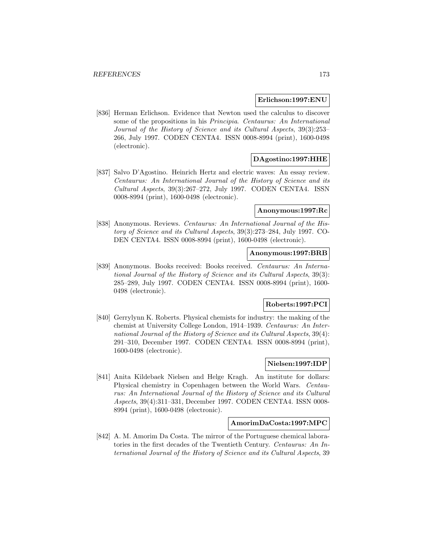### **Erlichson:1997:ENU**

[836] Herman Erlichson. Evidence that Newton used the calculus to discover some of the propositions in his Principia. Centaurus: An International Journal of the History of Science and its Cultural Aspects, 39(3):253– 266, July 1997. CODEN CENTA4. ISSN 0008-8994 (print), 1600-0498 (electronic).

# **DAgostino:1997:HHE**

[837] Salvo D'Agostino. Heinrich Hertz and electric waves: An essay review. Centaurus: An International Journal of the History of Science and its Cultural Aspects, 39(3):267–272, July 1997. CODEN CENTA4. ISSN 0008-8994 (print), 1600-0498 (electronic).

## **Anonymous:1997:Rc**

[838] Anonymous. Reviews. Centaurus: An International Journal of the History of Science and its Cultural Aspects, 39(3):273–284, July 1997. CO-DEN CENTA4. ISSN 0008-8994 (print), 1600-0498 (electronic).

## **Anonymous:1997:BRB**

[839] Anonymous. Books received: Books received. Centaurus: An International Journal of the History of Science and its Cultural Aspects, 39(3): 285–289, July 1997. CODEN CENTA4. ISSN 0008-8994 (print), 1600- 0498 (electronic).

## **Roberts:1997:PCI**

[840] Gerrylynn K. Roberts. Physical chemists for industry: the making of the chemist at University College London, 1914–1939. Centaurus: An International Journal of the History of Science and its Cultural Aspects, 39(4): 291–310, December 1997. CODEN CENTA4. ISSN 0008-8994 (print), 1600-0498 (electronic).

# **Nielsen:1997:IDP**

[841] Anita Kildebaek Nielsen and Helge Kragh. An institute for dollars: Physical chemistry in Copenhagen between the World Wars. Centaurus: An International Journal of the History of Science and its Cultural Aspects, 39(4):311–331, December 1997. CODEN CENTA4. ISSN 0008- 8994 (print), 1600-0498 (electronic).

### **AmorimDaCosta:1997:MPC**

[842] A. M. Amorim Da Costa. The mirror of the Portuguese chemical laboratories in the first decades of the Twentieth Century. Centaurus: An International Journal of the History of Science and its Cultural Aspects, 39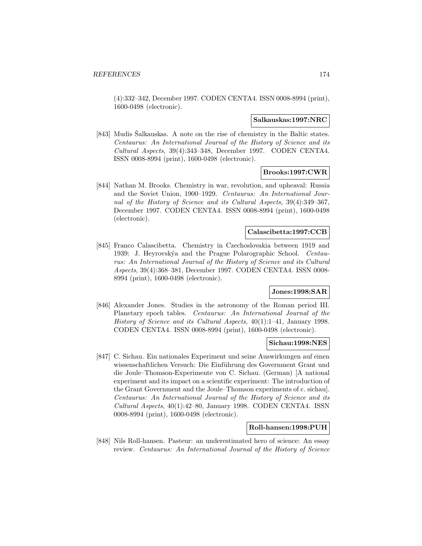(4):332–342, December 1997. CODEN CENTA4. ISSN 0008-8994 (print), 1600-0498 (electronic).

#### **Salkauskas:1997:NRC**

[843] Mudis Salkauskas. A note on the rise of chemistry in the Baltic states. Centaurus: An International Journal of the History of Science and its Cultural Aspects, 39(4):343–348, December 1997. CODEN CENTA4. ISSN 0008-8994 (print), 1600-0498 (electronic).

## **Brooks:1997:CWR**

[844] Nathan M. Brooks. Chemistry in war, revolution, and upheaval: Russia and the Soviet Union, 1900–1929. Centaurus: An International Journal of the History of Science and its Cultural Aspects, 39(4):349–367, December 1997. CODEN CENTA4. ISSN 0008-8994 (print), 1600-0498 (electronic).

## **Calascibetta:1997:CCB**

[845] Franco Calascibetta. Chemistry in Czechoslovakia between 1919 and 1939: J. Heyrovskýa and the Prague Polarographic School. Centaurus: An International Journal of the History of Science and its Cultural Aspects, 39(4):368–381, December 1997. CODEN CENTA4. ISSN 0008- 8994 (print), 1600-0498 (electronic).

# **Jones:1998:SAR**

[846] Alexander Jones. Studies in the astronomy of the Roman period III. Planetary epoch tables. Centaurus: An International Journal of the History of Science and its Cultural Aspects, 40(1):1–41, January 1998. CODEN CENTA4. ISSN 0008-8994 (print), 1600-0498 (electronic).

## **Sichau:1998:NES**

[847] C. Sichau. Ein nationales Experiment und seine Auswirkungen auf einen wissenschaftlichen Versuch: Die Einführung des Government Grant und die Joule–Thomson-Experimente von C. Sichau. (German) [A national experiment and its impact on a scientific experiment: The introduction of the Grant Government and the Joule–Thomson experiments of c. sichau]. Centaurus: An International Journal of the History of Science and its Cultural Aspects, 40(1):42–80, January 1998. CODEN CENTA4. ISSN 0008-8994 (print), 1600-0498 (electronic).

### **Roll-hansen:1998:PUH**

[848] Nils Roll-hansen. Pasteur: an underestimated hero of science: An essay review. Centaurus: An International Journal of the History of Science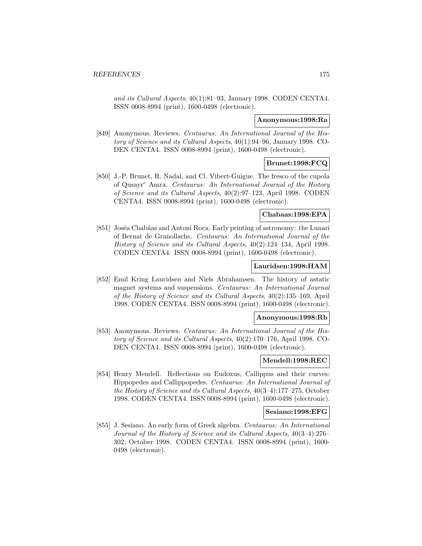and its Cultural Aspects, 40(1):81–93, January 1998. CODEN CENTA4. ISSN 0008-8994 (print), 1600-0498 (electronic).

### **Anonymous:1998:Ra**

[849] Anonymous. Reviews. Centaurus: An International Journal of the History of Science and its Cultural Aspects, 40(1):94–96, January 1998. CO-DEN CENTA4. ISSN 0008-8994 (print), 1600-0498 (electronic).

# **Brunet:1998:FCQ**

[850] J.-P. Brunet, R. Nadal, and Cl. Vibert-Guigue. The fresco of the cupola of Qusayr<sup>c</sup> Amra. Centaurus: An International Journal of the History of Science and its Cultural Aspects, 40(2):97–123, April 1998. CODEN CENTA4. ISSN 0008-8994 (print), 1600-0498 (electronic).

# **Chabaas:1998:EPA**

[851] Joséa Chabáas and Antoni Roca. Early printing of astronomy: the Lunari of Bernat de Granollachs. Centaurus: An International Journal of the History of Science and its Cultural Aspects, 40(2):124–134, April 1998. CODEN CENTA4. ISSN 0008-8994 (print), 1600-0498 (electronic).

## **Lauridsen:1998:HAM**

[852] Emil Kring Lauridsen and Niels Abrahamsen. The history of astatic magnet systems and suspensions. Centaurus: An International Journal of the History of Science and its Cultural Aspects, 40(2):135–169, April 1998. CODEN CENTA4. ISSN 0008-8994 (print), 1600-0498 (electronic).

# **Anonymous:1998:Rb**

[853] Anonymous. Reviews. Centaurus: An International Journal of the History of Science and its Cultural Aspects, 40(2):170–176, April 1998. CO-DEN CENTA4. ISSN 0008-8994 (print), 1600-0498 (electronic).

### **Mendell:1998:REC**

[854] Henry Mendell. Reflections on Eudoxus, Callippus and their curves: Hippopedes and Callippopedes. Centaurus: An International Journal of the History of Science and its Cultural Aspects, 40(3–4):177–275, October 1998. CODEN CENTA4. ISSN 0008-8994 (print), 1600-0498 (electronic).

### **Sesiano:1998:EFG**

[855] J. Sesiano. An early form of Greek algebra. Centaurus: An International Journal of the History of Science and its Cultural Aspects, 40(3–4):276– 302, October 1998. CODEN CENTA4. ISSN 0008-8994 (print), 1600- 0498 (electronic).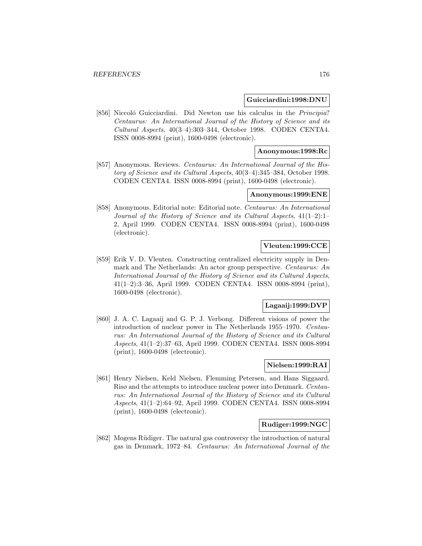### **Guicciardini:1998:DNU**

[856] Niccoló Guicciardini. Did Newton use his calculus in the Principia? Centaurus: An International Journal of the History of Science and its Cultural Aspects, 40(3–4):303–344, October 1998. CODEN CENTA4. ISSN 0008-8994 (print), 1600-0498 (electronic).

## **Anonymous:1998:Rc**

[857] Anonymous. Reviews. Centaurus: An International Journal of the History of Science and its Cultural Aspects, 40(3–4):345–384, October 1998. CODEN CENTA4. ISSN 0008-8994 (print), 1600-0498 (electronic).

### **Anonymous:1999:ENE**

[858] Anonymous. Editorial note: Editorial note. Centaurus: An International Journal of the History of Science and its Cultural Aspects, 41(1–2):1– 2, April 1999. CODEN CENTA4. ISSN 0008-8994 (print), 1600-0498 (electronic).

## **Vleuten:1999:CCE**

[859] Erik V. D. Vleuten. Constructing centralized electricity supply in Denmark and The Netherlands: An actor group perspective. Centaurus: An International Journal of the History of Science and its Cultural Aspects, 41(1–2):3–36, April 1999. CODEN CENTA4. ISSN 0008-8994 (print), 1600-0498 (electronic).

### **Lagaaij:1999:DVP**

[860] J. A. C. Lagaaij and G. P. J. Verbong. Different visions of power the introduction of nuclear power in The Netherlands 1955–1970. Centaurus: An International Journal of the History of Science and its Cultural Aspects, 41(1–2):37–63, April 1999. CODEN CENTA4. ISSN 0008-8994 (print), 1600-0498 (electronic).

# **Nielsen:1999:RAI**

[861] Henry Nielsen, Keld Nielsen, Flemming Petersen, and Hans Siggaard. Risø and the attempts to introduce nuclear power into Denmark. Centaurus: An International Journal of the History of Science and its Cultural Aspects, 41(1–2):64–92, April 1999. CODEN CENTA4. ISSN 0008-8994 (print), 1600-0498 (electronic).

## **Rudiger:1999:NGC**

[862] Mogens Rüdiger. The natural gas controversy the introduction of natural gas in Denmark, 1972–84. Centaurus: An International Journal of the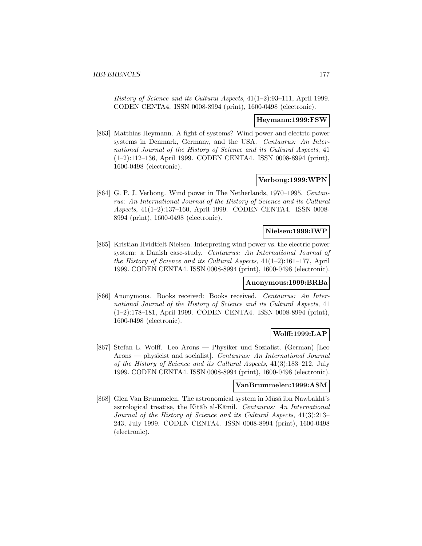History of Science and its Cultural Aspects, 41(1–2):93–111, April 1999. CODEN CENTA4. ISSN 0008-8994 (print), 1600-0498 (electronic).

### **Heymann:1999:FSW**

[863] Matthias Heymann. A fight of systems? Wind power and electric power systems in Denmark, Germany, and the USA. Centaurus: An International Journal of the History of Science and its Cultural Aspects, 41 (1–2):112–136, April 1999. CODEN CENTA4. ISSN 0008-8994 (print), 1600-0498 (electronic).

## **Verbong:1999:WPN**

[864] G. P. J. Verbong. Wind power in The Netherlands, 1970–1995. Centaurus: An International Journal of the History of Science and its Cultural Aspects, 41(1–2):137–160, April 1999. CODEN CENTA4. ISSN 0008- 8994 (print), 1600-0498 (electronic).

## **Nielsen:1999:IWP**

[865] Kristian Hvidtfelt Nielsen. Interpreting wind power vs. the electric power system: a Danish case-study. Centaurus: An International Journal of the History of Science and its Cultural Aspects, 41(1–2):161–177, April 1999. CODEN CENTA4. ISSN 0008-8994 (print), 1600-0498 (electronic).

## **Anonymous:1999:BRBa**

[866] Anonymous. Books received: Books received. Centaurus: An International Journal of the History of Science and its Cultural Aspects, 41 (1–2):178–181, April 1999. CODEN CENTA4. ISSN 0008-8994 (print), 1600-0498 (electronic).

## **Wolff:1999:LAP**

[867] Stefan L. Wolff. Leo Arons — Physiker und Sozialist. (German) [Leo Arons — physicist and socialist]. Centaurus: An International Journal of the History of Science and its Cultural Aspects, 41(3):183–212, July 1999. CODEN CENTA4. ISSN 0008-8994 (print), 1600-0498 (electronic).

### **VanBrummelen:1999:ASM**

[868] Glen Van Brummelen. The astronomical system in Mūsā ibn Nawbakht's astrological treatise, the Kitāb al-Kāmil. Centaurus: An International Journal of the History of Science and its Cultural Aspects, 41(3):213– 243, July 1999. CODEN CENTA4. ISSN 0008-8994 (print), 1600-0498 (electronic).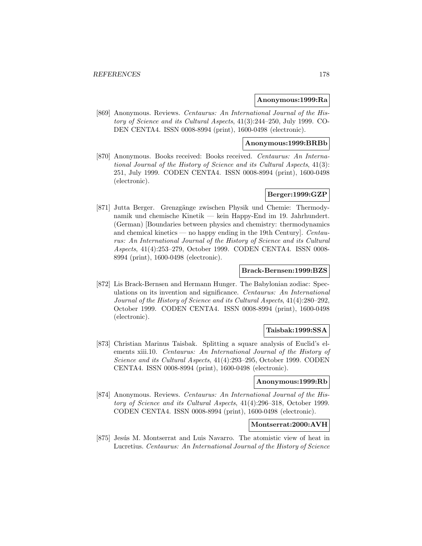### **Anonymous:1999:Ra**

[869] Anonymous. Reviews. Centaurus: An International Journal of the History of Science and its Cultural Aspects, 41(3):244–250, July 1999. CO-DEN CENTA4. ISSN 0008-8994 (print), 1600-0498 (electronic).

# **Anonymous:1999:BRBb**

[870] Anonymous. Books received: Books received. Centaurus: An International Journal of the History of Science and its Cultural Aspects, 41(3): 251, July 1999. CODEN CENTA4. ISSN 0008-8994 (print), 1600-0498 (electronic).

# **Berger:1999:GZP**

[871] Jutta Berger. Grenzgänge zwischen Physik und Chemie: Thermodynamik und chemische Kinetik — kein Happy-End im 19. Jahrhundert. (German) [Boundaries between physics and chemistry: thermodynamics and chemical kinetics — no happy ending in the 19th Century. Centaurus: An International Journal of the History of Science and its Cultural Aspects, 41(4):253–279, October 1999. CODEN CENTA4. ISSN 0008- 8994 (print), 1600-0498 (electronic).

### **Brack-Bernsen:1999:BZS**

[872] Lis Brack-Bernsen and Hermann Hunger. The Babylonian zodiac: Speculations on its invention and significance. Centaurus: An International Journal of the History of Science and its Cultural Aspects, 41(4):280–292, October 1999. CODEN CENTA4. ISSN 0008-8994 (print), 1600-0498 (electronic).

## **Taisbak:1999:SSA**

[873] Christian Marinus Taisbak. Splitting a square analysis of Euclid's elements xiii.10. Centaurus: An International Journal of the History of Science and its Cultural Aspects, 41(4):293–295, October 1999. CODEN CENTA4. ISSN 0008-8994 (print), 1600-0498 (electronic).

### **Anonymous:1999:Rb**

[874] Anonymous. Reviews. Centaurus: An International Journal of the History of Science and its Cultural Aspects, 41(4):296–318, October 1999. CODEN CENTA4. ISSN 0008-8994 (print), 1600-0498 (electronic).

# **Montserrat:2000:AVH**

[875] Jesús M. Montserrat and Luis Navarro. The atomistic view of heat in Lucretius. Centaurus: An International Journal of the History of Science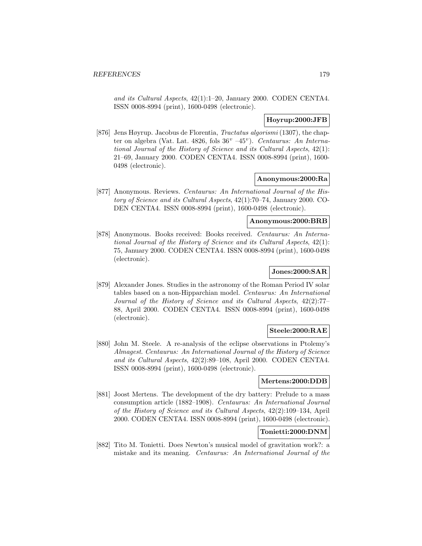and its Cultural Aspects, 42(1):1–20, January 2000. CODEN CENTA4. ISSN 0008-8994 (print), 1600-0498 (electronic).

## **Hoyrup:2000:JFB**

[876] Jens Høyrup. Jacobus de Florentia, Tractatus algorismi (1307), the chapter on algebra (Vat. Lat. 4826, fols  $36^v - 45^v$ ). Centaurus: An International Journal of the History of Science and its Cultural Aspects, 42(1): 21–69, January 2000. CODEN CENTA4. ISSN 0008-8994 (print), 1600- 0498 (electronic).

## **Anonymous:2000:Ra**

[877] Anonymous. Reviews. Centaurus: An International Journal of the History of Science and its Cultural Aspects, 42(1):70–74, January 2000. CO-DEN CENTA4. ISSN 0008-8994 (print), 1600-0498 (electronic).

## **Anonymous:2000:BRB**

[878] Anonymous. Books received: Books received. Centaurus: An International Journal of the History of Science and its Cultural Aspects, 42(1): 75, January 2000. CODEN CENTA4. ISSN 0008-8994 (print), 1600-0498 (electronic).

# **Jones:2000:SAR**

[879] Alexander Jones. Studies in the astronomy of the Roman Period IV solar tables based on a non-Hipparchian model. Centaurus: An International Journal of the History of Science and its Cultural Aspects, 42(2):77– 88, April 2000. CODEN CENTA4. ISSN 0008-8994 (print), 1600-0498 (electronic).

# **Steele:2000:RAE**

[880] John M. Steele. A re-analysis of the eclipse observations in Ptolemy's Almagest. Centaurus: An International Journal of the History of Science and its Cultural Aspects, 42(2):89–108, April 2000. CODEN CENTA4. ISSN 0008-8994 (print), 1600-0498 (electronic).

### **Mertens:2000:DDB**

[881] Joost Mertens. The development of the dry battery: Prelude to a mass consumption article (1882–1908). Centaurus: An International Journal of the History of Science and its Cultural Aspects, 42(2):109–134, April 2000. CODEN CENTA4. ISSN 0008-8994 (print), 1600-0498 (electronic).

# **Tonietti:2000:DNM**

[882] Tito M. Tonietti. Does Newton's musical model of gravitation work?: a mistake and its meaning. Centaurus: An International Journal of the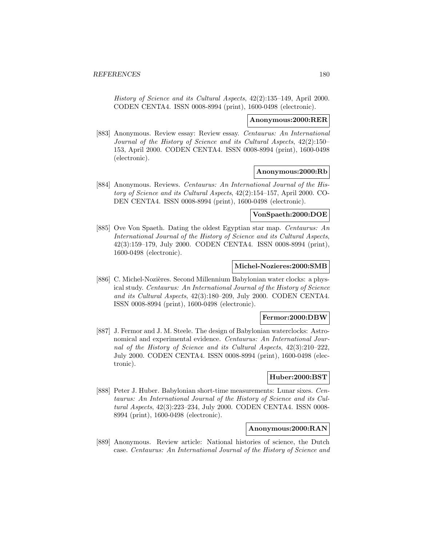History of Science and its Cultural Aspects, 42(2):135–149, April 2000. CODEN CENTA4. ISSN 0008-8994 (print), 1600-0498 (electronic).

### **Anonymous:2000:RER**

[883] Anonymous. Review essay: Review essay. Centaurus: An International Journal of the History of Science and its Cultural Aspects, 42(2):150– 153, April 2000. CODEN CENTA4. ISSN 0008-8994 (print), 1600-0498 (electronic).

## **Anonymous:2000:Rb**

[884] Anonymous. Reviews. Centaurus: An International Journal of the History of Science and its Cultural Aspects, 42(2):154–157, April 2000. CO-DEN CENTA4. ISSN 0008-8994 (print), 1600-0498 (electronic).

# **VonSpaeth:2000:DOE**

[885] Ove Von Spaeth. Dating the oldest Egyptian star map. Centaurus: An International Journal of the History of Science and its Cultural Aspects, 42(3):159–179, July 2000. CODEN CENTA4. ISSN 0008-8994 (print), 1600-0498 (electronic).

## **Michel-Nozieres:2000:SMB**

[886] C. Michel-Nozières. Second Millennium Babylonian water clocks: a physical study. Centaurus: An International Journal of the History of Science and its Cultural Aspects, 42(3):180–209, July 2000. CODEN CENTA4. ISSN 0008-8994 (print), 1600-0498 (electronic).

# **Fermor:2000:DBW**

[887] J. Fermor and J. M. Steele. The design of Babylonian waterclocks: Astronomical and experimental evidence. Centaurus: An International Journal of the History of Science and its Cultural Aspects, 42(3):210–222, July 2000. CODEN CENTA4. ISSN 0008-8994 (print), 1600-0498 (electronic).

# **Huber:2000:BST**

[888] Peter J. Huber. Babylonian short-time measurements: Lunar sixes. Centaurus: An International Journal of the History of Science and its Cultural Aspects, 42(3):223–234, July 2000. CODEN CENTA4. ISSN 0008- 8994 (print), 1600-0498 (electronic).

## **Anonymous:2000:RAN**

[889] Anonymous. Review article: National histories of science, the Dutch case. Centaurus: An International Journal of the History of Science and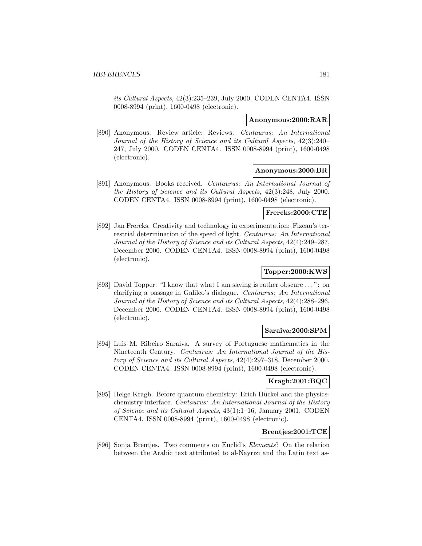its Cultural Aspects, 42(3):235–239, July 2000. CODEN CENTA4. ISSN 0008-8994 (print), 1600-0498 (electronic).

#### **Anonymous:2000:RAR**

[890] Anonymous. Review article: Reviews. Centaurus: An International Journal of the History of Science and its Cultural Aspects, 42(3):240– 247, July 2000. CODEN CENTA4. ISSN 0008-8994 (print), 1600-0498 (electronic).

### **Anonymous:2000:BR**

[891] Anonymous. Books received. Centaurus: An International Journal of the History of Science and its Cultural Aspects, 42(3):248, July 2000. CODEN CENTA4. ISSN 0008-8994 (print), 1600-0498 (electronic).

## **Frercks:2000:CTE**

[892] Jan Frercks. Creativity and technology in experimentation: Fizeau's terrestrial determination of the speed of light. Centaurus: An International Journal of the History of Science and its Cultural Aspects, 42(4):249–287, December 2000. CODEN CENTA4. ISSN 0008-8994 (print), 1600-0498 (electronic).

# **Topper:2000:KWS**

[893] David Topper. "I know that what I am saying is rather obscure ... ": on clarifying a passage in Galileo's dialogue. Centaurus: An International Journal of the History of Science and its Cultural Aspects, 42(4):288–296, December 2000. CODEN CENTA4. ISSN 0008-8994 (print), 1600-0498 (electronic).

## **Saraiva:2000:SPM**

[894] Luis M. Ribeiro Saraiva. A survey of Portuguese mathematics in the Nineteenth Century. Centaurus: An International Journal of the History of Science and its Cultural Aspects, 42(4):297–318, December 2000. CODEN CENTA4. ISSN 0008-8994 (print), 1600-0498 (electronic).

# **Kragh:2001:BQC**

[895] Helge Kragh. Before quantum chemistry: Erich Hückel and the physicschemistry interface. Centaurus: An International Journal of the History of Science and its Cultural Aspects, 43(1):1–16, January 2001. CODEN CENTA4. ISSN 0008-8994 (print), 1600-0498 (electronic).

# **Brentjes:2001:TCE**

[896] Sonja Brentjes. Two comments on Euclid's Elements? On the relation between the Arabic text attributed to al-Nayrızı and the Latin text as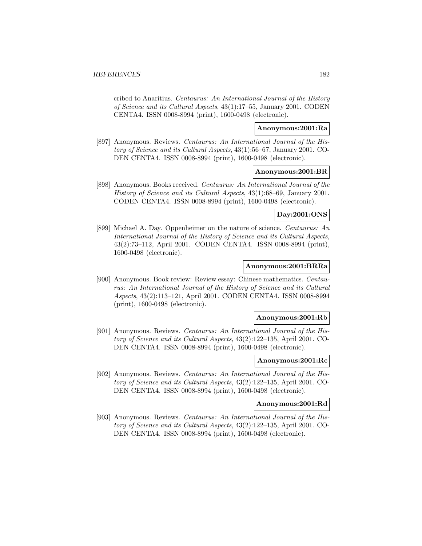cribed to Anaritius. Centaurus: An International Journal of the History of Science and its Cultural Aspects, 43(1):17–55, January 2001. CODEN CENTA4. ISSN 0008-8994 (print), 1600-0498 (electronic).

# **Anonymous:2001:Ra**

[897] Anonymous. Reviews. Centaurus: An International Journal of the History of Science and its Cultural Aspects, 43(1):56–67, January 2001. CO-DEN CENTA4. ISSN 0008-8994 (print), 1600-0498 (electronic).

# **Anonymous:2001:BR**

[898] Anonymous. Books received. Centaurus: An International Journal of the History of Science and its Cultural Aspects, 43(1):68–69, January 2001. CODEN CENTA4. ISSN 0008-8994 (print), 1600-0498 (electronic).

# **Day:2001:ONS**

[899] Michael A. Day. Oppenheimer on the nature of science. Centaurus: An International Journal of the History of Science and its Cultural Aspects, 43(2):73–112, April 2001. CODEN CENTA4. ISSN 0008-8994 (print), 1600-0498 (electronic).

# **Anonymous:2001:BRRa**

[900] Anonymous. Book review: Review essay: Chinese mathematics. Centaurus: An International Journal of the History of Science and its Cultural Aspects, 43(2):113–121, April 2001. CODEN CENTA4. ISSN 0008-8994 (print), 1600-0498 (electronic).

## **Anonymous:2001:Rb**

[901] Anonymous. Reviews. Centaurus: An International Journal of the History of Science and its Cultural Aspects, 43(2):122–135, April 2001. CO-DEN CENTA4. ISSN 0008-8994 (print), 1600-0498 (electronic).

### **Anonymous:2001:Rc**

[902] Anonymous. Reviews. Centaurus: An International Journal of the History of Science and its Cultural Aspects, 43(2):122–135, April 2001. CO-DEN CENTA4. ISSN 0008-8994 (print), 1600-0498 (electronic).

#### **Anonymous:2001:Rd**

[903] Anonymous. Reviews. Centaurus: An International Journal of the History of Science and its Cultural Aspects, 43(2):122–135, April 2001. CO-DEN CENTA4. ISSN 0008-8994 (print), 1600-0498 (electronic).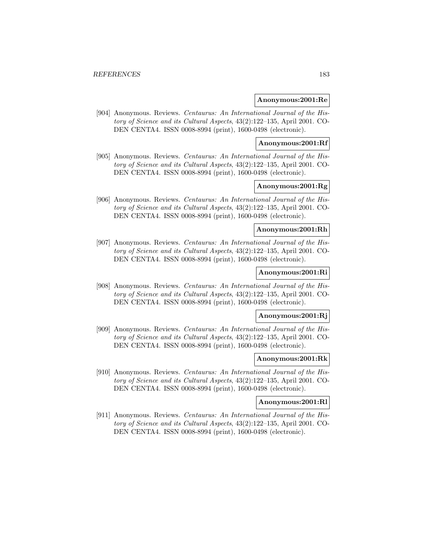#### **Anonymous:2001:Re**

[904] Anonymous. Reviews. Centaurus: An International Journal of the History of Science and its Cultural Aspects, 43(2):122–135, April 2001. CO-DEN CENTA4. ISSN 0008-8994 (print), 1600-0498 (electronic).

# **Anonymous:2001:Rf**

[905] Anonymous. Reviews. Centaurus: An International Journal of the History of Science and its Cultural Aspects, 43(2):122–135, April 2001. CO-DEN CENTA4. ISSN 0008-8994 (print), 1600-0498 (electronic).

# **Anonymous:2001:Rg**

[906] Anonymous. Reviews. Centaurus: An International Journal of the History of Science and its Cultural Aspects, 43(2):122–135, April 2001. CO-DEN CENTA4. ISSN 0008-8994 (print), 1600-0498 (electronic).

# **Anonymous:2001:Rh**

[907] Anonymous. Reviews. Centaurus: An International Journal of the History of Science and its Cultural Aspects, 43(2):122–135, April 2001. CO-DEN CENTA4. ISSN 0008-8994 (print), 1600-0498 (electronic).

# **Anonymous:2001:Ri**

[908] Anonymous. Reviews. Centaurus: An International Journal of the History of Science and its Cultural Aspects, 43(2):122–135, April 2001. CO-DEN CENTA4. ISSN 0008-8994 (print), 1600-0498 (electronic).

## **Anonymous:2001:Rj**

[909] Anonymous. Reviews. Centaurus: An International Journal of the History of Science and its Cultural Aspects, 43(2):122–135, April 2001. CO-DEN CENTA4. ISSN 0008-8994 (print), 1600-0498 (electronic).

# **Anonymous:2001:Rk**

[910] Anonymous. Reviews. Centaurus: An International Journal of the History of Science and its Cultural Aspects, 43(2):122–135, April 2001. CO-DEN CENTA4. ISSN 0008-8994 (print), 1600-0498 (electronic).

## **Anonymous:2001:Rl**

[911] Anonymous. Reviews. Centaurus: An International Journal of the History of Science and its Cultural Aspects, 43(2):122–135, April 2001. CO-DEN CENTA4. ISSN 0008-8994 (print), 1600-0498 (electronic).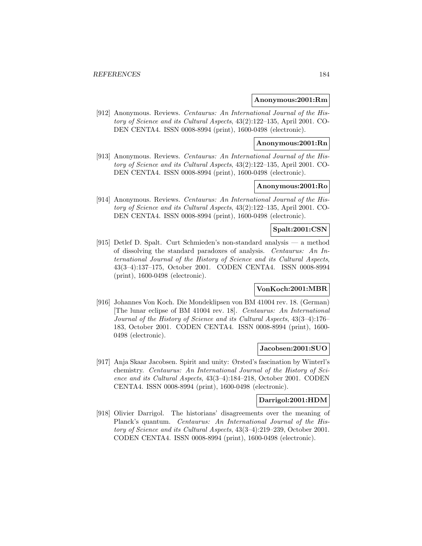#### **Anonymous:2001:Rm**

[912] Anonymous. Reviews. Centaurus: An International Journal of the History of Science and its Cultural Aspects, 43(2):122–135, April 2001. CO-DEN CENTA4. ISSN 0008-8994 (print), 1600-0498 (electronic).

# **Anonymous:2001:Rn**

[913] Anonymous. Reviews. Centaurus: An International Journal of the History of Science and its Cultural Aspects, 43(2):122–135, April 2001. CO-DEN CENTA4. ISSN 0008-8994 (print), 1600-0498 (electronic).

# **Anonymous:2001:Ro**

[914] Anonymous. Reviews. Centaurus: An International Journal of the History of Science and its Cultural Aspects, 43(2):122–135, April 2001. CO-DEN CENTA4. ISSN 0008-8994 (print), 1600-0498 (electronic).

# **Spalt:2001:CSN**

[915] Detlef D. Spalt. Curt Schmieden's non-standard analysis — a method of dissolving the standard paradoxes of analysis. Centaurus: An International Journal of the History of Science and its Cultural Aspects, 43(3–4):137–175, October 2001. CODEN CENTA4. ISSN 0008-8994 (print), 1600-0498 (electronic).

# **VonKoch:2001:MBR**

[916] Johannes Von Koch. Die Mondeklipsen von BM 41004 rev. 18. (German) [The lunar eclipse of BM 41004 rev. 18]. Centaurus: An International Journal of the History of Science and its Cultural Aspects, 43(3–4):176– 183, October 2001. CODEN CENTA4. ISSN 0008-8994 (print), 1600- 0498 (electronic).

#### **Jacobsen:2001:SUO**

[917] Anja Skaar Jacobsen. Spirit and unity: Ørsted's fascination by Winterl's chemistry. Centaurus: An International Journal of the History of Science and its Cultural Aspects, 43(3–4):184–218, October 2001. CODEN CENTA4. ISSN 0008-8994 (print), 1600-0498 (electronic).

### **Darrigol:2001:HDM**

[918] Olivier Darrigol. The historians' disagreements over the meaning of Planck's quantum. Centaurus: An International Journal of the History of Science and its Cultural Aspects, 43(3–4):219–239, October 2001. CODEN CENTA4. ISSN 0008-8994 (print), 1600-0498 (electronic).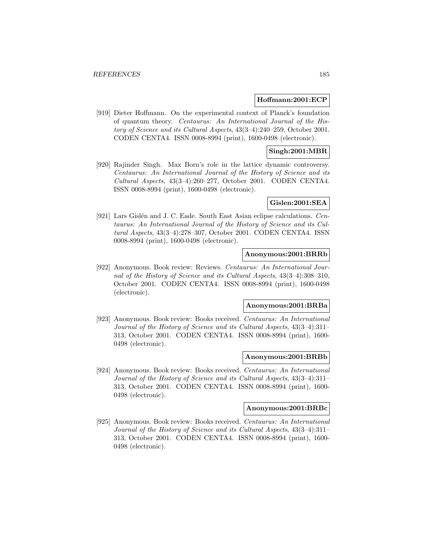### **Hoffmann:2001:ECP**

[919] Dieter Hoffmann. On the experimental context of Planck's foundation of quantum theory. Centaurus: An International Journal of the History of Science and its Cultural Aspects, 43(3–4):240–259, October 2001. CODEN CENTA4. ISSN 0008-8994 (print), 1600-0498 (electronic).

# **Singh:2001:MBR**

[920] Rajinder Singh. Max Born's role in the lattice dynamic controversy. Centaurus: An International Journal of the History of Science and its Cultural Aspects, 43(3–4):260–277, October 2001. CODEN CENTA4. ISSN 0008-8994 (print), 1600-0498 (electronic).

#### **Gislen:2001:SEA**

[921] Lars Gislén and J. C. Eade. South East Asian eclipse calculations. Centaurus: An International Journal of the History of Science and its Cultural Aspects, 43(3–4):278–307, October 2001. CODEN CENTA4. ISSN 0008-8994 (print), 1600-0498 (electronic).

### **Anonymous:2001:BRRb**

[922] Anonymous. Book review: Reviews. Centaurus: An International Journal of the History of Science and its Cultural Aspects, 43(3–4):308–310, October 2001. CODEN CENTA4. ISSN 0008-8994 (print), 1600-0498 (electronic).

#### **Anonymous:2001:BRBa**

[923] Anonymous. Book review: Books received. Centaurus: An International Journal of the History of Science and its Cultural Aspects, 43(3–4):311– 313, October 2001. CODEN CENTA4. ISSN 0008-8994 (print), 1600- 0498 (electronic).

## **Anonymous:2001:BRBb**

[924] Anonymous. Book review: Books received. Centaurus: An International Journal of the History of Science and its Cultural Aspects, 43(3–4):311– 313, October 2001. CODEN CENTA4. ISSN 0008-8994 (print), 1600- 0498 (electronic).

## **Anonymous:2001:BRBc**

[925] Anonymous. Book review: Books received. Centaurus: An International Journal of the History of Science and its Cultural Aspects, 43(3–4):311– 313, October 2001. CODEN CENTA4. ISSN 0008-8994 (print), 1600- 0498 (electronic).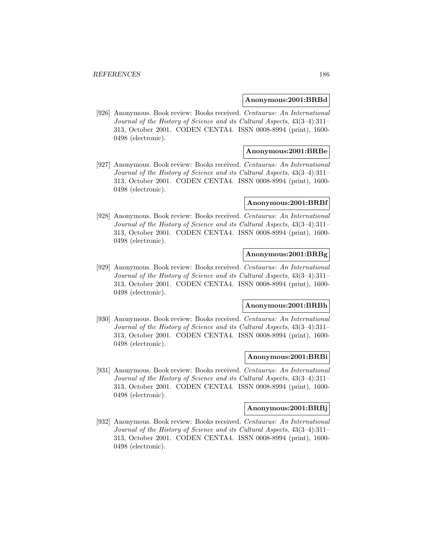#### **Anonymous:2001:BRBd**

[926] Anonymous. Book review: Books received. Centaurus: An International Journal of the History of Science and its Cultural Aspects, 43(3–4):311– 313, October 2001. CODEN CENTA4. ISSN 0008-8994 (print), 1600- 0498 (electronic).

## **Anonymous:2001:BRBe**

[927] Anonymous. Book review: Books received. Centaurus: An International Journal of the History of Science and its Cultural Aspects, 43(3–4):311– 313, October 2001. CODEN CENTA4. ISSN 0008-8994 (print), 1600- 0498 (electronic).

#### **Anonymous:2001:BRBf**

[928] Anonymous. Book review: Books received. Centaurus: An International Journal of the History of Science and its Cultural Aspects, 43(3–4):311– 313, October 2001. CODEN CENTA4. ISSN 0008-8994 (print), 1600- 0498 (electronic).

### **Anonymous:2001:BRBg**

[929] Anonymous. Book review: Books received. Centaurus: An International Journal of the History of Science and its Cultural Aspects, 43(3–4):311– 313, October 2001. CODEN CENTA4. ISSN 0008-8994 (print), 1600- 0498 (electronic).

#### **Anonymous:2001:BRBh**

[930] Anonymous. Book review: Books received. Centaurus: An International Journal of the History of Science and its Cultural Aspects, 43(3–4):311– 313, October 2001. CODEN CENTA4. ISSN 0008-8994 (print), 1600- 0498 (electronic).

## **Anonymous:2001:BRBi**

[931] Anonymous. Book review: Books received. Centaurus: An International Journal of the History of Science and its Cultural Aspects, 43(3–4):311– 313, October 2001. CODEN CENTA4. ISSN 0008-8994 (print), 1600- 0498 (electronic).

## **Anonymous:2001:BRBj**

[932] Anonymous. Book review: Books received. Centaurus: An International Journal of the History of Science and its Cultural Aspects, 43(3–4):311– 313, October 2001. CODEN CENTA4. ISSN 0008-8994 (print), 1600- 0498 (electronic).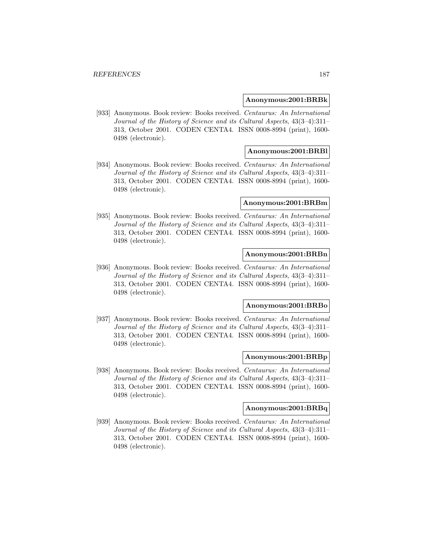#### **Anonymous:2001:BRBk**

[933] Anonymous. Book review: Books received. Centaurus: An International Journal of the History of Science and its Cultural Aspects, 43(3–4):311– 313, October 2001. CODEN CENTA4. ISSN 0008-8994 (print), 1600- 0498 (electronic).

### **Anonymous:2001:BRBl**

[934] Anonymous. Book review: Books received. Centaurus: An International Journal of the History of Science and its Cultural Aspects, 43(3–4):311– 313, October 2001. CODEN CENTA4. ISSN 0008-8994 (print), 1600- 0498 (electronic).

#### **Anonymous:2001:BRBm**

[935] Anonymous. Book review: Books received. Centaurus: An International Journal of the History of Science and its Cultural Aspects, 43(3–4):311– 313, October 2001. CODEN CENTA4. ISSN 0008-8994 (print), 1600- 0498 (electronic).

### **Anonymous:2001:BRBn**

[936] Anonymous. Book review: Books received. Centaurus: An International Journal of the History of Science and its Cultural Aspects, 43(3–4):311– 313, October 2001. CODEN CENTA4. ISSN 0008-8994 (print), 1600- 0498 (electronic).

#### **Anonymous:2001:BRBo**

[937] Anonymous. Book review: Books received. Centaurus: An International Journal of the History of Science and its Cultural Aspects, 43(3–4):311– 313, October 2001. CODEN CENTA4. ISSN 0008-8994 (print), 1600- 0498 (electronic).

# **Anonymous:2001:BRBp**

[938] Anonymous. Book review: Books received. Centaurus: An International Journal of the History of Science and its Cultural Aspects, 43(3–4):311– 313, October 2001. CODEN CENTA4. ISSN 0008-8994 (print), 1600- 0498 (electronic).

## **Anonymous:2001:BRBq**

[939] Anonymous. Book review: Books received. Centaurus: An International Journal of the History of Science and its Cultural Aspects, 43(3–4):311– 313, October 2001. CODEN CENTA4. ISSN 0008-8994 (print), 1600- 0498 (electronic).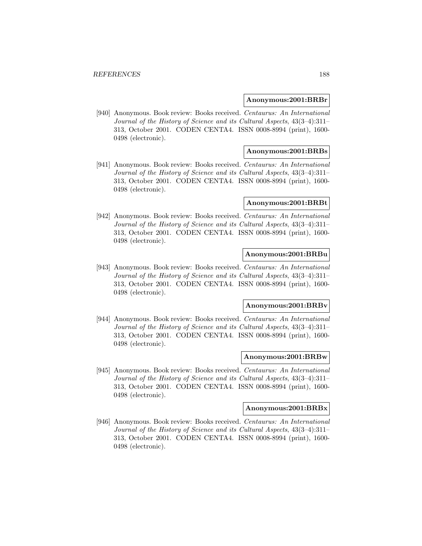#### **Anonymous:2001:BRBr**

[940] Anonymous. Book review: Books received. Centaurus: An International Journal of the History of Science and its Cultural Aspects, 43(3–4):311– 313, October 2001. CODEN CENTA4. ISSN 0008-8994 (print), 1600- 0498 (electronic).

## **Anonymous:2001:BRBs**

[941] Anonymous. Book review: Books received. Centaurus: An International Journal of the History of Science and its Cultural Aspects, 43(3–4):311– 313, October 2001. CODEN CENTA4. ISSN 0008-8994 (print), 1600- 0498 (electronic).

#### **Anonymous:2001:BRBt**

[942] Anonymous. Book review: Books received. Centaurus: An International Journal of the History of Science and its Cultural Aspects, 43(3–4):311– 313, October 2001. CODEN CENTA4. ISSN 0008-8994 (print), 1600- 0498 (electronic).

### **Anonymous:2001:BRBu**

[943] Anonymous. Book review: Books received. Centaurus: An International Journal of the History of Science and its Cultural Aspects, 43(3–4):311– 313, October 2001. CODEN CENTA4. ISSN 0008-8994 (print), 1600- 0498 (electronic).

#### **Anonymous:2001:BRBv**

[944] Anonymous. Book review: Books received. Centaurus: An International Journal of the History of Science and its Cultural Aspects, 43(3–4):311– 313, October 2001. CODEN CENTA4. ISSN 0008-8994 (print), 1600- 0498 (electronic).

## **Anonymous:2001:BRBw**

[945] Anonymous. Book review: Books received. Centaurus: An International Journal of the History of Science and its Cultural Aspects, 43(3–4):311– 313, October 2001. CODEN CENTA4. ISSN 0008-8994 (print), 1600- 0498 (electronic).

## **Anonymous:2001:BRBx**

[946] Anonymous. Book review: Books received. Centaurus: An International Journal of the History of Science and its Cultural Aspects, 43(3–4):311– 313, October 2001. CODEN CENTA4. ISSN 0008-8994 (print), 1600- 0498 (electronic).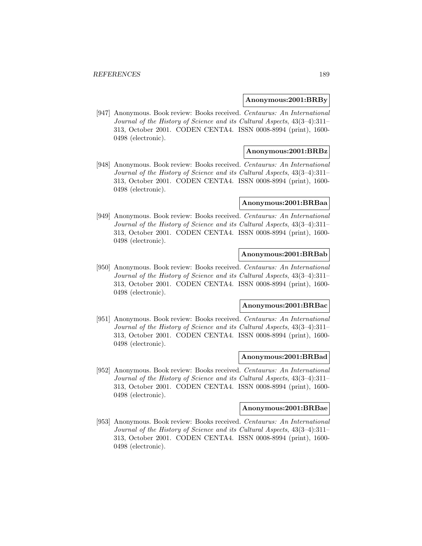#### **Anonymous:2001:BRBy**

[947] Anonymous. Book review: Books received. Centaurus: An International Journal of the History of Science and its Cultural Aspects, 43(3–4):311– 313, October 2001. CODEN CENTA4. ISSN 0008-8994 (print), 1600- 0498 (electronic).

## **Anonymous:2001:BRBz**

[948] Anonymous. Book review: Books received. Centaurus: An International Journal of the History of Science and its Cultural Aspects, 43(3–4):311– 313, October 2001. CODEN CENTA4. ISSN 0008-8994 (print), 1600- 0498 (electronic).

#### **Anonymous:2001:BRBaa**

[949] Anonymous. Book review: Books received. Centaurus: An International Journal of the History of Science and its Cultural Aspects, 43(3–4):311– 313, October 2001. CODEN CENTA4. ISSN 0008-8994 (print), 1600- 0498 (electronic).

## **Anonymous:2001:BRBab**

[950] Anonymous. Book review: Books received. Centaurus: An International Journal of the History of Science and its Cultural Aspects, 43(3–4):311– 313, October 2001. CODEN CENTA4. ISSN 0008-8994 (print), 1600- 0498 (electronic).

#### **Anonymous:2001:BRBac**

[951] Anonymous. Book review: Books received. Centaurus: An International Journal of the History of Science and its Cultural Aspects, 43(3–4):311– 313, October 2001. CODEN CENTA4. ISSN 0008-8994 (print), 1600- 0498 (electronic).

## **Anonymous:2001:BRBad**

[952] Anonymous. Book review: Books received. Centaurus: An International Journal of the History of Science and its Cultural Aspects, 43(3–4):311– 313, October 2001. CODEN CENTA4. ISSN 0008-8994 (print), 1600- 0498 (electronic).

#### **Anonymous:2001:BRBae**

[953] Anonymous. Book review: Books received. Centaurus: An International Journal of the History of Science and its Cultural Aspects, 43(3–4):311– 313, October 2001. CODEN CENTA4. ISSN 0008-8994 (print), 1600- 0498 (electronic).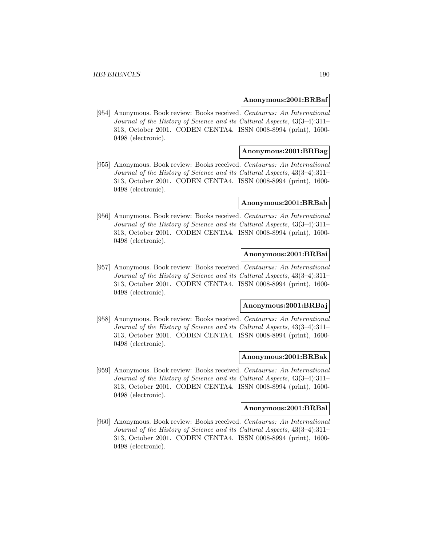#### **Anonymous:2001:BRBaf**

[954] Anonymous. Book review: Books received. Centaurus: An International Journal of the History of Science and its Cultural Aspects, 43(3–4):311– 313, October 2001. CODEN CENTA4. ISSN 0008-8994 (print), 1600- 0498 (electronic).

## **Anonymous:2001:BRBag**

[955] Anonymous. Book review: Books received. Centaurus: An International Journal of the History of Science and its Cultural Aspects, 43(3–4):311– 313, October 2001. CODEN CENTA4. ISSN 0008-8994 (print), 1600- 0498 (electronic).

#### **Anonymous:2001:BRBah**

[956] Anonymous. Book review: Books received. Centaurus: An International Journal of the History of Science and its Cultural Aspects, 43(3–4):311– 313, October 2001. CODEN CENTA4. ISSN 0008-8994 (print), 1600- 0498 (electronic).

#### **Anonymous:2001:BRBai**

[957] Anonymous. Book review: Books received. Centaurus: An International Journal of the History of Science and its Cultural Aspects, 43(3–4):311– 313, October 2001. CODEN CENTA4. ISSN 0008-8994 (print), 1600- 0498 (electronic).

#### **Anonymous:2001:BRBaj**

[958] Anonymous. Book review: Books received. Centaurus: An International Journal of the History of Science and its Cultural Aspects, 43(3–4):311– 313, October 2001. CODEN CENTA4. ISSN 0008-8994 (print), 1600- 0498 (electronic).

#### **Anonymous:2001:BRBak**

[959] Anonymous. Book review: Books received. Centaurus: An International Journal of the History of Science and its Cultural Aspects, 43(3–4):311– 313, October 2001. CODEN CENTA4. ISSN 0008-8994 (print), 1600- 0498 (electronic).

#### **Anonymous:2001:BRBal**

[960] Anonymous. Book review: Books received. Centaurus: An International Journal of the History of Science and its Cultural Aspects, 43(3–4):311– 313, October 2001. CODEN CENTA4. ISSN 0008-8994 (print), 1600- 0498 (electronic).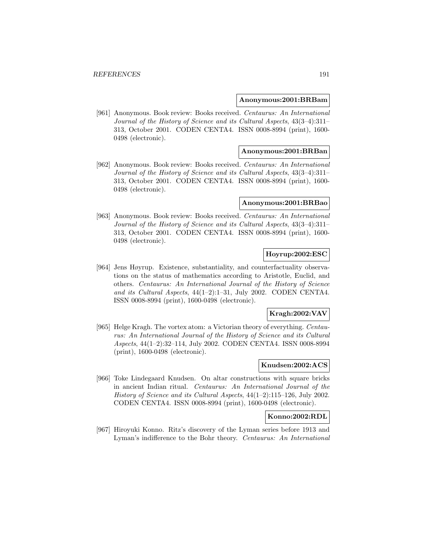#### **Anonymous:2001:BRBam**

[961] Anonymous. Book review: Books received. Centaurus: An International Journal of the History of Science and its Cultural Aspects, 43(3–4):311– 313, October 2001. CODEN CENTA4. ISSN 0008-8994 (print), 1600- 0498 (electronic).

### **Anonymous:2001:BRBan**

[962] Anonymous. Book review: Books received. Centaurus: An International Journal of the History of Science and its Cultural Aspects, 43(3–4):311– 313, October 2001. CODEN CENTA4. ISSN 0008-8994 (print), 1600- 0498 (electronic).

#### **Anonymous:2001:BRBao**

[963] Anonymous. Book review: Books received. Centaurus: An International Journal of the History of Science and its Cultural Aspects, 43(3–4):311– 313, October 2001. CODEN CENTA4. ISSN 0008-8994 (print), 1600- 0498 (electronic).

## **Hoyrup:2002:ESC**

[964] Jens Høyrup. Existence, substantiality, and counterfactuality observations on the status of mathematics according to Aristotle, Euclid, and others. Centaurus: An International Journal of the History of Science and its Cultural Aspects, 44(1–2):1–31, July 2002. CODEN CENTA4. ISSN 0008-8994 (print), 1600-0498 (electronic).

# **Kragh:2002:VAV**

[965] Helge Kragh. The vortex atom: a Victorian theory of everything. Centaurus: An International Journal of the History of Science and its Cultural Aspects, 44(1–2):32–114, July 2002. CODEN CENTA4. ISSN 0008-8994 (print), 1600-0498 (electronic).

# **Knudsen:2002:ACS**

[966] Toke Lindegaard Knudsen. On altar constructions with square bricks in ancient Indian ritual. Centaurus: An International Journal of the History of Science and its Cultural Aspects, 44(1–2):115–126, July 2002. CODEN CENTA4. ISSN 0008-8994 (print), 1600-0498 (electronic).

#### **Konno:2002:RDL**

[967] Hiroyuki Konno. Ritz's discovery of the Lyman series before 1913 and Lyman's indifference to the Bohr theory. Centaurus: An International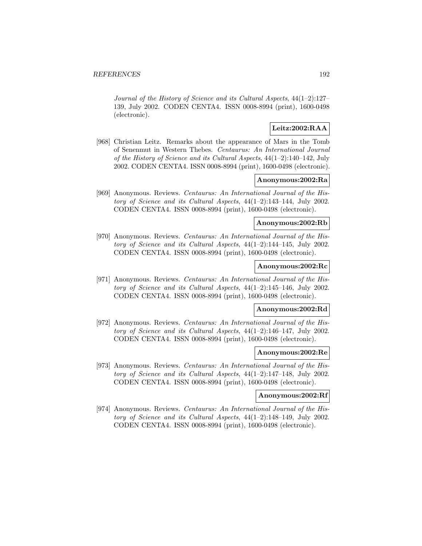Journal of the History of Science and its Cultural Aspects, 44(1–2):127– 139, July 2002. CODEN CENTA4. ISSN 0008-8994 (print), 1600-0498 (electronic).

# **Leitz:2002:RAA**

[968] Christian Leitz. Remarks about the appearance of Mars in the Tomb of Senenmut in Western Thebes. Centaurus: An International Journal of the History of Science and its Cultural Aspects, 44(1–2):140–142, July 2002. CODEN CENTA4. ISSN 0008-8994 (print), 1600-0498 (electronic).

### **Anonymous:2002:Ra**

[969] Anonymous. Reviews. Centaurus: An International Journal of the History of Science and its Cultural Aspects, 44(1–2):143–144, July 2002. CODEN CENTA4. ISSN 0008-8994 (print), 1600-0498 (electronic).

## **Anonymous:2002:Rb**

[970] Anonymous. Reviews. Centaurus: An International Journal of the History of Science and its Cultural Aspects, 44(1–2):144–145, July 2002. CODEN CENTA4. ISSN 0008-8994 (print), 1600-0498 (electronic).

# **Anonymous:2002:Rc**

[971] Anonymous. Reviews. Centaurus: An International Journal of the History of Science and its Cultural Aspects, 44(1–2):145–146, July 2002. CODEN CENTA4. ISSN 0008-8994 (print), 1600-0498 (electronic).

### **Anonymous:2002:Rd**

[972] Anonymous. Reviews. Centaurus: An International Journal of the History of Science and its Cultural Aspects, 44(1–2):146–147, July 2002. CODEN CENTA4. ISSN 0008-8994 (print), 1600-0498 (electronic).

### **Anonymous:2002:Re**

[973] Anonymous. Reviews. Centaurus: An International Journal of the History of Science and its Cultural Aspects, 44(1–2):147–148, July 2002. CODEN CENTA4. ISSN 0008-8994 (print), 1600-0498 (electronic).

#### **Anonymous:2002:Rf**

[974] Anonymous. Reviews. Centaurus: An International Journal of the History of Science and its Cultural Aspects, 44(1–2):148–149, July 2002. CODEN CENTA4. ISSN 0008-8994 (print), 1600-0498 (electronic).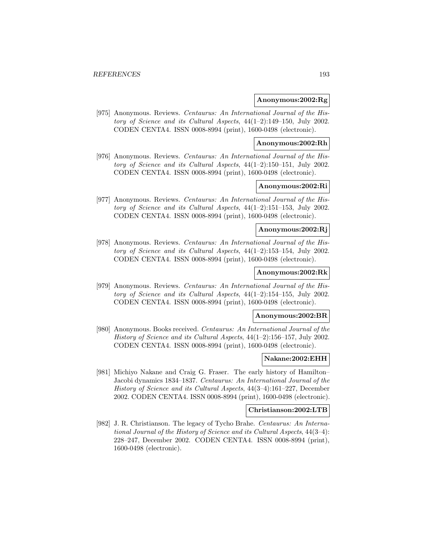### **Anonymous:2002:Rg**

[975] Anonymous. Reviews. Centaurus: An International Journal of the History of Science and its Cultural Aspects, 44(1–2):149–150, July 2002. CODEN CENTA4. ISSN 0008-8994 (print), 1600-0498 (electronic).

# **Anonymous:2002:Rh**

[976] Anonymous. Reviews. Centaurus: An International Journal of the History of Science and its Cultural Aspects, 44(1–2):150–151, July 2002. CODEN CENTA4. ISSN 0008-8994 (print), 1600-0498 (electronic).

# **Anonymous:2002:Ri**

[977] Anonymous. Reviews. Centaurus: An International Journal of the History of Science and its Cultural Aspects, 44(1–2):151–153, July 2002. CODEN CENTA4. ISSN 0008-8994 (print), 1600-0498 (electronic).

# **Anonymous:2002:Rj**

[978] Anonymous. Reviews. Centaurus: An International Journal of the History of Science and its Cultural Aspects, 44(1–2):153–154, July 2002. CODEN CENTA4. ISSN 0008-8994 (print), 1600-0498 (electronic).

# **Anonymous:2002:Rk**

[979] Anonymous. Reviews. Centaurus: An International Journal of the History of Science and its Cultural Aspects, 44(1–2):154–155, July 2002. CODEN CENTA4. ISSN 0008-8994 (print), 1600-0498 (electronic).

#### **Anonymous:2002:BR**

[980] Anonymous. Books received. Centaurus: An International Journal of the History of Science and its Cultural Aspects, 44(1–2):156–157, July 2002. CODEN CENTA4. ISSN 0008-8994 (print), 1600-0498 (electronic).

#### **Nakane:2002:EHH**

[981] Michiyo Nakane and Craig G. Fraser. The early history of Hamilton– Jacobi dynamics 1834–1837. Centaurus: An International Journal of the History of Science and its Cultural Aspects, 44(3–4):161–227, December 2002. CODEN CENTA4. ISSN 0008-8994 (print), 1600-0498 (electronic).

# **Christianson:2002:LTB**

[982] J. R. Christianson. The legacy of Tycho Brahe. Centaurus: An International Journal of the History of Science and its Cultural Aspects, 44(3–4): 228–247, December 2002. CODEN CENTA4. ISSN 0008-8994 (print), 1600-0498 (electronic).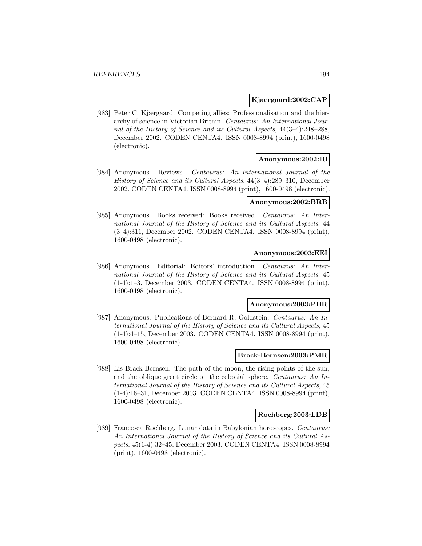## **Kjaergaard:2002:CAP**

[983] Peter C. Kjærgaard. Competing allies: Professionalisation and the hierarchy of science in Victorian Britain. Centaurus: An International Journal of the History of Science and its Cultural Aspects, 44(3–4):248–288, December 2002. CODEN CENTA4. ISSN 0008-8994 (print), 1600-0498 (electronic).

# **Anonymous:2002:Rl**

[984] Anonymous. Reviews. Centaurus: An International Journal of the History of Science and its Cultural Aspects, 44(3–4):289–310, December 2002. CODEN CENTA4. ISSN 0008-8994 (print), 1600-0498 (electronic).

## **Anonymous:2002:BRB**

[985] Anonymous. Books received: Books received. Centaurus: An International Journal of the History of Science and its Cultural Aspects, 44 (3–4):311, December 2002. CODEN CENTA4. ISSN 0008-8994 (print), 1600-0498 (electronic).

# **Anonymous:2003:EEI**

[986] Anonymous. Editorial: Editors' introduction. Centaurus: An International Journal of the History of Science and its Cultural Aspects, 45 (1-4):1–3, December 2003. CODEN CENTA4. ISSN 0008-8994 (print), 1600-0498 (electronic).

#### **Anonymous:2003:PBR**

[987] Anonymous. Publications of Bernard R. Goldstein. Centaurus: An International Journal of the History of Science and its Cultural Aspects, 45 (1-4):4–15, December 2003. CODEN CENTA4. ISSN 0008-8994 (print), 1600-0498 (electronic).

## **Brack-Bernsen:2003:PMR**

[988] Lis Brack-Bernsen. The path of the moon, the rising points of the sun, and the oblique great circle on the celestial sphere. Centaurus: An International Journal of the History of Science and its Cultural Aspects, 45 (1-4):16–31, December 2003. CODEN CENTA4. ISSN 0008-8994 (print), 1600-0498 (electronic).

## **Rochberg:2003:LDB**

[989] Francesca Rochberg. Lunar data in Babylonian horoscopes. Centaurus: An International Journal of the History of Science and its Cultural Aspects, 45(1-4):32–45, December 2003. CODEN CENTA4. ISSN 0008-8994 (print), 1600-0498 (electronic).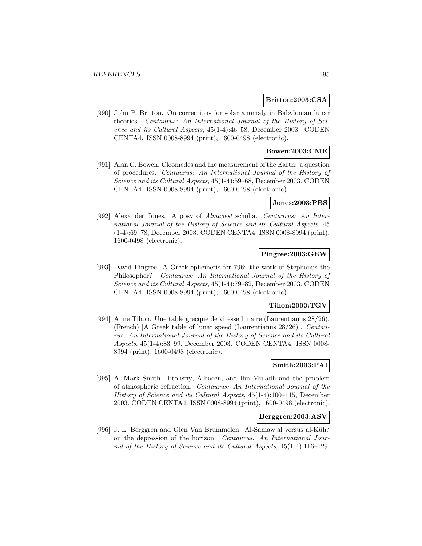#### **Britton:2003:CSA**

[990] John P. Britton. On corrections for solar anomaly in Babylonian lunar theories. Centaurus: An International Journal of the History of Science and its Cultural Aspects, 45(1-4):46–58, December 2003. CODEN CENTA4. ISSN 0008-8994 (print), 1600-0498 (electronic).

# **Bowen:2003:CME**

[991] Alan C. Bowen. Cleomedes and the measurement of the Earth: a question of procedures. Centaurus: An International Journal of the History of Science and its Cultural Aspects, 45(1-4):59–68, December 2003. CODEN CENTA4. ISSN 0008-8994 (print), 1600-0498 (electronic).

## **Jones:2003:PBS**

[992] Alexander Jones. A posy of Almagest scholia. Centaurus: An International Journal of the History of Science and its Cultural Aspects, 45 (1-4):69–78, December 2003. CODEN CENTA4. ISSN 0008-8994 (print), 1600-0498 (electronic).

# **Pingree:2003:GEW**

[993] David Pingree. A Greek ephemeris for 796: the work of Stephanus the Philosopher? Centaurus: An International Journal of the History of Science and its Cultural Aspects, 45(1-4):79–82, December 2003. CODEN CENTA4. ISSN 0008-8994 (print), 1600-0498 (electronic).

#### **Tihon:2003:TGV**

[994] Anne Tihon. Une table grecque de vitesse lunaire (Laurentianus 28/26). (French) [A Greek table of lunar speed (Laurentianus 28/26)]. Centaurus: An International Journal of the History of Science and its Cultural Aspects, 45(1-4):83–99, December 2003. CODEN CENTA4. ISSN 0008- 8994 (print), 1600-0498 (electronic).

# **Smith:2003:PAI**

[995] A. Mark Smith. Ptolemy, Alhacen, and Ibn Mu'adh and the problem of atmospheric refraction. Centaurus: An International Journal of the History of Science and its Cultural Aspects, 45(1-4):100–115, December 2003. CODEN CENTA4. ISSN 0008-8994 (print), 1600-0498 (electronic).

## **Berggren:2003:ASV**

[996] J. L. Berggren and Glen Van Brummelen. Al-Samaw'al versus al-Kūh? on the depression of the horizon. Centaurus: An International Journal of the History of Science and its Cultural Aspects, 45(1-4):116–129,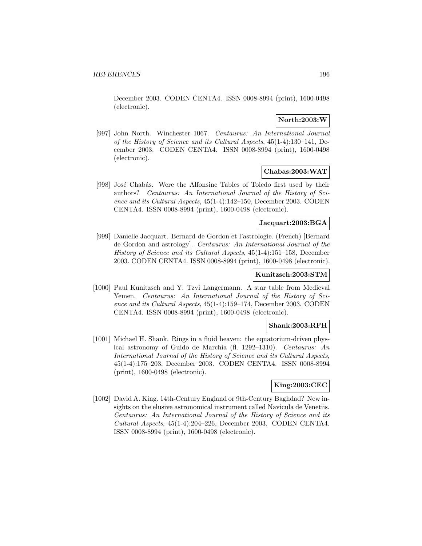December 2003. CODEN CENTA4. ISSN 0008-8994 (print), 1600-0498 (electronic).

# **North:2003:W**

[997] John North. Winchester 1067. Centaurus: An International Journal of the History of Science and its Cultural Aspects, 45(1-4):130–141, December 2003. CODEN CENTA4. ISSN 0008-8994 (print), 1600-0498 (electronic).

# **Chabas:2003:WAT**

[998] José Chabás. Were the Alfonsine Tables of Toledo first used by their authors? Centaurus: An International Journal of the History of Science and its Cultural Aspects, 45(1-4):142–150, December 2003. CODEN CENTA4. ISSN 0008-8994 (print), 1600-0498 (electronic).

## **Jacquart:2003:BGA**

[999] Danielle Jacquart. Bernard de Gordon et l'astrologie. (French) [Bernard de Gordon and astrology]. Centaurus: An International Journal of the History of Science and its Cultural Aspects, 45(1-4):151–158, December 2003. CODEN CENTA4. ISSN 0008-8994 (print), 1600-0498 (electronic).

## **Kunitzsch:2003:STM**

[1000] Paul Kunitzsch and Y. Tzvi Langermann. A star table from Medieval Yemen. Centaurus: An International Journal of the History of Science and its Cultural Aspects, 45(1-4):159–174, December 2003. CODEN CENTA4. ISSN 0008-8994 (print), 1600-0498 (electronic).

## **Shank:2003:RFH**

[1001] Michael H. Shank. Rings in a fluid heaven: the equatorium-driven physical astronomy of Guido de Marchia (fl. 1292–1310). Centaurus: An International Journal of the History of Science and its Cultural Aspects, 45(1-4):175–203, December 2003. CODEN CENTA4. ISSN 0008-8994 (print), 1600-0498 (electronic).

#### **King:2003:CEC**

[1002] David A. King. 14th-Century England or 9th-Century Baghdad? New insights on the elusive astronomical instrument called Navicula de Venetiis. Centaurus: An International Journal of the History of Science and its Cultural Aspects, 45(1-4):204–226, December 2003. CODEN CENTA4. ISSN 0008-8994 (print), 1600-0498 (electronic).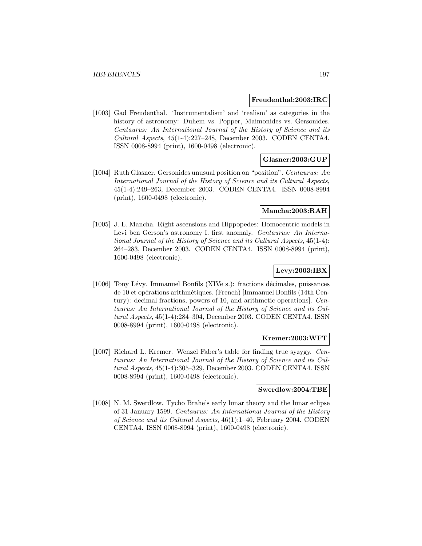#### **Freudenthal:2003:IRC**

[1003] Gad Freudenthal. 'Instrumentalism' and 'realism' as categories in the history of astronomy: Duhem vs. Popper, Maimonides vs. Gersonides. Centaurus: An International Journal of the History of Science and its Cultural Aspects, 45(1-4):227–248, December 2003. CODEN CENTA4. ISSN 0008-8994 (print), 1600-0498 (electronic).

# **Glasner:2003:GUP**

[1004] Ruth Glasner. Gersonides unusual position on "position". Centaurus: An International Journal of the History of Science and its Cultural Aspects, 45(1-4):249–263, December 2003. CODEN CENTA4. ISSN 0008-8994 (print), 1600-0498 (electronic).

## **Mancha:2003:RAH**

[1005] J. L. Mancha. Right ascensions and Hippopedes: Homocentric models in Levi ben Gerson's astronomy I. first anomaly. Centaurus: An International Journal of the History of Science and its Cultural Aspects, 45(1-4): 264–283, December 2003. CODEN CENTA4. ISSN 0008-8994 (print), 1600-0498 (electronic).

# **Levy:2003:IBX**

[1006] Tony Lévy. Immanuel Bonfils (XIVe s.): fractions décimales, puissances de 10 et opérations arithmétiques. (French) [Immanuel Bonfils (14th Century): decimal fractions, powers of 10, and arithmetic operations]. Centaurus: An International Journal of the History of Science and its Cultural Aspects, 45(1-4):284–304, December 2003. CODEN CENTA4. ISSN 0008-8994 (print), 1600-0498 (electronic).

## **Kremer:2003:WFT**

[1007] Richard L. Kremer. Wenzel Faber's table for finding true syzygy. Centaurus: An International Journal of the History of Science and its Cultural Aspects, 45(1-4):305–329, December 2003. CODEN CENTA4. ISSN 0008-8994 (print), 1600-0498 (electronic).

# **Swerdlow:2004:TBE**

[1008] N. M. Swerdlow. Tycho Brahe's early lunar theory and the lunar eclipse of 31 January 1599. Centaurus: An International Journal of the History of Science and its Cultural Aspects, 46(1):1–40, February 2004. CODEN CENTA4. ISSN 0008-8994 (print), 1600-0498 (electronic).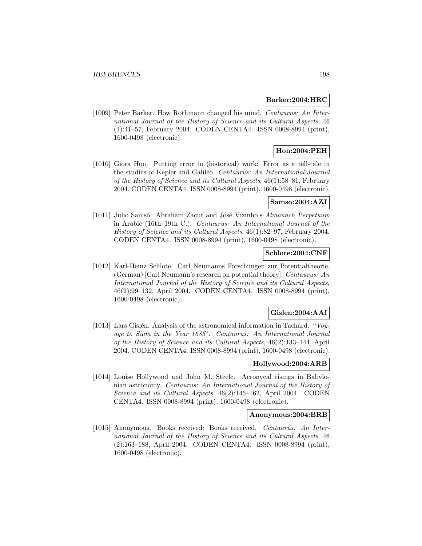### **Barker:2004:HRC**

[1009] Peter Barker. How Rothmann changed his mind. Centaurus: An International Journal of the History of Science and its Cultural Aspects, 46 (1):41–57, February 2004. CODEN CENTA4. ISSN 0008-8994 (print), 1600-0498 (electronic).

# **Hon:2004:PEH**

[1010] Giora Hon. Putting error to (historical) work: Error as a tell-tale in the studies of Kepler and Galileo. Centaurus: An International Journal of the History of Science and its Cultural Aspects, 46(1):58–81, February 2004. CODEN CENTA4. ISSN 0008-8994 (print), 1600-0498 (electronic).

# **Samso:2004:AZJ**

[1011] Julio Samsó. Abraham Zacut and José Vizinho's Almanach Perpetuum in Arabic (16th–19th C.). Centaurus: An International Journal of the History of Science and its Cultural Aspects, 46(1):82–97, February 2004. CODEN CENTA4. ISSN 0008-8994 (print), 1600-0498 (electronic).

# **Schlote:2004:CNF**

[1012] Karl-Heinz Schlote. Carl Neumanns Forschungen zur Potentialtheorie. (German) [Carl Neumann's research on potential theory]. Centaurus: An International Journal of the History of Science and its Cultural Aspects, 46(2):99–132, April 2004. CODEN CENTA4. ISSN 0008-8994 (print), 1600-0498 (electronic).

# **Gislen:2004:AAI**

[1013] Lars Gislén. Analysis of the astronomical information in Tachard: "Voyage to Siam in the Year 1685". Centaurus: An International Journal of the History of Science and its Cultural Aspects, 46(2):133–144, April 2004. CODEN CENTA4. ISSN 0008-8994 (print), 1600-0498 (electronic).

# **Hollywood:2004:ARB**

[1014] Louise Hollywood and John M. Steele. Acronycal risings in Babylonian astronomy. Centaurus: An International Journal of the History of Science and its Cultural Aspects, 46(2):145–162, April 2004. CODEN CENTA4. ISSN 0008-8994 (print), 1600-0498 (electronic).

#### **Anonymous:2004:BRB**

[1015] Anonymous. Books received: Books received. Centaurus: An International Journal of the History of Science and its Cultural Aspects, 46 (2):163–188, April 2004. CODEN CENTA4. ISSN 0008-8994 (print), 1600-0498 (electronic).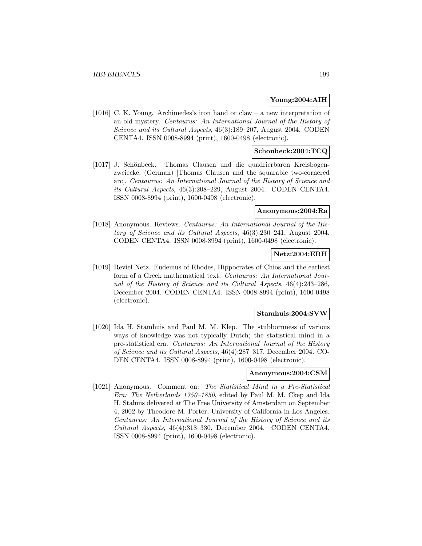## **Young:2004:AIH**

[1016] C. K. Young. Archimedes's iron hand or claw – a new interpretation of an old mystery. Centaurus: An International Journal of the History of Science and its Cultural Aspects, 46(3):189–207, August 2004. CODEN CENTA4. ISSN 0008-8994 (print), 1600-0498 (electronic).

# **Schonbeck:2004:TCQ**

[1017] J. Schönbeck. Thomas Clausen und die quadrierbaren Kreisbogenzweiecke. (German) [Thomas Clausen and the squarable two-cornered arc]. Centaurus: An International Journal of the History of Science and its Cultural Aspects, 46(3):208–229, August 2004. CODEN CENTA4. ISSN 0008-8994 (print), 1600-0498 (electronic).

### **Anonymous:2004:Ra**

[1018] Anonymous. Reviews. Centaurus: An International Journal of the History of Science and its Cultural Aspects, 46(3):230–241, August 2004. CODEN CENTA4. ISSN 0008-8994 (print), 1600-0498 (electronic).

### **Netz:2004:ERH**

[1019] Reviel Netz. Eudemus of Rhodes, Hippocrates of Chios and the earliest form of a Greek mathematical text. Centaurus: An International Journal of the History of Science and its Cultural Aspects, 46(4):243–286, December 2004. CODEN CENTA4. ISSN 0008-8994 (print), 1600-0498 (electronic).

#### **Stamhuis:2004:SVW**

[1020] Ida H. Stamhuis and Paul M. M. Klep. The stubbornness of various ways of knowledge was not typically Dutch; the statistical mind in a pre-statistical era. Centaurus: An International Journal of the History of Science and its Cultural Aspects, 46(4):287–317, December 2004. CO-DEN CENTA4. ISSN 0008-8994 (print), 1600-0498 (electronic).

# **Anonymous:2004:CSM**

[1021] Anonymous. Comment on: The Statistical Mind in a Pre-Statistical Era: The Netherlands 1750–1850, edited by Paul M. M. Ckep and Ida H. Stahuis delivered at The Free University of Amsterdam on September 4, 2002 by Theodore M. Porter, University of California in Los Angeles. Centaurus: An International Journal of the History of Science and its Cultural Aspects, 46(4):318–330, December 2004. CODEN CENTA4. ISSN 0008-8994 (print), 1600-0498 (electronic).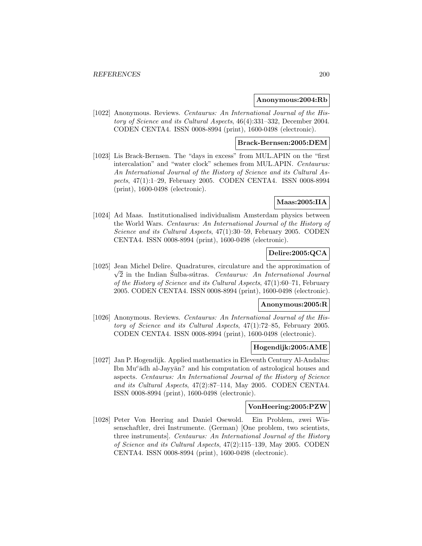#### **Anonymous:2004:Rb**

[1022] Anonymous. Reviews. Centaurus: An International Journal of the History of Science and its Cultural Aspects, 46(4):331–332, December 2004. CODEN CENTA4. ISSN 0008-8994 (print), 1600-0498 (electronic).

#### **Brack-Bernsen:2005:DEM**

[1023] Lis Brack-Bernsen. The "days in excess" from MUL.APIN on the "first intercalation" and "water clock" schemes from MUL.APIN. Centaurus: An International Journal of the History of Science and its Cultural Aspects, 47(1):1–29, February 2005. CODEN CENTA4. ISSN 0008-8994 (print), 1600-0498 (electronic).

# **Maas:2005:IIA**

[1024] Ad Maas. Institutionalised individualism Amsterdam physics between the World Wars. Centaurus: An International Journal of the History of Science and its Cultural Aspects, 47(1):30–59, February 2005. CODEN CENTA4. ISSN 0008-8994 (print), 1600-0498 (electronic).

# **Delire:2005:QCA**

[1025] Jean Michel Delire. Quadratures, circulature and the approximation of  $\sqrt{2}$  in the Indian Sulba-sútras. Centaurus: An International Journal of the History of Science and its Cultural Aspects, 47(1):60–71, February 2005. CODEN CENTA4. ISSN 0008-8994 (print), 1600-0498 (electronic).

# **Anonymous:2005:R**

[1026] Anonymous. Reviews. Centaurus: An International Journal of the History of Science and its Cultural Aspects, 47(1):72–85, February 2005. CODEN CENTA4. ISSN 0008-8994 (print), 1600-0498 (electronic).

## **Hogendijk:2005:AME**

[1027] Jan P. Hogendijk. Applied mathematics in Eleventh Century Al-Andalus: Ibn  $\text{Mu}^c$  and  $\text{Au}^c$  and his computation of astrological houses and aspects. Centaurus: An International Journal of the History of Science and its Cultural Aspects, 47(2):87–114, May 2005. CODEN CENTA4. ISSN 0008-8994 (print), 1600-0498 (electronic).

#### **VonHeering:2005:PZW**

[1028] Peter Von Heering and Daniel Osewold. Ein Problem, zwei Wissenschaftler, drei Instrumente. (German) [One problem, two scientists, three instruments]. Centaurus: An International Journal of the History of Science and its Cultural Aspects, 47(2):115–139, May 2005. CODEN CENTA4. ISSN 0008-8994 (print), 1600-0498 (electronic).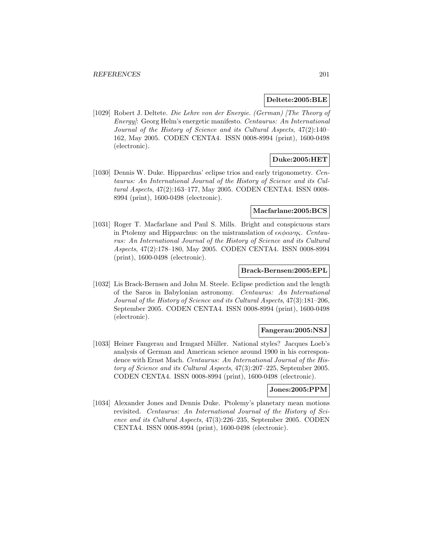### **Deltete:2005:BLE**

[1029] Robert J. Deltete. Die Lehre von der Energie. (German) [The Theory of Energy]: Georg Helm's energetic manifesto. Centaurus: An International Journal of the History of Science and its Cultural Aspects, 47(2):140– 162, May 2005. CODEN CENTA4. ISSN 0008-8994 (print), 1600-0498 (electronic).

# **Duke:2005:HET**

[1030] Dennis W. Duke. Hipparchus' eclipse trios and early trigonometry. Centaurus: An International Journal of the History of Science and its Cultural Aspects, 47(2):163–177, May 2005. CODEN CENTA4. ISSN 0008- 8994 (print), 1600-0498 (electronic).

### **Macfarlane:2005:BCS**

[1031] Roger T. Macfarlane and Paul S. Mills. Bright and conspicuous stars in Ptolemy and Hipparchus: on the mistranslation of  $\epsilon \kappa \phi \alpha \nu \eta \varsigma$ . Centaurus: An International Journal of the History of Science and its Cultural Aspects, 47(2):178–180, May 2005. CODEN CENTA4. ISSN 0008-8994 (print), 1600-0498 (electronic).

## **Brack-Bernsen:2005:EPL**

[1032] Lis Brack-Bernsen and John M. Steele. Eclipse prediction and the length of the Saros in Babylonian astronomy. Centaurus: An International Journal of the History of Science and its Cultural Aspects, 47(3):181–206, September 2005. CODEN CENTA4. ISSN 0008-8994 (print), 1600-0498 (electronic).

# **Fangerau:2005:NSJ**

[1033] Heiner Fangerau and Irmgard Müller. National styles? Jacques Loeb's analysis of German and American science around 1900 in his correspondence with Ernst Mach. Centaurus: An International Journal of the History of Science and its Cultural Aspects, 47(3):207–225, September 2005. CODEN CENTA4. ISSN 0008-8994 (print), 1600-0498 (electronic).

## **Jones:2005:PPM**

[1034] Alexander Jones and Dennis Duke. Ptolemy's planetary mean motions revisited. Centaurus: An International Journal of the History of Science and its Cultural Aspects, 47(3):226–235, September 2005. CODEN CENTA4. ISSN 0008-8994 (print), 1600-0498 (electronic).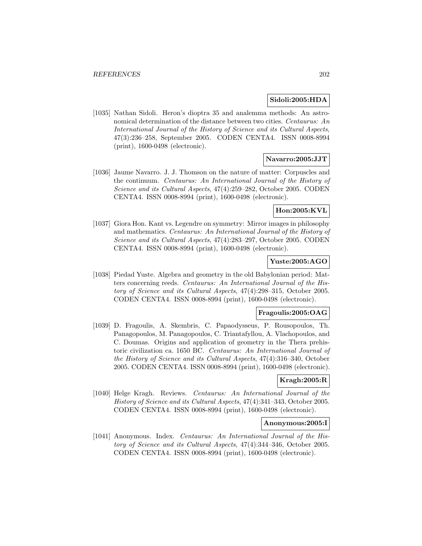## **Sidoli:2005:HDA**

[1035] Nathan Sidoli. Heron's dioptra 35 and analemma methods: An astronomical determination of the distance between two cities. Centaurus: An International Journal of the History of Science and its Cultural Aspects, 47(3):236–258, September 2005. CODEN CENTA4. ISSN 0008-8994 (print), 1600-0498 (electronic).

### **Navarro:2005:JJT**

[1036] Jaume Navarro. J. J. Thomson on the nature of matter: Corpuscles and the continuum. Centaurus: An International Journal of the History of Science and its Cultural Aspects, 47(4):259–282, October 2005. CODEN CENTA4. ISSN 0008-8994 (print), 1600-0498 (electronic).

# **Hon:2005:KVL**

[1037] Giora Hon. Kant vs. Legendre on symmetry: Mirror images in philosophy and mathematics. Centaurus: An International Journal of the History of Science and its Cultural Aspects, 47(4):283–297, October 2005. CODEN CENTA4. ISSN 0008-8994 (print), 1600-0498 (electronic).

## **Yuste:2005:AGO**

[1038] Piedad Yuste. Algebra and geometry in the old Babylonian period: Matters concerning reeds. Centaurus: An International Journal of the History of Science and its Cultural Aspects, 47(4):298–315, October 2005. CODEN CENTA4. ISSN 0008-8994 (print), 1600-0498 (electronic).

#### **Fragoulis:2005:OAG**

[1039] D. Fragoulis, A. Skembris, C. Papaodysseus, P. Rousopoulos, Th. Panagopoulos, M. Panagopoulos, C. Triantafyllou, A. Vlachopoulos, and C. Doumas. Origins and application of geometry in the Thera prehistoric civilization ca. 1650 BC. Centaurus: An International Journal of the History of Science and its Cultural Aspects, 47(4):316–340, October 2005. CODEN CENTA4. ISSN 0008-8994 (print), 1600-0498 (electronic).

# **Kragh:2005:R**

[1040] Helge Kragh. Reviews. Centaurus: An International Journal of the History of Science and its Cultural Aspects, 47(4):341–343, October 2005. CODEN CENTA4. ISSN 0008-8994 (print), 1600-0498 (electronic).

#### **Anonymous:2005:I**

[1041] Anonymous. Index. *Centaurus: An International Journal of the His*tory of Science and its Cultural Aspects, 47(4):344–346, October 2005. CODEN CENTA4. ISSN 0008-8994 (print), 1600-0498 (electronic).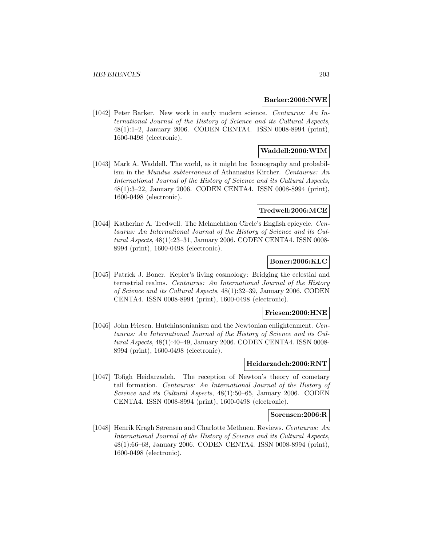### **Barker:2006:NWE**

[1042] Peter Barker. New work in early modern science. Centaurus: An International Journal of the History of Science and its Cultural Aspects, 48(1):1–2, January 2006. CODEN CENTA4. ISSN 0008-8994 (print), 1600-0498 (electronic).

# **Waddell:2006:WIM**

[1043] Mark A. Waddell. The world, as it might be: Iconography and probabilism in the Mundus subterraneus of Athanasius Kircher. Centaurus: An International Journal of the History of Science and its Cultural Aspects, 48(1):3–22, January 2006. CODEN CENTA4. ISSN 0008-8994 (print), 1600-0498 (electronic).

## **Tredwell:2006:MCE**

[1044] Katherine A. Tredwell. The Melanchthon Circle's English epicycle. Centaurus: An International Journal of the History of Science and its Cultural Aspects, 48(1):23–31, January 2006. CODEN CENTA4. ISSN 0008- 8994 (print), 1600-0498 (electronic).

## **Boner:2006:KLC**

[1045] Patrick J. Boner. Kepler's living cosmology: Bridging the celestial and terrestrial realms. Centaurus: An International Journal of the History of Science and its Cultural Aspects, 48(1):32–39, January 2006. CODEN CENTA4. ISSN 0008-8994 (print), 1600-0498 (electronic).

#### **Friesen:2006:HNE**

[1046] John Friesen. Hutchinsonianism and the Newtonian enlightenment. Centaurus: An International Journal of the History of Science and its Cultural Aspects, 48(1):40–49, January 2006. CODEN CENTA4. ISSN 0008- 8994 (print), 1600-0498 (electronic).

## **Heidarzadeh:2006:RNT**

[1047] Tofigh Heidarzadeh. The reception of Newton's theory of cometary tail formation. Centaurus: An International Journal of the History of Science and its Cultural Aspects, 48(1):50–65, January 2006. CODEN CENTA4. ISSN 0008-8994 (print), 1600-0498 (electronic).

#### **Sorensen:2006:R**

[1048] Henrik Kragh Sørensen and Charlotte Methuen. Reviews. Centaurus: An International Journal of the History of Science and its Cultural Aspects, 48(1):66–68, January 2006. CODEN CENTA4. ISSN 0008-8994 (print), 1600-0498 (electronic).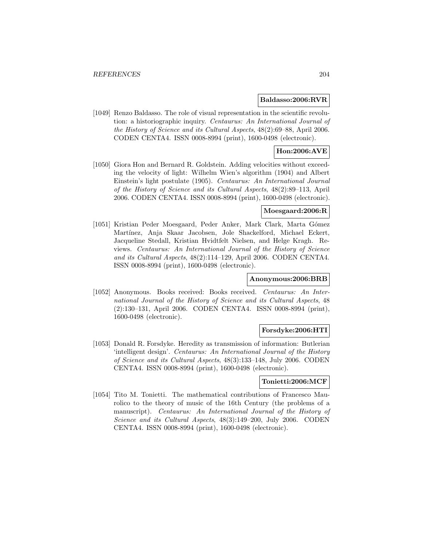## **Baldasso:2006:RVR**

[1049] Renzo Baldasso. The role of visual representation in the scientific revolution: a historiographic inquiry. Centaurus: An International Journal of the History of Science and its Cultural Aspects, 48(2):69–88, April 2006. CODEN CENTA4. ISSN 0008-8994 (print), 1600-0498 (electronic).

# **Hon:2006:AVE**

[1050] Giora Hon and Bernard R. Goldstein. Adding velocities without exceeding the velocity of light: Wilhelm Wien's algorithm (1904) and Albert Einstein's light postulate (1905). Centaurus: An International Journal of the History of Science and its Cultural Aspects, 48(2):89–113, April 2006. CODEN CENTA4. ISSN 0008-8994 (print), 1600-0498 (electronic).

## **Moesgaard:2006:R**

[1051] Kristian Peder Moesgaard, Peder Anker, Mark Clark, Marta Gómez Martínez, Anja Skaar Jacobsen, Jole Shackelford, Michael Eckert, Jacqueline Stedall, Kristian Hvidtfelt Nielsen, and Helge Kragh. Reviews. Centaurus: An International Journal of the History of Science and its Cultural Aspects, 48(2):114–129, April 2006. CODEN CENTA4. ISSN 0008-8994 (print), 1600-0498 (electronic).

# **Anonymous:2006:BRB**

[1052] Anonymous. Books received: Books received. Centaurus: An International Journal of the History of Science and its Cultural Aspects, 48 (2):130–131, April 2006. CODEN CENTA4. ISSN 0008-8994 (print), 1600-0498 (electronic).

# **Forsdyke:2006:HTI**

[1053] Donald R. Forsdyke. Heredity as transmission of information: Butlerian 'intelligent design'. Centaurus: An International Journal of the History of Science and its Cultural Aspects, 48(3):133–148, July 2006. CODEN CENTA4. ISSN 0008-8994 (print), 1600-0498 (electronic).

#### **Tonietti:2006:MCF**

[1054] Tito M. Tonietti. The mathematical contributions of Francesco Maurolico to the theory of music of the 16th Century (the problems of a manuscript). Centaurus: An International Journal of the History of Science and its Cultural Aspects, 48(3):149–200, July 2006. CODEN CENTA4. ISSN 0008-8994 (print), 1600-0498 (electronic).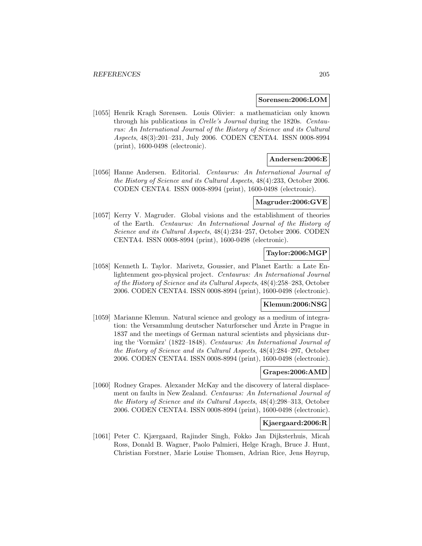#### **Sorensen:2006:LOM**

[1055] Henrik Kragh Sørensen. Louis Olivier: a mathematician only known through his publications in Crelle's Journal during the 1820s. Centaurus: An International Journal of the History of Science and its Cultural Aspects, 48(3):201–231, July 2006. CODEN CENTA4. ISSN 0008-8994 (print), 1600-0498 (electronic).

# **Andersen:2006:E**

[1056] Hanne Andersen. Editorial. Centaurus: An International Journal of the History of Science and its Cultural Aspects, 48(4):233, October 2006. CODEN CENTA4. ISSN 0008-8994 (print), 1600-0498 (electronic).

## **Magruder:2006:GVE**

[1057] Kerry V. Magruder. Global visions and the establishment of theories of the Earth. Centaurus: An International Journal of the History of Science and its Cultural Aspects, 48(4):234–257, October 2006. CODEN CENTA4. ISSN 0008-8994 (print), 1600-0498 (electronic).

# **Taylor:2006:MGP**

[1058] Kenneth L. Taylor. Marivetz, Goussier, and Planet Earth: a Late Enlightenment geo-physical project. Centaurus: An International Journal of the History of Science and its Cultural Aspects, 48(4):258–283, October 2006. CODEN CENTA4. ISSN 0008-8994 (print), 1600-0498 (electronic).

# **Klemun:2006:NSG**

[1059] Marianne Klemun. Natural science and geology as a medium of integration: the Versammlung deutscher Naturforscher und Ärzte in Prague in 1837 and the meetings of German natural scientists and physicians during the 'Vormärz' (1822–1848). Centaurus: An International Journal of the History of Science and its Cultural Aspects, 48(4):284–297, October 2006. CODEN CENTA4. ISSN 0008-8994 (print), 1600-0498 (electronic).

# **Grapes:2006:AMD**

[1060] Rodney Grapes. Alexander McKay and the discovery of lateral displacement on faults in New Zealand. Centaurus: An International Journal of the History of Science and its Cultural Aspects, 48(4):298–313, October 2006. CODEN CENTA4. ISSN 0008-8994 (print), 1600-0498 (electronic).

# **Kjaergaard:2006:R**

[1061] Peter C. Kjærgaard, Rajinder Singh, Fokko Jan Dijksterhuis, Micah Ross, Donald B. Wagner, Paolo Palmieri, Helge Kragh, Bruce J. Hunt, Christian Forstner, Marie Louise Thomsen, Adrian Rice, Jens Høyrup,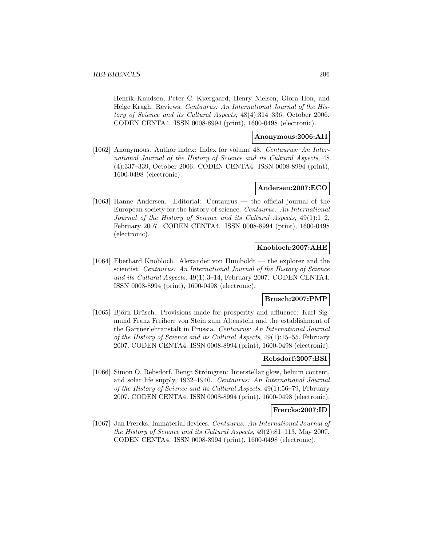Henrik Knudsen, Peter C. Kjærgaard, Henry Nielsen, Giora Hon, and Helge Kragh. Reviews. Centaurus: An International Journal of the History of Science and its Cultural Aspects, 48(4):314–336, October 2006. CODEN CENTA4. ISSN 0008-8994 (print), 1600-0498 (electronic).

# **Anonymous:2006:AII**

[1062] Anonymous. Author index: Index for volume 48. Centaurus: An International Journal of the History of Science and its Cultural Aspects, 48 (4):337–339, October 2006. CODEN CENTA4. ISSN 0008-8994 (print), 1600-0498 (electronic).

## **Andersen:2007:ECO**

[1063] Hanne Andersen. Editorial: Centaurus — the official journal of the European society for the history of science. Centaurus: An International Journal of the History of Science and its Cultural Aspects, 49(1):1–2, February 2007. CODEN CENTA4. ISSN 0008-8994 (print), 1600-0498 (electronic).

## **Knobloch:2007:AHE**

[1064] Eberhard Knobloch. Alexander von Humboldt — the explorer and the scientist. Centaurus: An International Journal of the History of Science and its Cultural Aspects, 49(1):3–14, February 2007. CODEN CENTA4. ISSN 0008-8994 (print), 1600-0498 (electronic).

# **Brusch:2007:PMP**

[1065] Björn Brüsch. Provisions made for prosperity and affluence: Karl Sigmund Franz Freiherr von Stein zum Altenstein and the establishment of the Gärtnerlehranstalt in Prussia. Centaurus: An International Journal of the History of Science and its Cultural Aspects, 49(1):15–55, February 2007. CODEN CENTA4. ISSN 0008-8994 (print), 1600-0498 (electronic).

## **Rebsdorf:2007:BSI**

[1066] Simon O. Rebsdorf. Bengt Strömgren: Interstellar glow, helium content, and solar life supply, 1932–1940. Centaurus: An International Journal of the History of Science and its Cultural Aspects, 49(1):56–79, February 2007. CODEN CENTA4. ISSN 0008-8994 (print), 1600-0498 (electronic).

# **Frercks:2007:ID**

[1067] Jan Frercks. Immaterial devices. Centaurus: An International Journal of the History of Science and its Cultural Aspects, 49(2):81–113, May 2007. CODEN CENTA4. ISSN 0008-8994 (print), 1600-0498 (electronic).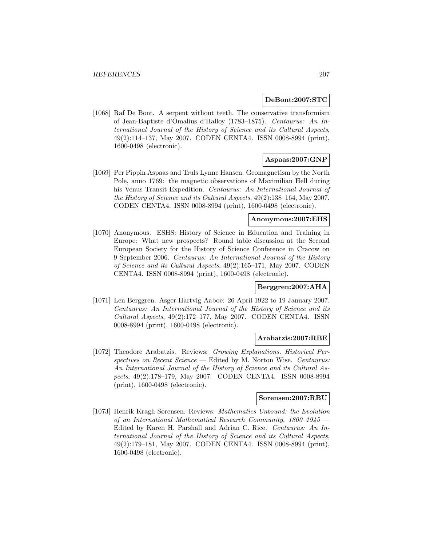## **DeBont:2007:STC**

[1068] Raf De Bont. A serpent without teeth. The conservative transformism of Jean-Baptiste d'Omalius d'Halloy (1783–1875). Centaurus: An International Journal of the History of Science and its Cultural Aspects, 49(2):114–137, May 2007. CODEN CENTA4. ISSN 0008-8994 (print), 1600-0498 (electronic).

# **Aspaas:2007:GNP**

[1069] Per Pippin Aspaas and Truls Lynne Hansen. Geomagnetism by the North Pole, anno 1769: the magnetic observations of Maximilian Hell during his Venus Transit Expedition. Centaurus: An International Journal of the History of Science and its Cultural Aspects, 49(2):138–164, May 2007. CODEN CENTA4. ISSN 0008-8994 (print), 1600-0498 (electronic).

# **Anonymous:2007:EHS**

[1070] Anonymous. ESHS: History of Science in Education and Training in Europe: What new prospects? Round table discussion at the Second European Society for the History of Science Conference in Cracow on 9 September 2006. Centaurus: An International Journal of the History of Science and its Cultural Aspects, 49(2):165–171, May 2007. CODEN CENTA4. ISSN 0008-8994 (print), 1600-0498 (electronic).

# **Berggren:2007:AHA**

[1071] Len Berggren. Asger Hartvig Aaboe: 26 April 1922 to 19 January 2007. Centaurus: An International Journal of the History of Science and its Cultural Aspects, 49(2):172–177, May 2007. CODEN CENTA4. ISSN 0008-8994 (print), 1600-0498 (electronic).

## **Arabatzis:2007:RBE**

[1072] Theodore Arabatzis. Reviews: Growing Explanations. Historical Perspectives on Recent Science — Edited by M. Norton Wise. Centaurus: An International Journal of the History of Science and its Cultural Aspects, 49(2):178–179, May 2007. CODEN CENTA4. ISSN 0008-8994 (print), 1600-0498 (electronic).

# **Sorensen:2007:RBU**

[1073] Henrik Kragh Sørensen. Reviews: Mathematics Unbound: the Evolution of an International Mathematical Research Community, 1800–1945 — Edited by Karen H. Parshall and Adrian C. Rice. Centaurus: An International Journal of the History of Science and its Cultural Aspects, 49(2):179–181, May 2007. CODEN CENTA4. ISSN 0008-8994 (print), 1600-0498 (electronic).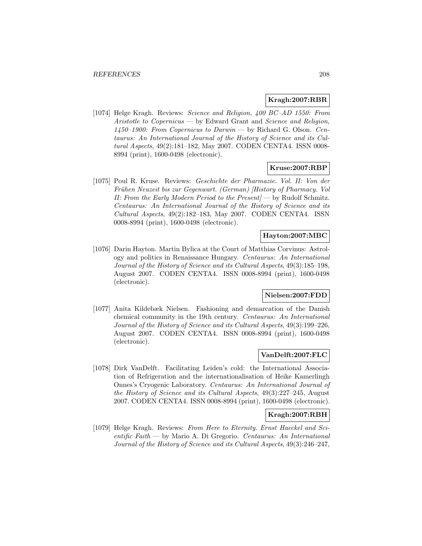## **Kragh:2007:RBR**

[1074] Helge Kragh. Reviews: Science and Religion, 400 BC–AD 1550: From Aristotle to Copernicus — by Edward Grant and Science and Religion,  $1450-1900$ : From Copernicus to Darwin — by Richard G. Olson. Centaurus: An International Journal of the History of Science and its Cultural Aspects, 49(2):181–182, May 2007. CODEN CENTA4. ISSN 0008- 8994 (print), 1600-0498 (electronic).

## **Kruse:2007:RBP**

[1075] Poul R. Kruse. Reviews: Geschichte der Pharmazie. Vol. II: Von der Frühen Neuzeit bis zur Gegenwart. (German) [History of Pharmacy. Vol II: From the Early Modern Period to the Present $\ell$  by Rudolf Schmitz. Centaurus: An International Journal of the History of Science and its Cultural Aspects, 49(2):182–183, May 2007. CODEN CENTA4. ISSN 0008-8994 (print), 1600-0498 (electronic).

## **Hayton:2007:MBC**

[1076] Darin Hayton. Martin Bylica at the Court of Matthias Corvinus: Astrology and politics in Renaissance Hungary. Centaurus: An International Journal of the History of Science and its Cultural Aspects, 49(3):185–198, August 2007. CODEN CENTA4. ISSN 0008-8994 (print), 1600-0498 (electronic).

# **Nielsen:2007:FDD**

[1077] Anita Kildebæk Nielsen. Fashioning and demarcation of the Danish chemical community in the 19th century. Centaurus: An International Journal of the History of Science and its Cultural Aspects, 49(3):199–226, August 2007. CODEN CENTA4. ISSN 0008-8994 (print), 1600-0498 (electronic).

# **VanDelft:2007:FLC**

[1078] Dirk VanDelft. Facilitating Leiden's cold: the International Association of Refrigeration and the internationalisation of Heike Kamerlingh Onnes's Cryogenic Laboratory. Centaurus: An International Journal of the History of Science and its Cultural Aspects, 49(3):227–245, August 2007. CODEN CENTA4. ISSN 0008-8994 (print), 1600-0498 (electronic).

## **Kragh:2007:RBH**

[1079] Helge Kragh. Reviews: From Here to Eternity. Ernst Haeckel and Scientific Faith — by Mario A. Di Gregorio. Centaurus: An International Journal of the History of Science and its Cultural Aspects, 49(3):246–247,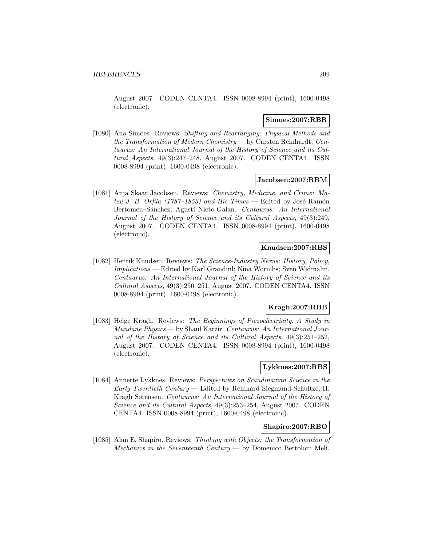August 2007. CODEN CENTA4. ISSN 0008-8994 (print), 1600-0498 (electronic).

### **Simoes:2007:RBR**

[1080] Ana Simões. Reviews: Shifting and Rearranging: Physical Methods and the Transformation of Modern Chemistry — by Carsten Reinhardt. Centaurus: An International Journal of the History of Science and its Cultural Aspects, 49(3):247–248, August 2007. CODEN CENTA4. ISSN 0008-8994 (print), 1600-0498 (electronic).

### **Jacobsen:2007:RBM**

[1081] Anja Skaar Jacobsen. Reviews: Chemistry, Medicine, and Crime: Mateu J. B. Orfila (1787–1853) and His Times — Edited by José Ramón Bertomeu–Sánchez; Agustí Nieto-Galan. Centaurus: An International Journal of the History of Science and its Cultural Aspects, 49(3):249, August 2007. CODEN CENTA4. ISSN 0008-8994 (print), 1600-0498 (electronic).

## **Knudsen:2007:RBS**

[1082] Henrik Knudsen. Reviews: The Science-Industry Nexus: History, Policy, Implications — Edited by Karl Grandinl; Nina Wormbs; Sven Widmalm. Centaurus: An International Journal of the History of Science and its Cultural Aspects, 49(3):250–251, August 2007. CODEN CENTA4. ISSN 0008-8994 (print), 1600-0498 (electronic).

# **Kragh:2007:RBB**

[1083] Helge Kragh. Reviews: The Beginnings of Piezoelectricity. A Study in Mundane Physics — by Shaul Katzir. Centaurus: An International Journal of the History of Science and its Cultural Aspects, 49(3):251–252, August 2007. CODEN CENTA4. ISSN 0008-8994 (print), 1600-0498 (electronic).

# **Lykknes:2007:RBS**

[1084] Annette Lykknes. Reviews: Perspectives on Scandinavian Science in the Early Twentieth Century — Edited by Reinhard Siegmund-Schultze; H. Kragh Sørensen. Centaurus: An International Journal of the History of Science and its Cultural Aspects, 49(3):253–254, August 2007. CODEN CENTA4. ISSN 0008-8994 (print), 1600-0498 (electronic).

## **Shapiro:2007:RBO**

[1085] Alan E. Shapiro. Reviews: Thinking with Objects: the Transformation of Mechanics in the Seventeenth Century — by Domenico Bertoloni Meli.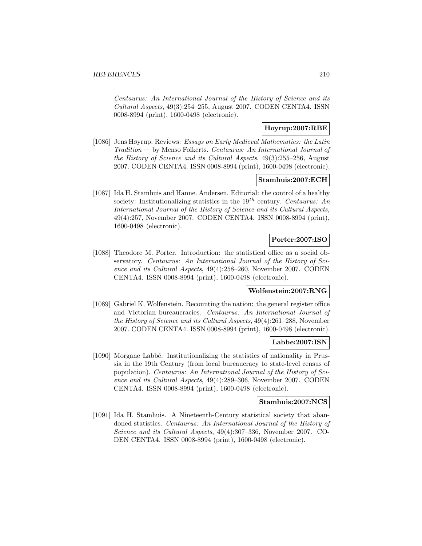Centaurus: An International Journal of the History of Science and its Cultural Aspects, 49(3):254–255, August 2007. CODEN CENTA4. ISSN 0008-8994 (print), 1600-0498 (electronic).

# **Hoyrup:2007:RBE**

[1086] Jens Høyrup. Reviews: Essays on Early Medieval Mathematics: the Latin Tradition — by Menso Folkerts. Centaurus: An International Journal of the History of Science and its Cultural Aspects, 49(3):255–256, August 2007. CODEN CENTA4. ISSN 0008-8994 (print), 1600-0498 (electronic).

## **Stamhuis:2007:ECH**

[1087] Ida H. Stamhuis and Hanne. Andersen. Editorial: the control of a healthy society: Institutionalizing statistics in the  $19^{th}$  century. Centaurus: An International Journal of the History of Science and its Cultural Aspects, 49(4):257, November 2007. CODEN CENTA4. ISSN 0008-8994 (print), 1600-0498 (electronic).

# **Porter:2007:ISO**

[1088] Theodore M. Porter. Introduction: the statistical office as a social observatory. Centaurus: An International Journal of the History of Science and its Cultural Aspects, 49(4):258–260, November 2007. CODEN CENTA4. ISSN 0008-8994 (print), 1600-0498 (electronic).

## **Wolfenstein:2007:RNG**

[1089] Gabriel K. Wolfenstein. Recounting the nation: the general register office and Victorian bureaucracies. Centaurus: An International Journal of the History of Science and its Cultural Aspects, 49(4):261–288, November 2007. CODEN CENTA4. ISSN 0008-8994 (print), 1600-0498 (electronic).

## **Labbe:2007:ISN**

[1090] Morgane Labbé. Institutionalizing the statistics of nationality in Prussia in the 19th Century (from local bureaucracy to state-level census of population). Centaurus: An International Journal of the History of Science and its Cultural Aspects, 49(4):289–306, November 2007. CODEN CENTA4. ISSN 0008-8994 (print), 1600-0498 (electronic).

# **Stamhuis:2007:NCS**

[1091] Ida H. Stamhuis. A Nineteenth-Century statistical society that abandoned statistics. Centaurus: An International Journal of the History of Science and its Cultural Aspects, 49(4):307–336, November 2007. CO-DEN CENTA4. ISSN 0008-8994 (print), 1600-0498 (electronic).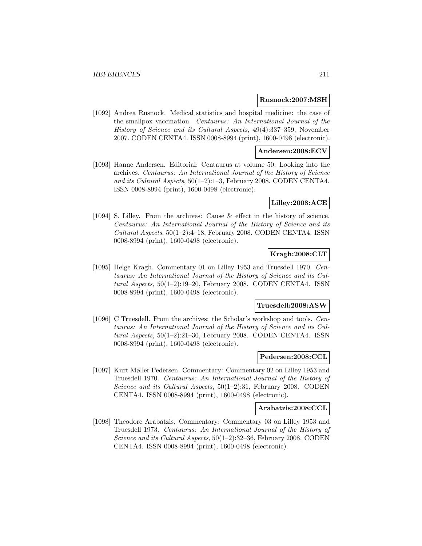#### **Rusnock:2007:MSH**

[1092] Andrea Rusnock. Medical statistics and hospital medicine: the case of the smallpox vaccination. Centaurus: An International Journal of the History of Science and its Cultural Aspects, 49(4):337–359, November 2007. CODEN CENTA4. ISSN 0008-8994 (print), 1600-0498 (electronic).

## **Andersen:2008:ECV**

[1093] Hanne Andersen. Editorial: Centaurus at volume 50: Looking into the archives. Centaurus: An International Journal of the History of Science and its Cultural Aspects, 50(1–2):1–3, February 2008. CODEN CENTA4. ISSN 0008-8994 (print), 1600-0498 (electronic).

### **Lilley:2008:ACE**

[1094] S. Lilley. From the archives: Cause & effect in the history of science. Centaurus: An International Journal of the History of Science and its Cultural Aspects, 50(1–2):4–18, February 2008. CODEN CENTA4. ISSN 0008-8994 (print), 1600-0498 (electronic).

## **Kragh:2008:CLT**

[1095] Helge Kragh. Commentary 01 on Lilley 1953 and Truesdell 1970. Centaurus: An International Journal of the History of Science and its Cultural Aspects, 50(1–2):19–20, February 2008. CODEN CENTA4. ISSN 0008-8994 (print), 1600-0498 (electronic).

#### **Truesdell:2008:ASW**

[1096] C Truesdell. From the archives: the Scholar's workshop and tools. Centaurus: An International Journal of the History of Science and its Cultural Aspects, 50(1–2):21–30, February 2008. CODEN CENTA4. ISSN 0008-8994 (print), 1600-0498 (electronic).

# **Pedersen:2008:CCL**

[1097] Kurt Møller Pedersen. Commentary: Commentary 02 on Lilley 1953 and Truesdell 1970. Centaurus: An International Journal of the History of Science and its Cultural Aspects, 50(1–2):31, February 2008. CODEN CENTA4. ISSN 0008-8994 (print), 1600-0498 (electronic).

# **Arabatzis:2008:CCL**

[1098] Theodore Arabatzis. Commentary: Commentary 03 on Lilley 1953 and Truesdell 1973. Centaurus: An International Journal of the History of Science and its Cultural Aspects,  $50(1-2)$ :32-36, February 2008. CODEN CENTA4. ISSN 0008-8994 (print), 1600-0498 (electronic).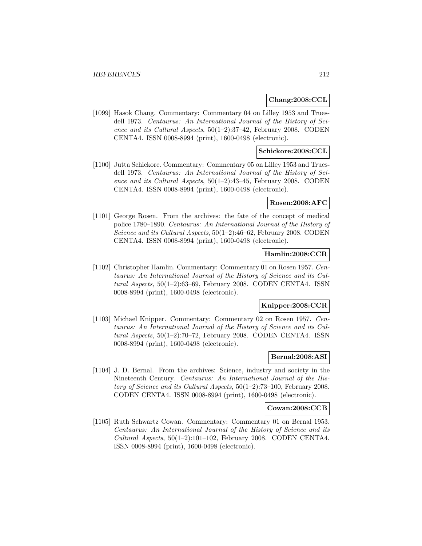## **Chang:2008:CCL**

[1099] Hasok Chang. Commentary: Commentary 04 on Lilley 1953 and Truesdell 1973. Centaurus: An International Journal of the History of Science and its Cultural Aspects, 50(1–2):37–42, February 2008. CODEN CENTA4. ISSN 0008-8994 (print), 1600-0498 (electronic).

# **Schickore:2008:CCL**

[1100] Jutta Schickore. Commentary: Commentary 05 on Lilley 1953 and Truesdell 1973. Centaurus: An International Journal of the History of Science and its Cultural Aspects, 50(1–2):43–45, February 2008. CODEN CENTA4. ISSN 0008-8994 (print), 1600-0498 (electronic).

## **Rosen:2008:AFC**

[1101] George Rosen. From the archives: the fate of the concept of medical police 1780–1890. Centaurus: An International Journal of the History of Science and its Cultural Aspects,  $50(1-2)$ :46-62, February 2008. CODEN CENTA4. ISSN 0008-8994 (print), 1600-0498 (electronic).

## **Hamlin:2008:CCR**

[1102] Christopher Hamlin. Commentary: Commentary 01 on Rosen 1957. Centaurus: An International Journal of the History of Science and its Cultural Aspects, 50(1–2):63–69, February 2008. CODEN CENTA4. ISSN 0008-8994 (print), 1600-0498 (electronic).

## **Knipper:2008:CCR**

[1103] Michael Knipper. Commentary: Commentary 02 on Rosen 1957. Centaurus: An International Journal of the History of Science and its Cultural Aspects, 50(1–2):70–72, February 2008. CODEN CENTA4. ISSN 0008-8994 (print), 1600-0498 (electronic).

# **Bernal:2008:ASI**

[1104] J. D. Bernal. From the archives: Science, industry and society in the Nineteenth Century. Centaurus: An International Journal of the History of Science and its Cultural Aspects, 50(1–2):73–100, February 2008. CODEN CENTA4. ISSN 0008-8994 (print), 1600-0498 (electronic).

## **Cowan:2008:CCB**

[1105] Ruth Schwartz Cowan. Commentary: Commentary 01 on Bernal 1953. Centaurus: An International Journal of the History of Science and its Cultural Aspects,  $50(1-2):101-102$ , February 2008. CODEN CENTA4. ISSN 0008-8994 (print), 1600-0498 (electronic).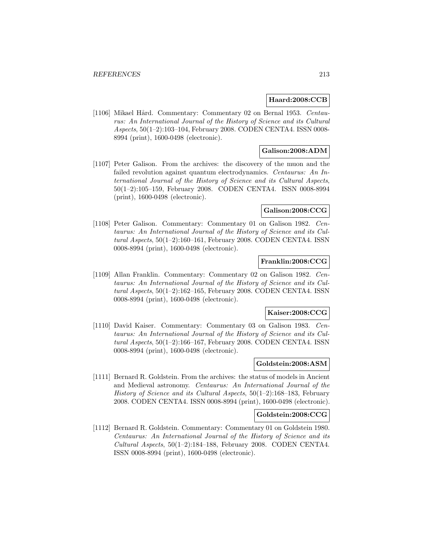## **Haard:2008:CCB**

[1106] Mikael Hård. Commentary: Commentary 02 on Bernal 1953. Centaurus: An International Journal of the History of Science and its Cultural Aspects, 50(1–2):103–104, February 2008. CODEN CENTA4. ISSN 0008- 8994 (print), 1600-0498 (electronic).

# **Galison:2008:ADM**

[1107] Peter Galison. From the archives: the discovery of the muon and the failed revolution against quantum electrodynamics. Centaurus: An International Journal of the History of Science and its Cultural Aspects, 50(1–2):105–159, February 2008. CODEN CENTA4. ISSN 0008-8994 (print), 1600-0498 (electronic).

# **Galison:2008:CCG**

[1108] Peter Galison. Commentary: Commentary 01 on Galison 1982. Centaurus: An International Journal of the History of Science and its Cultural Aspects, 50(1–2):160–161, February 2008. CODEN CENTA4. ISSN 0008-8994 (print), 1600-0498 (electronic).

## **Franklin:2008:CCG**

[1109] Allan Franklin. Commentary: Commentary 02 on Galison 1982. Centaurus: An International Journal of the History of Science and its Cultural Aspects, 50(1–2):162–165, February 2008. CODEN CENTA4. ISSN 0008-8994 (print), 1600-0498 (electronic).

## **Kaiser:2008:CCG**

[1110] David Kaiser. Commentary: Commentary 03 on Galison 1983. Centaurus: An International Journal of the History of Science and its Cultural Aspects, 50(1–2):166–167, February 2008. CODEN CENTA4. ISSN 0008-8994 (print), 1600-0498 (electronic).

# **Goldstein:2008:ASM**

[1111] Bernard R. Goldstein. From the archives: the status of models in Ancient and Medieval astronomy. Centaurus: An International Journal of the History of Science and its Cultural Aspects,  $50(1-2)$ :168-183, February 2008. CODEN CENTA4. ISSN 0008-8994 (print), 1600-0498 (electronic).

## **Goldstein:2008:CCG**

[1112] Bernard R. Goldstein. Commentary: Commentary 01 on Goldstein 1980. Centaurus: An International Journal of the History of Science and its Cultural Aspects,  $50(1-2):184-188$ , February 2008. CODEN CENTA4. ISSN 0008-8994 (print), 1600-0498 (electronic).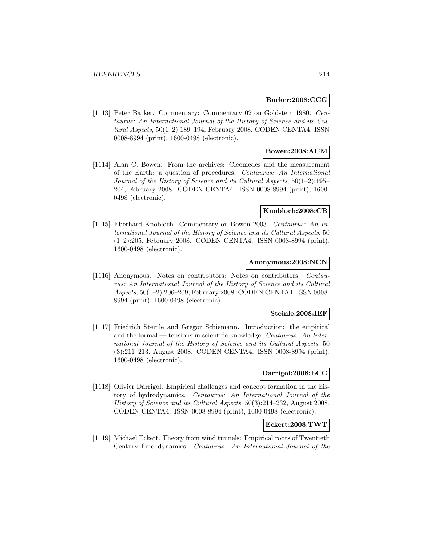### **Barker:2008:CCG**

[1113] Peter Barker. Commentary: Commentary 02 on Goldstein 1980. Centaurus: An International Journal of the History of Science and its Cultural Aspects, 50(1–2):189–194, February 2008. CODEN CENTA4. ISSN 0008-8994 (print), 1600-0498 (electronic).

## **Bowen:2008:ACM**

[1114] Alan C. Bowen. From the archives: Cleomedes and the measurement of the Earth: a question of procedures. Centaurus: An International Journal of the History of Science and its Cultural Aspects, 50(1–2):195– 204, February 2008. CODEN CENTA4. ISSN 0008-8994 (print), 1600- 0498 (electronic).

### **Knobloch:2008:CB**

[1115] Eberhard Knobloch. Commentary on Bowen 2003. Centaurus: An International Journal of the History of Science and its Cultural Aspects, 50 (1–2):205, February 2008. CODEN CENTA4. ISSN 0008-8994 (print), 1600-0498 (electronic).

## **Anonymous:2008:NCN**

[1116] Anonymous. Notes on contributors: Notes on contributors. Centaurus: An International Journal of the History of Science and its Cultural Aspects, 50(1–2):206–209, February 2008. CODEN CENTA4. ISSN 0008- 8994 (print), 1600-0498 (electronic).

#### **Steinle:2008:IEF**

[1117] Friedrich Steinle and Gregor Schiemann. Introduction: the empirical and the formal — tensions in scientific knowledge. Centaurus: An International Journal of the History of Science and its Cultural Aspects, 50 (3):211–213, August 2008. CODEN CENTA4. ISSN 0008-8994 (print), 1600-0498 (electronic).

# **Darrigol:2008:ECC**

[1118] Olivier Darrigol. Empirical challenges and concept formation in the history of hydrodynamics. Centaurus: An International Journal of the History of Science and its Cultural Aspects, 50(3):214–232, August 2008. CODEN CENTA4. ISSN 0008-8994 (print), 1600-0498 (electronic).

# **Eckert:2008:TWT**

[1119] Michael Eckert. Theory from wind tunnels: Empirical roots of Twentieth Century fluid dynamics. Centaurus: An International Journal of the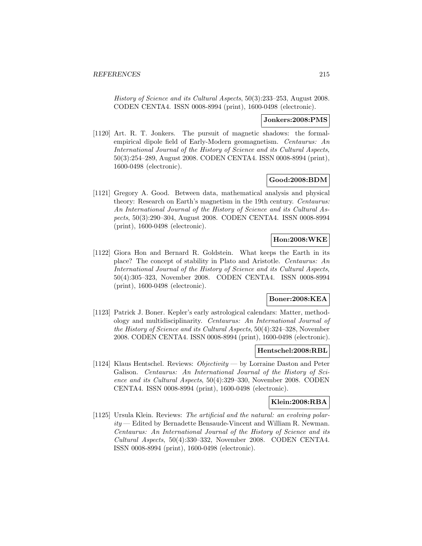History of Science and its Cultural Aspects, 50(3):233–253, August 2008. CODEN CENTA4. ISSN 0008-8994 (print), 1600-0498 (electronic).

## **Jonkers:2008:PMS**

[1120] Art. R. T. Jonkers. The pursuit of magnetic shadows: the formalempirical dipole field of Early-Modern geomagnetism. Centaurus: An International Journal of the History of Science and its Cultural Aspects, 50(3):254–289, August 2008. CODEN CENTA4. ISSN 0008-8994 (print), 1600-0498 (electronic).

## **Good:2008:BDM**

[1121] Gregory A. Good. Between data, mathematical analysis and physical theory: Research on Earth's magnetism in the 19th century. Centaurus: An International Journal of the History of Science and its Cultural Aspects, 50(3):290–304, August 2008. CODEN CENTA4. ISSN 0008-8994 (print), 1600-0498 (electronic).

# **Hon:2008:WKE**

[1122] Giora Hon and Bernard R. Goldstein. What keeps the Earth in its place? The concept of stability in Plato and Aristotle. Centaurus: An International Journal of the History of Science and its Cultural Aspects, 50(4):305–323, November 2008. CODEN CENTA4. ISSN 0008-8994 (print), 1600-0498 (electronic).

# **Boner:2008:KEA**

[1123] Patrick J. Boner. Kepler's early astrological calendars: Matter, methodology and multidisciplinarity. Centaurus: An International Journal of the History of Science and its Cultural Aspects, 50(4):324–328, November 2008. CODEN CENTA4. ISSN 0008-8994 (print), 1600-0498 (electronic).

#### **Hentschel:2008:RBL**

[1124] Klaus Hentschel. Reviews: Objectivity — by Lorraine Daston and Peter Galison. Centaurus: An International Journal of the History of Science and its Cultural Aspects, 50(4):329–330, November 2008. CODEN CENTA4. ISSN 0008-8994 (print), 1600-0498 (electronic).

# **Klein:2008:RBA**

[1125] Ursula Klein. Reviews: The artificial and the natural: an evolving polarity — Edited by Bernadette Bensaude-Vincent and William R. Newman. Centaurus: An International Journal of the History of Science and its Cultural Aspects, 50(4):330–332, November 2008. CODEN CENTA4. ISSN 0008-8994 (print), 1600-0498 (electronic).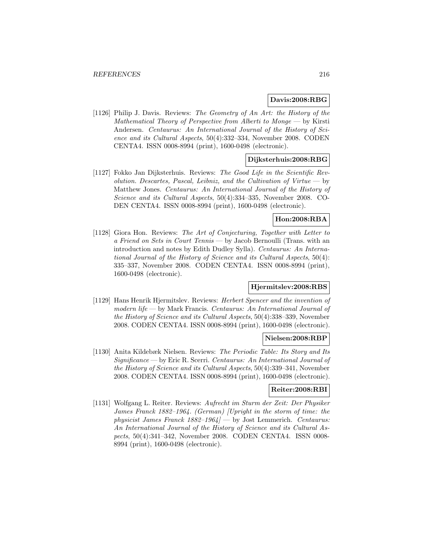## **Davis:2008:RBG**

[1126] Philip J. Davis. Reviews: The Geometry of An Art: the History of the Mathematical Theory of Perspective from Alberti to Monge  $-$  by Kirsti Andersen. Centaurus: An International Journal of the History of Science and its Cultural Aspects, 50(4):332–334, November 2008. CODEN CENTA4. ISSN 0008-8994 (print), 1600-0498 (electronic).

# **Dijksterhuis:2008:RBG**

[1127] Fokko Jan Dijksterhuis. Reviews: The Good Life in the Scientific Revolution. Descartes, Pascal, Leibniz, and the Cultivation of Virtue  $-$  by Matthew Jones. Centaurus: An International Journal of the History of Science and its Cultural Aspects, 50(4):334–335, November 2008. CO-DEN CENTA4. ISSN 0008-8994 (print), 1600-0498 (electronic).

# **Hon:2008:RBA**

[1128] Giora Hon. Reviews: The Art of Conjecturing, Together with Letter to a Friend on Sets in Court Tennis — by Jacob Bernoulli (Trans. with an introduction and notes by Edith Dudley Sylla). Centaurus: An International Journal of the History of Science and its Cultural Aspects, 50(4): 335–337, November 2008. CODEN CENTA4. ISSN 0008-8994 (print), 1600-0498 (electronic).

# **Hjermitslev:2008:RBS**

[1129] Hans Henrik Hjermitslev. Reviews: Herbert Spencer and the invention of modern life — by Mark Francis. Centaurus: An International Journal of the History of Science and its Cultural Aspects, 50(4):338–339, November 2008. CODEN CENTA4. ISSN 0008-8994 (print), 1600-0498 (electronic).

#### **Nielsen:2008:RBP**

[1130] Anita Kildebæk Nielsen. Reviews: The Periodic Table: Its Story and Its Significance — by Eric R. Scerri. Centaurus: An International Journal of the History of Science and its Cultural Aspects, 50(4):339–341, November 2008. CODEN CENTA4. ISSN 0008-8994 (print), 1600-0498 (electronic).

# **Reiter:2008:RBI**

[1131] Wolfgang L. Reiter. Reviews: Aufrecht im Sturm der Zeit: Der Physiker James Franck 1882–1964. (German) [Upright in the storm of time: the physicist James Franck  $1882-1964$   $-$  by Jost Lemmerich. Centaurus: An International Journal of the History of Science and its Cultural Aspects, 50(4):341–342, November 2008. CODEN CENTA4. ISSN 0008- 8994 (print), 1600-0498 (electronic).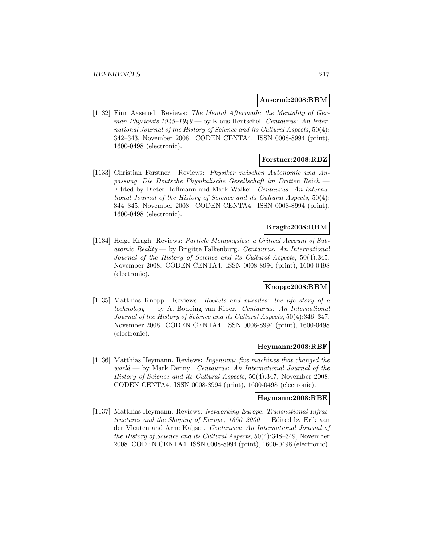# **Aaserud:2008:RBM**

[1132] Finn Aaserud. Reviews: The Mental Aftermath: the Mentality of German Physicists  $1945-1949$  — by Klaus Hentschel. Centaurus: An International Journal of the History of Science and its Cultural Aspects, 50(4): 342–343, November 2008. CODEN CENTA4. ISSN 0008-8994 (print), 1600-0498 (electronic).

# **Forstner:2008:RBZ**

[1133] Christian Forstner. Reviews: Physiker zwischen Autonomie und Anpassung. Die Deutsche Physikalische Gesellschaft im Dritten Reich — Edited by Dieter Hoffmann and Mark Walker. Centaurus: An International Journal of the History of Science and its Cultural Aspects, 50(4): 344–345, November 2008. CODEN CENTA4. ISSN 0008-8994 (print), 1600-0498 (electronic).

# **Kragh:2008:RBM**

[1134] Helge Kragh. Reviews: Particle Metaphysics: a Critical Account of Sub $atomic\, Reality$  by Brigitte Falkenburg. Centaurus: An International Journal of the History of Science and its Cultural Aspects, 50(4):345, November 2008. CODEN CENTA4. ISSN 0008-8994 (print), 1600-0498 (electronic).

# **Knopp:2008:RBM**

[1135] Matthias Knopp. Reviews: Rockets and missiles: the life story of a technology — by A. Bodoing van Riper. Centaurus: An International Journal of the History of Science and its Cultural Aspects, 50(4):346–347, November 2008. CODEN CENTA4. ISSN 0008-8994 (print), 1600-0498 (electronic).

#### **Heymann:2008:RBF**

[1136] Matthias Heymann. Reviews: Ingenium: five machines that changed the world — by Mark Denny. Centaurus: An International Journal of the History of Science and its Cultural Aspects, 50(4):347, November 2008. CODEN CENTA4. ISSN 0008-8994 (print), 1600-0498 (electronic).

# **Heymann:2008:RBE**

[1137] Matthias Heymann. Reviews: Networking Europe. Transnational Infrastructures and the Shaping of Europe, 1850–2000 — Edited by Erik van der Vleuten and Arne Kaijser. Centaurus: An International Journal of the History of Science and its Cultural Aspects, 50(4):348–349, November 2008. CODEN CENTA4. ISSN 0008-8994 (print), 1600-0498 (electronic).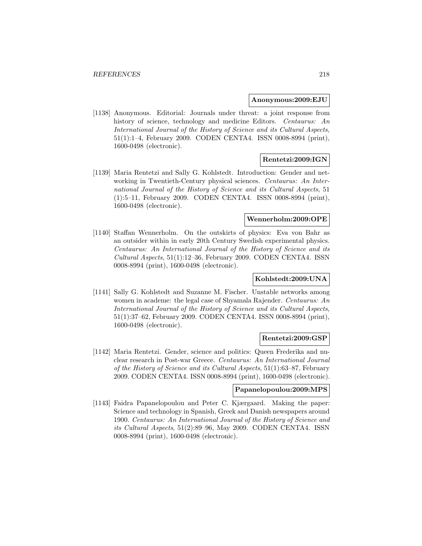#### **Anonymous:2009:EJU**

[1138] Anonymous. Editorial: Journals under threat: a joint response from history of science, technology and medicine Editors. Centaurus: An International Journal of the History of Science and its Cultural Aspects, 51(1):1–4, February 2009. CODEN CENTA4. ISSN 0008-8994 (print), 1600-0498 (electronic).

## **Rentetzi:2009:IGN**

[1139] Maria Rentetzi and Sally G. Kohlstedt. Introduction: Gender and networking in Twentieth-Century physical sciences. Centaurus: An International Journal of the History of Science and its Cultural Aspects, 51 (1):5–11, February 2009. CODEN CENTA4. ISSN 0008-8994 (print), 1600-0498 (electronic).

# **Wennerholm:2009:OPE**

[1140] Staffan Wennerholm. On the outskirts of physics: Eva von Bahr as an outsider within in early 20th Century Swedish experimental physics. Centaurus: An International Journal of the History of Science and its Cultural Aspects, 51(1):12–36, February 2009. CODEN CENTA4. ISSN 0008-8994 (print), 1600-0498 (electronic).

# **Kohlstedt:2009:UNA**

[1141] Sally G. Kohlstedt and Suzanne M. Fischer. Unstable networks among women in academe: the legal case of Shyamala Rajender. Centaurus: An International Journal of the History of Science and its Cultural Aspects, 51(1):37–62, February 2009. CODEN CENTA4. ISSN 0008-8994 (print), 1600-0498 (electronic).

#### **Rentetzi:2009:GSP**

[1142] Maria Rentetzi. Gender, science and politics: Queen Frederika and nuclear research in Post-war Greece. Centaurus: An International Journal of the History of Science and its Cultural Aspects, 51(1):63–87, February 2009. CODEN CENTA4. ISSN 0008-8994 (print), 1600-0498 (electronic).

# **Papanelopoulou:2009:MPS**

[1143] Faidra Papanelopoulou and Peter C. Kjærgaard. Making the paper: Science and technology in Spanish, Greek and Danish newspapers around 1900. Centaurus: An International Journal of the History of Science and its Cultural Aspects, 51(2):89–96, May 2009. CODEN CENTA4. ISSN 0008-8994 (print), 1600-0498 (electronic).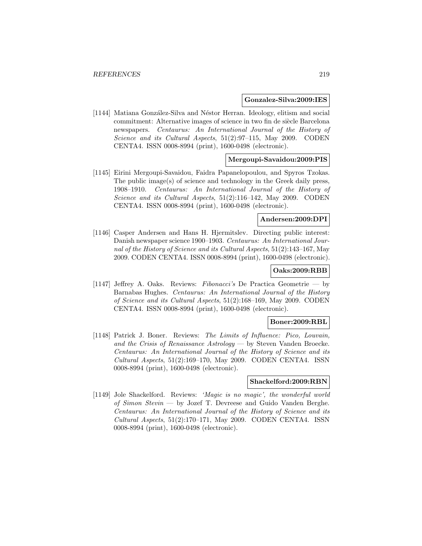#### **Gonzalez-Silva:2009:IES**

[1144] Matiana González-Silva and Néstor Herran. Ideology, elitism and social commitment: Alternative images of science in two fin de siècle Barcelona newspapers. Centaurus: An International Journal of the History of Science and its Cultural Aspects, 51(2):97–115, May 2009. CODEN CENTA4. ISSN 0008-8994 (print), 1600-0498 (electronic).

# **Mergoupi-Savaidou:2009:PIS**

[1145] Eirini Mergoupi-Savaidou, Faidra Papanelopoulou, and Spyros Tzokas. The public image(s) of science and technology in the Greek daily press, 1908–1910. Centaurus: An International Journal of the History of Science and its Cultural Aspects, 51(2):116–142, May 2009. CODEN CENTA4. ISSN 0008-8994 (print), 1600-0498 (electronic).

# **Andersen:2009:DPI**

[1146] Casper Andersen and Hans H. Hjermitslev. Directing public interest: Danish newspaper science 1900–1903. Centaurus: An International Journal of the History of Science and its Cultural Aspects, 51(2):143–167, May 2009. CODEN CENTA4. ISSN 0008-8994 (print), 1600-0498 (electronic).

### **Oaks:2009:RBB**

[1147] Jeffrey A. Oaks. Reviews: Fibonacci's De Practica Geometrie — by Barnabas Hughes. Centaurus: An International Journal of the History of Science and its Cultural Aspects, 51(2):168–169, May 2009. CODEN CENTA4. ISSN 0008-8994 (print), 1600-0498 (electronic).

## **Boner:2009:RBL**

[1148] Patrick J. Boner. Reviews: The Limits of Influence: Pico, Louvain, and the Crisis of Renaissance Astrology — by Steven Vanden Broecke. Centaurus: An International Journal of the History of Science and its Cultural Aspects, 51(2):169–170, May 2009. CODEN CENTA4. ISSN 0008-8994 (print), 1600-0498 (electronic).

#### **Shackelford:2009:RBN**

[1149] Jole Shackelford. Reviews: 'Magic is no magic', the wonderful world of Simon Stevin — by Jozef T. Devreese and Guido Vanden Berghe. Centaurus: An International Journal of the History of Science and its Cultural Aspects, 51(2):170–171, May 2009. CODEN CENTA4. ISSN 0008-8994 (print), 1600-0498 (electronic).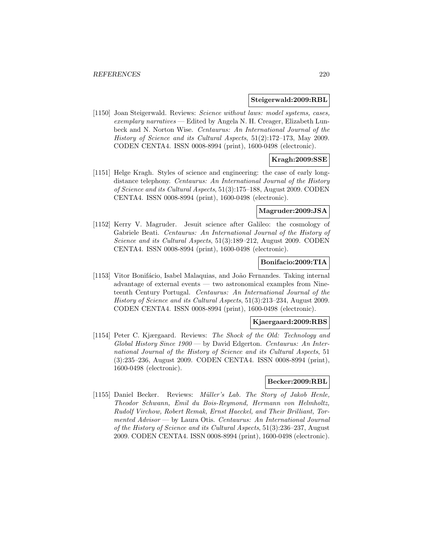#### **Steigerwald:2009:RBL**

[1150] Joan Steigerwald. Reviews: Science without laws: model systems, cases, exemplary narratives — Edited by Angela N. H. Creager, Elizabeth Lunbeck and N. Norton Wise. Centaurus: An International Journal of the History of Science and its Cultural Aspects, 51(2):172–173, May 2009. CODEN CENTA4. ISSN 0008-8994 (print), 1600-0498 (electronic).

# **Kragh:2009:SSE**

[1151] Helge Kragh. Styles of science and engineering: the case of early longdistance telephony. Centaurus: An International Journal of the History of Science and its Cultural Aspects, 51(3):175–188, August 2009. CODEN CENTA4. ISSN 0008-8994 (print), 1600-0498 (electronic).

# **Magruder:2009:JSA**

[1152] Kerry V. Magruder. Jesuit science after Galileo: the cosmology of Gabriele Beati. Centaurus: An International Journal of the History of Science and its Cultural Aspects, 51(3):189–212, August 2009. CODEN CENTA4. ISSN 0008-8994 (print), 1600-0498 (electronic).

# **Bonifacio:2009:TIA**

[1153] Vitor Bonifácio, Isabel Malaquias, and João Fernandes. Taking internal advantage of external events — two astronomical examples from Nineteenth Century Portugal. Centaurus: An International Journal of the History of Science and its Cultural Aspects, 51(3):213–234, August 2009. CODEN CENTA4. ISSN 0008-8994 (print), 1600-0498 (electronic).

# **Kjaergaard:2009:RBS**

[1154] Peter C. Kjærgaard. Reviews: The Shock of the Old: Technology and Global History Since 1900 — by David Edgerton. Centaurus: An International Journal of the History of Science and its Cultural Aspects, 51 (3):235–236, August 2009. CODEN CENTA4. ISSN 0008-8994 (print), 1600-0498 (electronic).

### **Becker:2009:RBL**

[1155] Daniel Becker. Reviews: Müller's Lab. The Story of Jakob Henle, Theodor Schwann, Emil du Bois-Reymond, Hermann von Helmholtz, Rudolf Virchow, Robert Remak, Ernst Haeckel, and Their Brilliant, Tormented Advisor — by Laura Otis. Centaurus: An International Journal of the History of Science and its Cultural Aspects, 51(3):236–237, August 2009. CODEN CENTA4. ISSN 0008-8994 (print), 1600-0498 (electronic).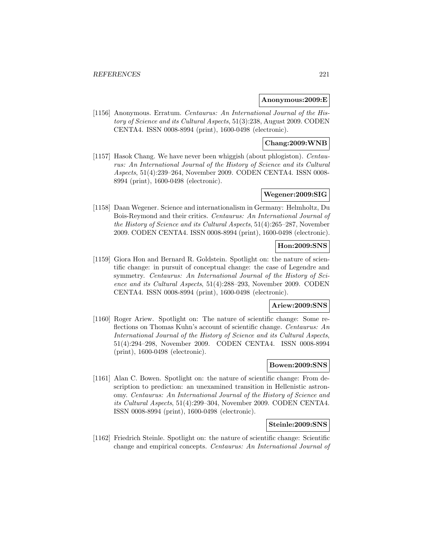### **Anonymous:2009:E**

[1156] Anonymous. Erratum. Centaurus: An International Journal of the History of Science and its Cultural Aspects, 51(3):238, August 2009. CODEN CENTA4. ISSN 0008-8994 (print), 1600-0498 (electronic).

# **Chang:2009:WNB**

[1157] Hasok Chang. We have never been whiggish (about phlogiston). Centaurus: An International Journal of the History of Science and its Cultural Aspects, 51(4):239–264, November 2009. CODEN CENTA4. ISSN 0008- 8994 (print), 1600-0498 (electronic).

# **Wegener:2009:SIG**

[1158] Daan Wegener. Science and internationalism in Germany: Helmholtz, Du Bois-Reymond and their critics. Centaurus: An International Journal of the History of Science and its Cultural Aspects, 51(4):265–287, November 2009. CODEN CENTA4. ISSN 0008-8994 (print), 1600-0498 (electronic).

# **Hon:2009:SNS**

[1159] Giora Hon and Bernard R. Goldstein. Spotlight on: the nature of scientific change: in pursuit of conceptual change: the case of Legendre and symmetry. Centaurus: An International Journal of the History of Science and its Cultural Aspects, 51(4):288–293, November 2009. CODEN CENTA4. ISSN 0008-8994 (print), 1600-0498 (electronic).

## **Ariew:2009:SNS**

[1160] Roger Ariew. Spotlight on: The nature of scientific change: Some reflections on Thomas Kuhn's account of scientific change. Centaurus: An International Journal of the History of Science and its Cultural Aspects, 51(4):294–298, November 2009. CODEN CENTA4. ISSN 0008-8994 (print), 1600-0498 (electronic).

# **Bowen:2009:SNS**

[1161] Alan C. Bowen. Spotlight on: the nature of scientific change: From description to prediction: an unexamined transition in Hellenistic astronomy. Centaurus: An International Journal of the History of Science and its Cultural Aspects, 51(4):299–304, November 2009. CODEN CENTA4. ISSN 0008-8994 (print), 1600-0498 (electronic).

### **Steinle:2009:SNS**

[1162] Friedrich Steinle. Spotlight on: the nature of scientific change: Scientific change and empirical concepts. Centaurus: An International Journal of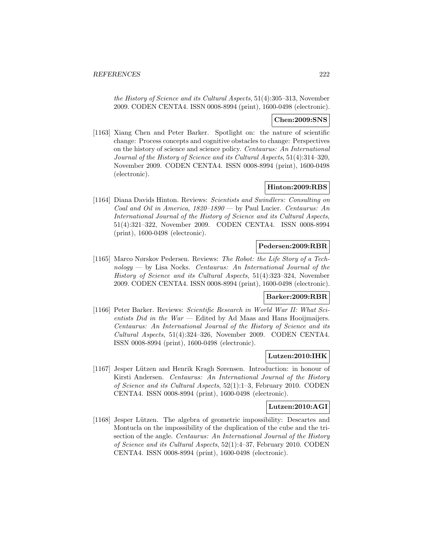the History of Science and its Cultural Aspects, 51(4):305–313, November 2009. CODEN CENTA4. ISSN 0008-8994 (print), 1600-0498 (electronic).

# **Chen:2009:SNS**

[1163] Xiang Chen and Peter Barker. Spotlight on: the nature of scientific change: Process concepts and cognitive obstacles to change: Perspectives on the history of science and science policy. Centaurus: An International Journal of the History of Science and its Cultural Aspects, 51(4):314–320, November 2009. CODEN CENTA4. ISSN 0008-8994 (print), 1600-0498 (electronic).

# **Hinton:2009:RBS**

[1164] Diana Davids Hinton. Reviews: Scientists and Swindlers: Consulting on Coal and Oil in America, 1820–1890 — by Paul Lucier. Centaurus: An International Journal of the History of Science and its Cultural Aspects, 51(4):321–322, November 2009. CODEN CENTA4. ISSN 0008-8994 (print), 1600-0498 (electronic).

### **Pedersen:2009:RBR**

[1165] Marco Nørskov Pedersen. Reviews: The Robot: the Life Story of a Technology — by Lisa Nocks. Centaurus: An International Journal of the History of Science and its Cultural Aspects, 51(4):323–324, November 2009. CODEN CENTA4. ISSN 0008-8994 (print), 1600-0498 (electronic).

# **Barker:2009:RBR**

[1166] Peter Barker. Reviews: Scientific Research in World War II: What Scientists Did in the  $War -$  Edited by Ad Maas and Hans Hooijmaijers. Centaurus: An International Journal of the History of Science and its Cultural Aspects, 51(4):324–326, November 2009. CODEN CENTA4. ISSN 0008-8994 (print), 1600-0498 (electronic).

# **Lutzen:2010:IHK**

[1167] Jesper L¨utzen and Henrik Kragh Sørensen. Introduction: in honour of Kirsti Andersen. Centaurus: An International Journal of the History of Science and its Cultural Aspects, 52(1):1–3, February 2010. CODEN CENTA4. ISSN 0008-8994 (print), 1600-0498 (electronic).

#### **Lutzen:2010:AGI**

[1168] Jesper Lützen. The algebra of geometric impossibility: Descartes and Montucla on the impossibility of the duplication of the cube and the trisection of the angle. Centaurus: An International Journal of the History of Science and its Cultural Aspects, 52(1):4–37, February 2010. CODEN CENTA4. ISSN 0008-8994 (print), 1600-0498 (electronic).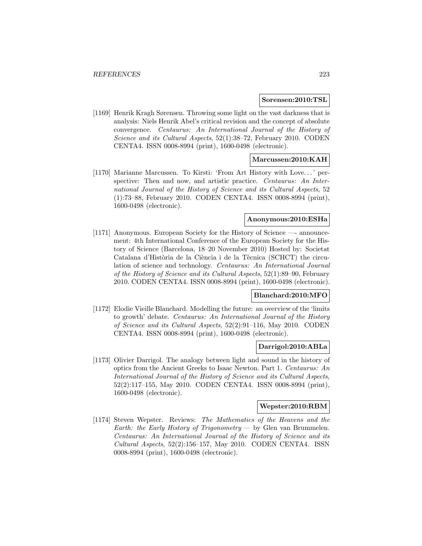#### **Sorensen:2010:TSL**

[1169] Henrik Kragh Sørensen. Throwing some light on the vast darkness that is analysis: Niels Henrik Abel's critical revision and the concept of absolute convergence. Centaurus: An International Journal of the History of Science and its Cultural Aspects, 52(1):38–72, February 2010. CODEN CENTA4. ISSN 0008-8994 (print), 1600-0498 (electronic).

## **Marcussen:2010:KAH**

[1170] Marianne Marcussen. To Kirsti: 'From Art History with Love... ' perspective: Then and now, and artistic practice. Centaurus: An International Journal of the History of Science and its Cultural Aspects, 52 (1):73–88, February 2010. CODEN CENTA4. ISSN 0008-8994 (print), 1600-0498 (electronic).

# **Anonymous:2010:ESHa**

[1171] Anonymous. European Society for the History of Science —- announcement: 4th International Conference of the European Society for the History of Science (Barcelona, 18–20 November 2010) Hosted by: Societat Catalana d'Història de la Ciència i de la Tècnica (SCHCT) the circulation of science and technology. Centaurus: An International Journal of the History of Science and its Cultural Aspects, 52(1):89–90, February 2010. CODEN CENTA4. ISSN 0008-8994 (print), 1600-0498 (electronic).

# **Blanchard:2010:MFO**

[1172] Elodie Vieille Blanchard. Modelling the future: an overview of the 'limits to growth' debate. Centaurus: An International Journal of the History of Science and its Cultural Aspects, 52(2):91–116, May 2010. CODEN CENTA4. ISSN 0008-8994 (print), 1600-0498 (electronic).

## **Darrigol:2010:ABLa**

[1173] Olivier Darrigol. The analogy between light and sound in the history of optics from the Ancient Greeks to Isaac Newton. Part 1. Centaurus: An International Journal of the History of Science and its Cultural Aspects, 52(2):117–155, May 2010. CODEN CENTA4. ISSN 0008-8994 (print), 1600-0498 (electronic).

### **Wepster:2010:RBM**

[1174] Steven Wepster. Reviews: The Mathematics of the Heavens and the Earth: the Early History of Trigonometry — by Glen van Brummelen. Centaurus: An International Journal of the History of Science and its Cultural Aspects, 52(2):156–157, May 2010. CODEN CENTA4. ISSN 0008-8994 (print), 1600-0498 (electronic).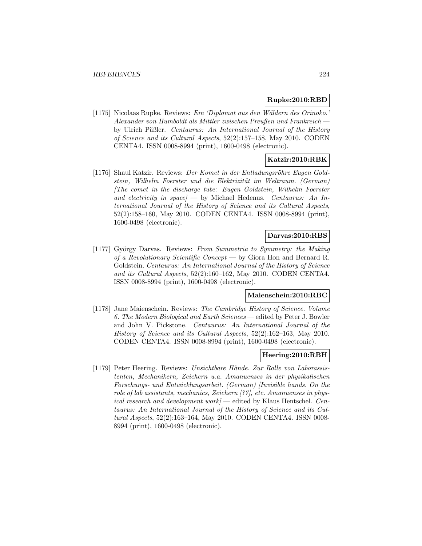### **Rupke:2010:RBD**

[1175] Nicolaas Rupke. Reviews: Ein 'Diplomat aus den Wäldern des Orinoko.' Alexander von Humboldt als Mittler zwischen Preußen und Frankreich by Ulrich Päßler. Centaurus: An International Journal of the History of Science and its Cultural Aspects, 52(2):157–158, May 2010. CODEN CENTA4. ISSN 0008-8994 (print), 1600-0498 (electronic).

# **Katzir:2010:RBK**

[1176] Shaul Katzir. Reviews: Der Komet in der Entladungsröhre Eugen Goldstein, Wilhelm Foerster und die Elektrizität im Weltraum. (German) [The comet in the discharge tube: Eugen Goldstein, Wilhelm Foerster and electricity in space  $\vert$   $\vert$  by Michael Hedenus. Centaurus: An International Journal of the History of Science and its Cultural Aspects, 52(2):158–160, May 2010. CODEN CENTA4. ISSN 0008-8994 (print), 1600-0498 (electronic).

### **Darvas:2010:RBS**

[1177] György Darvas. Reviews: From Summetria to Symmetry: the Making of a Revolutionary Scientific Concept — by Giora Hon and Bernard R. Goldstein. Centaurus: An International Journal of the History of Science and its Cultural Aspects, 52(2):160–162, May 2010. CODEN CENTA4. ISSN 0008-8994 (print), 1600-0498 (electronic).

#### **Maienschein:2010:RBC**

[1178] Jane Maienschein. Reviews: The Cambridge History of Science. Volume 6. The Modern Biological and Earth Sciences — edited by Peter J. Bowler and John V. Pickstone. Centaurus: An International Journal of the History of Science and its Cultural Aspects, 52(2):162–163, May 2010. CODEN CENTA4. ISSN 0008-8994 (print), 1600-0498 (electronic).

### **Heering:2010:RBH**

[1179] Peter Heering. Reviews: Unsichtbare Hände. Zur Rolle von Laborassistenten, Mechanikern, Zeichern u.a. Amanuenses in der physikalischen Forschungs- und Entwicklungsarbeit. (German) [Invisible hands. On the role of lab assistants, mechanics, Zeichern [??], etc. Amanuenses in physical research and development work – edited by Klaus Hentschel. Centaurus: An International Journal of the History of Science and its Cultural Aspects, 52(2):163–164, May 2010. CODEN CENTA4. ISSN 0008- 8994 (print), 1600-0498 (electronic).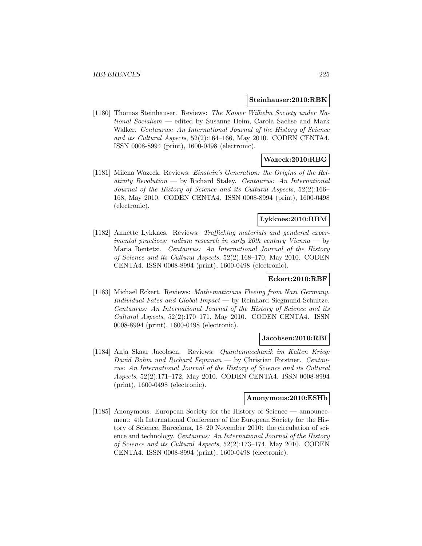#### **Steinhauser:2010:RBK**

[1180] Thomas Steinhauser. Reviews: The Kaiser Wilhelm Society under National Socialism — edited by Susanne Heim, Carola Sachse and Mark Walker. Centaurus: An International Journal of the History of Science and its Cultural Aspects, 52(2):164–166, May 2010. CODEN CENTA4. ISSN 0008-8994 (print), 1600-0498 (electronic).

### **Wazeck:2010:RBG**

[1181] Milena Wazeck. Reviews: Einstein's Generation: the Origins of the Rel $ativity$   $Revolution$   $\rightarrow$  by Richard Staley. *Centaurus: An International* Journal of the History of Science and its Cultural Aspects, 52(2):166– 168, May 2010. CODEN CENTA4. ISSN 0008-8994 (print), 1600-0498 (electronic).

# **Lykknes:2010:RBM**

[1182] Annette Lykknes. Reviews: Trafficking materials and gendered experimental practices: radium research in early 20th century Vienna  $-$  by Maria Rentetzi. Centaurus: An International Journal of the History of Science and its Cultural Aspects, 52(2):168–170, May 2010. CODEN CENTA4. ISSN 0008-8994 (print), 1600-0498 (electronic).

# **Eckert:2010:RBF**

[1183] Michael Eckert. Reviews: Mathematicians Fleeing from Nazi Germany. Individual Fates and Global Impact — by Reinhard Siegmund-Schultze. Centaurus: An International Journal of the History of Science and its Cultural Aspects, 52(2):170–171, May 2010. CODEN CENTA4. ISSN 0008-8994 (print), 1600-0498 (electronic).

#### **Jacobsen:2010:RBI**

[1184] Anja Skaar Jacobsen. Reviews: Quantenmechanik im Kalten Krieg: David Bohm und Richard Feynman — by Christian Forstner. Centaurus: An International Journal of the History of Science and its Cultural Aspects, 52(2):171–172, May 2010. CODEN CENTA4. ISSN 0008-8994 (print), 1600-0498 (electronic).

# **Anonymous:2010:ESHb**

[1185] Anonymous. European Society for the History of Science — announcement: 4th International Conference of the European Society for the History of Science, Barcelona, 18–20 November 2010: the circulation of science and technology. Centaurus: An International Journal of the History of Science and its Cultural Aspects, 52(2):173–174, May 2010. CODEN CENTA4. ISSN 0008-8994 (print), 1600-0498 (electronic).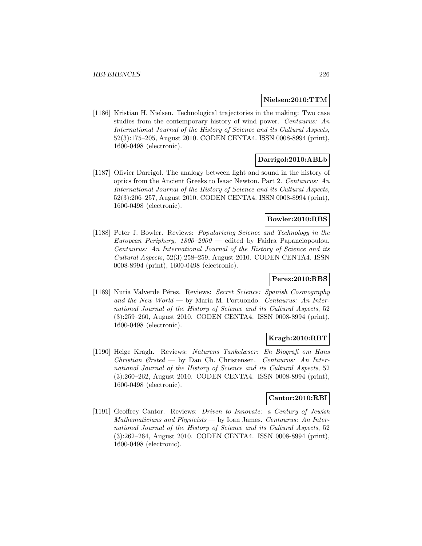### **Nielsen:2010:TTM**

[1186] Kristian H. Nielsen. Technological trajectories in the making: Two case studies from the contemporary history of wind power. Centaurus: An International Journal of the History of Science and its Cultural Aspects, 52(3):175–205, August 2010. CODEN CENTA4. ISSN 0008-8994 (print), 1600-0498 (electronic).

# **Darrigol:2010:ABLb**

[1187] Olivier Darrigol. The analogy between light and sound in the history of optics from the Ancient Greeks to Isaac Newton. Part 2. Centaurus: An International Journal of the History of Science and its Cultural Aspects, 52(3):206–257, August 2010. CODEN CENTA4. ISSN 0008-8994 (print), 1600-0498 (electronic).

# **Bowler:2010:RBS**

[1188] Peter J. Bowler. Reviews: Popularizing Science and Technology in the European Periphery,  $1800-2000$  — edited by Faidra Papanelopoulou. Centaurus: An International Journal of the History of Science and its Cultural Aspects, 52(3):258–259, August 2010. CODEN CENTA4. ISSN 0008-8994 (print), 1600-0498 (electronic).

# **Perez:2010:RBS**

[1189] Nuria Valverde Pérez. Reviews: Secret Science: Spanish Cosmography and the New World — by María M. Portuondo. Centaurus: An International Journal of the History of Science and its Cultural Aspects, 52 (3):259–260, August 2010. CODEN CENTA4. ISSN 0008-8994 (print), 1600-0498 (electronic).

# **Kragh:2010:RBT**

[1190] Helge Kragh. Reviews: Naturens Tankelæser: En Biografi om Hans Christian Ørsted — by Dan Ch. Christensen. Centaurus: An International Journal of the History of Science and its Cultural Aspects, 52 (3):260–262, August 2010. CODEN CENTA4. ISSN 0008-8994 (print), 1600-0498 (electronic).

# **Cantor:2010:RBI**

[1191] Geoffrey Cantor. Reviews: Driven to Innovate: a Century of Jewish Mathematicians and Physicists — by Ioan James. Centaurus: An International Journal of the History of Science and its Cultural Aspects, 52 (3):262–264, August 2010. CODEN CENTA4. ISSN 0008-8994 (print), 1600-0498 (electronic).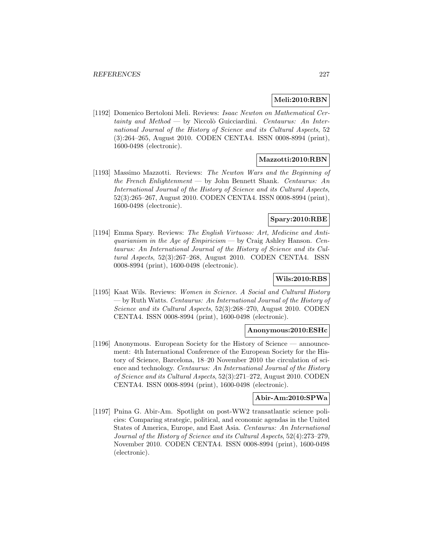# **Meli:2010:RBN**

[1192] Domenico Bertoloni Meli. Reviews: Isaac Newton on Mathematical Cer $tainty$  and  $Method$  — by Niccolò Guicciardini. Centaurus: An International Journal of the History of Science and its Cultural Aspects, 52 (3):264–265, August 2010. CODEN CENTA4. ISSN 0008-8994 (print), 1600-0498 (electronic).

# **Mazzotti:2010:RBN**

[1193] Massimo Mazzotti. Reviews: The Newton Wars and the Beginning of the French Enlightenment — by John Bennett Shank. Centaurus: An International Journal of the History of Science and its Cultural Aspects, 52(3):265–267, August 2010. CODEN CENTA4. ISSN 0008-8994 (print), 1600-0498 (electronic).

# **Spary:2010:RBE**

[1194] Emma Spary. Reviews: The English Virtuoso: Art, Medicine and Antiquarianism in the Age of Empiricism — by Craig Ashley Hanson. Centaurus: An International Journal of the History of Science and its Cultural Aspects, 52(3):267–268, August 2010. CODEN CENTA4. ISSN 0008-8994 (print), 1600-0498 (electronic).

# **Wils:2010:RBS**

[1195] Kaat Wils. Reviews: Women in Science. A Social and Cultural History — by Ruth Watts. Centaurus: An International Journal of the History of Science and its Cultural Aspects, 52(3):268–270, August 2010. CODEN CENTA4. ISSN 0008-8994 (print), 1600-0498 (electronic).

# **Anonymous:2010:ESHc**

[1196] Anonymous. European Society for the History of Science — announcement: 4th International Conference of the European Society for the History of Science, Barcelona, 18–20 November 2010 the circulation of science and technology. Centaurus: An International Journal of the History of Science and its Cultural Aspects, 52(3):271–272, August 2010. CODEN CENTA4. ISSN 0008-8994 (print), 1600-0498 (electronic).

# **Abir-Am:2010:SPWa**

[1197] Pnina G. Abir-Am. Spotlight on post-WW2 transatlantic science policies: Comparing strategic, political, and economic agendas in the United States of America, Europe, and East Asia. Centaurus: An International Journal of the History of Science and its Cultural Aspects, 52(4):273–279, November 2010. CODEN CENTA4. ISSN 0008-8994 (print), 1600-0498 (electronic).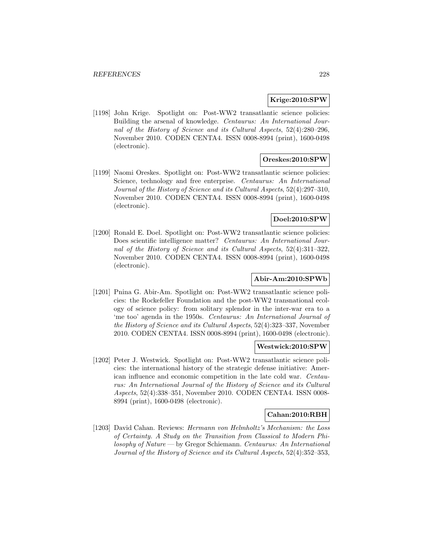## **Krige:2010:SPW**

[1198] John Krige. Spotlight on: Post-WW2 transatlantic science policies: Building the arsenal of knowledge. Centaurus: An International Journal of the History of Science and its Cultural Aspects, 52(4):280–296, November 2010. CODEN CENTA4. ISSN 0008-8994 (print), 1600-0498 (electronic).

# **Oreskes:2010:SPW**

[1199] Naomi Oreskes. Spotlight on: Post-WW2 transatlantic science policies: Science, technology and free enterprise. Centaurus: An International Journal of the History of Science and its Cultural Aspects, 52(4):297–310, November 2010. CODEN CENTA4. ISSN 0008-8994 (print), 1600-0498 (electronic).

# **Doel:2010:SPW**

[1200] Ronald E. Doel. Spotlight on: Post-WW2 transatlantic science policies: Does scientific intelligence matter? Centaurus: An International Journal of the History of Science and its Cultural Aspects, 52(4):311–322, November 2010. CODEN CENTA4. ISSN 0008-8994 (print), 1600-0498 (electronic).

# **Abir-Am:2010:SPWb**

[1201] Pnina G. Abir-Am. Spotlight on: Post-WW2 transatlantic science policies: the Rockefeller Foundation and the post-WW2 transnational ecology of science policy: from solitary splendor in the inter-war era to a 'me too' agenda in the 1950s. Centaurus: An International Journal of the History of Science and its Cultural Aspects, 52(4):323–337, November 2010. CODEN CENTA4. ISSN 0008-8994 (print), 1600-0498 (electronic).

## **Westwick:2010:SPW**

[1202] Peter J. Westwick. Spotlight on: Post-WW2 transatlantic science policies: the international history of the strategic defense initiative: American influence and economic competition in the late cold war. Centaurus: An International Journal of the History of Science and its Cultural Aspects, 52(4):338–351, November 2010. CODEN CENTA4. ISSN 0008- 8994 (print), 1600-0498 (electronic).

## **Cahan:2010:RBH**

[1203] David Cahan. Reviews: Hermann von Helmholtz's Mechanism: the Loss of Certainty. A Study on the Transition from Classical to Modern Philosophy of Nature — by Gregor Schiemann. Centaurus: An International Journal of the History of Science and its Cultural Aspects, 52(4):352–353,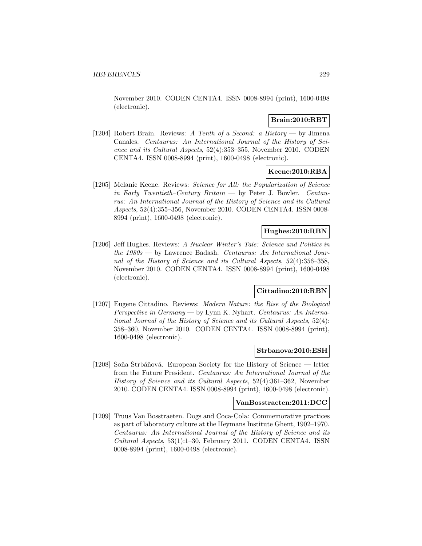November 2010. CODEN CENTA4. ISSN 0008-8994 (print), 1600-0498 (electronic).

# **Brain:2010:RBT**

[1204] Robert Brain. Reviews: A Tenth of a Second: a History — by Jimena Canales. Centaurus: An International Journal of the History of Science and its Cultural Aspects, 52(4):353–355, November 2010. CODEN CENTA4. ISSN 0008-8994 (print), 1600-0498 (electronic).

# **Keene:2010:RBA**

[1205] Melanie Keene. Reviews: Science for All: the Popularization of Science in Early Twentieth–Century Britain — by Peter J. Bowler. Centaurus: An International Journal of the History of Science and its Cultural Aspects, 52(4):355–356, November 2010. CODEN CENTA4. ISSN 0008- 8994 (print), 1600-0498 (electronic).

## **Hughes:2010:RBN**

[1206] Jeff Hughes. Reviews: A Nuclear Winter's Tale: Science and Politics in the  $1980s$  — by Lawrence Badash. Centaurus: An International Journal of the History of Science and its Cultural Aspects, 52(4):356–358, November 2010. CODEN CENTA4. ISSN 0008-8994 (print), 1600-0498 (electronic).

## **Cittadino:2010:RBN**

[1207] Eugene Cittadino. Reviews: Modern Nature: the Rise of the Biological Perspective in Germany — by Lynn K. Nyhart. Centaurus: An International Journal of the History of Science and its Cultural Aspects, 52(4): 358–360, November 2010. CODEN CENTA4. ISSN 0008-8994 (print), 1600-0498 (electronic).

#### **Strbanova:2010:ESH**

[1208] Soña Štrbáňová. European Society for the History of Science — letter from the Future President. Centaurus: An International Journal of the History of Science and its Cultural Aspects, 52(4):361–362, November 2010. CODEN CENTA4. ISSN 0008-8994 (print), 1600-0498 (electronic).

#### **VanBosstraeten:2011:DCC**

[1209] Truus Van Bosstraeten. Dogs and Coca-Cola: Commemorative practices as part of laboratory culture at the Heymans Institute Ghent, 1902–1970. Centaurus: An International Journal of the History of Science and its Cultural Aspects, 53(1):1–30, February 2011. CODEN CENTA4. ISSN 0008-8994 (print), 1600-0498 (electronic).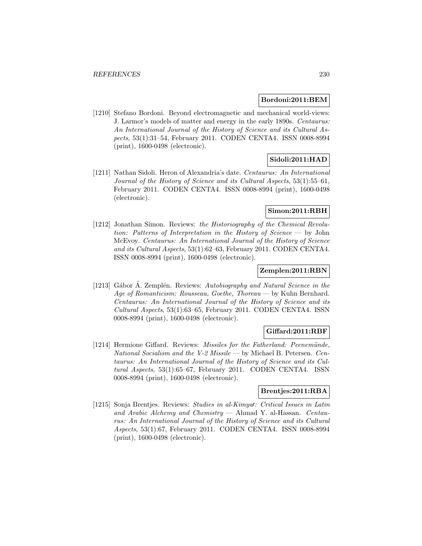#### **Bordoni:2011:BEM**

[1210] Stefano Bordoni. Beyond electromagnetic and mechanical world-views: J. Larmor's models of matter and energy in the early 1890s. Centaurus: An International Journal of the History of Science and its Cultural Aspects, 53(1):31–54, February 2011. CODEN CENTA4. ISSN 0008-8994 (print), 1600-0498 (electronic).

# **Sidoli:2011:HAD**

[1211] Nathan Sidoli. Heron of Alexandria's date. Centaurus: An International Journal of the History of Science and its Cultural Aspects, 53(1):55–61, February 2011. CODEN CENTA4. ISSN 0008-8994 (print), 1600-0498 (electronic).

# **Simon:2011:RBH**

[1212] Jonathan Simon. Reviews: the Historiography of the Chemical Revolution: Patterns of Interpretation in the History of Science — by John McEvoy. Centaurus: An International Journal of the History of Science and its Cultural Aspects, 53(1):62–63, February 2011. CODEN CENTA4. ISSN 0008-8994 (print), 1600-0498 (electronic).

# **Zemplen:2011:RBN**

[1213] Gábor A. Zemplén. Reviews: Autobiography and Natural Science in the Age of Romanticism: Rousseau, Goethe, Thoreau — by Kuhn Bernhard. Centaurus: An International Journal of the History of Science and its Cultural Aspects, 53(1):63–65, February 2011. CODEN CENTA4. ISSN 0008-8994 (print), 1600-0498 (electronic).

## **Giffard:2011:RBF**

[1214] Hermione Giffard. Reviews: Missiles for the Fatherland: Peenemünde, National Socialism and the V-2 Missile — by Michael B. Petersen. Centaurus: An International Journal of the History of Science and its Cultural Aspects, 53(1):65–67, February 2011. CODEN CENTA4. ISSN 0008-8994 (print), 1600-0498 (electronic).

# **Brentjes:2011:RBA**

[1215] Sonja Brentjes. Reviews: Studies in al-Kimyal: Critical Issues in Latin and Arabic Alchemy and Chemistry — Ahmad Y. al-Hassan. Centaurus: An International Journal of the History of Science and its Cultural Aspects, 53(1):67, February 2011. CODEN CENTA4. ISSN 0008-8994 (print), 1600-0498 (electronic).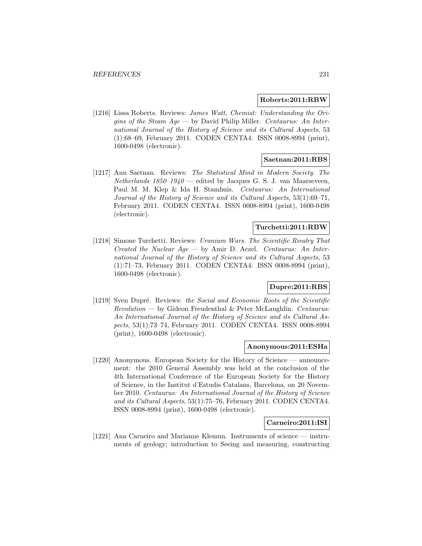# **Roberts:2011:RBW**

[1216] Lissa Roberts. Reviews: James Watt, Chemist: Understanding the Origins of the Steam  $Age$   $-$  by David Philip Miller. Centaurus: An International Journal of the History of Science and its Cultural Aspects, 53 (1):68–69, February 2011. CODEN CENTA4. ISSN 0008-8994 (print), 1600-0498 (electronic).

## **Saetnan:2011:RBS**

[1217] Ann Saetnan. Reviews: The Statistical Mind in Modern Society. The Netherlands  $1850-1940$  — edited by Jacques G. S. J. van Maarseveen, Paul M. M. Klep & Ida H. Stamhuis. Centaurus: An International Journal of the History of Science and its Cultural Aspects, 53(1):69–71, February 2011. CODEN CENTA4. ISSN 0008-8994 (print), 1600-0498 (electronic).

# **Turchetti:2011:RBW**

[1218] Simone Turchetti. Reviews: Uranium Wars. The Scientific Rivalry That Created the Nuclear  $Age - by$  Amir D. Aczel. Centaurus: An International Journal of the History of Science and its Cultural Aspects, 53 (1):71–73, February 2011. CODEN CENTA4. ISSN 0008-8994 (print), 1600-0498 (electronic).

# **Dupre:2011:RBS**

[1219] Sven Dupré. Reviews: the Social and Economic Roots of the Scientific  $Revolution$  — by Gideon Freudenthal & Peter McLaughlin. Centaurus: An International Journal of the History of Science and its Cultural Aspects, 53(1):73–74, February 2011. CODEN CENTA4. ISSN 0008-8994 (print), 1600-0498 (electronic).

#### **Anonymous:2011:ESHa**

[1220] Anonymous. European Society for the History of Science — announcement: the 2010 General Assembly was held at the conclusion of the 4th International Conference of the European Society for the History of Science, in the Institut d'Estudis Catalans, Barcelona, on 20 November 2010. Centaurus: An International Journal of the History of Science and its Cultural Aspects, 53(1):75–76, February 2011. CODEN CENTA4. ISSN 0008-8994 (print), 1600-0498 (electronic).

### **Carneiro:2011:ISI**

[1221] Ana Carneiro and Marianne Klemun. Instruments of science — instruments of geology; introduction to Seeing and measuring, constructing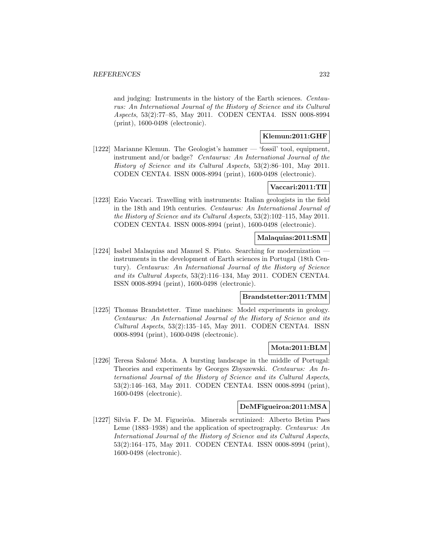and judging: Instruments in the history of the Earth sciences. Centaurus: An International Journal of the History of Science and its Cultural Aspects, 53(2):77–85, May 2011. CODEN CENTA4. ISSN 0008-8994 (print), 1600-0498 (electronic).

# **Klemun:2011:GHF**

[1222] Marianne Klemun. The Geologist's hammer — 'fossil' tool, equipment, instrument and/or badge? Centaurus: An International Journal of the History of Science and its Cultural Aspects, 53(2):86–101, May 2011. CODEN CENTA4. ISSN 0008-8994 (print), 1600-0498 (electronic).

# **Vaccari:2011:TII**

[1223] Ezio Vaccari. Travelling with instruments: Italian geologists in the field in the 18th and 19th centuries. Centaurus: An International Journal of the History of Science and its Cultural Aspects, 53(2):102–115, May 2011. CODEN CENTA4. ISSN 0008-8994 (print), 1600-0498 (electronic).

# **Malaquias:2011:SMI**

[1224] Isabel Malaquias and Manuel S. Pinto. Searching for modernization instruments in the development of Earth sciences in Portugal (18th Century). Centaurus: An International Journal of the History of Science and its Cultural Aspects, 53(2):116–134, May 2011. CODEN CENTA4. ISSN 0008-8994 (print), 1600-0498 (electronic).

# **Brandstetter:2011:TMM**

[1225] Thomas Brandstetter. Time machines: Model experiments in geology. Centaurus: An International Journal of the History of Science and its Cultural Aspects, 53(2):135–145, May 2011. CODEN CENTA4. ISSN 0008-8994 (print), 1600-0498 (electronic).

## **Mota:2011:BLM**

[1226] Teresa Salomé Mota. A bursting landscape in the middle of Portugal: Theories and experiments by Georges Zbyszewski. Centaurus: An International Journal of the History of Science and its Cultural Aspects, 53(2):146–163, May 2011. CODEN CENTA4. ISSN 0008-8994 (print), 1600-0498 (electronic).

#### **DeMFigueiroa:2011:MSA**

[1227] Silvia F. De M. Figueirôa. Minerals scrutinized: Alberto Betim Paes Leme (1883–1938) and the application of spectrography. Centaurus: An International Journal of the History of Science and its Cultural Aspects, 53(2):164–175, May 2011. CODEN CENTA4. ISSN 0008-8994 (print), 1600-0498 (electronic).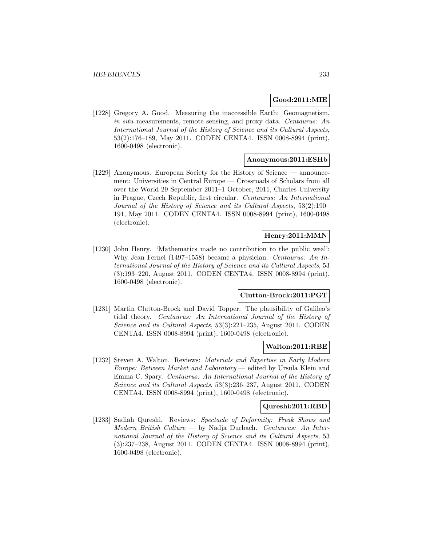# **Good:2011:MIE**

[1228] Gregory A. Good. Measuring the inaccessible Earth: Geomagnetism, in situ measurements, remote sensing, and proxy data. Centaurus: An International Journal of the History of Science and its Cultural Aspects, 53(2):176–189, May 2011. CODEN CENTA4. ISSN 0008-8994 (print), 1600-0498 (electronic).

## **Anonymous:2011:ESHb**

[1229] Anonymous. European Society for the History of Science — announcement: Universities in Central Europe — Crossroads of Scholars from all over the World 29 September 2011–1 October, 2011, Charles University in Prague, Czech Republic, first circular. Centaurus: An International Journal of the History of Science and its Cultural Aspects, 53(2):190– 191, May 2011. CODEN CENTA4. ISSN 0008-8994 (print), 1600-0498 (electronic).

### **Henry:2011:MMN**

[1230] John Henry. 'Mathematics made no contribution to the public weal': Why Jean Fernel (1497–1558) became a physician. Centaurus: An International Journal of the History of Science and its Cultural Aspects, 53 (3):193–220, August 2011. CODEN CENTA4. ISSN 0008-8994 (print), 1600-0498 (electronic).

### **Clutton-Brock:2011:PGT**

[1231] Martin Clutton-Brock and David Topper. The plausibility of Galileo's tidal theory. Centaurus: An International Journal of the History of Science and its Cultural Aspects, 53(3):221–235, August 2011. CODEN CENTA4. ISSN 0008-8994 (print), 1600-0498 (electronic).

#### **Walton:2011:RBE**

[1232] Steven A. Walton. Reviews: Materials and Expertise in Early Modern Europe: Between Market and Laboratory — edited by Ursula Klein and Emma C. Spary. Centaurus: An International Journal of the History of Science and its Cultural Aspects, 53(3):236–237, August 2011. CODEN CENTA4. ISSN 0008-8994 (print), 1600-0498 (electronic).

#### **Qureshi:2011:RBD**

[1233] Sadiah Qureshi. Reviews: Spectacle of Deformity: Freak Shows and  $Modern$  British Culture — by Nadja Durbach. Centaurus: An International Journal of the History of Science and its Cultural Aspects, 53 (3):237–238, August 2011. CODEN CENTA4. ISSN 0008-8994 (print), 1600-0498 (electronic).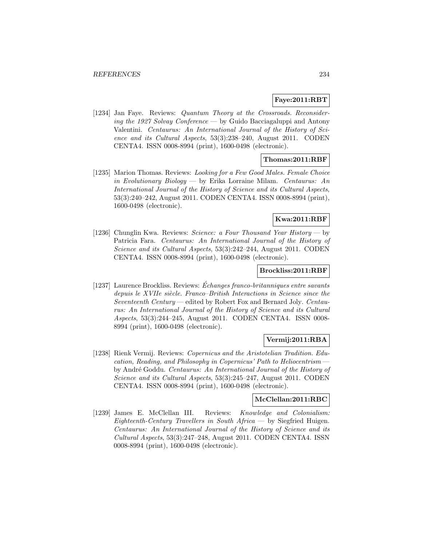## **Faye:2011:RBT**

[1234] Jan Faye. Reviews: Quantum Theory at the Crossroads. Reconsidering the 1927 Solvay Conference — by Guido Bacciagaluppi and Antony Valentini. Centaurus: An International Journal of the History of Science and its Cultural Aspects, 53(3):238–240, August 2011. CODEN CENTA4. ISSN 0008-8994 (print), 1600-0498 (electronic).

# **Thomas:2011:RBF**

[1235] Marion Thomas. Reviews: Looking for a Few Good Males. Female Choice in Evolutionary Biology — by Erika Lorraine Milam. Centaurus: An International Journal of the History of Science and its Cultural Aspects, 53(3):240–242, August 2011. CODEN CENTA4. ISSN 0008-8994 (print), 1600-0498 (electronic).

# **Kwa:2011:RBF**

[1236] Chunglin Kwa. Reviews: Science: a Four Thousand Year History — by Patricia Fara. Centaurus: An International Journal of the History of Science and its Cultural Aspects, 53(3):242–244, August 2011. CODEN CENTA4. ISSN 0008-8994 (print), 1600-0498 (electronic).

#### **Brockliss:2011:RBF**

[1237] Laurence Brockliss. Reviews: Echanges franco-britanniques entre savants ´ depuis le XVIIe siècle. Franco–British Interactions in Science since the Seventeenth Century — edited by Robert Fox and Bernard Joly. Centaurus: An International Journal of the History of Science and its Cultural Aspects, 53(3):244–245, August 2011. CODEN CENTA4. ISSN 0008- 8994 (print), 1600-0498 (electronic).

#### **Vermij:2011:RBA**

[1238] Rienk Vermij. Reviews: Copernicus and the Aristotelian Tradition. Education, Reading, and Philosophy in Copernicus' Path to Heliocentrism by André Goddu. Centaurus: An International Journal of the History of Science and its Cultural Aspects, 53(3):245–247, August 2011. CODEN CENTA4. ISSN 0008-8994 (print), 1600-0498 (electronic).

# **McClellan:2011:RBC**

[1239] James E. McClellan III. Reviews: Knowledge and Colonialism: Eighteenth-Century Travellers in South Africa — by Siegfried Huigen. Centaurus: An International Journal of the History of Science and its Cultural Aspects, 53(3):247–248, August 2011. CODEN CENTA4. ISSN 0008-8994 (print), 1600-0498 (electronic).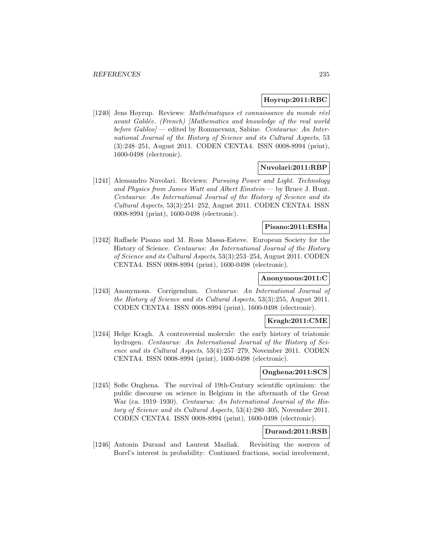## **Hoyrup:2011:RBC**

[1240] Jens Høyrup. Reviews: Mathématiques et connaissance du monde réel avant Galilée. (French) [Mathematics and knowledge of the real world before Galileo] — edited by Rommevaux, Sabine. Centaurus: An International Journal of the History of Science and its Cultural Aspects, 53 (3):248–251, August 2011. CODEN CENTA4. ISSN 0008-8994 (print), 1600-0498 (electronic).

### **Nuvolari:2011:RBP**

[1241] Alessandro Nuvolari. Reviews: Pursuing Power and Light. Technology and Physics from James Watt and Albert Einstein — by Bruce J. Hunt. Centaurus: An International Journal of the History of Science and its Cultural Aspects, 53(3):251–252, August 2011. CODEN CENTA4. ISSN 0008-8994 (print), 1600-0498 (electronic).

# **Pisano:2011:ESHa**

[1242] Raffaele Pisano and M. Rosa Massa-Esteve. European Society for the History of Science. Centaurus: An International Journal of the History of Science and its Cultural Aspects, 53(3):253–254, August 2011. CODEN CENTA4. ISSN 0008-8994 (print), 1600-0498 (electronic).

## **Anonymous:2011:C**

[1243] Anonymous. Corrigendum. Centaurus: An International Journal of the History of Science and its Cultural Aspects, 53(3):255, August 2011. CODEN CENTA4. ISSN 0008-8994 (print), 1600-0498 (electronic).

# **Kragh:2011:CME**

[1244] Helge Kragh. A controversial molecule: the early history of triatomic hydrogen. Centaurus: An International Journal of the History of Science and its Cultural Aspects, 53(4):257–279, November 2011. CODEN CENTA4. ISSN 0008-8994 (print), 1600-0498 (electronic).

# **Onghena:2011:SCS**

[1245] Sofie Onghena. The survival of 19th-Century scientific optimism: the public discourse on science in Belgium in the aftermath of the Great War (ca. 1919–1930). Centaurus: An International Journal of the History of Science and its Cultural Aspects, 53(4):280–305, November 2011. CODEN CENTA4. ISSN 0008-8994 (print), 1600-0498 (electronic).

# **Durand:2011:RSB**

[1246] Antonin Durand and Laurent Mazliak. Revisiting the sources of Borel's interest in probability: Continued fractions, social involvement,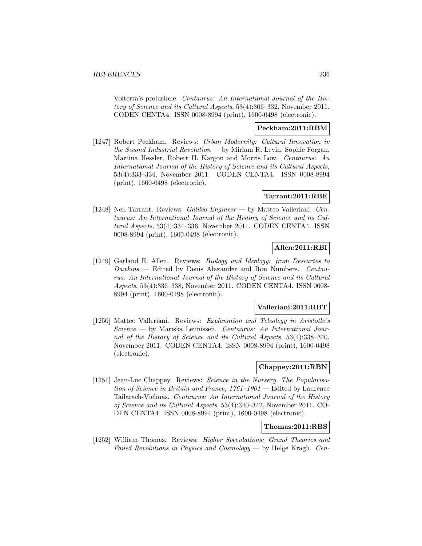Volterra's prolusione. Centaurus: An International Journal of the History of Science and its Cultural Aspects, 53(4):306–332, November 2011. CODEN CENTA4. ISSN 0008-8994 (print), 1600-0498 (electronic).

# **Peckham:2011:RBM**

[1247] Robert Peckham. Reviews: Urban Modernity: Cultural Innovation in the Second Industrial Revolution — by Miriam R. Levin, Sophie Forgan, Martina Hessler, Robert H. Kargon and Morris Low. Centaurus: An International Journal of the History of Science and its Cultural Aspects, 53(4):333–334, November 2011. CODEN CENTA4. ISSN 0008-8994 (print), 1600-0498 (electronic).

# **Tarrant:2011:RBE**

[1248] Neil Tarrant. Reviews: Galileo Engineer — by Matteo Valleriani. Centaurus: An International Journal of the History of Science and its Cultural Aspects, 53(4):334–336, November 2011. CODEN CENTA4. ISSN 0008-8994 (print), 1600-0498 (electronic).

### **Allen:2011:RBI**

[1249] Garland E. Allen. Reviews: *Biology and Ideology: from Descartes to* Dawkins — Edited by Denis Alexander and Ron Numbers. Centaurus: An International Journal of the History of Science and its Cultural Aspects, 53(4):336–338, November 2011. CODEN CENTA4. ISSN 0008- 8994 (print), 1600-0498 (electronic).

# **Valleriani:2011:RBT**

[1250] Matteo Valleriani. Reviews: Explanation and Teleology in Aristotle's Science — by Mariska Leunissen. Centaurus: An International Journal of the History of Science and its Cultural Aspects, 53(4):338–340, November 2011. CODEN CENTA4. ISSN 0008-8994 (print), 1600-0498 (electronic).

# **Chappey:2011:RBN**

[1251] Jean-Luc Chappey. Reviews: Science in the Nursery. The Popularisation of Science in Britain and France, 1761–1901 — Edited by Laurence Tailarach-Vielmas. Centaurus: An International Journal of the History of Science and its Cultural Aspects, 53(4):340–342, November 2011. CO-DEN CENTA4. ISSN 0008-8994 (print), 1600-0498 (electronic).

### **Thomas:2011:RBS**

[1252] William Thomas. Reviews: Higher Speculations: Grand Theories and Failed Revolutions in Physics and Cosmology — by Helge Kragh. Cen-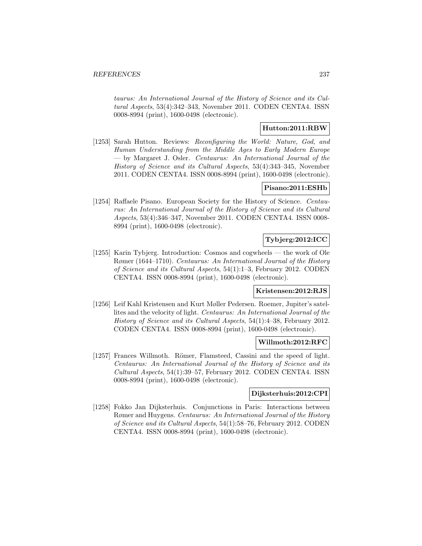taurus: An International Journal of the History of Science and its Cultural Aspects, 53(4):342–343, November 2011. CODEN CENTA4. ISSN 0008-8994 (print), 1600-0498 (electronic).

# **Hutton:2011:RBW**

[1253] Sarah Hutton. Reviews: Reconfiguring the World: Nature, God, and Human Understanding from the Middle Ages to Early Modern Europe — by Margaret J. Osler. Centaurus: An International Journal of the History of Science and its Cultural Aspects, 53(4):343–345, November 2011. CODEN CENTA4. ISSN 0008-8994 (print), 1600-0498 (electronic).

# **Pisano:2011:ESHb**

[1254] Raffaele Pisano. European Society for the History of Science. Centaurus: An International Journal of the History of Science and its Cultural Aspects, 53(4):346–347, November 2011. CODEN CENTA4. ISSN 0008- 8994 (print), 1600-0498 (electronic).

# **Tybjerg:2012:ICC**

[1255] Karin Tybjerg. Introduction: Cosmos and cogwheels — the work of Ole Rømer (1644–1710). Centaurus: An International Journal of the History of Science and its Cultural Aspects, 54(1):1–3, February 2012. CODEN CENTA4. ISSN 0008-8994 (print), 1600-0498 (electronic).

## **Kristensen:2012:RJS**

[1256] Leif Kahl Kristensen and Kurt Møller Pedersen. Roemer, Jupiter's satellites and the velocity of light. Centaurus: An International Journal of the History of Science and its Cultural Aspects, 54(1):4–38, February 2012. CODEN CENTA4. ISSN 0008-8994 (print), 1600-0498 (electronic).

## **Willmoth:2012:RFC**

[1257] Frances Willmoth. Römer, Flamsteed, Cassini and the speed of light. Centaurus: An International Journal of the History of Science and its Cultural Aspects, 54(1):39–57, February 2012. CODEN CENTA4. ISSN 0008-8994 (print), 1600-0498 (electronic).

### **Dijksterhuis:2012:CPI**

[1258] Fokko Jan Dijksterhuis. Conjunctions in Paris: Interactions between Rømer and Huygens. Centaurus: An International Journal of the History of Science and its Cultural Aspects, 54(1):58–76, February 2012. CODEN CENTA4. ISSN 0008-8994 (print), 1600-0498 (electronic).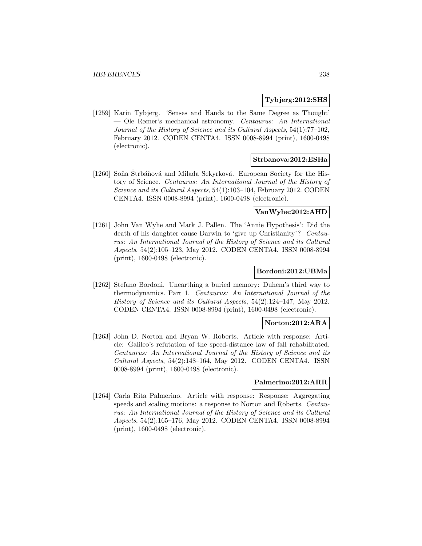## **Tybjerg:2012:SHS**

[1259] Karin Tybjerg. 'Senses and Hands to the Same Degree as Thought' — Ole Rømer's mechanical astronomy. Centaurus: An International Journal of the History of Science and its Cultural Aspects, 54(1):77–102, February 2012. CODEN CENTA4. ISSN 0008-8994 (print), 1600-0498 (electronic).

### **Strbanova:2012:ESHa**

[1260] Soňa Štrbáňová and Milada Sekyrková. European Society for the History of Science. Centaurus: An International Journal of the History of Science and its Cultural Aspects, 54(1):103–104, February 2012. CODEN CENTA4. ISSN 0008-8994 (print), 1600-0498 (electronic).

# **VanWyhe:2012:AHD**

[1261] John Van Wyhe and Mark J. Pallen. The 'Annie Hypothesis': Did the death of his daughter cause Darwin to 'give up Christianity'? Centaurus: An International Journal of the History of Science and its Cultural Aspects, 54(2):105–123, May 2012. CODEN CENTA4. ISSN 0008-8994 (print), 1600-0498 (electronic).

# **Bordoni:2012:UBMa**

[1262] Stefano Bordoni. Unearthing a buried memory: Duhem's third way to thermodynamics. Part 1. Centaurus: An International Journal of the History of Science and its Cultural Aspects, 54(2):124–147, May 2012. CODEN CENTA4. ISSN 0008-8994 (print), 1600-0498 (electronic).

#### **Norton:2012:ARA**

[1263] John D. Norton and Bryan W. Roberts. Article with response: Article: Galileo's refutation of the speed-distance law of fall rehabilitated. Centaurus: An International Journal of the History of Science and its Cultural Aspects, 54(2):148–164, May 2012. CODEN CENTA4. ISSN 0008-8994 (print), 1600-0498 (electronic).

#### **Palmerino:2012:ARR**

[1264] Carla Rita Palmerino. Article with response: Response: Aggregating speeds and scaling motions: a response to Norton and Roberts. Centaurus: An International Journal of the History of Science and its Cultural Aspects, 54(2):165–176, May 2012. CODEN CENTA4. ISSN 0008-8994 (print), 1600-0498 (electronic).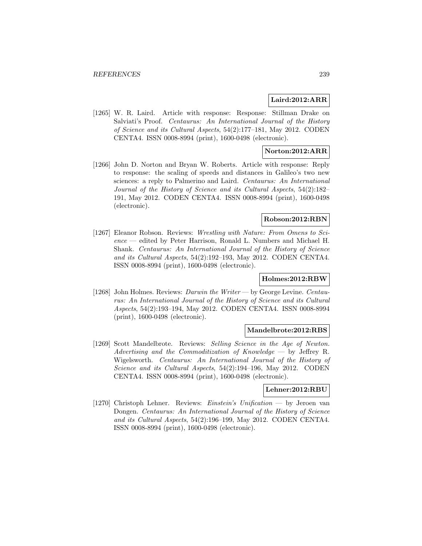# **Laird:2012:ARR**

[1265] W. R. Laird. Article with response: Response: Stillman Drake on Salviati's Proof. Centaurus: An International Journal of the History of Science and its Cultural Aspects, 54(2):177–181, May 2012. CODEN CENTA4. ISSN 0008-8994 (print), 1600-0498 (electronic).

# **Norton:2012:ARR**

[1266] John D. Norton and Bryan W. Roberts. Article with response: Reply to response: the scaling of speeds and distances in Galileo's two new sciences: a reply to Palmerino and Laird. Centaurus: An International Journal of the History of Science and its Cultural Aspects, 54(2):182– 191, May 2012. CODEN CENTA4. ISSN 0008-8994 (print), 1600-0498 (electronic).

# **Robson:2012:RBN**

[1267] Eleanor Robson. Reviews: Wrestling with Nature: From Omens to Science — edited by Peter Harrison, Ronald L. Numbers and Michael H. Shank. Centaurus: An International Journal of the History of Science and its Cultural Aspects, 54(2):192–193, May 2012. CODEN CENTA4. ISSN 0008-8994 (print), 1600-0498 (electronic).

## **Holmes:2012:RBW**

[1268] John Holmes. Reviews: Darwin the Writer — by George Levine. Centaurus: An International Journal of the History of Science and its Cultural Aspects, 54(2):193–194, May 2012. CODEN CENTA4. ISSN 0008-8994 (print), 1600-0498 (electronic).

# **Mandelbrote:2012:RBS**

[1269] Scott Mandelbrote. Reviews: Selling Science in the Age of Newton. Advertising and the Commoditization of Knowledge  $-$  by Jeffrey R. Wigelsworth. Centaurus: An International Journal of the History of Science and its Cultural Aspects, 54(2):194–196, May 2012. CODEN CENTA4. ISSN 0008-8994 (print), 1600-0498 (electronic).

#### **Lehner:2012:RBU**

[1270] Christoph Lehner. Reviews: Einstein's Unification — by Jeroen van Dongen. Centaurus: An International Journal of the History of Science and its Cultural Aspects, 54(2):196–199, May 2012. CODEN CENTA4. ISSN 0008-8994 (print), 1600-0498 (electronic).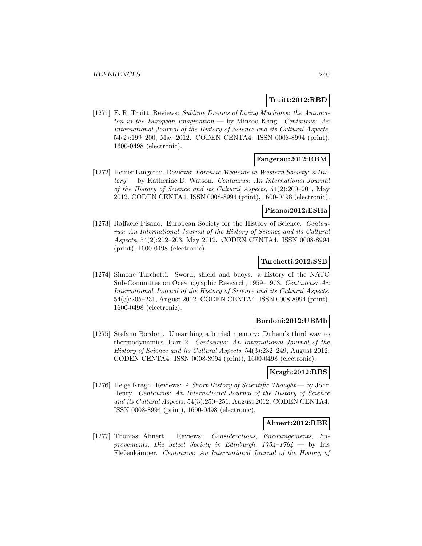### **Truitt:2012:RBD**

[1271] E. R. Truitt. Reviews: Sublime Dreams of Living Machines: the Automaton in the European Imagination — by Minsoo Kang. Centaurus: An International Journal of the History of Science and its Cultural Aspects, 54(2):199–200, May 2012. CODEN CENTA4. ISSN 0008-8994 (print), 1600-0498 (electronic).

# **Fangerau:2012:RBM**

[1272] Heiner Fangerau. Reviews: Forensic Medicine in Western Society: a History — by Katherine D. Watson. Centaurus: An International Journal of the History of Science and its Cultural Aspects, 54(2):200–201, May 2012. CODEN CENTA4. ISSN 0008-8994 (print), 1600-0498 (electronic).

#### **Pisano:2012:ESHa**

[1273] Raffaele Pisano. European Society for the History of Science. Centaurus: An International Journal of the History of Science and its Cultural Aspects, 54(2):202–203, May 2012. CODEN CENTA4. ISSN 0008-8994 (print), 1600-0498 (electronic).

## **Turchetti:2012:SSB**

[1274] Simone Turchetti. Sword, shield and buoys: a history of the NATO Sub-Committee on Oceanographic Research, 1959–1973. Centaurus: An International Journal of the History of Science and its Cultural Aspects, 54(3):205–231, August 2012. CODEN CENTA4. ISSN 0008-8994 (print), 1600-0498 (electronic).

### **Bordoni:2012:UBMb**

[1275] Stefano Bordoni. Unearthing a buried memory: Duhem's third way to thermodynamics. Part 2. Centaurus: An International Journal of the History of Science and its Cultural Aspects, 54(3):232–249, August 2012. CODEN CENTA4. ISSN 0008-8994 (print), 1600-0498 (electronic).

#### **Kragh:2012:RBS**

[1276] Helge Kragh. Reviews: A Short History of Scientific Thought — by John Henry. Centaurus: An International Journal of the History of Science and its Cultural Aspects, 54(3):250–251, August 2012. CODEN CENTA4. ISSN 0008-8994 (print), 1600-0498 (electronic).

#### **Ahnert:2012:RBE**

[1277] Thomas Ahnert. Reviews: Considerations, Encouragements, Improvements. Die Select Society in Edinburgh,  $1754-1764$  — by Iris Fleßenkämper. Centaurus: An International Journal of the History of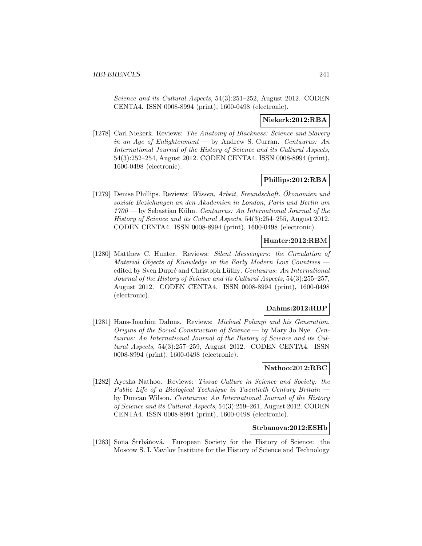Science and its Cultural Aspects, 54(3):251–252, August 2012. CODEN CENTA4. ISSN 0008-8994 (print), 1600-0498 (electronic).

### **Niekerk:2012:RBA**

[1278] Carl Niekerk. Reviews: The Anatomy of Blackness: Science and Slavery in an Age of Enlightenment — by Andrew S. Curran. Centaurus: An International Journal of the History of Science and its Cultural Aspects, 54(3):252–254, August 2012. CODEN CENTA4. ISSN 0008-8994 (print), 1600-0498 (electronic).

## **Phillips:2012:RBA**

[1279] Denise Phillips. Reviews: Wissen, Arbeit, Freundschaft. Okonomien und ¨ soziale Beziehungen an den Akademien in London, Paris und Berlin um  $1700$  — by Sebastian Kühn. Centaurus: An International Journal of the History of Science and its Cultural Aspects, 54(3):254–255, August 2012. CODEN CENTA4. ISSN 0008-8994 (print), 1600-0498 (electronic).

# **Hunter:2012:RBM**

[1280] Matthew C. Hunter. Reviews: Silent Messengers: the Circulation of Material Objects of Knowledge in the Early Modern Low Countries edited by Sven Dupré and Christoph Lüthy. Centaurus: An International Journal of the History of Science and its Cultural Aspects, 54(3):255–257, August 2012. CODEN CENTA4. ISSN 0008-8994 (print), 1600-0498 (electronic).

## **Dahms:2012:RBP**

[1281] Hans-Joachim Dahms. Reviews: Michael Polanyi and his Generation. Origins of the Social Construction of Science — by Mary Jo Nye. Centaurus: An International Journal of the History of Science and its Cultural Aspects, 54(3):257–259, August 2012. CODEN CENTA4. ISSN 0008-8994 (print), 1600-0498 (electronic).

## **Nathoo:2012:RBC**

[1282] Ayesha Nathoo. Reviews: Tissue Culture in Science and Society: the Public Life of a Biological Technique in Twentieth Century Britain by Duncan Wilson. Centaurus: An International Journal of the History of Science and its Cultural Aspects, 54(3):259–261, August 2012. CODEN CENTA4. ISSN 0008-8994 (print), 1600-0498 (electronic).

# **Strbanova:2012:ESHb**

[1283] Soňa Strbáňová. European Society for the History of Science: the Moscow S. I. Vavilov Institute for the History of Science and Technology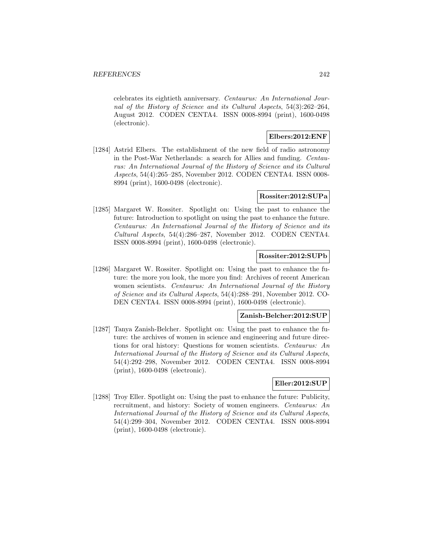celebrates its eightieth anniversary. Centaurus: An International Journal of the History of Science and its Cultural Aspects, 54(3):262–264, August 2012. CODEN CENTA4. ISSN 0008-8994 (print), 1600-0498 (electronic).

# **Elbers:2012:ENF**

[1284] Astrid Elbers. The establishment of the new field of radio astronomy in the Post-War Netherlands: a search for Allies and funding. Centaurus: An International Journal of the History of Science and its Cultural Aspects, 54(4):265–285, November 2012. CODEN CENTA4. ISSN 0008- 8994 (print), 1600-0498 (electronic).

# **Rossiter:2012:SUPa**

[1285] Margaret W. Rossiter. Spotlight on: Using the past to enhance the future: Introduction to spotlight on using the past to enhance the future. Centaurus: An International Journal of the History of Science and its Cultural Aspects, 54(4):286–287, November 2012. CODEN CENTA4. ISSN 0008-8994 (print), 1600-0498 (electronic).

# **Rossiter:2012:SUPb**

[1286] Margaret W. Rossiter. Spotlight on: Using the past to enhance the future: the more you look, the more you find: Archives of recent American women scientists. Centaurus: An International Journal of the History of Science and its Cultural Aspects, 54(4):288–291, November 2012. CO-DEN CENTA4. ISSN 0008-8994 (print), 1600-0498 (electronic).

#### **Zanish-Belcher:2012:SUP**

[1287] Tanya Zanish-Belcher. Spotlight on: Using the past to enhance the future: the archives of women in science and engineering and future directions for oral history: Questions for women scientists. Centaurus: An International Journal of the History of Science and its Cultural Aspects, 54(4):292–298, November 2012. CODEN CENTA4. ISSN 0008-8994 (print), 1600-0498 (electronic).

## **Eller:2012:SUP**

[1288] Troy Eller. Spotlight on: Using the past to enhance the future: Publicity, recruitment, and history: Society of women engineers. Centaurus: An International Journal of the History of Science and its Cultural Aspects, 54(4):299–304, November 2012. CODEN CENTA4. ISSN 0008-8994 (print), 1600-0498 (electronic).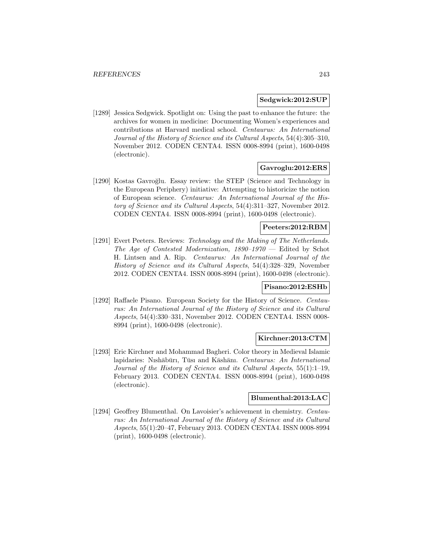## **Sedgwick:2012:SUP**

[1289] Jessica Sedgwick. Spotlight on: Using the past to enhance the future: the archives for women in medicine: Documenting Women's experiences and contributions at Harvard medical school. Centaurus: An International Journal of the History of Science and its Cultural Aspects, 54(4):305–310, November 2012. CODEN CENTA4. ISSN 0008-8994 (print), 1600-0498 (electronic).

## **Gavroglu:2012:ERS**

[1290] Kostas Gavroğlu. Essay review: the STEP (Science and Technology in the European Periphery) initiative: Attempting to historicize the notion of European science. Centaurus: An International Journal of the History of Science and its Cultural Aspects, 54(4):311–327, November 2012. CODEN CENTA4. ISSN 0008-8994 (print), 1600-0498 (electronic).

# **Peeters:2012:RBM**

[1291] Evert Peeters. Reviews: Technology and the Making of The Netherlands. The Age of Contested Modernization,  $1890-1970$  – Edited by Schot H. Lintsen and A. Rip. Centaurus: An International Journal of the History of Science and its Cultural Aspects, 54(4):328–329, November 2012. CODEN CENTA4. ISSN 0008-8994 (print), 1600-0498 (electronic).

#### **Pisano:2012:ESHb**

[1292] Raffaele Pisano. European Society for the History of Science. Centaurus: An International Journal of the History of Science and its Cultural Aspects, 54(4):330–331, November 2012. CODEN CENTA4. ISSN 0008- 8994 (print), 1600-0498 (electronic).

### **Kirchner:2013:CTM**

[1293] Eric Kirchner and Mohammad Bagheri. Color theory in Medieval Islamic lapidaries: Nıshābūrı, Tūsı and Kāshānı. Centaurus: An International Journal of the History of Science and its Cultural Aspects, 55(1):1–19, February 2013. CODEN CENTA4. ISSN 0008-8994 (print), 1600-0498 (electronic).

# **Blumenthal:2013:LAC**

[1294] Geoffrey Blumenthal. On Lavoisier's achievement in chemistry. Centaurus: An International Journal of the History of Science and its Cultural Aspects, 55(1):20–47, February 2013. CODEN CENTA4. ISSN 0008-8994 (print), 1600-0498 (electronic).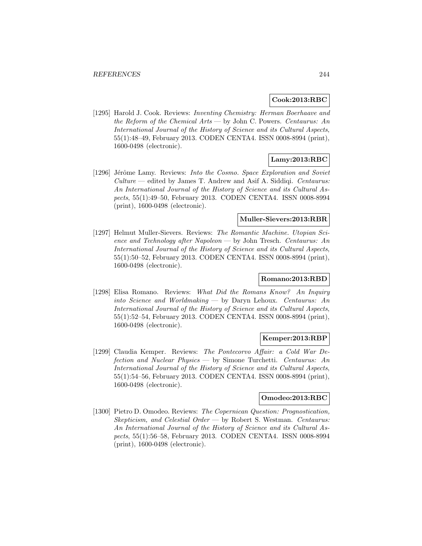### **Cook:2013:RBC**

[1295] Harold J. Cook. Reviews: Inventing Chemistry: Herman Boerhaave and the Reform of the Chemical Arts — by John C. Powers. Centaurus: An International Journal of the History of Science and its Cultural Aspects, 55(1):48–49, February 2013. CODEN CENTA4. ISSN 0008-8994 (print), 1600-0498 (electronic).

# **Lamy:2013:RBC**

[1296] Jérôme Lamy. Reviews: Into the Cosmo. Space Exploration and Soviet Culture — edited by James T. Andrew and Asif A. Siddiqi. Centaurus: An International Journal of the History of Science and its Cultural Aspects, 55(1):49–50, February 2013. CODEN CENTA4. ISSN 0008-8994 (print), 1600-0498 (electronic).

# **Muller-Sievers:2013:RBR**

[1297] Helmut Muller-Sievers. Reviews: The Romantic Machine. Utopian Science and Technology after Napoleon — by John Tresch. Centaurus: An International Journal of the History of Science and its Cultural Aspects, 55(1):50–52, February 2013. CODEN CENTA4. ISSN 0008-8994 (print), 1600-0498 (electronic).

# **Romano:2013:RBD**

[1298] Elisa Romano. Reviews: What Did the Romans Know? An Inquiry into Science and Worldmaking — by Daryn Lehoux. Centaurus: An International Journal of the History of Science and its Cultural Aspects, 55(1):52–54, February 2013. CODEN CENTA4. ISSN 0008-8994 (print), 1600-0498 (electronic).

## **Kemper:2013:RBP**

[1299] Claudia Kemper. Reviews: The Pontecorvo Affair: a Cold War Defection and Nuclear Physics — by Simone Turchetti. Centaurus: An International Journal of the History of Science and its Cultural Aspects, 55(1):54–56, February 2013. CODEN CENTA4. ISSN 0008-8994 (print), 1600-0498 (electronic).

# **Omodeo:2013:RBC**

[1300] Pietro D. Omodeo. Reviews: The Copernican Question: Prognostication, Skepticism, and Celestial Order — by Robert S. Westman. Centaurus: An International Journal of the History of Science and its Cultural Aspects, 55(1):56–58, February 2013. CODEN CENTA4. ISSN 0008-8994 (print), 1600-0498 (electronic).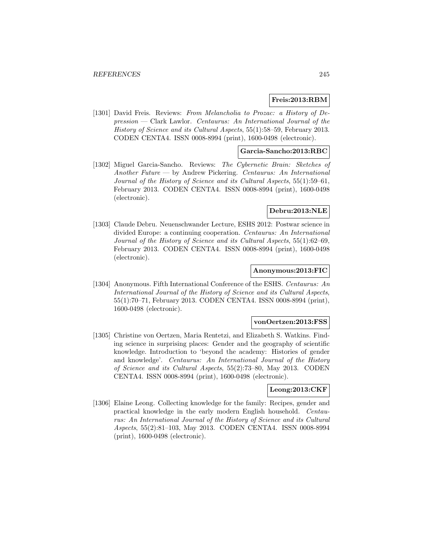# **Freis:2013:RBM**

[1301] David Freis. Reviews: From Melancholia to Prozac: a History of Depression — Clark Lawlor. Centaurus: An International Journal of the History of Science and its Cultural Aspects, 55(1):58–59, February 2013. CODEN CENTA4. ISSN 0008-8994 (print), 1600-0498 (electronic).

# **Garcia-Sancho:2013:RBC**

[1302] Miguel Garcia-Sancho. Reviews: The Cybernetic Brain: Sketches of Another Future — by Andrew Pickering. Centaurus: An International Journal of the History of Science and its Cultural Aspects, 55(1):59–61, February 2013. CODEN CENTA4. ISSN 0008-8994 (print), 1600-0498 (electronic).

## **Debru:2013:NLE**

[1303] Claude Debru. Neuenschwander Lecture, ESHS 2012: Postwar science in divided Europe: a continuing cooperation. Centaurus: An International Journal of the History of Science and its Cultural Aspects, 55(1):62–69, February 2013. CODEN CENTA4. ISSN 0008-8994 (print), 1600-0498 (electronic).

#### **Anonymous:2013:FIC**

[1304] Anonymous. Fifth International Conference of the ESHS. Centaurus: An International Journal of the History of Science and its Cultural Aspects, 55(1):70–71, February 2013. CODEN CENTA4. ISSN 0008-8994 (print), 1600-0498 (electronic).

### **vonOertzen:2013:FSS**

[1305] Christine von Oertzen, Maria Rentetzi, and Elizabeth S. Watkins. Finding science in surprising places: Gender and the geography of scientific knowledge. Introduction to 'beyond the academy: Histories of gender and knowledge'. Centaurus: An International Journal of the History of Science and its Cultural Aspects, 55(2):73–80, May 2013. CODEN CENTA4. ISSN 0008-8994 (print), 1600-0498 (electronic).

### **Leong:2013:CKF**

[1306] Elaine Leong. Collecting knowledge for the family: Recipes, gender and practical knowledge in the early modern English household. Centaurus: An International Journal of the History of Science and its Cultural Aspects, 55(2):81–103, May 2013. CODEN CENTA4. ISSN 0008-8994 (print), 1600-0498 (electronic).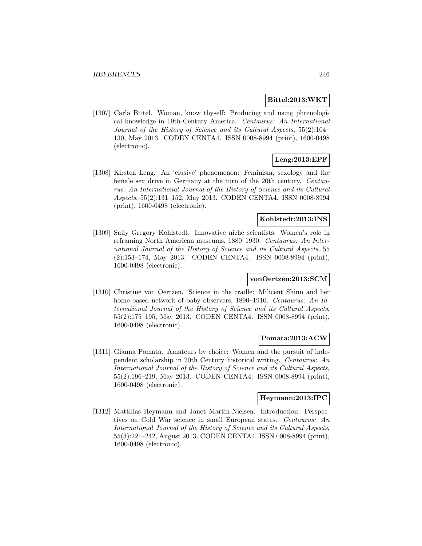### **Bittel:2013:WKT**

[1307] Carla Bittel. Woman, know thyself: Producing and using phrenological knowledge in 19th-Century America. Centaurus: An International Journal of the History of Science and its Cultural Aspects, 55(2):104– 130, May 2013. CODEN CENTA4. ISSN 0008-8994 (print), 1600-0498 (electronic).

# **Leng:2013:EPF**

[1308] Kirsten Leng. An 'elusive' phenomenon: Feminism, sexology and the female sex drive in Germany at the turn of the 20th century. Centaurus: An International Journal of the History of Science and its Cultural Aspects, 55(2):131–152, May 2013. CODEN CENTA4. ISSN 0008-8994 (print), 1600-0498 (electronic).

# **Kohlstedt:2013:INS**

[1309] Sally Gregory Kohlstedt. Innovative niche scientists: Women's role in reframing North American museums, 1880–1930. Centaurus: An International Journal of the History of Science and its Cultural Aspects, 55 (2):153–174, May 2013. CODEN CENTA4. ISSN 0008-8994 (print), 1600-0498 (electronic).

## **vonOertzen:2013:SCM**

[1310] Christine von Oertzen. Science in the cradle: Milicent Shinn and her home-based network of baby observers, 1890–1910. Centaurus: An International Journal of the History of Science and its Cultural Aspects, 55(2):175–195, May 2013. CODEN CENTA4. ISSN 0008-8994 (print), 1600-0498 (electronic).

#### **Pomata:2013:ACW**

[1311] Gianna Pomata. Amateurs by choice: Women and the pursuit of independent scholarship in 20th Century historical writing. Centaurus: An International Journal of the History of Science and its Cultural Aspects, 55(2):196–219, May 2013. CODEN CENTA4. ISSN 0008-8994 (print), 1600-0498 (electronic).

# **Heymann:2013:IPC**

[1312] Matthias Heymann and Janet Martin-Nielsen. Introduction: Perspectives on Cold War science in small European states. Centaurus: An International Journal of the History of Science and its Cultural Aspects, 55(3):221–242, August 2013. CODEN CENTA4. ISSN 0008-8994 (print), 1600-0498 (electronic).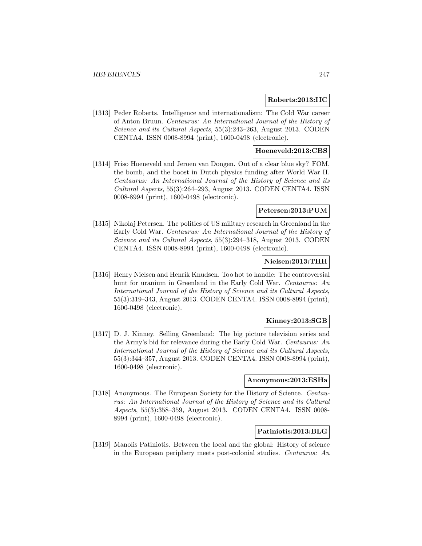## **Roberts:2013:IIC**

[1313] Peder Roberts. Intelligence and internationalism: The Cold War career of Anton Bruun. Centaurus: An International Journal of the History of Science and its Cultural Aspects, 55(3):243–263, August 2013. CODEN CENTA4. ISSN 0008-8994 (print), 1600-0498 (electronic).

# **Hoeneveld:2013:CBS**

[1314] Friso Hoeneveld and Jeroen van Dongen. Out of a clear blue sky? FOM, the bomb, and the boost in Dutch physics funding after World War II. Centaurus: An International Journal of the History of Science and its Cultural Aspects, 55(3):264–293, August 2013. CODEN CENTA4. ISSN 0008-8994 (print), 1600-0498 (electronic).

### **Petersen:2013:PUM**

[1315] Nikolaj Petersen. The politics of US military research in Greenland in the Early Cold War. Centaurus: An International Journal of the History of Science and its Cultural Aspects, 55(3):294–318, August 2013. CODEN CENTA4. ISSN 0008-8994 (print), 1600-0498 (electronic).

### **Nielsen:2013:THH**

[1316] Henry Nielsen and Henrik Knudsen. Too hot to handle: The controversial hunt for uranium in Greenland in the Early Cold War. Centaurus: An International Journal of the History of Science and its Cultural Aspects, 55(3):319–343, August 2013. CODEN CENTA4. ISSN 0008-8994 (print), 1600-0498 (electronic).

## **Kinney:2013:SGB**

[1317] D. J. Kinney. Selling Greenland: The big picture television series and the Army's bid for relevance during the Early Cold War. Centaurus: An International Journal of the History of Science and its Cultural Aspects, 55(3):344–357, August 2013. CODEN CENTA4. ISSN 0008-8994 (print), 1600-0498 (electronic).

### **Anonymous:2013:ESHa**

[1318] Anonymous. The European Society for the History of Science. Centaurus: An International Journal of the History of Science and its Cultural Aspects, 55(3):358–359, August 2013. CODEN CENTA4. ISSN 0008- 8994 (print), 1600-0498 (electronic).

# **Patiniotis:2013:BLG**

[1319] Manolis Patiniotis. Between the local and the global: History of science in the European periphery meets post-colonial studies. Centaurus: An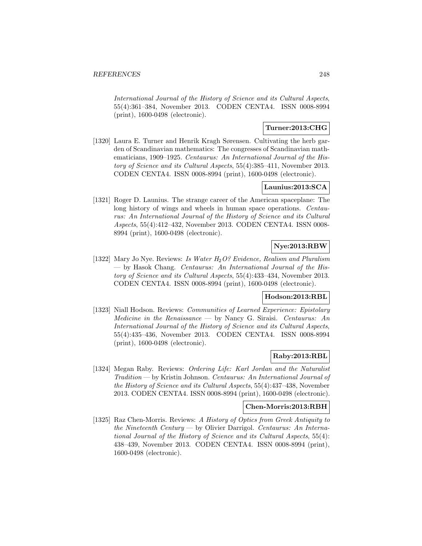International Journal of the History of Science and its Cultural Aspects, 55(4):361–384, November 2013. CODEN CENTA4. ISSN 0008-8994 (print), 1600-0498 (electronic).

# **Turner:2013:CHG**

[1320] Laura E. Turner and Henrik Kragh Sørensen. Cultivating the herb garden of Scandinavian mathematics: The congresses of Scandinavian mathematicians, 1909–1925. Centaurus: An International Journal of the History of Science and its Cultural Aspects, 55(4):385–411, November 2013. CODEN CENTA4. ISSN 0008-8994 (print), 1600-0498 (electronic).

# **Launius:2013:SCA**

[1321] Roger D. Launius. The strange career of the American spaceplane: The long history of wings and wheels in human space operations. Centaurus: An International Journal of the History of Science and its Cultural Aspects, 55(4):412–432, November 2013. CODEN CENTA4. ISSN 0008- 8994 (print), 1600-0498 (electronic).

# **Nye:2013:RBW**

[1322] Mary Jo Nye. Reviews: Is Water  $H_2O$ ? Evidence, Realism and Pluralism — by Hasok Chang. Centaurus: An International Journal of the History of Science and its Cultural Aspects, 55(4):433–434, November 2013. CODEN CENTA4. ISSN 0008-8994 (print), 1600-0498 (electronic).

# **Hodson:2013:RBL**

[1323] Niall Hodson. Reviews: *Communities of Learned Experience: Epistolary Medicine in the Renaissance* — by Nancy G. Siraisi. *Centaurus: An* International Journal of the History of Science and its Cultural Aspects, 55(4):435–436, November 2013. CODEN CENTA4. ISSN 0008-8994 (print), 1600-0498 (electronic).

# **Raby:2013:RBL**

[1324] Megan Raby. Reviews: Ordering Life: Karl Jordan and the Naturalist Tradition — by Kristin Johnson. Centaurus: An International Journal of the History of Science and its Cultural Aspects, 55(4):437–438, November 2013. CODEN CENTA4. ISSN 0008-8994 (print), 1600-0498 (electronic).

## **Chen-Morris:2013:RBH**

[1325] Raz Chen-Morris. Reviews: A History of Optics from Greek Antiquity to the Nineteenth Century — by Olivier Darrigol. Centaurus: An International Journal of the History of Science and its Cultural Aspects, 55(4): 438–439, November 2013. CODEN CENTA4. ISSN 0008-8994 (print), 1600-0498 (electronic).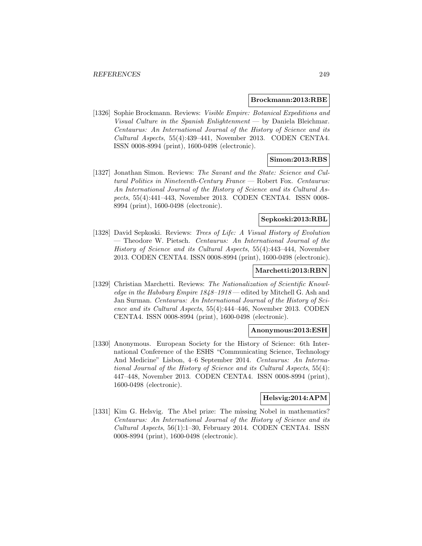#### **Brockmann:2013:RBE**

[1326] Sophie Brockmann. Reviews: Visible Empire: Botanical Expeditions and Visual Culture in the Spanish Enlightenment — by Daniela Bleichmar. Centaurus: An International Journal of the History of Science and its Cultural Aspects, 55(4):439–441, November 2013. CODEN CENTA4. ISSN 0008-8994 (print), 1600-0498 (electronic).

## **Simon:2013:RBS**

[1327] Jonathan Simon. Reviews: The Savant and the State: Science and Cultural Politics in Nineteenth-Century France — Robert Fox. Centaurus: An International Journal of the History of Science and its Cultural Aspects, 55(4):441–443, November 2013. CODEN CENTA4. ISSN 0008- 8994 (print), 1600-0498 (electronic).

# **Sepkoski:2013:RBL**

[1328] David Sepkoski. Reviews: Trees of Life: A Visual History of Evolution — Theodore W. Pietsch. Centaurus: An International Journal of the History of Science and its Cultural Aspects, 55(4):443–444, November 2013. CODEN CENTA4. ISSN 0008-8994 (print), 1600-0498 (electronic).

### **Marchetti:2013:RBN**

[1329] Christian Marchetti. Reviews: The Nationalization of Scientific Knowledge in the Habsburg Empire 1848–1918 — edited by Mitchell G. Ash and Jan Surman. Centaurus: An International Journal of the History of Science and its Cultural Aspects, 55(4):444–446, November 2013. CODEN CENTA4. ISSN 0008-8994 (print), 1600-0498 (electronic).

# **Anonymous:2013:ESH**

[1330] Anonymous. European Society for the History of Science: 6th International Conference of the ESHS "Communicating Science, Technology And Medicine" Lisbon, 4–6 September 2014. Centaurus: An International Journal of the History of Science and its Cultural Aspects, 55(4): 447–448, November 2013. CODEN CENTA4. ISSN 0008-8994 (print), 1600-0498 (electronic).

# **Helsvig:2014:APM**

[1331] Kim G. Helsvig. The Abel prize: The missing Nobel in mathematics? Centaurus: An International Journal of the History of Science and its Cultural Aspects, 56(1):1–30, February 2014. CODEN CENTA4. ISSN 0008-8994 (print), 1600-0498 (electronic).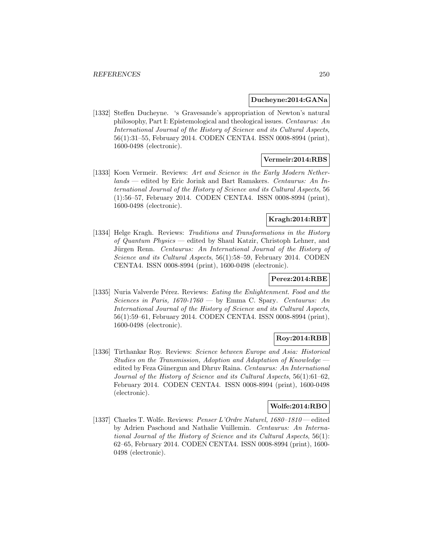### **Ducheyne:2014:GANa**

[1332] Steffen Ducheyne. 's Gravesande's appropriation of Newton's natural philosophy, Part I: Epistemological and theological issues. Centaurus: An International Journal of the History of Science and its Cultural Aspects, 56(1):31–55, February 2014. CODEN CENTA4. ISSN 0008-8994 (print), 1600-0498 (electronic).

# **Vermeir:2014:RBS**

[1333] Koen Vermeir. Reviews: Art and Science in the Early Modern Netherlands — edited by Eric Jorink and Bart Ramakers. Centaurus: An International Journal of the History of Science and its Cultural Aspects, 56 (1):56–57, February 2014. CODEN CENTA4. ISSN 0008-8994 (print), 1600-0498 (electronic).

# **Kragh:2014:RBT**

[1334] Helge Kragh. Reviews: Traditions and Transformations in the History of Quantum Physics — edited by Shaul Katzir, Christoph Lehner, and Jürgen Renn. Centaurus: An International Journal of the History of Science and its Cultural Aspects, 56(1):58–59, February 2014. CODEN CENTA4. ISSN 0008-8994 (print), 1600-0498 (electronic).

# **Perez:2014:RBE**

[1335] Nuria Valverde Pérez. Reviews: Eating the Enlightenment. Food and the Sciences in Paris,  $1670-1760$  — by Emma C. Spary. Centaurus: An International Journal of the History of Science and its Cultural Aspects, 56(1):59–61, February 2014. CODEN CENTA4. ISSN 0008-8994 (print), 1600-0498 (electronic).

# **Roy:2014:RBB**

[1336] Tirthankar Roy. Reviews: Science between Europe and Asia: Historical Studies on the Transmission, Adoption and Adaptation of Knowledge edited by Feza Günergun and Dhruv Raina. Centaurus: An International Journal of the History of Science and its Cultural Aspects, 56(1):61–62, February 2014. CODEN CENTA4. ISSN 0008-8994 (print), 1600-0498 (electronic).

## **Wolfe:2014:RBO**

[1337] Charles T. Wolfe. Reviews: Penser L'Ordre Naturel, 1680–1810 — edited by Adrien Paschoud and Nathalie Vuillemin. Centaurus: An International Journal of the History of Science and its Cultural Aspects, 56(1): 62–65, February 2014. CODEN CENTA4. ISSN 0008-8994 (print), 1600- 0498 (electronic).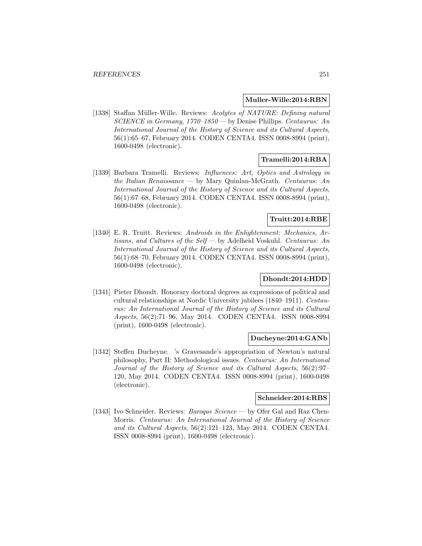### **Muller-Wille:2014:RBN**

[1338] Staffan Müller-Wille. Reviews: Acolytes of NATURE: Defining natural SCIENCE in Germany, 1770–1850 — by Denise Phillips. Centaurus: An International Journal of the History of Science and its Cultural Aspects, 56(1):65–67, February 2014. CODEN CENTA4. ISSN 0008-8994 (print), 1600-0498 (electronic).

# **Tramelli:2014:RBA**

[1339] Barbara Tramelli. Reviews: Influences: Art, Optics and Astrology in the Italian Renaissance — by Mary Quinlan-McGrath. Centaurus: An International Journal of the History of Science and its Cultural Aspects, 56(1):67–68, February 2014. CODEN CENTA4. ISSN 0008-8994 (print), 1600-0498 (electronic).

# **Truitt:2014:RBE**

[1340] E. R. Truitt. Reviews: Androids in the Enlightenment: Mechanics, Artisans, and Cultures of the Self — by Adelheid Voskuhl. Centaurus: An International Journal of the History of Science and its Cultural Aspects, 56(1):68–70, February 2014. CODEN CENTA4. ISSN 0008-8994 (print), 1600-0498 (electronic).

# **Dhondt:2014:HDD**

[1341] Pieter Dhondt. Honorary doctoral degrees as expressions of political and cultural relationships at Nordic University jubilees (1840–1911). Centaurus: An International Journal of the History of Science and its Cultural Aspects, 56(2):71–96, May 2014. CODEN CENTA4. ISSN 0008-8994 (print), 1600-0498 (electronic).

#### **Ducheyne:2014:GANb**

[1342] Steffen Ducheyne. 's Gravesande's appropriation of Newton's natural philosophy, Part II: Methodological issues. Centaurus: An International Journal of the History of Science and its Cultural Aspects, 56(2):97– 120, May 2014. CODEN CENTA4. ISSN 0008-8994 (print), 1600-0498 (electronic).

# **Schneider:2014:RBS**

[1343] Ivo Schneider. Reviews: *Baroque Science* — by Ofer Gal and Raz Chen-Morris. Centaurus: An International Journal of the History of Science and its Cultural Aspects, 56(2):121–123, May 2014. CODEN CENTA4. ISSN 0008-8994 (print), 1600-0498 (electronic).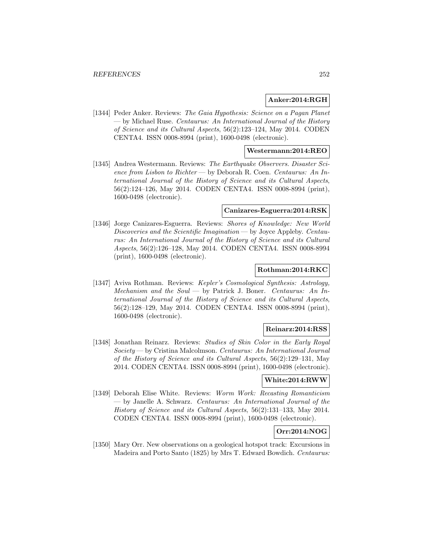# **Anker:2014:RGH**

[1344] Peder Anker. Reviews: The Gaia Hypothesis: Science on a Pagan Planet — by Michael Ruse. Centaurus: An International Journal of the History of Science and its Cultural Aspects, 56(2):123–124, May 2014. CODEN CENTA4. ISSN 0008-8994 (print), 1600-0498 (electronic).

# **Westermann:2014:REO**

[1345] Andrea Westermann. Reviews: The Earthquake Observers. Disaster Science from Lisbon to Richter — by Deborah R. Coen. Centaurus: An International Journal of the History of Science and its Cultural Aspects, 56(2):124–126, May 2014. CODEN CENTA4. ISSN 0008-8994 (print), 1600-0498 (electronic).

#### **Canizares-Esguerra:2014:RSK**

[1346] Jorge Canizares-Esguerra. Reviews: Shores of Knowledge: New World Discoveries and the Scientific Imagination — by Joyce Appleby. Centaurus: An International Journal of the History of Science and its Cultural Aspects, 56(2):126–128, May 2014. CODEN CENTA4. ISSN 0008-8994 (print), 1600-0498 (electronic).

### **Rothman:2014:RKC**

[1347] Aviva Rothman. Reviews: Kepler's Cosmological Synthesis: Astrology, Mechanism and the Soul — by Patrick J. Boner. Centaurus: An International Journal of the History of Science and its Cultural Aspects, 56(2):128–129, May 2014. CODEN CENTA4. ISSN 0008-8994 (print), 1600-0498 (electronic).

# **Reinarz:2014:RSS**

[1348] Jonathan Reinarz. Reviews: Studies of Skin Color in the Early Royal Society — by Cristina Malcolmson. Centaurus: An International Journal of the History of Science and its Cultural Aspects, 56(2):129–131, May 2014. CODEN CENTA4. ISSN 0008-8994 (print), 1600-0498 (electronic).

### **White:2014:RWW**

[1349] Deborah Elise White. Reviews: Worm Work: Recasting Romanticism — by Janelle A. Schwarz. Centaurus: An International Journal of the History of Science and its Cultural Aspects, 56(2):131–133, May 2014. CODEN CENTA4. ISSN 0008-8994 (print), 1600-0498 (electronic).

# **Orr:2014:NOG**

[1350] Mary Orr. New observations on a geological hotspot track: Excursions in Madeira and Porto Santo (1825) by Mrs T. Edward Bowdich. Centaurus: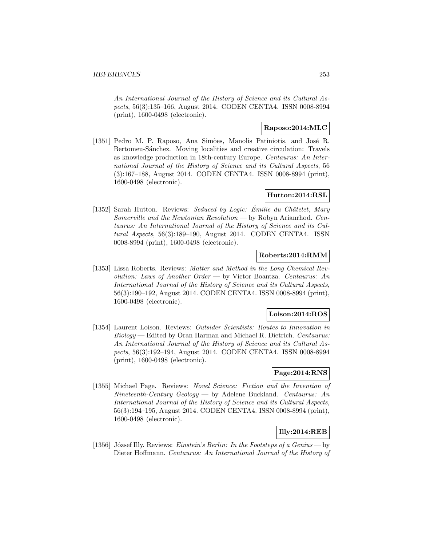An International Journal of the History of Science and its Cultural Aspects, 56(3):135–166, August 2014. CODEN CENTA4. ISSN 0008-8994 (print), 1600-0498 (electronic).

# **Raposo:2014:MLC**

[1351] Pedro M. P. Raposo, Ana Simões, Manolis Patiniotis, and José R. Bertomeu-Sánchez. Moving localities and creative circulation: Travels as knowledge production in 18th-century Europe. Centaurus: An International Journal of the History of Science and its Cultural Aspects, 56 (3):167–188, August 2014. CODEN CENTA4. ISSN 0008-8994 (print), 1600-0498 (electronic).

# **Hutton:2014:RSL**

[1352] Sarah Hutton. Reviews: Seduced by Logic: Émilie du Châtelet, Mary Somerville and the Newtonian Revolution — by Robyn Arianrhod. Centaurus: An International Journal of the History of Science and its Cultural Aspects, 56(3):189–190, August 2014. CODEN CENTA4. ISSN 0008-8994 (print), 1600-0498 (electronic).

# **Roberts:2014:RMM**

[1353] Lissa Roberts. Reviews: Matter and Method in the Long Chemical Revolution: Laws of Another Order — by Victor Boantza. Centaurus: An International Journal of the History of Science and its Cultural Aspects, 56(3):190–192, August 2014. CODEN CENTA4. ISSN 0008-8994 (print), 1600-0498 (electronic).

# **Loison:2014:ROS**

[1354] Laurent Loison. Reviews: Outsider Scientists: Routes to Innovation in Biology — Edited by Oran Harman and Michael R. Dietrich. Centaurus: An International Journal of the History of Science and its Cultural Aspects, 56(3):192–194, August 2014. CODEN CENTA4. ISSN 0008-8994 (print), 1600-0498 (electronic).

## **Page:2014:RNS**

[1355] Michael Page. Reviews: Novel Science: Fiction and the Invention of Nineteenth-Century Geology — by Adelene Buckland. Centaurus: An International Journal of the History of Science and its Cultural Aspects, 56(3):194–195, August 2014. CODEN CENTA4. ISSN 0008-8994 (print), 1600-0498 (electronic).

# **Illy:2014:REB**

[1356] József Illy. Reviews: Einstein's Berlin: In the Footsteps of a Genius — by Dieter Hoffmann. Centaurus: An International Journal of the History of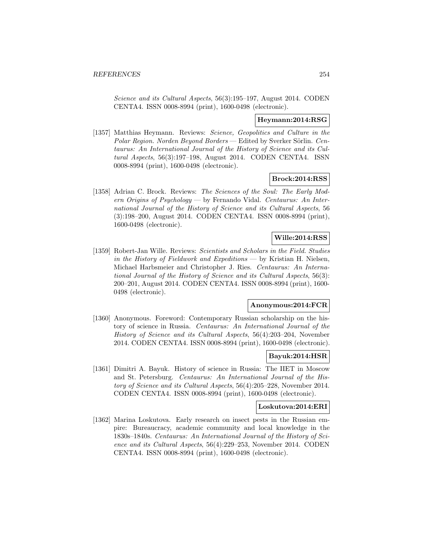Science and its Cultural Aspects, 56(3):195–197, August 2014. CODEN CENTA4. ISSN 0008-8994 (print), 1600-0498 (electronic).

#### **Heymann:2014:RSG**

[1357] Matthias Heymann. Reviews: Science, Geopolitics and Culture in the Polar Region. Norden Beyond Borders — Edited by Sverker Sörlin. Centaurus: An International Journal of the History of Science and its Cultural Aspects, 56(3):197–198, August 2014. CODEN CENTA4. ISSN 0008-8994 (print), 1600-0498 (electronic).

## **Brock:2014:RSS**

[1358] Adrian C. Brock. Reviews: The Sciences of the Soul: The Early Modern Origins of Psychology — by Fernando Vidal. Centaurus: An International Journal of the History of Science and its Cultural Aspects, 56 (3):198–200, August 2014. CODEN CENTA4. ISSN 0008-8994 (print), 1600-0498 (electronic).

## **Wille:2014:RSS**

[1359] Robert-Jan Wille. Reviews: Scientists and Scholars in the Field. Studies in the History of Fieldwork and Expeditions — by Kristian H. Nielsen, Michael Harbsmeier and Christopher J. Ries. Centaurus: An International Journal of the History of Science and its Cultural Aspects, 56(3): 200–201, August 2014. CODEN CENTA4. ISSN 0008-8994 (print), 1600- 0498 (electronic).

#### **Anonymous:2014:FCR**

[1360] Anonymous. Foreword: Contemporary Russian scholarship on the history of science in Russia. Centaurus: An International Journal of the History of Science and its Cultural Aspects, 56(4):203–204, November 2014. CODEN CENTA4. ISSN 0008-8994 (print), 1600-0498 (electronic).

## **Bayuk:2014:HSR**

[1361] Dimitri A. Bayuk. History of science in Russia: The IIET in Moscow and St. Petersburg. Centaurus: An International Journal of the History of Science and its Cultural Aspects, 56(4):205–228, November 2014. CODEN CENTA4. ISSN 0008-8994 (print), 1600-0498 (electronic).

#### **Loskutova:2014:ERI**

[1362] Marina Loskutova. Early research on insect pests in the Russian empire: Bureaucracy, academic community and local knowledge in the 1830s–1840s. Centaurus: An International Journal of the History of Science and its Cultural Aspects, 56(4):229–253, November 2014. CODEN CENTA4. ISSN 0008-8994 (print), 1600-0498 (electronic).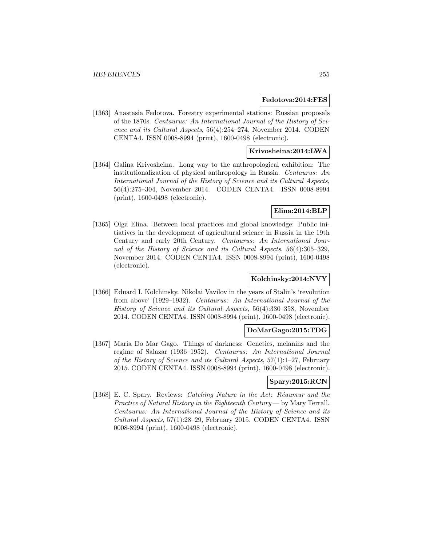#### **Fedotova:2014:FES**

[1363] Anastasia Fedotova. Forestry experimental stations: Russian proposals of the 1870s. Centaurus: An International Journal of the History of Science and its Cultural Aspects, 56(4):254–274, November 2014. CODEN CENTA4. ISSN 0008-8994 (print), 1600-0498 (electronic).

# **Krivosheina:2014:LWA**

[1364] Galina Krivosheina. Long way to the anthropological exhibition: The institutionalization of physical anthropology in Russia. Centaurus: An International Journal of the History of Science and its Cultural Aspects, 56(4):275–304, November 2014. CODEN CENTA4. ISSN 0008-8994 (print), 1600-0498 (electronic).

# **Elina:2014:BLP**

[1365] Olga Elina. Between local practices and global knowledge: Public initiatives in the development of agricultural science in Russia in the 19th Century and early 20th Century. Centaurus: An International Journal of the History of Science and its Cultural Aspects, 56(4):305–329, November 2014. CODEN CENTA4. ISSN 0008-8994 (print), 1600-0498 (electronic).

## **Kolchinsky:2014:NVY**

[1366] Eduard I. Kolchinsky. Nikolai Vavilov in the years of Stalin's 'revolution from above' (1929–1932). Centaurus: An International Journal of the History of Science and its Cultural Aspects, 56(4):330–358, November 2014. CODEN CENTA4. ISSN 0008-8994 (print), 1600-0498 (electronic).

## **DoMarGago:2015:TDG**

[1367] Maria Do Mar Gago. Things of darkness: Genetics, melanins and the regime of Salazar (1936–1952). Centaurus: An International Journal of the History of Science and its Cultural Aspects, 57(1):1–27, February 2015. CODEN CENTA4. ISSN 0008-8994 (print), 1600-0498 (electronic).

## **Spary:2015:RCN**

[1368] E. C. Spary. Reviews: *Catching Nature in the Act: Réaumur and the* Practice of Natural History in the Eighteenth Century — by Mary Terrall. Centaurus: An International Journal of the History of Science and its Cultural Aspects, 57(1):28–29, February 2015. CODEN CENTA4. ISSN 0008-8994 (print), 1600-0498 (electronic).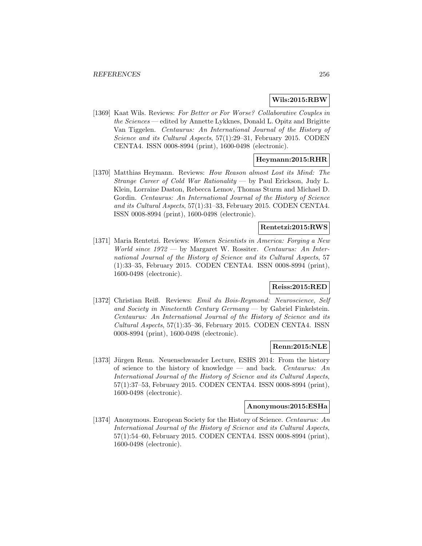# **Wils:2015:RBW**

[1369] Kaat Wils. Reviews: For Better or For Worse? Collaborative Couples in the Sciences — edited by Annette Lykknes, Donald L. Opitz and Brigitte Van Tiggelen. Centaurus: An International Journal of the History of Science and its Cultural Aspects, 57(1):29–31, February 2015. CODEN CENTA4. ISSN 0008-8994 (print), 1600-0498 (electronic).

# **Heymann:2015:RHR**

[1370] Matthias Heymann. Reviews: How Reason almost Lost its Mind: The Strange Career of Cold War Rationality — by Paul Erickson, Judy L. Klein, Lorraine Daston, Rebecca Lemov, Thomas Sturm and Michael D. Gordin. Centaurus: An International Journal of the History of Science and its Cultural Aspects, 57(1):31–33, February 2015. CODEN CENTA4. ISSN 0008-8994 (print), 1600-0498 (electronic).

# **Rentetzi:2015:RWS**

[1371] Maria Rentetzi. Reviews: Women Scientists in America: Forging a New World since 1972 — by Margaret W. Rossiter. Centaurus: An International Journal of the History of Science and its Cultural Aspects, 57 (1):33–35, February 2015. CODEN CENTA4. ISSN 0008-8994 (print), 1600-0498 (electronic).

# **Reiss:2015:RED**

[1372] Christian Reiß. Reviews: Emil du Bois-Reymond: Neuroscience, Self and Society in Nineteenth Century Germany — by Gabriel Finkelstein. Centaurus: An International Journal of the History of Science and its Cultural Aspects, 57(1):35–36, February 2015. CODEN CENTA4. ISSN 0008-8994 (print), 1600-0498 (electronic).

## **Renn:2015:NLE**

[1373] Jürgen Renn. Neuenschwander Lecture, ESHS 2014: From the history of science to the history of knowledge — and back. Centaurus: An International Journal of the History of Science and its Cultural Aspects, 57(1):37–53, February 2015. CODEN CENTA4. ISSN 0008-8994 (print), 1600-0498 (electronic).

### **Anonymous:2015:ESHa**

[1374] Anonymous. European Society for the History of Science. Centaurus: An International Journal of the History of Science and its Cultural Aspects, 57(1):54–60, February 2015. CODEN CENTA4. ISSN 0008-8994 (print), 1600-0498 (electronic).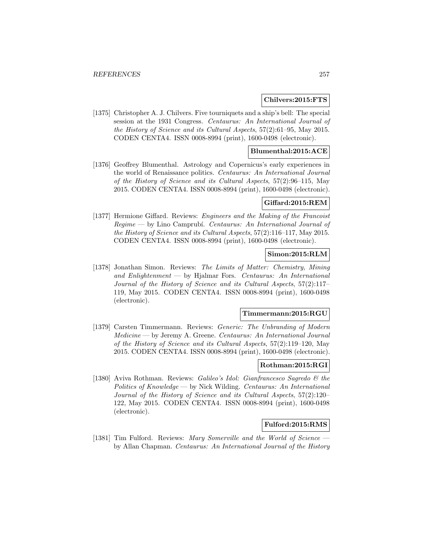### **Chilvers:2015:FTS**

[1375] Christopher A. J. Chilvers. Five tourniquets and a ship's bell: The special session at the 1931 Congress. Centaurus: An International Journal of the History of Science and its Cultural Aspects, 57(2):61–95, May 2015. CODEN CENTA4. ISSN 0008-8994 (print), 1600-0498 (electronic).

## **Blumenthal:2015:ACE**

[1376] Geoffrey Blumenthal. Astrology and Copernicus's early experiences in the world of Renaissance politics. Centaurus: An International Journal of the History of Science and its Cultural Aspects, 57(2):96–115, May 2015. CODEN CENTA4. ISSN 0008-8994 (print), 1600-0498 (electronic).

# **Giffard:2015:REM**

[1377] Hermione Giffard. Reviews: *Engineers and the Making of the Francoist*  $Regime$  — by Lino Camprubí. Centaurus: An International Journal of the History of Science and its Cultural Aspects, 57(2):116–117, May 2015. CODEN CENTA4. ISSN 0008-8994 (print), 1600-0498 (electronic).

### **Simon:2015:RLM**

[1378] Jonathan Simon. Reviews: The Limits of Matter: Chemistry, Mining and Enlightenment — by Hjalmar Fors. Centaurus: An International Journal of the History of Science and its Cultural Aspects, 57(2):117– 119, May 2015. CODEN CENTA4. ISSN 0008-8994 (print), 1600-0498 (electronic).

#### **Timmermann:2015:RGU**

[1379] Carsten Timmermann. Reviews: Generic: The Unbranding of Modern Medicine — by Jeremy A. Greene. Centaurus: An International Journal of the History of Science and its Cultural Aspects, 57(2):119–120, May 2015. CODEN CENTA4. ISSN 0008-8994 (print), 1600-0498 (electronic).

# **Rothman:2015:RGI**

[1380] Aviva Rothman. Reviews: Galileo's Idol: Gianfrancesco Sagredo & the Politics of Knowledge — by Nick Wilding. Centaurus: An International Journal of the History of Science and its Cultural Aspects, 57(2):120– 122, May 2015. CODEN CENTA4. ISSN 0008-8994 (print), 1600-0498 (electronic).

### **Fulford:2015:RMS**

[1381] Tim Fulford. Reviews: Mary Somerville and the World of Science by Allan Chapman. Centaurus: An International Journal of the History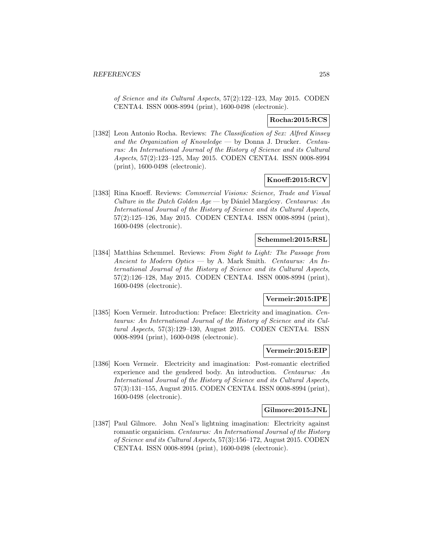of Science and its Cultural Aspects, 57(2):122–123, May 2015. CODEN CENTA4. ISSN 0008-8994 (print), 1600-0498 (electronic).

# **Rocha:2015:RCS**

[1382] Leon Antonio Rocha. Reviews: The Classification of Sex: Alfred Kinsey and the Organization of Knowledge — by Donna J. Drucker. Centaurus: An International Journal of the History of Science and its Cultural Aspects, 57(2):123–125, May 2015. CODEN CENTA4. ISSN 0008-8994 (print), 1600-0498 (electronic).

# **Knoeff:2015:RCV**

[1383] Rina Knoeff. Reviews: Commercial Visions: Science, Trade and Visual Culture in the Dutch Golden  $Age - by$  Dániel Margócsy. Centaurus: An International Journal of the History of Science and its Cultural Aspects, 57(2):125–126, May 2015. CODEN CENTA4. ISSN 0008-8994 (print), 1600-0498 (electronic).

# **Schemmel:2015:RSL**

[1384] Matthias Schemmel. Reviews: From Sight to Light: The Passage from Ancient to Modern Optics — by A. Mark Smith. Centaurus: An International Journal of the History of Science and its Cultural Aspects, 57(2):126–128, May 2015. CODEN CENTA4. ISSN 0008-8994 (print), 1600-0498 (electronic).

# **Vermeir:2015:IPE**

[1385] Koen Vermeir. Introduction: Preface: Electricity and imagination. Centaurus: An International Journal of the History of Science and its Cultural Aspects, 57(3):129–130, August 2015. CODEN CENTA4. ISSN 0008-8994 (print), 1600-0498 (electronic).

#### **Vermeir:2015:EIP**

[1386] Koen Vermeir. Electricity and imagination: Post-romantic electrified experience and the gendered body. An introduction. Centaurus: An International Journal of the History of Science and its Cultural Aspects, 57(3):131–155, August 2015. CODEN CENTA4. ISSN 0008-8994 (print), 1600-0498 (electronic).

## **Gilmore:2015:JNL**

[1387] Paul Gilmore. John Neal's lightning imagination: Electricity against romantic organicism. Centaurus: An International Journal of the History of Science and its Cultural Aspects, 57(3):156–172, August 2015. CODEN CENTA4. ISSN 0008-8994 (print), 1600-0498 (electronic).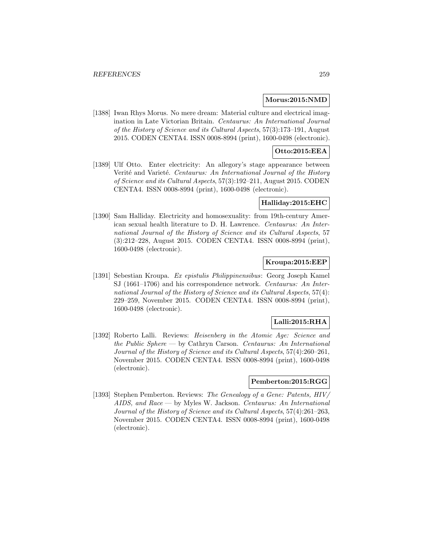#### **Morus:2015:NMD**

[1388] Iwan Rhys Morus. No mere dream: Material culture and electrical imagination in Late Victorian Britain. Centaurus: An International Journal of the History of Science and its Cultural Aspects, 57(3):173–191, August 2015. CODEN CENTA4. ISSN 0008-8994 (print), 1600-0498 (electronic).

# **Otto:2015:EEA**

[1389] Ulf Otto. Enter electricity: An allegory's stage appearance between Verité and Varieté. Centaurus: An International Journal of the History of Science and its Cultural Aspects, 57(3):192–211, August 2015. CODEN CENTA4. ISSN 0008-8994 (print), 1600-0498 (electronic).

# **Halliday:2015:EHC**

[1390] Sam Halliday. Electricity and homosexuality: from 19th-century American sexual health literature to D. H. Lawrence. Centaurus: An International Journal of the History of Science and its Cultural Aspects, 57 (3):212–228, August 2015. CODEN CENTA4. ISSN 0008-8994 (print), 1600-0498 (electronic).

# **Kroupa:2015:EEP**

[1391] Sebestian Kroupa. Ex epistulis Philippinensibus: Georg Joseph Kamel SJ (1661–1706) and his correspondence network. Centaurus: An International Journal of the History of Science and its Cultural Aspects, 57(4): 229–259, November 2015. CODEN CENTA4. ISSN 0008-8994 (print), 1600-0498 (electronic).

# **Lalli:2015:RHA**

[1392] Roberto Lalli. Reviews: Heisenberg in the Atomic Age: Science and the Public Sphere — by Cathryn Carson. Centaurus: An International Journal of the History of Science and its Cultural Aspects, 57(4):260–261, November 2015. CODEN CENTA4. ISSN 0008-8994 (print), 1600-0498 (electronic).

### **Pemberton:2015:RGG**

[1393] Stephen Pemberton. Reviews: The Genealogy of a Gene: Patents, HIV/ AIDS, and Race — by Myles W. Jackson. Centaurus: An International Journal of the History of Science and its Cultural Aspects, 57(4):261–263, November 2015. CODEN CENTA4. ISSN 0008-8994 (print), 1600-0498 (electronic).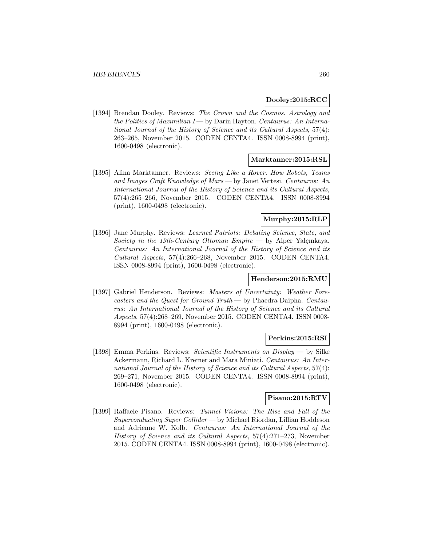## **Dooley:2015:RCC**

[1394] Brendan Dooley. Reviews: The Crown and the Cosmos. Astrology and the Politics of Maximilian  $I$  — by Darin Hayton. Centaurus: An International Journal of the History of Science and its Cultural Aspects, 57(4): 263–265, November 2015. CODEN CENTA4. ISSN 0008-8994 (print), 1600-0498 (electronic).

#### **Marktanner:2015:RSL**

[1395] Alina Marktanner. Reviews: Seeing Like a Rover. How Robots, Teams and Images Craft Knowledge of Mars — by Janet Vertesi. Centaurus: An International Journal of the History of Science and its Cultural Aspects, 57(4):265–266, November 2015. CODEN CENTA4. ISSN 0008-8994 (print), 1600-0498 (electronic).

# **Murphy:2015:RLP**

[1396] Jane Murphy. Reviews: Learned Patriots: Debating Science, State, and Society in the 19th-Century Ottoman Empire — by Alper Yalçınkaya. Centaurus: An International Journal of the History of Science and its Cultural Aspects, 57(4):266–268, November 2015. CODEN CENTA4. ISSN 0008-8994 (print), 1600-0498 (electronic).

## **Henderson:2015:RMU**

[1397] Gabriel Henderson. Reviews: Masters of Uncertainty: Weather Forecasters and the Quest for Ground Truth — by Phaedra Daipha. Centaurus: An International Journal of the History of Science and its Cultural Aspects, 57(4):268–269, November 2015. CODEN CENTA4. ISSN 0008- 8994 (print), 1600-0498 (electronic).

#### **Perkins:2015:RSI**

[1398] Emma Perkins. Reviews: Scientific Instruments on Display — by Silke Ackermann, Richard L. Kremer and Mara Miniati. Centaurus: An International Journal of the History of Science and its Cultural Aspects, 57(4): 269–271, November 2015. CODEN CENTA4. ISSN 0008-8994 (print), 1600-0498 (electronic).

# **Pisano:2015:RTV**

[1399] Raffaele Pisano. Reviews: Tunnel Visions: The Rise and Fall of the Superconducting Super Collider — by Michael Riordan, Lillian Hoddeson and Adrienne W. Kolb. Centaurus: An International Journal of the History of Science and its Cultural Aspects, 57(4):271–273, November 2015. CODEN CENTA4. ISSN 0008-8994 (print), 1600-0498 (electronic).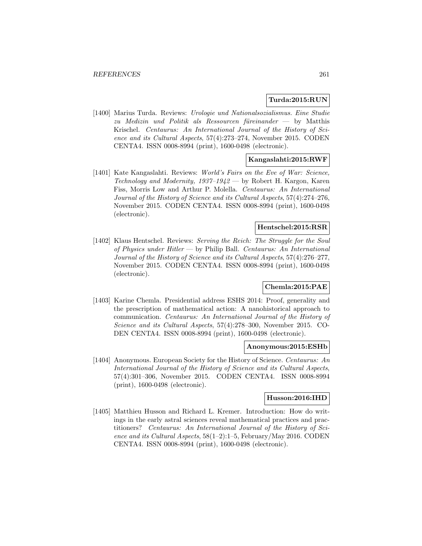## **Turda:2015:RUN**

[1400] Marius Turda. Reviews: Urologie und Nationalsozialismus. Eine Studie zu Medizin und Politik als Ressourcen füreinander — by Matthis Krischel. Centaurus: An International Journal of the History of Science and its Cultural Aspects, 57(4):273–274, November 2015. CODEN CENTA4. ISSN 0008-8994 (print), 1600-0498 (electronic).

# **Kangaslahti:2015:RWF**

[1401] Kate Kangaslahti. Reviews: *World's Fairs on the Eve of War: Science*, Technology and Modernity, 1937–1942 — by Robert H. Kargon, Karen Fiss, Morris Low and Arthur P. Molella. Centaurus: An International Journal of the History of Science and its Cultural Aspects, 57(4):274–276, November 2015. CODEN CENTA4. ISSN 0008-8994 (print), 1600-0498 (electronic).

# **Hentschel:2015:RSR**

[1402] Klaus Hentschel. Reviews: Serving the Reich: The Struggle for the Soul of Physics under Hitler — by Philip Ball. Centaurus: An International Journal of the History of Science and its Cultural Aspects, 57(4):276–277, November 2015. CODEN CENTA4. ISSN 0008-8994 (print), 1600-0498 (electronic).

## **Chemla:2015:PAE**

[1403] Karine Chemla. Presidential address ESHS 2014: Proof, generality and the prescription of mathematical action: A nanohistorical approach to communication. Centaurus: An International Journal of the History of Science and its Cultural Aspects, 57(4):278–300, November 2015. CO-DEN CENTA4. ISSN 0008-8994 (print), 1600-0498 (electronic).

#### **Anonymous:2015:ESHb**

[1404] Anonymous. European Society for the History of Science. Centaurus: An International Journal of the History of Science and its Cultural Aspects, 57(4):301–306, November 2015. CODEN CENTA4. ISSN 0008-8994 (print), 1600-0498 (electronic).

## **Husson:2016:IHD**

[1405] Matthieu Husson and Richard L. Kremer. Introduction: How do writings in the early astral sciences reveal mathematical practices and practitioners? Centaurus: An International Journal of the History of Science and its Cultural Aspects, 58(1–2):1–5, February/May 2016. CODEN CENTA4. ISSN 0008-8994 (print), 1600-0498 (electronic).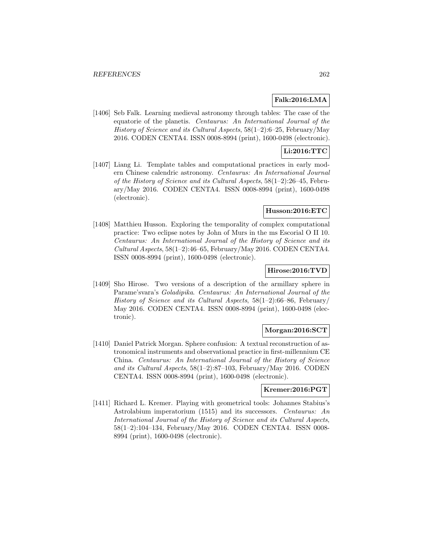## **Falk:2016:LMA**

[1406] Seb Falk. Learning medieval astronomy through tables: The case of the equatorie of the planetis. Centaurus: An International Journal of the History of Science and its Cultural Aspects, 58(1–2):6–25, February/May 2016. CODEN CENTA4. ISSN 0008-8994 (print), 1600-0498 (electronic).

# **Li:2016:TTC**

[1407] Liang Li. Template tables and computational practices in early modern Chinese calendric astronomy. Centaurus: An International Journal of the History of Science and its Cultural Aspects, 58(1–2):26–45, February/May 2016. CODEN CENTA4. ISSN 0008-8994 (print), 1600-0498 (electronic).

#### **Husson:2016:ETC**

[1408] Matthieu Husson. Exploring the temporality of complex computational practice: Two eclipse notes by John of Murs in the ms Escorial O II 10. Centaurus: An International Journal of the History of Science and its Cultural Aspects,  $58(1-2)$ : 46-65, February/May 2016. CODEN CENTA4. ISSN 0008-8994 (print), 1600-0498 (electronic).

## **Hirose:2016:TVD**

[1409] Sho Hirose. Two versions of a description of the armillary sphere in Parame'svara's Goladipika. Centaurus: An International Journal of the History of Science and its Cultural Aspects,  $58(1-2):66-86$ , February/ May 2016. CODEN CENTA4. ISSN 0008-8994 (print), 1600-0498 (electronic).

# **Morgan:2016:SCT**

[1410] Daniel Patrick Morgan. Sphere confusion: A textual reconstruction of astronomical instruments and observational practice in first-millennium CE China. Centaurus: An International Journal of the History of Science and its Cultural Aspects, 58(1–2):87–103, February/May 2016. CODEN CENTA4. ISSN 0008-8994 (print), 1600-0498 (electronic).

## **Kremer:2016:PGT**

[1411] Richard L. Kremer. Playing with geometrical tools: Johannes Stabius's Astrolabium imperatorium (1515) and its successors. Centaurus: An International Journal of the History of Science and its Cultural Aspects, 58(1–2):104–134, February/May 2016. CODEN CENTA4. ISSN 0008- 8994 (print), 1600-0498 (electronic).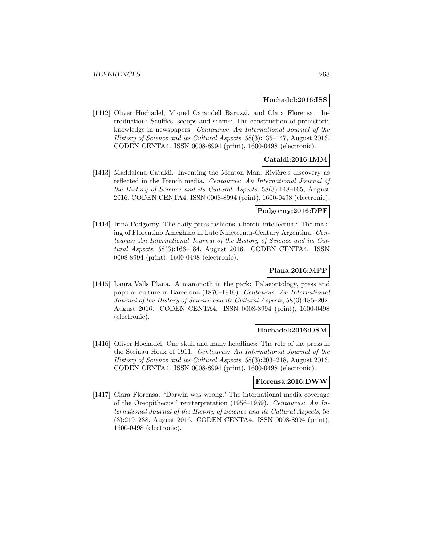### **Hochadel:2016:ISS**

[1412] Oliver Hochadel, Miquel Carandell Baruzzi, and Clara Florensa. Introduction: Scuffles, scoops and scams: The construction of prehistoric knowledge in newspapers. Centaurus: An International Journal of the History of Science and its Cultural Aspects, 58(3):135–147, August 2016. CODEN CENTA4. ISSN 0008-8994 (print), 1600-0498 (electronic).

# **Cataldi:2016:IMM**

 $[1413]$  Maddalena Cataldi. Inventing the Menton Man. Rivière's discovery as reflected in the French media. Centaurus: An International Journal of the History of Science and its Cultural Aspects, 58(3):148–165, August 2016. CODEN CENTA4. ISSN 0008-8994 (print), 1600-0498 (electronic).

## **Podgorny:2016:DPF**

[1414] Irina Podgorny. The daily press fashions a heroic intellectual: The making of Florentino Ameghino in Late Nineteenth-Century Argentina. Centaurus: An International Journal of the History of Science and its Cultural Aspects, 58(3):166–184, August 2016. CODEN CENTA4. ISSN 0008-8994 (print), 1600-0498 (electronic).

## **Plana:2016:MPP**

[1415] Laura Valls Plana. A mammoth in the park: Palaeontology, press and popular culture in Barcelona (1870–1910). Centaurus: An International Journal of the History of Science and its Cultural Aspects, 58(3):185–202, August 2016. CODEN CENTA4. ISSN 0008-8994 (print), 1600-0498 (electronic).

## **Hochadel:2016:OSM**

[1416] Oliver Hochadel. One skull and many headlines: The role of the press in the Steinau Hoax of 1911. Centaurus: An International Journal of the History of Science and its Cultural Aspects, 58(3):203–218, August 2016. CODEN CENTA4. ISSN 0008-8994 (print), 1600-0498 (electronic).

#### **Florensa:2016:DWW**

[1417] Clara Florensa. 'Darwin was wrong.' The international media coverage of the Oreopithecus ' reinterpretation (1956–1959). Centaurus: An International Journal of the History of Science and its Cultural Aspects, 58 (3):219–238, August 2016. CODEN CENTA4. ISSN 0008-8994 (print), 1600-0498 (electronic).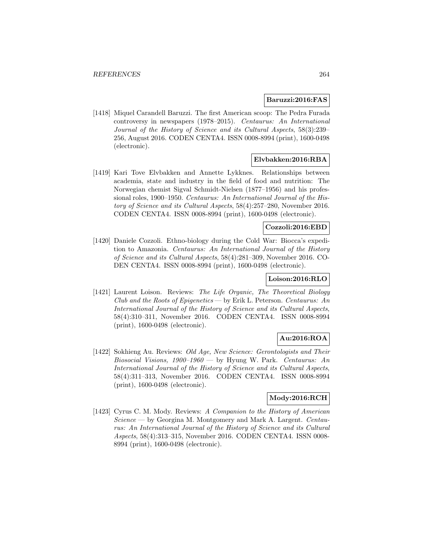### **Baruzzi:2016:FAS**

[1418] Miquel Carandell Baruzzi. The first American scoop: The Pedra Furada controversy in newspapers (1978–2015). Centaurus: An International Journal of the History of Science and its Cultural Aspects, 58(3):239– 256, August 2016. CODEN CENTA4. ISSN 0008-8994 (print), 1600-0498 (electronic).

# **Elvbakken:2016:RBA**

[1419] Kari Tove Elvbakken and Annette Lykknes. Relationships between academia, state and industry in the field of food and nutrition: The Norwegian chemist Sigval Schmidt-Nielsen (1877–1956) and his professional roles, 1900–1950. Centaurus: An International Journal of the History of Science and its Cultural Aspects, 58(4):257–280, November 2016. CODEN CENTA4. ISSN 0008-8994 (print), 1600-0498 (electronic).

# **Cozzoli:2016:EBD**

[1420] Daniele Cozzoli. Ethno-biology during the Cold War: Biocca's expedition to Amazonia. Centaurus: An International Journal of the History of Science and its Cultural Aspects, 58(4):281–309, November 2016. CO-DEN CENTA4. ISSN 0008-8994 (print), 1600-0498 (electronic).

## **Loison:2016:RLO**

[1421] Laurent Loison. Reviews: The Life Organic, The Theoretical Biology Club and the Roots of Epigenetics — by Erik L. Peterson. Centaurus: An International Journal of the History of Science and its Cultural Aspects, 58(4):310–311, November 2016. CODEN CENTA4. ISSN 0008-8994 (print), 1600-0498 (electronic).

# **Au:2016:ROA**

[1422] Sokhieng Au. Reviews: *Old Age, New Science: Gerontologists and Their* Biosocial Visions,  $1900-1960$  — by Hyung W. Park. Centaurus: An International Journal of the History of Science and its Cultural Aspects, 58(4):311–313, November 2016. CODEN CENTA4. ISSN 0008-8994 (print), 1600-0498 (electronic).

# **Mody:2016:RCH**

[1423] Cyrus C. M. Mody. Reviews: A Companion to the History of American Science — by Georgina M. Montgomery and Mark A. Largent. Centaurus: An International Journal of the History of Science and its Cultural Aspects, 58(4):313–315, November 2016. CODEN CENTA4. ISSN 0008- 8994 (print), 1600-0498 (electronic).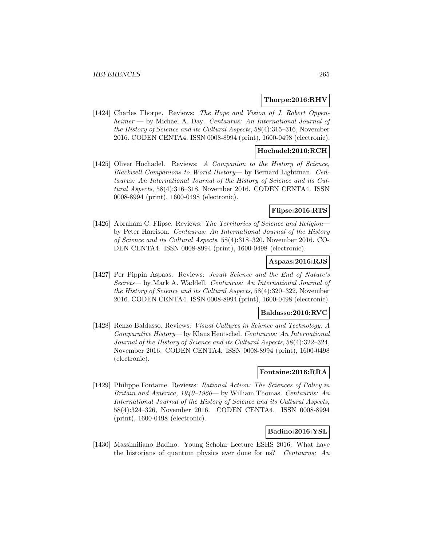## **Thorpe:2016:RHV**

[1424] Charles Thorpe. Reviews: The Hope and Vision of J. Robert Oppenheimer — by Michael A. Day. Centaurus: An International Journal of the History of Science and its Cultural Aspects, 58(4):315–316, November 2016. CODEN CENTA4. ISSN 0008-8994 (print), 1600-0498 (electronic).

# **Hochadel:2016:RCH**

[1425] Oliver Hochadel. Reviews: A Companion to the History of Science, Blackwell Companions to World History— by Bernard Lightman. Centaurus: An International Journal of the History of Science and its Cultural Aspects, 58(4):316–318, November 2016. CODEN CENTA4. ISSN 0008-8994 (print), 1600-0498 (electronic).

## **Flipse:2016:RTS**

[1426] Abraham C. Flipse. Reviews: The Territories of Science and Religion by Peter Harrison. Centaurus: An International Journal of the History of Science and its Cultural Aspects, 58(4):318–320, November 2016. CO-DEN CENTA4. ISSN 0008-8994 (print), 1600-0498 (electronic).

#### **Aspaas:2016:RJS**

[1427] Per Pippin Aspaas. Reviews: Jesuit Science and the End of Nature's Secrets— by Mark A. Waddell. Centaurus: An International Journal of the History of Science and its Cultural Aspects, 58(4):320–322, November 2016. CODEN CENTA4. ISSN 0008-8994 (print), 1600-0498 (electronic).

#### **Baldasso:2016:RVC**

[1428] Renzo Baldasso. Reviews: Visual Cultures in Science and Technology. A Comparative History— by Klaus Hentschel. Centaurus: An International Journal of the History of Science and its Cultural Aspects, 58(4):322–324, November 2016. CODEN CENTA4. ISSN 0008-8994 (print), 1600-0498 (electronic).

# **Fontaine:2016:RRA**

[1429] Philippe Fontaine. Reviews: Rational Action: The Sciences of Policy in Britain and America, 1940–1960— by William Thomas. Centaurus: An International Journal of the History of Science and its Cultural Aspects, 58(4):324–326, November 2016. CODEN CENTA4. ISSN 0008-8994 (print), 1600-0498 (electronic).

## **Badino:2016:YSL**

[1430] Massimiliano Badino. Young Scholar Lecture ESHS 2016: What have the historians of quantum physics ever done for us? Centaurus: An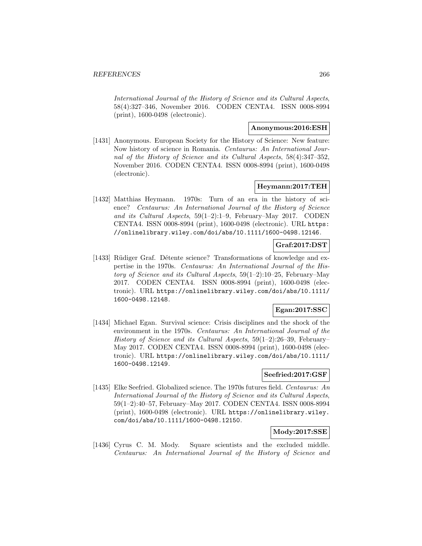International Journal of the History of Science and its Cultural Aspects, 58(4):327–346, November 2016. CODEN CENTA4. ISSN 0008-8994 (print), 1600-0498 (electronic).

# **Anonymous:2016:ESH**

[1431] Anonymous. European Society for the History of Science: New feature: Now history of science in Romania. Centaurus: An International Journal of the History of Science and its Cultural Aspects, 58(4):347–352, November 2016. CODEN CENTA4. ISSN 0008-8994 (print), 1600-0498 (electronic).

# **Heymann:2017:TEH**

[1432] Matthias Heymann. 1970s: Turn of an era in the history of science? Centaurus: An International Journal of the History of Science and its Cultural Aspects, 59(1–2):1–9, February–May 2017. CODEN CENTA4. ISSN 0008-8994 (print), 1600-0498 (electronic). URL https: //onlinelibrary.wiley.com/doi/abs/10.1111/1600-0498.12146.

# **Graf:2017:DST**

[1433] Rüdiger Graf. Détente science? Transformations of knowledge and expertise in the 1970s. Centaurus: An International Journal of the History of Science and its Cultural Aspects,  $59(1-2):10-25$ , February–May 2017. CODEN CENTA4. ISSN 0008-8994 (print), 1600-0498 (electronic). URL https://onlinelibrary.wiley.com/doi/abs/10.1111/ 1600-0498.12148.

# **Egan:2017:SSC**

[1434] Michael Egan. Survival science: Crisis disciplines and the shock of the environment in the 1970s. Centaurus: An International Journal of the History of Science and its Cultural Aspects, 59(1–2):26–39, February– May 2017. CODEN CENTA4. ISSN 0008-8994 (print), 1600-0498 (electronic). URL https://onlinelibrary.wiley.com/doi/abs/10.1111/ 1600-0498.12149.

# **Seefried:2017:GSF**

[1435] Elke Seefried. Globalized science. The 1970s futures field. Centaurus: An International Journal of the History of Science and its Cultural Aspects, 59(1–2):40–57, February–May 2017. CODEN CENTA4. ISSN 0008-8994 (print), 1600-0498 (electronic). URL https://onlinelibrary.wiley. com/doi/abs/10.1111/1600-0498.12150.

# **Mody:2017:SSE**

[1436] Cyrus C. M. Mody. Square scientists and the excluded middle. Centaurus: An International Journal of the History of Science and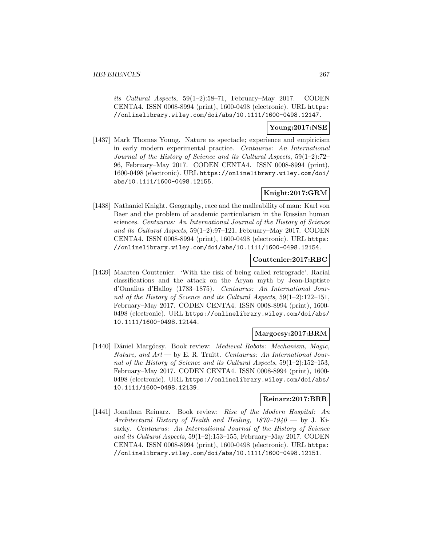its Cultural Aspects, 59(1–2):58–71, February–May 2017. CODEN CENTA4. ISSN 0008-8994 (print), 1600-0498 (electronic). URL https: //onlinelibrary.wiley.com/doi/abs/10.1111/1600-0498.12147.

# **Young:2017:NSE**

[1437] Mark Thomas Young. Nature as spectacle; experience and empiricism in early modern experimental practice. Centaurus: An International Journal of the History of Science and its Cultural Aspects, 59(1–2):72– 96, February–May 2017. CODEN CENTA4. ISSN 0008-8994 (print), 1600-0498 (electronic). URL https://onlinelibrary.wiley.com/doi/ abs/10.1111/1600-0498.12155.

# **Knight:2017:GRM**

[1438] Nathaniel Knight. Geography, race and the malleability of man: Karl von Baer and the problem of academic particularism in the Russian human sciences. Centaurus: An International Journal of the History of Science and its Cultural Aspects, 59(1–2):97–121, February–May 2017. CODEN CENTA4. ISSN 0008-8994 (print), 1600-0498 (electronic). URL https: //onlinelibrary.wiley.com/doi/abs/10.1111/1600-0498.12154.

# **Couttenier:2017:RBC**

[1439] Maarten Couttenier. 'With the risk of being called retrograde'. Racial classifications and the attack on the Aryan myth by Jean-Baptiste d'Omalius d'Halloy (1783–1875). Centaurus: An International Journal of the History of Science and its Cultural Aspects, 59(1–2):122–151, February–May 2017. CODEN CENTA4. ISSN 0008-8994 (print), 1600- 0498 (electronic). URL https://onlinelibrary.wiley.com/doi/abs/ 10.1111/1600-0498.12144.

## **Margocsy:2017:BRM**

[1440] Dániel Margócsy. Book review: Medieval Robots: Mechanism, Magic, Nature, and  $Art$  — by E. R. Truitt. Centaurus: An International Journal of the History of Science and its Cultural Aspects, 59(1–2):152–153, February–May 2017. CODEN CENTA4. ISSN 0008-8994 (print), 1600- 0498 (electronic). URL https://onlinelibrary.wiley.com/doi/abs/ 10.1111/1600-0498.12139.

# **Reinarz:2017:BRR**

[1441] Jonathan Reinarz. Book review: Rise of the Modern Hospital: An Architectural History of Health and Healing,  $1870-1940$  – by J. Kisacky. Centaurus: An International Journal of the History of Science and its Cultural Aspects, 59(1–2):153–155, February–May 2017. CODEN CENTA4. ISSN 0008-8994 (print), 1600-0498 (electronic). URL https: //onlinelibrary.wiley.com/doi/abs/10.1111/1600-0498.12151.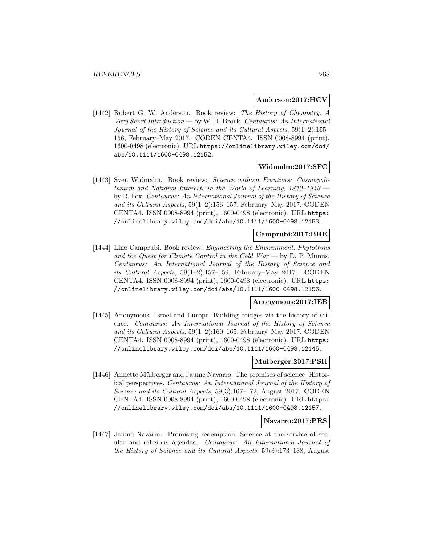## **Anderson:2017:HCV**

[1442] Robert G. W. Anderson. Book review: The History of Chemistry. A Very Short Introduction — by W. H. Brock. Centaurus: An International Journal of the History of Science and its Cultural Aspects, 59(1–2):155– 156, February–May 2017. CODEN CENTA4. ISSN 0008-8994 (print), 1600-0498 (electronic). URL https://onlinelibrary.wiley.com/doi/ abs/10.1111/1600-0498.12152.

## **Widmalm:2017:SFC**

[1443] Sven Widmalm. Book review: Science without Frontiers: Cosmopolitanism and National Interests in the World of Learning, 1870–1940 by R. Fox. Centaurus: An International Journal of the History of Science and its Cultural Aspects, 59(1–2):156–157, February–May 2017. CODEN CENTA4. ISSN 0008-8994 (print), 1600-0498 (electronic). URL https: //onlinelibrary.wiley.com/doi/abs/10.1111/1600-0498.12153.

### **Camprubi:2017:BRE**

[1444] Lino Camprubi. Book review: Engineering the Environment. Phytotrons and the Quest for Climate Control in the Cold War — by D. P. Munns. Centaurus: An International Journal of the History of Science and its Cultural Aspects, 59(1–2):157–159, February–May 2017. CODEN CENTA4. ISSN 0008-8994 (print), 1600-0498 (electronic). URL https: //onlinelibrary.wiley.com/doi/abs/10.1111/1600-0498.12156.

## **Anonymous:2017:IEB**

[1445] Anonymous. Israel and Europe. Building bridges via the history of science. Centaurus: An International Journal of the History of Science and its Cultural Aspects, 59(1–2):160–165, February–May 2017. CODEN CENTA4. ISSN 0008-8994 (print), 1600-0498 (electronic). URL https: //onlinelibrary.wiley.com/doi/abs/10.1111/1600-0498.12145.

#### **Mulberger:2017:PSH**

[1446] Annette Mülberger and Jaume Navarro. The promises of science. Historical perspectives. Centaurus: An International Journal of the History of Science and its Cultural Aspects, 59(3):167–172, August 2017. CODEN CENTA4. ISSN 0008-8994 (print), 1600-0498 (electronic). URL https: //onlinelibrary.wiley.com/doi/abs/10.1111/1600-0498.12157.

#### **Navarro:2017:PRS**

[1447] Jaume Navarro. Promising redemption. Science at the service of secular and religious agendas. Centaurus: An International Journal of the History of Science and its Cultural Aspects, 59(3):173–188, August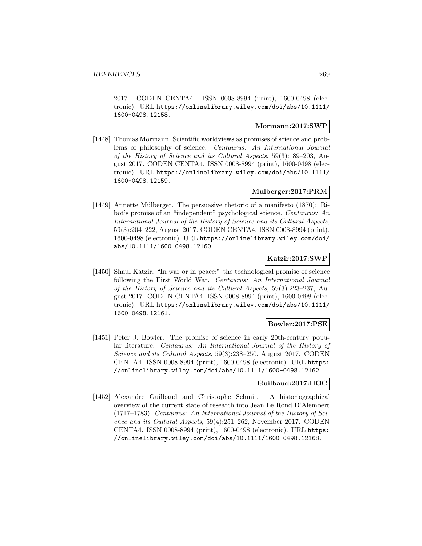2017. CODEN CENTA4. ISSN 0008-8994 (print), 1600-0498 (electronic). URL https://onlinelibrary.wiley.com/doi/abs/10.1111/ 1600-0498.12158.

# **Mormann:2017:SWP**

[1448] Thomas Mormann. Scientific worldviews as promises of science and problems of philosophy of science. Centaurus: An International Journal of the History of Science and its Cultural Aspects, 59(3):189–203, August 2017. CODEN CENTA4. ISSN 0008-8994 (print), 1600-0498 (electronic). URL https://onlinelibrary.wiley.com/doi/abs/10.1111/ 1600-0498.12159.

# **Mulberger:2017:PRM**

[1449] Annette Mülberger. The persuasive rhetoric of a manifesto (1870): Ribot's promise of an "independent" psychological science. Centaurus: An International Journal of the History of Science and its Cultural Aspects, 59(3):204–222, August 2017. CODEN CENTA4. ISSN 0008-8994 (print), 1600-0498 (electronic). URL https://onlinelibrary.wiley.com/doi/ abs/10.1111/1600-0498.12160.

## **Katzir:2017:SWP**

[1450] Shaul Katzir. "In war or in peace:" the technological promise of science following the First World War. Centaurus: An International Journal of the History of Science and its Cultural Aspects, 59(3):223–237, August 2017. CODEN CENTA4. ISSN 0008-8994 (print), 1600-0498 (electronic). URL https://onlinelibrary.wiley.com/doi/abs/10.1111/ 1600-0498.12161.

## **Bowler:2017:PSE**

[1451] Peter J. Bowler. The promise of science in early 20th-century popular literature. Centaurus: An International Journal of the History of Science and its Cultural Aspects, 59(3):238–250, August 2017. CODEN CENTA4. ISSN 0008-8994 (print), 1600-0498 (electronic). URL https: //onlinelibrary.wiley.com/doi/abs/10.1111/1600-0498.12162.

## **Guilbaud:2017:HOC**

[1452] Alexandre Guilbaud and Christophe Schmit. A historiographical overview of the current state of research into Jean Le Rond D'Alembert (1717–1783). Centaurus: An International Journal of the History of Science and its Cultural Aspects, 59(4):251–262, November 2017. CODEN CENTA4. ISSN 0008-8994 (print), 1600-0498 (electronic). URL https: //onlinelibrary.wiley.com/doi/abs/10.1111/1600-0498.12168.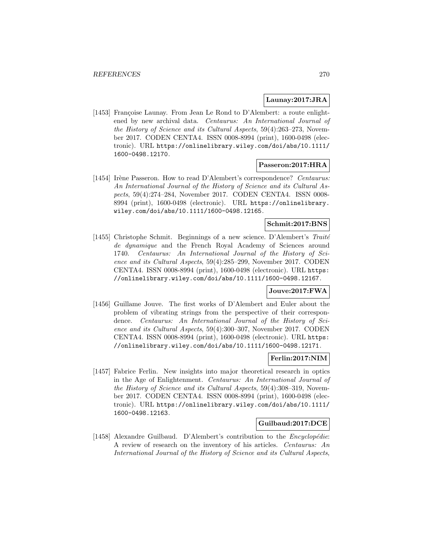## **Launay:2017:JRA**

[1453] Françoise Launay. From Jean Le Rond to D'Alembert: a route enlightened by new archival data. Centaurus: An International Journal of the History of Science and its Cultural Aspects, 59(4):263–273, November 2017. CODEN CENTA4. ISSN 0008-8994 (print), 1600-0498 (electronic). URL https://onlinelibrary.wiley.com/doi/abs/10.1111/ 1600-0498.12170.

# **Passeron:2017:HRA**

[1454] Irène Passeron. How to read D'Alembert's correspondence? Centaurus: An International Journal of the History of Science and its Cultural Aspects, 59(4):274–284, November 2017. CODEN CENTA4. ISSN 0008- 8994 (print), 1600-0498 (electronic). URL https://onlinelibrary. wiley.com/doi/abs/10.1111/1600-0498.12165.

## **Schmit:2017:BNS**

[1455] Christophe Schmit. Beginnings of a new science. D'Alembert's  $Trait\acute{e}$ de dynamique and the French Royal Academy of Sciences around 1740. Centaurus: An International Journal of the History of Science and its Cultural Aspects, 59(4):285–299, November 2017. CODEN CENTA4. ISSN 0008-8994 (print), 1600-0498 (electronic). URL https: //onlinelibrary.wiley.com/doi/abs/10.1111/1600-0498.12167.

## **Jouve:2017:FWA**

[1456] Guillame Jouve. The first works of D'Alembert and Euler about the problem of vibrating strings from the perspective of their correspondence. Centaurus: An International Journal of the History of Science and its Cultural Aspects, 59(4):300–307, November 2017. CODEN CENTA4. ISSN 0008-8994 (print), 1600-0498 (electronic). URL https: //onlinelibrary.wiley.com/doi/abs/10.1111/1600-0498.12171.

## **Ferlin:2017:NIM**

[1457] Fabrice Ferlin. New insights into major theoretical research in optics in the Age of Enlightenment. Centaurus: An International Journal of the History of Science and its Cultural Aspects, 59(4):308–319, November 2017. CODEN CENTA4. ISSN 0008-8994 (print), 1600-0498 (electronic). URL https://onlinelibrary.wiley.com/doi/abs/10.1111/ 1600-0498.12163.

# **Guilbaud:2017:DCE**

[1458] Alexandre Guilbaud. D'Alembert's contribution to the *Encyclopédie*: A review of research on the inventory of his articles. Centaurus: An International Journal of the History of Science and its Cultural Aspects,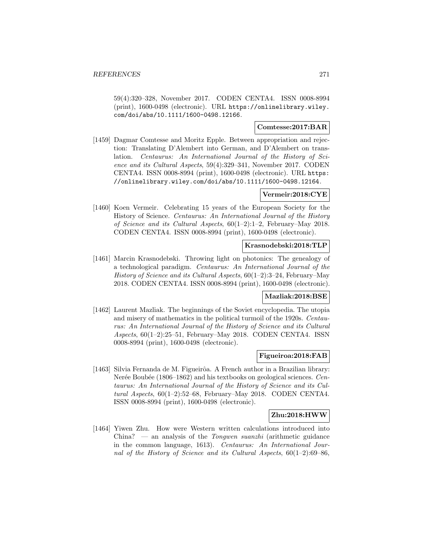59(4):320–328, November 2017. CODEN CENTA4. ISSN 0008-8994 (print), 1600-0498 (electronic). URL https://onlinelibrary.wiley. com/doi/abs/10.1111/1600-0498.12166.

## **Comtesse:2017:BAR**

[1459] Dagmar Comtesse and Moritz Epple. Between appropriation and rejection: Translating D'Alembert into German, and D'Alembert on translation. Centaurus: An International Journal of the History of Science and its Cultural Aspects, 59(4):329–341, November 2017. CODEN CENTA4. ISSN 0008-8994 (print), 1600-0498 (electronic). URL https: //onlinelibrary.wiley.com/doi/abs/10.1111/1600-0498.12164.

#### **Vermeir:2018:CYE**

[1460] Koen Vermeir. Celebrating 15 years of the European Society for the History of Science. Centaurus: An International Journal of the History of Science and its Cultural Aspects, 60(1–2):1–2, February–May 2018. CODEN CENTA4. ISSN 0008-8994 (print), 1600-0498 (electronic).

### **Krasnodebski:2018:TLP**

[1461] Marcin Krasnodebski. Throwing light on photonics: The genealogy of a technological paradigm. Centaurus: An International Journal of the History of Science and its Cultural Aspects, 60(1–2):3–24, February–May 2018. CODEN CENTA4. ISSN 0008-8994 (print), 1600-0498 (electronic).

# **Mazliak:2018:BSE**

[1462] Laurent Mazliak. The beginnings of the Soviet encyclopedia. The utopia and misery of mathematics in the political turmoil of the 1920s. Centaurus: An International Journal of the History of Science and its Cultural Aspects, 60(1–2):25–51, February–May 2018. CODEN CENTA4. ISSN 0008-8994 (print), 1600-0498 (electronic).

## **Figueiroa:2018:FAB**

[1463] Silvia Fernanda de M. Figueirôa. A French author in a Brazilian library: Nerée Boubée (1806–1862) and his textbooks on geological sciences. Centaurus: An International Journal of the History of Science and its Cultural Aspects, 60(1–2):52–68, February–May 2018. CODEN CENTA4. ISSN 0008-8994 (print), 1600-0498 (electronic).

## **Zhu:2018:HWW**

[1464] Yiwen Zhu. How were Western written calculations introduced into China? — an analysis of the *Tongwen suanzhi* (arithmetic guidance in the common language, 1613). Centaurus: An International Journal of the History of Science and its Cultural Aspects,  $60(1-2):69-86$ ,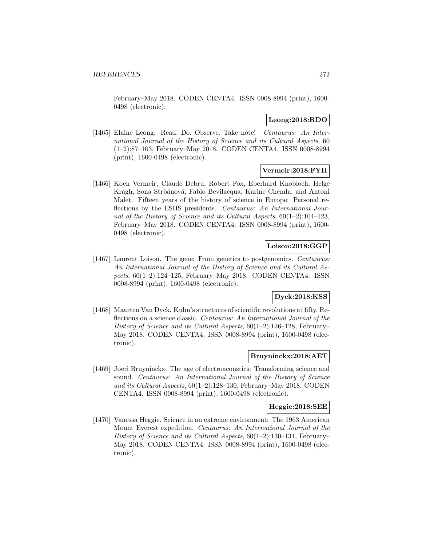February–May 2018. CODEN CENTA4. ISSN 0008-8994 (print), 1600- 0498 (electronic).

## **Leong:2018:RDO**

[1465] Elaine Leong. Read. Do. Observe. Take note! Centaurus: An International Journal of the History of Science and its Cultural Aspects, 60 (1–2):87–103, February–May 2018. CODEN CENTA4. ISSN 0008-8994 (print), 1600-0498 (electronic).

# **Vermeir:2018:FYH**

[1466] Koen Vermeir, Claude Debru, Robert Fox, Eberhard Knobloch, Helge Kragh, Sona Strbánová, Fabio Bevilacqua, Karine Chemla, and Antoni Malet. Fifteen years of the history of science in Europe: Personal reflections by the ESHS presidents. Centaurus: An International Journal of the History of Science and its Cultural Aspects, 60(1–2):104–123, February–May 2018. CODEN CENTA4. ISSN 0008-8994 (print), 1600- 0498 (electronic).

# **Loison:2018:GGP**

[1467] Laurent Loison. The gene: From genetics to postgenomics. Centaurus: An International Journal of the History of Science and its Cultural Aspects, 60(1–2):124–125, February–May 2018. CODEN CENTA4. ISSN 0008-8994 (print), 1600-0498 (electronic).

# **Dyck:2018:KSS**

[1468] Maarten Van Dyck. Kuhn's structures of scientific revolutions at fifty. Reflections on a science classic. Centaurus: An International Journal of the History of Science and its Cultural Aspects, 60(1–2):126–128, February– May 2018. CODEN CENTA4. ISSN 0008-8994 (print), 1600-0498 (electronic).

# **Bruyninckx:2018:AET**

[1469] Joeri Bruyninckx. The age of electroacoustics: Transforming science and sound. Centaurus: An International Journal of the History of Science and its Cultural Aspects, 60(1–2):128–130, February–May 2018. CODEN CENTA4. ISSN 0008-8994 (print), 1600-0498 (electronic).

#### **Heggie:2018:SEE**

[1470] Vanessa Heggie. Science in an extreme environment: The 1963 American Mount Everest expedition. Centaurus: An International Journal of the History of Science and its Cultural Aspects, 60(1–2):130–131, February– May 2018. CODEN CENTA4. ISSN 0008-8994 (print), 1600-0498 (electronic).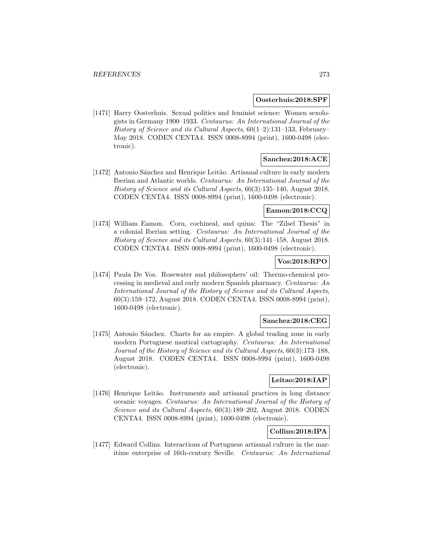#### **Oosterhuis:2018:SPF**

[1471] Harry Oosterhuis. Sexual politics and feminist science: Women sexologists in Germany 1900–1933. Centaurus: An International Journal of the History of Science and its Cultural Aspects,  $60(1-2)$ :131-133, February– May 2018. CODEN CENTA4. ISSN 0008-8994 (print), 1600-0498 (electronic).

# **Sanchez:2018:ACE**

[1472] Antonio Sánchez and Henrique Leitão. Artisanal culture in early modern Iberian and Atlantic worlds. Centaurus: An International Journal of the History of Science and its Cultural Aspects, 60(3):135–140, August 2018. CODEN CENTA4. ISSN 0008-8994 (print), 1600-0498 (electronic).

# **Eamon:2018:CCQ**

[1473] William Eamon. Corn, cochineal, and quina: The "Zilsel Thesis" in a colonial Iberian setting. Centaurus: An International Journal of the History of Science and its Cultural Aspects, 60(3):141–158, August 2018. CODEN CENTA4. ISSN 0008-8994 (print), 1600-0498 (electronic).

# **Vos:2018:RPO**

[1474] Paula De Vos. Rosewater and philosophers' oil: Thermo-chemical processing in medieval and early modern Spanish pharmacy. Centaurus: An International Journal of the History of Science and its Cultural Aspects, 60(3):159–172, August 2018. CODEN CENTA4. ISSN 0008-8994 (print), 1600-0498 (electronic).

# **Sanchez:2018:CEG**

[1475] Antonio Sánchez. Charts for an empire. A global trading zone in early modern Portuguese nautical cartography. Centaurus: An International Journal of the History of Science and its Cultural Aspects, 60(3):173–188, August 2018. CODEN CENTA4. ISSN 0008-8994 (print), 1600-0498 (electronic).

# **Leitao:2018:IAP**

[1476] Henrique Leitão. Instruments and artisanal practices in long distance oceanic voyages. Centaurus: An International Journal of the History of Science and its Cultural Aspects, 60(3):189–202, August 2018. CODEN CENTA4. ISSN 0008-8994 (print), 1600-0498 (electronic).

# **Collins:2018:IPA**

[1477] Edward Collins. Interactions of Portuguese artisanal culture in the maritime enterprise of 16th-century Seville. Centaurus: An International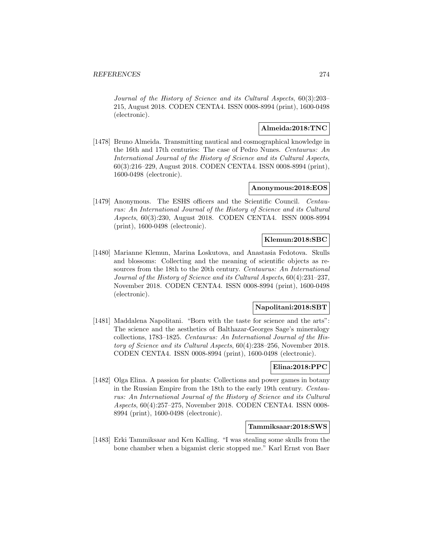Journal of the History of Science and its Cultural Aspects, 60(3):203– 215, August 2018. CODEN CENTA4. ISSN 0008-8994 (print), 1600-0498 (electronic).

# **Almeida:2018:TNC**

[1478] Bruno Almeida. Transmitting nautical and cosmographical knowledge in the 16th and 17th centuries: The case of Pedro Nunes. Centaurus: An International Journal of the History of Science and its Cultural Aspects, 60(3):216–229, August 2018. CODEN CENTA4. ISSN 0008-8994 (print), 1600-0498 (electronic).

## **Anonymous:2018:EOS**

[1479] Anonymous. The ESHS officers and the Scientific Council. Centaurus: An International Journal of the History of Science and its Cultural Aspects, 60(3):230, August 2018. CODEN CENTA4. ISSN 0008-8994 (print), 1600-0498 (electronic).

# **Klemun:2018:SBC**

[1480] Marianne Klemun, Marina Loskutova, and Anastasia Fedotova. Skulls and blossoms: Collecting and the meaning of scientific objects as resources from the 18th to the 20th century. Centaurus: An International Journal of the History of Science and its Cultural Aspects, 60(4):231–237, November 2018. CODEN CENTA4. ISSN 0008-8994 (print), 1600-0498 (electronic).

## **Napolitani:2018:SBT**

[1481] Maddalena Napolitani. "Born with the taste for science and the arts": The science and the aesthetics of Balthazar-Georges Sage's mineralogy collections, 1783–1825. Centaurus: An International Journal of the History of Science and its Cultural Aspects, 60(4):238–256, November 2018. CODEN CENTA4. ISSN 0008-8994 (print), 1600-0498 (electronic).

# **Elina:2018:PPC**

[1482] Olga Elina. A passion for plants: Collections and power games in botany in the Russian Empire from the 18th to the early 19th century. Centaurus: An International Journal of the History of Science and its Cultural Aspects, 60(4):257–275, November 2018. CODEN CENTA4. ISSN 0008- 8994 (print), 1600-0498 (electronic).

### **Tammiksaar:2018:SWS**

[1483] Erki Tammiksaar and Ken Kalling. "I was stealing some skulls from the bone chamber when a bigamist cleric stopped me." Karl Ernst von Baer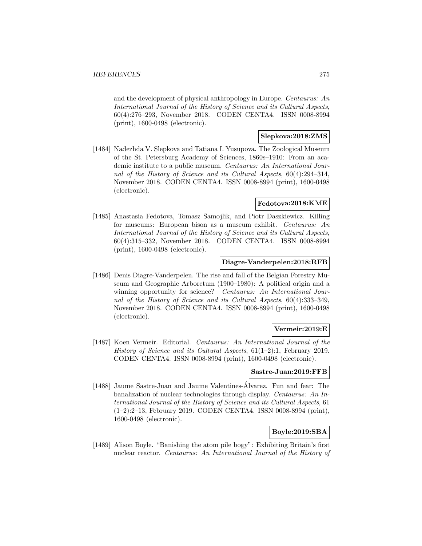and the development of physical anthropology in Europe. Centaurus: An International Journal of the History of Science and its Cultural Aspects, 60(4):276–293, November 2018. CODEN CENTA4. ISSN 0008-8994 (print), 1600-0498 (electronic).

## **Slepkova:2018:ZMS**

[1484] Nadezhda V. Slepkova and Tatiana I. Yusupova. The Zoological Museum of the St. Petersburg Academy of Sciences, 1860s–1910: From an academic institute to a public museum. Centaurus: An International Journal of the History of Science and its Cultural Aspects, 60(4):294–314, November 2018. CODEN CENTA4. ISSN 0008-8994 (print), 1600-0498 (electronic).

## **Fedotova:2018:KME**

[1485] Anastasia Fedotova, Tomasz Samojlik, and Piotr Daszkiewicz. Killing for museums: European bison as a museum exhibit. Centaurus: An International Journal of the History of Science and its Cultural Aspects, 60(4):315–332, November 2018. CODEN CENTA4. ISSN 0008-8994 (print), 1600-0498 (electronic).

# **Diagre-Vanderpelen:2018:RFB**

[1486] Denis Diagre-Vanderpelen. The rise and fall of the Belgian Forestry Museum and Geographic Arboretum (1900–1980): A political origin and a winning opportunity for science? Centaurus: An International Journal of the History of Science and its Cultural Aspects, 60(4):333–349, November 2018. CODEN CENTA4. ISSN 0008-8994 (print), 1600-0498 (electronic).

## **Vermeir:2019:E**

[1487] Koen Vermeir. Editorial. Centaurus: An International Journal of the History of Science and its Cultural Aspects, 61(1–2):1, February 2019. CODEN CENTA4. ISSN 0008-8994 (print), 1600-0498 (electronic).

## **Sastre-Juan:2019:FFB**

[1488] Jaume Sastre-Juan and Jaume Valentines-Alvarez. Fun and fear: The banalization of nuclear technologies through display. Centaurus: An International Journal of the History of Science and its Cultural Aspects, 61 (1–2):2–13, February 2019. CODEN CENTA4. ISSN 0008-8994 (print), 1600-0498 (electronic).

# **Boyle:2019:SBA**

[1489] Alison Boyle. "Banishing the atom pile bogy": Exhibiting Britain's first nuclear reactor. Centaurus: An International Journal of the History of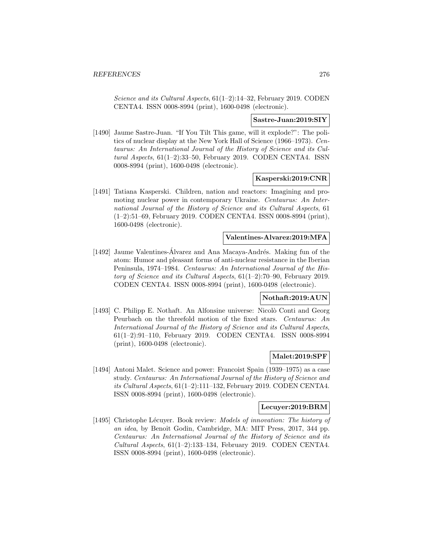Science and its Cultural Aspects, 61(1–2):14–32, February 2019. CODEN CENTA4. ISSN 0008-8994 (print), 1600-0498 (electronic).

### **Sastre-Juan:2019:SIY**

[1490] Jaume Sastre-Juan. "If You Tilt This game, will it explode?": The politics of nuclear display at the New York Hall of Science (1966–1973). Centaurus: An International Journal of the History of Science and its Cultural Aspects,  $61(1-2):33-50$ , February 2019. CODEN CENTA4. ISSN 0008-8994 (print), 1600-0498 (electronic).

### **Kasperski:2019:CNR**

[1491] Tatiana Kasperski. Children, nation and reactors: Imagining and promoting nuclear power in contemporary Ukraine. Centaurus: An International Journal of the History of Science and its Cultural Aspects, 61 (1–2):51–69, February 2019. CODEN CENTA4. ISSN 0008-8994 (print), 1600-0498 (electronic).

## **Valentines-Alvarez:2019:MFA**

[1492] Jaume Valentines-Álvarez and Ana Macaya-Andrés. Making fun of the atom: Humor and pleasant forms of anti-nuclear resistance in the Iberian Peninsula, 1974–1984. Centaurus: An International Journal of the History of Science and its Cultural Aspects, 61(1–2):70–90, February 2019. CODEN CENTA4. ISSN 0008-8994 (print), 1600-0498 (electronic).

# **Nothaft:2019:AUN**

[1493] C. Philipp E. Nothaft. An Alfonsine universe: Nicolò Conti and Georg Peurbach on the threefold motion of the fixed stars. Centaurus: An International Journal of the History of Science and its Cultural Aspects, 61(1–2):91–110, February 2019. CODEN CENTA4. ISSN 0008-8994 (print), 1600-0498 (electronic).

### **Malet:2019:SPF**

[1494] Antoni Malet. Science and power: Francoist Spain (1939–1975) as a case study. Centaurus: An International Journal of the History of Science and its Cultural Aspects, 61(1–2):111–132, February 2019. CODEN CENTA4. ISSN 0008-8994 (print), 1600-0498 (electronic).

#### **Lecuyer:2019:BRM**

[1495] Christophe Lécuyer. Book review: *Models of innovation: The history of* an idea, by Benoît Godin, Cambridge, MA: MIT Press, 2017, 344 pp. Centaurus: An International Journal of the History of Science and its Cultural Aspects,  $61(1-2):133-134$ , February 2019. CODEN CENTA4. ISSN 0008-8994 (print), 1600-0498 (electronic).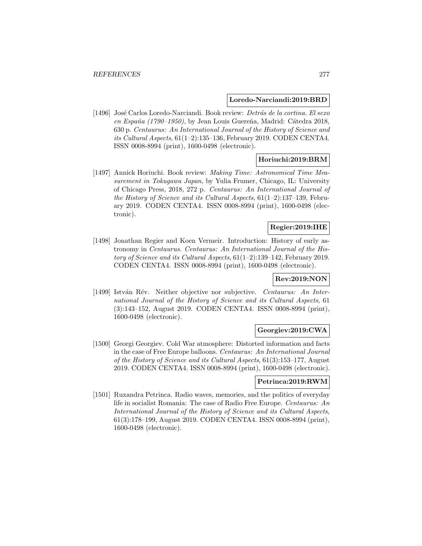#### **Loredo-Narciandi:2019:BRD**

[1496] José Carlos Loredo-Narciandi. Book review: Detrás de la cortina. El sexo en España (1790–1950), by Jean Louis Guereña, Madrid: Cátedra 2018, 630 p. Centaurus: An International Journal of the History of Science and its Cultural Aspects, 61(1–2):135–136, February 2019. CODEN CENTA4. ISSN 0008-8994 (print), 1600-0498 (electronic).

# **Horiuchi:2019:BRM**

[1497] Annick Horiuchi. Book review: Making Time: Astronomical Time Measurement in Tokugawa Japan, by Yulia Frumer, Chicago, IL: University of Chicago Press, 2018, 272 p. Centaurus: An International Journal of the History of Science and its Cultural Aspects, 61(1–2):137–139, February 2019. CODEN CENTA4. ISSN 0008-8994 (print), 1600-0498 (electronic).

# **Regier:2019:IHE**

[1498] Jonathan Regier and Koen Vermeir. Introduction: History of early astronomy in Centaurus. Centaurus: An International Journal of the History of Science and its Cultural Aspects, 61(1–2):139–142, February 2019. CODEN CENTA4. ISSN 0008-8994 (print), 1600-0498 (electronic).

# **Rev:2019:NON**

[1499] István Rév. Neither objective nor subjective. Centaurus: An International Journal of the History of Science and its Cultural Aspects, 61 (3):143–152, August 2019. CODEN CENTA4. ISSN 0008-8994 (print), 1600-0498 (electronic).

# **Georgiev:2019:CWA**

[1500] Georgi Georgiev. Cold War atmosphere: Distorted information and facts in the case of Free Europe balloons. Centaurus: An International Journal of the History of Science and its Cultural Aspects, 61(3):153–177, August 2019. CODEN CENTA4. ISSN 0008-8994 (print), 1600-0498 (electronic).

#### **Petrinca:2019:RWM**

[1501] Ruxandra Petrinca. Radio waves, memories, and the politics of everyday life in socialist Romania: The case of Radio Free Europe. Centaurus: An International Journal of the History of Science and its Cultural Aspects, 61(3):178–199, August 2019. CODEN CENTA4. ISSN 0008-8994 (print), 1600-0498 (electronic).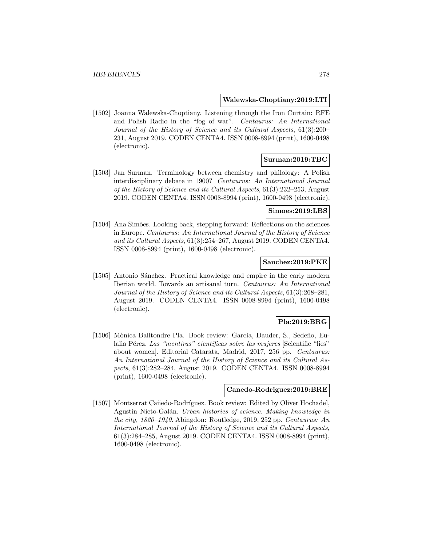### **Walewska-Choptiany:2019:LTI**

[1502] Joanna Walewska-Choptiany. Listening through the Iron Curtain: RFE and Polish Radio in the "fog of war". Centaurus: An International Journal of the History of Science and its Cultural Aspects, 61(3):200– 231, August 2019. CODEN CENTA4. ISSN 0008-8994 (print), 1600-0498 (electronic).

# **Surman:2019:TBC**

[1503] Jan Surman. Terminology between chemistry and philology: A Polish interdisciplinary debate in 1900? Centaurus: An International Journal of the History of Science and its Cultural Aspects, 61(3):232–253, August 2019. CODEN CENTA4. ISSN 0008-8994 (print), 1600-0498 (electronic).

#### **Simoes:2019:LBS**

[1504] Ana Simões. Looking back, stepping forward: Reflections on the sciences in Europe. Centaurus: An International Journal of the History of Science and its Cultural Aspects, 61(3):254–267, August 2019. CODEN CENTA4. ISSN 0008-8994 (print), 1600-0498 (electronic).

# **Sanchez:2019:PKE**

[1505] Antonio Sánchez. Practical knowledge and empire in the early modern Iberian world. Towards an artisanal turn. Centaurus: An International Journal of the History of Science and its Cultural Aspects, 61(3):268–281, August 2019. CODEN CENTA4. ISSN 0008-8994 (print), 1600-0498 (electronic).

## **Pla:2019:BRG**

[1506] Mònica Balltondre Pla. Book review: García, Dauder, S., Sedeño, Eulalia Pérez. Las "mentiras" científicas sobre las mujeres [Scientific "lies" about women]. Editorial Catarata, Madrid, 2017, 256 pp. Centaurus: An International Journal of the History of Science and its Cultural Aspects, 61(3):282–284, August 2019. CODEN CENTA4. ISSN 0008-8994 (print), 1600-0498 (electronic).

## **Canedo-Rodriguez:2019:BRE**

[1507] Montserrat Cañedo-Rodríguez. Book review: Edited by Oliver Hochadel, Agustín Nieto-Galán. Urban histories of science. Making knowledge in the city, 1820–1940. Abingdon: Routledge, 2019, 252 pp. Centaurus: An International Journal of the History of Science and its Cultural Aspects, 61(3):284–285, August 2019. CODEN CENTA4. ISSN 0008-8994 (print), 1600-0498 (electronic).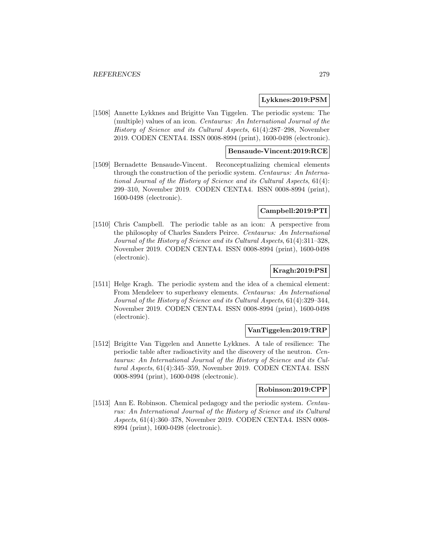## **Lykknes:2019:PSM**

[1508] Annette Lykknes and Brigitte Van Tiggelen. The periodic system: The (multiple) values of an icon. Centaurus: An International Journal of the History of Science and its Cultural Aspects, 61(4):287–298, November 2019. CODEN CENTA4. ISSN 0008-8994 (print), 1600-0498 (electronic).

# **Bensaude-Vincent:2019:RCE**

[1509] Bernadette Bensaude-Vincent. Reconceptualizing chemical elements through the construction of the periodic system. Centaurus: An International Journal of the History of Science and its Cultural Aspects, 61(4): 299–310, November 2019. CODEN CENTA4. ISSN 0008-8994 (print), 1600-0498 (electronic).

## **Campbell:2019:PTI**

[1510] Chris Campbell. The periodic table as an icon: A perspective from the philosophy of Charles Sanders Peirce. Centaurus: An International Journal of the History of Science and its Cultural Aspects, 61(4):311–328, November 2019. CODEN CENTA4. ISSN 0008-8994 (print), 1600-0498 (electronic).

## **Kragh:2019:PSI**

[1511] Helge Kragh. The periodic system and the idea of a chemical element: From Mendeleev to superheavy elements. Centaurus: An International Journal of the History of Science and its Cultural Aspects, 61(4):329–344, November 2019. CODEN CENTA4. ISSN 0008-8994 (print), 1600-0498 (electronic).

# **VanTiggelen:2019:TRP**

[1512] Brigitte Van Tiggelen and Annette Lykknes. A tale of resilience: The periodic table after radioactivity and the discovery of the neutron. Centaurus: An International Journal of the History of Science and its Cultural Aspects, 61(4):345–359, November 2019. CODEN CENTA4. ISSN 0008-8994 (print), 1600-0498 (electronic).

## **Robinson:2019:CPP**

[1513] Ann E. Robinson. Chemical pedagogy and the periodic system. Centaurus: An International Journal of the History of Science and its Cultural Aspects, 61(4):360–378, November 2019. CODEN CENTA4. ISSN 0008- 8994 (print), 1600-0498 (electronic).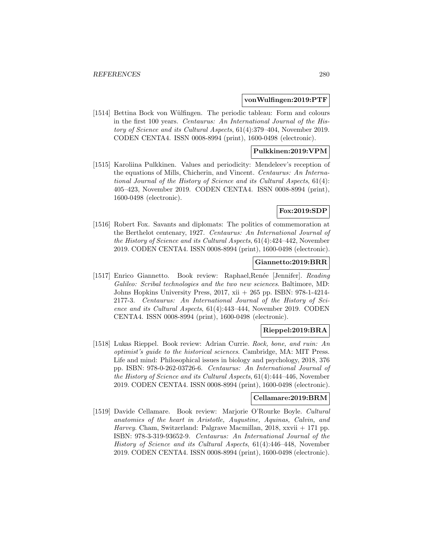#### **vonWulfingen:2019:PTF**

[1514] Bettina Bock von Wülfingen. The periodic tableau: Form and colours in the first 100 years. Centaurus: An International Journal of the History of Science and its Cultural Aspects, 61(4):379–404, November 2019. CODEN CENTA4. ISSN 0008-8994 (print), 1600-0498 (electronic).

# **Pulkkinen:2019:VPM**

[1515] Karoliina Pulkkinen. Values and periodicity: Mendeleev's reception of the equations of Mills, Chicherin, and Vincent. Centaurus: An International Journal of the History of Science and its Cultural Aspects, 61(4): 405–423, November 2019. CODEN CENTA4. ISSN 0008-8994 (print), 1600-0498 (electronic).

# **Fox:2019:SDP**

[1516] Robert Fox. Savants and diplomats: The politics of commemoration at the Berthelot centenary, 1927. Centaurus: An International Journal of the History of Science and its Cultural Aspects, 61(4):424–442, November 2019. CODEN CENTA4. ISSN 0008-8994 (print), 1600-0498 (electronic).

### **Giannetto:2019:BRR**

[1517] Enrico Giannetto. Book review: Raphael, Renée [Jennifer]. Reading Galileo: Scribal technologies and the two new sciences. Baltimore, MD: Johns Hopkins University Press, 2017, xii + 265 pp. ISBN: 978-1-4214- 2177-3. Centaurus: An International Journal of the History of Science and its Cultural Aspects, 61(4):443–444, November 2019. CODEN CENTA4. ISSN 0008-8994 (print), 1600-0498 (electronic).

# **Rieppel:2019:BRA**

[1518] Lukas Rieppel. Book review: Adrian Currie. Rock, bone, and ruin: An optimist's guide to the historical sciences. Cambridge, MA: MIT Press. Life and mind: Philosophical issues in biology and psychology, 2018, 376 pp. ISBN: 978-0-262-03726-6. Centaurus: An International Journal of the History of Science and its Cultural Aspects, 61(4):444–446, November 2019. CODEN CENTA4. ISSN 0008-8994 (print), 1600-0498 (electronic).

# **Cellamare:2019:BRM**

[1519] Davide Cellamare. Book review: Marjorie O'Rourke Boyle. Cultural anatomies of the heart in Aristotle, Augustine, Aquinas, Calvin, and Harvey. Cham, Switzerland: Palgrave Macmillan, 2018, xxvii + 171 pp. ISBN: 978-3-319-93652-9. Centaurus: An International Journal of the History of Science and its Cultural Aspects, 61(4):446–448, November 2019. CODEN CENTA4. ISSN 0008-8994 (print), 1600-0498 (electronic).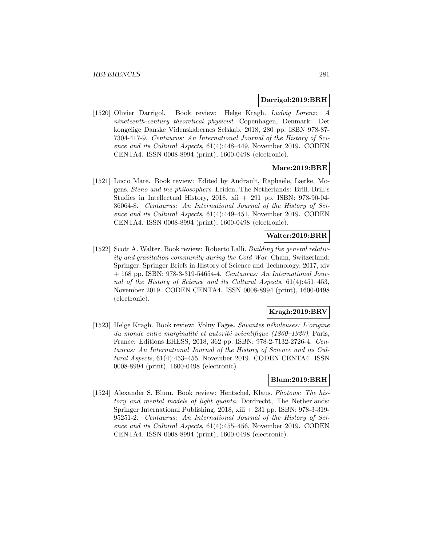#### **Darrigol:2019:BRH**

[1520] Olivier Darrigol. Book review: Helge Kragh. Ludvig Lorenz: A nineteenth-century theoretical physicist. Copenhagen, Denmark: Det kongelige Danske Videnskabernes Selskab, 2018, 280 pp. ISBN 978-87- 7304-417-9. Centaurus: An International Journal of the History of Science and its Cultural Aspects, 61(4):448–449, November 2019. CODEN CENTA4. ISSN 0008-8994 (print), 1600-0498 (electronic).

## **Mare:2019:BRE**

[1521] Lucio Mare. Book review: Edited by Andrault, Raphaële, Lærke, Mogens. Steno and the philosophers. Leiden, The Netherlands: Brill. Brill's Studies in Intellectual History, 2018, xii + 291 pp. ISBN: 978-90-04- 36064-8. Centaurus: An International Journal of the History of Science and its Cultural Aspects, 61(4):449–451, November 2019. CODEN CENTA4. ISSN 0008-8994 (print), 1600-0498 (electronic).

## **Walter:2019:BRR**

[1522] Scott A. Walter. Book review: Roberto Lalli. Building the general relativity and gravitation community during the Cold War. Cham, Switzerland: Springer. Springer Briefs in History of Science and Technology, 2017, xiv  $+$  168 pp. ISBN: 978-3-319-54654-4. Centaurus: An International Journal of the History of Science and its Cultural Aspects, 61(4):451–453, November 2019. CODEN CENTA4. ISSN 0008-8994 (print), 1600-0498 (electronic).

# **Kragh:2019:BRV**

[1523] Helge Kragh. Book review: Volny Fages. Savantes nébuleuses: L'origine du monde entre marginalité et autorité scientifique (1860–1920). Paris, France: Editions EHESS, 2018, 362 pp. ISBN: 978-2-7132-2726-4. Centaurus: An International Journal of the History of Science and its Cultural Aspects, 61(4):453–455, November 2019. CODEN CENTA4. ISSN 0008-8994 (print), 1600-0498 (electronic).

### **Blum:2019:BRH**

[1524] Alexander S. Blum. Book review: Hentschel, Klaus. Photons: The history and mental models of light quanta. Dordrecht, The Netherlands: Springer International Publishing, 2018, xiii + 231 pp. ISBN: 978-3-319- 95251-2. Centaurus: An International Journal of the History of Science and its Cultural Aspects, 61(4):455–456, November 2019. CODEN CENTA4. ISSN 0008-8994 (print), 1600-0498 (electronic).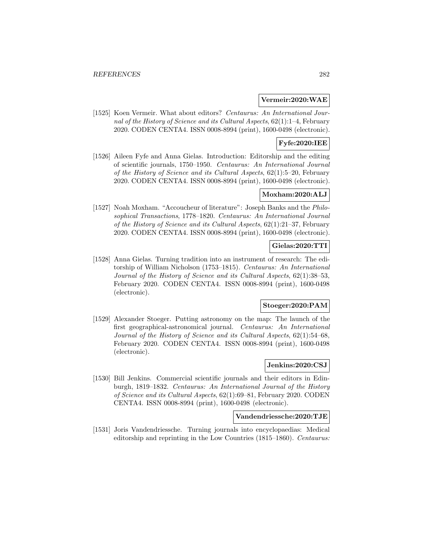## **Vermeir:2020:WAE**

[1525] Koen Vermeir. What about editors? Centaurus: An International Journal of the History of Science and its Cultural Aspects, 62(1):1–4, February 2020. CODEN CENTA4. ISSN 0008-8994 (print), 1600-0498 (electronic).

# **Fyfe:2020:IEE**

[1526] Aileen Fyfe and Anna Gielas. Introduction: Editorship and the editing of scientific journals, 1750–1950. Centaurus: An International Journal of the History of Science and its Cultural Aspects, 62(1):5–20, February 2020. CODEN CENTA4. ISSN 0008-8994 (print), 1600-0498 (electronic).

## **Moxham:2020:ALJ**

[1527] Noah Moxham. "Accoucheur of literature": Joseph Banks and the Philosophical Transactions, 1778–1820. Centaurus: An International Journal of the History of Science and its Cultural Aspects, 62(1):21–37, February 2020. CODEN CENTA4. ISSN 0008-8994 (print), 1600-0498 (electronic).

### **Gielas:2020:TTI**

[1528] Anna Gielas. Turning tradition into an instrument of research: The editorship of William Nicholson (1753–1815). Centaurus: An International Journal of the History of Science and its Cultural Aspects, 62(1):38–53, February 2020. CODEN CENTA4. ISSN 0008-8994 (print), 1600-0498 (electronic).

#### **Stoeger:2020:PAM**

[1529] Alexander Stoeger. Putting astronomy on the map: The launch of the first geographical-astronomical journal. Centaurus: An International Journal of the History of Science and its Cultural Aspects, 62(1):54–68, February 2020. CODEN CENTA4. ISSN 0008-8994 (print), 1600-0498 (electronic).

# **Jenkins:2020:CSJ**

[1530] Bill Jenkins. Commercial scientific journals and their editors in Edinburgh, 1819–1832. Centaurus: An International Journal of the History of Science and its Cultural Aspects, 62(1):69–81, February 2020. CODEN CENTA4. ISSN 0008-8994 (print), 1600-0498 (electronic).

### **Vandendriessche:2020:TJE**

[1531] Joris Vandendriessche. Turning journals into encyclopaedias: Medical editorship and reprinting in the Low Countries (1815–1860). Centaurus: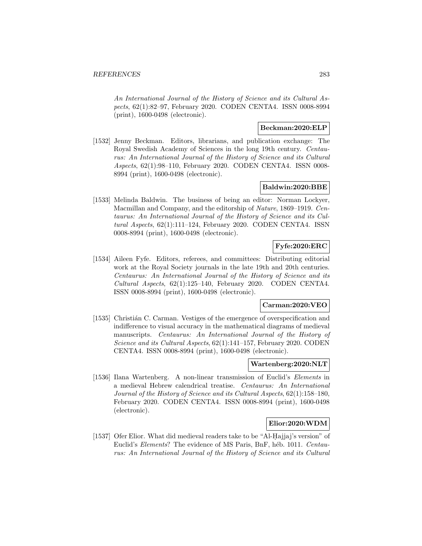An International Journal of the History of Science and its Cultural Aspects, 62(1):82–97, February 2020. CODEN CENTA4. ISSN 0008-8994 (print), 1600-0498 (electronic).

# **Beckman:2020:ELP**

[1532] Jenny Beckman. Editors, librarians, and publication exchange: The Royal Swedish Academy of Sciences in the long 19th century. Centaurus: An International Journal of the History of Science and its Cultural Aspects, 62(1):98–110, February 2020. CODEN CENTA4. ISSN 0008- 8994 (print), 1600-0498 (electronic).

# **Baldwin:2020:BBE**

[1533] Melinda Baldwin. The business of being an editor: Norman Lockyer, Macmillan and Company, and the editorship of Nature, 1869–1919. Centaurus: An International Journal of the History of Science and its Cultural Aspects, 62(1):111–124, February 2020. CODEN CENTA4. ISSN 0008-8994 (print), 1600-0498 (electronic).

# **Fyfe:2020:ERC**

[1534] Aileen Fyfe. Editors, referees, and committees: Distributing editorial work at the Royal Society journals in the late 19th and 20th centuries. Centaurus: An International Journal of the History of Science and its Cultural Aspects, 62(1):125–140, February 2020. CODEN CENTA4. ISSN 0008-8994 (print), 1600-0498 (electronic).

## **Carman:2020:VEO**

[1535] Christián C. Carman. Vestiges of the emergence of overspecification and indifference to visual accuracy in the mathematical diagrams of medieval manuscripts. Centaurus: An International Journal of the History of Science and its Cultural Aspects,  $62(1):141-157$ , February 2020. CODEN CENTA4. ISSN 0008-8994 (print), 1600-0498 (electronic).

# **Wartenberg:2020:NLT**

[1536] Ilana Wartenberg. A non-linear transmission of Euclid's Elements in a medieval Hebrew calendrical treatise. Centaurus: An International Journal of the History of Science and its Cultural Aspects, 62(1):158–180, February 2020. CODEN CENTA4. ISSN 0008-8994 (print), 1600-0498 (electronic).

## **Elior:2020:WDM**

[1537] Ofer Elior. What did medieval readers take to be "Al-Hajjaj's version" of Euclid's *Elements*? The evidence of MS Paris, BnF, héb. 1011. Centaurus: An International Journal of the History of Science and its Cultural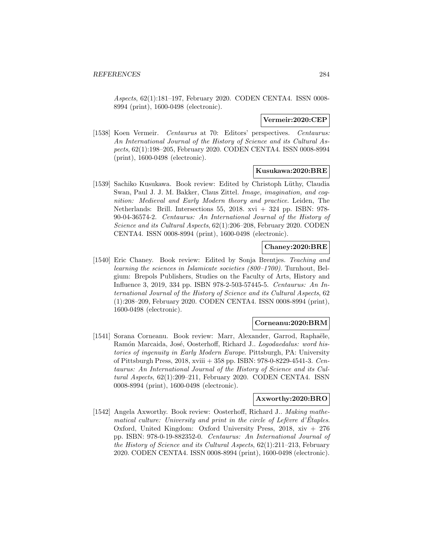Aspects, 62(1):181–197, February 2020. CODEN CENTA4. ISSN 0008- 8994 (print), 1600-0498 (electronic).

## **Vermeir:2020:CEP**

[1538] Koen Vermeir. Centaurus at 70: Editors' perspectives. Centaurus: An International Journal of the History of Science and its Cultural Aspects, 62(1):198–205, February 2020. CODEN CENTA4. ISSN 0008-8994 (print), 1600-0498 (electronic).

### **Kusukawa:2020:BRE**

[1539] Sachiko Kusukawa. Book review: Edited by Christoph L¨uthy, Claudia Swan, Paul J. J. M. Bakker, Claus Zittel. Image, imagination, and cognition: Medieval and Early Modern theory and practice. Leiden, The Netherlands: Brill. Intersections 55, 2018. xvi + 324 pp. ISBN: 978- 90-04-36574-2. Centaurus: An International Journal of the History of Science and its Cultural Aspects, 62(1):206–208, February 2020. CODEN CENTA4. ISSN 0008-8994 (print), 1600-0498 (electronic).

#### **Chaney:2020:BRE**

[1540] Eric Chaney. Book review: Edited by Sonja Brentjes. Teaching and learning the sciences in Islamicate societies (800–1700). Turnhout, Belgium: Brepols Publishers, Studies on the Faculty of Arts, History and Influence 3, 2019, 334 pp. ISBN 978-2-503-57445-5. Centaurus: An International Journal of the History of Science and its Cultural Aspects, 62 (1):208–209, February 2020. CODEN CENTA4. ISSN 0008-8994 (print), 1600-0498 (electronic).

#### **Corneanu:2020:BRM**

[1541] Sorana Corneanu. Book review: Marr, Alexander, Garrod, Raphaële, Ramón Marcaida, José, Oosterhoff, Richard J.. Logodaedalus: word histories of ingenuity in Early Modern Europe. Pittsburgh, PA: University of Pittsburgh Press, 2018, xviii + 358 pp. ISBN: 978-0-8229-4541-3. Centaurus: An International Journal of the History of Science and its Cultural Aspects, 62(1):209–211, February 2020. CODEN CENTA4. ISSN 0008-8994 (print), 1600-0498 (electronic).

# **Axworthy:2020:BRO**

[1542] Angela Axworthy. Book review: Oosterhoff, Richard J.. Making mathematical culture: University and print in the circle of Lefèvre d'Étaples. Oxford, United Kingdom: Oxford University Press, 2018, xiv + 276 pp. ISBN: 978-0-19-882352-0. Centaurus: An International Journal of the History of Science and its Cultural Aspects, 62(1):211–213, February 2020. CODEN CENTA4. ISSN 0008-8994 (print), 1600-0498 (electronic).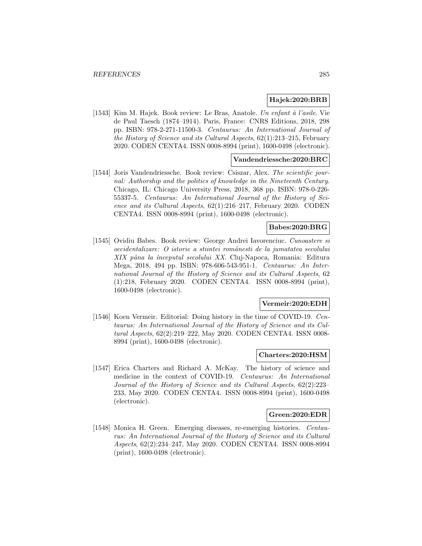### **Hajek:2020:BRB**

[1543] Kim M. Hajek. Book review: Le Bras, Anatole. Un enfant à l'asile. Vie de Paul Taesch (1874–1914). Paris, France: CNRS Editions, 2018, 298 pp. ISBN: 978-2-271-11500-3. Centaurus: An International Journal of the History of Science and its Cultural Aspects,  $62(1):213-215$ , February 2020. CODEN CENTA4. ISSN 0008-8994 (print), 1600-0498 (electronic).

## **Vandendriessche:2020:BRC**

[1544] Joris Vandendriessche. Book review: Csiszar, Alex. The scientific journal: Authorship and the politics of knowledge in the Nineteenth Century. Chicago, IL: Chicago University Press, 2018, 368 pp. ISBN: 978-0-226- 55337-5. Centaurus: An International Journal of the History of Science and its Cultural Aspects, 62(1):216–217, February 2020. CODEN CENTA4. ISSN 0008-8994 (print), 1600-0498 (electronic).

# **Babes:2020:BRG**

[1545] Ovidiu Babes. Book review: George Andrei Iavorenciuc. Cunoastere si occidentalizare: O istorie a stiintei romˆanesti de la jumatatea secolului XIX pâna la începutul secolului XX. Cluj-Napoca, Romania: Editura Mega, 2018, 494 pp. ISBN: 978-606-543-951-1. Centaurus: An International Journal of the History of Science and its Cultural Aspects, 62 (1):218, February 2020. CODEN CENTA4. ISSN 0008-8994 (print), 1600-0498 (electronic).

## **Vermeir:2020:EDH**

[1546] Koen Vermeir. Editorial: Doing history in the time of COVID-19. Centaurus: An International Journal of the History of Science and its Cultural Aspects, 62(2):219–222, May 2020. CODEN CENTA4. ISSN 0008- 8994 (print), 1600-0498 (electronic).

#### **Charters:2020:HSM**

[1547] Erica Charters and Richard A. McKay. The history of science and medicine in the context of COVID-19. Centaurus: An International Journal of the History of Science and its Cultural Aspects, 62(2):223– 233, May 2020. CODEN CENTA4. ISSN 0008-8994 (print), 1600-0498 (electronic).

### **Green:2020:EDR**

[1548] Monica H. Green. Emerging diseases, re-emerging histories. Centaurus: An International Journal of the History of Science and its Cultural Aspects, 62(2):234–247, May 2020. CODEN CENTA4. ISSN 0008-8994 (print), 1600-0498 (electronic).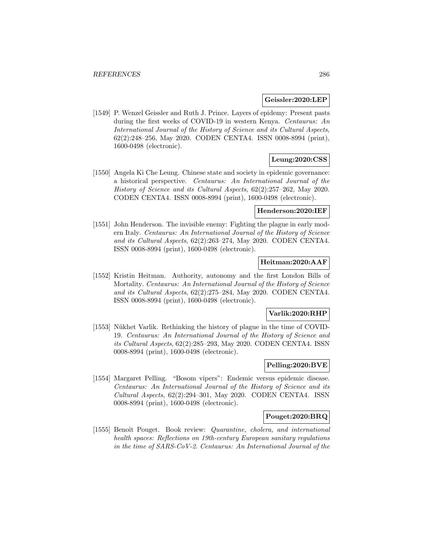#### **Geissler:2020:LEP**

[1549] P. Wenzel Geissler and Ruth J. Prince. Layers of epidemy: Present pasts during the first weeks of COVID-19 in western Kenya. Centaurus: An International Journal of the History of Science and its Cultural Aspects, 62(2):248–256, May 2020. CODEN CENTA4. ISSN 0008-8994 (print), 1600-0498 (electronic).

# **Leung:2020:CSS**

[1550] Angela Ki Che Leung. Chinese state and society in epidemic governance: a historical perspective. Centaurus: An International Journal of the History of Science and its Cultural Aspects, 62(2):257–262, May 2020. CODEN CENTA4. ISSN 0008-8994 (print), 1600-0498 (electronic).

#### **Henderson:2020:IEF**

[1551] John Henderson. The invisible enemy: Fighting the plague in early modern Italy. Centaurus: An International Journal of the History of Science and its Cultural Aspects, 62(2):263–274, May 2020. CODEN CENTA4. ISSN 0008-8994 (print), 1600-0498 (electronic).

# **Heitman:2020:AAF**

[1552] Kristin Heitman. Authority, autonomy and the first London Bills of Mortality. Centaurus: An International Journal of the History of Science and its Cultural Aspects, 62(2):275–284, May 2020. CODEN CENTA4. ISSN 0008-8994 (print), 1600-0498 (electronic).

## **Varlik:2020:RHP**

[1553] Nükhet Varlik. Rethinking the history of plague in the time of COVID-19. Centaurus: An International Journal of the History of Science and its Cultural Aspects, 62(2):285–293, May 2020. CODEN CENTA4. ISSN 0008-8994 (print), 1600-0498 (electronic).

# **Pelling:2020:BVE**

[1554] Margaret Pelling. "Bosom vipers": Endemic versus epidemic disease. Centaurus: An International Journal of the History of Science and its Cultural Aspects, 62(2):294–301, May 2020. CODEN CENTA4. ISSN 0008-8994 (print), 1600-0498 (electronic).

#### **Pouget:2020:BRQ**

[1555] Benoît Pouget. Book review: *Quarantine, cholera, and international* health spaces: Reflections on 19th-century European sanitary regulations in the time of SARS-CoV-2. Centaurus: An International Journal of the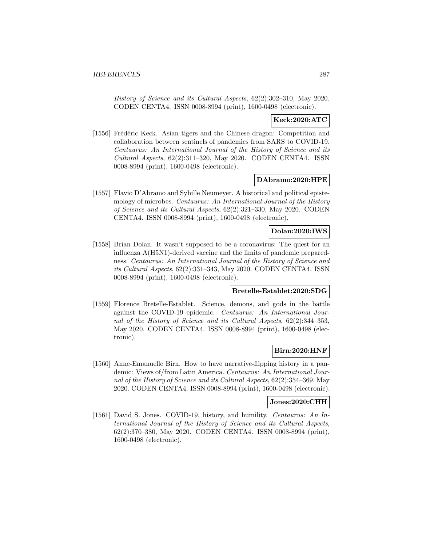History of Science and its Cultural Aspects, 62(2):302–310, May 2020. CODEN CENTA4. ISSN 0008-8994 (print), 1600-0498 (electronic).

## **Keck:2020:ATC**

[1556] Frédéric Keck. Asian tigers and the Chinese dragon: Competition and collaboration between sentinels of pandemics from SARS to COVID-19. Centaurus: An International Journal of the History of Science and its Cultural Aspects, 62(2):311–320, May 2020. CODEN CENTA4. ISSN 0008-8994 (print), 1600-0498 (electronic).

#### **DAbramo:2020:HPE**

[1557] Flavio D'Abramo and Sybille Neumeyer. A historical and political epistemology of microbes. Centaurus: An International Journal of the History of Science and its Cultural Aspects, 62(2):321–330, May 2020. CODEN CENTA4. ISSN 0008-8994 (print), 1600-0498 (electronic).

# **Dolan:2020:IWS**

[1558] Brian Dolan. It wasn't supposed to be a coronavirus: The quest for an influenza A(H5N1)-derived vaccine and the limits of pandemic preparedness. Centaurus: An International Journal of the History of Science and its Cultural Aspects, 62(2):331–343, May 2020. CODEN CENTA4. ISSN 0008-8994 (print), 1600-0498 (electronic).

## **Bretelle-Establet:2020:SDG**

[1559] Florence Bretelle-Establet. Science, demons, and gods in the battle against the COVID-19 epidemic. Centaurus: An International Journal of the History of Science and its Cultural Aspects, 62(2):344–353, May 2020. CODEN CENTA4. ISSN 0008-8994 (print), 1600-0498 (electronic).

#### **Birn:2020:HNF**

[1560] Anne-Emanuelle Birn. How to have narrative-flipping history in a pandemic: Views of/from Latin America. Centaurus: An International Journal of the History of Science and its Cultural Aspects, 62(2):354–369, May 2020. CODEN CENTA4. ISSN 0008-8994 (print), 1600-0498 (electronic).

### **Jones:2020:CHH**

[1561] David S. Jones. COVID-19, history, and humility. Centaurus: An International Journal of the History of Science and its Cultural Aspects, 62(2):370–380, May 2020. CODEN CENTA4. ISSN 0008-8994 (print), 1600-0498 (electronic).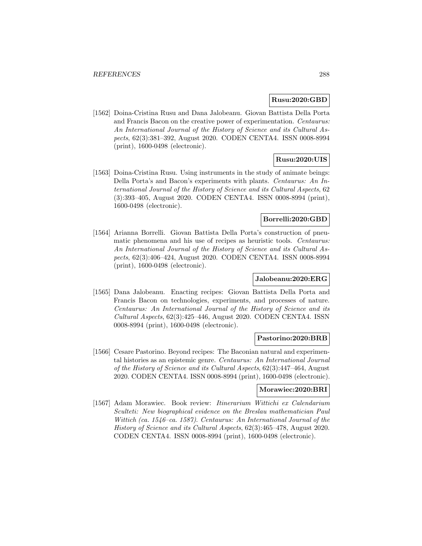## **Rusu:2020:GBD**

[1562] Doina-Cristina Rusu and Dana Jalobeanu. Giovan Battista Della Porta and Francis Bacon on the creative power of experimentation. Centaurus: An International Journal of the History of Science and its Cultural Aspects, 62(3):381–392, August 2020. CODEN CENTA4. ISSN 0008-8994 (print), 1600-0498 (electronic).

# **Rusu:2020:UIS**

[1563] Doina-Cristina Rusu. Using instruments in the study of animate beings: Della Porta's and Bacon's experiments with plants. Centaurus: An International Journal of the History of Science and its Cultural Aspects, 62 (3):393–405, August 2020. CODEN CENTA4. ISSN 0008-8994 (print), 1600-0498 (electronic).

# **Borrelli:2020:GBD**

[1564] Arianna Borrelli. Giovan Battista Della Porta's construction of pneumatic phenomena and his use of recipes as heuristic tools. Centaurus: An International Journal of the History of Science and its Cultural Aspects, 62(3):406–424, August 2020. CODEN CENTA4. ISSN 0008-8994 (print), 1600-0498 (electronic).

## **Jalobeanu:2020:ERG**

[1565] Dana Jalobeanu. Enacting recipes: Giovan Battista Della Porta and Francis Bacon on technologies, experiments, and processes of nature. Centaurus: An International Journal of the History of Science and its Cultural Aspects, 62(3):425–446, August 2020. CODEN CENTA4. ISSN 0008-8994 (print), 1600-0498 (electronic).

## **Pastorino:2020:BRB**

[1566] Cesare Pastorino. Beyond recipes: The Baconian natural and experimental histories as an epistemic genre. Centaurus: An International Journal of the History of Science and its Cultural Aspects, 62(3):447–464, August 2020. CODEN CENTA4. ISSN 0008-8994 (print), 1600-0498 (electronic).

# **Morawiec:2020:BRI**

[1567] Adam Morawiec. Book review: Itinerarium Wittichi ex Calendarium Sculteti: New biographical evidence on the Breslau mathematician Paul Wittich (ca. 1546–ca. 1587). Centaurus: An International Journal of the History of Science and its Cultural Aspects, 62(3):465–478, August 2020. CODEN CENTA4. ISSN 0008-8994 (print), 1600-0498 (electronic).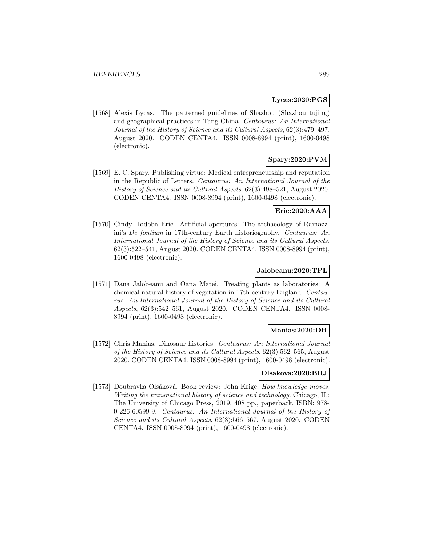### **Lycas:2020:PGS**

[1568] Alexis Lycas. The patterned guidelines of Shazhou (Shazhou tujing) and geographical practices in Tang China. Centaurus: An International Journal of the History of Science and its Cultural Aspects, 62(3):479–497, August 2020. CODEN CENTA4. ISSN 0008-8994 (print), 1600-0498 (electronic).

# **Spary:2020:PVM**

[1569] E. C. Spary. Publishing virtue: Medical entrepreneurship and reputation in the Republic of Letters. Centaurus: An International Journal of the History of Science and its Cultural Aspects, 62(3):498–521, August 2020. CODEN CENTA4. ISSN 0008-8994 (print), 1600-0498 (electronic).

## **Eric:2020:AAA**

[1570] Cindy Hodoba Eric. Artificial apertures: The archaeology of Ramazzini's De fontium in 17th-century Earth historiography. Centaurus: An International Journal of the History of Science and its Cultural Aspects, 62(3):522–541, August 2020. CODEN CENTA4. ISSN 0008-8994 (print), 1600-0498 (electronic).

### **Jalobeanu:2020:TPL**

[1571] Dana Jalobeanu and Oana Matei. Treating plants as laboratories: A chemical natural history of vegetation in 17th-century England. Centaurus: An International Journal of the History of Science and its Cultural Aspects, 62(3):542–561, August 2020. CODEN CENTA4. ISSN 0008- 8994 (print), 1600-0498 (electronic).

## **Manias:2020:DH**

[1572] Chris Manias. Dinosaur histories. Centaurus: An International Journal of the History of Science and its Cultural Aspects, 62(3):562–565, August 2020. CODEN CENTA4. ISSN 0008-8994 (print), 1600-0498 (electronic).

## **Olsakova:2020:BRJ**

[1573] Doubravka Olsáková. Book review: John Krige, How knowledge moves. Writing the transnational history of science and technology. Chicago, IL: The University of Chicago Press, 2019, 408 pp., paperback. ISBN: 978- 0-226-60599-9. Centaurus: An International Journal of the History of Science and its Cultural Aspects, 62(3):566–567, August 2020. CODEN CENTA4. ISSN 0008-8994 (print), 1600-0498 (electronic).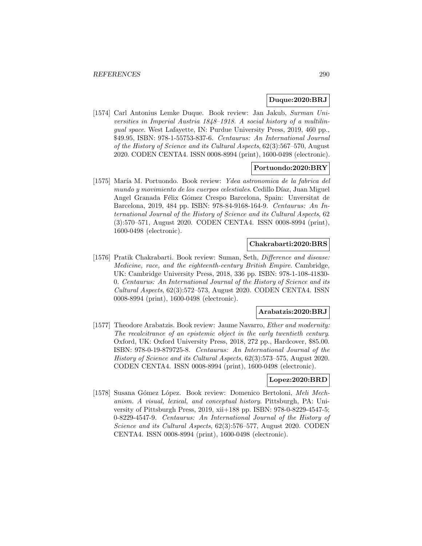### **Duque:2020:BRJ**

[1574] Carl Antonius Lemke Duque. Book review: Jan Jakub, Surman Universities in Imperial Austria 1848–1918. A social history of a multilingual space. West Lafayette, IN: Purdue University Press, 2019, 460 pp., \$49.95, ISBN: 978-1-55753-837-6. Centaurus: An International Journal of the History of Science and its Cultural Aspects, 62(3):567–570, August 2020. CODEN CENTA4. ISSN 0008-8994 (print), 1600-0498 (electronic).

#### **Portuondo:2020:BRY**

[1575] María M. Portuondo. Book review: Ydea astronomica de la fabrica del mundo y movimiento de los cuerpos celestiales. Cedillo Díaz, Juan Miguel Angel Granada Félix Gómez Crespo Barcelona, Spain: Unversitat de Barcelona, 2019, 484 pp. ISBN: 978-84-9168-164-9. Centaurus: An International Journal of the History of Science and its Cultural Aspects, 62 (3):570–571, August 2020. CODEN CENTA4. ISSN 0008-8994 (print), 1600-0498 (electronic).

## **Chakrabarti:2020:BRS**

[1576] Pratik Chakrabarti. Book review: Suman, Seth, Difference and disease: Medicine, race, and the eighteenth-century British Empire. Cambridge, UK: Cambridge University Press, 2018, 336 pp. ISBN: 978-1-108-41830- 0. Centaurus: An International Journal of the History of Science and its Cultural Aspects, 62(3):572–573, August 2020. CODEN CENTA4. ISSN 0008-8994 (print), 1600-0498 (electronic).

## **Arabatzis:2020:BRJ**

[1577] Theodore Arabatzis. Book review: Jaume Navarro, *Ether and modernity:* The recalcitrance of an epistemic object in the early twentieth century. Oxford, UK: Oxford University Press, 2018, 272 pp., Hardcover, \$85.00. ISBN: 978-0-19-879725-8. Centaurus: An International Journal of the History of Science and its Cultural Aspects, 62(3):573–575, August 2020. CODEN CENTA4. ISSN 0008-8994 (print), 1600-0498 (electronic).

#### **Lopez:2020:BRD**

[1578] Susana G´omez L´opez. Book review: Domenico Bertoloni, Meli Mechanism. A visual, lexical, and conceptual history. Pittsburgh, PA: University of Pittsburgh Press, 2019, xii+188 pp. ISBN: 978-0-8229-4547-5; 0-8229-4547-9. Centaurus: An International Journal of the History of Science and its Cultural Aspects, 62(3):576–577, August 2020. CODEN CENTA4. ISSN 0008-8994 (print), 1600-0498 (electronic).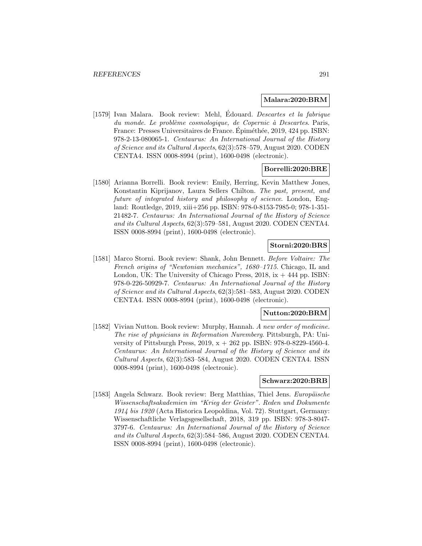## **Malara:2020:BRM**

[1579] Ivan Malara. Book review: Mehl, Edouard. *Descartes et la fabrique*  $du$  monde. Le problème cosmologique, de Copernic à Descartes. Paris, France: Presses Universitaires de France. Épiméthée, 2019, 424 pp. ISBN: 978-2-13-080065-1. Centaurus: An International Journal of the History of Science and its Cultural Aspects, 62(3):578–579, August 2020. CODEN CENTA4. ISSN 0008-8994 (print), 1600-0498 (electronic).

## **Borrelli:2020:BRE**

[1580] Arianna Borrelli. Book review: Emily, Herring, Kevin Matthew Jones, Konstantin Kiprijanov, Laura Sellers Chilton. The past, present, and future of integrated history and philosophy of science. London, England: Routledge, 2019, xiii+256 pp. ISBN: 978-0-8153-7985-0; 978-1-351- 21482-7. Centaurus: An International Journal of the History of Science and its Cultural Aspects, 62(3):579–581, August 2020. CODEN CENTA4. ISSN 0008-8994 (print), 1600-0498 (electronic).

# **Storni:2020:BRS**

[1581] Marco Storni. Book review: Shank, John Bennett. Before Voltaire: The French origins of "Newtonian mechanics", 1680–1715. Chicago, IL and London, UK: The University of Chicago Press,  $2018$ , ix  $+444$  pp. ISBN: 978-0-226-50929-7. Centaurus: An International Journal of the History of Science and its Cultural Aspects, 62(3):581–583, August 2020. CODEN CENTA4. ISSN 0008-8994 (print), 1600-0498 (electronic).

## **Nutton:2020:BRM**

[1582] Vivian Nutton. Book review: Murphy, Hannah. A new order of medicine. The rise of physicians in Reformation Nuremberg. Pittsburgh, PA: University of Pittsburgh Press, 2019,  $x + 262$  pp. ISBN: 978-0-8229-4560-4. Centaurus: An International Journal of the History of Science and its Cultural Aspects, 62(3):583–584, August 2020. CODEN CENTA4. ISSN 0008-8994 (print), 1600-0498 (electronic).

## **Schwarz:2020:BRB**

[1583] Angela Schwarz. Book review: Berg Matthias, Thiel Jens. Europäische Wissenschaftsakademien im "Krieg der Geister". Reden und Dokumente 1914 bis 1920 (Acta Historica Leopoldina, Vol. 72). Stuttgart, Germany: Wissenschaftliche Verlagsgesellschaft, 2018, 319 pp. ISBN: 978-3-8047- 3797-6. Centaurus: An International Journal of the History of Science and its Cultural Aspects, 62(3):584–586, August 2020. CODEN CENTA4. ISSN 0008-8994 (print), 1600-0498 (electronic).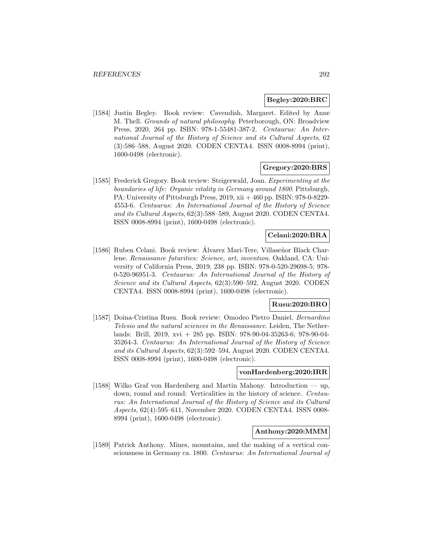### **Begley:2020:BRC**

[1584] Justin Begley. Book review: Cavendish, Margaret. Edited by Anne M. Thell. Grounds of natural philosophy. Peterborough, ON: Broadview Press, 2020, 264 pp. ISBN: 978-1-55481-387-2. Centaurus: An International Journal of the History of Science and its Cultural Aspects, 62 (3):586–588, August 2020. CODEN CENTA4. ISSN 0008-8994 (print), 1600-0498 (electronic).

## **Gregory:2020:BRS**

[1585] Frederick Gregory. Book review: Steigerwald, Joan. Experimenting at the boundaries of life: Organic vitality in Germany around 1800. Pittsburgh, PA: University of Pittsburgh Press, 2019, xii + 460 pp. ISBN: 978-0-8229- 4553-6. Centaurus: An International Journal of the History of Science and its Cultural Aspects, 62(3):588–589, August 2020. CODEN CENTA4. ISSN 0008-8994 (print), 1600-0498 (electronic).

## **Celani:2020:BRA**

[1586] Ruben Celani. Book review: Álvarez Mari-Tere, Villaseñor Black Charlene. Renaissance futurities: Science, art, invention. Oakland, CA: University of California Press, 2019, 238 pp. ISBN: 978-0-520-29698-5; 978- 0-520-96951-3. Centaurus: An International Journal of the History of Science and its Cultural Aspects, 62(3):590–592, August 2020. CODEN CENTA4. ISSN 0008-8994 (print), 1600-0498 (electronic).

## **Rusu:2020:BRO**

[1587] Doina-Cristina Rusu. Book review: Omodeo Pietro Daniel. Bernardino Telesio and the natural sciences in the Renaissance. Leiden, The Netherlands: Brill, 2019, xvi + 285 pp. ISBN: 978-90-04-35263-6; 978-90-04- 35264-3. Centaurus: An International Journal of the History of Science and its Cultural Aspects, 62(3):592–594, August 2020. CODEN CENTA4. ISSN 0008-8994 (print), 1600-0498 (electronic).

## **vonHardenberg:2020:IRR**

[1588] Wilko Graf von Hardenberg and Martin Mahony. Introduction — up, down, round and round: Verticalities in the history of science. Centaurus: An International Journal of the History of Science and its Cultural Aspects, 62(4):595–611, November 2020. CODEN CENTA4. ISSN 0008- 8994 (print), 1600-0498 (electronic).

### **Anthony:2020:MMM**

[1589] Patrick Anthony. Mines, mountains, and the making of a vertical consciousness in Germany ca. 1800. Centaurus: An International Journal of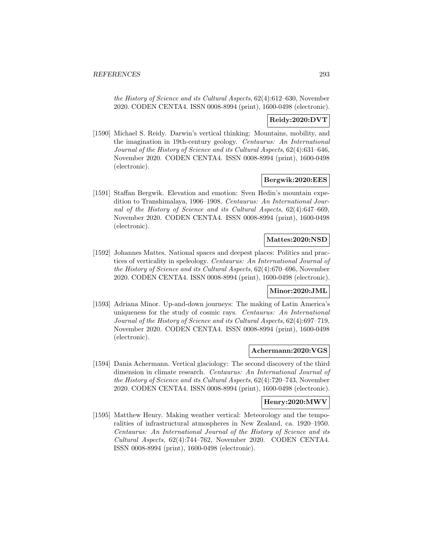the History of Science and its Cultural Aspects, 62(4):612–630, November 2020. CODEN CENTA4. ISSN 0008-8994 (print), 1600-0498 (electronic).

## **Reidy:2020:DVT**

[1590] Michael S. Reidy. Darwin's vertical thinking: Mountains, mobility, and the imagination in 19th-century geology. Centaurus: An International Journal of the History of Science and its Cultural Aspects, 62(4):631–646, November 2020. CODEN CENTA4. ISSN 0008-8994 (print), 1600-0498 (electronic).

#### **Bergwik:2020:EES**

[1591] Staffan Bergwik. Elevation and emotion: Sven Hedin's mountain expedition to Transhimalaya, 1906–1908. Centaurus: An International Journal of the History of Science and its Cultural Aspects, 62(4):647–669, November 2020. CODEN CENTA4. ISSN 0008-8994 (print), 1600-0498 (electronic).

## **Mattes:2020:NSD**

[1592] Johannes Mattes. National spaces and deepest places: Politics and practices of verticality in speleology. Centaurus: An International Journal of the History of Science and its Cultural Aspects, 62(4):670–696, November 2020. CODEN CENTA4. ISSN 0008-8994 (print), 1600-0498 (electronic).

## **Minor:2020:JML**

[1593] Adriana Minor. Up-and-down journeys: The making of Latin America's uniqueness for the study of cosmic rays. Centaurus: An International Journal of the History of Science and its Cultural Aspects, 62(4):697–719, November 2020. CODEN CENTA4. ISSN 0008-8994 (print), 1600-0498 (electronic).

#### **Achermann:2020:VGS**

[1594] Dania Achermann. Vertical glaciology: The second discovery of the third dimension in climate research. Centaurus: An International Journal of the History of Science and its Cultural Aspects, 62(4):720–743, November 2020. CODEN CENTA4. ISSN 0008-8994 (print), 1600-0498 (electronic).

## **Henry:2020:MWV**

[1595] Matthew Henry. Making weather vertical: Meteorology and the temporalities of infrastructural atmospheres in New Zealand, ca. 1920–1950. Centaurus: An International Journal of the History of Science and its Cultural Aspects, 62(4):744–762, November 2020. CODEN CENTA4. ISSN 0008-8994 (print), 1600-0498 (electronic).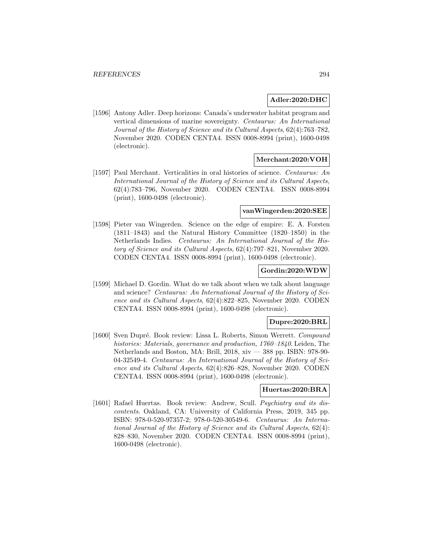### **Adler:2020:DHC**

[1596] Antony Adler. Deep horizons: Canada's underwater habitat program and vertical dimensions of marine sovereignty. Centaurus: An International Journal of the History of Science and its Cultural Aspects, 62(4):763–782, November 2020. CODEN CENTA4. ISSN 0008-8994 (print), 1600-0498 (electronic).

## **Merchant:2020:VOH**

[1597] Paul Merchant. Verticalities in oral histories of science. Centaurus: An International Journal of the History of Science and its Cultural Aspects, 62(4):783–796, November 2020. CODEN CENTA4. ISSN 0008-8994 (print), 1600-0498 (electronic).

#### **vanWingerden:2020:SEE**

[1598] Pieter van Wingerden. Science on the edge of empire: E. A. Forsten (1811–1843) and the Natural History Committee (1820–1850) in the Netherlands Indies. Centaurus: An International Journal of the History of Science and its Cultural Aspects, 62(4):797–821, November 2020. CODEN CENTA4. ISSN 0008-8994 (print), 1600-0498 (electronic).

### **Gordin:2020:WDW**

[1599] Michael D. Gordin. What do we talk about when we talk about language and science? Centaurus: An International Journal of the History of Science and its Cultural Aspects, 62(4):822–825, November 2020. CODEN CENTA4. ISSN 0008-8994 (print), 1600-0498 (electronic).

# **Dupre:2020:BRL**

[1600] Sven Dupré. Book review: Lissa L. Roberts, Simon Werrett. Compound histories: Materials, governance and production, 1760–1840. Leiden, The Netherlands and Boston, MA: Brill, 2018, xiv — 388 pp. ISBN: 978-90- 04-32549-4. Centaurus: An International Journal of the History of Science and its Cultural Aspects, 62(4):826–828, November 2020. CODEN CENTA4. ISSN 0008-8994 (print), 1600-0498 (electronic).

## **Huertas:2020:BRA**

[1601] Rafael Huertas. Book review: Andrew, Scull. Psychiatry and its discontents. Oakland, CA: University of California Press, 2019, 345 pp. ISBN: 978-0-520-97357-2; 978-0-520-30549-6. Centaurus: An International Journal of the History of Science and its Cultural Aspects, 62(4): 828–830, November 2020. CODEN CENTA4. ISSN 0008-8994 (print), 1600-0498 (electronic).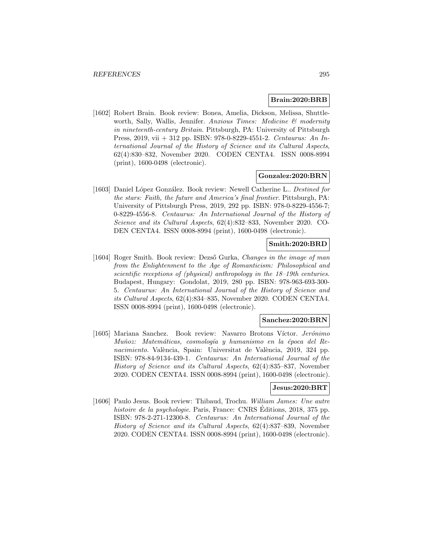## **Brain:2020:BRB**

[1602] Robert Brain. Book review: Bonea, Amelia, Dickson, Melissa, Shuttleworth, Sally, Wallis, Jennifer. Anxious Times: Medicine & modernity in nineteenth-century Britain. Pittsburgh, PA: University of Pittsburgh Press, 2019, vii + 312 pp. ISBN: 978-0-8229-4551-2. Centaurus: An International Journal of the History of Science and its Cultural Aspects, 62(4):830–832, November 2020. CODEN CENTA4. ISSN 0008-8994 (print), 1600-0498 (electronic).

#### **Gonzalez:2020:BRN**

[1603] Daniel López González. Book review: Newell Catherine L.. Destined for the stars: Faith, the future and America's final frontier. Pittsburgh, PA: University of Pittsburgh Press, 2019, 292 pp. ISBN: 978-0-8229-4556-7; 0-8229-4556-8. Centaurus: An International Journal of the History of Science and its Cultural Aspects, 62(4):832–833, November 2020. CO-DEN CENTA4. ISSN 0008-8994 (print), 1600-0498 (electronic).

## **Smith:2020:BRD**

[1604] Roger Smith. Book review: Dezső Gurka, Changes in the image of man from the Enlightenment to the Age of Romanticism: Philosophical and scientific receptions of (physical) anthropology in the 18–19th centuries. Budapest, Hungary: Gondolat, 2019, 280 pp. ISBN: 978-963-693-300- 5. Centaurus: An International Journal of the History of Science and its Cultural Aspects, 62(4):834–835, November 2020. CODEN CENTA4. ISSN 0008-8994 (print), 1600-0498 (electronic).

#### **Sanchez:2020:BRN**

[1605] Mariana Sanchez. Book review: Navarro Brotons Víctor. Jerónimo Muñoz: Matemáticas, cosmología y humanismo en la época del Renacimiento. València, Spain: Universitat de València, 2019, 324 pp. ISBN: 978-84-9134-439-1. Centaurus: An International Journal of the History of Science and its Cultural Aspects, 62(4):835–837, November 2020. CODEN CENTA4. ISSN 0008-8994 (print), 1600-0498 (electronic).

## **Jesus:2020:BRT**

[1606] Paulo Jesus. Book review: Thibaud, Trochu. William James: Une autre histoire de la psychologie. Paris, France: CNRS Éditions, 2018, 375 pp. ISBN: 978-2-271-12300-8. Centaurus: An International Journal of the History of Science and its Cultural Aspects, 62(4):837–839, November 2020. CODEN CENTA4. ISSN 0008-8994 (print), 1600-0498 (electronic).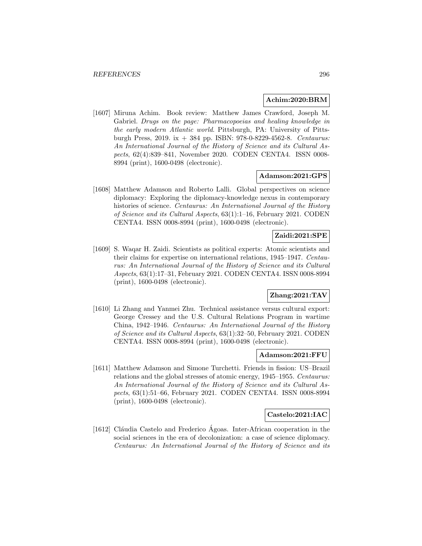#### **Achim:2020:BRM**

[1607] Miruna Achim. Book review: Matthew James Crawford, Joseph M. Gabriel. Drugs on the page: Pharmacopoeias and healing knowledge in the early modern Atlantic world. Pittsburgh, PA: University of Pittsburgh Press, 2019. ix + 384 pp. ISBN: 978-0-8229-4562-8. Centaurus: An International Journal of the History of Science and its Cultural Aspects, 62(4):839–841, November 2020. CODEN CENTA4. ISSN 0008- 8994 (print), 1600-0498 (electronic).

## **Adamson:2021:GPS**

[1608] Matthew Adamson and Roberto Lalli. Global perspectives on science diplomacy: Exploring the diplomacy-knowledge nexus in contemporary histories of science. Centaurus: An International Journal of the History of Science and its Cultural Aspects, 63(1):1–16, February 2021. CODEN CENTA4. ISSN 0008-8994 (print), 1600-0498 (electronic).

# **Zaidi:2021:SPE**

[1609] S. Waqar H. Zaidi. Scientists as political experts: Atomic scientists and their claims for expertise on international relations, 1945–1947. Centaurus: An International Journal of the History of Science and its Cultural Aspects, 63(1):17–31, February 2021. CODEN CENTA4. ISSN 0008-8994 (print), 1600-0498 (electronic).

# **Zhang:2021:TAV**

[1610] Li Zhang and Yanmei Zhu. Technical assistance versus cultural export: George Cressey and the U.S. Cultural Relations Program in wartime China, 1942–1946. Centaurus: An International Journal of the History of Science and its Cultural Aspects, 63(1):32–50, February 2021. CODEN CENTA4. ISSN 0008-8994 (print), 1600-0498 (electronic).

### **Adamson:2021:FFU**

[1611] Matthew Adamson and Simone Turchetti. Friends in fission: US–Brazil relations and the global stresses of atomic energy, 1945–1955. Centaurus: An International Journal of the History of Science and its Cultural Aspects, 63(1):51–66, February 2021. CODEN CENTA4. ISSN 0008-8994 (print), 1600-0498 (electronic).

#### **Castelo:2021:IAC**

[1612] Cláudia Castelo and Frederico Agoas. Inter-African cooperation in the social sciences in the era of decolonization: a case of science diplomacy. Centaurus: An International Journal of the History of Science and its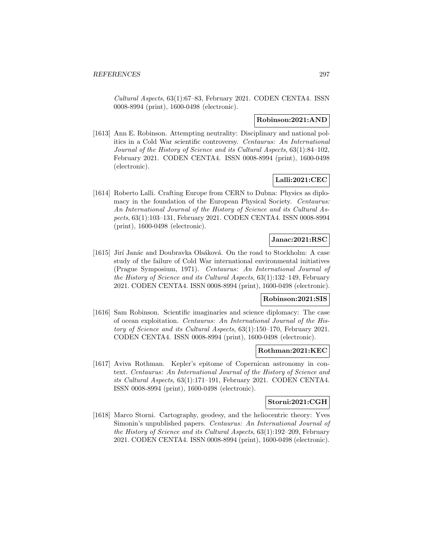Cultural Aspects, 63(1):67–83, February 2021. CODEN CENTA4. ISSN 0008-8994 (print), 1600-0498 (electronic).

### **Robinson:2021:AND**

[1613] Ann E. Robinson. Attempting neutrality: Disciplinary and national politics in a Cold War scientific controversy. Centaurus: An International Journal of the History of Science and its Cultural Aspects, 63(1):84–102, February 2021. CODEN CENTA4. ISSN 0008-8994 (print), 1600-0498 (electronic).

## **Lalli:2021:CEC**

[1614] Roberto Lalli. Crafting Europe from CERN to Dubna: Physics as diplomacy in the foundation of the European Physical Society. *Centaurus:* An International Journal of the History of Science and its Cultural Aspects, 63(1):103–131, February 2021. CODEN CENTA4. ISSN 0008-8994 (print), 1600-0498 (electronic).

# **Janac:2021:RSC**

[1615] Jirí Janác and Doubravka Olsáková. On the road to Stockholm: A case study of the failure of Cold War international environmental initiatives (Prague Symposium, 1971). Centaurus: An International Journal of the History of Science and its Cultural Aspects, 63(1):132–149, February 2021. CODEN CENTA4. ISSN 0008-8994 (print), 1600-0498 (electronic).

# **Robinson:2021:SIS**

[1616] Sam Robinson. Scientific imaginaries and science diplomacy: The case of ocean exploitation. Centaurus: An International Journal of the History of Science and its Cultural Aspects, 63(1):150–170, February 2021. CODEN CENTA4. ISSN 0008-8994 (print), 1600-0498 (electronic).

#### **Rothman:2021:KEC**

[1617] Aviva Rothman. Kepler's epitome of Copernican astronomy in context. Centaurus: An International Journal of the History of Science and its Cultural Aspects, 63(1):171–191, February 2021. CODEN CENTA4. ISSN 0008-8994 (print), 1600-0498 (electronic).

## **Storni:2021:CGH**

[1618] Marco Storni. Cartography, geodesy, and the heliocentric theory: Yves Simonin's unpublished papers. Centaurus: An International Journal of the History of Science and its Cultural Aspects, 63(1):192–209, February 2021. CODEN CENTA4. ISSN 0008-8994 (print), 1600-0498 (electronic).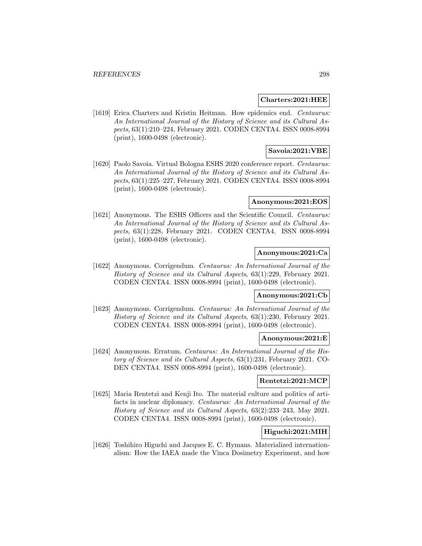#### **Charters:2021:HEE**

[1619] Erica Charters and Kristin Heitman. How epidemics end. Centaurus: An International Journal of the History of Science and its Cultural Aspects, 63(1):210–224, February 2021. CODEN CENTA4. ISSN 0008-8994 (print), 1600-0498 (electronic).

## **Savoia:2021:VBE**

[1620] Paolo Savoia. Virtual Bologna ESHS 2020 conference report. Centaurus: An International Journal of the History of Science and its Cultural Aspects, 63(1):225–227, February 2021. CODEN CENTA4. ISSN 0008-8994 (print), 1600-0498 (electronic).

### **Anonymous:2021:EOS**

[1621] Anonymous. The ESHS Officers and the Scientific Council. Centaurus: An International Journal of the History of Science and its Cultural Aspects, 63(1):228, February 2021. CODEN CENTA4. ISSN 0008-8994 (print), 1600-0498 (electronic).

### **Anonymous:2021:Ca**

[1622] Anonymous. Corrigendum. Centaurus: An International Journal of the History of Science and its Cultural Aspects, 63(1):229, February 2021. CODEN CENTA4. ISSN 0008-8994 (print), 1600-0498 (electronic).

## **Anonymous:2021:Cb**

[1623] Anonymous. Corrigendum. Centaurus: An International Journal of the History of Science and its Cultural Aspects, 63(1):230, February 2021. CODEN CENTA4. ISSN 0008-8994 (print), 1600-0498 (electronic).

#### **Anonymous:2021:E**

[1624] Anonymous. Erratum. Centaurus: An International Journal of the History of Science and its Cultural Aspects, 63(1):231, February 2021. CO-DEN CENTA4. ISSN 0008-8994 (print), 1600-0498 (electronic).

### **Rentetzi:2021:MCP**

[1625] Maria Rentetzi and Kenji Ito. The material culture and politics of artifacts in nuclear diplomacy. Centaurus: An International Journal of the History of Science and its Cultural Aspects, 63(2):233–243, May 2021. CODEN CENTA4. ISSN 0008-8994 (print), 1600-0498 (electronic).

## **Higuchi:2021:MIH**

[1626] Toshihiro Higuchi and Jacques E. C. Hymans. Materialized internationalism: How the IAEA made the Vinca Dosimetry Experiment, and how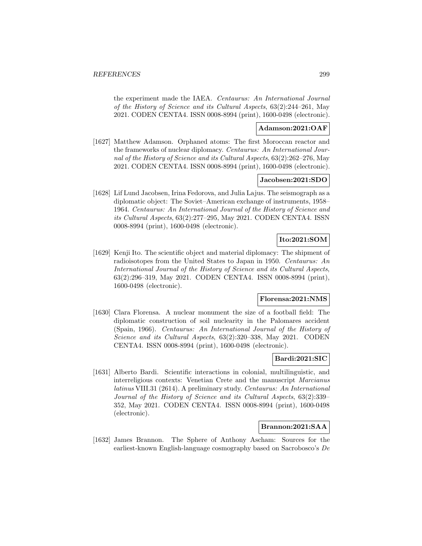the experiment made the IAEA. Centaurus: An International Journal of the History of Science and its Cultural Aspects, 63(2):244–261, May 2021. CODEN CENTA4. ISSN 0008-8994 (print), 1600-0498 (electronic).

## **Adamson:2021:OAF**

[1627] Matthew Adamson. Orphaned atoms: The first Moroccan reactor and the frameworks of nuclear diplomacy. Centaurus: An International Journal of the History of Science and its Cultural Aspects, 63(2):262–276, May 2021. CODEN CENTA4. ISSN 0008-8994 (print), 1600-0498 (electronic).

## **Jacobsen:2021:SDO**

[1628] Lif Lund Jacobsen, Irina Fedorova, and Julia Lajus. The seismograph as a diplomatic object: The Soviet–American exchange of instruments, 1958– 1964. Centaurus: An International Journal of the History of Science and its Cultural Aspects, 63(2):277–295, May 2021. CODEN CENTA4. ISSN 0008-8994 (print), 1600-0498 (electronic).

# **Ito:2021:SOM**

[1629] Kenji Ito. The scientific object and material diplomacy: The shipment of radioisotopes from the United States to Japan in 1950. Centaurus: An International Journal of the History of Science and its Cultural Aspects, 63(2):296–319, May 2021. CODEN CENTA4. ISSN 0008-8994 (print), 1600-0498 (electronic).

# **Florensa:2021:NMS**

[1630] Clara Florensa. A nuclear monument the size of a football field: The diplomatic construction of soil nuclearity in the Palomares accident (Spain, 1966). Centaurus: An International Journal of the History of Science and its Cultural Aspects, 63(2):320–338, May 2021. CODEN CENTA4. ISSN 0008-8994 (print), 1600-0498 (electronic).

## **Bardi:2021:SIC**

[1631] Alberto Bardi. Scientific interactions in colonial, multilinguistic, and interreligious contexts: Venetian Crete and the manuscript Marcianus latinus VIII.31 (2614). A preliminary study. Centaurus: An International Journal of the History of Science and its Cultural Aspects, 63(2):339– 352, May 2021. CODEN CENTA4. ISSN 0008-8994 (print), 1600-0498 (electronic).

## **Brannon:2021:SAA**

[1632] James Brannon. The Sphere of Anthony Ascham: Sources for the earliest-known English-language cosmography based on Sacrobosco's De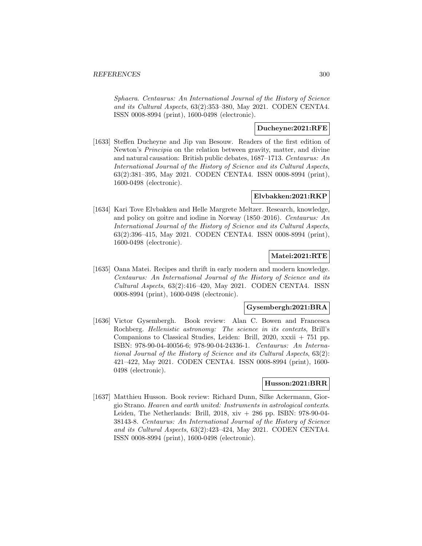Sphaera. Centaurus: An International Journal of the History of Science and its Cultural Aspects, 63(2):353–380, May 2021. CODEN CENTA4. ISSN 0008-8994 (print), 1600-0498 (electronic).

# **Ducheyne:2021:RFE**

[1633] Steffen Ducheyne and Jip van Besouw. Readers of the first edition of Newton's Principia on the relation between gravity, matter, and divine and natural causation: British public debates, 1687–1713. Centaurus: An International Journal of the History of Science and its Cultural Aspects, 63(2):381–395, May 2021. CODEN CENTA4. ISSN 0008-8994 (print), 1600-0498 (electronic).

## **Elvbakken:2021:RKP**

[1634] Kari Tove Elvbakken and Helle Margrete Meltzer. Research, knowledge, and policy on goitre and iodine in Norway (1850–2016). Centaurus: An International Journal of the History of Science and its Cultural Aspects, 63(2):396–415, May 2021. CODEN CENTA4. ISSN 0008-8994 (print), 1600-0498 (electronic).

## **Matei:2021:RTE**

[1635] Oana Matei. Recipes and thrift in early modern and modern knowledge. Centaurus: An International Journal of the History of Science and its Cultural Aspects, 63(2):416–420, May 2021. CODEN CENTA4. ISSN 0008-8994 (print), 1600-0498 (electronic).

## **Gysembergh:2021:BRA**

[1636] Victor Gysembergh. Book review: Alan C. Bowen and Francesca Rochberg. Hellenistic astronomy: The science in its contexts, Brill's Companions to Classical Studies, Leiden: Brill, 2020, xxxii  $+ 751$  pp. ISBN: 978-90-04-40056-6; 978-90-04-24336-1. Centaurus: An International Journal of the History of Science and its Cultural Aspects, 63(2): 421–422, May 2021. CODEN CENTA4. ISSN 0008-8994 (print), 1600- 0498 (electronic).

## **Husson:2021:BRR**

[1637] Matthieu Husson. Book review: Richard Dunn, Silke Ackermann, Giorgio Strano. Heaven and earth united: Instruments in astrological contexts. Leiden, The Netherlands: Brill, 2018, xiv + 286 pp. ISBN: 978-90-04- 38143-8. Centaurus: An International Journal of the History of Science and its Cultural Aspects, 63(2):423–424, May 2021. CODEN CENTA4. ISSN 0008-8994 (print), 1600-0498 (electronic).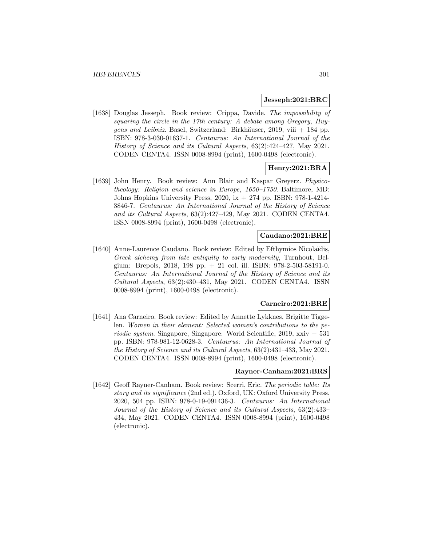#### **Jesseph:2021:BRC**

[1638] Douglas Jesseph. Book review: Crippa, Davide. The impossibility of squaring the circle in the 17th century: A debate among Gregory, Huygens and Leibniz. Basel, Switzerland: Birkhäuser, 2019, viii  $+$  184 pp. ISBN: 978-3-030-01637-1. Centaurus: An International Journal of the History of Science and its Cultural Aspects, 63(2):424–427, May 2021. CODEN CENTA4. ISSN 0008-8994 (print), 1600-0498 (electronic).

## **Henry:2021:BRA**

[1639] John Henry. Book review: Ann Blair and Kaspar Greyerz. Physicotheology: Religion and science in Europe, 1650–1750. Baltimore, MD: Johns Hopkins University Press, 2020, ix + 274 pp. ISBN: 978-1-4214- 3846-7. Centaurus: An International Journal of the History of Science and its Cultural Aspects, 63(2):427–429, May 2021. CODEN CENTA4. ISSN 0008-8994 (print), 1600-0498 (electronic).

## **Caudano:2021:BRE**

[1640] Anne-Laurence Caudano. Book review: Edited by Efthymios Nicolaïdis, Greek alchemy from late antiquity to early modernity, Turnhout, Belgium: Brepols, 2018, 198 pp. + 21 col. ill. ISBN: 978-2-503-58191-0. Centaurus: An International Journal of the History of Science and its Cultural Aspects, 63(2):430–431, May 2021. CODEN CENTA4. ISSN 0008-8994 (print), 1600-0498 (electronic).

#### **Carneiro:2021:BRE**

[1641] Ana Carneiro. Book review: Edited by Annette Lykknes, Brigitte Tiggelen. Women in their element: Selected women's contributions to the pe $riodic system$ . Singapore, Singapore: World Scientific, 2019, xxiv  $+ 531$ pp. ISBN: 978-981-12-0628-3. Centaurus: An International Journal of the History of Science and its Cultural Aspects, 63(2):431–433, May 2021. CODEN CENTA4. ISSN 0008-8994 (print), 1600-0498 (electronic).

# **Rayner-Canham:2021:BRS**

[1642] Geoff Rayner-Canham. Book review: Scerri, Eric. The periodic table: Its story and its significance (2nd ed.). Oxford, UK: Oxford University Press, 2020, 504 pp. ISBN: 978-0-19-091436-3. Centaurus: An International Journal of the History of Science and its Cultural Aspects, 63(2):433– 434, May 2021. CODEN CENTA4. ISSN 0008-8994 (print), 1600-0498 (electronic).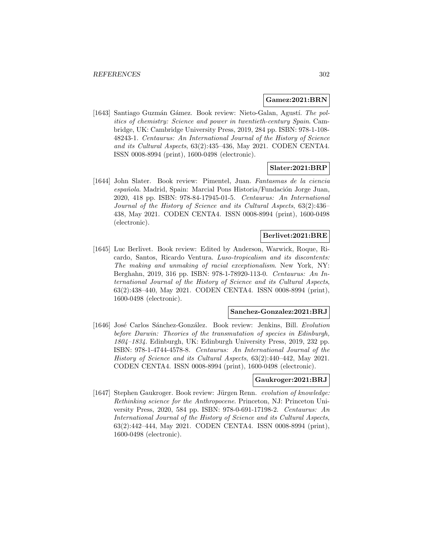#### **Gamez:2021:BRN**

[1643] Santiago Guzmán Gámez. Book review: Nieto-Galan, Agustí. The politics of chemistry: Science and power in twentieth-century Spain. Cambridge, UK: Cambridge University Press, 2019, 284 pp. ISBN: 978-1-108- 48243-1. Centaurus: An International Journal of the History of Science and its Cultural Aspects, 63(2):435–436, May 2021. CODEN CENTA4. ISSN 0008-8994 (print), 1600-0498 (electronic).

### **Slater:2021:BRP**

[1644] John Slater. Book review: Pimentel, Juan. Fantasmas de la ciencia española. Madrid, Spain: Marcial Pons Historia/Fundación Jorge Juan, 2020, 418 pp. ISBN: 978-84-17945-01-5. Centaurus: An International Journal of the History of Science and its Cultural Aspects, 63(2):436– 438, May 2021. CODEN CENTA4. ISSN 0008-8994 (print), 1600-0498 (electronic).

### **Berlivet:2021:BRE**

[1645] Luc Berlivet. Book review: Edited by Anderson, Warwick, Roque, Ricardo, Santos, Ricardo Ventura. Luso-tropicalism and its discontents: The making and unmaking of racial exceptionalism. New York, NY: Berghahn, 2019, 316 pp. ISBN: 978-1-78920-113-0. Centaurus: An International Journal of the History of Science and its Cultural Aspects, 63(2):438–440, May 2021. CODEN CENTA4. ISSN 0008-8994 (print), 1600-0498 (electronic).

## **Sanchez-Gonzalez:2021:BRJ**

[1646] José Carlos Sánchez-González. Book review: Jenkins, Bill. Evolution before Darwin: Theories of the transmutation of species in Edinburgh, 1804–1834. Edinburgh, UK: Edinburgh University Press, 2019, 232 pp. ISBN: 978-1-4744-4578-8. Centaurus: An International Journal of the History of Science and its Cultural Aspects, 63(2):440–442, May 2021. CODEN CENTA4. ISSN 0008-8994 (print), 1600-0498 (electronic).

#### **Gaukroger:2021:BRJ**

[1647] Stephen Gaukroger. Book review: Jürgen Renn. evolution of knowledge: Rethinking science for the Anthropocene. Princeton, NJ: Princeton University Press, 2020, 584 pp. ISBN: 978-0-691-17198-2. Centaurus: An International Journal of the History of Science and its Cultural Aspects, 63(2):442–444, May 2021. CODEN CENTA4. ISSN 0008-8994 (print), 1600-0498 (electronic).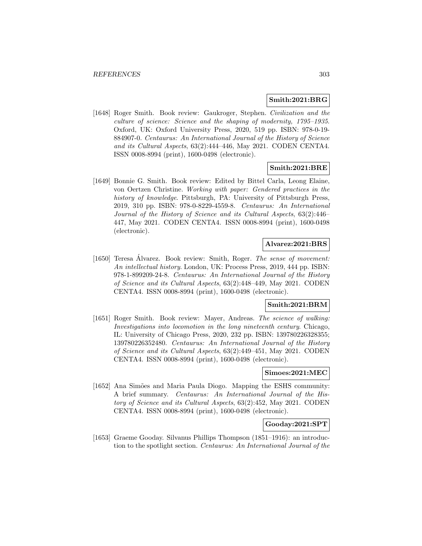### **Smith:2021:BRG**

[1648] Roger Smith. Book review: Gaukroger, Stephen. Civilization and the culture of science: Science and the shaping of modernity, 1795–1935. Oxford, UK: Oxford University Press, 2020, 519 pp. ISBN: 978-0-19- 884907-0. Centaurus: An International Journal of the History of Science and its Cultural Aspects, 63(2):444–446, May 2021. CODEN CENTA4. ISSN 0008-8994 (print), 1600-0498 (electronic).

## **Smith:2021:BRE**

[1649] Bonnie G. Smith. Book review: Edited by Bittel Carla, Leong Elaine, von Oertzen Christine. Working with paper: Gendered practices in the history of knowledge. Pittsburgh, PA: University of Pittsburgh Press, 2019, 310 pp. ISBN: 978-0-8229-4559-8. Centaurus: An International Journal of the History of Science and its Cultural Aspects, 63(2):446– 447, May 2021. CODEN CENTA4. ISSN 0008-8994 (print), 1600-0498 (electronic).

## **Alvarez:2021:BRS**

[1650] Teresa Álvarez. Book review: Smith, Roger. The sense of movement: An intellectual history. London, UK: Process Press, 2019, 444 pp. ISBN: 978-1-899209-24-8. Centaurus: An International Journal of the History of Science and its Cultural Aspects, 63(2):448–449, May 2021. CODEN CENTA4. ISSN 0008-8994 (print), 1600-0498 (electronic).

## **Smith:2021:BRM**

[1651] Roger Smith. Book review: Mayer, Andreas. The science of walking: Investigations into locomotion in the long nineteenth century. Chicago, IL: University of Chicago Press, 2020, 232 pp. ISBN: 139780226328355; 139780226352480. Centaurus: An International Journal of the History of Science and its Cultural Aspects, 63(2):449–451, May 2021. CODEN CENTA4. ISSN 0008-8994 (print), 1600-0498 (electronic).

### **Simoes:2021:MEC**

[1652] Ana Simões and Maria Paula Diogo. Mapping the ESHS community: A brief summary. Centaurus: An International Journal of the History of Science and its Cultural Aspects, 63(2):452, May 2021. CODEN CENTA4. ISSN 0008-8994 (print), 1600-0498 (electronic).

## **Gooday:2021:SPT**

[1653] Graeme Gooday. Silvanus Phillips Thompson (1851–1916): an introduction to the spotlight section. Centaurus: An International Journal of the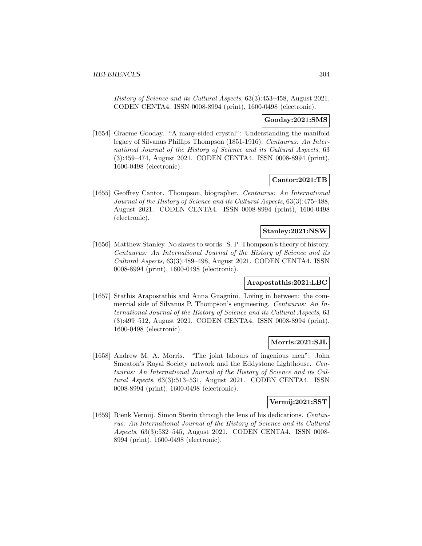History of Science and its Cultural Aspects, 63(3):453–458, August 2021. CODEN CENTA4. ISSN 0008-8994 (print), 1600-0498 (electronic).

## **Gooday:2021:SMS**

[1654] Graeme Gooday. "A many-sided crystal": Understanding the manifold legacy of Silvanus Phillips Thompson (1851-1916). Centaurus: An International Journal of the History of Science and its Cultural Aspects, 63 (3):459–474, August 2021. CODEN CENTA4. ISSN 0008-8994 (print), 1600-0498 (electronic).

## **Cantor:2021:TB**

[1655] Geoffrey Cantor. Thompson, biographer. Centaurus: An International Journal of the History of Science and its Cultural Aspects, 63(3):475–488, August 2021. CODEN CENTA4. ISSN 0008-8994 (print), 1600-0498 (electronic).

### **Stanley:2021:NSW**

[1656] Matthew Stanley. No slaves to words: S. P. Thompson's theory of history. Centaurus: An International Journal of the History of Science and its Cultural Aspects, 63(3):489–498, August 2021. CODEN CENTA4. ISSN 0008-8994 (print), 1600-0498 (electronic).

## **Arapostathis:2021:LBC**

[1657] Stathis Arapostathis and Anna Guagnini. Living in between: the commercial side of Silvanus P. Thompson's engineering. Centaurus: An International Journal of the History of Science and its Cultural Aspects, 63 (3):499–512, August 2021. CODEN CENTA4. ISSN 0008-8994 (print), 1600-0498 (electronic).

## **Morris:2021:SJL**

[1658] Andrew M. A. Morris. "The joint labours of ingenious men": John Smeaton's Royal Society network and the Eddystone Lighthouse. Centaurus: An International Journal of the History of Science and its Cultural Aspects, 63(3):513–531, August 2021. CODEN CENTA4. ISSN 0008-8994 (print), 1600-0498 (electronic).

# **Vermij:2021:SST**

[1659] Rienk Vermij. Simon Stevin through the lens of his dedications. Centaurus: An International Journal of the History of Science and its Cultural Aspects, 63(3):532–545, August 2021. CODEN CENTA4. ISSN 0008- 8994 (print), 1600-0498 (electronic).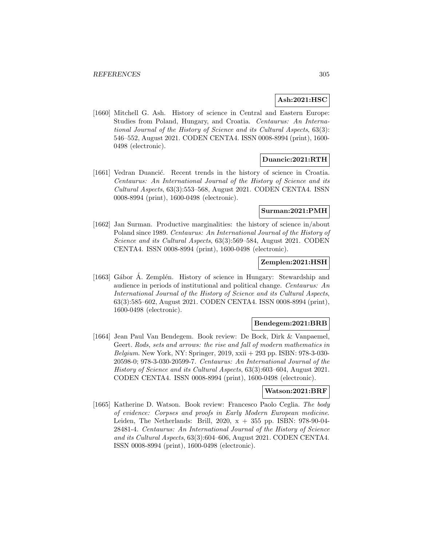## **Ash:2021:HSC**

[1660] Mitchell G. Ash. History of science in Central and Eastern Europe: Studies from Poland, Hungary, and Croatia. Centaurus: An International Journal of the History of Science and its Cultural Aspects, 63(3): 546–552, August 2021. CODEN CENTA4. ISSN 0008-8994 (print), 1600- 0498 (electronic).

# **Duancic:2021:RTH**

[1661] Vedran Duancić. Recent trends in the history of science in Croatia. Centaurus: An International Journal of the History of Science and its Cultural Aspects, 63(3):553–568, August 2021. CODEN CENTA4. ISSN 0008-8994 (print), 1600-0498 (electronic).

## **Surman:2021:PMH**

[1662] Jan Surman. Productive marginalities: the history of science in/about Poland since 1989. Centaurus: An International Journal of the History of Science and its Cultural Aspects, 63(3):569–584, August 2021. CODEN CENTA4. ISSN 0008-8994 (print), 1600-0498 (electronic).

## **Zemplen:2021:HSH**

[1663] Gábor Á. Zemplén. History of science in Hungary: Stewardship and audience in periods of institutional and political change. Centaurus: An International Journal of the History of Science and its Cultural Aspects, 63(3):585–602, August 2021. CODEN CENTA4. ISSN 0008-8994 (print), 1600-0498 (electronic).

#### **Bendegem:2021:BRB**

[1664] Jean Paul Van Bendegem. Book review: De Bock, Dirk & Vanpaemel, Geert. Rods, sets and arrows: the rise and fall of modern mathematics in Belgium. New York, NY: Springer, 2019, xxii  $+$  293 pp. ISBN: 978-3-030-20598-0; 978-3-030-20599-7. Centaurus: An International Journal of the History of Science and its Cultural Aspects, 63(3):603–604, August 2021. CODEN CENTA4. ISSN 0008-8994 (print), 1600-0498 (electronic).

### **Watson:2021:BRF**

[1665] Katherine D. Watson. Book review: Francesco Paolo Ceglia. The body of evidence: Corpses and proofs in Early Modern European medicine. Leiden, The Netherlands: Brill, 2020, x + 355 pp. ISBN: 978-90-04- 28481-4. Centaurus: An International Journal of the History of Science and its Cultural Aspects, 63(3):604–606, August 2021. CODEN CENTA4. ISSN 0008-8994 (print), 1600-0498 (electronic).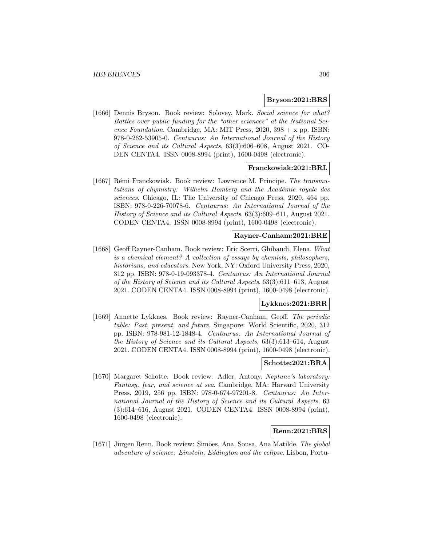#### **Bryson:2021:BRS**

[1666] Dennis Bryson. Book review: Solovey, Mark. Social science for what? Battles over public funding for the "other sciences" at the National Science Foundation. Cambridge, MA: MIT Press,  $2020$ ,  $398 + x$  pp. ISBN: 978-0-262-53905-0. Centaurus: An International Journal of the History of Science and its Cultural Aspects, 63(3):606–608, August 2021. CO-DEN CENTA4. ISSN 0008-8994 (print), 1600-0498 (electronic).

#### **Franckowiak:2021:BRL**

[1667] Rémi Franckowiak. Book review: Lawrence M. Principe. The transmutations of chymistry: Wilhelm Homberg and the Académie royale des sciences. Chicago, IL: The University of Chicago Press, 2020, 464 pp. ISBN: 978-0-226-70078-6. Centaurus: An International Journal of the History of Science and its Cultural Aspects, 63(3):609–611, August 2021. CODEN CENTA4. ISSN 0008-8994 (print), 1600-0498 (electronic).

# **Rayner-Canham:2021:BRE**

[1668] Geoff Rayner-Canham. Book review: Eric Scerri, Ghibaudi, Elena. What is a chemical element? A collection of essays by chemists, philosophers, historians, and educators. New York, NY: Oxford University Press, 2020, 312 pp. ISBN: 978-0-19-093378-4. Centaurus: An International Journal of the History of Science and its Cultural Aspects, 63(3):611–613, August 2021. CODEN CENTA4. ISSN 0008-8994 (print), 1600-0498 (electronic).

## **Lykknes:2021:BRR**

[1669] Annette Lykknes. Book review: Rayner-Canham, Geoff. The periodic table: Past, present, and future. Singapore: World Scientific, 2020, 312 pp. ISBN: 978-981-12-1848-4. Centaurus: An International Journal of the History of Science and its Cultural Aspects, 63(3):613–614, August 2021. CODEN CENTA4. ISSN 0008-8994 (print), 1600-0498 (electronic).

## **Schotte:2021:BRA**

[1670] Margaret Schotte. Book review: Adler, Antony. Neptune's laboratory: Fantasy, fear, and science at sea. Cambridge, MA: Harvard University Press, 2019, 256 pp. ISBN: 978-0-674-97201-8. Centaurus: An International Journal of the History of Science and its Cultural Aspects, 63 (3):614–616, August 2021. CODEN CENTA4. ISSN 0008-8994 (print), 1600-0498 (electronic).

## **Renn:2021:BRS**

[1671] Jürgen Renn. Book review: Simões, Ana, Sousa, Ana Matilde. The global adventure of science: Einstein, Eddington and the eclipse. Lisbon, Portu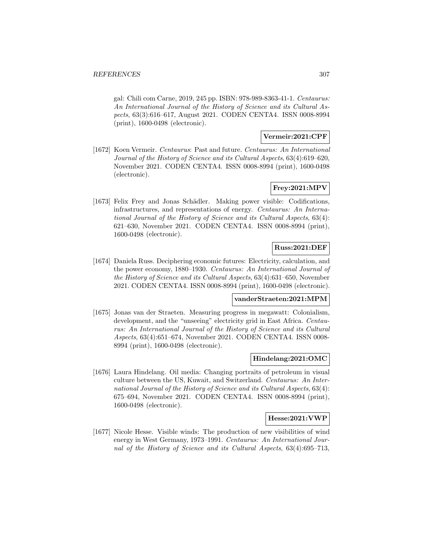gal: Chili com Carne, 2019, 245 pp. ISBN: 978-989-8363-41-1. Centaurus: An International Journal of the History of Science and its Cultural Aspects, 63(3):616–617, August 2021. CODEN CENTA4. ISSN 0008-8994 (print), 1600-0498 (electronic).

## **Vermeir:2021:CPF**

[1672] Koen Vermeir. Centaurus: Past and future. Centaurus: An International Journal of the History of Science and its Cultural Aspects, 63(4):619–620, November 2021. CODEN CENTA4. ISSN 0008-8994 (print), 1600-0498 (electronic).

## **Frey:2021:MPV**

[1673] Felix Frey and Jonas Schädler. Making power visible: Codifications, infrastructures, and representations of energy. Centaurus: An International Journal of the History of Science and its Cultural Aspects, 63(4): 621–630, November 2021. CODEN CENTA4. ISSN 0008-8994 (print), 1600-0498 (electronic).

#### **Russ:2021:DEF**

[1674] Daniela Russ. Deciphering economic futures: Electricity, calculation, and the power economy, 1880–1930. Centaurus: An International Journal of the History of Science and its Cultural Aspects, 63(4):631–650, November 2021. CODEN CENTA4. ISSN 0008-8994 (print), 1600-0498 (electronic).

## **vanderStraeten:2021:MPM**

[1675] Jonas van der Straeten. Measuring progress in megawatt: Colonialism, development, and the "unseeing" electricity grid in East Africa. Centaurus: An International Journal of the History of Science and its Cultural Aspects, 63(4):651–674, November 2021. CODEN CENTA4. ISSN 0008- 8994 (print), 1600-0498 (electronic).

## **Hindelang:2021:OMC**

[1676] Laura Hindelang. Oil media: Changing portraits of petroleum in visual culture between the US, Kuwait, and Switzerland. Centaurus: An International Journal of the History of Science and its Cultural Aspects, 63(4): 675–694, November 2021. CODEN CENTA4. ISSN 0008-8994 (print), 1600-0498 (electronic).

#### **Hesse:2021:VWP**

[1677] Nicole Hesse. Visible winds: The production of new visibilities of wind energy in West Germany, 1973–1991. Centaurus: An International Journal of the History of Science and its Cultural Aspects, 63(4):695–713,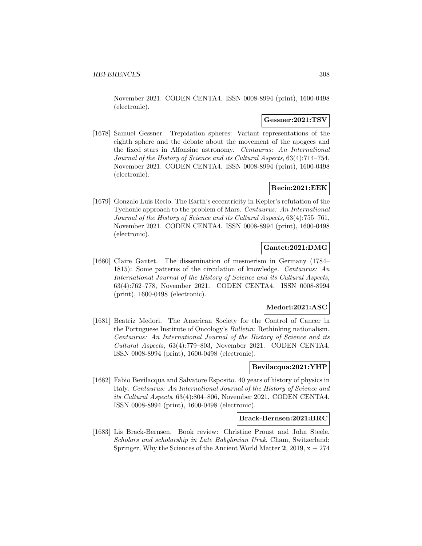November 2021. CODEN CENTA4. ISSN 0008-8994 (print), 1600-0498 (electronic).

## **Gessner:2021:TSV**

[1678] Samuel Gessner. Trepidation spheres: Variant representations of the eighth sphere and the debate about the movement of the apogees and the fixed stars in Alfonsine astronomy. Centaurus: An International Journal of the History of Science and its Cultural Aspects, 63(4):714–754, November 2021. CODEN CENTA4. ISSN 0008-8994 (print), 1600-0498 (electronic).

# **Recio:2021:EEK**

[1679] Gonzalo Luis Recio. The Earth's eccentricity in Kepler's refutation of the Tychonic approach to the problem of Mars. Centaurus: An International Journal of the History of Science and its Cultural Aspects, 63(4):755–761, November 2021. CODEN CENTA4. ISSN 0008-8994 (print), 1600-0498 (electronic).

## **Gantet:2021:DMG**

[1680] Claire Gantet. The dissemination of mesmerism in Germany (1784– 1815): Some patterns of the circulation of knowledge. Centaurus: An International Journal of the History of Science and its Cultural Aspects, 63(4):762–778, November 2021. CODEN CENTA4. ISSN 0008-8994 (print), 1600-0498 (electronic).

## **Medori:2021:ASC**

[1681] Beatriz Medori. The American Society for the Control of Cancer in the Portuguese Institute of Oncology's Bulletin: Rethinking nationalism. Centaurus: An International Journal of the History of Science and its Cultural Aspects, 63(4):779–803, November 2021. CODEN CENTA4. ISSN 0008-8994 (print), 1600-0498 (electronic).

## **Bevilacqua:2021:YHP**

[1682] Fabio Bevilacqua and Salvatore Esposito. 40 years of history of physics in Italy. Centaurus: An International Journal of the History of Science and its Cultural Aspects, 63(4):804–806, November 2021. CODEN CENTA4. ISSN 0008-8994 (print), 1600-0498 (electronic).

#### **Brack-Bernsen:2021:BRC**

[1683] Lis Brack-Bernsen. Book review: Christine Proust and John Steele. Scholars and scholarship in Late Babylonian Uruk. Cham, Switzerland: Springer, Why the Sciences of the Ancient World Matter  $2$ , 2019,  $x + 274$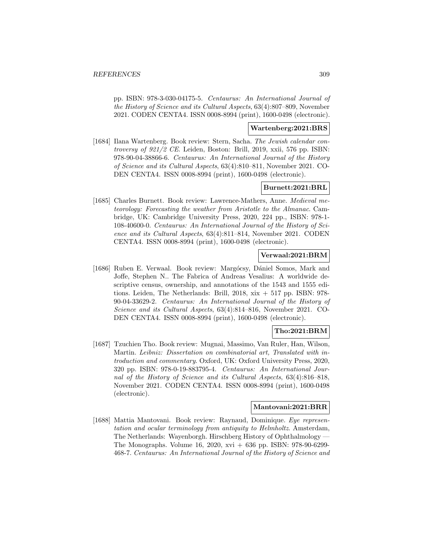pp. ISBN: 978-3-030-04175-5. Centaurus: An International Journal of the History of Science and its Cultural Aspects, 63(4):807–809, November 2021. CODEN CENTA4. ISSN 0008-8994 (print), 1600-0498 (electronic).

## **Wartenberg:2021:BRS**

[1684] Ilana Wartenberg. Book review: Stern, Sacha. The Jewish calendar controversy of 921/2 CE. Leiden, Boston: Brill, 2019, xxii, 576 pp. ISBN: 978-90-04-38866-6. Centaurus: An International Journal of the History of Science and its Cultural Aspects, 63(4):810–811, November 2021. CO-DEN CENTA4. ISSN 0008-8994 (print), 1600-0498 (electronic).

## **Burnett:2021:BRL**

[1685] Charles Burnett. Book review: Lawrence-Mathers, Anne. Medieval meteorology: Forecasting the weather from Aristotle to the Almanac. Cambridge, UK: Cambridge University Press, 2020, 224 pp., ISBN: 978-1- 108-40600-0. Centaurus: An International Journal of the History of Science and its Cultural Aspects, 63(4):811–814, November 2021. CODEN CENTA4. ISSN 0008-8994 (print), 1600-0498 (electronic).

## **Verwaal:2021:BRM**

[1686] Ruben E. Verwaal. Book review: Margócsy, Dániel Somos, Mark and Joffe, Stephen N.. The Fabrica of Andreas Vesalius: A worldwide descriptive census, ownership, and annotations of the 1543 and 1555 editions. Leiden, The Netherlands: Brill,  $2018$ ,  $x\dot{x} + 517$  pp. ISBN: 978-90-04-33629-2. Centaurus: An International Journal of the History of Science and its Cultural Aspects, 63(4):814–816, November 2021. CO-DEN CENTA4. ISSN 0008-8994 (print), 1600-0498 (electronic).

## **Tho:2021:BRM**

[1687] Tzuchien Tho. Book review: Mugnai, Massimo, Van Ruler, Han, Wilson, Martin. Leibniz: Dissertation on combinatorial art, Translated with introduction and commentary. Oxford, UK: Oxford University Press, 2020, 320 pp. ISBN: 978-0-19-883795-4. Centaurus: An International Journal of the History of Science and its Cultural Aspects, 63(4):816–818, November 2021. CODEN CENTA4. ISSN 0008-8994 (print), 1600-0498 (electronic).

#### **Mantovani:2021:BRR**

[1688] Mattia Mantovani. Book review: Raynaud, Dominique. Eye representation and ocular terminology from antiquity to Helmholtz. Amsterdam, The Netherlands: Wayenborgh. Hirschberg History of Ophthalmology — The Monographs. Volume 16, 2020, xvi + 636 pp. ISBN: 978-90-6299- 468-7. Centaurus: An International Journal of the History of Science and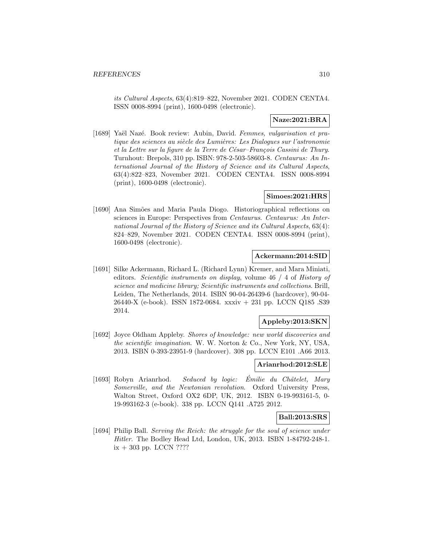its Cultural Aspects, 63(4):819–822, November 2021. CODEN CENTA4. ISSN 0008-8994 (print), 1600-0498 (electronic).

## **Naze:2021:BRA**

[1689] Yaël Nazé. Book review: Aubin, David. Femmes, vulgarisation et pratique des sciences au siècle des Lumières: Les Dialogues sur l'astronomie et la Lettre sur la figure de la Terre de César-François Cassini de Thury. Turnhout: Brepols, 310 pp. ISBN: 978-2-503-58603-8. Centaurus: An International Journal of the History of Science and its Cultural Aspects, 63(4):822–823, November 2021. CODEN CENTA4. ISSN 0008-8994 (print), 1600-0498 (electronic).

# **Simoes:2021:HRS**

[1690] Ana Simões and Maria Paula Diogo. Historiographical reflections on sciences in Europe: Perspectives from Centaurus. Centaurus: An International Journal of the History of Science and its Cultural Aspects, 63(4): 824–829, November 2021. CODEN CENTA4. ISSN 0008-8994 (print), 1600-0498 (electronic).

#### **Ackermann:2014:SID**

[1691] Silke Ackermann, Richard L. (Richard Lynn) Kremer, and Mara Miniati, editors. Scientific instruments on display, volume 46 / 4 of History of science and medicine library; Scientific instruments and collections. Brill, Leiden, The Netherlands, 2014. ISBN 90-04-26439-6 (hardcover), 90-04- 26440-X (e-book). ISSN 1872-0684. xxxiv + 231 pp. LCCN Q185 .S39 2014.

# **Appleby:2013:SKN**

[1692] Joyce Oldham Appleby. Shores of knowledge: new world discoveries and the scientific imagination. W. W. Norton & Co., New York, NY, USA, 2013. ISBN 0-393-23951-9 (hardcover). 308 pp. LCCN E101 .A66 2013.

# **Arianrhod:2012:SLE**

[1693] Robyn Arianrhod. Seduced by logic: Émilie du Châtelet, Mary Somerville, and the Newtonian revolution. Oxford University Press, Walton Street, Oxford OX2 6DP, UK, 2012. ISBN 0-19-993161-5, 0- 19-993162-3 (e-book). 338 pp. LCCN Q141 .A725 2012.

## **Ball:2013:SRS**

[1694] Philip Ball. Serving the Reich: the struggle for the soul of science under Hitler. The Bodley Head Ltd, London, UK, 2013. ISBN 1-84792-248-1.  $ix + 303$  pp. LCCN ????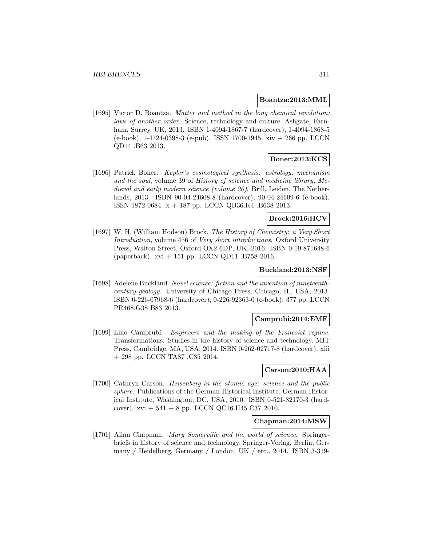#### **Boantza:2013:MML**

[1695] Victor D. Boantza. Matter and method in the long chemical revolution: laws of another order. Science, technology and culture. Ashgate, Farnham, Surrey, UK, 2013. ISBN 1-4094-1867-7 (hardcover), 1-4094-1868-5 (e-book), 1-4724-0398-3 (e-pub). ISSN 1700-1945. xiv + 266 pp. LCCN QD14 .B63 2013.

# **Boner:2013:KCS**

[1696] Patrick Boner. Kepler's cosmological synthesis: astrology, mechanism and the soul, volume 39 of History of science and medicine library, Medieval and early modern science (volume 20). Brill, Leiden, The Netherlands, 2013. ISBN 90-04-24608-8 (hardcover), 90-04-24609-6 (e-book). ISSN 1872-0684. x + 187 pp. LCCN QB36.K4 .B638 2013.

## **Brock:2016:HCV**

[1697] W. H. (William Hodson) Brock. The History of Chemistry: a Very Short Introduction, volume 456 of Very short introductions. Oxford University Press, Walton Street, Oxford OX2 6DP, UK, 2016. ISBN 0-19-871648-6 (paperback). xvi + 151 pp. LCCN QD11 .B758 2016.

### **Buckland:2013:NSF**

[1698] Adelene Buckland. Novel science: fiction and the invention of nineteenthcentury geology. University of Chicago Press, Chicago, IL, USA, 2013. ISBN 0-226-07968-6 (hardcover), 0-226-92363-0 (e-book). 377 pp. LCCN PR468.G38 B83 2013.

## **Camprubi:2014:EMF**

[1699] Lino Camprubí. *Engineers and the making of the Francoist regime.* Transformations: Studies in the history of science and technology. MIT Press, Cambridge, MA, USA, 2014. ISBN 0-262-02717-8 (hardcover). xiii + 298 pp. LCCN TA87 .C35 2014.

#### **Carson:2010:HAA**

[1700] Cathryn Carson. Heisenberg in the atomic age: science and the public sphere. Publications of the German Historical Institute. German Historical Institute, Washington, DC, USA, 2010. ISBN 0-521-82170-3 (hardcover).  $xvi + 541 + 8$  pp. LCCN QC16.H45 C37 2010.

#### **Chapman:2014:MSW**

[1701] Allan Chapman. Mary Somerville and the world of science. Springerbriefs in history of science and technology. Springer-Verlag, Berlin, Germany / Heidelberg, Germany / London, UK / etc., 2014. ISBN 3-319-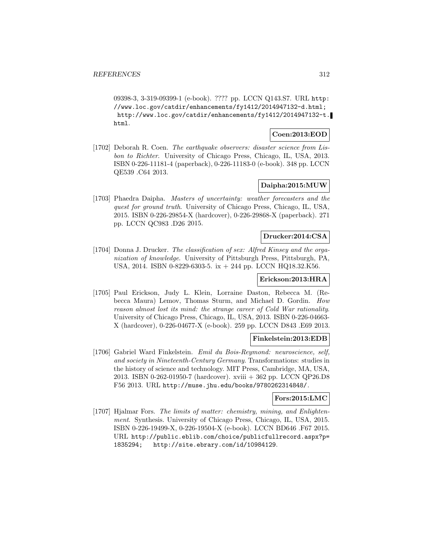09398-3, 3-319-09399-1 (e-book). ???? pp. LCCN Q143.S7. URL http: //www.loc.gov/catdir/enhancements/fy1412/2014947132-d.html; http://www.loc.gov/catdir/enhancements/fy1412/2014947132-t. html.

## **Coen:2013:EOD**

[1702] Deborah R. Coen. The earthquake observers: disaster science from Lisbon to Richter. University of Chicago Press, Chicago, IL, USA, 2013. ISBN 0-226-11181-4 (paperback), 0-226-11183-0 (e-book). 348 pp. LCCN QE539 .C64 2013.

# **Daipha:2015:MUW**

[1703] Phaedra Daipha. Masters of uncertainty: weather forecasters and the quest for ground truth. University of Chicago Press, Chicago, IL, USA, 2015. ISBN 0-226-29854-X (hardcover), 0-226-29868-X (paperback). 271 pp. LCCN QC983 .D26 2015.

## **Drucker:2014:CSA**

[1704] Donna J. Drucker. The classification of sex: Alfred Kinsey and the organization of knowledge. University of Pittsburgh Press, Pittsburgh, PA, USA, 2014. ISBN 0-8229-6303-5. ix + 244 pp. LCCN HQ18.32.K56.

## **Erickson:2013:HRA**

[1705] Paul Erickson, Judy L. Klein, Lorraine Daston, Rebecca M. (Rebecca Maura) Lemov, Thomas Sturm, and Michael D. Gordin. How reason almost lost its mind: the strange career of Cold War rationality. University of Chicago Press, Chicago, IL, USA, 2013. ISBN 0-226-04663- X (hardcover), 0-226-04677-X (e-book). 259 pp. LCCN D843 .E69 2013.

## **Finkelstein:2013:EDB**

[1706] Gabriel Ward Finkelstein. Emil du Bois-Reymond: neuroscience, self, and society in Nineteenth-Century Germany. Transformations: studies in the history of science and technology. MIT Press, Cambridge, MA, USA, 2013. ISBN 0-262-01950-7 (hardcover). xviii + 362 pp. LCCN QP26.D8 F56 2013. URL http://muse.jhu.edu/books/9780262314848/.

# **Fors:2015:LMC**

[1707] Hjalmar Fors. The limits of matter: chemistry, mining, and Enlightenment. Synthesis. University of Chicago Press, Chicago, IL, USA, 2015. ISBN 0-226-19499-X, 0-226-19504-X (e-book). LCCN BD646 .F67 2015. URL http://public.eblib.com/choice/publicfullrecord.aspx?p= 1835294; http://site.ebrary.com/id/10984129.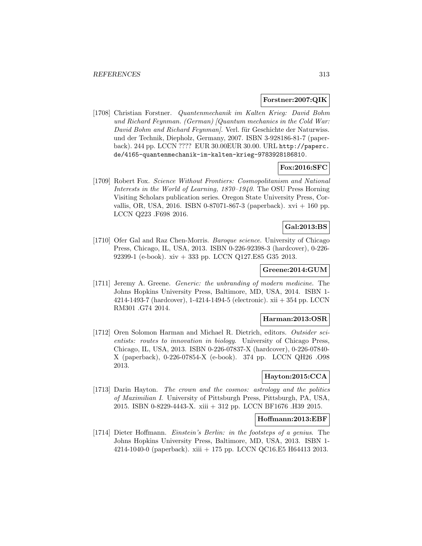## **Forstner:2007:QIK**

[1708] Christian Forstner. Quantenmechanik im Kalten Krieg: David Bohm und Richard Feynman. (German) [Quantum mechanics in the Cold War: David Bohm and Richard Feynman. Verl. für Geschichte der Naturwiss. und der Technik, Diepholz, Germany, 2007. ISBN 3-928186-81-7 (paperback). 244 pp. LCCN ???? EUR 30.00EUR 30.00. URL http://paperc. de/4165-quantenmechanik-im-kalten-krieg-9783928186810.

## **Fox:2016:SFC**

[1709] Robert Fox. Science Without Frontiers: Cosmopolitanism and National Interests in the World of Learning, 1870–1940. The OSU Press Horning Visiting Scholars publication series. Oregon State University Press, Corvallis, OR, USA, 2016. ISBN 0-87071-867-3 (paperback).  $xvi + 160$  pp. LCCN Q223 .F698 2016.

# **Gal:2013:BS**

[1710] Ofer Gal and Raz Chen-Morris. Baroque science. University of Chicago Press, Chicago, IL, USA, 2013. ISBN 0-226-92398-3 (hardcover), 0-226- 92399-1 (e-book). xiv + 333 pp. LCCN Q127.E85 G35 2013.

### **Greene:2014:GUM**

[1711] Jeremy A. Greene. Generic: the unbranding of modern medicine. The Johns Hopkins University Press, Baltimore, MD, USA, 2014. ISBN 1- 4214-1493-7 (hardcover), 1-4214-1494-5 (electronic). xii + 354 pp. LCCN RM301 .G74 2014.

# **Harman:2013:OSR**

[1712] Oren Solomon Harman and Michael R. Dietrich, editors. Outsider scientists: routes to innovation in biology. University of Chicago Press, Chicago, IL, USA, 2013. ISBN 0-226-07837-X (hardcover), 0-226-07840- X (paperback), 0-226-07854-X (e-book). 374 pp. LCCN QH26 .O98 2013.

## **Hayton:2015:CCA**

[1713] Darin Hayton. The crown and the cosmos: astrology and the politics of Maximilian I. University of Pittsburgh Press, Pittsburgh, PA, USA, 2015. ISBN 0-8229-4443-X. xiii + 312 pp. LCCN BF1676 .H39 2015.

## **Hoffmann:2013:EBF**

[1714] Dieter Hoffmann. Einstein's Berlin: in the footsteps of a genius. The Johns Hopkins University Press, Baltimore, MD, USA, 2013. ISBN 1- 4214-1040-0 (paperback). xiii + 175 pp. LCCN QC16.E5 H64413 2013.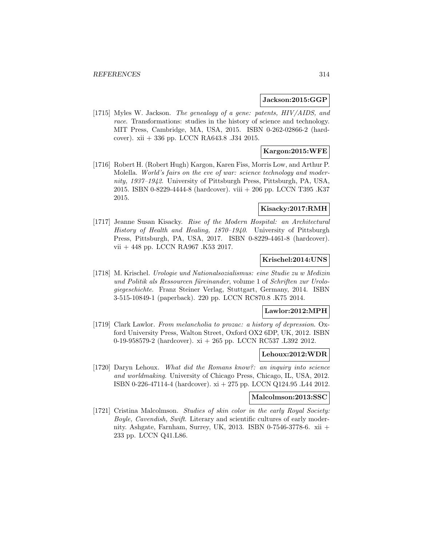#### **Jackson:2015:GGP**

[1715] Myles W. Jackson. The genealogy of a gene: patents, HIV/AIDS, and race. Transformations: studies in the history of science and technology. MIT Press, Cambridge, MA, USA, 2015. ISBN 0-262-02866-2 (hardcover). xii + 336 pp. LCCN RA643.8 .J34 2015.

## **Kargon:2015:WFE**

[1716] Robert H. (Robert Hugh) Kargon, Karen Fiss, Morris Low, and Arthur P. Molella. *World's fairs on the eve of war: science technology and moder*nity, 1937–1942. University of Pittsburgh Press, Pittsburgh, PA, USA, 2015. ISBN 0-8229-4444-8 (hardcover). viii + 206 pp. LCCN T395 .K37 2015.

## **Kisacky:2017:RMH**

[1717] Jeanne Susan Kisacky. Rise of the Modern Hospital: an Architectural History of Health and Healing, 1870–1940. University of Pittsburgh Press, Pittsburgh, PA, USA, 2017. ISBN 0-8229-4461-8 (hardcover). vii + 448 pp. LCCN RA967 .K53 2017.

#### **Krischel:2014:UNS**

[1718] M. Krischel. Urologie und Nationalsozialismus: eine Studie zu w Medizin und Politik als Ressourcen füreinander, volume 1 of Schriften zur Urologiegeschichte. Franz Steiner Verlag, Stuttgart, Germany, 2014. ISBN 3-515-10849-1 (paperback). 220 pp. LCCN RC870.8 .K75 2014.

#### **Lawlor:2012:MPH**

[1719] Clark Lawlor. From melancholia to prozac: a history of depression. Oxford University Press, Walton Street, Oxford OX2 6DP, UK, 2012. ISBN 0-19-958579-2 (hardcover). xi + 265 pp. LCCN RC537 .L392 2012.

#### **Lehoux:2012:WDR**

[1720] Daryn Lehoux. What did the Romans know?: an inquiry into science and worldmaking. University of Chicago Press, Chicago, IL, USA, 2012. ISBN 0-226-47114-4 (hardcover). xi + 275 pp. LCCN Q124.95 .L44 2012.

## **Malcolmson:2013:SSC**

[1721] Cristina Malcolmson. Studies of skin color in the early Royal Society: Boyle, Cavendish, Swift. Literary and scientific cultures of early modernity. Ashgate, Farnham, Surrey, UK, 2013. ISBN 0-7546-3778-6. xii  $+$ 233 pp. LCCN Q41.L86.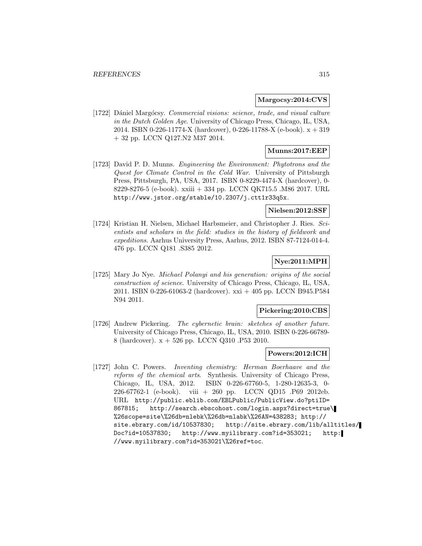### **Margocsy:2014:CVS**

[1722] Dániel Margócsy. Commercial visions: science, trade, and visual culture in the Dutch Golden Age. University of Chicago Press, Chicago, IL, USA, 2014. ISBN 0-226-11774-X (hardcover), 0-226-11788-X (e-book). x + 319 + 32 pp. LCCN Q127.N2 M37 2014.

## **Munns:2017:EEP**

[1723] David P. D. Munns. Engineering the Environment: Phytotrons and the Quest for Climate Control in the Cold War. University of Pittsburgh Press, Pittsburgh, PA, USA, 2017. ISBN 0-8229-4474-X (hardcover), 0- 8229-8276-5 (e-book). xxiii + 334 pp. LCCN QK715.5 .M86 2017. URL http://www.jstor.org/stable/10.2307/j.ctt1r33q5x.

#### **Nielsen:2012:SSF**

[1724] Kristian H. Nielsen, Michael Harbsmeier, and Christopher J. Ries. Scientists and scholars in the field: studies in the history of fieldwork and expeditions. Aarhus University Press, Aarhus, 2012. ISBN 87-7124-014-4. 476 pp. LCCN Q181 .S385 2012.

# **Nye:2011:MPH**

[1725] Mary Jo Nye. Michael Polanyi and his generation: origins of the social construction of science. University of Chicago Press, Chicago, IL, USA, 2011. ISBN 0-226-61063-2 (hardcover). xxi + 405 pp. LCCN B945.P584 N94 2011.

## **Pickering:2010:CBS**

[1726] Andrew Pickering. The cybernetic brain: sketches of another future. University of Chicago Press, Chicago, IL, USA, 2010. ISBN 0-226-66789- 8 (hardcover). x + 526 pp. LCCN Q310 .P53 2010.

## **Powers:2012:ICH**

[1727] John C. Powers. Inventing chemistry: Herman Boerhaave and the reform of the chemical arts. Synthesis. University of Chicago Press, Chicago, IL, USA, 2012. ISBN 0-226-67760-5, 1-280-12635-3, 0- 226-67762-1 (e-book). viii + 260 pp. LCCN QD15 .P69 2012eb. URL http://public.eblib.com/EBLPublic/PublicView.do?ptiID= 867815; http://search.ebscohost.com/login.aspx?direct=true\ %26scope=site\%26db=nlebk\%26db=nlabk\%26AN=438283; http:// site.ebrary.com/id/10537830; http://site.ebrary.com/lib/alltitles/ Doc?id=10537830; http://www.myilibrary.com?id=353021; http: //www.myilibrary.com?id=353021\%26ref=toc.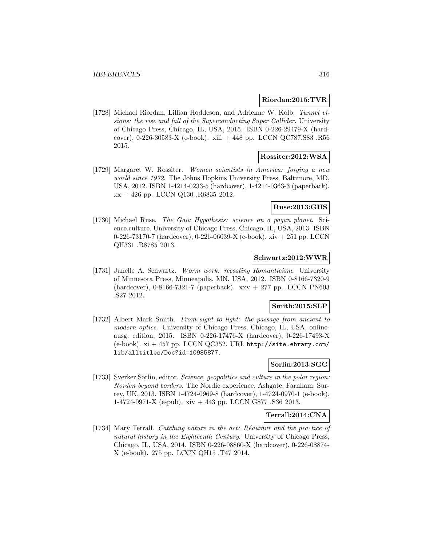## **Riordan:2015:TVR**

[1728] Michael Riordan, Lillian Hoddeson, and Adrienne W. Kolb. Tunnel visions: the rise and fall of the Superconducting Super Collider. University of Chicago Press, Chicago, IL, USA, 2015. ISBN 0-226-29479-X (hardcover), 0-226-30583-X (e-book). xiii + 448 pp. LCCN QC787.S83 .R56 2015.

## **Rossiter:2012:WSA**

[1729] Margaret W. Rossiter. Women scientists in America: forging a new world since 1972. The Johns Hopkins University Press, Baltimore, MD, USA, 2012. ISBN 1-4214-0233-5 (hardcover), 1-4214-0363-3 (paperback). xx + 426 pp. LCCN Q130 .R6835 2012.

## **Ruse:2013:GHS**

[1730] Michael Ruse. The Gaia Hypothesis: science on a pagan planet. Science.culture. University of Chicago Press, Chicago, IL, USA, 2013. ISBN 0-226-73170-7 (hardcover), 0-226-06039-X (e-book). xiv + 251 pp. LCCN QH331 .R8785 2013.

## **Schwartz:2012:WWR**

[1731] Janelle A. Schwartz. Worm work: recasting Romanticism. University of Minnesota Press, Minneapolis, MN, USA, 2012. ISBN 0-8166-7320-9 (hardcover), 0-8166-7321-7 (paperback). xxv + 277 pp. LCCN PN603 .S27 2012.

# **Smith:2015:SLP**

[1732] Albert Mark Smith. From sight to light: the passage from ancient to modern optics. University of Chicago Press, Chicago, IL, USA, onlineausg. edition, 2015. ISBN 0-226-17476-X (hardcover), 0-226-17493-X (e-book).  $xi + 457$  pp. LCCN QC352. URL http://site.ebrary.com/ lib/alltitles/Doc?id=10985877.

## **Sorlin:2013:SGC**

[1733] Sverker Sörlin, editor. Science, geopolitics and culture in the polar region: Norden beyond borders. The Nordic experience. Ashgate, Farnham, Surrey, UK, 2013. ISBN 1-4724-0969-8 (hardcover), 1-4724-0970-1 (e-book), 1-4724-0971-X (e-pub). xiv + 443 pp. LCCN G877 .S36 2013.

## **Terrall:2014:CNA**

[1734] Mary Terrall. *Catching nature in the act: Réaumur and the practice of* natural history in the Eighteenth Century. University of Chicago Press, Chicago, IL, USA, 2014. ISBN 0-226-08860-X (hardcover), 0-226-08874- X (e-book). 275 pp. LCCN QH15 .T47 2014.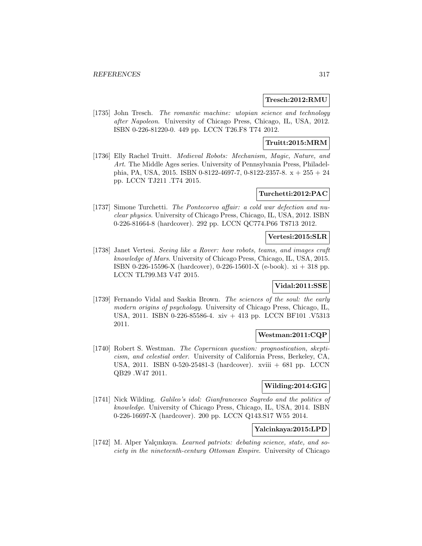#### **Tresch:2012:RMU**

[1735] John Tresch. The romantic machine: utopian science and technology after Napoleon. University of Chicago Press, Chicago, IL, USA, 2012. ISBN 0-226-81220-0. 449 pp. LCCN T26.F8 T74 2012.

## **Truitt:2015:MRM**

[1736] Elly Rachel Truitt. Medieval Robots: Mechanism, Magic, Nature, and Art. The Middle Ages series. University of Pennsylvania Press, Philadelphia, PA, USA, 2015. ISBN 0-8122-4697-7, 0-8122-2357-8. x + 255 + 24 pp. LCCN TJ211 .T74 2015.

## **Turchetti:2012:PAC**

[1737] Simone Turchetti. The Pontecorvo affair: a cold war defection and nuclear physics. University of Chicago Press, Chicago, IL, USA, 2012. ISBN 0-226-81664-8 (hardcover). 292 pp. LCCN QC774.P66 T8713 2012.

#### **Vertesi:2015:SLR**

[1738] Janet Vertesi. Seeing like a Rover: how robots, teams, and images craft knowledge of Mars. University of Chicago Press, Chicago, IL, USA, 2015. ISBN 0-226-15596-X (hardcover), 0-226-15601-X (e-book). xi + 318 pp. LCCN TL799.M3 V47 2015.

## **Vidal:2011:SSE**

[1739] Fernando Vidal and Saskia Brown. The sciences of the soul: the early modern origins of psychology. University of Chicago Press, Chicago, IL, USA, 2011. ISBN 0-226-85586-4. xiv + 413 pp. LCCN BF101 .V5313 2011.

## **Westman:2011:CQP**

[1740] Robert S. Westman. The Copernican question: prognostication, skepticism, and celestial order. University of California Press, Berkeley, CA, USA, 2011. ISBN 0-520-25481-3 (hardcover). xviii + 681 pp. LCCN QB29 .W47 2011.

# **Wilding:2014:GIG**

[1741] Nick Wilding. Galileo's idol: Gianfrancesco Sagredo and the politics of knowledge. University of Chicago Press, Chicago, IL, USA, 2014. ISBN 0-226-16697-X (hardcover). 200 pp. LCCN Q143.S17 W55 2014.

#### **Yalcinkaya:2015:LPD**

[1742] M. Alper Yalçınkaya. Learned patriots: debating science, state, and society in the nineteenth-century Ottoman Empire. University of Chicago